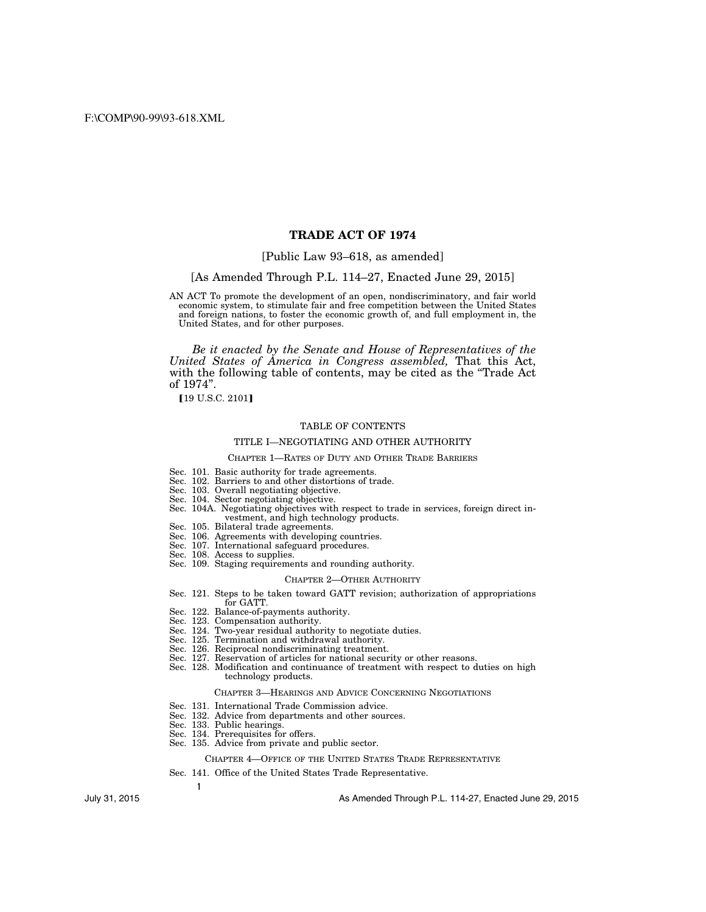# **TRADE ACT OF 1974**

### [Public Law 93–618, as amended]

#### [As Amended Through P.L. 114–27, Enacted June 29, 2015]

AN ACT To promote the development of an open, nondiscriminatory, and fair world economic system, to stimulate fair and free competition between the United States and foreign nations, to foster the economic growth of, and full employment in, the United States, and for other purposes.

*Be it enacted by the Senate and House of Representatives of the United States of America in Congress assembled,* That this Act, with the following table of contents, may be cited as the "Trade Act of 1974''.

**[19 U.S.C. 2101]** 

#### TABLE OF CONTENTS

#### TITLE I—NEGOTIATING AND OTHER AUTHORITY

#### CHAPTER 1—RATES OF DUTY AND OTHER TRADE BARRIERS

- Sec. 101. Basic authority for trade agreements.
- Sec. 102. Barriers to and other distortions of trade.
- Sec. 103. Overall negotiating objective.
- Sec. 104. Sector negotiating objective.
- Sec. 104A. Negotiating objectives with respect to trade in services, foreign direct investment, and high technology products.
- Sec. 105. Bilateral trade agreements.
- Sec. 106. Agreements with developing countries.
- Sec. 107. International safeguard procedures.
- Sec. 108. Access to supplies.
- Sec. 109. Staging requirements and rounding authority.

#### CHAPTER 2—OTHER AUTHORITY

- Sec. 121. Steps to be taken toward GATT revision; authorization of appropriations for GATT.
- Sec. 122. Balance-of-payments authority.
- Sec. 123. Compensation authority.
- Sec. 124. Two-year residual authority to negotiate duties.
- Sec. 125. Termination and withdrawal authority.
- 
- Sec. 126. Reciprocal nondiscriminating treatment. Reservation of articles for national security or other reasons.
- Sec. 128. Modification and continuance of treatment with respect to duties on high technology products.

#### CHAPTER 3—HEARINGS AND ADVICE CONCERNING NEGOTIATIONS

- Sec. 131. International Trade Commission advice.
- Sec. 132. Advice from departments and other sources.
- Sec. 133. Public hearings.

**1** 

- Sec. 134. Prerequisites for offers.
- Sec. 135. Advice from private and public sector.

#### CHAPTER 4—OFFICE OF THE UNITED STATES TRADE REPRESENTATIVE

Sec. 141. Office of the United States Trade Representative.

July 31, 2015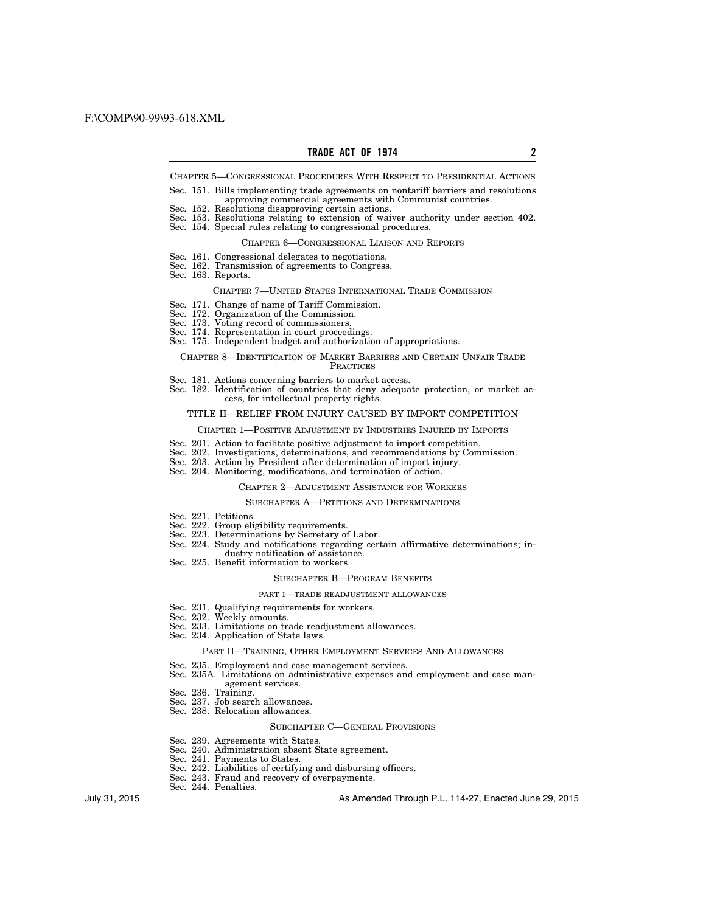CHAPTER 5—CONGRESSIONAL PROCEDURES WITH RESPECT TO PRESIDENTIAL ACTIONS

- Sec. 151. Bills implementing trade agreements on nontariff barriers and resolutions approving commercial agreements with Communist countries.
- Sec. 152. Resolutions disapproving certain actions.
- Sec. 153. Resolutions relating to extension of waiver authority under section 402. Sec. 154. Special rules relating to congressional procedures.

#### CHAPTER 6—CONGRESSIONAL LIAISON AND REPORTS

- Sec. 161. Congressional delegates to negotiations.
- Sec. 162. Transmission of agreements to Congress.
- Sec. 163. Reports.

#### CHAPTER 7—UNITED STATES INTERNATIONAL TRADE COMMISSION

- Sec. 171. Change of name of Tariff Commission.
- Sec. 172. Organization of the Commission.
- Sec. 173. Voting record of commissioners.
- Sec. 174. Representation in court proceedings.
- Sec. 175. Independent budget and authorization of appropriations.

#### CHAPTER 8—IDENTIFICATION OF MARKET BARRIERS AND CERTAIN UNFAIR TRADE **PRACTICES**

- Sec. 181. Actions concerning barriers to market access.
- Sec. 182. Identification of countries that deny adequate protection, or market access, for intellectual property rights.

#### TITLE II—RELIEF FROM INJURY CAUSED BY IMPORT COMPETITION

#### CHAPTER 1—POSITIVE ADJUSTMENT BY INDUSTRIES INJURED BY IMPORTS

- Sec. 201. Action to facilitate positive adjustment to import competition.
- Sec. 202. Investigations, determinations, and recommendations by Commission.
- Sec. 203. Action by President after determination of import injury.
- Sec. 204. Monitoring, modifications, and termination of action.

#### CHAPTER 2—ADJUSTMENT ASSISTANCE FOR WORKERS

#### SUBCHAPTER A—PETITIONS AND DETERMINATIONS

- Sec. 221. Petitions.
- Sec. 222. Group eligibility requirements.
- Sec. 223. Determinations by Secretary of Labor.
- Sec. 224. Study and notifications regarding certain affirmative determinations; in-
- dustry notification of assistance.
- Sec. 225. Benefit information to workers.

#### SUBCHAPTER B—PROGRAM BENEFITS

#### PART I—TRADE READJUSTMENT ALLOWANCES

- Sec. 231. Qualifying requirements for workers.
- Sec. 232. Weekly amounts.
- Sec. 233. Limitations on trade readjustment allowances.
- Sec. 234. Application of State laws.

#### PART II—TRAINING, OTHER EMPLOYMENT SERVICES AND ALLOWANCES

- Sec. 235. Employment and case management services.
- Sec. 235A. Limitations on administrative expenses and employment and case management services.
- Sec. 236. Training.
- Sec. 237. Job search allowances.
- Sec. 238. Relocation allowances.

#### SUBCHAPTER C—GENERAL PROVISIONS

- Sec. 239. Agreements with States.
- Sec. 240. Administration absent State agreement.
- 
- Sec. 241. Payments to States. Sec. 242. Liabilities of certifying and disbursing officers.
- Sec. 243. Fraud and recovery of overpayments.
- Sec. 244. Penalties.

As Amended Through P.L. 114-27, Enacted June 29, 2015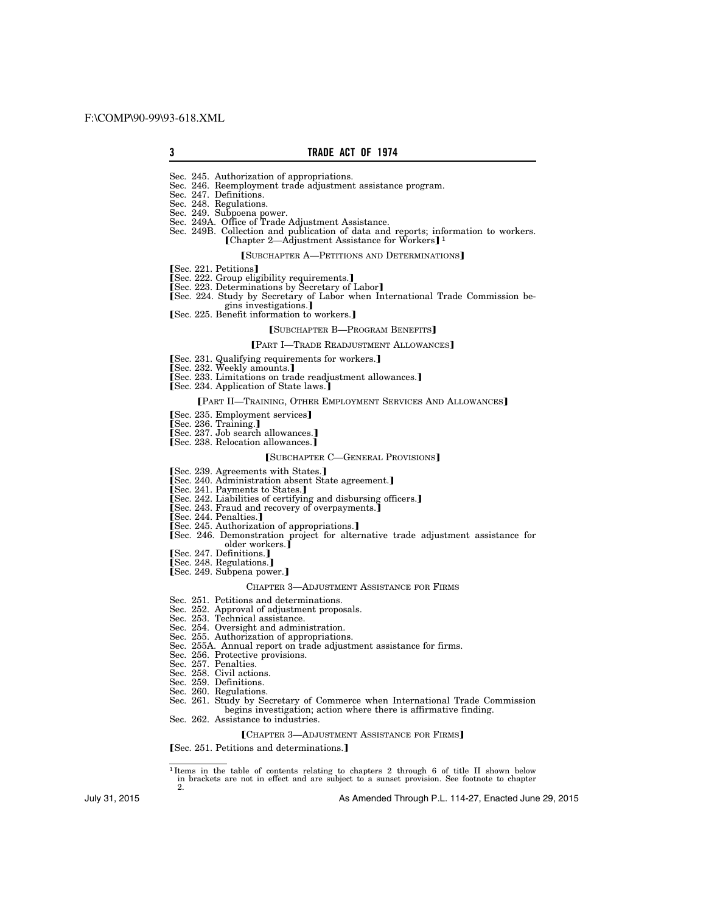#### **3 TRADE ACT OF 1974**

- Sec. 245. Authorization of appropriations.
- Sec. 246. Reemployment trade adjustment assistance program.
- Sec. 247. Definitions.
- 
- 
- 
- Sec. 248. Regulations.<br>Sec. 249. Subpoena power.<br>Sec. 249A. Office of Trade Adjustment Assistance.<br>Sec. 249B. Collection and publication of data and reports; information to workers.<br>Chapter 2—Adjustment Assistance for Work

#### **SUBCHAPTER A—PETITIONS AND DETERMINATIONS**

- [Sec. 221. Petitions]
- [Sec. 222. Group eligibility requirements.]<br>[Sec. 223. Determinations by Secretary of Labor]
- 
- [Sec. 224. Study by Secretary of Labor when International Trade Commission be-
- gins investigations.]
- [Sec. 225. Benefit information to workers.]

#### **[SUBCHAPTER B—PROGRAM BENEFITS]**

#### **[PART I—TRADE READJUSTMENT ALLOWANCES]**

- [Sec. 231. Qualifying requirements for workers.]
- 
- Sec. 232. Weekly amounts.]<br>[Sec. 233. Limitations on trade readjustment allowances.]
- [Sec. 234. Application of State laws.]

#### **[PART II—TRAINING, OTHER EMPLOYMENT SERVICES AND ALLOWANCES]**

- [Sec. 235. Employment services]
- 
- Sec. 236. Training.]<br>[Sec. 237. Job search allowances.]
- [Sec. 238. Relocation allowances.]

#### **[SUBCHAPTER C—GENERAL PROVISIONS]**

- [Sec. 239. Agreements with States.]
- Sec. 240. Administration absent State agreement.]<br>[Sec. 241. Payments to States.]
- 
- [Sec. 242. Liabilities of certifying and disbursing officers.]<br>[Sec. 243. Fraud and recovery of overpayments.]
- 
- [Sec. 244. Penalties.]
- [Sec. 245. Authorization of appropriations.]
- øSec. 246. Demonstration project for alternative trade adjustment assistance for older workers. $\vec{J}$
- **[Sec. 247. Definitions.]**
- 
- Sec. 248. Regulations.]<br>[Sec. 249. Subpena power.]

#### CHAPTER 3—ADJUSTMENT ASSISTANCE FOR FIRMS

- Sec. 251. Petitions and determinations.
- Sec. 252. Approval of adjustment proposals. Sec. 253. Technical assistance.
- 
- Sec. 254. Oversight and administration.
- 
- Sec. 255. Authorization of appropriations. Sec. 255A. Annual report on trade adjustment assistance for firms.
- Sec. 256. Protective provisions.
- 
- Sec. 257. Penalties. Sec. 258. Civil actions.
- Sec. 259. Definitions.
- Sec. 260. Regulations.
- Sec. 261. Study by Secretary of Commerce when International Trade Commission begins investigation; action where there is affirmative finding.
- Sec. 262. Assistance to industries.

#### [CHAPTER 3-ADJUSTMENT ASSISTANCE FOR FIRMS]

[Sec. 251. Petitions and determinations.]

1 Items in the table of contents relating to chapters 2 through 6 of title II shown below in brackets are not in effect and are subject to a sunset provision. See footnote to chapter 2.

July 31, 2015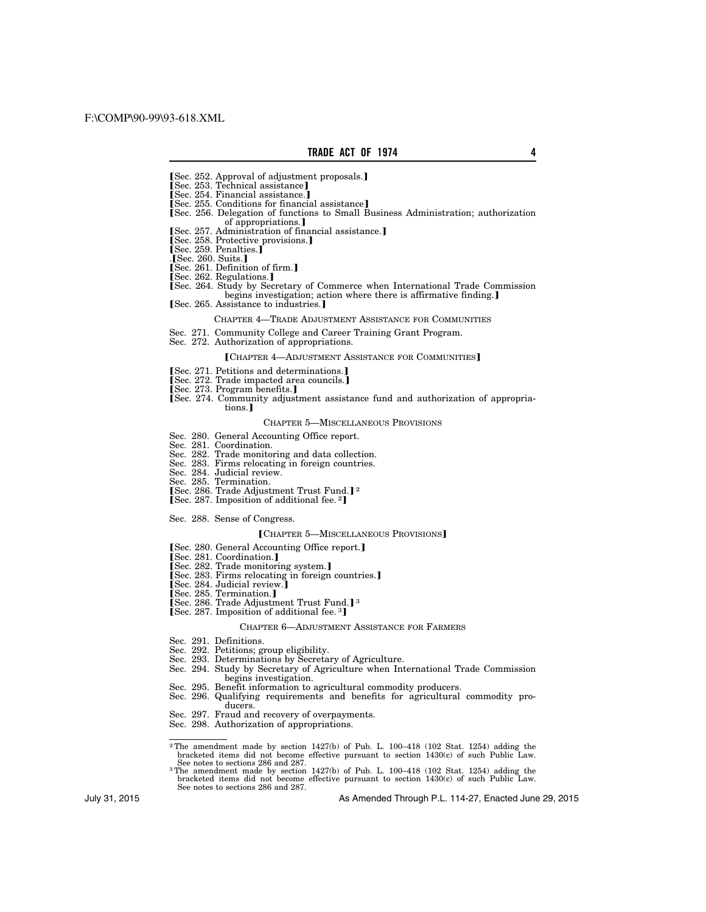#### **TRADE ACT OF 1974 4**

- [Sec. 252. Approval of adjustment proposals.]
- [Sec. 253. Technical assistance]<br>[Sec. 254. Financial assistance.]
- 
- [Sec. 255. Conditions for financial assistance]<br>[Sec. 256. Delegation of functions to Small Business Administration; authorization of appropriations.]
- **[Sec. 257. Administration of financial assistance.]**
- Sec. 257. Administration of main<br>
[Sec. 258. Protective provisions.]<br>
[Sec. 259. Penalties.]
- 
- 
- **Sec. 259. Penalties.]**<br>[Sec. 260. Suits.]<br>[Sec. 261. Definition of firm.]
- **Sec. 262. Regulations.**
- øSec. 264. Study by Secretary of Commerce when International Trade Commission begins investigation; action where there is affirmative finding.

[Sec. 265. Assistance to industries.]

#### CHAPTER 4—TRADE ADJUSTMENT ASSISTANCE FOR COMMUNITIES

- Sec. 271. Community College and Career Training Grant Program.
- Sec. 272. Authorization of appropriations.

#### **[CHAPTER 4—ADJUSTMENT ASSISTANCE FOR COMMUNITIES]**

- [Sec. 271. Petitions and determinations.]
- [Sec. 272. Trade impacted area councils.]<br>[Sec. 273. Program benefits.]
- 
- [Sec. 274. Community adjustment assistance fund and authorization of appropriations.

#### CHAPTER 5—MISCELLANEOUS PROVISIONS

- Sec. 280. General Accounting Office report.<br>Sec. 281. Coordination.
- Coordination.
- Sec. 282. Trade monitoring and data collection.
- Sec. 283. Firms relocating in foreign countries.
- Sec. 284. Judicial review.
- Sec. 285. Termination.<br>[Sec. 286. Trade Adjustment Trust Fund.] <sup>2</sup>
- $[$ Sec. 287. Imposition of additional fee. <sup>2</sup> $]$
- Sec. 288. Sense of Congress.

## [CHAPTER 5—MISCELLANEOUS PROVISIONS]

### [Sec. 280. General Accounting Office report.]

- $Sec. 281. Coordination.$
- [Sec. 282. Trade monitoring system.]
- [Sec. 283. Firms relocating in foreign countries.]
- [Sec. 284. Judicial review.]
- [Sec. 285. Termination.]
- [Sec. 286. Trade Adjustment Trust Fund.]<sup>3</sup>
- [Sec. 287. Imposition of additional fee. 3]

#### CHAPTER 6—ADJUSTMENT ASSISTANCE FOR FARMERS

- Sec. 291. Definitions.
- Sec. 292. Petitions; group eligibility.
- Sec. 293. Determinations by Secretary of Agriculture.
- Sec. 294. Study by Secretary of Agriculture when International Trade Commission begins investigation.
- Sec. 295. Benefit information to agricultural commodity producers.
- Sec. 296. Qualifying requirements and benefits for agricultural commodity producers.
- Sec. 297. Fraud and recovery of overpayments.
- 
- Sec. 298. Authorization of appropriations.

July 31, 2015

<sup>2</sup>The amendment made by section 1427(b) of Pub. L. 100–418 (102 Stat. 1254) adding the bracketed items did not become effective pursuant to section 1430(c) of such Public Law.

See notes to sections 286 and 287.<br><sup>3</sup>The amendment made by section 1427(b) of Pub. L. 100–418 (102 Stat. 1254) adding the<br>bracketed items did not become effective pursuant to section 1430(c) of such Public Law. See notes to sections 286 and 287.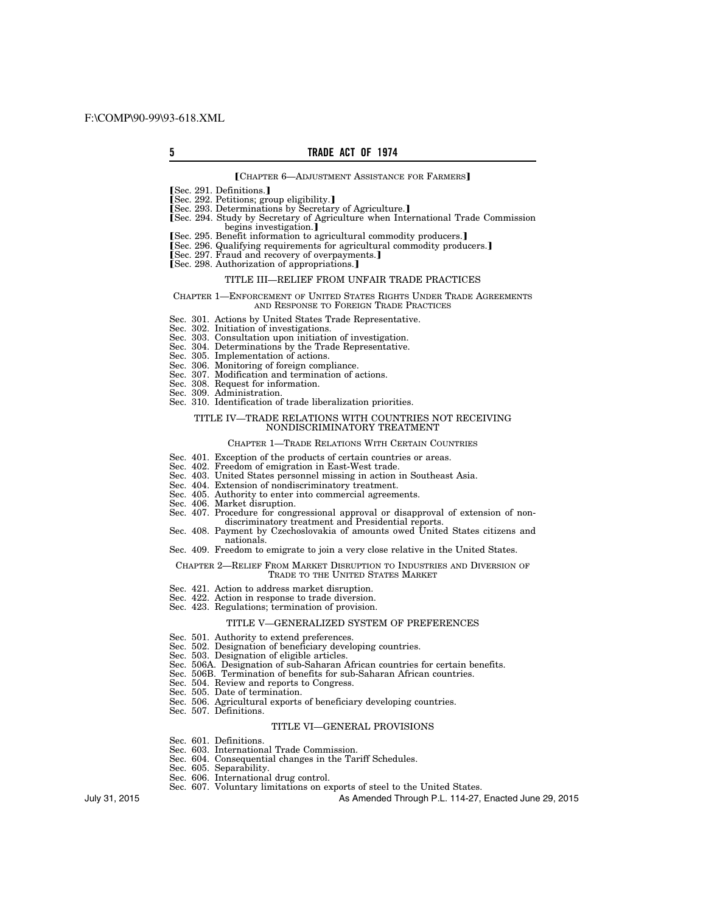#### **5 TRADE ACT OF 1974**

#### [CHAPTER 6-ADJUSTMENT ASSISTANCE FOR FARMERS]

- [Sec. 291. Definitions.]
- [Sec. 292. Petitions; group eligibility.]
- [Sec. 293. Determinations by Secretary of Agriculture.]
- [Sec. 294. Study by Secretary of Agriculture when International Trade Commission begins investigation.]
- [Sec. 295. Benefit information to agricultural commodity producers.]
- [Sec. 296. Qualifying requirements for agricultural commodity producers.]
- [Sec. 297. Fraud and recovery of overpayments.]
- [Sec. 298. Authorization of appropriations.]

#### TITLE III—RELIEF FROM UNFAIR TRADE PRACTICES

# CHAPTER 1—ENFORCEMENT OF UNITED STATES RIGHTS UNDER TRADE AGREEMENTS AND RESPONSE TO FOREIGN TRADE PRACTICES

# Sec. 301. Actions by United States Trade Representative.

- Sec. 302. Initiation of investigations.
- 
- Sec. 303. Consultation upon initiation of investigation.
- Sec. 304. Determinations by the Trade Representative.
- Sec. 305. Implementation of actions.
- Sec. 306. Monitoring of foreign compliance.
- Sec. 307. Modification and termination of actions.
- Sec. 308. Request for information.
- Sec. 309. Administration.
- Sec. 310. Identification of trade liberalization priorities.

#### TITLE IV—TRADE RELATIONS WITH COUNTRIES NOT RECEIVING NONDISCRIMINATORY TREATMENT

#### CHAPTER 1—TRADE RELATIONS WITH CERTAIN COUNTRIES

- Sec. 401. Exception of the products of certain countries or areas.
- Sec. 402. Freedom of emigration in East-West trade.
- Sec. 403. United States personnel missing in action in Southeast Asia.
- Sec. 404. Extension of nondiscriminatory treatment.
- Sec. 405. Authority to enter into commercial agreements.
- Sec. 406. Market disruption.
- Sec. 407. Procedure for congressional approval or disapproval of extension of nondiscriminatory treatment and Presidential reports.
- Sec. 408. Payment by Czechoslovakia of amounts owed United States citizens and nationals.
- Sec. 409. Freedom to emigrate to join a very close relative in the United States.

#### CHAPTER 2—RELIEF FROM MARKET DISRUPTION TO INDUSTRIES AND DIVERSION OF TRADE TO THE UNITED STATES MARKET

- Sec. 421. Action to address market disruption.
- Sec. 422. Action in response to trade diversion.
- Sec. 423. Regulations; termination of provision.

#### TITLE V—GENERALIZED SYSTEM OF PREFERENCES

- Sec. 501. Authority to extend preferences.
- Sec. 502. Designation of beneficiary developing countries.
- Sec. 503. Designation of eligible articles.
- Sec. 506A. Designation of sub-Saharan African countries for certain benefits.
- Sec. 506B. Termination of benefits for sub-Saharan African countries.
- Sec. 504. Review and reports to Congress.
- Sec. 505. Date of termination.
- Sec. 506. Agricultural exports of beneficiary developing countries.
- Sec. 507. Definitions.

#### TITLE VI—GENERAL PROVISIONS

- Sec. 601. Definitions.
- Sec. 603. International Trade Commission.
- Sec. 604. Consequential changes in the Tariff Schedules.
- Sec. 605. Separability.
- Sec. 606. International drug control.
- Sec. 607. Voluntary limitations on exports of steel to the United States.

As Amended Through P.L. 114-27, Enacted June 29, 2015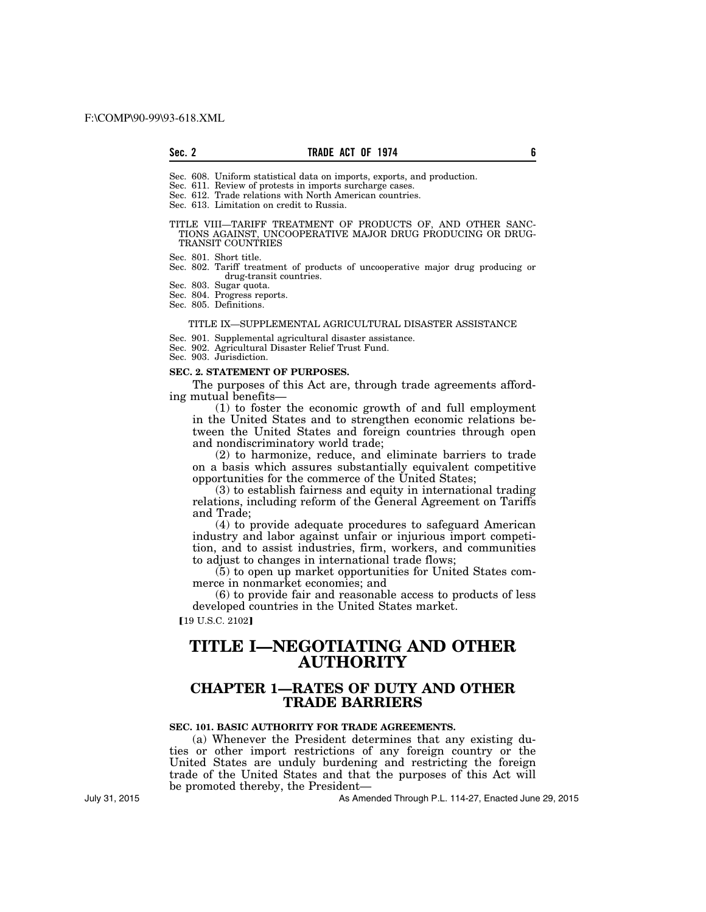#### **Sec. 2 TRADE ACT OF 1974 6**

Sec. 608. Uniform statistical data on imports, exports, and production.

Sec. 611. Review of protests in imports surcharge cases.

Sec. 612. Trade relations with North American countries.

Sec. 613. Limitation on credit to Russia.

#### TITLE VIII—TARIFF TREATMENT OF PRODUCTS OF, AND OTHER SANC-TIONS AGAINST, UNCOOPERATIVE MAJOR DRUG PRODUCING OR DRUG-TRANSIT COUNTRIES

Sec. 801. Short title.

Sec. 802. Tariff treatment of products of uncooperative major drug producing or drug-transit countries.

Sec. 803. Sugar quota.

Sec. 804. Progress reports.

Sec. 805. Definitions.

#### TITLE IX—SUPPLEMENTAL AGRICULTURAL DISASTER ASSISTANCE

Sec. 901. Supplemental agricultural disaster assistance.

Sec. 902. Agricultural Disaster Relief Trust Fund.

Sec. 903. Jurisdiction.

#### **SEC. 2. STATEMENT OF PURPOSES.**

The purposes of this Act are, through trade agreements affording mutual benefits—

(1) to foster the economic growth of and full employment in the United States and to strengthen economic relations between the United States and foreign countries through open and nondiscriminatory world trade;

(2) to harmonize, reduce, and eliminate barriers to trade on a basis which assures substantially equivalent competitive opportunities for the commerce of the United States;

(3) to establish fairness and equity in international trading relations, including reform of the General Agreement on Tariffs and Trade;

(4) to provide adequate procedures to safeguard American industry and labor against unfair or injurious import competition, and to assist industries, firm, workers, and communities to adjust to changes in international trade flows;

(5) to open up market opportunities for United States commerce in nonmarket economies; and

(6) to provide fair and reasonable access to products of less developed countries in the United States market.

[19 U.S.C. 2102]

# **TITLE I—NEGOTIATING AND OTHER AUTHORITY**

# **CHAPTER 1—RATES OF DUTY AND OTHER TRADE BARRIERS**

#### **SEC. 101. BASIC AUTHORITY FOR TRADE AGREEMENTS.**

(a) Whenever the President determines that any existing duties or other import restrictions of any foreign country or the United States are unduly burdening and restricting the foreign trade of the United States and that the purposes of this Act will be promoted thereby, the President—

As Amended Through P.L. 114-27, Enacted June 29, 2015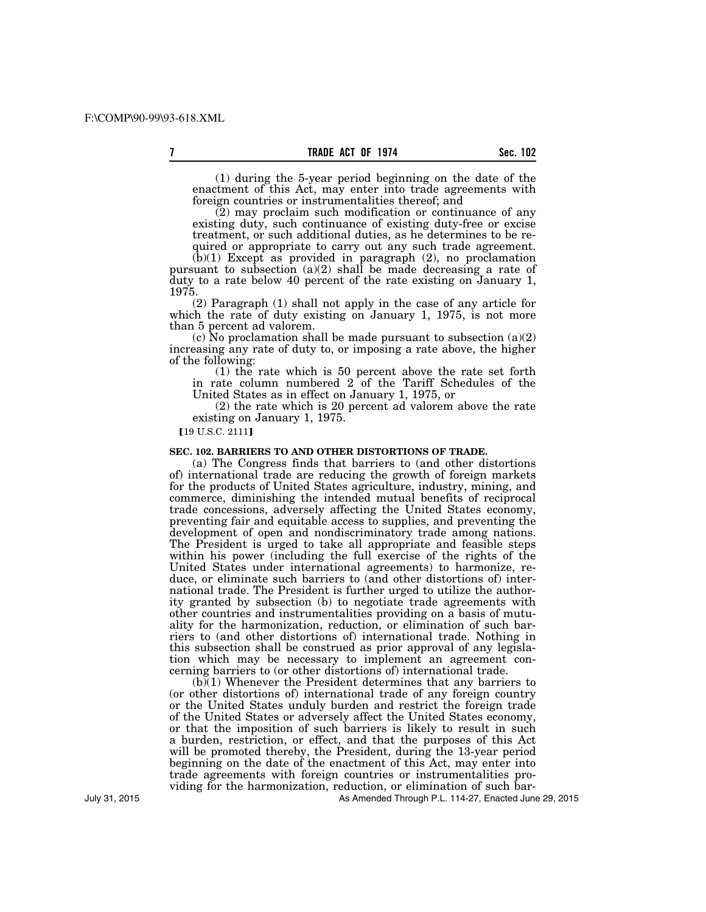(1) during the 5-year period beginning on the date of the enactment of this Act, may enter into trade agreements with foreign countries or instrumentalities thereof; and

(2) may proclaim such modification or continuance of any existing duty, such continuance of existing duty-free or excise treatment, or such additional duties, as he determines to be required or appropriate to carry out any such trade agreement.

(b)(1) Except as provided in paragraph (2), no proclamation pursuant to subsection (a)(2) shall be made decreasing a rate of duty to a rate below 40 percent of the rate existing on January 1, 1975.

(2) Paragraph (1) shall not apply in the case of any article for which the rate of duty existing on January 1, 1975, is not more than 5 percent ad valorem.

(c) No proclamation shall be made pursuant to subsection  $(a)(2)$ increasing any rate of duty to, or imposing a rate above, the higher of the following:

(1) the rate which is 50 percent above the rate set forth in rate column numbered 2 of the Tariff Schedules of the United States as in effect on January 1, 1975, or

(2) the rate which is 20 percent ad valorem above the rate existing on January 1, 1975.

[19 U.S.C. 2111]

#### **SEC. 102. BARRIERS TO AND OTHER DISTORTIONS OF TRADE.**

(a) The Congress finds that barriers to (and other distortions of) international trade are reducing the growth of foreign markets for the products of United States agriculture, industry, mining, and commerce, diminishing the intended mutual benefits of reciprocal trade concessions, adversely affecting the United States economy, preventing fair and equitable access to supplies, and preventing the development of open and nondiscriminatory trade among nations. The President is urged to take all appropriate and feasible steps within his power (including the full exercise of the rights of the United States under international agreements) to harmonize, reduce, or eliminate such barriers to (and other distortions of) international trade. The President is further urged to utilize the authority granted by subsection (b) to negotiate trade agreements with other countries and instrumentalities providing on a basis of mutuality for the harmonization, reduction, or elimination of such barriers to (and other distortions of) international trade. Nothing in this subsection shall be construed as prior approval of any legislation which may be necessary to implement an agreement concerning barriers to (or other distortions of) international trade.

(b)(1) Whenever the President determines that any barriers to (or other distortions of) international trade of any foreign country or the United States unduly burden and restrict the foreign trade of the United States or adversely affect the United States economy, or that the imposition of such barriers is likely to result in such a burden, restriction, or effect, and that the purposes of this Act will be promoted thereby, the President, during the 13-year period beginning on the date of the enactment of this Act, may enter into trade agreements with foreign countries or instrumentalities providing for the harmonization, reduction, or elimination of such bar-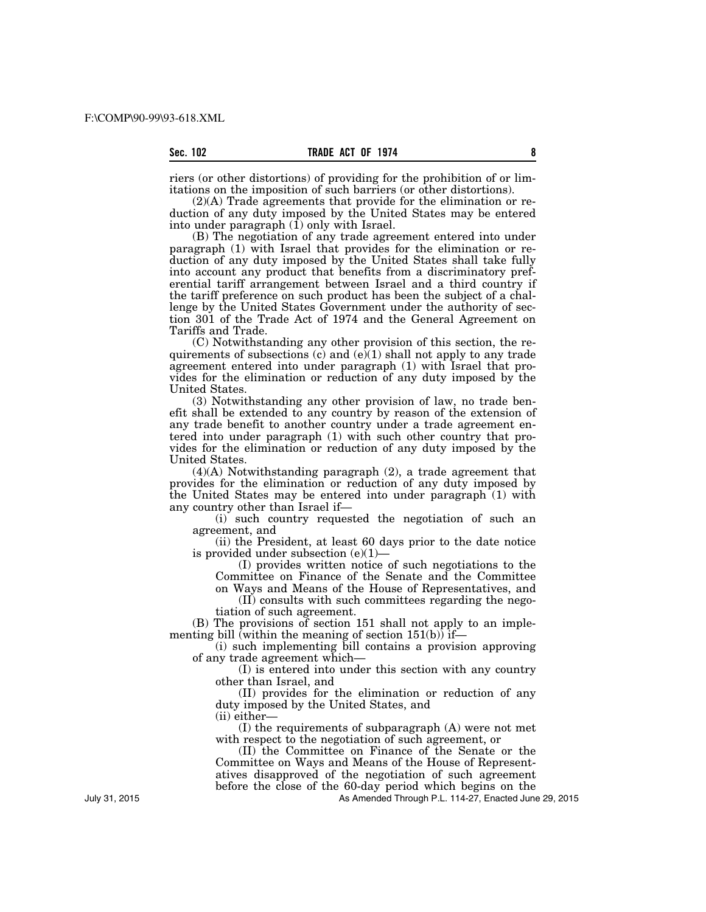riers (or other distortions) of providing for the prohibition of or limitations on the imposition of such barriers (or other distortions).

(2)(A) Trade agreements that provide for the elimination or reduction of any duty imposed by the United States may be entered into under paragraph  $(\overline{1})$  only with Israel.

(B) The negotiation of any trade agreement entered into under paragraph (1) with Israel that provides for the elimination or reduction of any duty imposed by the United States shall take fully into account any product that benefits from a discriminatory preferential tariff arrangement between Israel and a third country if the tariff preference on such product has been the subject of a challenge by the United States Government under the authority of section 301 of the Trade Act of 1974 and the General Agreement on Tariffs and Trade.

(C) Notwithstanding any other provision of this section, the requirements of subsections  $(c)$  and  $(e)(1)$  shall not apply to any trade agreement entered into under paragraph (1) with Israel that provides for the elimination or reduction of any duty imposed by the United States.

(3) Notwithstanding any other provision of law, no trade benefit shall be extended to any country by reason of the extension of any trade benefit to another country under a trade agreement entered into under paragraph (1) with such other country that provides for the elimination or reduction of any duty imposed by the United States.

(4)(A) Notwithstanding paragraph (2), a trade agreement that provides for the elimination or reduction of any duty imposed by the United States may be entered into under paragraph (1) with any country other than Israel if—

(i) such country requested the negotiation of such an agreement, and

(ii) the President, at least 60 days prior to the date notice is provided under subsection  $(e)(1)$ —

(I) provides written notice of such negotiations to the Committee on Finance of the Senate and the Committee on Ways and Means of the House of Representatives, and

(II) consults with such committees regarding the negotiation of such agreement.

(B) The provisions of section 151 shall not apply to an implementing bill (within the meaning of section  $151(b)$ ) if—

(i) such implementing bill contains a provision approving of any trade agreement which—

(I) is entered into under this section with any country other than Israel, and

(II) provides for the elimination or reduction of any duty imposed by the United States, and

(ii) either—

(I) the requirements of subparagraph (A) were not met with respect to the negotiation of such agreement, or

(II) the Committee on Finance of the Senate or the Committee on Ways and Means of the House of Representatives disapproved of the negotiation of such agreement before the close of the 60-day period which begins on the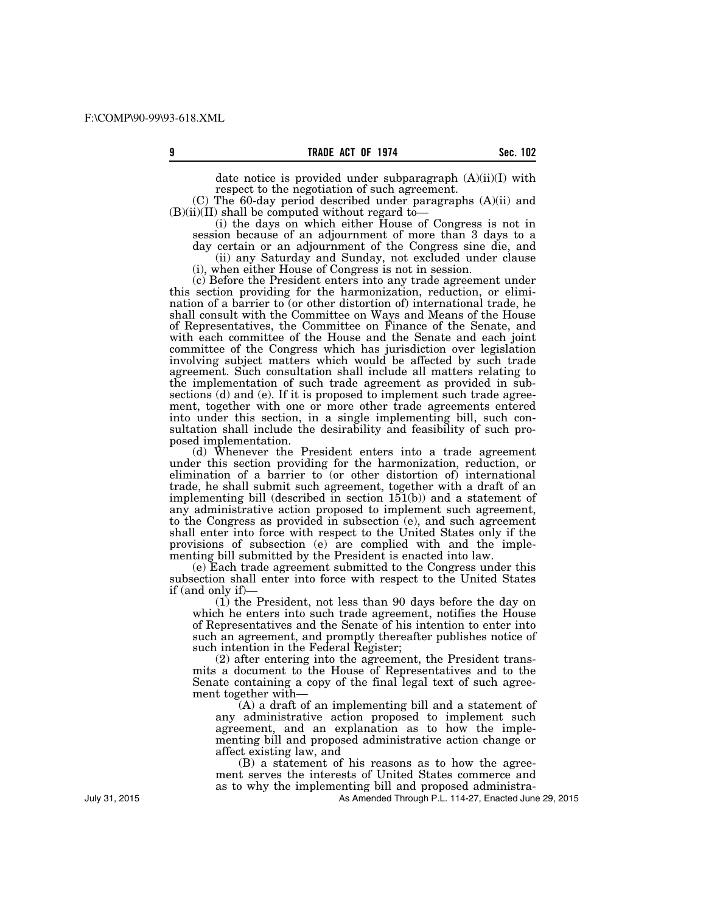date notice is provided under subparagraph (A)(ii)(I) with respect to the negotiation of such agreement.

(C) The 60-day period described under paragraphs (A)(ii) and  $(B)(ii)(II)$  shall be computed without regard to-

(i) the days on which either House of Congress is not in session because of an adjournment of more than 3 days to a day certain or an adjournment of the Congress sine die, and

(ii) any Saturday and Sunday, not excluded under clause

(i), when either House of Congress is not in session.

(c) Before the President enters into any trade agreement under this section providing for the harmonization, reduction, or elimination of a barrier to (or other distortion of) international trade, he shall consult with the Committee on Ways and Means of the House of Representatives, the Committee on Finance of the Senate, and with each committee of the House and the Senate and each joint committee of the Congress which has jurisdiction over legislation involving subject matters which would be affected by such trade agreement. Such consultation shall include all matters relating to the implementation of such trade agreement as provided in subsections (d) and (e). If it is proposed to implement such trade agreement, together with one or more other trade agreements entered into under this section, in a single implementing bill, such consultation shall include the desirability and feasibility of such proposed implementation.

(d) Whenever the President enters into a trade agreement under this section providing for the harmonization, reduction, or elimination of a barrier to (or other distortion of) international trade, he shall submit such agreement, together with a draft of an implementing bill (described in section 151(b)) and a statement of any administrative action proposed to implement such agreement, to the Congress as provided in subsection (e), and such agreement shall enter into force with respect to the United States only if the provisions of subsection (e) are complied with and the implementing bill submitted by the President is enacted into law.

(e) Each trade agreement submitted to the Congress under this subsection shall enter into force with respect to the United States if (and only if)—

(1) the President, not less than 90 days before the day on which he enters into such trade agreement, notifies the House of Representatives and the Senate of his intention to enter into such an agreement, and promptly thereafter publishes notice of such intention in the Federal Register;

(2) after entering into the agreement, the President transmits a document to the House of Representatives and to the Senate containing a copy of the final legal text of such agreement together with—

(A) a draft of an implementing bill and a statement of any administrative action proposed to implement such agreement, and an explanation as to how the implementing bill and proposed administrative action change or affect existing law, and

(B) a statement of his reasons as to how the agreement serves the interests of United States commerce and as to why the implementing bill and proposed administra-

As Amended Through P.L. 114-27, Enacted June 29, 2015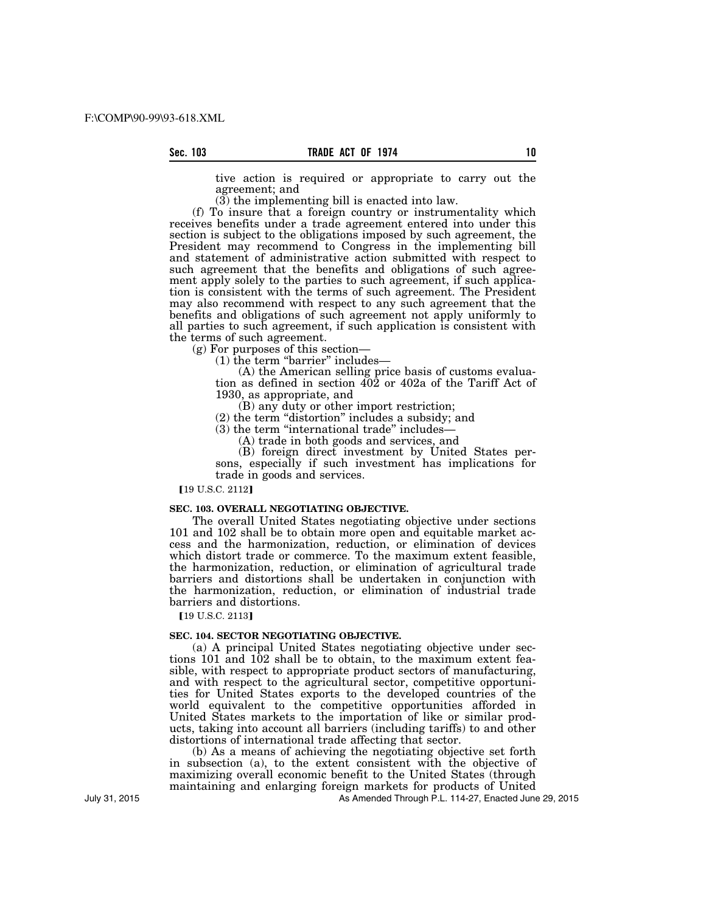tive action is required or appropriate to carry out the agreement; and

 $(3)$  the implementing bill is enacted into law.

(f) To insure that a foreign country or instrumentality which receives benefits under a trade agreement entered into under this section is subject to the obligations imposed by such agreement, the President may recommend to Congress in the implementing bill and statement of administrative action submitted with respect to such agreement that the benefits and obligations of such agreement apply solely to the parties to such agreement, if such application is consistent with the terms of such agreement. The President may also recommend with respect to any such agreement that the benefits and obligations of such agreement not apply uniformly to all parties to such agreement, if such application is consistent with the terms of such agreement.

(g) For purposes of this section—

 $(1)$  the term "barrier" includes—

(A) the American selling price basis of customs evaluation as defined in section 402 or 402a of the Tariff Act of 1930, as appropriate, and

(B) any duty or other import restriction;

(2) the term ''distortion'' includes a subsidy; and

(3) the term ''international trade'' includes—

(A) trade in both goods and services, and

(B) foreign direct investment by United States persons, especially if such investment has implications for trade in goods and services.

#### [19 U.S.C. 2112]

### **SEC. 103. OVERALL NEGOTIATING OBJECTIVE.**

The overall United States negotiating objective under sections 101 and 102 shall be to obtain more open and equitable market access and the harmonization, reduction, or elimination of devices which distort trade or commerce. To the maximum extent feasible, the harmonization, reduction, or elimination of agricultural trade barriers and distortions shall be undertaken in conjunction with the harmonization, reduction, or elimination of industrial trade barriers and distortions.

**[19 U.S.C. 2113]** 

#### **SEC. 104. SECTOR NEGOTIATING OBJECTIVE.**

(a) A principal United States negotiating objective under sections 101 and 102 shall be to obtain, to the maximum extent feasible, with respect to appropriate product sectors of manufacturing, and with respect to the agricultural sector, competitive opportunities for United States exports to the developed countries of the world equivalent to the competitive opportunities afforded in United States markets to the importation of like or similar products, taking into account all barriers (including tariffs) to and other distortions of international trade affecting that sector.

(b) As a means of achieving the negotiating objective set forth in subsection (a), to the extent consistent with the objective of maximizing overall economic benefit to the United States (through maintaining and enlarging foreign markets for products of United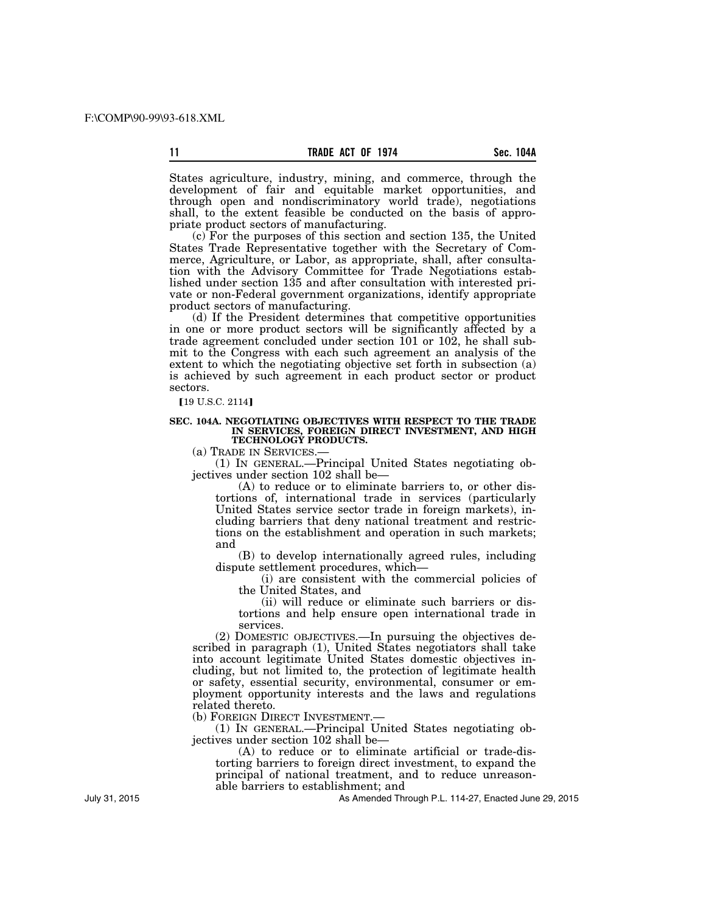States agriculture, industry, mining, and commerce, through the development of fair and equitable market opportunities, and through open and nondiscriminatory world trade), negotiations shall, to the extent feasible be conducted on the basis of appropriate product sectors of manufacturing.

(c) For the purposes of this section and section 135, the United States Trade Representative together with the Secretary of Commerce, Agriculture, or Labor, as appropriate, shall, after consultation with the Advisory Committee for Trade Negotiations established under section 135 and after consultation with interested private or non-Federal government organizations, identify appropriate product sectors of manufacturing.

(d) If the President determines that competitive opportunities in one or more product sectors will be significantly affected by a trade agreement concluded under section 101 or 102, he shall submit to the Congress with each such agreement an analysis of the extent to which the negotiating objective set forth in subsection (a) is achieved by such agreement in each product sector or product sectors.

**[19 U.S.C. 2114]** 

#### **SEC. 104A. NEGOTIATING OBJECTIVES WITH RESPECT TO THE TRADE IN SERVICES, FOREIGN DIRECT INVESTMENT, AND HIGH TECHNOLOGY PRODUCTS.**

(a) TRADE IN SERVICES.—

(1) IN GENERAL.—Principal United States negotiating objectives under section 102 shall be—

(A) to reduce or to eliminate barriers to, or other distortions of, international trade in services (particularly United States service sector trade in foreign markets), including barriers that deny national treatment and restrictions on the establishment and operation in such markets; and

(B) to develop internationally agreed rules, including dispute settlement procedures, which—

(i) are consistent with the commercial policies of the United States, and

(ii) will reduce or eliminate such barriers or distortions and help ensure open international trade in services.

(2) DOMESTIC OBJECTIVES.—In pursuing the objectives described in paragraph (1), United States negotiators shall take into account legitimate United States domestic objectives including, but not limited to, the protection of legitimate health or safety, essential security, environmental, consumer or employment opportunity interests and the laws and regulations related thereto.<br>(b) FOREIGN DIRECT INVESTMENT.

 $(1)$  In GENERAL.—Principal United States negotiating objectives under section 102 shall be—

(A) to reduce or to eliminate artificial or trade-distorting barriers to foreign direct investment, to expand the principal of national treatment, and to reduce unreasonable barriers to establishment; and

As Amended Through P.L. 114-27, Enacted June 29, 2015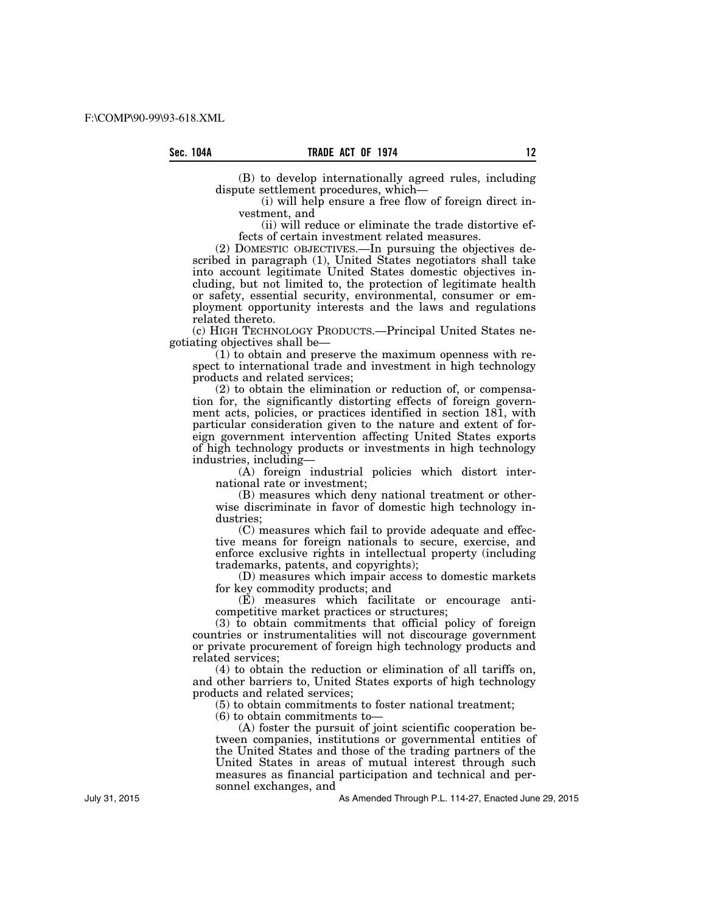(B) to develop internationally agreed rules, including dispute settlement procedures, which—

(i) will help ensure a free flow of foreign direct investment, and

(ii) will reduce or eliminate the trade distortive effects of certain investment related measures.

(2) DOMESTIC OBJECTIVES.—In pursuing the objectives described in paragraph (1), United States negotiators shall take into account legitimate United States domestic objectives including, but not limited to, the protection of legitimate health or safety, essential security, environmental, consumer or employment opportunity interests and the laws and regulations related thereto.

(c) HIGH TECHNOLOGY PRODUCTS.—Principal United States negotiating objectives shall be—

(1) to obtain and preserve the maximum openness with respect to international trade and investment in high technology products and related services;

(2) to obtain the elimination or reduction of, or compensation for, the significantly distorting effects of foreign government acts, policies, or practices identified in section 181, with particular consideration given to the nature and extent of foreign government intervention affecting United States exports of high technology products or investments in high technology industries, including—

(A) foreign industrial policies which distort international rate or investment;

(B) measures which deny national treatment or otherwise discriminate in favor of domestic high technology industries;

(C) measures which fail to provide adequate and effective means for foreign nationals to secure, exercise, and enforce exclusive rights in intellectual property (including trademarks, patents, and copyrights);

(D) measures which impair access to domestic markets for key commodity products; and

(E) measures which facilitate or encourage anticompetitive market practices or structures;

(3) to obtain commitments that official policy of foreign countries or instrumentalities will not discourage government or private procurement of foreign high technology products and related services;

(4) to obtain the reduction or elimination of all tariffs on, and other barriers to, United States exports of high technology products and related services;

(5) to obtain commitments to foster national treatment;

(6) to obtain commitments to—

(A) foster the pursuit of joint scientific cooperation between companies, institutions or governmental entities of the United States and those of the trading partners of the United States in areas of mutual interest through such measures as financial participation and technical and personnel exchanges, and

As Amended Through P.L. 114-27, Enacted June 29, 2015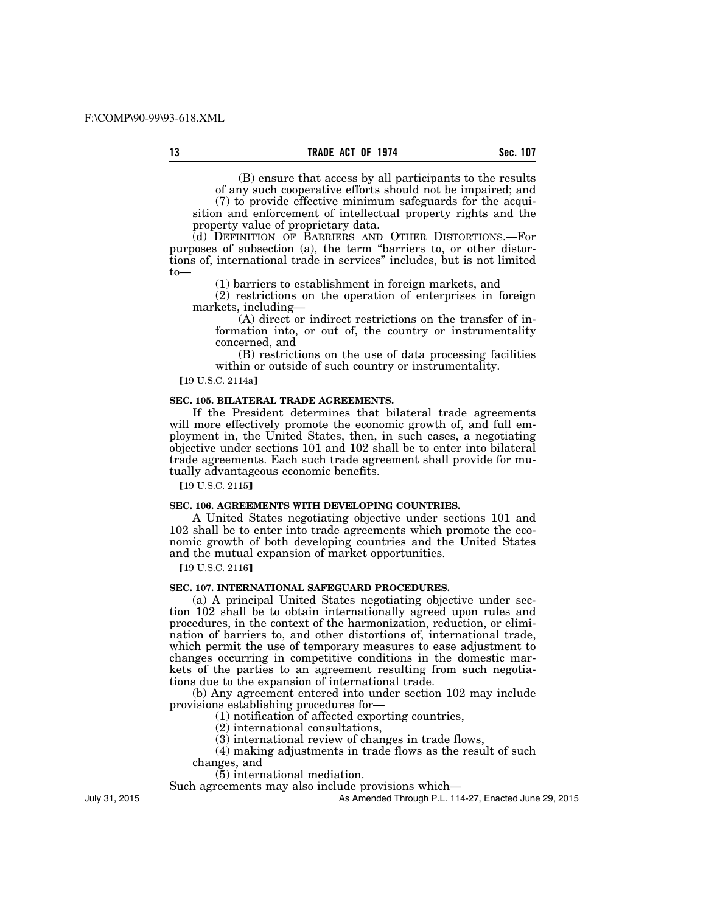(B) ensure that access by all participants to the results of any such cooperative efforts should not be impaired; and

(7) to provide effective minimum safeguards for the acquisition and enforcement of intellectual property rights and the property value of proprietary data.

(d) DEFINITION OF BARRIERS AND OTHER DISTORTIONS.—For purposes of subsection (a), the term ''barriers to, or other distortions of, international trade in services'' includes, but is not limited to—

(1) barriers to establishment in foreign markets, and

(2) restrictions on the operation of enterprises in foreign markets, including—

(A) direct or indirect restrictions on the transfer of information into, or out of, the country or instrumentality concerned, and

(B) restrictions on the use of data processing facilities within or outside of such country or instrumentality.

[19 U.S.C. 2114a]

#### **SEC. 105. BILATERAL TRADE AGREEMENTS.**

If the President determines that bilateral trade agreements will more effectively promote the economic growth of, and full employment in, the United States, then, in such cases, a negotiating objective under sections 101 and 102 shall be to enter into bilateral trade agreements. Each such trade agreement shall provide for mutually advantageous economic benefits.

[19 U.S.C. 2115]

#### **SEC. 106. AGREEMENTS WITH DEVELOPING COUNTRIES.**

A United States negotiating objective under sections 101 and 102 shall be to enter into trade agreements which promote the economic growth of both developing countries and the United States and the mutual expansion of market opportunities.

**[19 U.S.C. 2116]** 

#### **SEC. 107. INTERNATIONAL SAFEGUARD PROCEDURES.**

(a) A principal United States negotiating objective under section 102 shall be to obtain internationally agreed upon rules and procedures, in the context of the harmonization, reduction, or elimination of barriers to, and other distortions of, international trade, which permit the use of temporary measures to ease adjustment to changes occurring in competitive conditions in the domestic markets of the parties to an agreement resulting from such negotiations due to the expansion of international trade.

(b) Any agreement entered into under section 102 may include provisions establishing procedures for—

(1) notification of affected exporting countries,

(2) international consultations,

(3) international review of changes in trade flows,

(4) making adjustments in trade flows as the result of such

changes, and

(5) international mediation.

Such agreements may also include provisions which—

As Amended Through P.L. 114-27, Enacted June 29, 2015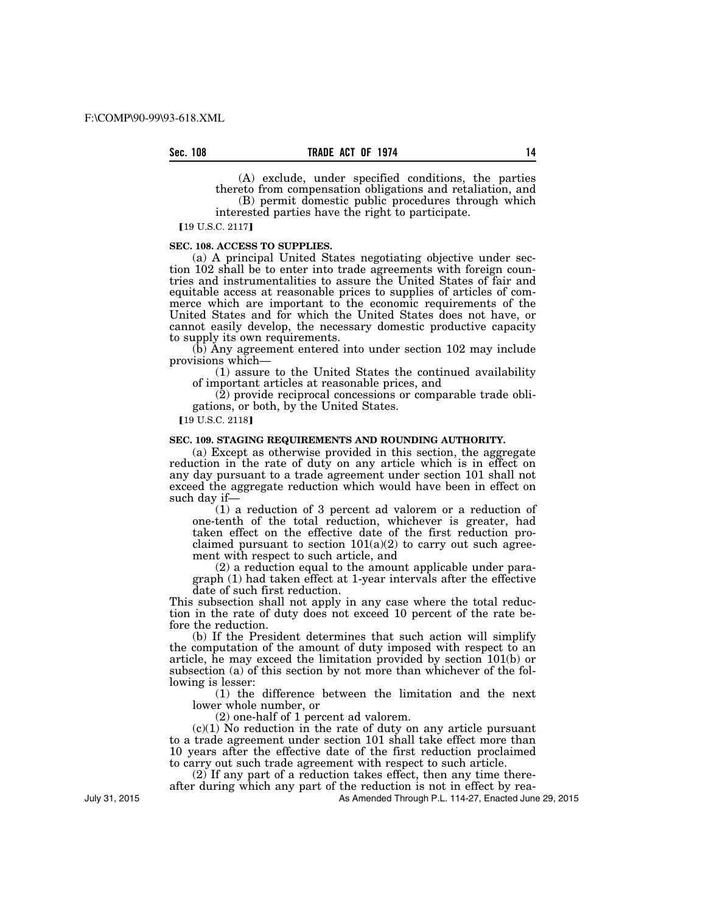(A) exclude, under specified conditions, the parties thereto from compensation obligations and retaliation, and (B) permit domestic public procedures through which interested parties have the right to participate.

[19 U.S.C. 2117]

#### **SEC. 108. ACCESS TO SUPPLIES.**

(a) A principal United States negotiating objective under section 102 shall be to enter into trade agreements with foreign countries and instrumentalities to assure the United States of fair and equitable access at reasonable prices to supplies of articles of commerce which are important to the economic requirements of the United States and for which the United States does not have, or cannot easily develop, the necessary domestic productive capacity to supply its own requirements.

(b) Any agreement entered into under section 102 may include provisions which—

(1) assure to the United States the continued availability of important articles at reasonable prices, and

(2) provide reciprocal concessions or comparable trade obligations, or both, by the United States.

**[19 U.S.C. 2118]** 

#### **SEC. 109. STAGING REQUIREMENTS AND ROUNDING AUTHORITY.**

(a) Except as otherwise provided in this section, the aggregate reduction in the rate of duty on any article which is in effect on any day pursuant to a trade agreement under section 101 shall not exceed the aggregate reduction which would have been in effect on such day if—

(1) a reduction of 3 percent ad valorem or a reduction of one-tenth of the total reduction, whichever is greater, had taken effect on the effective date of the first reduction proclaimed pursuant to section  $101(a)(2)$  to carry out such agreement with respect to such article, and

(2) a reduction equal to the amount applicable under paragraph (1) had taken effect at 1-year intervals after the effective date of such first reduction.

This subsection shall not apply in any case where the total reduction in the rate of duty does not exceed 10 percent of the rate before the reduction.

(b) If the President determines that such action will simplify the computation of the amount of duty imposed with respect to an article, he may exceed the limitation provided by section 101(b) or subsection (a) of this section by not more than whichever of the following is lesser:

(1) the difference between the limitation and the next lower whole number, or

(2) one-half of 1 percent ad valorem.

 $(c)(1)$  No reduction in the rate of duty on any article pursuant to a trade agreement under section 101 shall take effect more than 10 years after the effective date of the first reduction proclaimed to carry out such trade agreement with respect to such article.

(2) If any part of a reduction takes effect, then any time thereafter during which any part of the reduction is not in effect by rea-

As Amended Through P.L. 114-27, Enacted June 29, 2015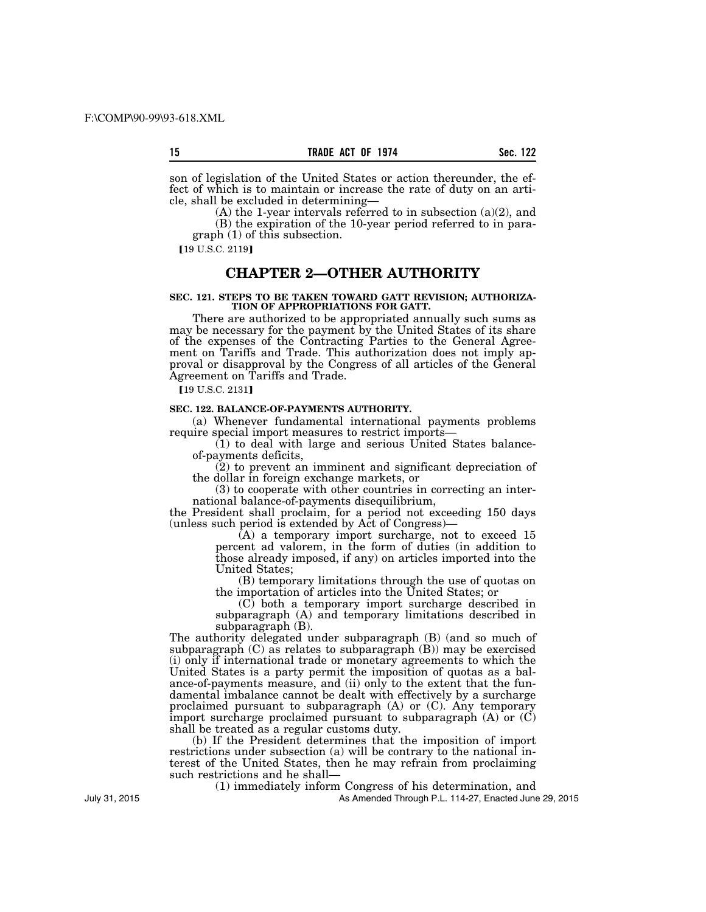#### **15 Sec. 122 TRADE ACT OF 1974**

son of legislation of the United States or action thereunder, the effect of which is to maintain or increase the rate of duty on an article, shall be excluded in determining—

 $(A)$  the 1-year intervals referred to in subsection  $(a)(2)$ , and

(B) the expiration of the 10-year period referred to in paragraph (1) of this subsection.

**[19 U.S.C. 2119]** 

# **CHAPTER 2—OTHER AUTHORITY**

#### **SEC. 121. STEPS TO BE TAKEN TOWARD GATT REVISION; AUTHORIZA-TION OF APPROPRIATIONS FOR GATT.**

There are authorized to be appropriated annually such sums as may be necessary for the payment by the United States of its share of the expenses of the Contracting Parties to the General Agreement on Tariffs and Trade. This authorization does not imply approval or disapproval by the Congress of all articles of the General Agreement on Tariffs and Trade.

**[19 U.S.C. 2131]** 

#### **SEC. 122. BALANCE-OF-PAYMENTS AUTHORITY.**

(a) Whenever fundamental international payments problems require special import measures to restrict imports—

(1) to deal with large and serious United States balanceof-payments deficits,

(2) to prevent an imminent and significant depreciation of the dollar in foreign exchange markets, or

(3) to cooperate with other countries in correcting an international balance-of-payments disequilibrium,

the President shall proclaim, for a period not exceeding 150 days (unless such period is extended by Act of Congress)—

> $(A)$  a temporary import surcharge, not to exceed 15 percent ad valorem, in the form of duties (in addition to those already imposed, if any) on articles imported into the United States;

> (B) temporary limitations through the use of quotas on the importation of articles into the United States; or

> (C) both a temporary import surcharge described in subparagraph (A) and temporary limitations described in subparagraph (B).

The authority delegated under subparagraph (B) (and so much of subparagraph  $(C)$  as relates to subparagraph  $(B)$  may be exercised (i) only if international trade or monetary agreements to which the United States is a party permit the imposition of quotas as a balance-of-payments measure, and (ii) only to the extent that the fundamental imbalance cannot be dealt with effectively by a surcharge proclaimed pursuant to subparagraph (A) or (C). Any temporary import surcharge proclaimed pursuant to subparagraph  $(A)$  or  $(C)$ shall be treated as a regular customs duty.

(b) If the President determines that the imposition of import restrictions under subsection (a) will be contrary to the national interest of the United States, then he may refrain from proclaiming such restrictions and he shall—

(1) immediately inform Congress of his determination, and

As Amended Through P.L. 114-27, Enacted June 29, 2015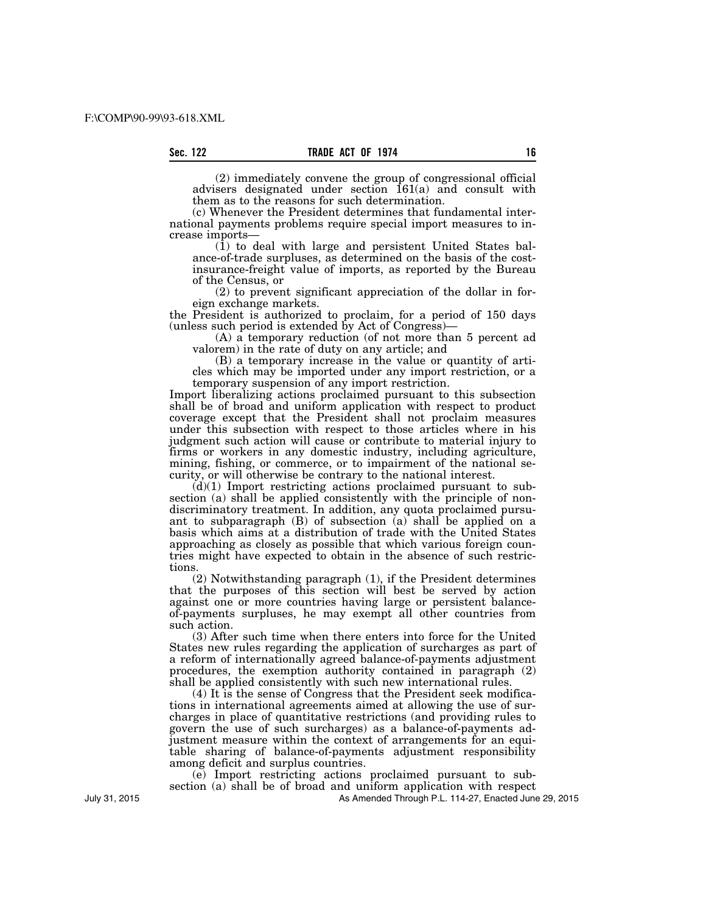(2) immediately convene the group of congressional official advisers designated under section 161(a) and consult with them as to the reasons for such determination.

(c) Whenever the President determines that fundamental international payments problems require special import measures to increase imports—

(1) to deal with large and persistent United States balance-of-trade surpluses, as determined on the basis of the costinsurance-freight value of imports, as reported by the Bureau of the Census, or

(2) to prevent significant appreciation of the dollar in foreign exchange markets.

the President is authorized to proclaim, for a period of 150 days (unless such period is extended by Act of Congress)—

(A) a temporary reduction (of not more than 5 percent ad valorem) in the rate of duty on any article; and

(B) a temporary increase in the value or quantity of articles which may be imported under any import restriction, or a temporary suspension of any import restriction.

Import liberalizing actions proclaimed pursuant to this subsection shall be of broad and uniform application with respect to product coverage except that the President shall not proclaim measures under this subsection with respect to those articles where in his judgment such action will cause or contribute to material injury to firms or workers in any domestic industry, including agriculture, mining, fishing, or commerce, or to impairment of the national security, or will otherwise be contrary to the national interest.

 $(d)(1)$  Import restricting actions proclaimed pursuant to subsection (a) shall be applied consistently with the principle of nondiscriminatory treatment. In addition, any quota proclaimed pursuant to subparagraph  $(B)$  of subsection  $(a)$  shall be applied on a basis which aims at a distribution of trade with the United States approaching as closely as possible that which various foreign countries might have expected to obtain in the absence of such restrictions.

(2) Notwithstanding paragraph (1), if the President determines that the purposes of this section will best be served by action against one or more countries having large or persistent balanceof-payments surpluses, he may exempt all other countries from such action.

(3) After such time when there enters into force for the United States new rules regarding the application of surcharges as part of a reform of internationally agreed balance-of-payments adjustment procedures, the exemption authority contained in paragraph (2) shall be applied consistently with such new international rules.

(4) It is the sense of Congress that the President seek modifications in international agreements aimed at allowing the use of surcharges in place of quantitative restrictions (and providing rules to govern the use of such surcharges) as a balance-of-payments adjustment measure within the context of arrangements for an equitable sharing of balance-of-payments adjustment responsibility among deficit and surplus countries.

(e) Import restricting actions proclaimed pursuant to subsection (a) shall be of broad and uniform application with respect

As Amended Through P.L. 114-27, Enacted June 29, 2015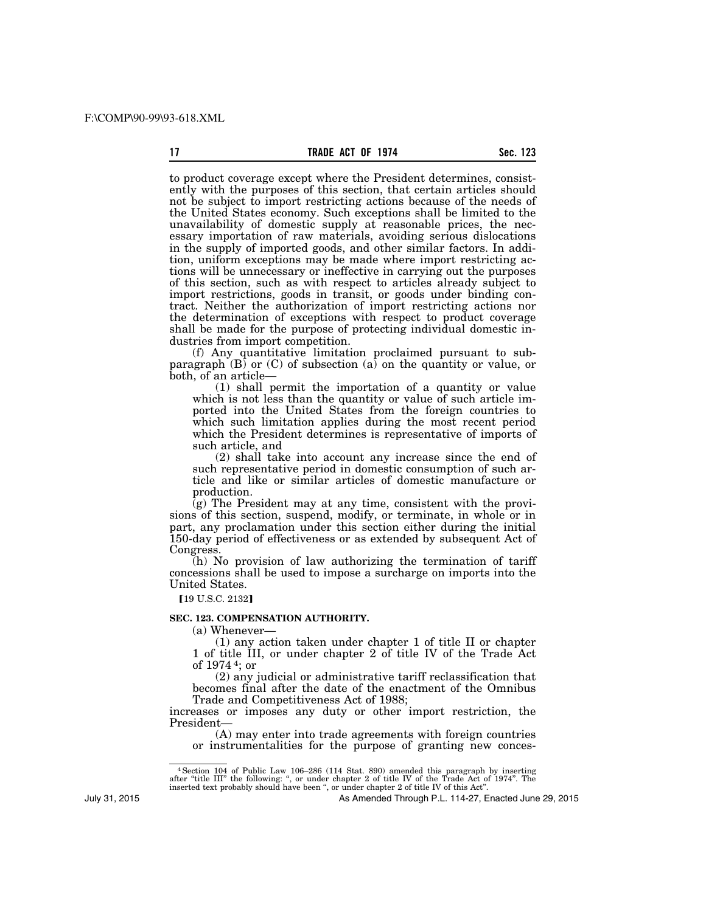#### **17 Sec. 123 TRADE ACT OF 1974**

to product coverage except where the President determines, consistently with the purposes of this section, that certain articles should not be subject to import restricting actions because of the needs of the United States economy. Such exceptions shall be limited to the unavailability of domestic supply at reasonable prices, the necessary importation of raw materials, avoiding serious dislocations in the supply of imported goods, and other similar factors. In addition, uniform exceptions may be made where import restricting actions will be unnecessary or ineffective in carrying out the purposes of this section, such as with respect to articles already subject to import restrictions, goods in transit, or goods under binding contract. Neither the authorization of import restricting actions nor the determination of exceptions with respect to product coverage shall be made for the purpose of protecting individual domestic industries from import competition.

(f) Any quantitative limitation proclaimed pursuant to subparagraph (B) or (C) of subsection (a) on the quantity or value, or both, of an article—

(1) shall permit the importation of a quantity or value which is not less than the quantity or value of such article imported into the United States from the foreign countries to which such limitation applies during the most recent period which the President determines is representative of imports of such article, and

(2) shall take into account any increase since the end of such representative period in domestic consumption of such article and like or similar articles of domestic manufacture or production.

(g) The President may at any time, consistent with the provisions of this section, suspend, modify, or terminate, in whole or in part, any proclamation under this section either during the initial 150-day period of effectiveness or as extended by subsequent Act of Congress.

(h) No provision of law authorizing the termination of tariff concessions shall be used to impose a surcharge on imports into the United States.

**[19 U.S.C. 2132]** 

#### **SEC. 123. COMPENSATION AUTHORITY.**

(a) Whenever—

(1) any action taken under chapter 1 of title II or chapter 1 of title III, or under chapter 2 of title IV of the Trade Act of 1974 4; or

(2) any judicial or administrative tariff reclassification that becomes final after the date of the enactment of the Omnibus Trade and Competitiveness Act of 1988;

increases or imposes any duty or other import restriction, the President

(A) may enter into trade agreements with foreign countries or instrumentalities for the purpose of granting new conces-

July 31, 2015

<sup>&</sup>lt;sup>4</sup> Section 104 of Public Law 106-286 (114 Stat. 890) amended this paragraph by inserting after "title III" the following: ", or under chapter 2 of title IV of the Trade Act of 1974". The inserted text probably should hav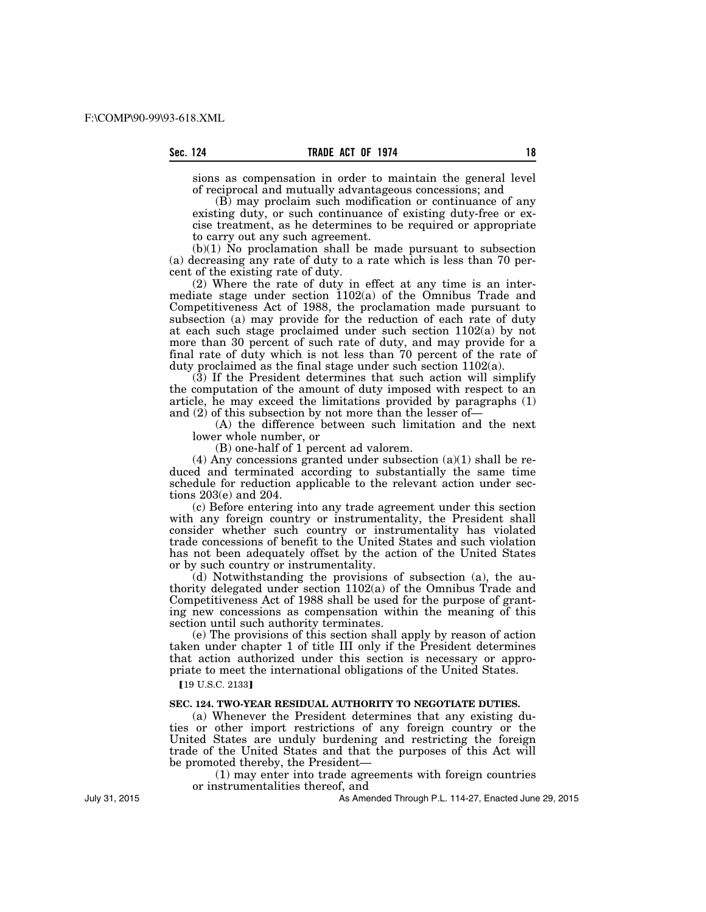sions as compensation in order to maintain the general level of reciprocal and mutually advantageous concessions; and

(B) may proclaim such modification or continuance of any existing duty, or such continuance of existing duty-free or excise treatment, as he determines to be required or appropriate to carry out any such agreement.

(b)(1) No proclamation shall be made pursuant to subsection (a) decreasing any rate of duty to a rate which is less than 70 percent of the existing rate of duty.

(2) Where the rate of duty in effect at any time is an intermediate stage under section 1102(a) of the Omnibus Trade and Competitiveness Act of 1988, the proclamation made pursuant to subsection (a) may provide for the reduction of each rate of duty at each such stage proclaimed under such section 1102(a) by not more than 30 percent of such rate of duty, and may provide for a final rate of duty which is not less than 70 percent of the rate of duty proclaimed as the final stage under such section 1102(a).

 $(3)$  If the President determines that such action will simplify the computation of the amount of duty imposed with respect to an article, he may exceed the limitations provided by paragraphs (1) and (2) of this subsection by not more than the lesser of—

(A) the difference between such limitation and the next lower whole number, or

(B) one-half of 1 percent ad valorem.

 $(4)$  Any concessions granted under subsection  $(a)(1)$  shall be reduced and terminated according to substantially the same time schedule for reduction applicable to the relevant action under sections 203(e) and 204.

(c) Before entering into any trade agreement under this section with any foreign country or instrumentality, the President shall consider whether such country or instrumentality has violated trade concessions of benefit to the United States and such violation has not been adequately offset by the action of the United States or by such country or instrumentality.

(d) Notwithstanding the provisions of subsection (a), the authority delegated under section 1102(a) of the Omnibus Trade and Competitiveness Act of 1988 shall be used for the purpose of granting new concessions as compensation within the meaning of this section until such authority terminates.

(e) The provisions of this section shall apply by reason of action taken under chapter 1 of title III only if the President determines that action authorized under this section is necessary or appropriate to meet the international obligations of the United States.

**[19 U.S.C. 2133]** 

#### **SEC. 124. TWO-YEAR RESIDUAL AUTHORITY TO NEGOTIATE DUTIES.**

(a) Whenever the President determines that any existing duties or other import restrictions of any foreign country or the United States are unduly burdening and restricting the foreign trade of the United States and that the purposes of this Act will be promoted thereby, the President—

(1) may enter into trade agreements with foreign countries or instrumentalities thereof, and

As Amended Through P.L. 114-27, Enacted June 29, 2015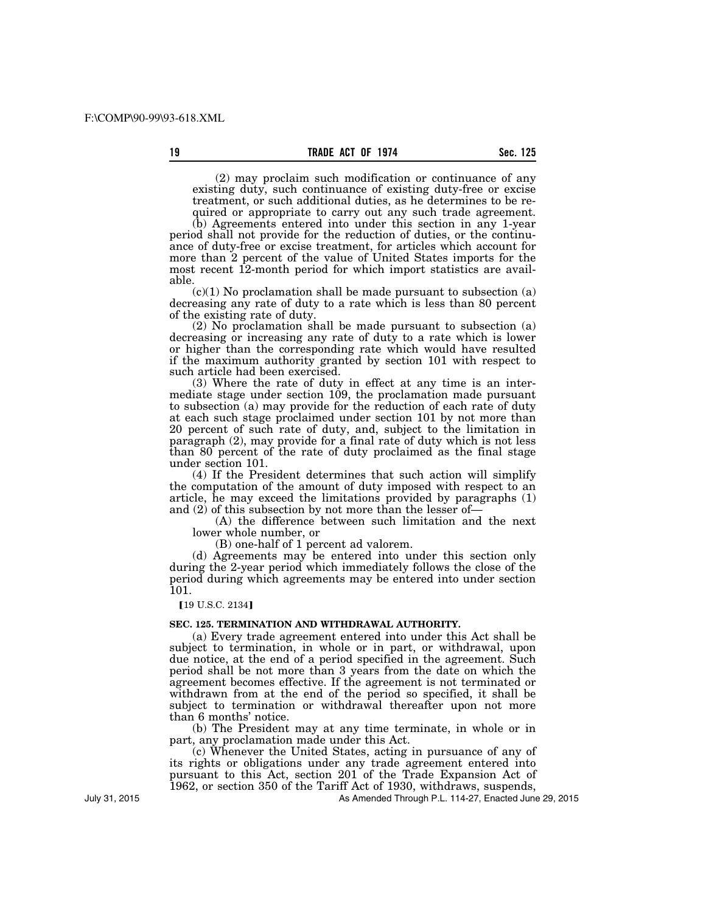(2) may proclaim such modification or continuance of any existing duty, such continuance of existing duty-free or excise treatment, or such additional duties, as he determines to be required or appropriate to carry out any such trade agreement.

(b) Agreements entered into under this section in any 1-year period shall not provide for the reduction of duties, or the continuance of duty-free or excise treatment, for articles which account for more than 2 percent of the value of United States imports for the most recent 12-month period for which import statistics are available.

 $(c)(1)$  No proclamation shall be made pursuant to subsection  $(a)$ decreasing any rate of duty to a rate which is less than 80 percent of the existing rate of duty.

(2) No proclamation shall be made pursuant to subsection (a) decreasing or increasing any rate of duty to a rate which is lower or higher than the corresponding rate which would have resulted if the maximum authority granted by section 101 with respect to such article had been exercised.

(3) Where the rate of duty in effect at any time is an intermediate stage under section 109, the proclamation made pursuant to subsection (a) may provide for the reduction of each rate of duty at each such stage proclaimed under section 101 by not more than 20 percent of such rate of duty, and, subject to the limitation in paragraph (2), may provide for a final rate of duty which is not less than 80 percent of the rate of duty proclaimed as the final stage under section 101.

(4) If the President determines that such action will simplify the computation of the amount of duty imposed with respect to an article, he may exceed the limitations provided by paragraphs (1) and (2) of this subsection by not more than the lesser of—

(A) the difference between such limitation and the next lower whole number, or

(B) one-half of 1 percent ad valorem.

(d) Agreements may be entered into under this section only during the 2-year period which immediately follows the close of the period during which agreements may be entered into under section 101.

[19 U.S.C. 2134]

#### **SEC. 125. TERMINATION AND WITHDRAWAL AUTHORITY.**

(a) Every trade agreement entered into under this Act shall be subject to termination, in whole or in part, or withdrawal, upon due notice, at the end of a period specified in the agreement. Such period shall be not more than 3 years from the date on which the agreement becomes effective. If the agreement is not terminated or withdrawn from at the end of the period so specified, it shall be subject to termination or withdrawal thereafter upon not more than 6 months' notice.

(b) The President may at any time terminate, in whole or in part, any proclamation made under this Act.

(c) Whenever the United States, acting in pursuance of any of its rights or obligations under any trade agreement entered into pursuant to this Act, section 201 of the Trade Expansion Act of 1962, or section 350 of the Tariff Act of 1930, withdraws, suspends,

As Amended Through P.L. 114-27, Enacted June 29, 2015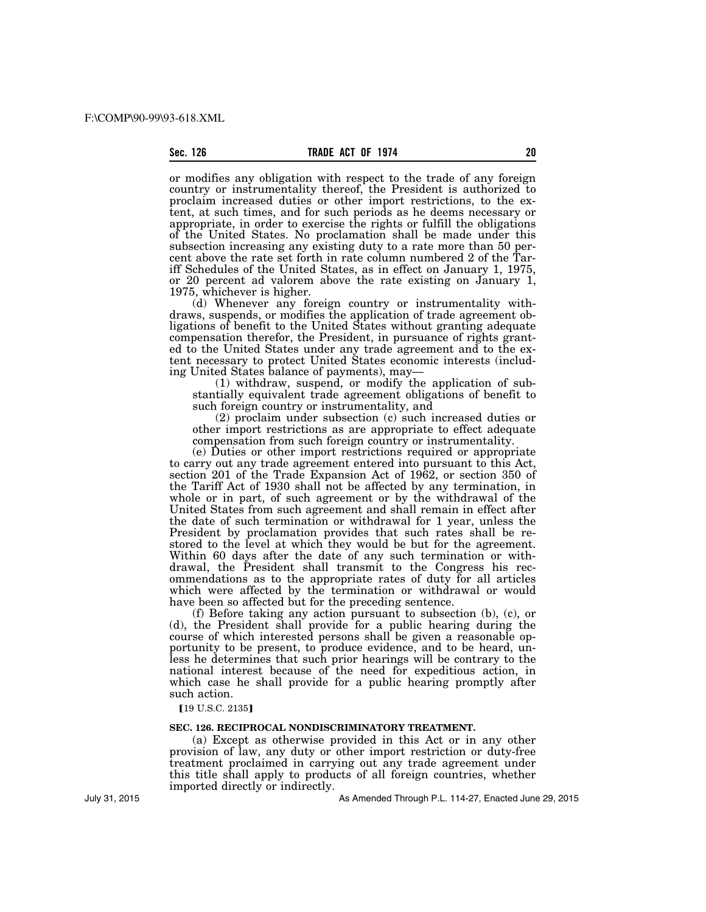or modifies any obligation with respect to the trade of any foreign country or instrumentality thereof, the President is authorized to proclaim increased duties or other import restrictions, to the extent, at such times, and for such periods as he deems necessary or appropriate, in order to exercise the rights or fulfill the obligations of the United States. No proclamation shall be made under this subsection increasing any existing duty to a rate more than 50 percent above the rate set forth in rate column numbered 2 of the Tariff Schedules of the United States, as in effect on January 1, 1975, or 20 percent ad valorem above the rate existing on January 1, 1975, whichever is higher.

(d) Whenever any foreign country or instrumentality withdraws, suspends, or modifies the application of trade agreement obligations of benefit to the United States without granting adequate compensation therefor, the President, in pursuance of rights granted to the United States under any trade agreement and to the extent necessary to protect United States economic interests (including United States balance of payments), may—

(1) withdraw, suspend, or modify the application of substantially equivalent trade agreement obligations of benefit to such foreign country or instrumentality, and

(2) proclaim under subsection (c) such increased duties or other import restrictions as are appropriate to effect adequate compensation from such foreign country or instrumentality.

(e) Duties or other import restrictions required or appropriate to carry out any trade agreement entered into pursuant to this Act, section 201 of the Trade Expansion Act of 1962, or section 350 of the Tariff Act of 1930 shall not be affected by any termination, in whole or in part, of such agreement or by the withdrawal of the United States from such agreement and shall remain in effect after the date of such termination or withdrawal for 1 year, unless the President by proclamation provides that such rates shall be restored to the level at which they would be but for the agreement. Within 60 days after the date of any such termination or withdrawal, the President shall transmit to the Congress his recommendations as to the appropriate rates of duty for all articles which were affected by the termination or withdrawal or would have been so affected but for the preceding sentence.

(f) Before taking any action pursuant to subsection (b), (c), or (d), the President shall provide for a public hearing during the course of which interested persons shall be given a reasonable opportunity to be present, to produce evidence, and to be heard, unless he determines that such prior hearings will be contrary to the national interest because of the need for expeditious action, in which case he shall provide for a public hearing promptly after such action.

[19 U.S.C. 2135]

#### **SEC. 126. RECIPROCAL NONDISCRIMINATORY TREATMENT.**

(a) Except as otherwise provided in this Act or in any other provision of law, any duty or other import restriction or duty-free treatment proclaimed in carrying out any trade agreement under this title shall apply to products of all foreign countries, whether imported directly or indirectly.

As Amended Through P.L. 114-27, Enacted June 29, 2015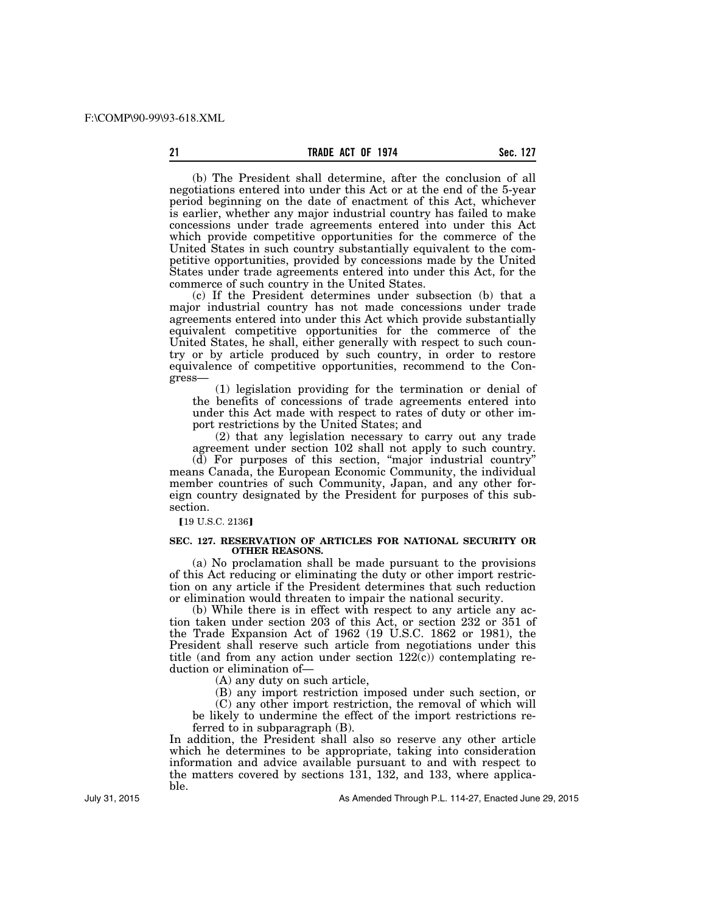#### **21 CONFERGALE ACT OF 1974 Sec. 127**

(b) The President shall determine, after the conclusion of all negotiations entered into under this Act or at the end of the 5-year period beginning on the date of enactment of this Act, whichever is earlier, whether any major industrial country has failed to make concessions under trade agreements entered into under this Act which provide competitive opportunities for the commerce of the United States in such country substantially equivalent to the competitive opportunities, provided by concessions made by the United States under trade agreements entered into under this Act, for the commerce of such country in the United States.

(c) If the President determines under subsection (b) that a major industrial country has not made concessions under trade agreements entered into under this Act which provide substantially equivalent competitive opportunities for the commerce of the United States, he shall, either generally with respect to such country or by article produced by such country, in order to restore equivalence of competitive opportunities, recommend to the Congress—

(1) legislation providing for the termination or denial of the benefits of concessions of trade agreements entered into under this Act made with respect to rates of duty or other import restrictions by the United States; and

(2) that any legislation necessary to carry out any trade agreement under section 102 shall not apply to such country.

 $(d)$  For purposes of this section, "major industrial country" means Canada, the European Economic Community, the individual member countries of such Community, Japan, and any other foreign country designated by the President for purposes of this subsection.

[19 U.S.C. 2136]

#### **SEC. 127. RESERVATION OF ARTICLES FOR NATIONAL SECURITY OR OTHER REASONS.**

(a) No proclamation shall be made pursuant to the provisions of this Act reducing or eliminating the duty or other import restriction on any article if the President determines that such reduction or elimination would threaten to impair the national security.

(b) While there is in effect with respect to any article any action taken under section 203 of this Act, or section 232 or 351 of the Trade Expansion Act of 1962 (19 U.S.C. 1862 or 1981), the President shall reserve such article from negotiations under this title (and from any action under section  $122(c)$ ) contemplating reduction or elimination of—

(A) any duty on such article,

(B) any import restriction imposed under such section, or

(C) any other import restriction, the removal of which will be likely to undermine the effect of the import restrictions referred to in subparagraph (B).

In addition, the President shall also so reserve any other article which he determines to be appropriate, taking into consideration information and advice available pursuant to and with respect to the matters covered by sections 131, 132, and 133, where applicable.

July 31, 2015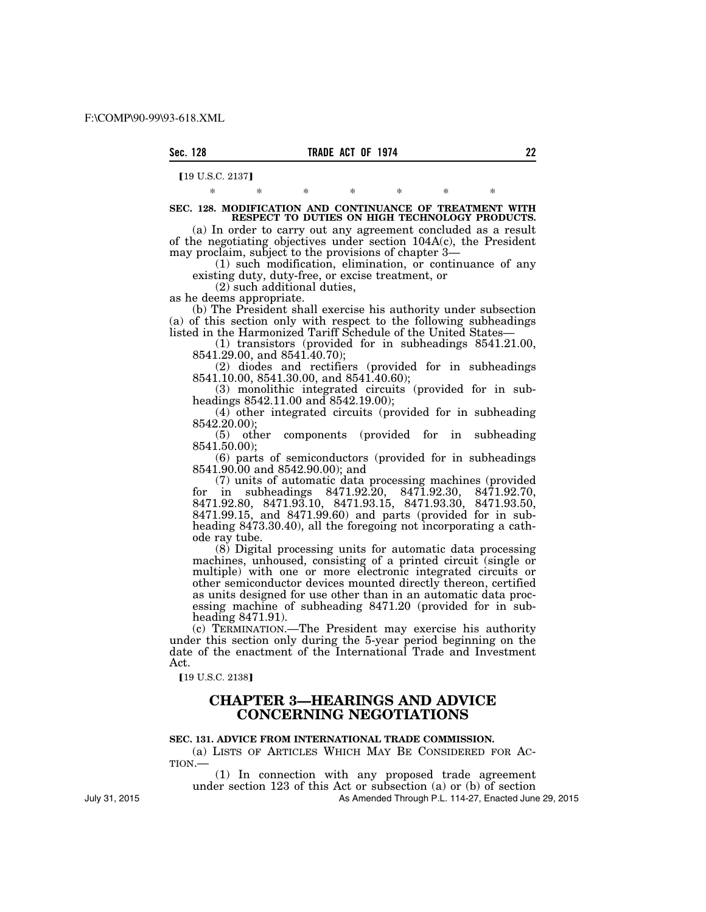[19 U.S.C. 2137]

\* \* \* \* \* \* \* **SEC. 128. MODIFICATION AND CONTINUANCE OF TREATMENT WITH RESPECT TO DUTIES ON HIGH TECHNOLOGY PRODUCTS.** 

(a) In order to carry out any agreement concluded as a result of the negotiating objectives under section 104A(c), the President may proclaim, subject to the provisions of chapter 3—

(1) such modification, elimination, or continuance of any existing duty, duty-free, or excise treatment, or

(2) such additional duties,

as he deems appropriate.

(b) The President shall exercise his authority under subsection (a) of this section only with respect to the following subheadings listed in the Harmonized Tariff Schedule of the United States—

(1) transistors (provided for in subheadings 8541.21.00, 8541.29.00, and 8541.40.70);

(2) diodes and rectifiers (provided for in subheadings 8541.10.00, 8541.30.00, and 8541.40.60);

(3) monolithic integrated circuits (provided for in subheadings 8542.11.00 and 8542.19.00);

(4) other integrated circuits (provided for in subheading 8542.20.00);

(5) other components (provided for in subheading 8541.50.00);

(6) parts of semiconductors (provided for in subheadings 8541.90.00 and 8542.90.00); and

(7) units of automatic data processing machines (provided for in subheadings 8471.92.20, 8471.92.30, 8471.92.70, 8471.92.80, 8471.93.10, 8471.93.15, 8471.93.30, 8471.93.50, 8471.99.15, and 8471.99.60) and parts (provided for in subheading 8473.30.40), all the foregoing not incorporating a cathode ray tube.

(8) Digital processing units for automatic data processing machines, unhoused, consisting of a printed circuit (single or multiple) with one or more electronic integrated circuits or other semiconductor devices mounted directly thereon, certified as units designed for use other than in an automatic data processing machine of subheading 8471.20 (provided for in subheading 8471.91).

(c) TERMINATION.—The President may exercise his authority under this section only during the 5-year period beginning on the date of the enactment of the International Trade and Investment Act.

[19 U.S.C. 2138]

# **CHAPTER 3—HEARINGS AND ADVICE CONCERNING NEGOTIATIONS**

#### **SEC. 131. ADVICE FROM INTERNATIONAL TRADE COMMISSION.**

(a) LISTS OF ARTICLES WHICH MAY BE CONSIDERED FOR AC-TION.—

(1) In connection with any proposed trade agreement under section 123 of this Act or subsection (a) or (b) of section As Amended Through P.L. 114-27, Enacted June 29, 2015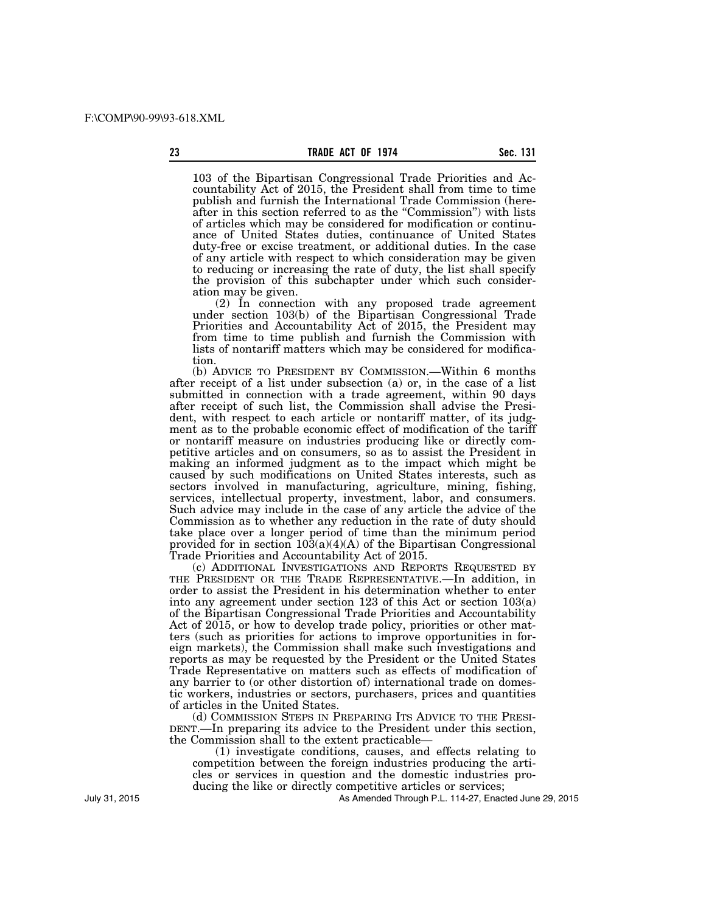103 of the Bipartisan Congressional Trade Priorities and Accountability Act of 2015, the President shall from time to time publish and furnish the International Trade Commission (hereafter in this section referred to as the ''Commission'') with lists of articles which may be considered for modification or continuance of United States duties, continuance of United States duty-free or excise treatment, or additional duties. In the case of any article with respect to which consideration may be given to reducing or increasing the rate of duty, the list shall specify the provision of this subchapter under which such consideration may be given.

(2) In connection with any proposed trade agreement under section 103(b) of the Bipartisan Congressional Trade Priorities and Accountability Act of 2015, the President may from time to time publish and furnish the Commission with lists of nontariff matters which may be considered for modification.

(b) ADVICE TO PRESIDENT BY COMMISSION.—Within 6 months after receipt of a list under subsection (a) or, in the case of a list submitted in connection with a trade agreement, within 90 days after receipt of such list, the Commission shall advise the President, with respect to each article or nontariff matter, of its judgment as to the probable economic effect of modification of the tariff or nontariff measure on industries producing like or directly competitive articles and on consumers, so as to assist the President in making an informed judgment as to the impact which might be caused by such modifications on United States interests, such as sectors involved in manufacturing, agriculture, mining, fishing, services, intellectual property, investment, labor, and consumers. Such advice may include in the case of any article the advice of the Commission as to whether any reduction in the rate of duty should take place over a longer period of time than the minimum period provided for in section  $10\bar{3}(a)(4)(A)$  of the Bipartisan Congressional Trade Priorities and Accountability Act of 2015.

(c) ADDITIONAL INVESTIGATIONS AND REPORTS REQUESTED BY THE PRESIDENT OR THE TRADE REPRESENTATIVE.—In addition, in order to assist the President in his determination whether to enter into any agreement under section 123 of this Act or section 103(a) of the Bipartisan Congressional Trade Priorities and Accountability Act of 2015, or how to develop trade policy, priorities or other matters (such as priorities for actions to improve opportunities in foreign markets), the Commission shall make such investigations and reports as may be requested by the President or the United States Trade Representative on matters such as effects of modification of any barrier to (or other distortion of) international trade on domestic workers, industries or sectors, purchasers, prices and quantities of articles in the United States.

(d) COMMISSION STEPS IN PREPARING ITS ADVICE TO THE PRESI-DENT.—In preparing its advice to the President under this section, the Commission shall to the extent practicable—

(1) investigate conditions, causes, and effects relating to competition between the foreign industries producing the articles or services in question and the domestic industries producing the like or directly competitive articles or services;

As Amended Through P.L. 114-27, Enacted June 29, 2015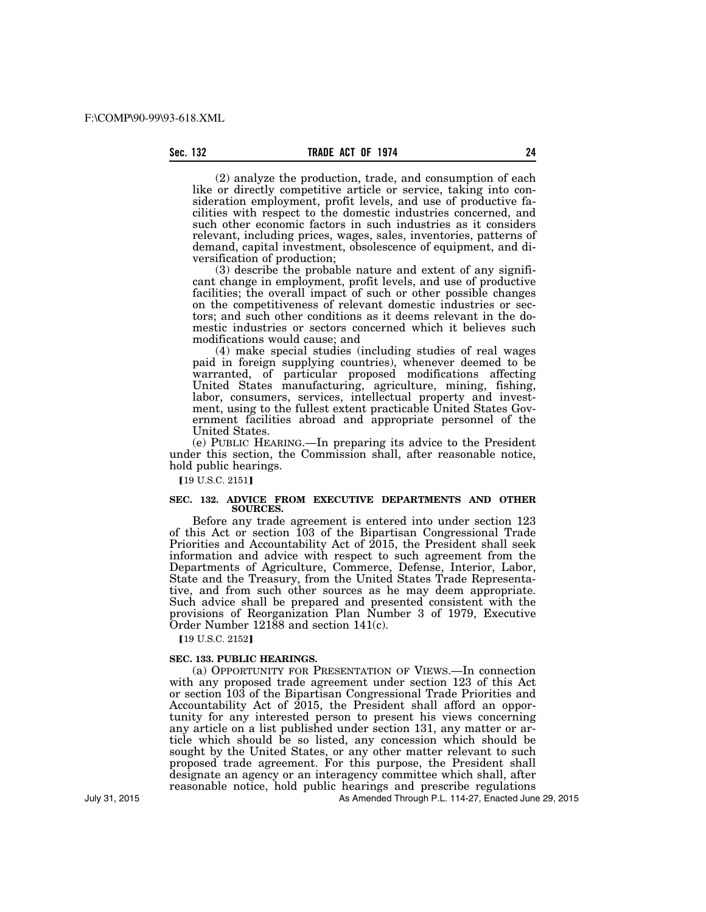(2) analyze the production, trade, and consumption of each like or directly competitive article or service, taking into consideration employment, profit levels, and use of productive facilities with respect to the domestic industries concerned, and such other economic factors in such industries as it considers relevant, including prices, wages, sales, inventories, patterns of demand, capital investment, obsolescence of equipment, and diversification of production;

(3) describe the probable nature and extent of any significant change in employment, profit levels, and use of productive facilities; the overall impact of such or other possible changes on the competitiveness of relevant domestic industries or sectors; and such other conditions as it deems relevant in the domestic industries or sectors concerned which it believes such modifications would cause; and

(4) make special studies (including studies of real wages paid in foreign supplying countries), whenever deemed to be warranted, of particular proposed modifications affecting United States manufacturing, agriculture, mining, fishing, labor, consumers, services, intellectual property and investment, using to the fullest extent practicable United States Government facilities abroad and appropriate personnel of the United States.

(e) PUBLIC HEARING.—In preparing its advice to the President under this section, the Commission shall, after reasonable notice, hold public hearings.

[19 U.S.C. 2151]

#### **SEC. 132. ADVICE FROM EXECUTIVE DEPARTMENTS AND OTHER SOURCES.**

Before any trade agreement is entered into under section 123 of this Act or section 103 of the Bipartisan Congressional Trade Priorities and Accountability Act of 2015, the President shall seek information and advice with respect to such agreement from the Departments of Agriculture, Commerce, Defense, Interior, Labor, State and the Treasury, from the United States Trade Representative, and from such other sources as he may deem appropriate. Such advice shall be prepared and presented consistent with the provisions of Reorganization Plan Number 3 of 1979, Executive Order Number 12188 and section 141(c).

**[19 U.S.C. 2152]** 

#### **SEC. 133. PUBLIC HEARINGS.**

(a) OPPORTUNITY FOR PRESENTATION OF VIEWS.—In connection with any proposed trade agreement under section 123 of this Act or section 103 of the Bipartisan Congressional Trade Priorities and Accountability Act of 2015, the President shall afford an opportunity for any interested person to present his views concerning any article on a list published under section 131, any matter or article which should be so listed, any concession which should be sought by the United States, or any other matter relevant to such proposed trade agreement. For this purpose, the President shall designate an agency or an interagency committee which shall, after reasonable notice, hold public hearings and prescribe regulations As Amended Through P.L. 114-27, Enacted June 29, 2015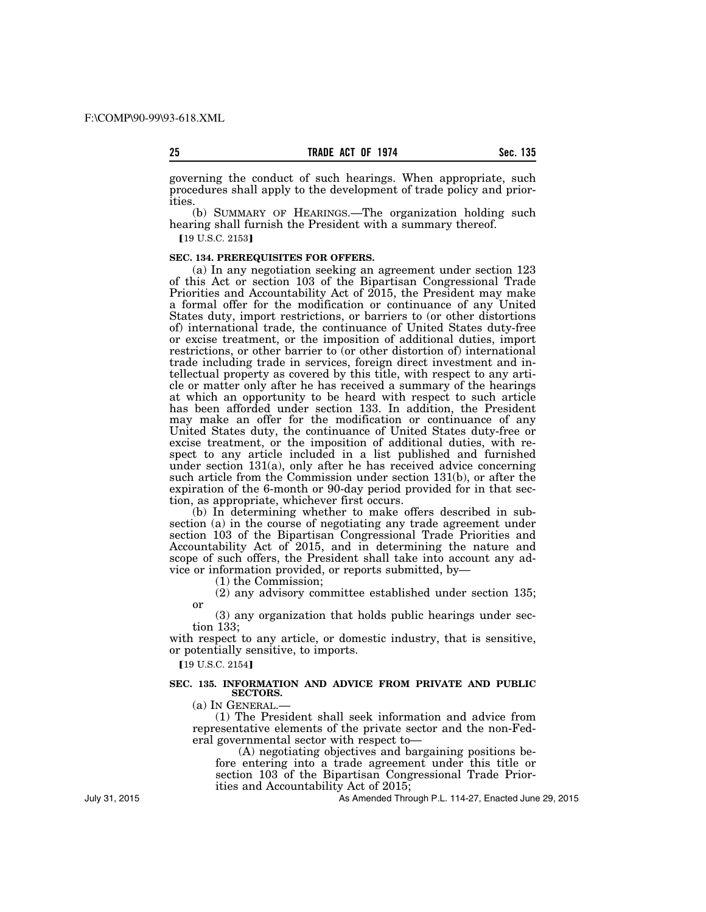governing the conduct of such hearings. When appropriate, such procedures shall apply to the development of trade policy and priorities.

(b) SUMMARY OF HEARINGS.—The organization holding such hearing shall furnish the President with a summary thereof.

[19 U.S.C. 2153]

#### **SEC. 134. PREREQUISITES FOR OFFERS.**

(a) In any negotiation seeking an agreement under section 123 of this Act or section 103 of the Bipartisan Congressional Trade Priorities and Accountability Act of 2015, the President may make a formal offer for the modification or continuance of any United States duty, import restrictions, or barriers to (or other distortions of) international trade, the continuance of United States duty-free or excise treatment, or the imposition of additional duties, import restrictions, or other barrier to (or other distortion of) international trade including trade in services, foreign direct investment and intellectual property as covered by this title, with respect to any article or matter only after he has received a summary of the hearings at which an opportunity to be heard with respect to such article has been afforded under section 133. In addition, the President may make an offer for the modification or continuance of any United States duty, the continuance of United States duty-free or excise treatment, or the imposition of additional duties, with respect to any article included in a list published and furnished under section 131(a), only after he has received advice concerning such article from the Commission under section 131(b), or after the expiration of the 6-month or 90-day period provided for in that section, as appropriate, whichever first occurs.

(b) In determining whether to make offers described in subsection (a) in the course of negotiating any trade agreement under section 103 of the Bipartisan Congressional Trade Priorities and Accountability Act of 2015, and in determining the nature and scope of such offers, the President shall take into account any advice or information provided, or reports submitted, by—

(1) the Commission;

(2) any advisory committee established under section 135; or

(3) any organization that holds public hearings under section 133;

with respect to any article, or domestic industry, that is sensitive, or potentially sensitive, to imports.

**[19 U.S.C. 2154]** 

#### **SEC. 135. INFORMATION AND ADVICE FROM PRIVATE AND PUBLIC SECTORS.**

(a) IN GENERAL.—

(1) The President shall seek information and advice from representative elements of the private sector and the non-Federal governmental sector with respect to—

(A) negotiating objectives and bargaining positions before entering into a trade agreement under this title or section 103 of the Bipartisan Congressional Trade Priorities and Accountability Act of 2015;

As Amended Through P.L. 114-27, Enacted June 29, 2015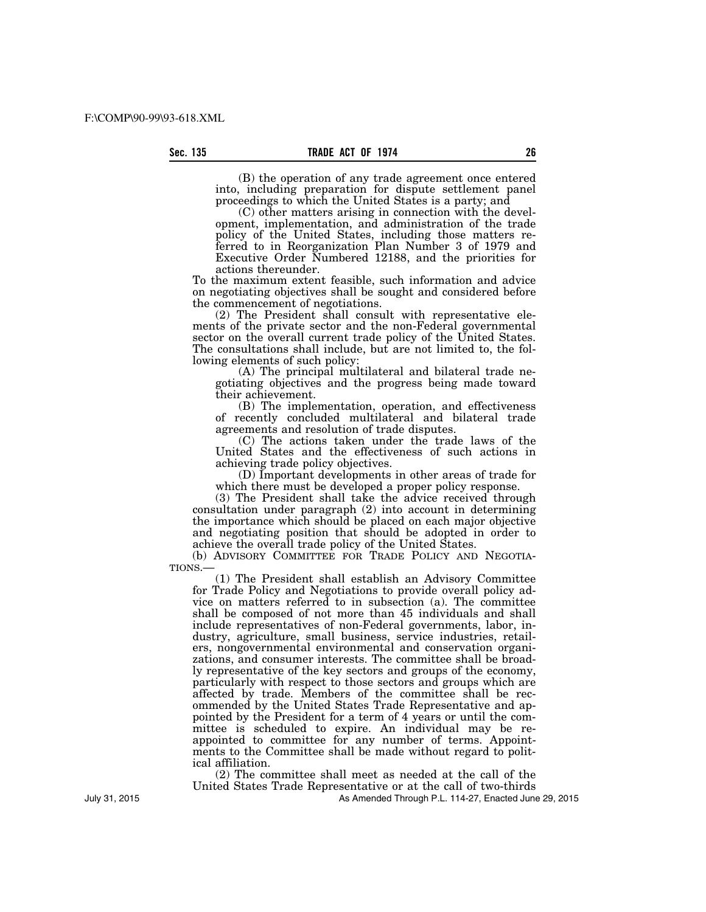(B) the operation of any trade agreement once entered into, including preparation for dispute settlement panel proceedings to which the United States is a party; and

(C) other matters arising in connection with the development, implementation, and administration of the trade policy of the United States, including those matters referred to in Reorganization Plan Number 3 of 1979 and Executive Order Numbered 12188, and the priorities for actions thereunder.

To the maximum extent feasible, such information and advice on negotiating objectives shall be sought and considered before the commencement of negotiations.

(2) The President shall consult with representative elements of the private sector and the non-Federal governmental sector on the overall current trade policy of the United States. The consultations shall include, but are not limited to, the following elements of such policy:

(A) The principal multilateral and bilateral trade negotiating objectives and the progress being made toward their achievement.

(B) The implementation, operation, and effectiveness of recently concluded multilateral and bilateral trade agreements and resolution of trade disputes.

(C) The actions taken under the trade laws of the United States and the effectiveness of such actions in achieving trade policy objectives.

(D) Important developments in other areas of trade for which there must be developed a proper policy response.

(3) The President shall take the advice received through consultation under paragraph (2) into account in determining the importance which should be placed on each major objective and negotiating position that should be adopted in order to achieve the overall trade policy of the United States.

(b) ADVISORY COMMITTEE FOR TRADE POLICY AND NEGOTIA-TIONS.—

(1) The President shall establish an Advisory Committee for Trade Policy and Negotiations to provide overall policy advice on matters referred to in subsection (a). The committee shall be composed of not more than 45 individuals and shall include representatives of non-Federal governments, labor, industry, agriculture, small business, service industries, retailers, nongovernmental environmental and conservation organizations, and consumer interests. The committee shall be broadly representative of the key sectors and groups of the economy, particularly with respect to those sectors and groups which are affected by trade. Members of the committee shall be recommended by the United States Trade Representative and appointed by the President for a term of 4 years or until the committee is scheduled to expire. An individual may be reappointed to committee for any number of terms. Appointments to the Committee shall be made without regard to political affiliation.

(2) The committee shall meet as needed at the call of the United States Trade Representative or at the call of two-thirds

As Amended Through P.L. 114-27, Enacted June 29, 2015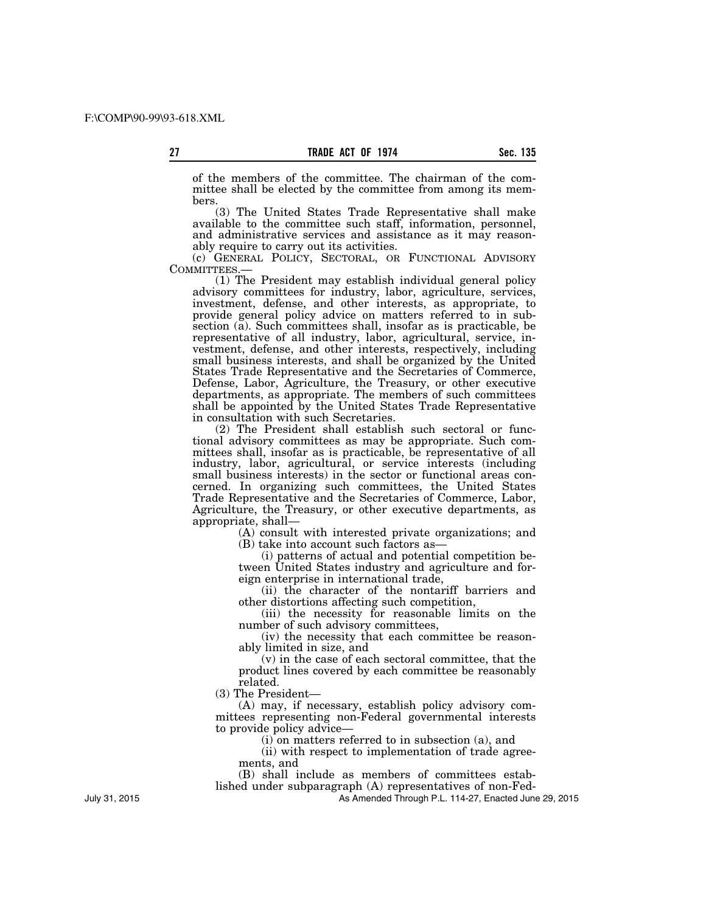of the members of the committee. The chairman of the committee shall be elected by the committee from among its members.

(3) The United States Trade Representative shall make available to the committee such staff, information, personnel, and administrative services and assistance as it may reasonably require to carry out its activities.

(c) GENERAL POLICY, SECTORAL, OR FUNCTIONAL ADVISORY

 $(1)$  The President may establish individual general policy advisory committees for industry, labor, agriculture, services, investment, defense, and other interests, as appropriate, to provide general policy advice on matters referred to in subsection (a). Such committees shall, insofar as is practicable, be representative of all industry, labor, agricultural, service, investment, defense, and other interests, respectively, including small business interests, and shall be organized by the United States Trade Representative and the Secretaries of Commerce, Defense, Labor, Agriculture, the Treasury, or other executive departments, as appropriate. The members of such committees shall be appointed by the United States Trade Representative in consultation with such Secretaries.

(2) The President shall establish such sectoral or functional advisory committees as may be appropriate. Such committees shall, insofar as is practicable, be representative of all industry, labor, agricultural, or service interests (including small business interests) in the sector or functional areas concerned. In organizing such committees, the United States Trade Representative and the Secretaries of Commerce, Labor, Agriculture, the Treasury, or other executive departments, as appropriate, shall—

(A) consult with interested private organizations; and (B) take into account such factors as—

(i) patterns of actual and potential competition between United States industry and agriculture and foreign enterprise in international trade,

(ii) the character of the nontariff barriers and other distortions affecting such competition,

(iii) the necessity for reasonable limits on the number of such advisory committees,

(iv) the necessity that each committee be reasonably limited in size, and

(v) in the case of each sectoral committee, that the product lines covered by each committee be reasonably related.

(3) The President—

(A) may, if necessary, establish policy advisory committees representing non-Federal governmental interests to provide policy advice—

(i) on matters referred to in subsection (a), and

(ii) with respect to implementation of trade agreements, and

(B) shall include as members of committees established under subparagraph (A) representatives of non-Fed-

As Amended Through P.L. 114-27, Enacted June 29, 2015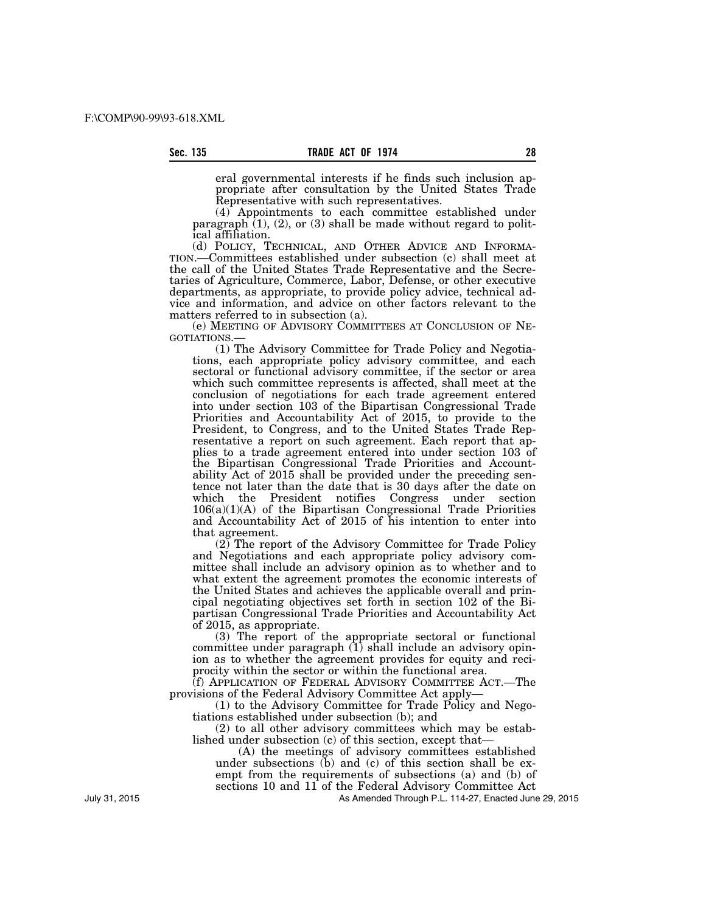eral governmental interests if he finds such inclusion appropriate after consultation by the United States Trade Representative with such representatives.

(4) Appointments to each committee established under paragraph  $(1)$ ,  $(2)$ , or  $(3)$  shall be made without regard to polit-

ical affiliation.<br>(d) POLICY, TECHNICAL, AND OTHER ADVICE AND INFORMA-TION.—Committees established under subsection (c) shall meet at the call of the United States Trade Representative and the Secretaries of Agriculture, Commerce, Labor, Defense, or other executive departments, as appropriate, to provide policy advice, technical advice and information, and advice on other factors relevant to the matters referred to in subsection (a).<br>(e) MEETING OF ADVISORY COMMITTEES AT CONCLUSION OF NE-

GOTIATIONS.—<br>
(1) The Advisory Committee for Trade Policy and Negotia-

tions, each appropriate policy advisory committee, and each sectoral or functional advisory committee, if the sector or area which such committee represents is affected, shall meet at the conclusion of negotiations for each trade agreement entered into under section 103 of the Bipartisan Congressional Trade Priorities and Accountability Act of 2015, to provide to the President, to Congress, and to the United States Trade Representative a report on such agreement. Each report that applies to a trade agreement entered into under section 103 of the Bipartisan Congressional Trade Priorities and Accountability Act of 2015 shall be provided under the preceding sentence not later than the date that is 30 days after the date on which the President notifies Congress under section 106(a)(1)(A) of the Bipartisan Congressional Trade Priorities and Accountability Act of 2015 of his intention to enter into that agreement.

(2) The report of the Advisory Committee for Trade Policy and Negotiations and each appropriate policy advisory committee shall include an advisory opinion as to whether and to what extent the agreement promotes the economic interests of the United States and achieves the applicable overall and principal negotiating objectives set forth in section 102 of the Bipartisan Congressional Trade Priorities and Accountability Act of 2015, as appropriate.

(3) The report of the appropriate sectoral or functional committee under paragraph (1) shall include an advisory opinion as to whether the agreement provides for equity and reciprocity within the sector or within the functional area.

(f) APPLICATION OF FEDERAL ADVISORY COMMITTEE ACT.—The provisions of the Federal Advisory Committee Act apply—

(1) to the Advisory Committee for Trade Policy and Negotiations established under subsection (b); and

(2) to all other advisory committees which may be established under subsection (c) of this section, except that—

(A) the meetings of advisory committees established under subsections (b) and (c) of this section shall be exempt from the requirements of subsections (a) and (b) of sections 10 and 11 of the Federal Advisory Committee Act

As Amended Through P.L. 114-27, Enacted June 29, 2015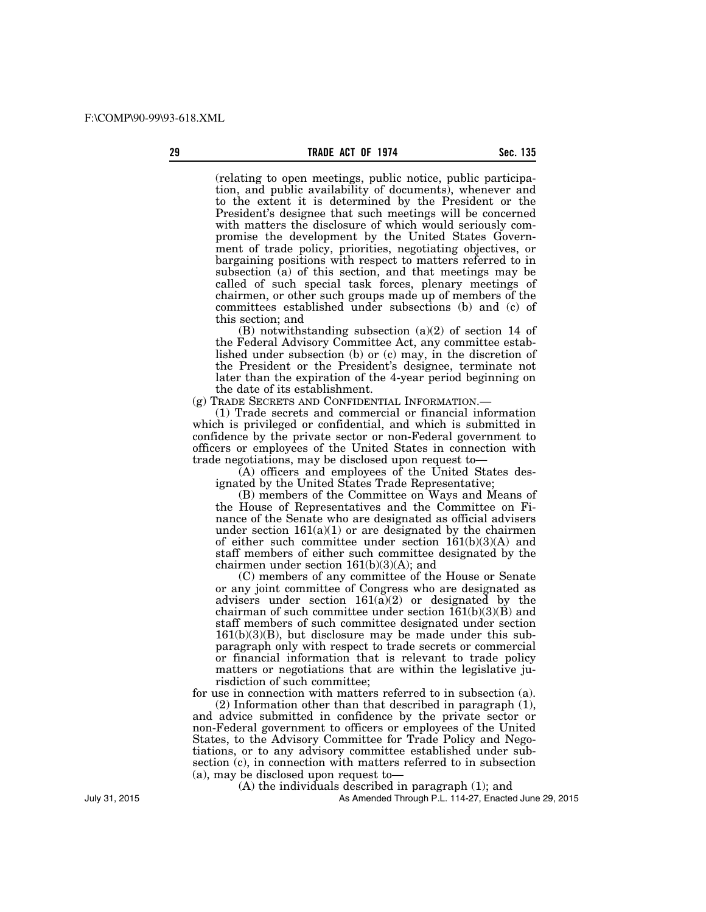(relating to open meetings, public notice, public participation, and public availability of documents), whenever and to the extent it is determined by the President or the President's designee that such meetings will be concerned with matters the disclosure of which would seriously compromise the development by the United States Government of trade policy, priorities, negotiating objectives, or bargaining positions with respect to matters referred to in subsection (a) of this section, and that meetings may be called of such special task forces, plenary meetings of chairmen, or other such groups made up of members of the committees established under subsections (b) and (c) of this section; and

(B) notwithstanding subsection (a)(2) of section 14 of the Federal Advisory Committee Act, any committee established under subsection (b) or (c) may, in the discretion of the President or the President's designee, terminate not later than the expiration of the 4-year period beginning on the date of its establishment.

(g) TRADE SECRETS AND CONFIDENTIAL INFORMATION.—

(1) Trade secrets and commercial or financial information which is privileged or confidential, and which is submitted in confidence by the private sector or non-Federal government to officers or employees of the United States in connection with trade negotiations, may be disclosed upon request to—

(A) officers and employees of the United States designated by the United States Trade Representative;

(B) members of the Committee on Ways and Means of the House of Representatives and the Committee on Finance of the Senate who are designated as official advisers under section  $161(a)(1)$  or are designated by the chairmen of either such committee under section 161(b)(3)(A) and staff members of either such committee designated by the chairmen under section  $161(b)(3)(A)$ ; and

(C) members of any committee of the House or Senate or any joint committee of Congress who are designated as advisers under section  $161(a)(2)$  or designated by the chairman of such committee under section  $161(b)(3)(B)$  and staff members of such committee designated under section  $161(b)(3)(B)$ , but disclosure may be made under this subparagraph only with respect to trade secrets or commercial or financial information that is relevant to trade policy matters or negotiations that are within the legislative jurisdiction of such committee;

for use in connection with matters referred to in subsection (a).

(2) Information other than that described in paragraph (1), and advice submitted in confidence by the private sector or non-Federal government to officers or employees of the United States, to the Advisory Committee for Trade Policy and Negotiations, or to any advisory committee established under subsection (c), in connection with matters referred to in subsection (a), may be disclosed upon request to—

(A) the individuals described in paragraph (1); and

As Amended Through P.L. 114-27, Enacted June 29, 2015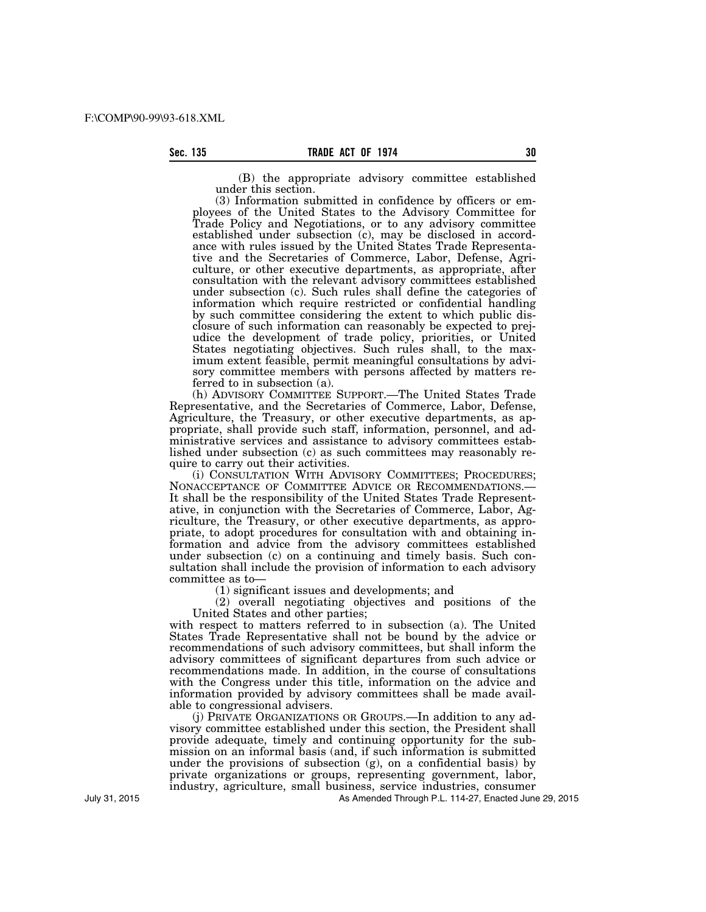(B) the appropriate advisory committee established under this section.

(3) Information submitted in confidence by officers or employees of the United States to the Advisory Committee for Trade Policy and Negotiations, or to any advisory committee established under subsection (c), may be disclosed in accordance with rules issued by the United States Trade Representative and the Secretaries of Commerce, Labor, Defense, Agriculture, or other executive departments, as appropriate, after consultation with the relevant advisory committees established under subsection (c). Such rules shall define the categories of information which require restricted or confidential handling by such committee considering the extent to which public disclosure of such information can reasonably be expected to prejudice the development of trade policy, priorities, or United States negotiating objectives. Such rules shall, to the maximum extent feasible, permit meaningful consultations by advisory committee members with persons affected by matters referred to in subsection (a).

(h) ADVISORY COMMITTEE SUPPORT.—The United States Trade Representative, and the Secretaries of Commerce, Labor, Defense, Agriculture, the Treasury, or other executive departments, as appropriate, shall provide such staff, information, personnel, and administrative services and assistance to advisory committees established under subsection (c) as such committees may reasonably require to carry out their activities.

(i) CONSULTATION WITH ADVISORY COMMITTEES; PROCEDURES; NONACCEPTANCE OF COMMITTEE ADVICE OR RECOMMENDATIONS.— It shall be the responsibility of the United States Trade Representative, in conjunction with the Secretaries of Commerce, Labor, Agriculture, the Treasury, or other executive departments, as appropriate, to adopt procedures for consultation with and obtaining information and advice from the advisory committees established under subsection (c) on a continuing and timely basis. Such consultation shall include the provision of information to each advisory committee as to—

(1) significant issues and developments; and

(2) overall negotiating objectives and positions of the United States and other parties;

with respect to matters referred to in subsection (a). The United States Trade Representative shall not be bound by the advice or recommendations of such advisory committees, but shall inform the advisory committees of significant departures from such advice or recommendations made. In addition, in the course of consultations with the Congress under this title, information on the advice and information provided by advisory committees shall be made available to congressional advisers.

(j) PRIVATE ORGANIZATIONS OR GROUPS.—In addition to any advisory committee established under this section, the President shall provide adequate, timely and continuing opportunity for the submission on an informal basis (and, if such information is submitted under the provisions of subsection (g), on a confidential basis) by private organizations or groups, representing government, labor, industry, agriculture, small business, service industries, consumer

As Amended Through P.L. 114-27, Enacted June 29, 2015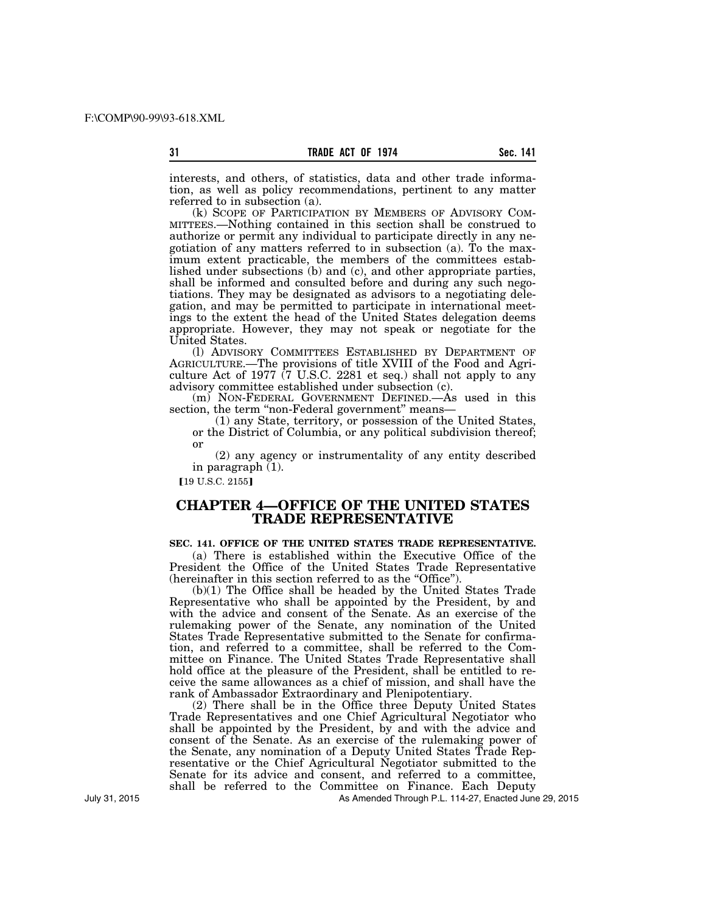interests, and others, of statistics, data and other trade information, as well as policy recommendations, pertinent to any matter referred to in subsection (a).

(k) SCOPE OF PARTICIPATION BY MEMBERS OF ADVISORY COM-MITTEES.—Nothing contained in this section shall be construed to authorize or permit any individual to participate directly in any negotiation of any matters referred to in subsection (a). To the maximum extent practicable, the members of the committees established under subsections (b) and (c), and other appropriate parties, shall be informed and consulted before and during any such negotiations. They may be designated as advisors to a negotiating delegation, and may be permitted to participate in international meetings to the extent the head of the United States delegation deems appropriate. However, they may not speak or negotiate for the United States.

(l) ADVISORY COMMITTEES ESTABLISHED BY DEPARTMENT OF AGRICULTURE.—The provisions of title XVIII of the Food and Agriculture Act of 1977 (7 U.S.C. 2281 et seq.) shall not apply to any advisory committee established under subsection (c).

(m) NON-FEDERAL GOVERNMENT DEFINED.—As used in this section, the term "non-Federal government" means—

(1) any State, territory, or possession of the United States, or the District of Columbia, or any political subdivision thereof; or

(2) any agency or instrumentality of any entity described in paragraph (1).

**[19 U.S.C. 2155]** 

# **CHAPTER 4—OFFICE OF THE UNITED STATES TRADE REPRESENTATIVE**

#### **SEC. 141. OFFICE OF THE UNITED STATES TRADE REPRESENTATIVE.**

(a) There is established within the Executive Office of the President the Office of the United States Trade Representative (hereinafter in this section referred to as the "Office").

(b)(1) The Office shall be headed by the United States Trade Representative who shall be appointed by the President, by and with the advice and consent of the Senate. As an exercise of the rulemaking power of the Senate, any nomination of the United States Trade Representative submitted to the Senate for confirmation, and referred to a committee, shall be referred to the Committee on Finance. The United States Trade Representative shall hold office at the pleasure of the President, shall be entitled to receive the same allowances as a chief of mission, and shall have the rank of Ambassador Extraordinary and Plenipotentiary.

(2) There shall be in the Office three Deputy United States Trade Representatives and one Chief Agricultural Negotiator who shall be appointed by the President, by and with the advice and consent of the Senate. As an exercise of the rulemaking power of the Senate, any nomination of a Deputy United States Trade Representative or the Chief Agricultural Negotiator submitted to the Senate for its advice and consent, and referred to a committee, shall be referred to the Committee on Finance. Each Deputy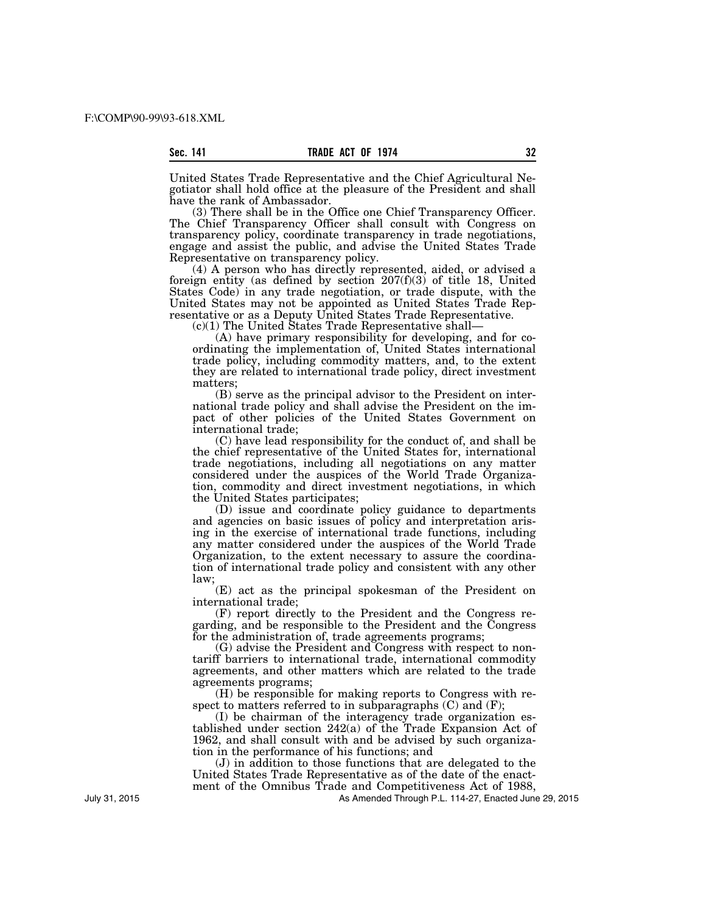United States Trade Representative and the Chief Agricultural Negotiator shall hold office at the pleasure of the President and shall have the rank of Ambassador.

(3) There shall be in the Office one Chief Transparency Officer. The Chief Transparency Officer shall consult with Congress on transparency policy, coordinate transparency in trade negotiations, engage and assist the public, and advise the United States Trade Representative on transparency policy.

(4) A person who has directly represented, aided, or advised a foreign entity (as defined by section  $207(f)(3)$  of title 18, United States Code) in any trade negotiation, or trade dispute, with the United States may not be appointed as United States Trade Representative or as a Deputy United States Trade Representative.

 $(c)(1)$  The United States Trade Representative shall-

(A) have primary responsibility for developing, and for coordinating the implementation of, United States international trade policy, including commodity matters, and, to the extent they are related to international trade policy, direct investment matters;

(B) serve as the principal advisor to the President on international trade policy and shall advise the President on the impact of other policies of the United States Government on international trade;

(C) have lead responsibility for the conduct of, and shall be the chief representative of the United States for, international trade negotiations, including all negotiations on any matter considered under the auspices of the World Trade Organization, commodity and direct investment negotiations, in which the United States participates;

(D) issue and coordinate policy guidance to departments and agencies on basic issues of policy and interpretation arising in the exercise of international trade functions, including any matter considered under the auspices of the World Trade Organization, to the extent necessary to assure the coordination of international trade policy and consistent with any other law;

(E) act as the principal spokesman of the President on international trade;

(F) report directly to the President and the Congress regarding, and be responsible to the President and the Congress for the administration of, trade agreements programs;

(G) advise the President and Congress with respect to nontariff barriers to international trade, international commodity agreements, and other matters which are related to the trade agreements programs;

(H) be responsible for making reports to Congress with respect to matters referred to in subparagraphs (C) and (F);

(I) be chairman of the interagency trade organization established under section 242(a) of the Trade Expansion Act of 1962, and shall consult with and be advised by such organization in the performance of his functions; and

(J) in addition to those functions that are delegated to the United States Trade Representative as of the date of the enactment of the Omnibus Trade and Competitiveness Act of 1988,

As Amended Through P.L. 114-27, Enacted June 29, 2015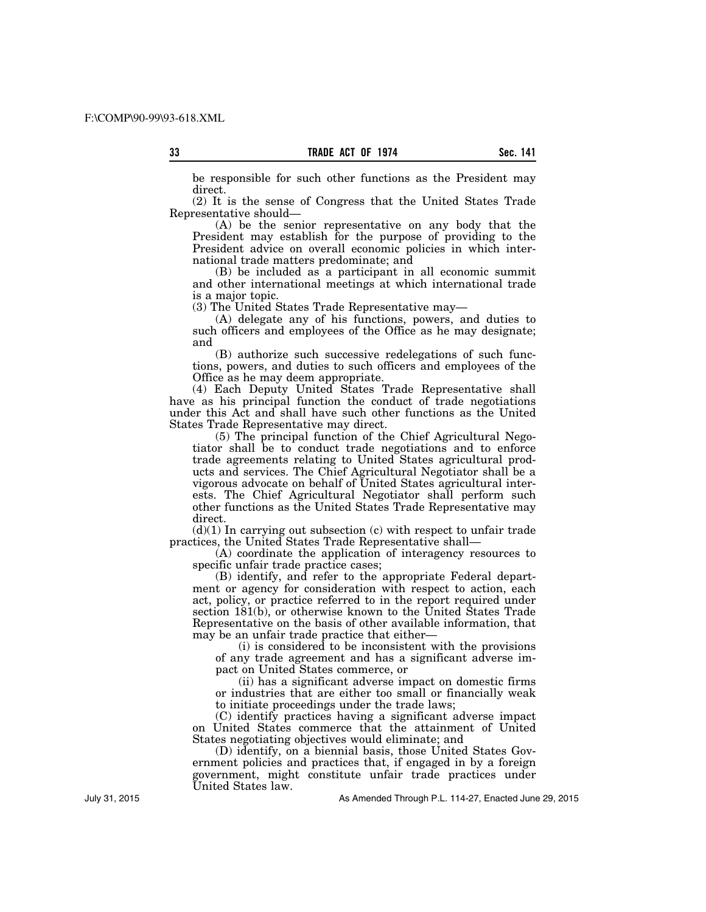be responsible for such other functions as the President may direct.

(2) It is the sense of Congress that the United States Trade Representative should—

(A) be the senior representative on any body that the President may establish for the purpose of providing to the President advice on overall economic policies in which international trade matters predominate; and

(B) be included as a participant in all economic summit and other international meetings at which international trade is a major topic.

(3) The United States Trade Representative may—

(A) delegate any of his functions, powers, and duties to such officers and employees of the Office as he may designate; and

(B) authorize such successive redelegations of such functions, powers, and duties to such officers and employees of the Office as he may deem appropriate.

(4) Each Deputy United States Trade Representative shall have as his principal function the conduct of trade negotiations under this Act and shall have such other functions as the United States Trade Representative may direct.

(5) The principal function of the Chief Agricultural Negotiator shall be to conduct trade negotiations and to enforce trade agreements relating to United States agricultural products and services. The Chief Agricultural Negotiator shall be a vigorous advocate on behalf of United States agricultural interests. The Chief Agricultural Negotiator shall perform such other functions as the United States Trade Representative may direct.

 $(d)(1)$  In carrying out subsection  $(c)$  with respect to unfair trade practices, the United States Trade Representative shall—

(A) coordinate the application of interagency resources to specific unfair trade practice cases;

(B) identify, and refer to the appropriate Federal department or agency for consideration with respect to action, each act, policy, or practice referred to in the report required under section 181(b), or otherwise known to the United States Trade Representative on the basis of other available information, that may be an unfair trade practice that either—

(i) is considered to be inconsistent with the provisions of any trade agreement and has a significant adverse impact on United States commerce, or

(ii) has a significant adverse impact on domestic firms or industries that are either too small or financially weak to initiate proceedings under the trade laws;

(C) identify practices having a significant adverse impact on United States commerce that the attainment of United States negotiating objectives would eliminate; and

(D) identify, on a biennial basis, those United States Government policies and practices that, if engaged in by a foreign government, might constitute unfair trade practices under United States law.

As Amended Through P.L. 114-27, Enacted June 29, 2015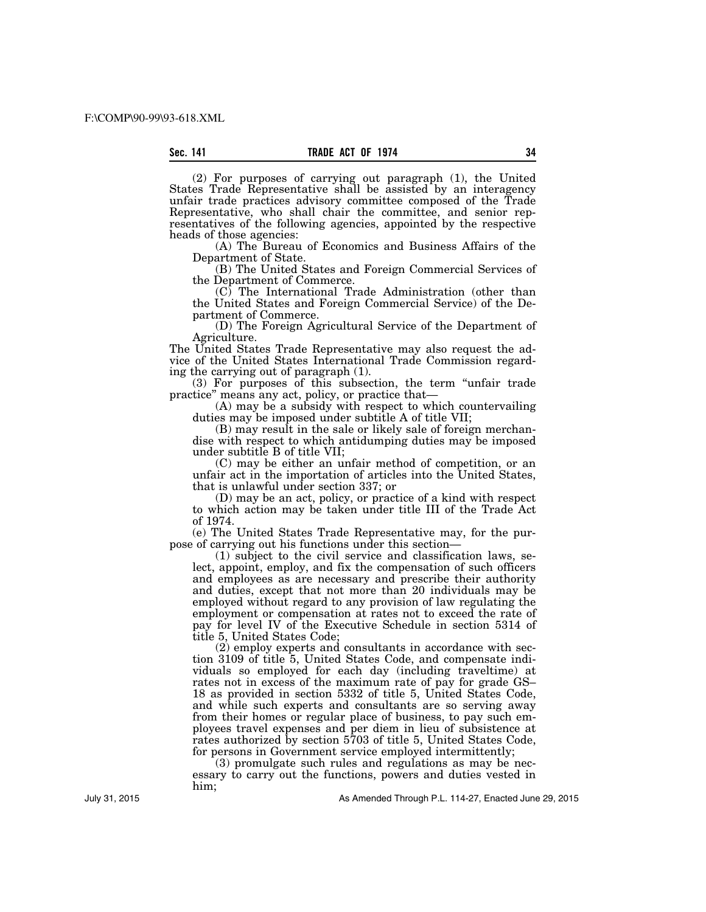(2) For purposes of carrying out paragraph (1), the United States Trade Representative shall be assisted by an interagency unfair trade practices advisory committee composed of the Trade Representative, who shall chair the committee, and senior representatives of the following agencies, appointed by the respective heads of those agencies:

(A) The Bureau of Economics and Business Affairs of the Department of State.

(B) The United States and Foreign Commercial Services of the Department of Commerce.

(C) The International Trade Administration (other than the United States and Foreign Commercial Service) of the Department of Commerce.

(D) The Foreign Agricultural Service of the Department of Agriculture.

The United States Trade Representative may also request the advice of the United States International Trade Commission regarding the carrying out of paragraph (1).

(3) For purposes of this subsection, the term ''unfair trade practice'' means any act, policy, or practice that—

(A) may be a subsidy with respect to which countervailing duties may be imposed under subtitle A of title VII;

(B) may result in the sale or likely sale of foreign merchandise with respect to which antidumping duties may be imposed under subtitle B of title VII;

(C) may be either an unfair method of competition, or an unfair act in the importation of articles into the United States, that is unlawful under section 337; or

(D) may be an act, policy, or practice of a kind with respect to which action may be taken under title III of the Trade Act of 1974.

(e) The United States Trade Representative may, for the purpose of carrying out his functions under this section—

(1) subject to the civil service and classification laws, select, appoint, employ, and fix the compensation of such officers and employees as are necessary and prescribe their authority and duties, except that not more than 20 individuals may be employed without regard to any provision of law regulating the employment or compensation at rates not to exceed the rate of pay for level IV of the Executive Schedule in section 5314 of title 5, United States Code;

(2) employ experts and consultants in accordance with section 3109 of title 5, United States Code, and compensate individuals so employed for each day (including traveltime) at rates not in excess of the maximum rate of pay for grade GS– 18 as provided in section 5332 of title 5, United States Code, and while such experts and consultants are so serving away from their homes or regular place of business, to pay such employees travel expenses and per diem in lieu of subsistence at rates authorized by section 5703 of title 5, United States Code, for persons in Government service employed intermittently;

(3) promulgate such rules and regulations as may be necessary to carry out the functions, powers and duties vested in him;

As Amended Through P.L. 114-27, Enacted June 29, 2015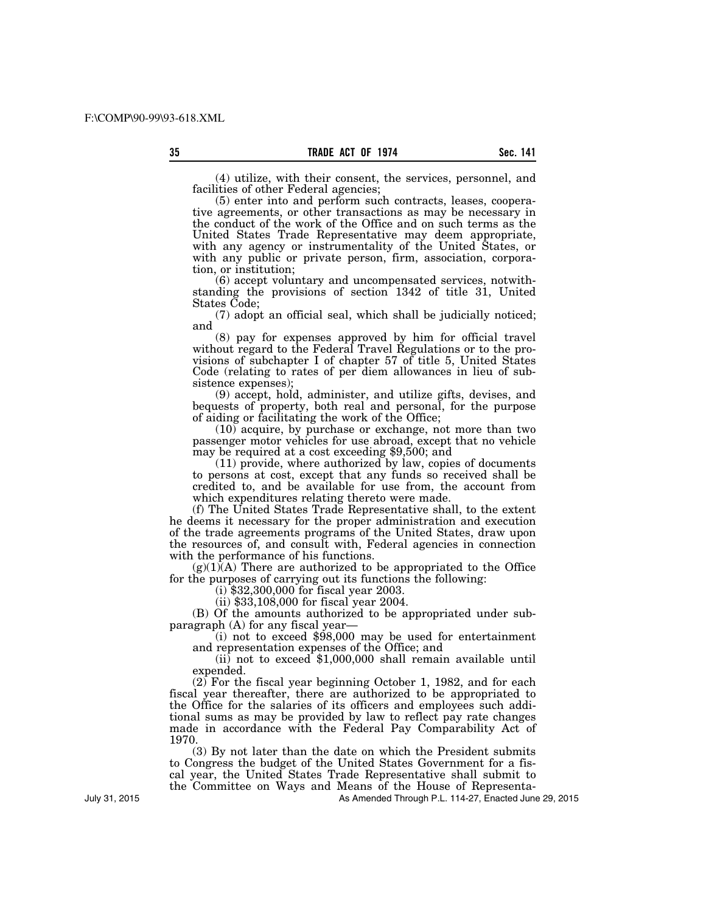(4) utilize, with their consent, the services, personnel, and facilities of other Federal agencies;

(5) enter into and perform such contracts, leases, cooperative agreements, or other transactions as may be necessary in the conduct of the work of the Office and on such terms as the United States Trade Representative may deem appropriate, with any agency or instrumentality of the United States, or with any public or private person, firm, association, corporation, or institution;

(6) accept voluntary and uncompensated services, notwithstanding the provisions of section 1342 of title 31, United States Code;

(7) adopt an official seal, which shall be judicially noticed; and

(8) pay for expenses approved by him for official travel without regard to the Federal Travel Regulations or to the provisions of subchapter I of chapter 57 of title 5, United States Code (relating to rates of per diem allowances in lieu of subsistence expenses);

(9) accept, hold, administer, and utilize gifts, devises, and bequests of property, both real and personal, for the purpose of aiding or facilitating the work of the Office;

(10) acquire, by purchase or exchange, not more than two passenger motor vehicles for use abroad, except that no vehicle may be required at a cost exceeding \$9,500; and

 $(11)$  provide, where authorized by law, copies of documents to persons at cost, except that any funds so received shall be credited to, and be available for use from, the account from which expenditures relating thereto were made.

(f) The United States Trade Representative shall, to the extent he deems it necessary for the proper administration and execution of the trade agreements programs of the United States, draw upon the resources of, and consult with, Federal agencies in connection with the performance of his functions.

 $(g)(1)(A)$  There are authorized to be appropriated to the Office for the purposes of carrying out its functions the following: (i) \$32,300,000 for fiscal year 2003.

(ii) \$33,108,000 for fiscal year 2004.

(B) Of the amounts authorized to be appropriated under sub-<br>paragraph  $(A)$  for any fiscal year—

(i) not to exceed  $$98,000$  may be used for entertainment and representation expenses of the Office; and

(ii) not to exceed  $$1,000,000$  shall remain available until expended.

 $(2)$  For the fiscal year beginning October 1, 1982, and for each fiscal year thereafter, there are authorized to be appropriated to the Office for the salaries of its officers and employees such additional sums as may be provided by law to reflect pay rate changes made in accordance with the Federal Pay Comparability Act of 1970.

(3) By not later than the date on which the President submits to Congress the budget of the United States Government for a fiscal year, the United States Trade Representative shall submit to the Committee on Ways and Means of the House of Representa-

As Amended Through P.L. 114-27, Enacted June 29, 2015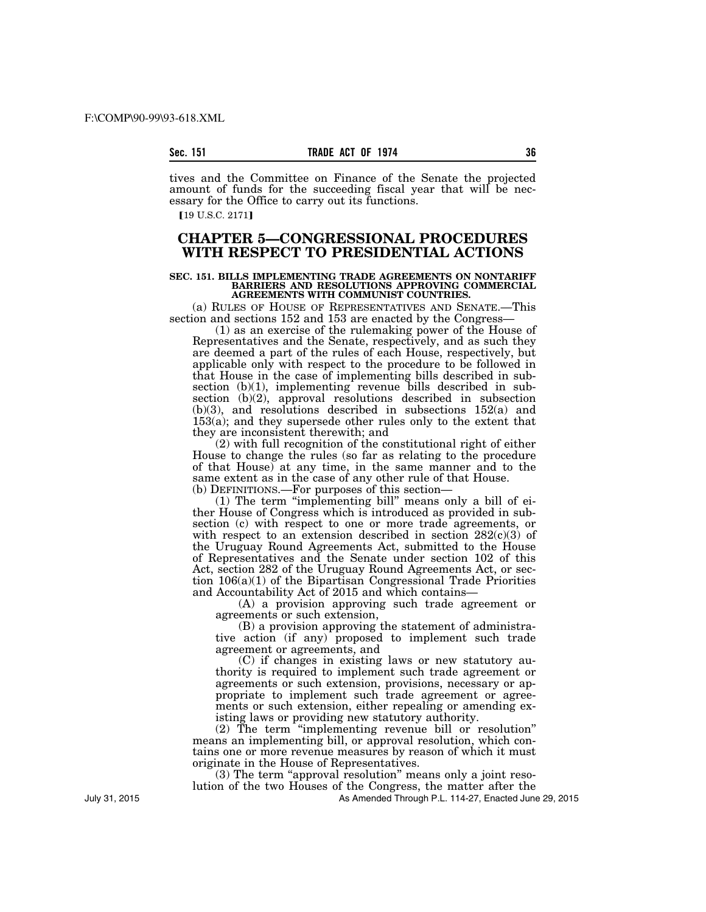tives and the Committee on Finance of the Senate the projected amount of funds for the succeeding fiscal year that will be necessary for the Office to carry out its functions.

[19 U.S.C. 2171]

# **CHAPTER 5—CONGRESSIONAL PROCEDURES WITH RESPECT TO PRESIDENTIAL ACTIONS**

# **SEC. 151. BILLS IMPLEMENTING TRADE AGREEMENTS ON NONTARIFF BARRIERS AND RESOLUTIONS APPROVING COMMERCIAL AGREEMENTS WITH COMMUNIST COUNTRIES.**

(a) RULES OF HOUSE OF REPRESENTATIVES AND SENATE.—This section and sections 152 and 153 are enacted by the Congress—

(1) as an exercise of the rulemaking power of the House of Representatives and the Senate, respectively, and as such they are deemed a part of the rules of each House, respectively, but applicable only with respect to the procedure to be followed in that House in the case of implementing bills described in subsection (b)(1), implementing revenue bills described in subsection (b)(2), approval resolutions described in subsection (b)(3), and resolutions described in subsections 152(a) and 153(a); and they supersede other rules only to the extent that they are inconsistent therewith; and

(2) with full recognition of the constitutional right of either House to change the rules (so far as relating to the procedure of that House) at any time, in the same manner and to the same extent as in the case of any other rule of that House. (b) DEFINITIONS.—For purposes of this section—

(1) The term ''implementing bill'' means only a bill of either House of Congress which is introduced as provided in subsection (c) with respect to one or more trade agreements, or with respect to an extension described in section  $282(c)(3)$  of the Uruguay Round Agreements Act, submitted to the House of Representatives and the Senate under section 102 of this Act, section 282 of the Uruguay Round Agreements Act, or section 106(a)(1) of the Bipartisan Congressional Trade Priorities and Accountability Act of 2015 and which contains—

(A) a provision approving such trade agreement or agreements or such extension,

(B) a provision approving the statement of administrative action (if any) proposed to implement such trade agreement or agreements, and

(C) if changes in existing laws or new statutory authority is required to implement such trade agreement or agreements or such extension, provisions, necessary or appropriate to implement such trade agreement or agreements or such extension, either repealing or amending existing laws or providing new statutory authority.

(2) The term ''implementing revenue bill or resolution'' means an implementing bill, or approval resolution, which contains one or more revenue measures by reason of which it must originate in the House of Representatives.

(3) The term ''approval resolution'' means only a joint resolution of the two Houses of the Congress, the matter after the

As Amended Through P.L. 114-27, Enacted June 29, 2015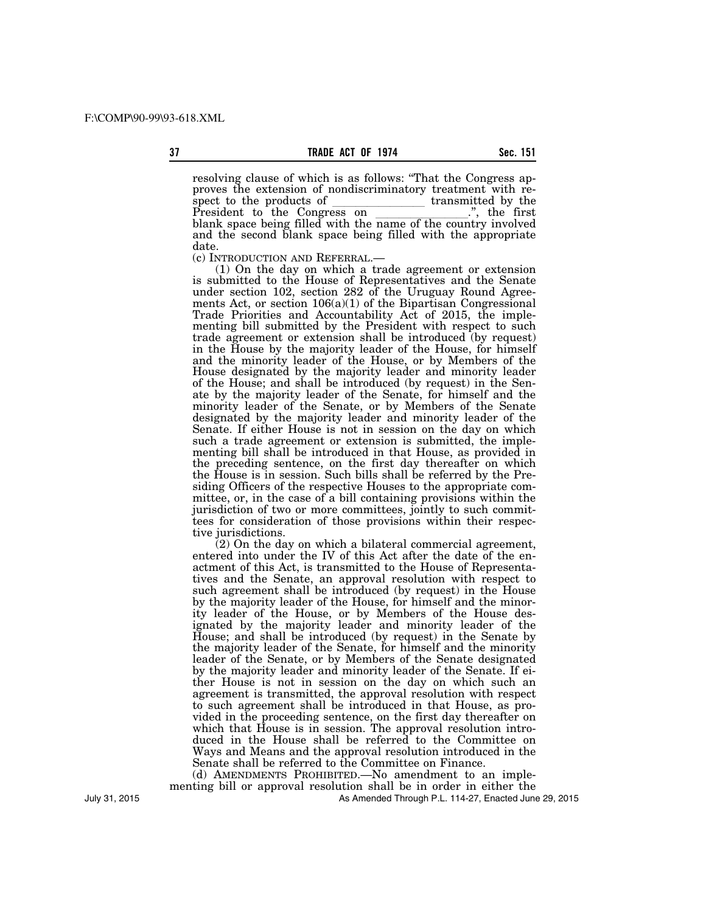resolving clause of which is as follows: ''That the Congress approves the extension of nondiscriminatory treatment with respect to the products of transmitted by the spect to the products of  $\frac{1}{\text{Spectral}}$  transmitted by the First President to the Congress on President to the Congress on \_\_\_\_\_\_\_\_\_\_\_\_\_\_\_.", the first blank space being filled with the name of the country involved and the second blank space being filled with the appropriate

date.<br>(c) INTRODUCTION AND REFERRAL.—

 $(1)$  On the day on which a trade agreement or extension is submitted to the House of Representatives and the Senate under section 102, section 282 of the Uruguay Round Agreements Act, or section 106(a)(1) of the Bipartisan Congressional Trade Priorities and Accountability Act of 2015, the implementing bill submitted by the President with respect to such trade agreement or extension shall be introduced (by request) in the House by the majority leader of the House, for himself and the minority leader of the House, or by Members of the House designated by the majority leader and minority leader of the House; and shall be introduced (by request) in the Senate by the majority leader of the Senate, for himself and the minority leader of the Senate, or by Members of the Senate designated by the majority leader and minority leader of the Senate. If either House is not in session on the day on which such a trade agreement or extension is submitted, the implementing bill shall be introduced in that House, as provided in the preceding sentence, on the first day thereafter on which the House is in session. Such bills shall be referred by the Presiding Officers of the respective Houses to the appropriate committee, or, in the case of a bill containing provisions within the jurisdiction of two or more committees, jointly to such committees for consideration of those provisions within their respective jurisdictions.

 $(2)$  On the day on which a bilateral commercial agreement, entered into under the IV of this Act after the date of the enactment of this Act, is transmitted to the House of Representatives and the Senate, an approval resolution with respect to such agreement shall be introduced (by request) in the House by the majority leader of the House, for himself and the minority leader of the House, or by Members of the House designated by the majority leader and minority leader of the House; and shall be introduced (by request) in the Senate by the majority leader of the Senate, for himself and the minority leader of the Senate, or by Members of the Senate designated by the majority leader and minority leader of the Senate. If either House is not in session on the day on which such an agreement is transmitted, the approval resolution with respect to such agreement shall be introduced in that House, as provided in the proceeding sentence, on the first day thereafter on which that House is in session. The approval resolution introduced in the House shall be referred to the Committee on Ways and Means and the approval resolution introduced in the Senate shall be referred to the Committee on Finance.

(d) AMENDMENTS PROHIBITED.—No amendment to an implementing bill or approval resolution shall be in order in either the

As Amended Through P.L. 114-27, Enacted June 29, 2015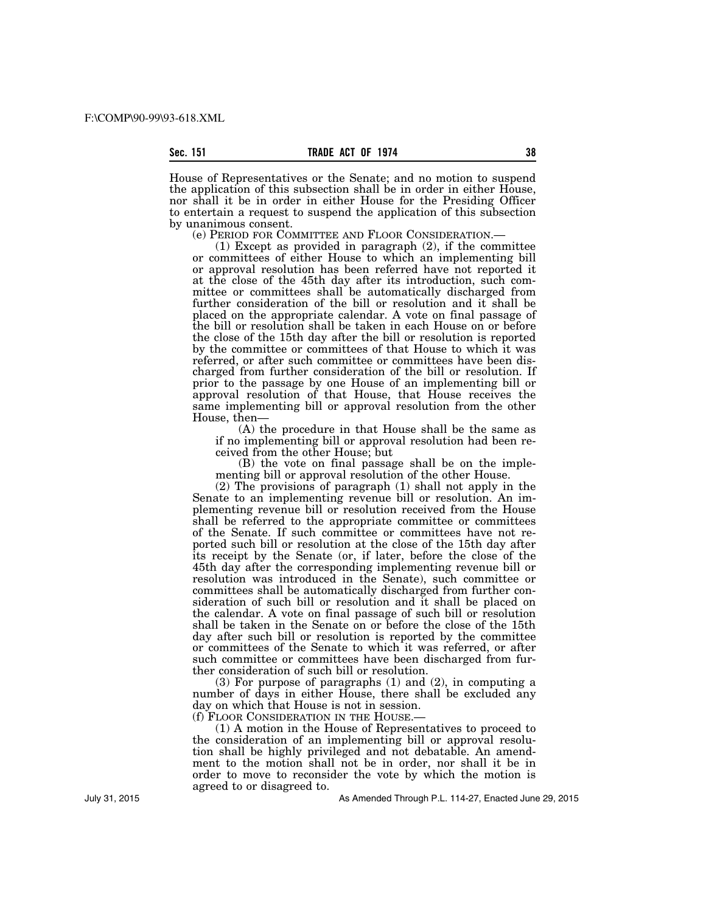House of Representatives or the Senate; and no motion to suspend the application of this subsection shall be in order in either House, nor shall it be in order in either House for the Presiding Officer to entertain a request to suspend the application of this subsection

by unanimous consent.<br>(e) PERIOD FOR COMMITTEE AND FLOOR CONSIDERATION.—

(1) Except as provided in paragraph  $(2)$ , if the committee or committees of either House to which an implementing bill or approval resolution has been referred have not reported it at the close of the 45th day after its introduction, such committee or committees shall be automatically discharged from further consideration of the bill or resolution and it shall be placed on the appropriate calendar. A vote on final passage of the bill or resolution shall be taken in each House on or before the close of the 15th day after the bill or resolution is reported by the committee or committees of that House to which it was referred, or after such committee or committees have been discharged from further consideration of the bill or resolution. If prior to the passage by one House of an implementing bill or approval resolution of that House, that House receives the same implementing bill or approval resolution from the other House, then—

(A) the procedure in that House shall be the same as if no implementing bill or approval resolution had been received from the other House; but

(B) the vote on final passage shall be on the implementing bill or approval resolution of the other House.

(2) The provisions of paragraph (1) shall not apply in the Senate to an implementing revenue bill or resolution. An implementing revenue bill or resolution received from the House shall be referred to the appropriate committee or committees of the Senate. If such committee or committees have not reported such bill or resolution at the close of the 15th day after its receipt by the Senate (or, if later, before the close of the 45th day after the corresponding implementing revenue bill or resolution was introduced in the Senate), such committee or committees shall be automatically discharged from further consideration of such bill or resolution and it shall be placed on the calendar. A vote on final passage of such bill or resolution shall be taken in the Senate on or before the close of the 15th day after such bill or resolution is reported by the committee or committees of the Senate to which it was referred, or after such committee or committees have been discharged from further consideration of such bill or resolution.

(3) For purpose of paragraphs (1) and (2), in computing a number of days in either House, there shall be excluded any day on which that House is not in session.

(f) FLOOR CONSIDERATION IN THE HOUSE.—

(1) A motion in the House of Representatives to proceed to the consideration of an implementing bill or approval resolution shall be highly privileged and not debatable. An amendment to the motion shall not be in order, nor shall it be in order to move to reconsider the vote by which the motion is agreed to or disagreed to.

As Amended Through P.L. 114-27, Enacted June 29, 2015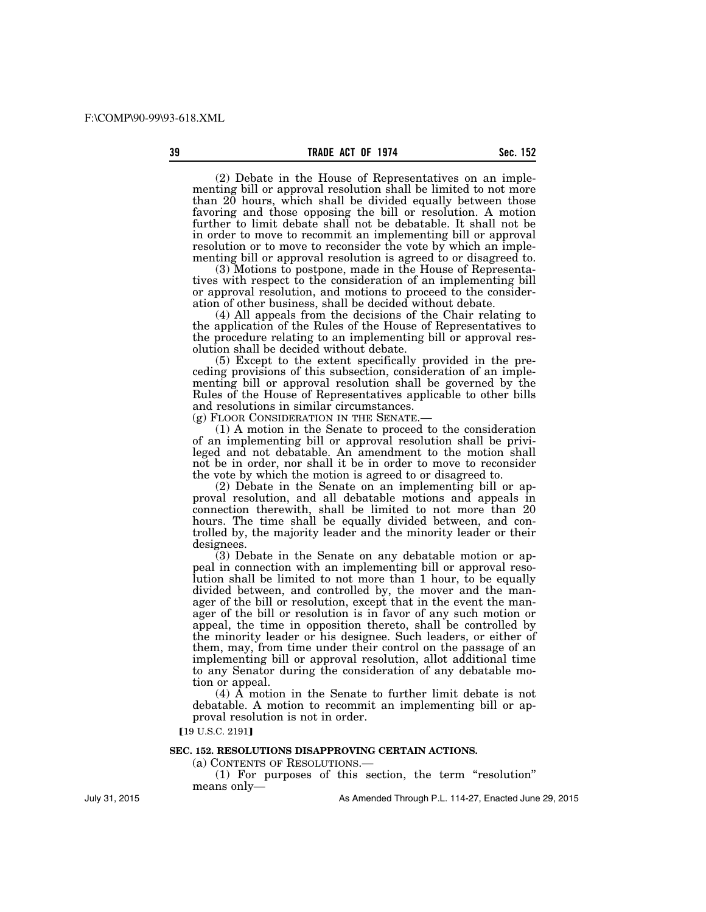(2) Debate in the House of Representatives on an implementing bill or approval resolution shall be limited to not more than  $2\bar{0}$  hours, which shall be divided equally between those favoring and those opposing the bill or resolution. A motion further to limit debate shall not be debatable. It shall not be in order to move to recommit an implementing bill or approval resolution or to move to reconsider the vote by which an implementing bill or approval resolution is agreed to or disagreed to.

(3) Motions to postpone, made in the House of Representatives with respect to the consideration of an implementing bill or approval resolution, and motions to proceed to the consideration of other business, shall be decided without debate.

(4) All appeals from the decisions of the Chair relating to the application of the Rules of the House of Representatives to the procedure relating to an implementing bill or approval resolution shall be decided without debate.

(5) Except to the extent specifically provided in the preceding provisions of this subsection, consideration of an implementing bill or approval resolution shall be governed by the Rules of the House of Representatives applicable to other bills and resolutions in similar circumstances.<br>(g)  $FLOOR CONSIDERATION IN THE SENATE.$ 

 $(1)$  A motion in the Senate to proceed to the consideration of an implementing bill or approval resolution shall be privileged and not debatable. An amendment to the motion shall not be in order, nor shall it be in order to move to reconsider the vote by which the motion is agreed to or disagreed to.

(2) Debate in the Senate on an implementing bill or approval resolution, and all debatable motions and appeals in connection therewith, shall be limited to not more than 20 hours. The time shall be equally divided between, and controlled by, the majority leader and the minority leader or their designees.

(3) Debate in the Senate on any debatable motion or appeal in connection with an implementing bill or approval resolution shall be limited to not more than 1 hour, to be equally divided between, and controlled by, the mover and the manager of the bill or resolution, except that in the event the manager of the bill or resolution is in favor of any such motion or appeal, the time in opposition thereto, shall be controlled by the minority leader or his designee. Such leaders, or either of them, may, from time under their control on the passage of an implementing bill or approval resolution, allot additional time to any Senator during the consideration of any debatable motion or appeal.

(4) A motion in the Senate to further limit debate is not debatable. A motion to recommit an implementing bill or approval resolution is not in order.

[19 U.S.C. 2191]

## **SEC. 152. RESOLUTIONS DISAPPROVING CERTAIN ACTIONS.**

(a) CONTENTS OF RESOLUTIONS.—

(1) For purposes of this section, the term ''resolution'' means only—

As Amended Through P.L. 114-27, Enacted June 29, 2015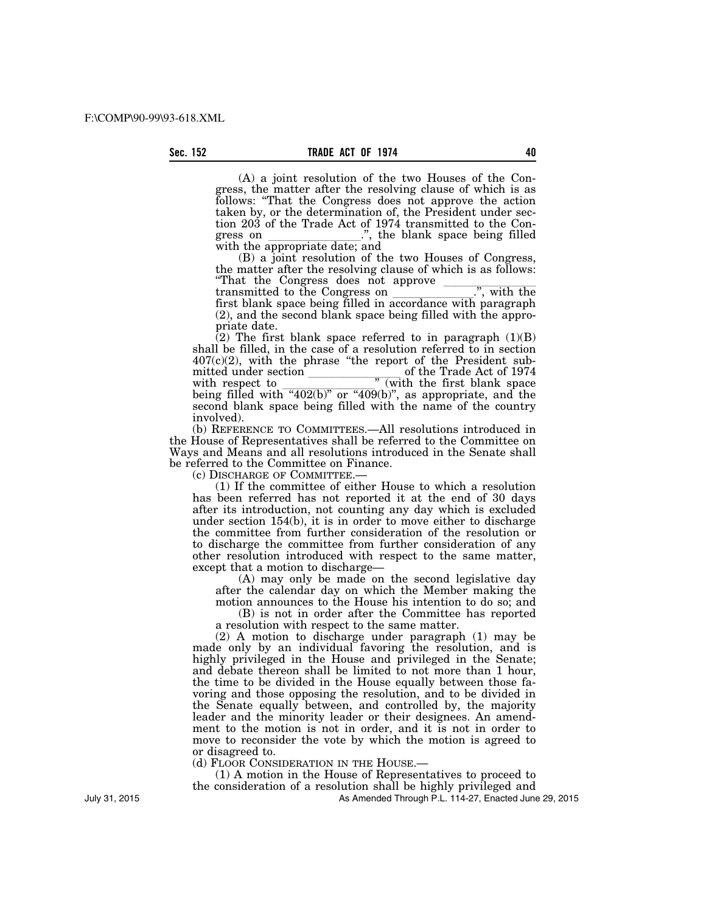(A) a joint resolution of the two Houses of the Congress, the matter after the resolving clause of which is as follows: ''That the Congress does not approve the action taken by, or the determination of, the President under section 203 of the Trade Act of 1974 transmitted to the Congress on  $\ldots$ , the blank space being filled with the appropriate date; and

(B) a joint resolution of the two Houses of Congress, the matter after the resolving clause of which is as follows: "That the Congress does not approve

''That the Congress does not approve llllllll transmitted to the Congress on lllllll.'', with the first blank space being filled in accordance with paragraph (2), and the second blank space being filled with the appropriate date.

 $(2)$  The first blank space referred to in paragraph  $(1)(B)$ shall be filled, in the case of a resolution referred to in section  $407(c)(2)$ , with the phrase "the report of the President sub-<br>mitted under section of the Trade Act of 1974 mitted under section **interval**  $\frac{1}{\sqrt{2\pi}}$  (with the first blank space with respect to  $\frac{v}{402(b)}$  or "409(b)", as appropriate, and the second blank space being filled with the name of the country involved).

(b) REFERENCE TO COMMITTEES.—All resolutions introduced in the House of Representatives shall be referred to the Committee on Ways and Means and all resolutions introduced in the Senate shall be referred to the Committee on Finance.

(c) DISCHARGE OF COMMITTEE.—

(1) If the committee of either House to which a resolution has been referred has not reported it at the end of 30 days after its introduction, not counting any day which is excluded under section 154(b), it is in order to move either to discharge the committee from further consideration of the resolution or to discharge the committee from further consideration of any other resolution introduced with respect to the same matter, except that a motion to discharge—

(A) may only be made on the second legislative day after the calendar day on which the Member making the motion announces to the House his intention to do so; and

(B) is not in order after the Committee has reported a resolution with respect to the same matter.

(2) A motion to discharge under paragraph (1) may be made only by an individual favoring the resolution, and is highly privileged in the House and privileged in the Senate; and debate thereon shall be limited to not more than 1 hour, the time to be divided in the House equally between those favoring and those opposing the resolution, and to be divided in the Senate equally between, and controlled by, the majority leader and the minority leader or their designees. An amendment to the motion is not in order, and it is not in order to move to reconsider the vote by which the motion is agreed to or disagreed to.

(d) FLOOR CONSIDERATION IN THE HOUSE.—

(1) A motion in the House of Representatives to proceed to the consideration of a resolution shall be highly privileged and

As Amended Through P.L. 114-27, Enacted June 29, 2015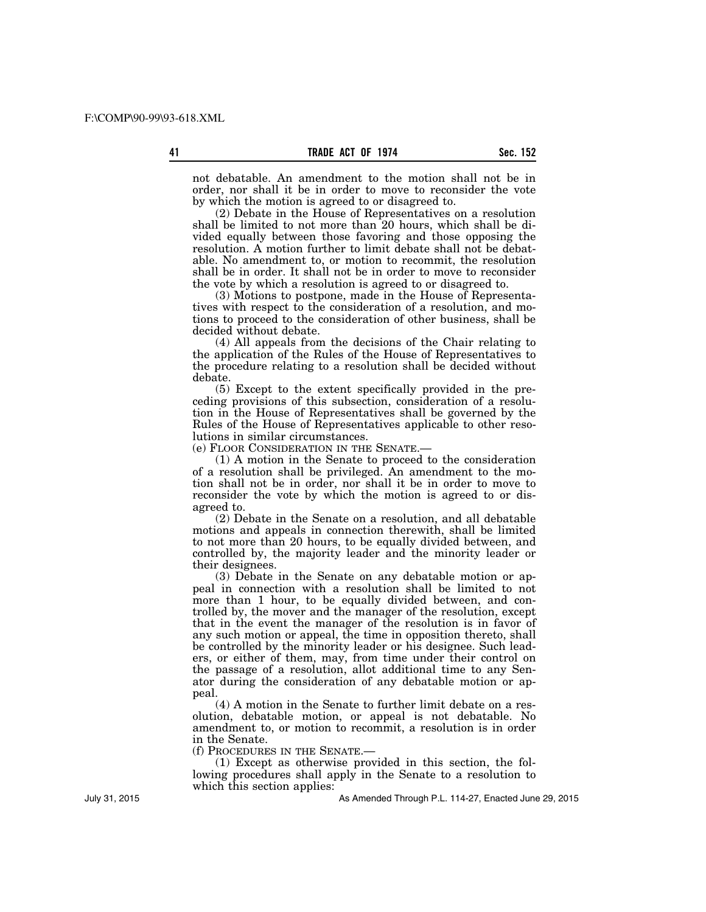not debatable. An amendment to the motion shall not be in order, nor shall it be in order to move to reconsider the vote by which the motion is agreed to or disagreed to.

(2) Debate in the House of Representatives on a resolution shall be limited to not more than 20 hours, which shall be divided equally between those favoring and those opposing the resolution. A motion further to limit debate shall not be debatable. No amendment to, or motion to recommit, the resolution shall be in order. It shall not be in order to move to reconsider the vote by which a resolution is agreed to or disagreed to.

(3) Motions to postpone, made in the House of Representatives with respect to the consideration of a resolution, and motions to proceed to the consideration of other business, shall be decided without debate.

(4) All appeals from the decisions of the Chair relating to the application of the Rules of the House of Representatives to the procedure relating to a resolution shall be decided without debate.

(5) Except to the extent specifically provided in the preceding provisions of this subsection, consideration of a resolution in the House of Representatives shall be governed by the Rules of the House of Representatives applicable to other resolutions in similar circumstances.

(e) FLOOR CONSIDERATION IN THE SENATE.—

(1) A motion in the Senate to proceed to the consideration of a resolution shall be privileged. An amendment to the motion shall not be in order, nor shall it be in order to move to reconsider the vote by which the motion is agreed to or disagreed to.

(2) Debate in the Senate on a resolution, and all debatable motions and appeals in connection therewith, shall be limited to not more than 20 hours, to be equally divided between, and controlled by, the majority leader and the minority leader or their designees.

(3) Debate in the Senate on any debatable motion or appeal in connection with a resolution shall be limited to not more than 1 hour, to be equally divided between, and controlled by, the mover and the manager of the resolution, except that in the event the manager of the resolution is in favor of any such motion or appeal, the time in opposition thereto, shall be controlled by the minority leader or his designee. Such leaders, or either of them, may, from time under their control on the passage of a resolution, allot additional time to any Senator during the consideration of any debatable motion or appeal.

(4) A motion in the Senate to further limit debate on a resolution, debatable motion, or appeal is not debatable. No amendment to, or motion to recommit, a resolution is in order in the Senate.

(f) PROCEDURES IN THE SENATE.—

(1) Except as otherwise provided in this section, the following procedures shall apply in the Senate to a resolution to which this section applies:

As Amended Through P.L. 114-27, Enacted June 29, 2015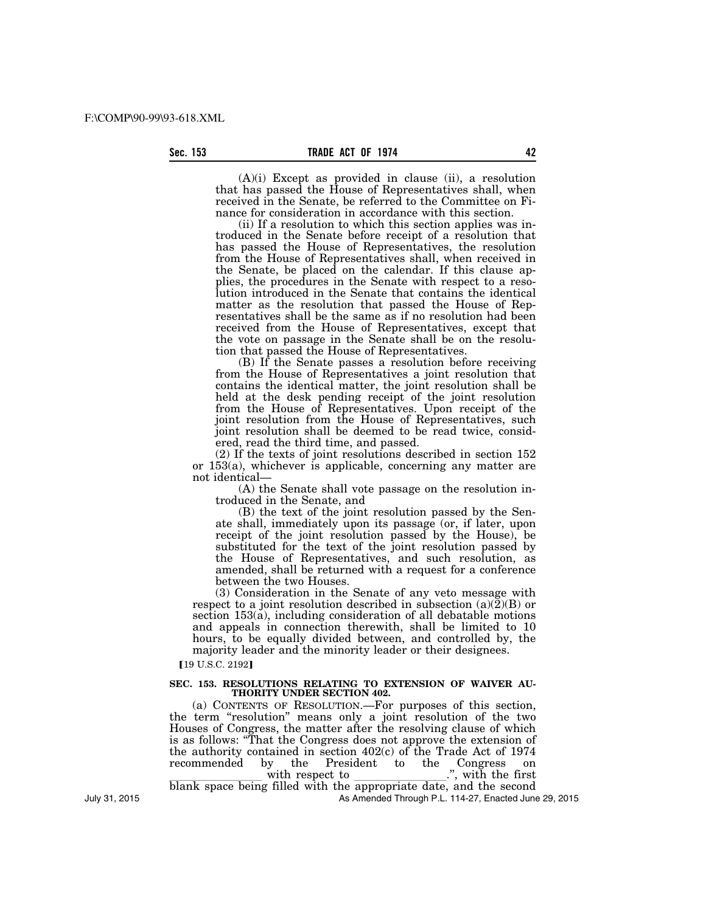$(A)(i)$  Except as provided in clause (ii), a resolution that has passed the House of Representatives shall, when received in the Senate, be referred to the Committee on Finance for consideration in accordance with this section.

(ii) If a resolution to which this section applies was introduced in the Senate before receipt of a resolution that has passed the House of Representatives, the resolution from the House of Representatives shall, when received in the Senate, be placed on the calendar. If this clause applies, the procedures in the Senate with respect to a resolution introduced in the Senate that contains the identical matter as the resolution that passed the House of Representatives shall be the same as if no resolution had been received from the House of Representatives, except that the vote on passage in the Senate shall be on the resolution that passed the House of Representatives.

(B) If the Senate passes a resolution before receiving from the House of Representatives a joint resolution that contains the identical matter, the joint resolution shall be held at the desk pending receipt of the joint resolution from the House of Representatives. Upon receipt of the joint resolution from the House of Representatives, such joint resolution shall be deemed to be read twice, considered, read the third time, and passed.

(2) If the texts of joint resolutions described in section 152 or 153(a), whichever is applicable, concerning any matter are not identical—

(A) the Senate shall vote passage on the resolution introduced in the Senate, and

(B) the text of the joint resolution passed by the Senate shall, immediately upon its passage (or, if later, upon receipt of the joint resolution passed by the House), be substituted for the text of the joint resolution passed by the House of Representatives, and such resolution, as amended, shall be returned with a request for a conference between the two Houses.

(3) Consideration in the Senate of any veto message with respect to a joint resolution described in subsection  $(a)(2)(B)$  or section 153(a), including consideration of all debatable motions and appeals in connection therewith, shall be limited to 10 hours, to be equally divided between, and controlled by, the majority leader and the minority leader or their designees.

**[19 U.S.C. 2192]** 

## **SEC. 153. RESOLUTIONS RELATING TO EXTENSION OF WAIVER AU-THORITY UNDER SECTION 402.**

(a) CONTENTS OF RESOLUTION.—For purposes of this section, the term ''resolution'' means only a joint resolution of the two Houses of Congress, the matter after the resolving clause of which is as follows: "That the Congress does not approve the extension of the authority contained in section 402(c) of the Trade Act of 1974 recommended by the President to the Congress on with respect to ..., with the first llllllll with respect to llllllll.'', with the first blank space being filled with the appropriate date, and the second

As Amended Through P.L. 114-27, Enacted June 29, 2015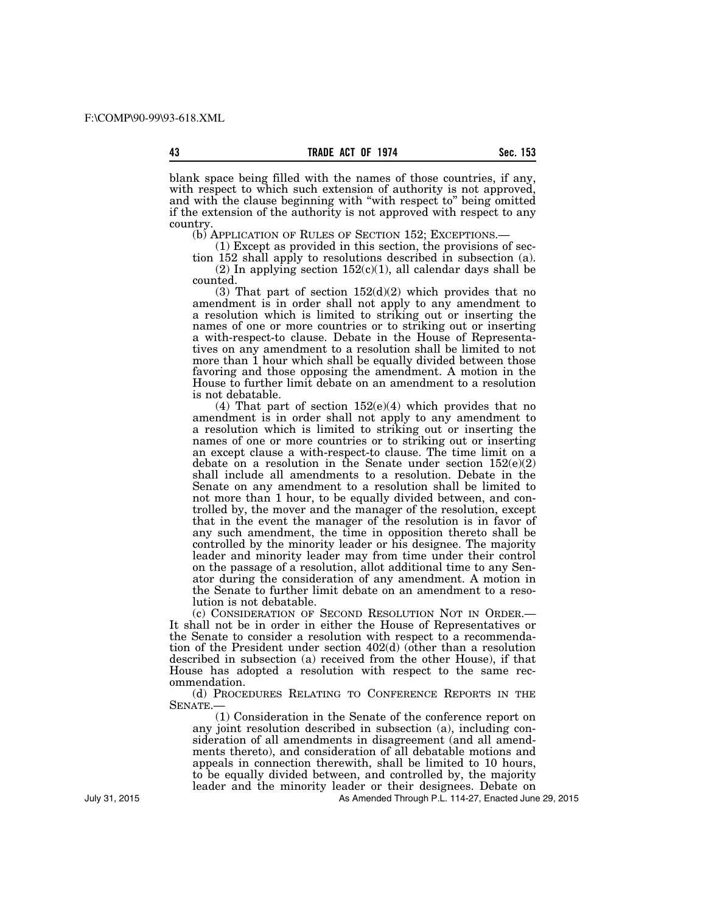blank space being filled with the names of those countries, if any, with respect to which such extension of authority is not approved, and with the clause beginning with "with respect to" being omitted if the extension of the authority is not approved with respect to any country.<br>(b) APPLICATION OF RULES OF SECTION 152; EXCEPTIONS.

 $(1)$  Except as provided in this section, the provisions of section 152 shall apply to resolutions described in subsection (a).

(2) In applying section  $152(c)(1)$ , all calendar days shall be counted.

(3) That part of section  $152(d)(2)$  which provides that no amendment is in order shall not apply to any amendment to a resolution which is limited to striking out or inserting the names of one or more countries or to striking out or inserting a with-respect-to clause. Debate in the House of Representatives on any amendment to a resolution shall be limited to not more than 1 hour which shall be equally divided between those favoring and those opposing the amendment. A motion in the House to further limit debate on an amendment to a resolution is not debatable.

(4) That part of section 152(e)(4) which provides that no amendment is in order shall not apply to any amendment to a resolution which is limited to striking out or inserting the names of one or more countries or to striking out or inserting an except clause a with-respect-to clause. The time limit on a debate on a resolution in the Senate under section  $152(e)(2)$ shall include all amendments to a resolution. Debate in the Senate on any amendment to a resolution shall be limited to not more than 1 hour, to be equally divided between, and controlled by, the mover and the manager of the resolution, except that in the event the manager of the resolution is in favor of any such amendment, the time in opposition thereto shall be controlled by the minority leader or his designee. The majority leader and minority leader may from time under their control on the passage of a resolution, allot additional time to any Senator during the consideration of any amendment. A motion in the Senate to further limit debate on an amendment to a resolution is not debatable.

(c) CONSIDERATION OF SECOND RESOLUTION NOT IN ORDER.— It shall not be in order in either the House of Representatives or the Senate to consider a resolution with respect to a recommendation of the President under section 402(d) (other than a resolution described in subsection (a) received from the other House), if that House has adopted a resolution with respect to the same recommendation.

(d) PROCEDURES RELATING TO CONFERENCE REPORTS IN THE SENATE.—

(1) Consideration in the Senate of the conference report on any joint resolution described in subsection (a), including consideration of all amendments in disagreement (and all amendments thereto), and consideration of all debatable motions and appeals in connection therewith, shall be limited to 10 hours, to be equally divided between, and controlled by, the majority leader and the minority leader or their designees. Debate on As Amended Through P.L. 114-27, Enacted June 29, 2015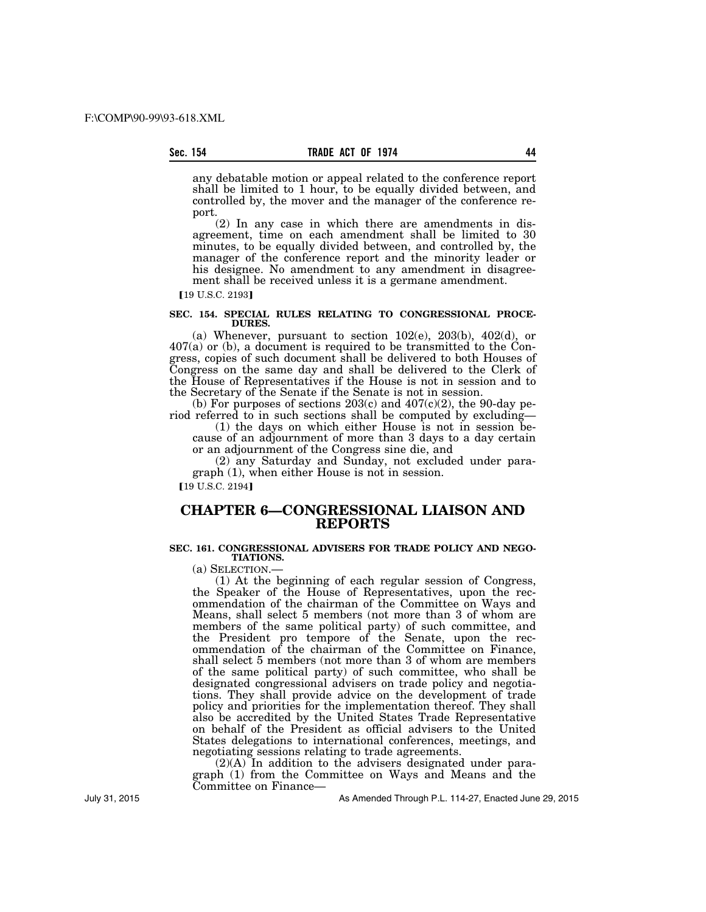any debatable motion or appeal related to the conference report shall be limited to 1 hour, to be equally divided between, and controlled by, the mover and the manager of the conference report.

(2) In any case in which there are amendments in disagreement, time on each amendment shall be limited to 30 minutes, to be equally divided between, and controlled by, the manager of the conference report and the minority leader or his designee. No amendment to any amendment in disagreement shall be received unless it is a germane amendment.

## **[19 U.S.C. 2193]**

## **SEC. 154. SPECIAL RULES RELATING TO CONGRESSIONAL PROCE-DURES.**

(a) Whenever, pursuant to section  $102(e)$ ,  $203(b)$ ,  $402(d)$ , or 407(a) or (b), a document is required to be transmitted to the Congress, copies of such document shall be delivered to both Houses of Congress on the same day and shall be delivered to the Clerk of the House of Representatives if the House is not in session and to the Secretary of the Senate if the Senate is not in session.

(b) For purposes of sections  $203(c)$  and  $407(c)(2)$ , the 90-day period referred to in such sections shall be computed by excluding—

(1) the days on which either House is not in session because of an adjournment of more than 3 days to a day certain or an adjournment of the Congress sine die, and

(2) any Saturday and Sunday, not excluded under paragraph (1), when either House is not in session.

[19 U.S.C. 2194]

## **CHAPTER 6—CONGRESSIONAL LIAISON AND REPORTS**

# **SEC. 161. CONGRESSIONAL ADVISERS FOR TRADE POLICY AND NEGO-TIATIONS.**

(a) SELECTION.— (1) At the beginning of each regular session of Congress, the Speaker of the House of Representatives, upon the recommendation of the chairman of the Committee on Ways and Means, shall select 5 members (not more than 3 of whom are members of the same political party) of such committee, and the President pro tempore of the Senate, upon the recommendation of the chairman of the Committee on Finance, shall select 5 members (not more than 3 of whom are members of the same political party) of such committee, who shall be designated congressional advisers on trade policy and negotiations. They shall provide advice on the development of trade policy and priorities for the implementation thereof. They shall also be accredited by the United States Trade Representative on behalf of the President as official advisers to the United States delegations to international conferences, meetings, and negotiating sessions relating to trade agreements.

(2)(A) In addition to the advisers designated under paragraph (1) from the Committee on Ways and Means and the Committee on Finance—

As Amended Through P.L. 114-27, Enacted June 29, 2015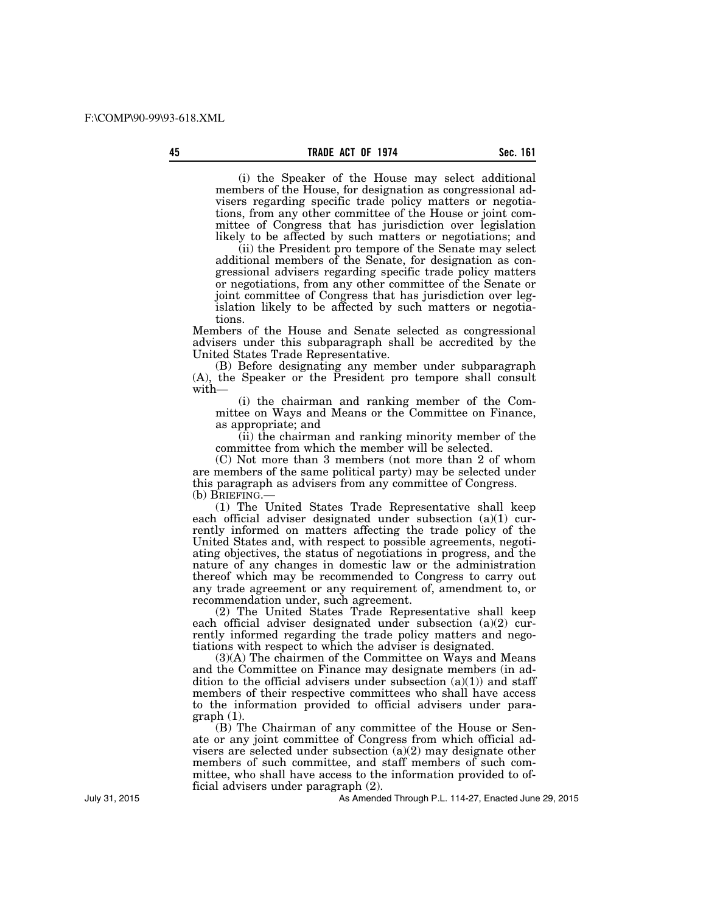(i) the Speaker of the House may select additional members of the House, for designation as congressional advisers regarding specific trade policy matters or negotiations, from any other committee of the House or joint committee of Congress that has jurisdiction over legislation likely to be affected by such matters or negotiations; and

(ii) the President pro tempore of the Senate may select additional members of the Senate, for designation as congressional advisers regarding specific trade policy matters or negotiations, from any other committee of the Senate or joint committee of Congress that has jurisdiction over legislation likely to be affected by such matters or negotiations.

Members of the House and Senate selected as congressional advisers under this subparagraph shall be accredited by the United States Trade Representative.

(B) Before designating any member under subparagraph (A), the Speaker or the President pro tempore shall consult with—

(i) the chairman and ranking member of the Committee on Ways and Means or the Committee on Finance, as appropriate; and

(ii) the chairman and ranking minority member of the committee from which the member will be selected.

(C) Not more than 3 members (not more than 2 of whom are members of the same political party) may be selected under this paragraph as advisers from any committee of Congress. (b) BRIEFING.—

(1) The United States Trade Representative shall keep each official adviser designated under subsection (a)(1) currently informed on matters affecting the trade policy of the United States and, with respect to possible agreements, negotiating objectives, the status of negotiations in progress, and the nature of any changes in domestic law or the administration thereof which may be recommended to Congress to carry out any trade agreement or any requirement of, amendment to, or recommendation under, such agreement.

(2) The United States Trade Representative shall keep each official adviser designated under subsection (a)(2) currently informed regarding the trade policy matters and negotiations with respect to which the adviser is designated.

(3)(A) The chairmen of the Committee on Ways and Means and the Committee on Finance may designate members (in addition to the official advisers under subsection  $(a)(1)$  and staff members of their respective committees who shall have access to the information provided to official advisers under para $graph(1)$ 

(B) The Chairman of any committee of the House or Senate or any joint committee of Congress from which official advisers are selected under subsection (a)(2) may designate other members of such committee, and staff members of such committee, who shall have access to the information provided to official advisers under paragraph (2).

As Amended Through P.L. 114-27, Enacted June 29, 2015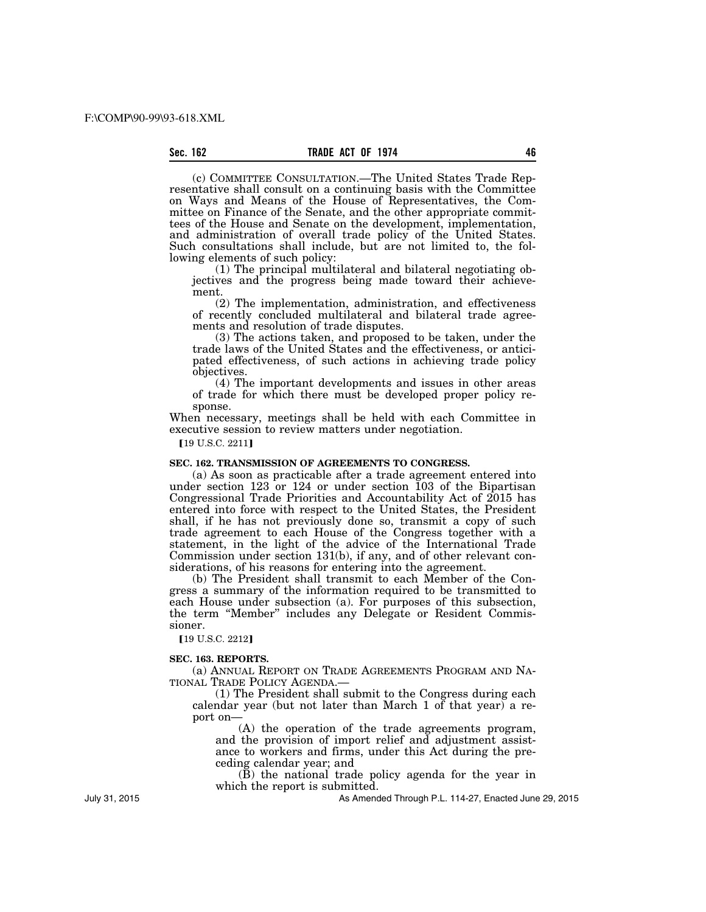(c) COMMITTEE CONSULTATION.—The United States Trade Representative shall consult on a continuing basis with the Committee on Ways and Means of the House of Representatives, the Committee on Finance of the Senate, and the other appropriate committees of the House and Senate on the development, implementation, and administration of overall trade policy of the United States. Such consultations shall include, but are not limited to, the following elements of such policy:

(1) The principal multilateral and bilateral negotiating objectives and the progress being made toward their achievement.

(2) The implementation, administration, and effectiveness of recently concluded multilateral and bilateral trade agreements and resolution of trade disputes.

(3) The actions taken, and proposed to be taken, under the trade laws of the United States and the effectiveness, or anticipated effectiveness, of such actions in achieving trade policy objectives.

(4) The important developments and issues in other areas of trade for which there must be developed proper policy response.

When necessary, meetings shall be held with each Committee in executive session to review matters under negotiation.

**[19 U.S.C. 2211]** 

## **SEC. 162. TRANSMISSION OF AGREEMENTS TO CONGRESS.**

(a) As soon as practicable after a trade agreement entered into under section 123 or 124 or under section 103 of the Bipartisan Congressional Trade Priorities and Accountability Act of 2015 has entered into force with respect to the United States, the President shall, if he has not previously done so, transmit a copy of such trade agreement to each House of the Congress together with a statement, in the light of the advice of the International Trade Commission under section 131(b), if any, and of other relevant considerations, of his reasons for entering into the agreement.

(b) The President shall transmit to each Member of the Congress a summary of the information required to be transmitted to each House under subsection (a). For purposes of this subsection, the term "Member" includes any Delegate or Resident Commissioner.

[19 U.S.C. 2212]

#### **SEC. 163. REPORTS.**

(a) ANNUAL REPORT ON TRADE AGREEMENTS PROGRAM AND NA-TIONAL TRADE POLICY AGENDA.—

(1) The President shall submit to the Congress during each calendar year (but not later than March 1 of that year) a report on—

(A) the operation of the trade agreements program, and the provision of import relief and adjustment assistance to workers and firms, under this Act during the preceding calendar year; and

 $(\bar{B})$  the national trade policy agenda for the year in which the report is submitted.

As Amended Through P.L. 114-27, Enacted June 29, 2015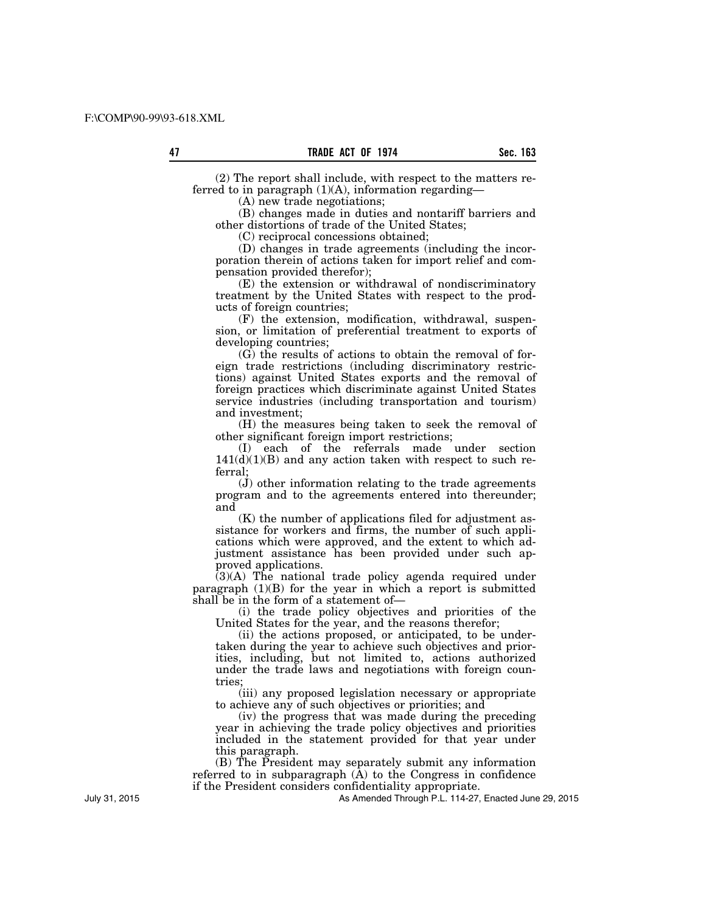(2) The report shall include, with respect to the matters referred to in paragraph  $(1)(A)$ , information regarding—

(A) new trade negotiations;

(B) changes made in duties and nontariff barriers and other distortions of trade of the United States;

(C) reciprocal concessions obtained;

(D) changes in trade agreements (including the incorporation therein of actions taken for import relief and compensation provided therefor);

(E) the extension or withdrawal of nondiscriminatory treatment by the United States with respect to the products of foreign countries;

(F) the extension, modification, withdrawal, suspension, or limitation of preferential treatment to exports of developing countries;

(G) the results of actions to obtain the removal of foreign trade restrictions (including discriminatory restrictions) against United States exports and the removal of foreign practices which discriminate against United States service industries (including transportation and tourism) and investment;

(H) the measures being taken to seek the removal of other significant foreign import restrictions;

(I) each of the referrals made under section  $141(d)(1)(B)$  and any action taken with respect to such referral;

(J) other information relating to the trade agreements program and to the agreements entered into thereunder; and

(K) the number of applications filed for adjustment assistance for workers and firms, the number of such applications which were approved, and the extent to which adjustment assistance has been provided under such approved applications.

 $(3)(A)$  The national trade policy agenda required under paragraph (1)(B) for the year in which a report is submitted shall be in the form of a statement of—

(i) the trade policy objectives and priorities of the United States for the year, and the reasons therefor;

(ii) the actions proposed, or anticipated, to be undertaken during the year to achieve such objectives and priorities, including, but not limited to, actions authorized under the trade laws and negotiations with foreign countries;

(iii) any proposed legislation necessary or appropriate to achieve any of such objectives or priorities; and

(iv) the progress that was made during the preceding year in achieving the trade policy objectives and priorities included in the statement provided for that year under this paragraph.

(B) The President may separately submit any information referred to in subparagraph (A) to the Congress in confidence if the President considers confidentiality appropriate.

As Amended Through P.L. 114-27, Enacted June 29, 2015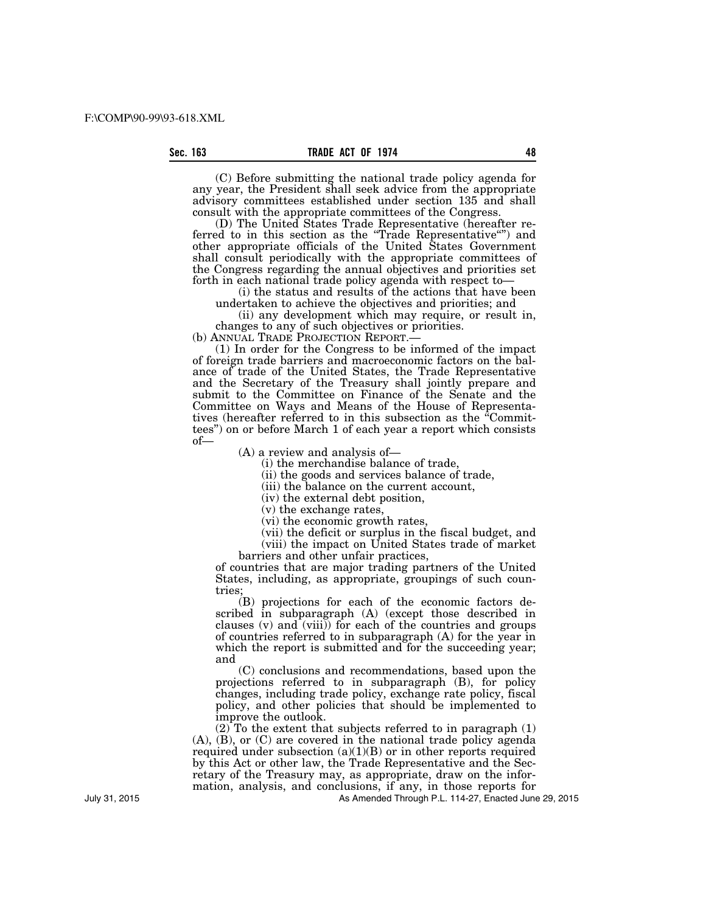(C) Before submitting the national trade policy agenda for any year, the President shall seek advice from the appropriate advisory committees established under section 135 and shall consult with the appropriate committees of the Congress.

(D) The United States Trade Representative (hereafter referred to in this section as the "Trade Representative"") and other appropriate officials of the United States Government shall consult periodically with the appropriate committees of the Congress regarding the annual objectives and priorities set forth in each national trade policy agenda with respect to—

(i) the status and results of the actions that have been undertaken to achieve the objectives and priorities; and

(ii) any development which may require, or result in, changes to any of such objectives or priorities.<br>(b) ANNUAL TRADE PROJECTION REPORT.—

 $(1)$  In order for the Congress to be informed of the impact of foreign trade barriers and macroeconomic factors on the balance of trade of the United States, the Trade Representative and the Secretary of the Treasury shall jointly prepare and submit to the Committee on Finance of the Senate and the Committee on Ways and Means of the House of Representatives (hereafter referred to in this subsection as the ''Committees'') on or before March 1 of each year a report which consists of—

(A) a review and analysis of—

(i) the merchandise balance of trade,

(ii) the goods and services balance of trade,

(iii) the balance on the current account,

(iv) the external debt position,

(v) the exchange rates,

(vi) the economic growth rates,

(vii) the deficit or surplus in the fiscal budget, and

(viii) the impact on United States trade of market barriers and other unfair practices,

of countries that are major trading partners of the United States, including, as appropriate, groupings of such countries;

(B) projections for each of the economic factors described in subparagraph (A) (except those described in clauses  $(v)$  and  $(viii)$  for each of the countries and groups of countries referred to in subparagraph (A) for the year in which the report is submitted and for the succeeding year; and

(C) conclusions and recommendations, based upon the projections referred to in subparagraph (B), for policy changes, including trade policy, exchange rate policy, fiscal policy, and other policies that should be implemented to improve the outlook.

 $(2)$  To the extent that subjects referred to in paragraph  $(1)$ (A), (B), or (C) are covered in the national trade policy agenda required under subsection  $(a)(1)(B)$  or in other reports required by this Act or other law, the Trade Representative and the Secretary of the Treasury may, as appropriate, draw on the information, analysis, and conclusions, if any, in those reports for As Amended Through P.L. 114-27, Enacted June 29, 2015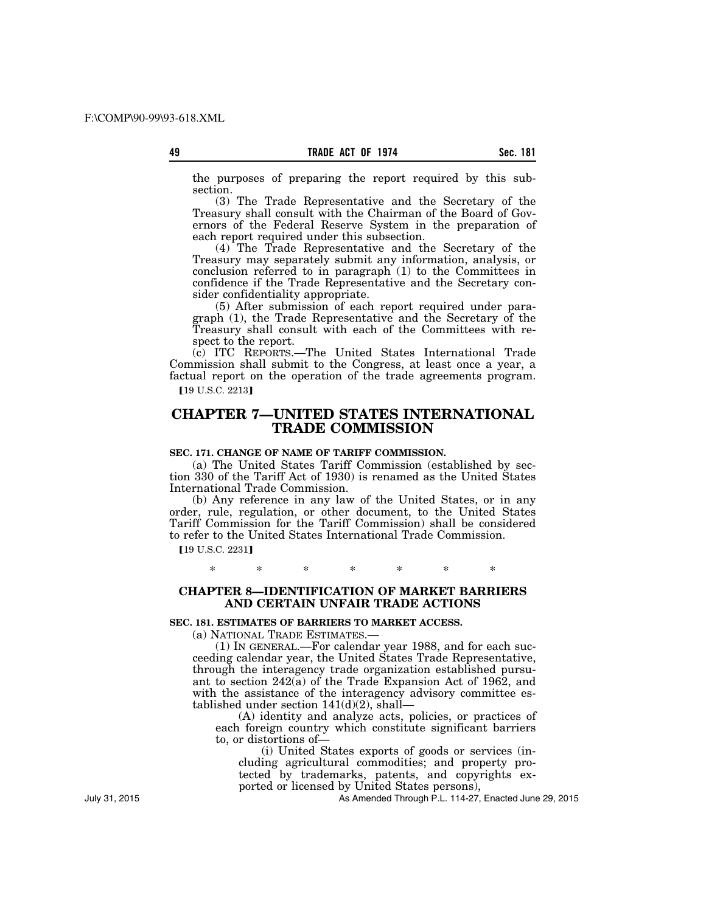the purposes of preparing the report required by this subsection.

(3) The Trade Representative and the Secretary of the Treasury shall consult with the Chairman of the Board of Governors of the Federal Reserve System in the preparation of each report required under this subsection.

(4) The Trade Representative and the Secretary of the Treasury may separately submit any information, analysis, or conclusion referred to in paragraph (1) to the Committees in confidence if the Trade Representative and the Secretary consider confidentiality appropriate.

(5) After submission of each report required under paragraph (1), the Trade Representative and the Secretary of the Treasury shall consult with each of the Committees with respect to the report.

(c) ITC REPORTS.—The United States International Trade Commission shall submit to the Congress, at least once a year, a factual report on the operation of the trade agreements program. [19 U.S.C. 2213]

## **CHAPTER 7—UNITED STATES INTERNATIONAL TRADE COMMISSION**

## **SEC. 171. CHANGE OF NAME OF TARIFF COMMISSION.**

(a) The United States Tariff Commission (established by section 330 of the Tariff Act of 1930) is renamed as the United States International Trade Commission.

(b) Any reference in any law of the United States, or in any order, rule, regulation, or other document, to the United States Tariff Commission for the Tariff Commission) shall be considered to refer to the United States International Trade Commission.

[19 U.S.C. 2231]

\* \* \* \* \* \* \*

## **CHAPTER 8—IDENTIFICATION OF MARKET BARRIERS AND CERTAIN UNFAIR TRADE ACTIONS**

## **SEC. 181. ESTIMATES OF BARRIERS TO MARKET ACCESS.**

(a) NATIONAL TRADE ESTIMATES.—

(1) IN GENERAL.—For calendar year 1988, and for each succeeding calendar year, the United States Trade Representative, through the interagency trade organization established pursuant to section 242(a) of the Trade Expansion Act of 1962, and with the assistance of the interagency advisory committee established under section  $141(d)(2)$ , shall-

(A) identity and analyze acts, policies, or practices of each foreign country which constitute significant barriers to, or distortions of—

(i) United States exports of goods or services (including agricultural commodities; and property protected by trademarks, patents, and copyrights exported or licensed by United States persons),

As Amended Through P.L. 114-27, Enacted June 29, 2015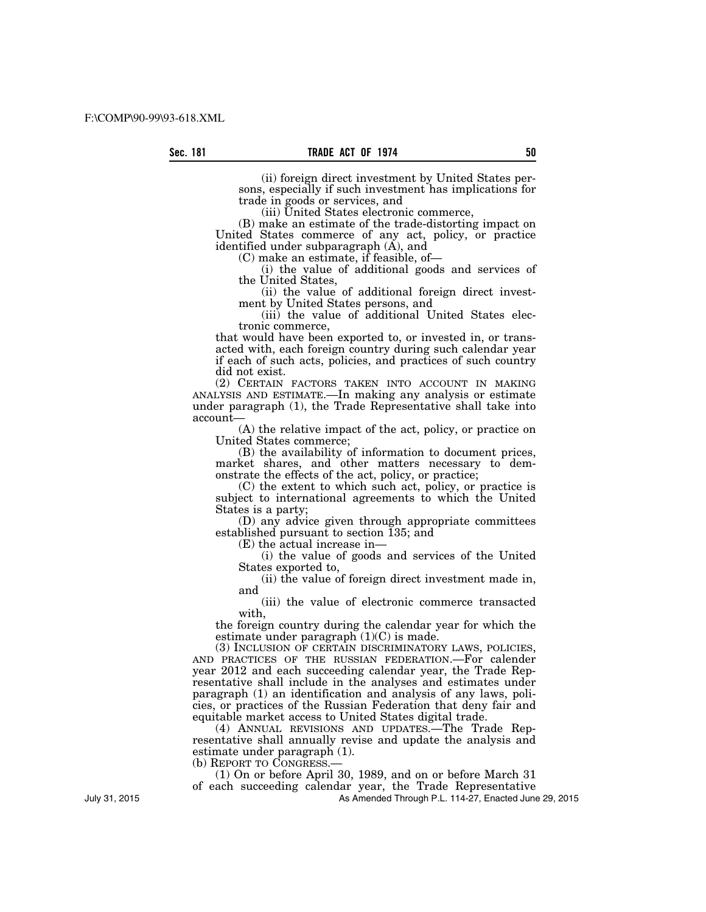(ii) foreign direct investment by United States persons, especially if such investment has implications for trade in goods or services, and

(iii) United States electronic commerce,

(B) make an estimate of the trade-distorting impact on United States commerce of any act, policy, or practice identified under subparagraph (A), and

(C) make an estimate, if feasible, of—

(i) the value of additional goods and services of the United States,

(ii) the value of additional foreign direct investment by United States persons, and

(iii) the value of additional United States electronic commerce,

that would have been exported to, or invested in, or transacted with, each foreign country during such calendar year if each of such acts, policies, and practices of such country did not exist.

(2) CERTAIN FACTORS TAKEN INTO ACCOUNT IN MAKING ANALYSIS AND ESTIMATE.—In making any analysis or estimate under paragraph (1), the Trade Representative shall take into account—

(A) the relative impact of the act, policy, or practice on United States commerce;

(B) the availability of information to document prices, market shares, and other matters necessary to demonstrate the effects of the act, policy, or practice;

(C) the extent to which such act, policy, or practice is subject to international agreements to which the United States is a party;

(D) any advice given through appropriate committees established pursuant to section 135; and

(E) the actual increase in—

(i) the value of goods and services of the United States exported to,

(ii) the value of foreign direct investment made in, and

(iii) the value of electronic commerce transacted with,

the foreign country during the calendar year for which the estimate under paragraph  $(1)(C)$  is made.

(3) INCLUSION OF CERTAIN DISCRIMINATORY LAWS, POLICIES, AND PRACTICES OF THE RUSSIAN FEDERATION.—For calender year 2012 and each succeeding calendar year, the Trade Representative shall include in the analyses and estimates under paragraph (1) an identification and analysis of any laws, policies, or practices of the Russian Federation that deny fair and equitable market access to United States digital trade.

(4) ANNUAL REVISIONS AND UPDATES.—The Trade Representative shall annually revise and update the analysis and estimate under paragraph (1).

(b) REPORT TO CONGRESS.

(1) On or before April 30, 1989, and on or before March 31 of each succeeding calendar year, the Trade Representative

As Amended Through P.L. 114-27, Enacted June 29, 2015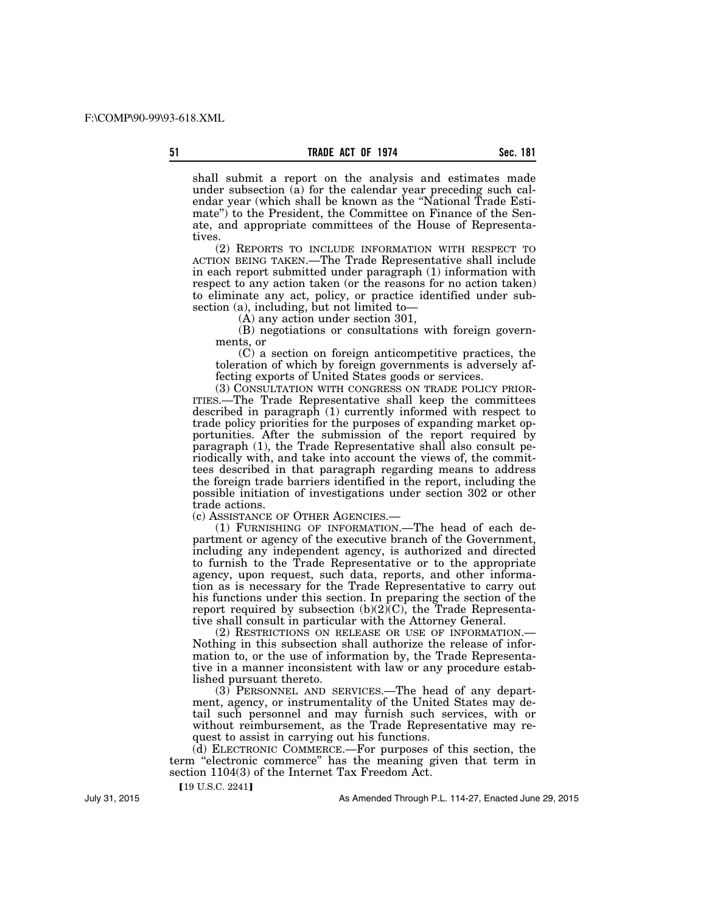shall submit a report on the analysis and estimates made under subsection (a) for the calendar year preceding such calendar year (which shall be known as the "National Trade Estimate'') to the President, the Committee on Finance of the Senate, and appropriate committees of the House of Representatives.

(2) REPORTS TO INCLUDE INFORMATION WITH RESPECT TO ACTION BEING TAKEN.—The Trade Representative shall include in each report submitted under paragraph (1) information with respect to any action taken (or the reasons for no action taken) to eliminate any act, policy, or practice identified under subsection (a), including, but not limited to—

(A) any action under section 301,

(B) negotiations or consultations with foreign governments, or

(C) a section on foreign anticompetitive practices, the toleration of which by foreign governments is adversely affecting exports of United States goods or services.

(3) CONSULTATION WITH CONGRESS ON TRADE POLICY PRIOR-ITIES.—The Trade Representative shall keep the committees described in paragraph (1) currently informed with respect to trade policy priorities for the purposes of expanding market opportunities. After the submission of the report required by paragraph (1), the Trade Representative shall also consult periodically with, and take into account the views of, the committees described in that paragraph regarding means to address the foreign trade barriers identified in the report, including the possible initiation of investigations under section 302 or other trade actions.

(c) ASSISTANCE OF OTHER AGENCIES.—

(1) FURNISHING OF INFORMATION.—The head of each department or agency of the executive branch of the Government, including any independent agency, is authorized and directed to furnish to the Trade Representative or to the appropriate agency, upon request, such data, reports, and other information as is necessary for the Trade Representative to carry out his functions under this section. In preparing the section of the report required by subsection  $(b)(2)$  $(C)$ , the Trade Representative shall consult in particular with the Attorney General.

(2) RESTRICTIONS ON RELEASE OR USE OF INFORMATION.— Nothing in this subsection shall authorize the release of information to, or the use of information by, the Trade Representative in a manner inconsistent with law or any procedure established pursuant thereto.

(3) PERSONNEL AND SERVICES.—The head of any department, agency, or instrumentality of the United States may detail such personnel and may furnish such services, with or without reimbursement, as the Trade Representative may request to assist in carrying out his functions.

(d) ELECTRONIC COMMERCE.—For purposes of this section, the term ''electronic commerce'' has the meaning given that term in section 1104(3) of the Internet Tax Freedom Act.

 $[19 \text{ U.S.C. } 2241]$ 

As Amended Through P.L. 114-27, Enacted June 29, 2015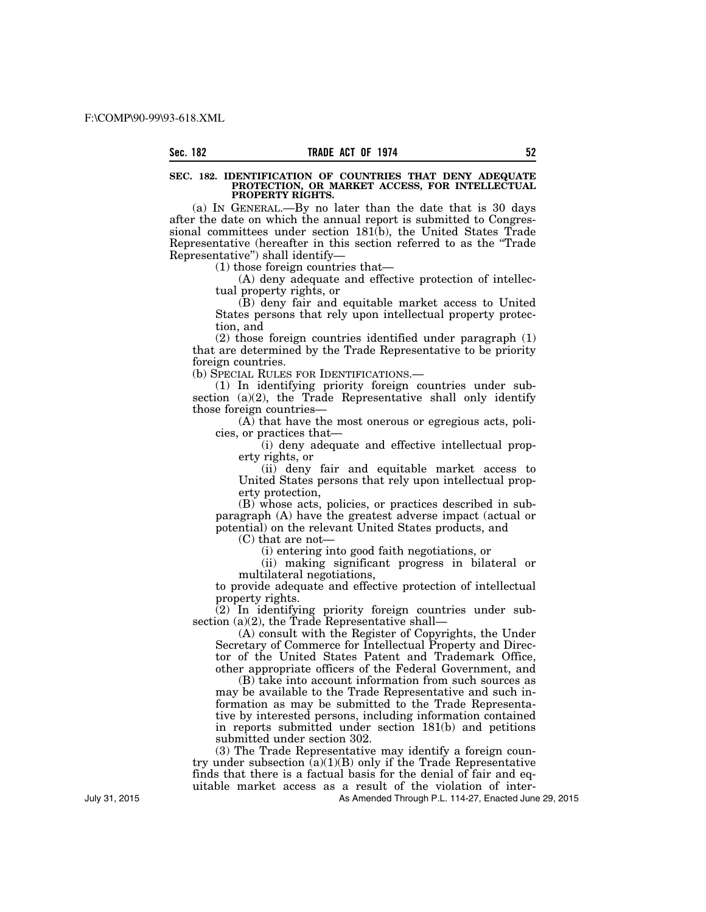## **SEC. 182. IDENTIFICATION OF COUNTRIES THAT DENY ADEQUATE PROTECTION, OR MARKET ACCESS, FOR INTELLECTUAL PROPERTY RIGHTS.**

(a) IN GENERAL.—By no later than the date that is 30 days after the date on which the annual report is submitted to Congressional committees under section 181(b), the United States Trade Representative (hereafter in this section referred to as the ''Trade Representative'') shall identify—

(1) those foreign countries that—

(A) deny adequate and effective protection of intellectual property rights, or

(B) deny fair and equitable market access to United States persons that rely upon intellectual property protection, and

(2) those foreign countries identified under paragraph (1) that are determined by the Trade Representative to be priority foreign countries.

(b) SPECIAL RULES FOR IDENTIFICATIONS.—

(1) In identifying priority foreign countries under subsection  $(a)(2)$ , the Trade Representative shall only identify those foreign countries—

(A) that have the most onerous or egregious acts, policies, or practices that—

(i) deny adequate and effective intellectual property rights, or

(ii) deny fair and equitable market access to United States persons that rely upon intellectual property protection,

(B) whose acts, policies, or practices described in subparagraph (A) have the greatest adverse impact (actual or potential) on the relevant United States products, and

(C) that are not—

(i) entering into good faith negotiations, or

(ii) making significant progress in bilateral or multilateral negotiations,

to provide adequate and effective protection of intellectual property rights.

(2) In identifying priority foreign countries under subsection (a)(2), the Trade Representative shall—

(A) consult with the Register of Copyrights, the Under Secretary of Commerce for Intellectual Property and Director of the United States Patent and Trademark Office, other appropriate officers of the Federal Government, and

(B) take into account information from such sources as may be available to the Trade Representative and such information as may be submitted to the Trade Representative by interested persons, including information contained in reports submitted under section 181(b) and petitions submitted under section 302.

(3) The Trade Representative may identify a foreign country under subsection  $(a)(1)(B)$  only if the Trade Representative finds that there is a factual basis for the denial of fair and equitable market access as a result of the violation of inter-

As Amended Through P.L. 114-27, Enacted June 29, 2015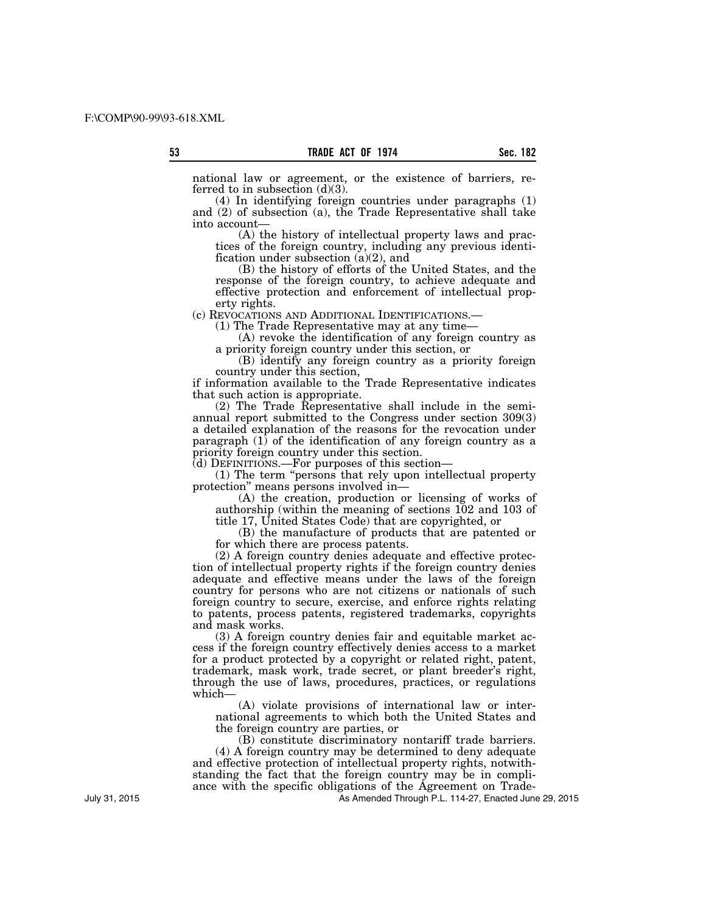national law or agreement, or the existence of barriers, referred to in subsection  $(d)(3)$ .

(4) In identifying foreign countries under paragraphs (1) and (2) of subsection (a), the Trade Representative shall take into account—

(A) the history of intellectual property laws and practices of the foreign country, including any previous identification under subsection  $(a)(2)$ , and

(B) the history of efforts of the United States, and the response of the foreign country, to achieve adequate and effective protection and enforcement of intellectual property rights.

(c) REVOCATIONS AND ADDITIONAL IDENTIFICATIONS.— (1) The Trade Representative may at any time—

(A) revoke the identification of any foreign country as a priority foreign country under this section, or

(B) identify any foreign country as a priority foreign country under this section,

if information available to the Trade Representative indicates that such action is appropriate.

(2) The Trade Representative shall include in the semiannual report submitted to the Congress under section 309(3) a detailed explanation of the reasons for the revocation under paragraph (1) of the identification of any foreign country as a priority foreign country under this section.

(d) DEFINITIONS.—For purposes of this section—

(1) The term ''persons that rely upon intellectual property protection'' means persons involved in—

(A) the creation, production or licensing of works of authorship (within the meaning of sections 102 and 103 of title 17, United States Code) that are copyrighted, or

(B) the manufacture of products that are patented or for which there are process patents.

(2) A foreign country denies adequate and effective protection of intellectual property rights if the foreign country denies adequate and effective means under the laws of the foreign country for persons who are not citizens or nationals of such foreign country to secure, exercise, and enforce rights relating to patents, process patents, registered trademarks, copyrights and mask works.

(3) A foreign country denies fair and equitable market access if the foreign country effectively denies access to a market for a product protected by a copyright or related right, patent, trademark, mask work, trade secret, or plant breeder's right, through the use of laws, procedures, practices, or regulations which—

(A) violate provisions of international law or international agreements to which both the United States and the foreign country are parties, or

(B) constitute discriminatory nontariff trade barriers. (4) A foreign country may be determined to deny adequate and effective protection of intellectual property rights, notwithstanding the fact that the foreign country may be in compliance with the specific obligations of the Agreement on Trade-

As Amended Through P.L. 114-27, Enacted June 29, 2015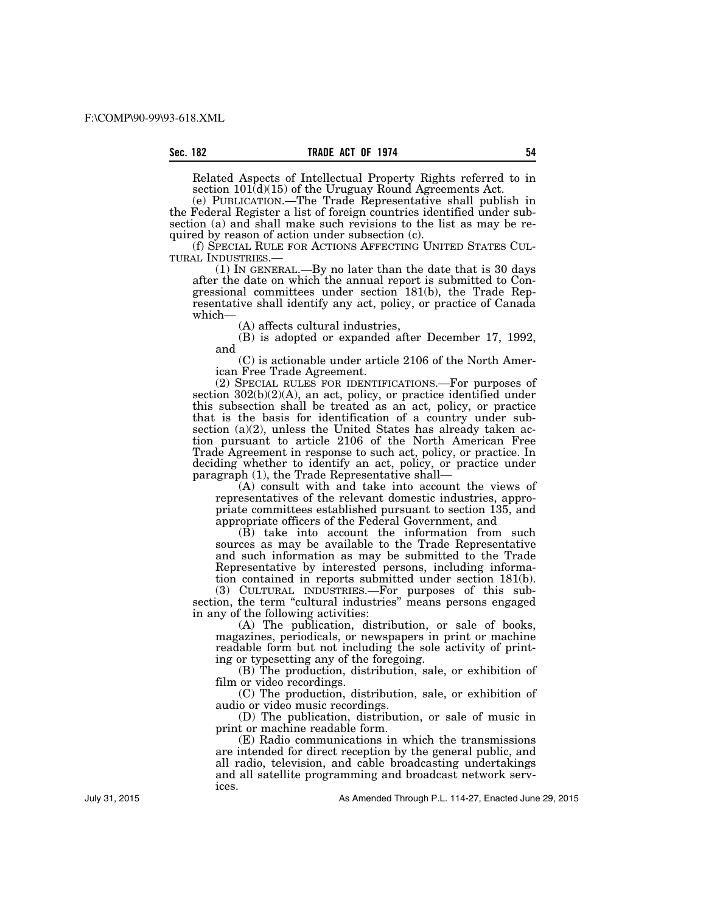Related Aspects of Intellectual Property Rights referred to in section  $101(d)(15)$  of the Uruguay Round Agreements Act.

(e) PUBLICATION.—The Trade Representative shall publish in the Federal Register a list of foreign countries identified under subsection (a) and shall make such revisions to the list as may be required by reason of action under subsection (c).

(f) SPECIAL RULE FOR ACTIONS AFFECTING UNITED STATES CULTURAL INDUSTRIES.—

 $(1)$  In GENERAL.—By no later than the date that is 30 days after the date on which the annual report is submitted to Congressional committees under section 181(b), the Trade Representative shall identify any act, policy, or practice of Canada which—

(A) affects cultural industries,

(B) is adopted or expanded after December 17, 1992, and

(C) is actionable under article 2106 of the North American Free Trade Agreement.

(2) SPECIAL RULES FOR IDENTIFICATIONS.—For purposes of section 302(b)(2)(A), an act, policy, or practice identified under this subsection shall be treated as an act, policy, or practice that is the basis for identification of a country under subsection (a)(2), unless the United States has already taken action pursuant to article 2106 of the North American Free Trade Agreement in response to such act, policy, or practice. In deciding whether to identify an act, policy, or practice under paragraph (1), the Trade Representative shall—

(A) consult with and take into account the views of representatives of the relevant domestic industries, appropriate committees established pursuant to section 135, and appropriate officers of the Federal Government, and

(B) take into account the information from such sources as may be available to the Trade Representative and such information as may be submitted to the Trade Representative by interested persons, including information contained in reports submitted under section 181(b).

(3) CULTURAL INDUSTRIES.—For purposes of this subsection, the term "cultural industries" means persons engaged in any of the following activities:

(A) The publication, distribution, or sale of books, magazines, periodicals, or newspapers in print or machine readable form but not including the sole activity of printing or typesetting any of the foregoing.

(B) The production, distribution, sale, or exhibition of film or video recordings.

(C) The production, distribution, sale, or exhibition of audio or video music recordings.

(D) The publication, distribution, or sale of music in print or machine readable form.

(E) Radio communications in which the transmissions are intended for direct reception by the general public, and all radio, television, and cable broadcasting undertakings and all satellite programming and broadcast network services.

As Amended Through P.L. 114-27, Enacted June 29, 2015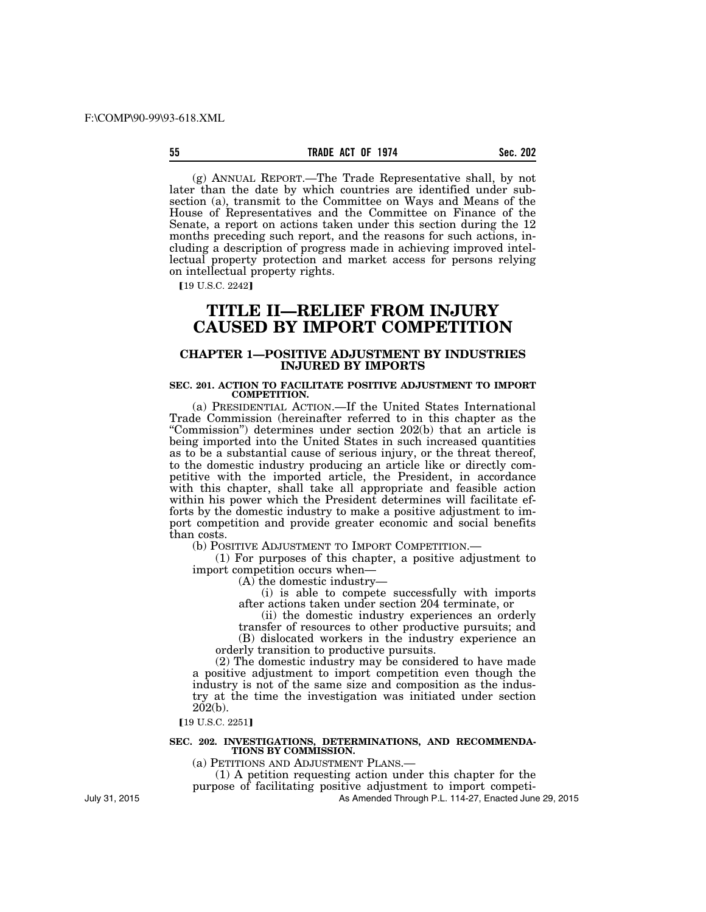**55 Sec. 202 TRADE ACT OF 1974** 

(g) ANNUAL REPORT.—The Trade Representative shall, by not later than the date by which countries are identified under subsection (a), transmit to the Committee on Ways and Means of the House of Representatives and the Committee on Finance of the Senate, a report on actions taken under this section during the 12 months preceding such report, and the reasons for such actions, including a description of progress made in achieving improved intellectual property protection and market access for persons relying on intellectual property rights.

[19 U.S.C. 2242]

# **TITLE II—RELIEF FROM INJURY CAUSED BY IMPORT COMPETITION**

## **CHAPTER 1—POSITIVE ADJUSTMENT BY INDUSTRIES INJURED BY IMPORTS**

#### **SEC. 201. ACTION TO FACILITATE POSITIVE ADJUSTMENT TO IMPORT COMPETITION.**

(a) PRESIDENTIAL ACTION.—If the United States International Trade Commission (hereinafter referred to in this chapter as the "Commission") determines under section 202(b) that an article is being imported into the United States in such increased quantities as to be a substantial cause of serious injury, or the threat thereof, to the domestic industry producing an article like or directly competitive with the imported article, the President, in accordance with this chapter, shall take all appropriate and feasible action within his power which the President determines will facilitate efforts by the domestic industry to make a positive adjustment to import competition and provide greater economic and social benefits than costs.

(b) POSITIVE ADJUSTMENT TO IMPORT COMPETITION.—

(1) For purposes of this chapter, a positive adjustment to import competition occurs when—

 $(A)$  the domestic industry—

(i) is able to compete successfully with imports after actions taken under section 204 terminate, or

(ii) the domestic industry experiences an orderly

transfer of resources to other productive pursuits; and (B) dislocated workers in the industry experience an orderly transition to productive pursuits.

(2) The domestic industry may be considered to have made a positive adjustment to import competition even though the industry is not of the same size and composition as the industry at the time the investigation was initiated under section  $202(b)$ .

[19 U.S.C. 2251]

## **SEC. 202. INVESTIGATIONS, DETERMINATIONS, AND RECOMMENDA-TIONS BY COMMISSION.**

(a) PETITIONS AND ADJUSTMENT PLANS.—

(1) A petition requesting action under this chapter for the

purpose of facilitating positive adjustment to import competi-As Amended Through P.L. 114-27, Enacted June 29, 2015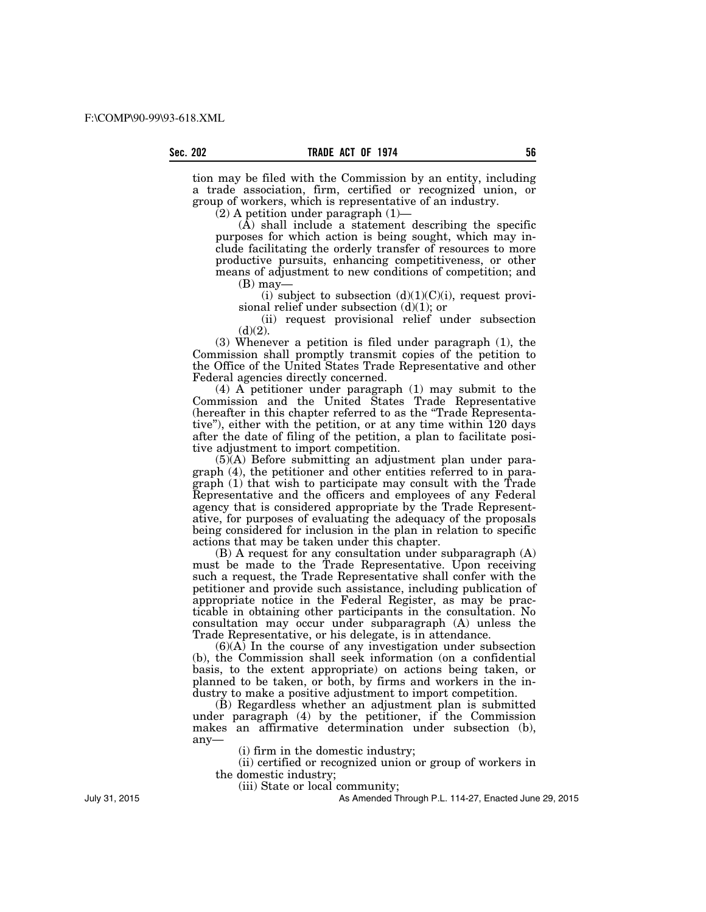tion may be filed with the Commission by an entity, including a trade association, firm, certified or recognized union, or group of workers, which is representative of an industry.

(2) A petition under paragraph (1)—

(A) shall include a statement describing the specific purposes for which action is being sought, which may include facilitating the orderly transfer of resources to more productive pursuits, enhancing competitiveness, or other means of adjustment to new conditions of competition; and  $(B)$  may-

(i) subject to subsection  $(d)(1)(C)(i)$ , request provisional relief under subsection  $(d)(1)$ ; or

(ii) request provisional relief under subsection  $(d)(2)$ .

(3) Whenever a petition is filed under paragraph (1), the Commission shall promptly transmit copies of the petition to the Office of the United States Trade Representative and other Federal agencies directly concerned.

(4) A petitioner under paragraph (1) may submit to the Commission and the United States Trade Representative (hereafter in this chapter referred to as the ''Trade Representative''), either with the petition, or at any time within 120 days after the date of filing of the petition, a plan to facilitate positive adjustment to import competition.

(5)(A) Before submitting an adjustment plan under paragraph (4), the petitioner and other entities referred to in paragraph (1) that wish to participate may consult with the Trade Representative and the officers and employees of any Federal agency that is considered appropriate by the Trade Representative, for purposes of evaluating the adequacy of the proposals being considered for inclusion in the plan in relation to specific actions that may be taken under this chapter.

(B) A request for any consultation under subparagraph (A) must be made to the Trade Representative. Upon receiving such a request, the Trade Representative shall confer with the petitioner and provide such assistance, including publication of appropriate notice in the Federal Register, as may be practicable in obtaining other participants in the consultation. No consultation may occur under subparagraph (A) unless the Trade Representative, or his delegate, is in attendance.

(6)(A) In the course of any investigation under subsection (b), the Commission shall seek information (on a confidential basis, to the extent appropriate) on actions being taken, or planned to be taken, or both, by firms and workers in the industry to make a positive adjustment to import competition.

(B) Regardless whether an adjustment plan is submitted under paragraph (4) by the petitioner, if the Commission makes an affirmative determination under subsection (b), any—

(i) firm in the domestic industry;

(ii) certified or recognized union or group of workers in the domestic industry;

(iii) State or local community;

As Amended Through P.L. 114-27, Enacted June 29, 2015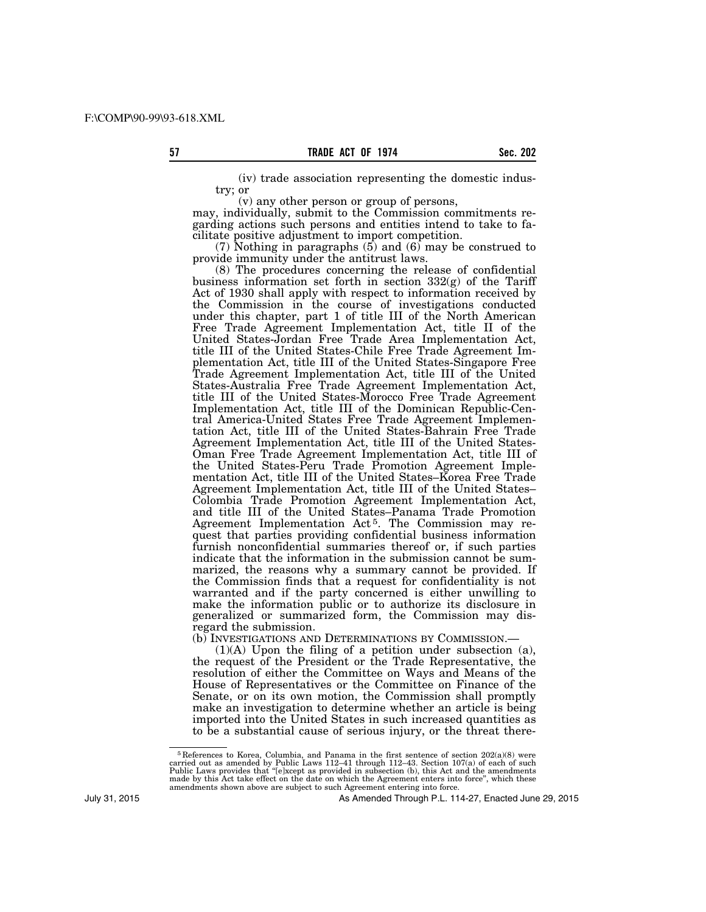(iv) trade association representing the domestic industry; or

(v) any other person or group of persons,

may, individually, submit to the Commission commitments regarding actions such persons and entities intend to take to facilitate positive adjustment to import competition.

(7) Nothing in paragraphs  $(5)$  and  $(6)$  may be construed to provide immunity under the antitrust laws.

(8) The procedures concerning the release of confidential business information set forth in section  $332(g)$  of the Tariff Act of 1930 shall apply with respect to information received by the Commission in the course of investigations conducted under this chapter, part 1 of title III of the North American Free Trade Agreement Implementation Act, title II of the United States-Jordan Free Trade Area Implementation Act, title III of the United States-Chile Free Trade Agreement Implementation Act, title III of the United States-Singapore Free Trade Agreement Implementation Act, title III of the United States-Australia Free Trade Agreement Implementation Act, title III of the United States-Morocco Free Trade Agreement Implementation Act, title III of the Dominican Republic-Central America-United States Free Trade Agreement Implementation Act, title III of the United States-Bahrain Free Trade Agreement Implementation Act, title III of the United States-Oman Free Trade Agreement Implementation Act, title III of the United States-Peru Trade Promotion Agreement Implementation Act, title III of the United States–Korea Free Trade Agreement Implementation Act, title III of the United States– Colombia Trade Promotion Agreement Implementation Act, and title III of the United States–Panama Trade Promotion Agreement Implementation Act<sup>5</sup>. The Commission may request that parties providing confidential business information furnish nonconfidential summaries thereof or, if such parties indicate that the information in the submission cannot be summarized, the reasons why a summary cannot be provided. If the Commission finds that a request for confidentiality is not warranted and if the party concerned is either unwilling to make the information public or to authorize its disclosure in generalized or summarized form, the Commission may disregard the submission.

(b) INVESTIGATIONS AND DETERMINATIONS BY COMMISSION.—

(1)(A) Upon the filing of a petition under subsection (a), the request of the President or the Trade Representative, the resolution of either the Committee on Ways and Means of the House of Representatives or the Committee on Finance of the Senate, or on its own motion, the Commission shall promptly make an investigation to determine whether an article is being imported into the United States in such increased quantities as to be a substantial cause of serious injury, or the threat there-

As Amended Through P.L. 114-27, Enacted June 29, 2015

 $5$  References to Korea, Columbia, and Panama in the first sentence of section  $202(a)(8)$  were carried out as amended by Public Laws 112–41 through 112–43. Section 107(a) of each of such<br>Public Laws provides that "[e]xcept as provided in subsection (b), this Act and the amendments<br>made by this Act take effect on the amendments shown above are subject to such Agreement entering into force.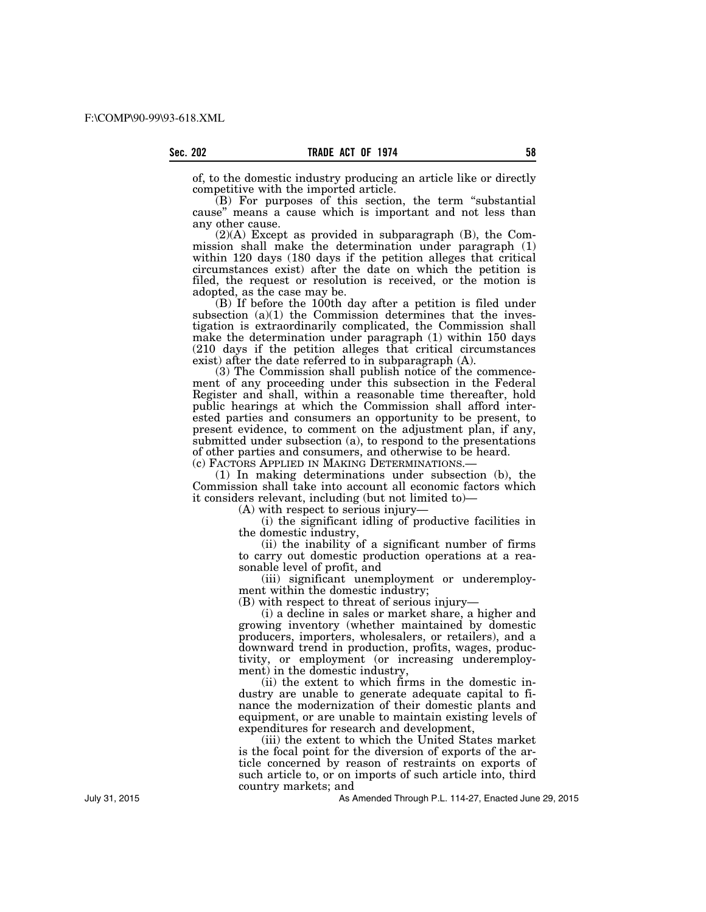of, to the domestic industry producing an article like or directly competitive with the imported article.

(B) For purposes of this section, the term ''substantial cause'' means a cause which is important and not less than any other cause.

(2)(A) Except as provided in subparagraph (B), the Commission shall make the determination under paragraph (1) within 120 days (180 days if the petition alleges that critical circumstances exist) after the date on which the petition is filed, the request or resolution is received, or the motion is adopted, as the case may be.

(B) If before the 100th day after a petition is filed under subsection  $(a)(1)$  the Commission determines that the investigation is extraordinarily complicated, the Commission shall make the determination under paragraph (1) within 150 days (210 days if the petition alleges that critical circumstances exist) after the date referred to in subparagraph (A).

(3) The Commission shall publish notice of the commencement of any proceeding under this subsection in the Federal Register and shall, within a reasonable time thereafter, hold public hearings at which the Commission shall afford interested parties and consumers an opportunity to be present, to present evidence, to comment on the adjustment plan, if any, submitted under subsection (a), to respond to the presentations of other parties and consumers, and otherwise to be heard.

(c) FACTORS APPLIED IN MAKING DETERMINATIONS.—

(1) In making determinations under subsection (b), the Commission shall take into account all economic factors which it considers relevant, including (but not limited to)—

(A) with respect to serious injury—

(i) the significant idling of productive facilities in the domestic industry,

(ii) the inability of a significant number of firms to carry out domestic production operations at a reasonable level of profit, and

(iii) significant unemployment or underemployment within the domestic industry;

(B) with respect to threat of serious injury—

(i) a decline in sales or market share, a higher and growing inventory (whether maintained by domestic producers, importers, wholesalers, or retailers), and a downward trend in production, profits, wages, productivity, or employment (or increasing underemployment) in the domestic industry,

(ii) the extent to which firms in the domestic industry are unable to generate adequate capital to finance the modernization of their domestic plants and equipment, or are unable to maintain existing levels of expenditures for research and development,

(iii) the extent to which the United States market is the focal point for the diversion of exports of the article concerned by reason of restraints on exports of such article to, or on imports of such article into, third country markets; and

As Amended Through P.L. 114-27, Enacted June 29, 2015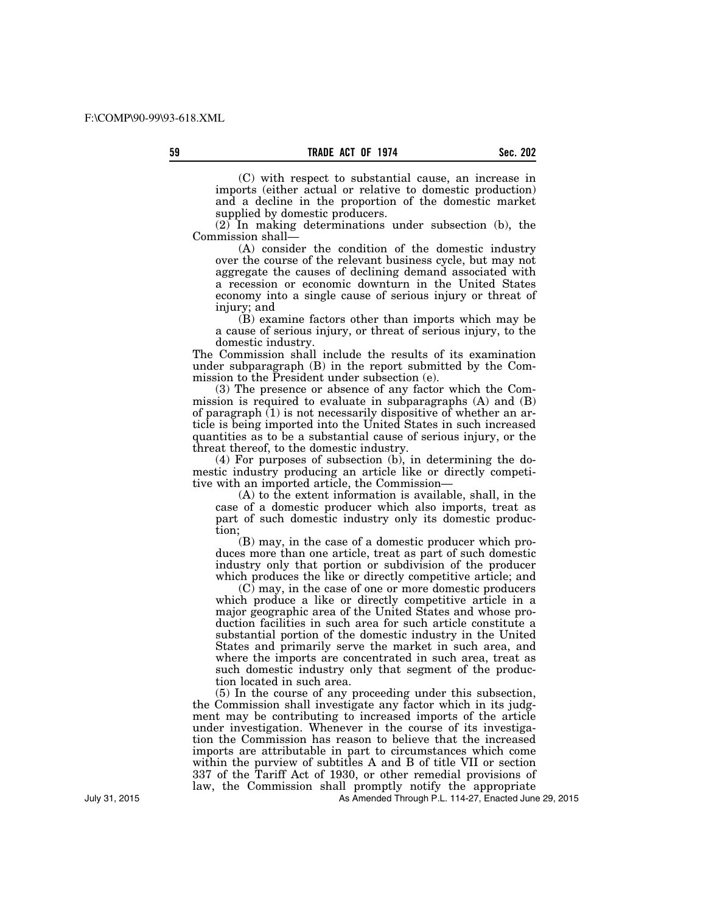(C) with respect to substantial cause, an increase in imports (either actual or relative to domestic production) and a decline in the proportion of the domestic market supplied by domestic producers.

(2) In making determinations under subsection (b), the Commission shall—

(A) consider the condition of the domestic industry over the course of the relevant business cycle, but may not aggregate the causes of declining demand associated with a recession or economic downturn in the United States economy into a single cause of serious injury or threat of injury; and

(B) examine factors other than imports which may be a cause of serious injury, or threat of serious injury, to the domestic industry.

The Commission shall include the results of its examination under subparagraph (B) in the report submitted by the Commission to the President under subsection (e).

(3) The presence or absence of any factor which the Commission is required to evaluate in subparagraphs (A) and (B) of paragraph (1) is not necessarily dispositive of whether an article is being imported into the United States in such increased quantities as to be a substantial cause of serious injury, or the threat thereof, to the domestic industry.

(4) For purposes of subsection (b), in determining the domestic industry producing an article like or directly competitive with an imported article, the Commission—

(A) to the extent information is available, shall, in the case of a domestic producer which also imports, treat as part of such domestic industry only its domestic production;

(B) may, in the case of a domestic producer which produces more than one article, treat as part of such domestic industry only that portion or subdivision of the producer which produces the like or directly competitive article; and

(C) may, in the case of one or more domestic producers which produce a like or directly competitive article in a major geographic area of the United States and whose production facilities in such area for such article constitute a substantial portion of the domestic industry in the United States and primarily serve the market in such area, and where the imports are concentrated in such area, treat as such domestic industry only that segment of the production located in such area.

(5) In the course of any proceeding under this subsection, the Commission shall investigate any factor which in its judgment may be contributing to increased imports of the article under investigation. Whenever in the course of its investigation the Commission has reason to believe that the increased imports are attributable in part to circumstances which come within the purview of subtitles A and B of title VII or section 337 of the Tariff Act of 1930, or other remedial provisions of law, the Commission shall promptly notify the appropriate

As Amended Through P.L. 114-27, Enacted June 29, 2015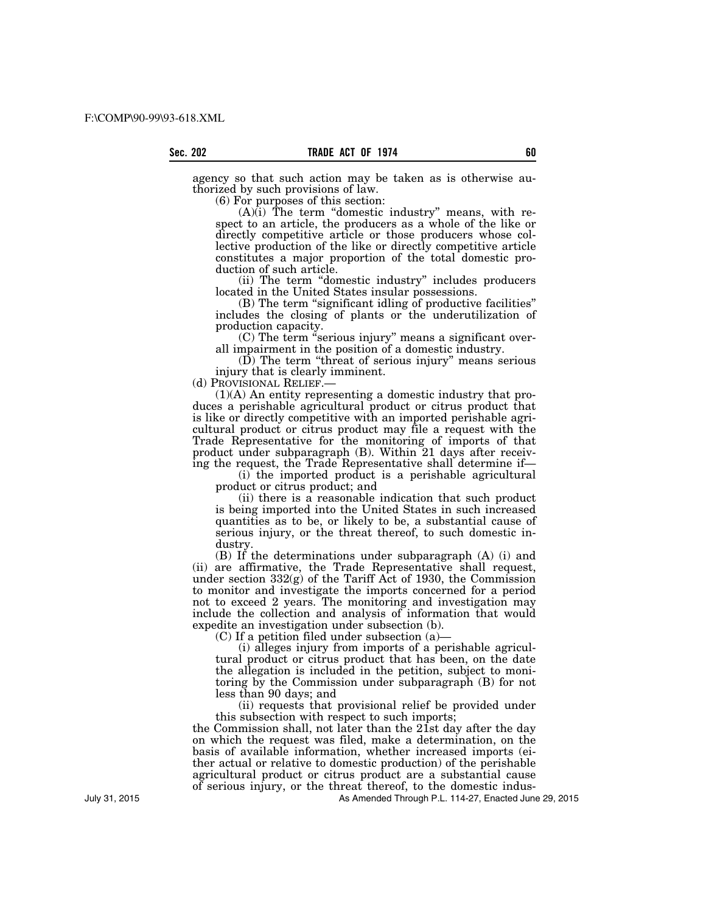agency so that such action may be taken as is otherwise authorized by such provisions of law.

(6) For purposes of this section:

 $(A)$  $(i)$  The term "domestic industry" means, with respect to an article, the producers as a whole of the like or directly competitive article or those producers whose collective production of the like or directly competitive article constitutes a major proportion of the total domestic production of such article.

(ii) The term ''domestic industry'' includes producers located in the United States insular possessions.

(B) The term "significant idling of productive facilities" includes the closing of plants or the underutilization of production capacity.

(C) The term ''serious injury'' means a significant overall impairment in the position of a domestic industry.

(D) The term ''threat of serious injury'' means serious injury that is clearly imminent.

(d) PROVISIONAL RELIEF.—<br>(1)(A) An entity representing a domestic industry that produces a perishable agricultural product or citrus product that is like or directly competitive with an imported perishable agricultural product or citrus product may file a request with the Trade Representative for the monitoring of imports of that product under subparagraph (B). Within 21 days after receiving the request, the Trade Representative shall determine if—

(i) the imported product is a perishable agricultural product or citrus product; and

(ii) there is a reasonable indication that such product is being imported into the United States in such increased quantities as to be, or likely to be, a substantial cause of serious injury, or the threat thereof, to such domestic industry.

(B) If the determinations under subparagraph (A) (i) and (ii) are affirmative, the Trade Representative shall request, under section 332(g) of the Tariff Act of 1930, the Commission to monitor and investigate the imports concerned for a period not to exceed 2 years. The monitoring and investigation may include the collection and analysis of information that would expedite an investigation under subsection (b).

(C) If a petition filed under subsection (a)—

(i) alleges injury from imports of a perishable agricultural product or citrus product that has been, on the date the allegation is included in the petition, subject to monitoring by the Commission under subparagraph (B) for not less than 90 days; and

(ii) requests that provisional relief be provided under this subsection with respect to such imports;

the Commission shall, not later than the 21st day after the day on which the request was filed, make a determination, on the basis of available information, whether increased imports (either actual or relative to domestic production) of the perishable agricultural product or citrus product are a substantial cause of serious injury, or the threat thereof, to the domestic indus-

As Amended Through P.L. 114-27, Enacted June 29, 2015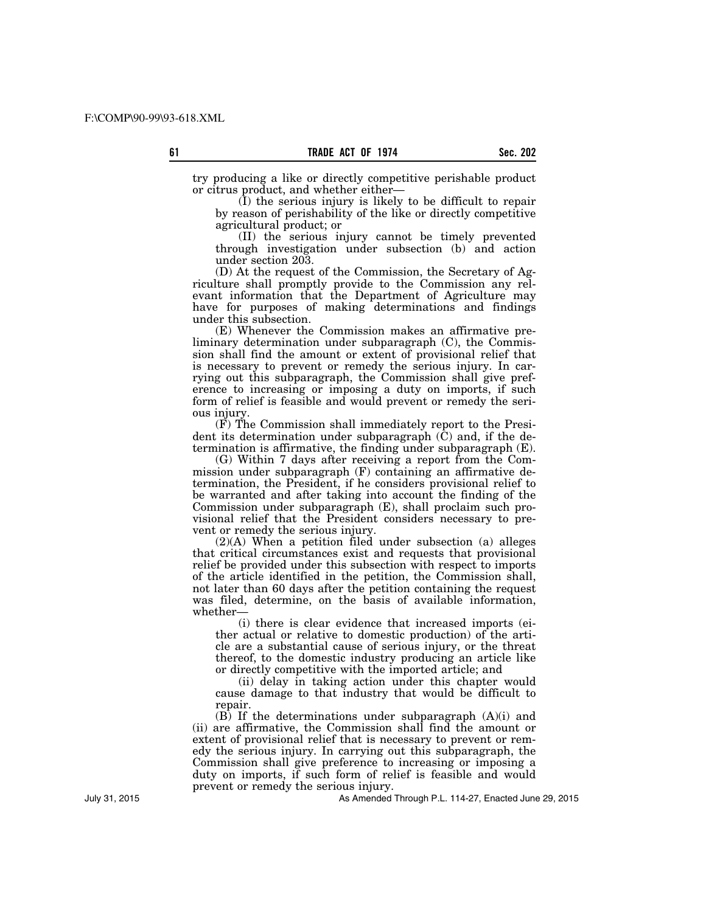try producing a like or directly competitive perishable product or citrus product, and whether either—

(I) the serious injury is likely to be difficult to repair by reason of perishability of the like or directly competitive agricultural product; or

(II) the serious injury cannot be timely prevented through investigation under subsection (b) and action under section 203.

(D) At the request of the Commission, the Secretary of Agriculture shall promptly provide to the Commission any relevant information that the Department of Agriculture may have for purposes of making determinations and findings under this subsection.

(E) Whenever the Commission makes an affirmative preliminary determination under subparagraph (C), the Commission shall find the amount or extent of provisional relief that is necessary to prevent or remedy the serious injury. In carrying out this subparagraph, the Commission shall give preference to increasing or imposing a duty on imports, if such form of relief is feasible and would prevent or remedy the serious injury.

(F) The Commission shall immediately report to the President its determination under subparagraph  $(\bar{C})$  and, if the determination is affirmative, the finding under subparagraph (E).

(G) Within 7 days after receiving a report from the Commission under subparagraph (F) containing an affirmative determination, the President, if he considers provisional relief to be warranted and after taking into account the finding of the Commission under subparagraph (E), shall proclaim such provisional relief that the President considers necessary to prevent or remedy the serious injury.

(2)(A) When a petition filed under subsection (a) alleges that critical circumstances exist and requests that provisional relief be provided under this subsection with respect to imports of the article identified in the petition, the Commission shall, not later than 60 days after the petition containing the request was filed, determine, on the basis of available information, whether—

(i) there is clear evidence that increased imports (either actual or relative to domestic production) of the article are a substantial cause of serious injury, or the threat thereof, to the domestic industry producing an article like or directly competitive with the imported article; and

(ii) delay in taking action under this chapter would cause damage to that industry that would be difficult to repair.

(B) If the determinations under subparagraph (A)(i) and (ii) are affirmative, the Commission shall find the amount or extent of provisional relief that is necessary to prevent or remedy the serious injury. In carrying out this subparagraph, the Commission shall give preference to increasing or imposing a duty on imports, if such form of relief is feasible and would prevent or remedy the serious injury.

As Amended Through P.L. 114-27, Enacted June 29, 2015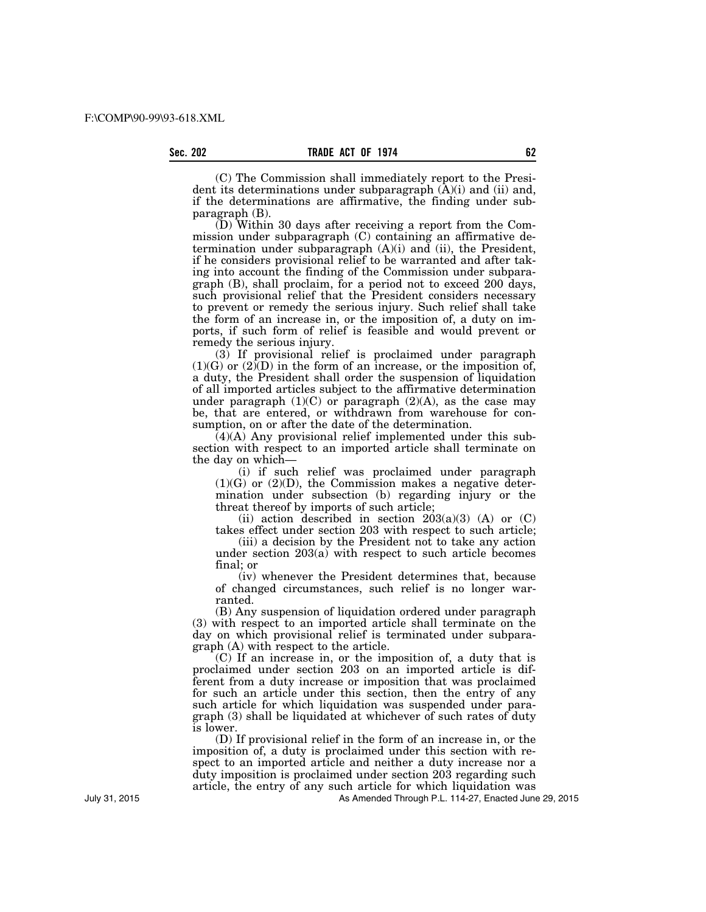(C) The Commission shall immediately report to the President its determinations under subparagraph (A)(i) and (ii) and, if the determinations are affirmative, the finding under subparagraph (B).

(D) Within 30 days after receiving a report from the Commission under subparagraph (C) containing an affirmative determination under subparagraph (A)(i) and (ii), the President, if he considers provisional relief to be warranted and after taking into account the finding of the Commission under subparagraph (B), shall proclaim, for a period not to exceed 200 days, such provisional relief that the President considers necessary to prevent or remedy the serious injury. Such relief shall take the form of an increase in, or the imposition of, a duty on imports, if such form of relief is feasible and would prevent or remedy the serious injury.

(3) If provisional relief is proclaimed under paragraph  $(1)(G)$  or  $(2)(D)$  in the form of an increase, or the imposition of, a duty, the President shall order the suspension of liquidation of all imported articles subject to the affirmative determination under paragraph  $(1)(C)$  or paragraph  $(2)(A)$ , as the case may be, that are entered, or withdrawn from warehouse for consumption, on or after the date of the determination.

 $(4)(A)$  Any provisional relief implemented under this subsection with respect to an imported article shall terminate on the day on which—

(i) if such relief was proclaimed under paragraph  $(1)(G)$  or  $(2)(D)$ , the Commission makes a negative determination under subsection (b) regarding injury or the threat thereof by imports of such article;

(ii) action described in section  $203(a)(3)$  (A) or (C) takes effect under section 203 with respect to such article;

(iii) a decision by the President not to take any action under section 203(a) with respect to such article becomes final; or

(iv) whenever the President determines that, because of changed circumstances, such relief is no longer warranted.

(B) Any suspension of liquidation ordered under paragraph (3) with respect to an imported article shall terminate on the day on which provisional relief is terminated under subparagraph (A) with respect to the article.

(C) If an increase in, or the imposition of, a duty that is proclaimed under section 203 on an imported article is different from a duty increase or imposition that was proclaimed for such an article under this section, then the entry of any such article for which liquidation was suspended under paragraph (3) shall be liquidated at whichever of such rates of duty is lower.

(D) If provisional relief in the form of an increase in, or the imposition of, a duty is proclaimed under this section with respect to an imported article and neither a duty increase nor a duty imposition is proclaimed under section 203 regarding such article, the entry of any such article for which liquidation was

As Amended Through P.L. 114-27, Enacted June 29, 2015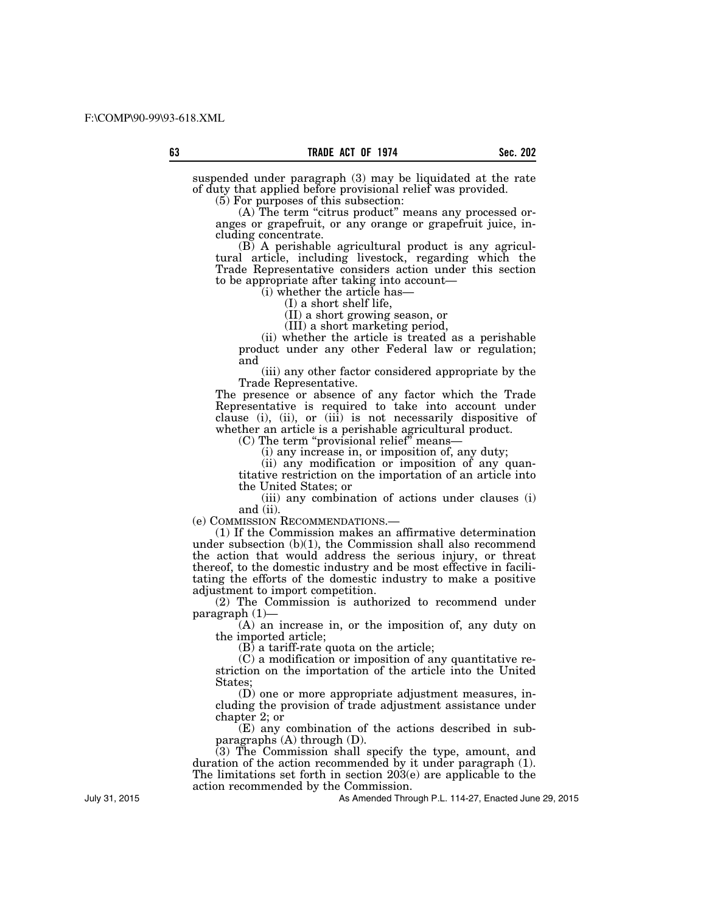suspended under paragraph (3) may be liquidated at the rate of duty that applied before provisional relief was provided.

(5) For purposes of this subsection:

(A) The term "citrus product" means any processed oranges or grapefruit, or any orange or grapefruit juice, including concentrate.

(B) A perishable agricultural product is any agricultural article, including livestock, regarding which the Trade Representative considers action under this section to be appropriate after taking into account—

(i) whether the article has—

(I) a short shelf life,

(II) a short growing season, or

(III) a short marketing period,

(ii) whether the article is treated as a perishable product under any other Federal law or regulation; and

(iii) any other factor considered appropriate by the Trade Representative.

The presence or absence of any factor which the Trade Representative is required to take into account under clause (i), (ii), or (iii) is not necessarily dispositive of whether an article is a perishable agricultural product.

(C) The term ''provisional relief'' means—

(i) any increase in, or imposition of, any duty;

(ii) any modification or imposition of any quantitative restriction on the importation of an article into the United States; or

(iii) any combination of actions under clauses (i)

and (ii).<br>(e) COMMISSION RECOMMENDATIONS.—

 $(1)$  If the Commission makes an affirmative determination under subsection (b)(1), the Commission shall also recommend the action that would address the serious injury, or threat thereof, to the domestic industry and be most effective in facilitating the efforts of the domestic industry to make a positive adjustment to import competition.

(2) The Commission is authorized to recommend under paragraph (1)—

(A) an increase in, or the imposition of, any duty on the imported article;

(B) a tariff-rate quota on the article;

(C) a modification or imposition of any quantitative restriction on the importation of the article into the United States;

(D) one or more appropriate adjustment measures, including the provision of trade adjustment assistance under chapter 2; or

(E) any combination of the actions described in subparagraphs (A) through (D).

(3) The Commission shall specify the type, amount, and duration of the action recommended by it under paragraph (1). The limitations set forth in section 203(e) are applicable to the action recommended by the Commission.

As Amended Through P.L. 114-27, Enacted June 29, 2015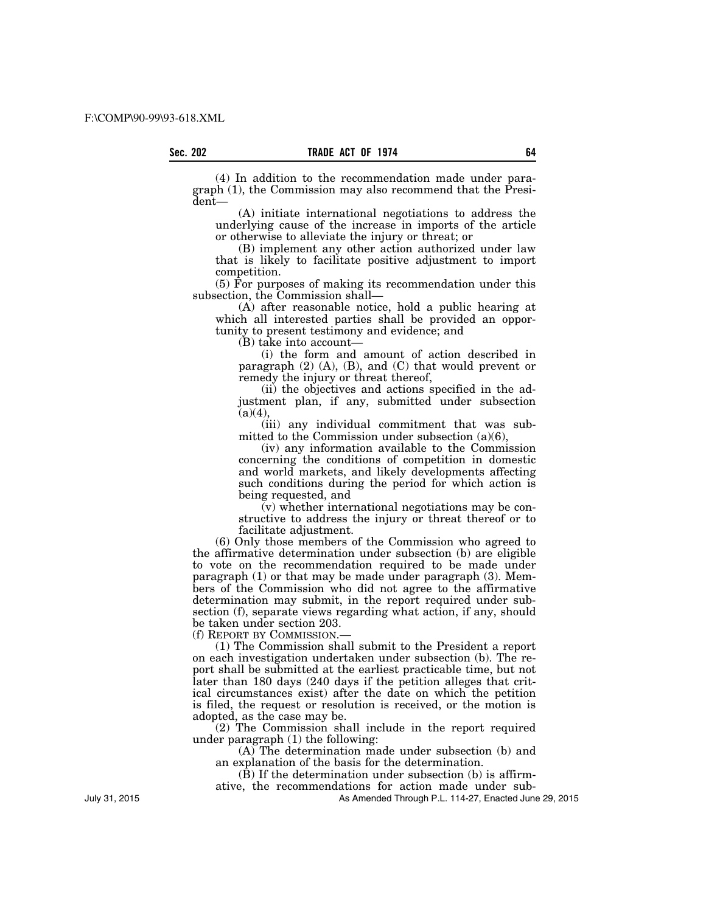(4) In addition to the recommendation made under paragraph  $(1)$ , the Commission may also recommend that the President—

(A) initiate international negotiations to address the underlying cause of the increase in imports of the article or otherwise to alleviate the injury or threat; or

(B) implement any other action authorized under law that is likely to facilitate positive adjustment to import competition.

(5) For purposes of making its recommendation under this subsection, the Commission shall—

(A) after reasonable notice, hold a public hearing at which all interested parties shall be provided an opportunity to present testimony and evidence; and

(B) take into account—

(i) the form and amount of action described in paragraph  $(2)$   $(A)$ ,  $(B)$ , and  $(C)$  that would prevent or remedy the injury or threat thereof,

(ii) the objectives and actions specified in the adjustment plan, if any, submitted under subsection  $(a)(4)$ 

(iii) any individual commitment that was submitted to the Commission under subsection (a)(6),

(iv) any information available to the Commission concerning the conditions of competition in domestic and world markets, and likely developments affecting such conditions during the period for which action is being requested, and

 $\bar{v}(v)$  whether international negotiations may be constructive to address the injury or threat thereof or to facilitate adjustment.

(6) Only those members of the Commission who agreed to the affirmative determination under subsection (b) are eligible to vote on the recommendation required to be made under paragraph (1) or that may be made under paragraph (3). Members of the Commission who did not agree to the affirmative determination may submit, in the report required under subsection (f), separate views regarding what action, if any, should be taken under section 203.

(f) REPORT BY COMMISSION.—

(1) The Commission shall submit to the President a report on each investigation undertaken under subsection (b). The report shall be submitted at the earliest practicable time, but not later than 180 days (240 days if the petition alleges that critical circumstances exist) after the date on which the petition is filed, the request or resolution is received, or the motion is adopted, as the case may be.

(2) The Commission shall include in the report required under paragraph (1) the following:

(A) The determination made under subsection (b) and an explanation of the basis for the determination.

(B) If the determination under subsection (b) is affirm-

ative, the recommendations for action made under sub-As Amended Through P.L. 114-27, Enacted June 29, 2015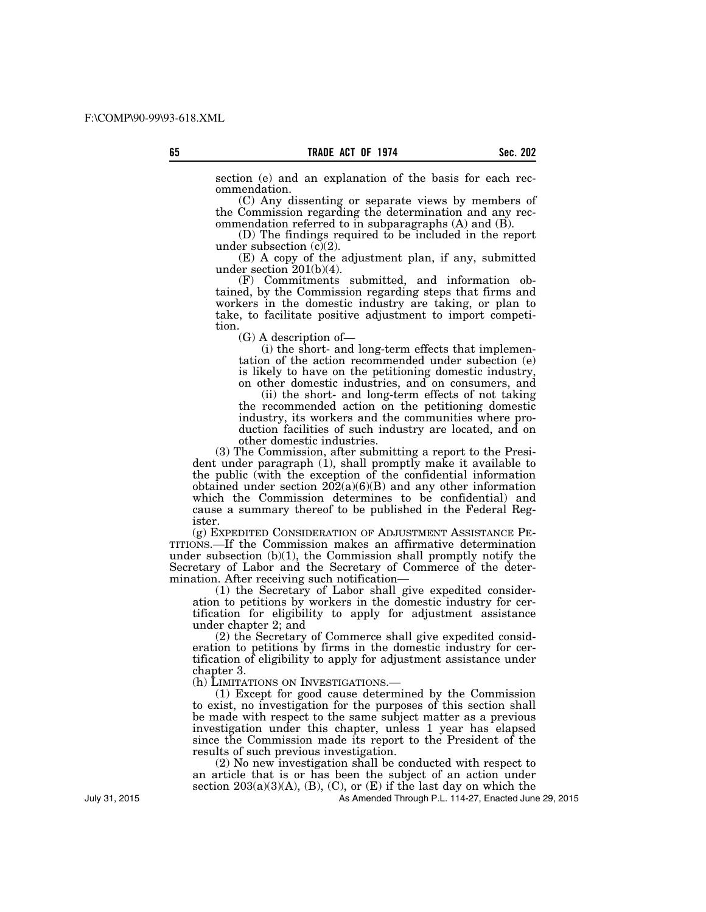section (e) and an explanation of the basis for each recommendation.

(C) Any dissenting or separate views by members of the Commission regarding the determination and any recommendation referred to in subparagraphs (A) and (B).

(D) The findings required to be included in the report under subsection  $(c)(2)$ .

(E) A copy of the adjustment plan, if any, submitted under section 201(b)(4).

(F) Commitments submitted, and information obtained, by the Commission regarding steps that firms and workers in the domestic industry are taking, or plan to take, to facilitate positive adjustment to import competition.

(G) A description of—

(i) the short- and long-term effects that implementation of the action recommended under subection (e) is likely to have on the petitioning domestic industry, on other domestic industries, and on consumers, and

(ii) the short- and long-term effects of not taking the recommended action on the petitioning domestic industry, its workers and the communities where production facilities of such industry are located, and on other domestic industries.

(3) The Commission, after submitting a report to the President under paragraph (1), shall promptly make it available to the public (with the exception of the confidential information obtained under section  $202(a)(6)(B)$  and any other information which the Commission determines to be confidential) and cause a summary thereof to be published in the Federal Register.

(g) EXPEDITED CONSIDERATION OF ADJUSTMENT ASSISTANCE PE-TITIONS.—If the Commission makes an affirmative determination under subsection  $(b)(1)$ , the Commission shall promptly notify the Secretary of Labor and the Secretary of Commerce of the determination. After receiving such notification—

(1) the Secretary of Labor shall give expedited consideration to petitions by workers in the domestic industry for certification for eligibility to apply for adjustment assistance under chapter 2; and

(2) the Secretary of Commerce shall give expedited consideration to petitions by firms in the domestic industry for certification of eligibility to apply for adjustment assistance under chapter 3.

(h) LIMITATIONS ON INVESTIGATIONS.—

(1) Except for good cause determined by the Commission to exist, no investigation for the purposes of this section shall be made with respect to the same subject matter as a previous investigation under this chapter, unless 1 year has elapsed since the Commission made its report to the President of the results of such previous investigation.

(2) No new investigation shall be conducted with respect to an article that is or has been the subject of an action under section  $203(a)(3)(A)$ ,  $(B)$ ,  $(C)$ , or  $(E)$  if the last day on which the

As Amended Through P.L. 114-27, Enacted June 29, 2015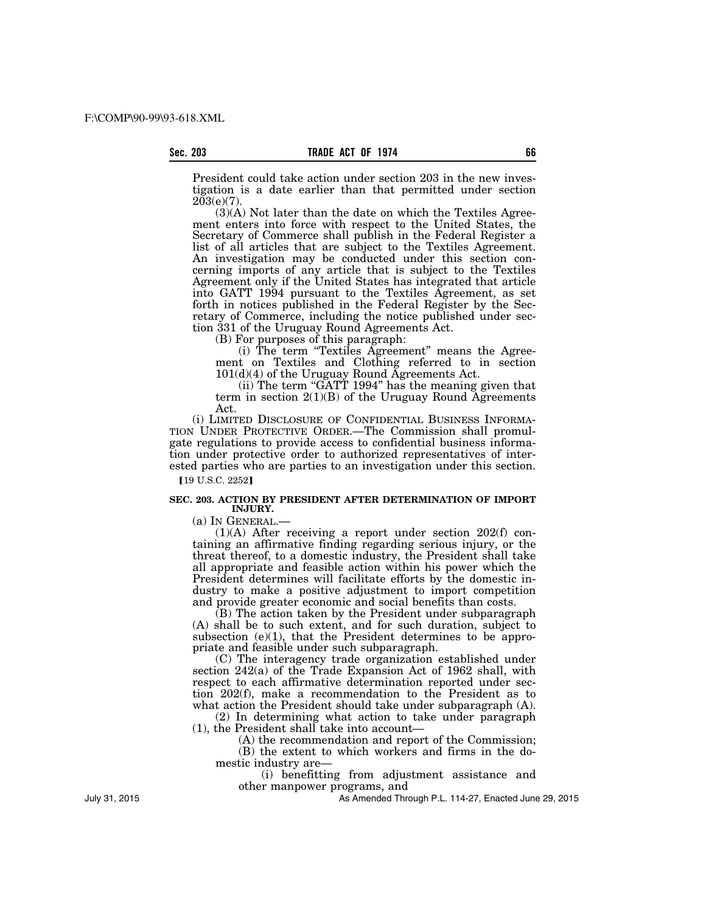President could take action under section 203 in the new investigation is a date earlier than that permitted under section  $203(e)(7)$ .

(3)(A) Not later than the date on which the Textiles Agreement enters into force with respect to the United States, the Secretary of Commerce shall publish in the Federal Register a list of all articles that are subject to the Textiles Agreement. An investigation may be conducted under this section concerning imports of any article that is subject to the Textiles Agreement only if the United States has integrated that article into GATT 1994 pursuant to the Textiles Agreement, as set forth in notices published in the Federal Register by the Secretary of Commerce, including the notice published under section 331 of the Uruguay Round Agreements Act.

(B) For purposes of this paragraph:

(i) The term "Textiles Agreement" means the Agreement on Textiles and Clothing referred to in section  $101(d)(4)$  of the Uruguay Round Agreements Act.

(ii) The term ''GATT 1994'' has the meaning given that term in section  $2(1)(B)$  of the Uruguay Round Agreements Act.

(i) LIMITED DISCLOSURE OF CONFIDENTIAL BUSINESS INFORMA- TION UNDER PROTECTIVE ORDER.—The Commission shall promulgate regulations to provide access to confidential business information under protective order to authorized representatives of interested parties who are parties to an investigation under this section.

ø19 U.S.C. 2252¿

#### **SEC. 203. ACTION BY PRESIDENT AFTER DETERMINATION OF IMPORT INJURY.**

(a) IN GENERAL.—<br>(1)(A) After receiving a report under section 202(f) containing an affirmative finding regarding serious injury, or the threat thereof, to a domestic industry, the President shall take all appropriate and feasible action within his power which the President determines will facilitate efforts by the domestic industry to make a positive adjustment to import competition and provide greater economic and social benefits than costs.

(B) The action taken by the President under subparagraph (A) shall be to such extent, and for such duration, subject to subsection (e)(1), that the President determines to be appropriate and feasible under such subparagraph.

(C) The interagency trade organization established under section 242(a) of the Trade Expansion Act of 1962 shall, with respect to each affirmative determination reported under section 202(f), make a recommendation to the President as to what action the President should take under subparagraph (A).

(2) In determining what action to take under paragraph (1), the President shall take into account—

(A) the recommendation and report of the Commission;

(B) the extent to which workers and firms in the domestic industry are—

(i) benefitting from adjustment assistance and other manpower programs, and

As Amended Through P.L. 114-27, Enacted June 29, 2015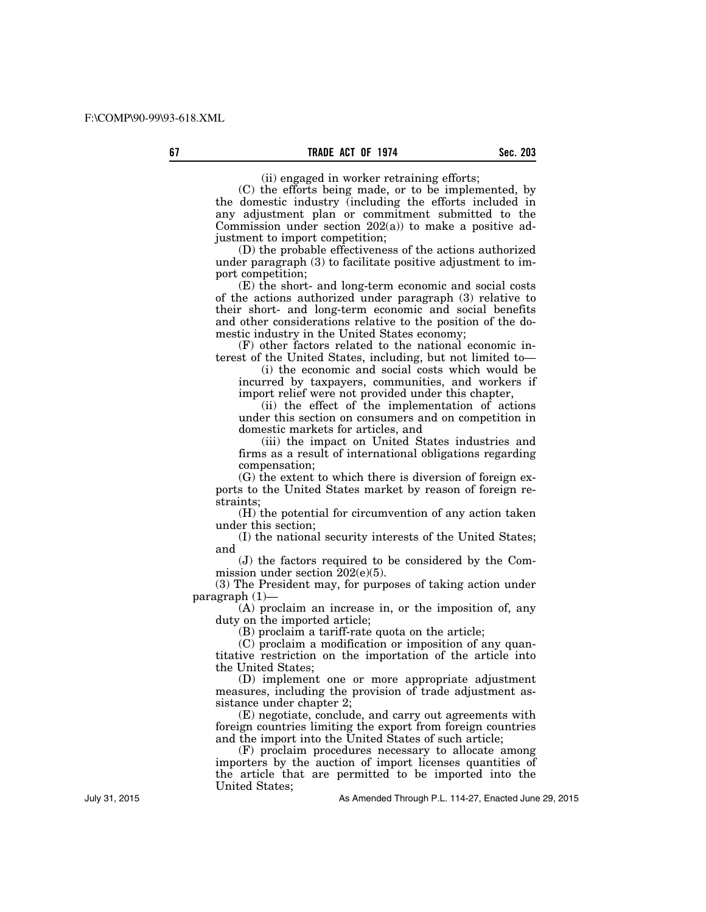(ii) engaged in worker retraining efforts;

(C) the efforts being made, or to be implemented, by the domestic industry (including the efforts included in any adjustment plan or commitment submitted to the Commission under section  $202(a)$  to make a positive adjustment to import competition;

(D) the probable effectiveness of the actions authorized under paragraph (3) to facilitate positive adjustment to import competition;

(E) the short- and long-term economic and social costs of the actions authorized under paragraph (3) relative to their short- and long-term economic and social benefits and other considerations relative to the position of the domestic industry in the United States economy;

(F) other factors related to the national economic interest of the United States, including, but not limited to—

(i) the economic and social costs which would be incurred by taxpayers, communities, and workers if import relief were not provided under this chapter,

(ii) the effect of the implementation of actions under this section on consumers and on competition in domestic markets for articles, and

(iii) the impact on United States industries and firms as a result of international obligations regarding compensation;

(G) the extent to which there is diversion of foreign exports to the United States market by reason of foreign restraints;

(H) the potential for circumvention of any action taken under this section;

(I) the national security interests of the United States; and

(J) the factors required to be considered by the Commission under section 202(e)(5).

(3) The President may, for purposes of taking action under paragraph (1)—

(A) proclaim an increase in, or the imposition of, any duty on the imported article;

(B) proclaim a tariff-rate quota on the article;

(C) proclaim a modification or imposition of any quantitative restriction on the importation of the article into the United States;

(D) implement one or more appropriate adjustment measures, including the provision of trade adjustment assistance under chapter 2;

(E) negotiate, conclude, and carry out agreements with foreign countries limiting the export from foreign countries and the import into the United States of such article;

(F) proclaim procedures necessary to allocate among importers by the auction of import licenses quantities of the article that are permitted to be imported into the United States;

As Amended Through P.L. 114-27, Enacted June 29, 2015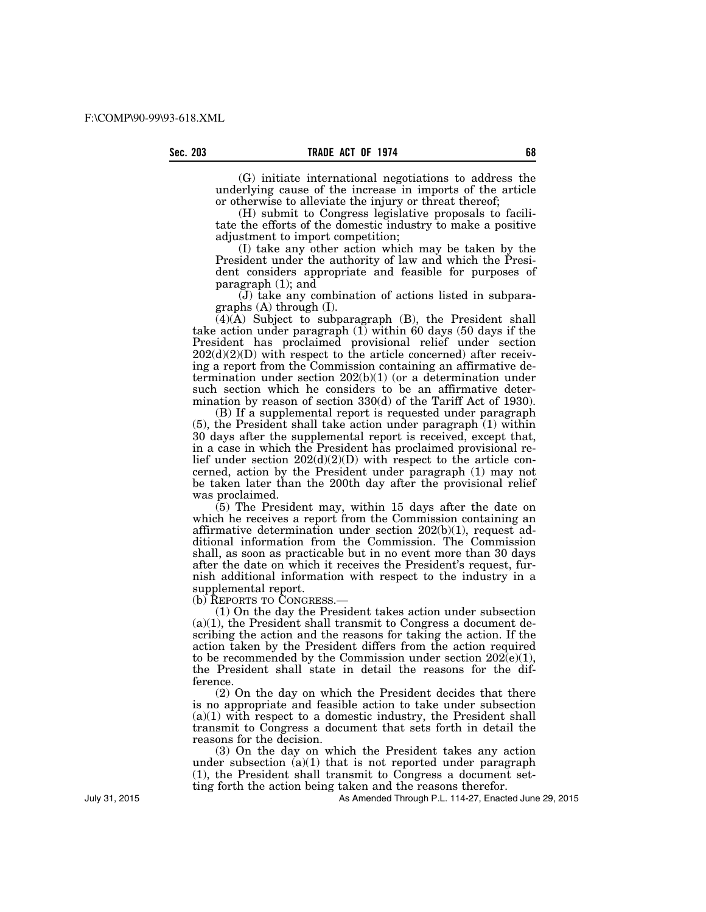(G) initiate international negotiations to address the underlying cause of the increase in imports of the article or otherwise to alleviate the injury or threat thereof;

(H) submit to Congress legislative proposals to facilitate the efforts of the domestic industry to make a positive adjustment to import competition;

(I) take any other action which may be taken by the President under the authority of law and which the President considers appropriate and feasible for purposes of paragraph (1); and

(J) take any combination of actions listed in subparagraphs (A) through (I).

 $(4)(\overline{A})$  Subject to subparagraph (B), the President shall take action under paragraph (1) within 60 days (50 days if the President has proclaimed provisional relief under section  $202(d)(2)(D)$  with respect to the article concerned) after receiving a report from the Commission containing an affirmative determination under section 202(b)(1) (or a determination under such section which he considers to be an affirmative determination by reason of section 330(d) of the Tariff Act of 1930).

(B) If a supplemental report is requested under paragraph (5), the President shall take action under paragraph (1) within 30 days after the supplemental report is received, except that, in a case in which the President has proclaimed provisional relief under section 202(d)(2)(D) with respect to the article concerned, action by the President under paragraph (1) may not be taken later than the 200th day after the provisional relief was proclaimed.

(5) The President may, within 15 days after the date on which he receives a report from the Commission containing an affirmative determination under section 202(b)(1), request additional information from the Commission. The Commission shall, as soon as practicable but in no event more than 30 days after the date on which it receives the President's request, furnish additional information with respect to the industry in a supplemental report.

(b) REPORTS TO CONGRESS.—

(1) On the day the President takes action under subsection  $(a)(1)$ , the President shall transmit to Congress a document describing the action and the reasons for taking the action. If the action taken by the President differs from the action required to be recommended by the Commission under section  $202(e)(1)$ , the President shall state in detail the reasons for the difference.

(2) On the day on which the President decides that there is no appropriate and feasible action to take under subsection  $(a)(1)$  with respect to a domestic industry, the President shall transmit to Congress a document that sets forth in detail the reasons for the decision.

(3) On the day on which the President takes any action under subsection  $(a)(1)$  that is not reported under paragraph (1), the President shall transmit to Congress a document setting forth the action being taken and the reasons therefor.

As Amended Through P.L. 114-27, Enacted June 29, 2015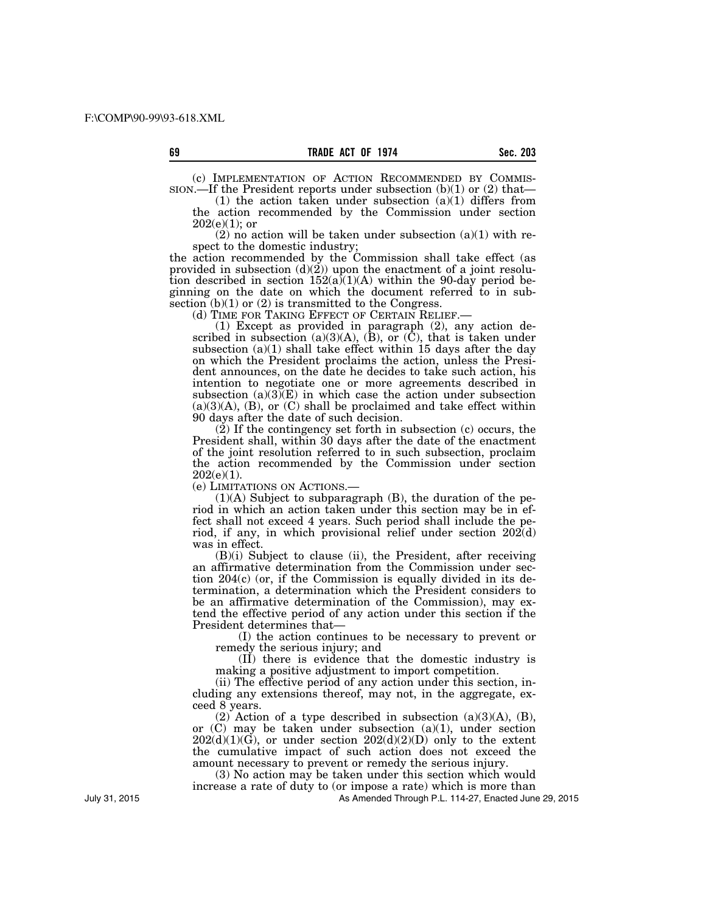(c) IMPLEMENTATION OF ACTION RECOMMENDED BY COMMISSION.—If the President reports under subsection (b)(1) or (2) that—

(1) the action taken under subsection  $(a)(1)$  differs from the action recommended by the Commission under section  $202(e)(1)$ ; or

 $(2)$  no action will be taken under subsection  $(a)(1)$  with respect to the domestic industry;

the action recommended by the Commission shall take effect (as provided in subsection  $(d)(2)$  upon the enactment of a joint resolution described in section  $152(a)(1)(A)$  within the 90-day period beginning on the date on which the document referred to in subsection (b)(1) or (2) is transmitted to the Congress.<br>(d) TIME FOR TAKING EFFECT OF CERTAIN RELIEF.

(1) Except as provided in paragraph (2), any action described in subsection (a)(3)(A),  $(B)$ , or  $(C)$ , that is taken under subsection  $(a)(1)$  shall take effect within 15 days after the day on which the President proclaims the action, unless the President announces, on the date he decides to take such action, his intention to negotiate one or more agreements described in subsection  $(a)(3)(E)$  in which case the action under subsection  $(a)(3)(A)$ ,  $(B)$ , or  $(C)$  shall be proclaimed and take effect within 90 days after the date of such decision.

 $(2)$  If the contingency set forth in subsection  $(c)$  occurs, the President shall, within 30 days after the date of the enactment of the joint resolution referred to in such subsection, proclaim the action recommended by the Commission under section

202(e)(1).<br>(e) LIMITATIONS ON ACTIONS.—

 $(1)(A)$  Subject to subparagraph  $(B)$ , the duration of the period in which an action taken under this section may be in effect shall not exceed 4 years. Such period shall include the period, if any, in which provisional relief under section 202(d) was in effect.

(B)(i) Subject to clause (ii), the President, after receiving an affirmative determination from the Commission under section 204(c) (or, if the Commission is equally divided in its determination, a determination which the President considers to be an affirmative determination of the Commission), may extend the effective period of any action under this section if the President determines that—

(I) the action continues to be necessary to prevent or remedy the serious injury; and

(II) there is evidence that the domestic industry is making a positive adjustment to import competition.

(ii) The effective period of any action under this section, including any extensions thereof, may not, in the aggregate, exceed 8 years.

(2) Action of a type described in subsection  $(a)(3)(A)$ ,  $(B)$ , or  $(C)$  may be taken under subsection  $(a)(1)$ , under section  $202(d)(1)(G)$ , or under section  $202(d)(2)(D)$  only to the extent the cumulative impact of such action does not exceed the amount necessary to prevent or remedy the serious injury.

(3) No action may be taken under this section which would increase a rate of duty to (or impose a rate) which is more than

As Amended Through P.L. 114-27, Enacted June 29, 2015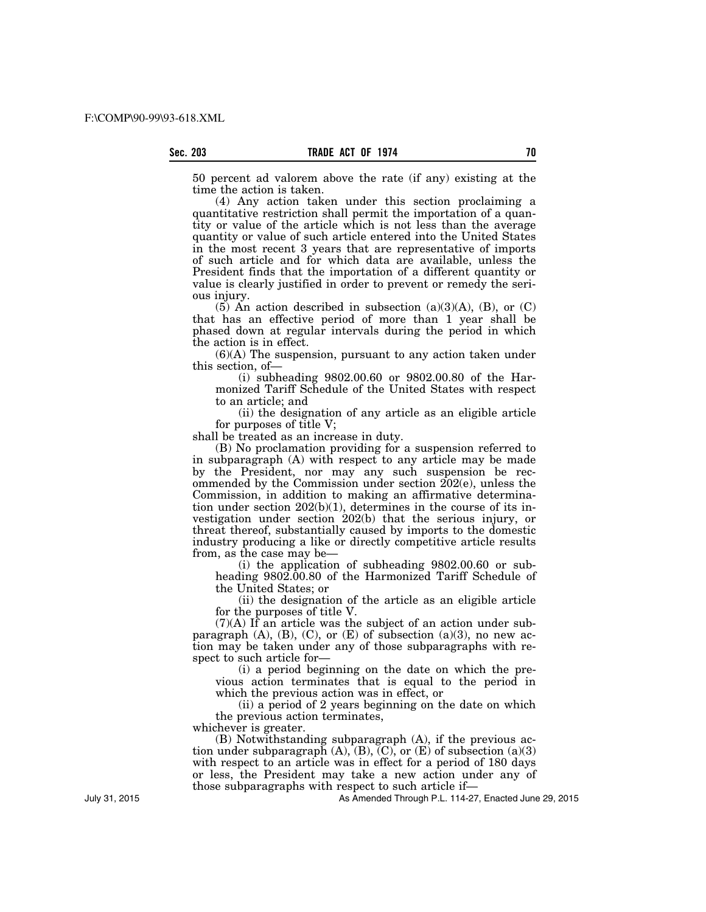50 percent ad valorem above the rate (if any) existing at the time the action is taken.

(4) Any action taken under this section proclaiming a quantitative restriction shall permit the importation of a quantity or value of the article which is not less than the average quantity or value of such article entered into the United States in the most recent 3 years that are representative of imports of such article and for which data are available, unless the President finds that the importation of a different quantity or value is clearly justified in order to prevent or remedy the serious injury.

 $(5)$  An action described in subsection  $(a)(3)(A)$ ,  $(B)$ , or  $(C)$ that has an effective period of more than 1 year shall be phased down at regular intervals during the period in which the action is in effect.

(6)(A) The suspension, pursuant to any action taken under this section, of—

(i) subheading 9802.00.60 or 9802.00.80 of the Harmonized Tariff Schedule of the United States with respect to an article; and

(ii) the designation of any article as an eligible article for purposes of title V;

shall be treated as an increase in duty.

(B) No proclamation providing for a suspension referred to in subparagraph (A) with respect to any article may be made by the President, nor may any such suspension be recommended by the Commission under section 202(e), unless the Commission, in addition to making an affirmative determination under section 202(b)(1), determines in the course of its investigation under section 202(b) that the serious injury, or threat thereof, substantially caused by imports to the domestic industry producing a like or directly competitive article results from, as the case may be—

(i) the application of subheading 9802.00.60 or subheading 9802.00.80 of the Harmonized Tariff Schedule of the United States; or

(ii) the designation of the article as an eligible article for the purposes of title V.

(7)(A) If an article was the subject of an action under subparagraph  $(A)$ ,  $(B)$ ,  $(C)$ , or  $(E)$  of subsection  $(a)(3)$ , no new action may be taken under any of those subparagraphs with respect to such article for—

(i) a period beginning on the date on which the previous action terminates that is equal to the period in which the previous action was in effect, or

(ii) a period of 2 years beginning on the date on which the previous action terminates,

whichever is greater.

(B) Notwithstanding subparagraph (A), if the previous action under subparagraph  $(A)$ ,  $(B)$ ,  $(C)$ , or  $(E)$  of subsection  $(a)(3)$ with respect to an article was in effect for a period of 180 days or less, the President may take a new action under any of those subparagraphs with respect to such article if—

As Amended Through P.L. 114-27, Enacted June 29, 2015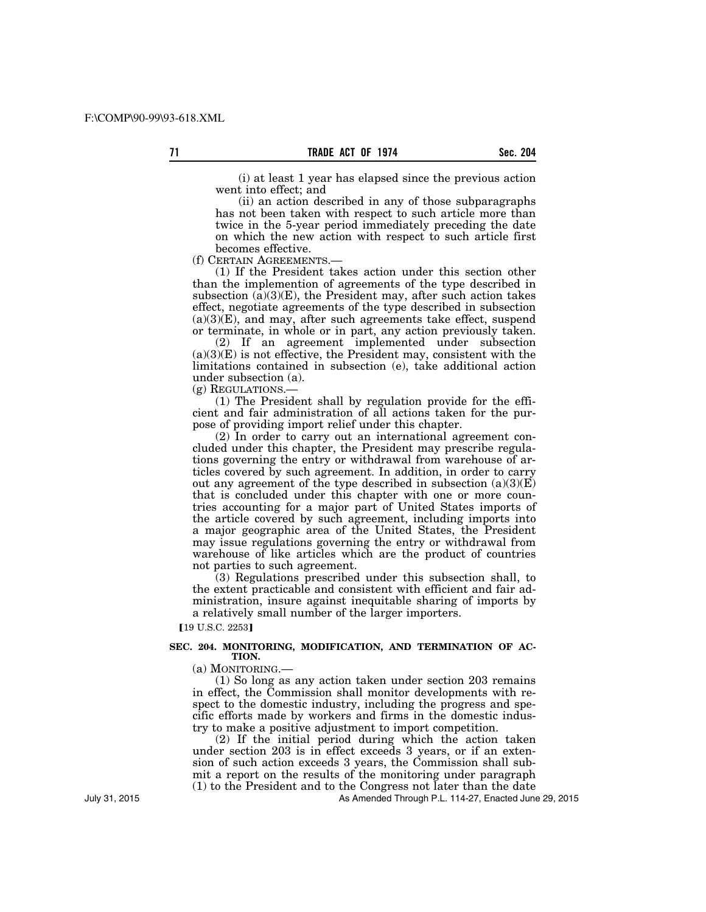(i) at least 1 year has elapsed since the previous action went into effect; and

(ii) an action described in any of those subparagraphs has not been taken with respect to such article more than twice in the 5-year period immediately preceding the date on which the new action with respect to such article first becomes effective.

(f) CERTAIN AGREEMENTS.—

(1) If the President takes action under this section other than the implemention of agreements of the type described in subsection  $(a)(3)(E)$ , the President may, after such action takes effect, negotiate agreements of the type described in subsection  $(a)(3)(E)$ , and may, after such agreements take effect, suspend or terminate, in whole or in part, any action previously taken.

(2) If an agreement implemented under subsection  $(a)(3)(E)$  is not effective, the President may, consistent with the limitations contained in subsection (e), take additional action under subsection (a).

(g) REGULATIONS.—

(1) The President shall by regulation provide for the efficient and fair administration of all actions taken for the purpose of providing import relief under this chapter.

(2) In order to carry out an international agreement concluded under this chapter, the President may prescribe regulations governing the entry or withdrawal from warehouse of articles covered by such agreement. In addition, in order to carry out any agreement of the type described in subsection  $(a)(3)(E)$ that is concluded under this chapter with one or more countries accounting for a major part of United States imports of the article covered by such agreement, including imports into a major geographic area of the United States, the President may issue regulations governing the entry or withdrawal from warehouse of like articles which are the product of countries not parties to such agreement.

(3) Regulations prescribed under this subsection shall, to the extent practicable and consistent with efficient and fair administration, insure against inequitable sharing of imports by a relatively small number of the larger importers.

[19 U.S.C. 2253]

## **SEC. 204. MONITORING, MODIFICATION, AND TERMINATION OF AC-TION.**

(a) MONITORING.—

(1) So long as any action taken under section 203 remains in effect, the Commission shall monitor developments with respect to the domestic industry, including the progress and specific efforts made by workers and firms in the domestic industry to make a positive adjustment to import competition.

(2) If the initial period during which the action taken under section 203 is in effect exceeds 3 years, or if an extension of such action exceeds 3 years, the Commission shall submit a report on the results of the monitoring under paragraph (1) to the President and to the Congress not later than the date

As Amended Through P.L. 114-27, Enacted June 29, 2015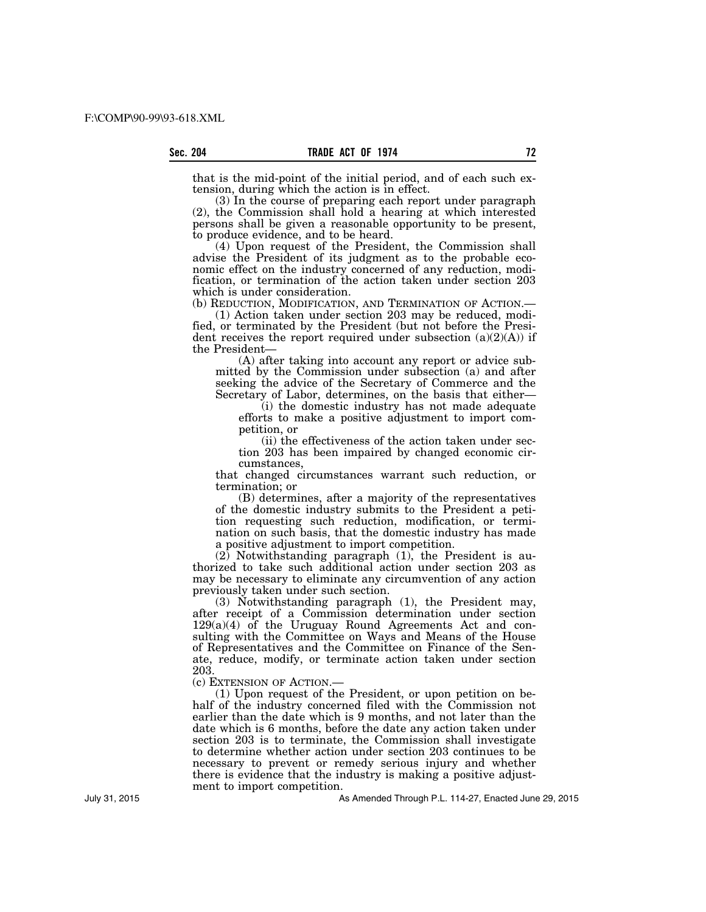that is the mid-point of the initial period, and of each such extension, during which the action is in effect.

(3) In the course of preparing each report under paragraph (2), the Commission shall hold a hearing at which interested persons shall be given a reasonable opportunity to be present, to produce evidence, and to be heard.

(4) Upon request of the President, the Commission shall advise the President of its judgment as to the probable economic effect on the industry concerned of any reduction, modification, or termination of the action taken under section 203 which is under consideration.<br>(b) REDUCTION, MODIFICATION, AND TERMINATION OF ACTION.-

 $(1)$  Action taken under section 203 may be reduced, modified, or terminated by the President (but not before the President receives the report required under subsection  $(a)(2)(A)$  if the President—

(A) after taking into account any report or advice submitted by the Commission under subsection (a) and after seeking the advice of the Secretary of Commerce and the Secretary of Labor, determines, on the basis that either—

(i) the domestic industry has not made adequate efforts to make a positive adjustment to import competition, or

(ii) the effectiveness of the action taken under section 203 has been impaired by changed economic circumstances,

that changed circumstances warrant such reduction, or termination; or

(B) determines, after a majority of the representatives of the domestic industry submits to the President a petition requesting such reduction, modification, or termination on such basis, that the domestic industry has made a positive adjustment to import competition.

 $(2)$  Notwithstanding paragraph  $(1)$ , the President is authorized to take such additional action under section 203 as may be necessary to eliminate any circumvention of any action previously taken under such section.

(3) Notwithstanding paragraph (1), the President may, after receipt of a Commission determination under section  $129(a)(4)$  of the Uruguay Round Agreements Act and consulting with the Committee on Ways and Means of the House of Representatives and the Committee on Finance of the Senate, reduce, modify, or terminate action taken under section 203.

(c) EXTENSION OF ACTION.—

(1) Upon request of the President, or upon petition on behalf of the industry concerned filed with the Commission not earlier than the date which is 9 months, and not later than the date which is 6 months, before the date any action taken under section 203 is to terminate, the Commission shall investigate to determine whether action under section 203 continues to be necessary to prevent or remedy serious injury and whether there is evidence that the industry is making a positive adjustment to import competition.

As Amended Through P.L. 114-27, Enacted June 29, 2015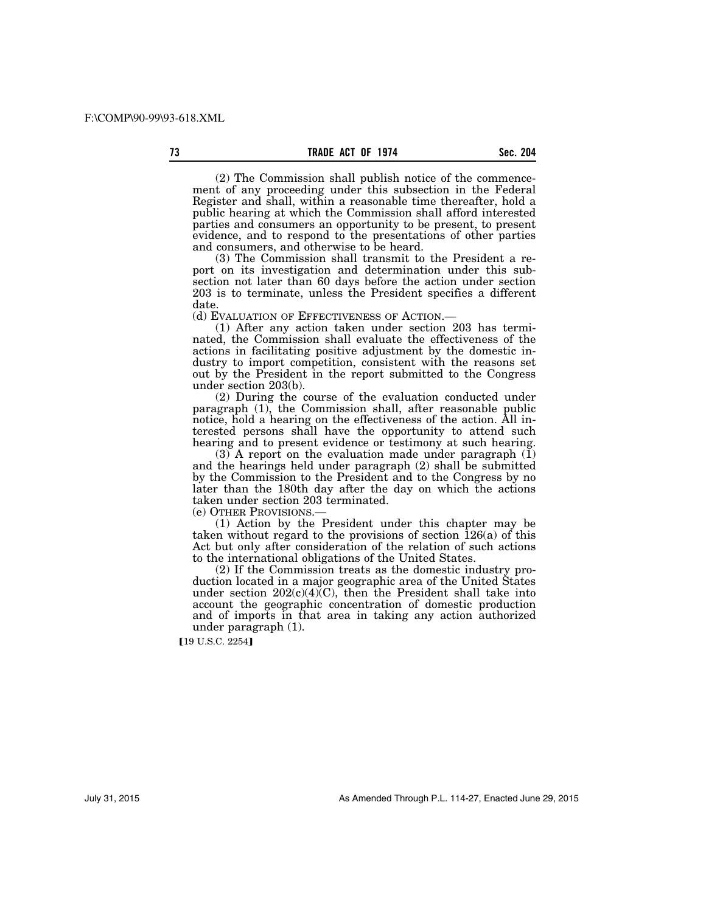(2) The Commission shall publish notice of the commencement of any proceeding under this subsection in the Federal Register and shall, within a reasonable time thereafter, hold a public hearing at which the Commission shall afford interested parties and consumers an opportunity to be present, to present evidence, and to respond to the presentations of other parties and consumers, and otherwise to be heard.

(3) The Commission shall transmit to the President a report on its investigation and determination under this subsection not later than 60 days before the action under section 203 is to terminate, unless the President specifies a different date.

(d) EVALUATION OF EFFECTIVENESS OF ACTION.—

(1) After any action taken under section 203 has terminated, the Commission shall evaluate the effectiveness of the actions in facilitating positive adjustment by the domestic industry to import competition, consistent with the reasons set out by the President in the report submitted to the Congress under section 203(b).

(2) During the course of the evaluation conducted under paragraph (1), the Commission shall, after reasonable public notice, hold a hearing on the effectiveness of the action. All interested persons shall have the opportunity to attend such hearing and to present evidence or testimony at such hearing.

 $(3)$  A report on the evaluation made under paragraph  $(1)$ and the hearings held under paragraph (2) shall be submitted by the Commission to the President and to the Congress by no later than the 180th day after the day on which the actions taken under section 203 terminated.

(e) OTHER PROVISIONS.—

(1) Action by the President under this chapter may be taken without regard to the provisions of section  $126(a)$  of this Act but only after consideration of the relation of such actions to the international obligations of the United States.

(2) If the Commission treats as the domestic industry production located in a major geographic area of the United States under section  $202(c)(4)(C)$ , then the President shall take into account the geographic concentration of domestic production and of imports in that area in taking any action authorized under paragraph (1).

[19 U.S.C. 2254]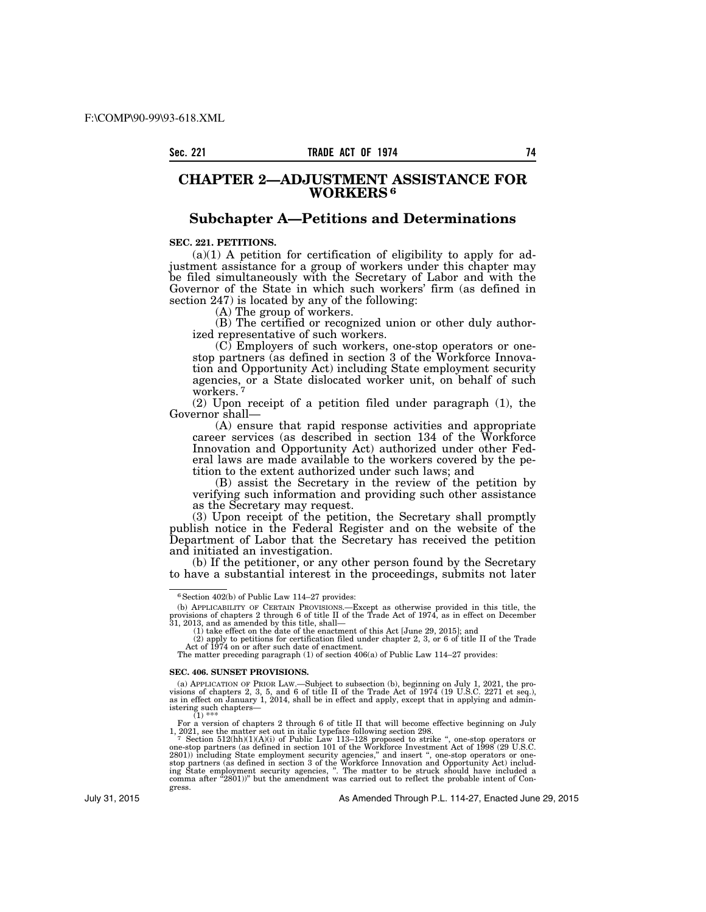# **Sec. 221 TRADE ACT OF 1974 74**

# **CHAPTER 2—ADJUSTMENT ASSISTANCE FOR WORKERS6**

# **Subchapter A—Petitions and Determinations**

#### **SEC. 221. PETITIONS.**

 $(a)(1)$  A petition for certification of eligibility to apply for adjustment assistance for a group of workers under this chapter may be filed simultaneously with the Secretary of Labor and with the Governor of the State in which such workers' firm (as defined in section 247) is located by any of the following:

(A) The group of workers.

(B) The certified or recognized union or other duly authorized representative of such workers.

(C) Employers of such workers, one-stop operators or onestop partners (as defined in section 3 of the Workforce Innovation and Opportunity Act) including State employment security agencies, or a State dislocated worker unit, on behalf of such workers. 7

(2) Upon receipt of a petition filed under paragraph (1), the Governor shall—

(A) ensure that rapid response activities and appropriate career services (as described in section 134 of the Workforce Innovation and Opportunity Act) authorized under other Federal laws are made available to the workers covered by the petition to the extent authorized under such laws; and

(B) assist the Secretary in the review of the petition by verifying such information and providing such other assistance as the Secretary may request.

(3) Upon receipt of the petition, the Secretary shall promptly publish notice in the Federal Register and on the website of the Department of Labor that the Secretary has received the petition and initiated an investigation.

(b) If the petitioner, or any other person found by the Secretary to have a substantial interest in the proceedings, submits not later

#### **SEC. 406. SUNSET PROVISIONS.**

For a version of chapters 2 through 6 of title II that will become effective beginning on July 1, 2021, see the matter set out in italic typeface following section 298.<br><sup>7</sup> Section 512(hh)(1)(A)(i) of Public Law 113–128 proposed to strike ", one-stop operators or

one-stop partners (as defined in section 101 of the Workforce Investment Act of 1998 (29 U.S.C. 2801)) including State employment security agencies," and insert ", one-stop operators or one-<br>stop partners (as defined in section 3 of the Workforce Innovation and Opportunity Act) includ-<br>ing State employment security a gress.

July 31, 2015

 $6$  Section 402(b) of Public Law 114–27 provides:

<sup>(</sup>b) APPLICABILITY OF CERTAIN PROVISIONS.—Except as otherwise provided in this title, the provisions of chapters 2 through 6 of title II of the Trade Act of 1974, as in effect on December 31, 2013, and as amended by this ti

<sup>(1)</sup> take effect on the date of the enactment of this Act [June 29, 2015]; and<br>(2) apply to petitions for certification filed under chapter 2, 3, or 6 of title II of the Trade<br>Act of 1974 on or after such date of enactment

<sup>(</sup>a) APPLICATION OF PRIOR LAW.—Subject to subsection (b), beginning on July 1, 2021, the provisions of chapters 2, 3, 5, and 6 of title II of the Trade Act of 1974 (19 U.S.C. 2271 et seq.), visions of chapters 2, 3, 5, and istering such chapters— (1) \*\*\*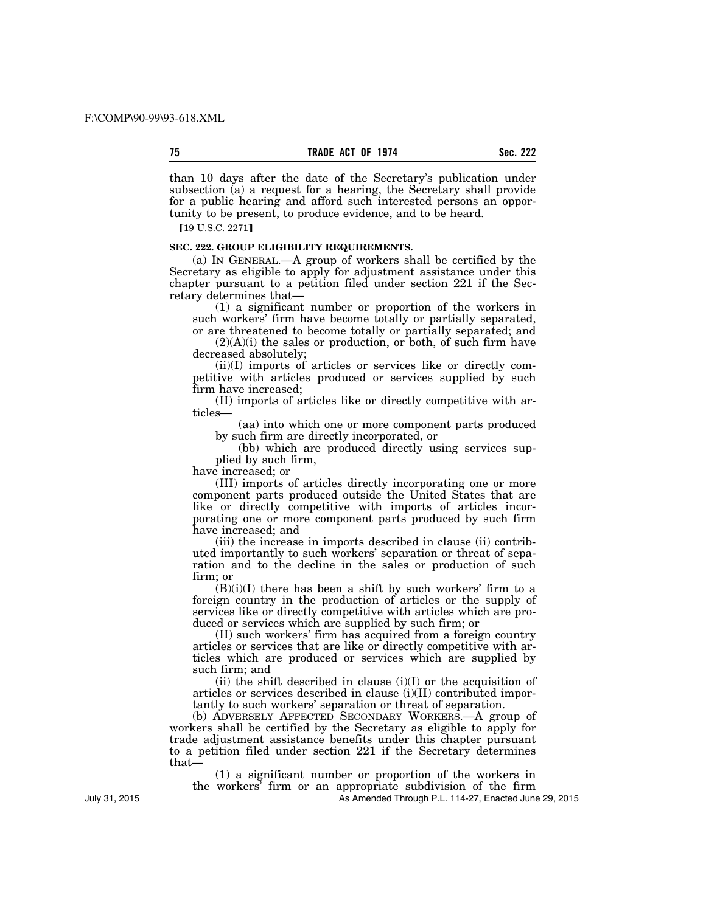than 10 days after the date of the Secretary's publication under subsection (a) a request for a hearing, the Secretary shall provide for a public hearing and afford such interested persons an opportunity to be present, to produce evidence, and to be heard.

[19 U.S.C. 2271]

#### **SEC. 222. GROUP ELIGIBILITY REQUIREMENTS.**

(a) IN GENERAL.—A group of workers shall be certified by the Secretary as eligible to apply for adjustment assistance under this chapter pursuant to a petition filed under section 221 if the Secretary determines that—

(1) a significant number or proportion of the workers in such workers' firm have become totally or partially separated, or are threatened to become totally or partially separated; and

 $(2)(A)(i)$  the sales or production, or both, of such firm have decreased absolutely;

(ii)(I) imports of articles or services like or directly competitive with articles produced or services supplied by such firm have increased;

(II) imports of articles like or directly competitive with articles—

(aa) into which one or more component parts produced by such firm are directly incorporated, or

(bb) which are produced directly using services supplied by such firm,

have increased; or

(III) imports of articles directly incorporating one or more component parts produced outside the United States that are like or directly competitive with imports of articles incorporating one or more component parts produced by such firm have increased; and

(iii) the increase in imports described in clause (ii) contributed importantly to such workers' separation or threat of separation and to the decline in the sales or production of such firm; or

(B)(i)(I) there has been a shift by such workers' firm to a foreign country in the production of articles or the supply of services like or directly competitive with articles which are produced or services which are supplied by such firm; or

(II) such workers' firm has acquired from a foreign country articles or services that are like or directly competitive with articles which are produced or services which are supplied by such firm; and

(ii) the shift described in clause  $(i)(I)$  or the acquisition of articles or services described in clause (i)(II) contributed importantly to such workers' separation or threat of separation.

(b) ADVERSELY AFFECTED SECONDARY WORKERS.—A group of workers shall be certified by the Secretary as eligible to apply for trade adjustment assistance benefits under this chapter pursuant to a petition filed under section 221 if the Secretary determines that—

(1) a significant number or proportion of the workers in the workers' firm or an appropriate subdivision of the firm

As Amended Through P.L. 114-27, Enacted June 29, 2015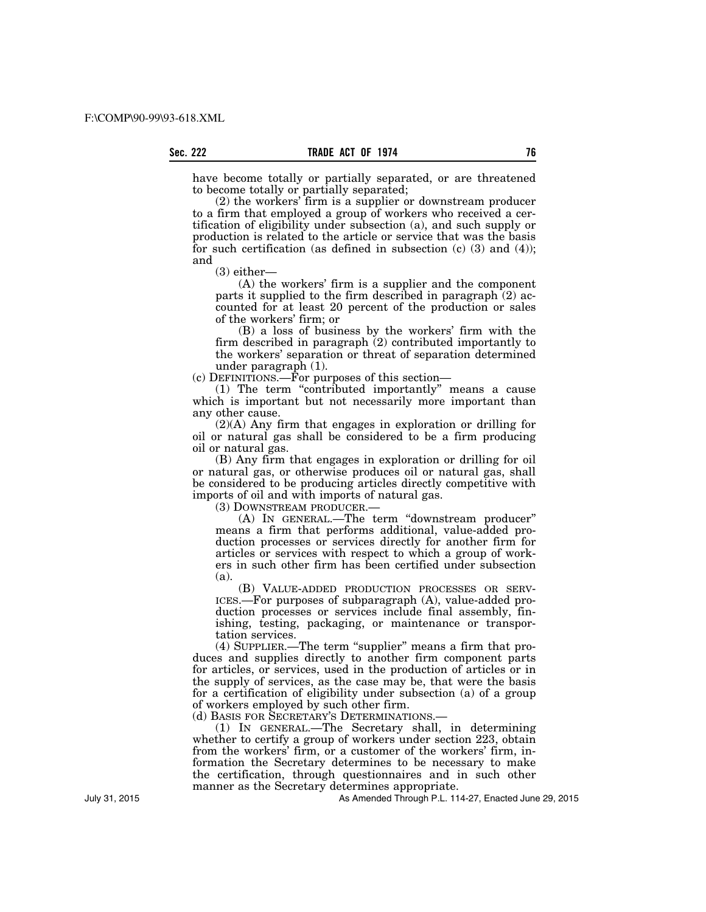have become totally or partially separated, or are threatened to become totally or partially separated;

(2) the workers' firm is a supplier or downstream producer to a firm that employed a group of workers who received a certification of eligibility under subsection (a), and such supply or production is related to the article or service that was the basis for such certification (as defined in subsection  $(c)$   $(3)$  and  $(4)$ ); and

(3) either—

(A) the workers' firm is a supplier and the component parts it supplied to the firm described in paragraph (2) accounted for at least 20 percent of the production or sales of the workers' firm; or

(B) a loss of business by the workers' firm with the firm described in paragraph (2) contributed importantly to the workers' separation or threat of separation determined under paragraph (1).

(c) DEFINITIONS.—For purposes of this section—

(1) The term ''contributed importantly'' means a cause which is important but not necessarily more important than any other cause.

(2)(A) Any firm that engages in exploration or drilling for oil or natural gas shall be considered to be a firm producing oil or natural gas.

(B) Any firm that engages in exploration or drilling for oil or natural gas, or otherwise produces oil or natural gas, shall be considered to be producing articles directly competitive with imports of oil and with imports of natural gas.

(3) DOWNSTREAM PRODUCER.—

(A) IN GENERAL.—The term ''downstream producer'' means a firm that performs additional, value-added production processes or services directly for another firm for articles or services with respect to which a group of workers in such other firm has been certified under subsection (a).

(B) VALUE-ADDED PRODUCTION PROCESSES OR SERV-ICES.—For purposes of subparagraph (A), value-added production processes or services include final assembly, finishing, testing, packaging, or maintenance or transportation services.

(4) SUPPLIER.—The term ''supplier'' means a firm that produces and supplies directly to another firm component parts for articles, or services, used in the production of articles or in the supply of services, as the case may be, that were the basis for a certification of eligibility under subsection (a) of a group of workers employed by such other firm.

(d) BASIS FOR SECRETARY'S DETERMINATIONS.—

(1) IN GENERAL.—The Secretary shall, in determining whether to certify a group of workers under section 223, obtain from the workers' firm, or a customer of the workers' firm, information the Secretary determines to be necessary to make the certification, through questionnaires and in such other manner as the Secretary determines appropriate.

As Amended Through P.L. 114-27, Enacted June 29, 2015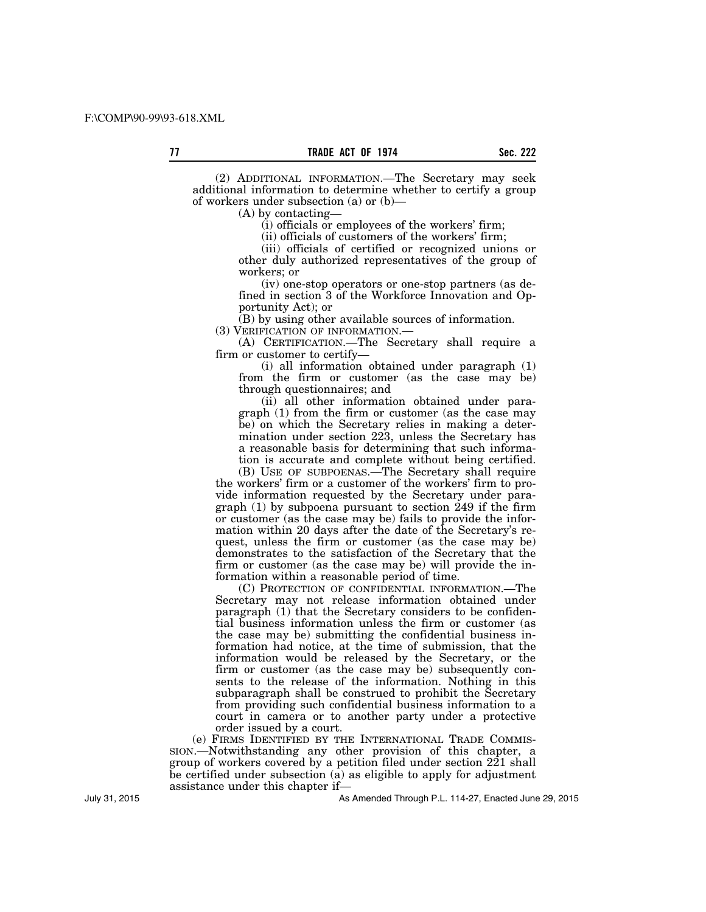(2) ADDITIONAL INFORMATION.—The Secretary may seek additional information to determine whether to certify a group of workers under subsection (a) or (b)—

(A) by contacting—

(i) officials or employees of the workers' firm;

(ii) officials of customers of the workers' firm;

(iii) officials of certified or recognized unions or other duly authorized representatives of the group of workers; or

(iv) one-stop operators or one-stop partners (as defined in section 3 of the Workforce Innovation and Opportunity Act); or

(B) by using other available sources of information.

(3) VERIFICATION OF INFORMATION.—

(A) CERTIFICATION.—The Secretary shall require a firm or customer to certify—

(i) all information obtained under paragraph (1) from the firm or customer (as the case may be) through questionnaires; and

(ii) all other information obtained under paragraph (1) from the firm or customer (as the case may be) on which the Secretary relies in making a determination under section 223, unless the Secretary has a reasonable basis for determining that such information is accurate and complete without being certified.

(B) USE OF SUBPOENAS.—The Secretary shall require the workers' firm or a customer of the workers' firm to provide information requested by the Secretary under paragraph (1) by subpoena pursuant to section 249 if the firm or customer (as the case may be) fails to provide the information within 20 days after the date of the Secretary's request, unless the firm or customer (as the case may be) demonstrates to the satisfaction of the Secretary that the firm or customer (as the case may be) will provide the information within a reasonable period of time.

(C) PROTECTION OF CONFIDENTIAL INFORMATION.—The Secretary may not release information obtained under paragraph (1) that the Secretary considers to be confidential business information unless the firm or customer (as the case may be) submitting the confidential business information had notice, at the time of submission, that the information would be released by the Secretary, or the firm or customer (as the case may be) subsequently consents to the release of the information. Nothing in this subparagraph shall be construed to prohibit the Secretary from providing such confidential business information to a court in camera or to another party under a protective order issued by a court.

(e) FIRMS IDENTIFIED BY THE INTERNATIONAL TRADE COMMIS-SION.—Notwithstanding any other provision of this chapter, a group of workers covered by a petition filed under section 221 shall be certified under subsection (a) as eligible to apply for adjustment assistance under this chapter if—

As Amended Through P.L. 114-27, Enacted June 29, 2015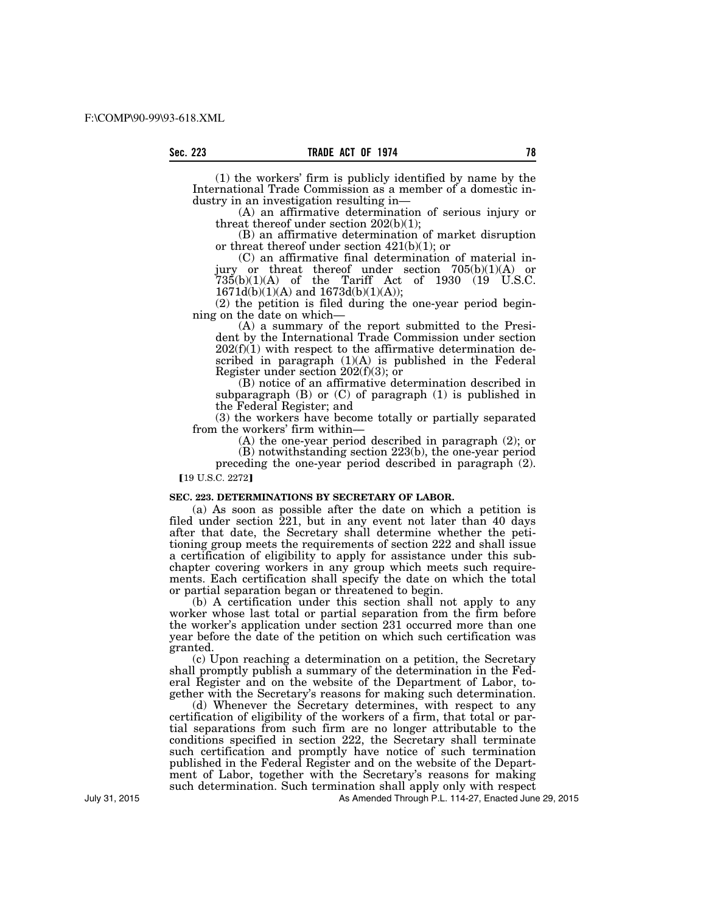(1) the workers' firm is publicly identified by name by the International Trade Commission as a member of a domestic industry in an investigation resulting in—

(A) an affirmative determination of serious injury or threat thereof under section  $202(b)(1)$ ;

(B) an affirmative determination of market disruption or threat thereof under section 421(b)(1); or

(C) an affirmative final determination of material injury or threat thereof under section 705(b)(1)(A) or 735(b)(1)(A) of the Tariff Act of 1930 (19 U.S.C.  $1671d(b)(1)(A)$  and  $1673d(b)(1)(A));$ 

(2) the petition is filed during the one-year period beginning on the date on which—

(A) a summary of the report submitted to the President by the International Trade Commission under section  $202(f)(1)$  with respect to the affirmative determination described in paragraph (1)(A) is published in the Federal Register under section 202(f)(3); or

(B) notice of an affirmative determination described in subparagraph  $(B)$  or  $(C)$  of paragraph  $(1)$  is published in the Federal Register; and

(3) the workers have become totally or partially separated from the workers' firm within—

(A) the one-year period described in paragraph (2); or

(B) notwithstanding section 223(b), the one-year period preceding the one-year period described in paragraph (2). **[19 U.S.C. 2272]** 

# **SEC. 223. DETERMINATIONS BY SECRETARY OF LABOR.**

(a) As soon as possible after the date on which a petition is filed under section 221, but in any event not later than 40 days after that date, the Secretary shall determine whether the petitioning group meets the requirements of section 222 and shall issue a certification of eligibility to apply for assistance under this subchapter covering workers in any group which meets such requirements. Each certification shall specify the date on which the total or partial separation began or threatened to begin.

(b) A certification under this section shall not apply to any worker whose last total or partial separation from the firm before the worker's application under section 231 occurred more than one year before the date of the petition on which such certification was granted.

(c) Upon reaching a determination on a petition, the Secretary shall promptly publish a summary of the determination in the Federal Register and on the website of the Department of Labor, together with the Secretary's reasons for making such determination.

(d) Whenever the Secretary determines, with respect to any certification of eligibility of the workers of a firm, that total or partial separations from such firm are no longer attributable to the conditions specified in section 222, the Secretary shall terminate such certification and promptly have notice of such termination published in the Federal Register and on the website of the Department of Labor, together with the Secretary's reasons for making such determination. Such termination shall apply only with respect

July 31, 2015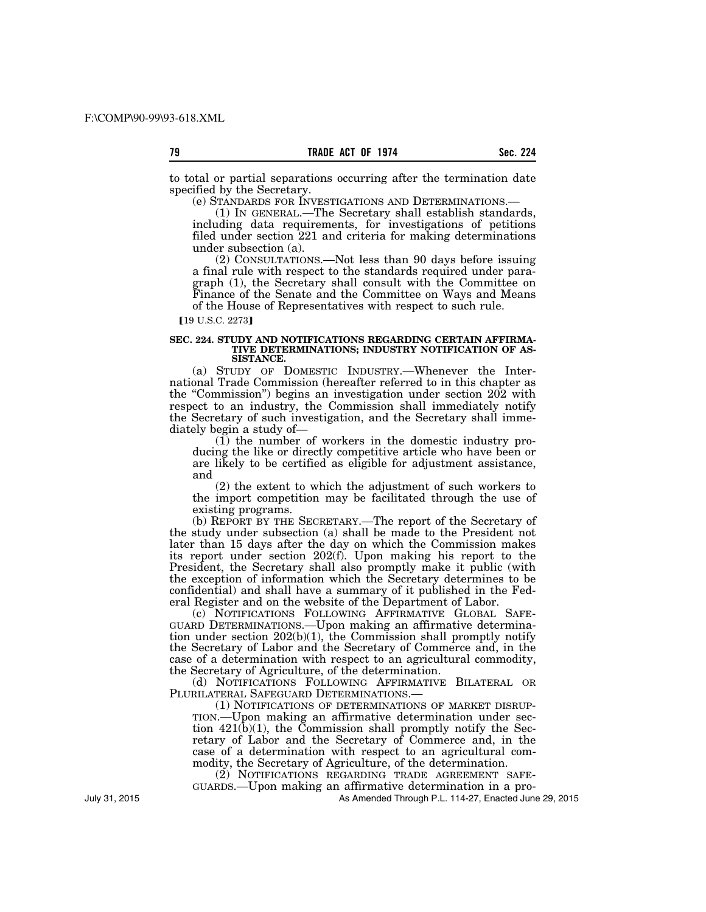to total or partial separations occurring after the termination date specified by the Secretary.

(e) STANDARDS FOR INVESTIGATIONS AND DETERMINATIONS.—

(1) IN GENERAL.—The Secretary shall establish standards, including data requirements, for investigations of petitions filed under section 221 and criteria for making determinations under subsection (a).

(2) CONSULTATIONS.—Not less than 90 days before issuing a final rule with respect to the standards required under paragraph (1), the Secretary shall consult with the Committee on Finance of the Senate and the Committee on Ways and Means

of the House of Representatives with respect to such rule.

[19 U.S.C. 2273]

#### **SEC. 224. STUDY AND NOTIFICATIONS REGARDING CERTAIN AFFIRMA-TIVE DETERMINATIONS; INDUSTRY NOTIFICATION OF AS-SISTANCE.**

(a) STUDY OF DOMESTIC INDUSTRY.—Whenever the International Trade Commission (hereafter referred to in this chapter as the ''Commission'') begins an investigation under section 202 with respect to an industry, the Commission shall immediately notify the Secretary of such investigation, and the Secretary shall immediately begin a study of—

(1) the number of workers in the domestic industry producing the like or directly competitive article who have been or are likely to be certified as eligible for adjustment assistance, and

(2) the extent to which the adjustment of such workers to the import competition may be facilitated through the use of existing programs.

(b) REPORT BY THE SECRETARY.—The report of the Secretary of the study under subsection (a) shall be made to the President not later than 15 days after the day on which the Commission makes its report under section 202(f). Upon making his report to the President, the Secretary shall also promptly make it public (with the exception of information which the Secretary determines to be confidential) and shall have a summary of it published in the Federal Register and on the website of the Department of Labor.

(c) NOTIFICATIONS FOLLOWING AFFIRMATIVE GLOBAL SAFE-GUARD DETERMINATIONS.—Upon making an affirmative determination under section  $202(b)(1)$ , the Commission shall promptly notify the Secretary of Labor and the Secretary of Commerce and, in the case of a determination with respect to an agricultural commodity, the Secretary of Agriculture, of the determination.

(d) NOTIFICATIONS FOLLOWING AFFIRMATIVE BILATERAL OR PLURILATERAL SAFEGUARD DETERMINATIONS.—

(1) NOTIFICATIONS OF DETERMINATIONS OF MARKET DISRUP-TION.—Upon making an affirmative determination under section  $421(b)(1)$ , the Commission shall promptly notify the Secretary of Labor and the Secretary of Commerce and, in the case of a determination with respect to an agricultural commodity, the Secretary of Agriculture, of the determination.

(2) NOTIFICATIONS REGARDING TRADE AGREEMENT SAFE- GUARDS.—Upon making an affirmative determination in a pro-

As Amended Through P.L. 114-27, Enacted June 29, 2015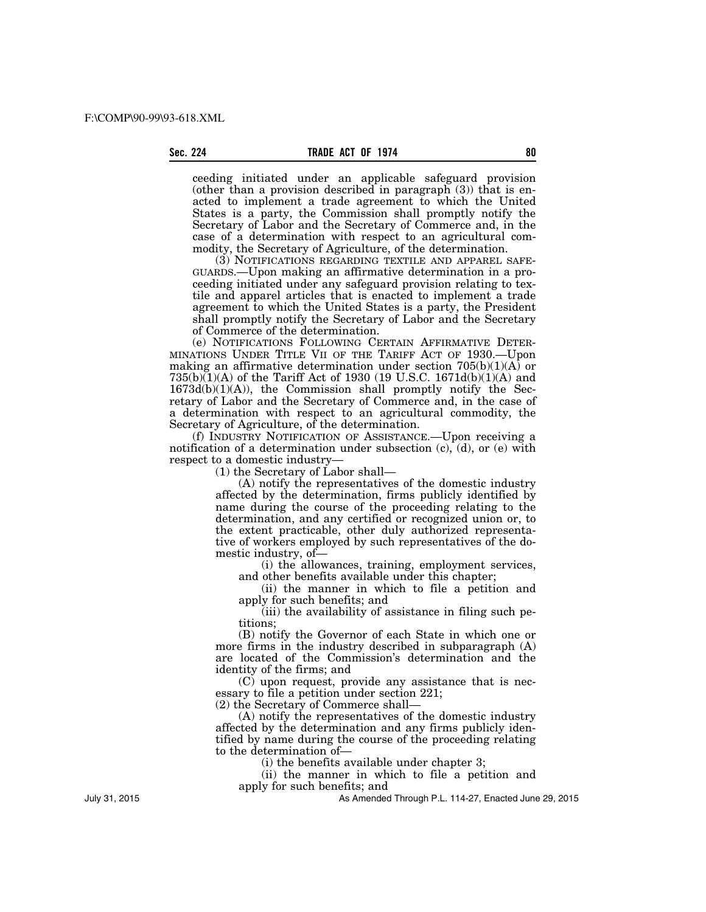ceeding initiated under an applicable safeguard provision (other than a provision described in paragraph (3)) that is enacted to implement a trade agreement to which the United States is a party, the Commission shall promptly notify the Secretary of Labor and the Secretary of Commerce and, in the case of a determination with respect to an agricultural commodity, the Secretary of Agriculture, of the determination.

(3) NOTIFICATIONS REGARDING TEXTILE AND APPAREL SAFE-GUARDS.—Upon making an affirmative determination in a proceeding initiated under any safeguard provision relating to textile and apparel articles that is enacted to implement a trade agreement to which the United States is a party, the President shall promptly notify the Secretary of Labor and the Secretary of Commerce of the determination.

(e) NOTIFICATIONS FOLLOWING CERTAIN AFFIRMATIVE DETER-MINATIONS UNDER TITLE VII OF THE TARIFF ACT OF 1930.—Upon making an affirmative determination under section  $705(b)(1)(A)$  or  $735(b)(1)(A)$  of the Tariff Act of 1930 (19 U.S.C. 1671d(b)(1)(A) and  $1673d(b)(1)(A)$ , the Commission shall promptly notify the Secretary of Labor and the Secretary of Commerce and, in the case of a determination with respect to an agricultural commodity, the Secretary of Agriculture, of the determination.

(f) INDUSTRY NOTIFICATION OF ASSISTANCE.—Upon receiving a notification of a determination under subsection  $(c)$ ,  $(d)$ , or  $(e)$  with respect to a domestic industry—

(1) the Secretary of Labor shall—

(A) notify the representatives of the domestic industry affected by the determination, firms publicly identified by name during the course of the proceeding relating to the determination, and any certified or recognized union or, to the extent practicable, other duly authorized representative of workers employed by such representatives of the domestic industry, of—

(i) the allowances, training, employment services, and other benefits available under this chapter;

(ii) the manner in which to file a petition and apply for such benefits; and

(iii) the availability of assistance in filing such petitions;

(B) notify the Governor of each State in which one or more firms in the industry described in subparagraph (A) are located of the Commission's determination and the identity of the firms; and

(C) upon request, provide any assistance that is necessary to file a petition under section 221;

(2) the Secretary of Commerce shall—

(A) notify the representatives of the domestic industry affected by the determination and any firms publicly identified by name during the course of the proceeding relating to the determination of—

(i) the benefits available under chapter 3;

(ii) the manner in which to file a petition and apply for such benefits; and

As Amended Through P.L. 114-27, Enacted June 29, 2015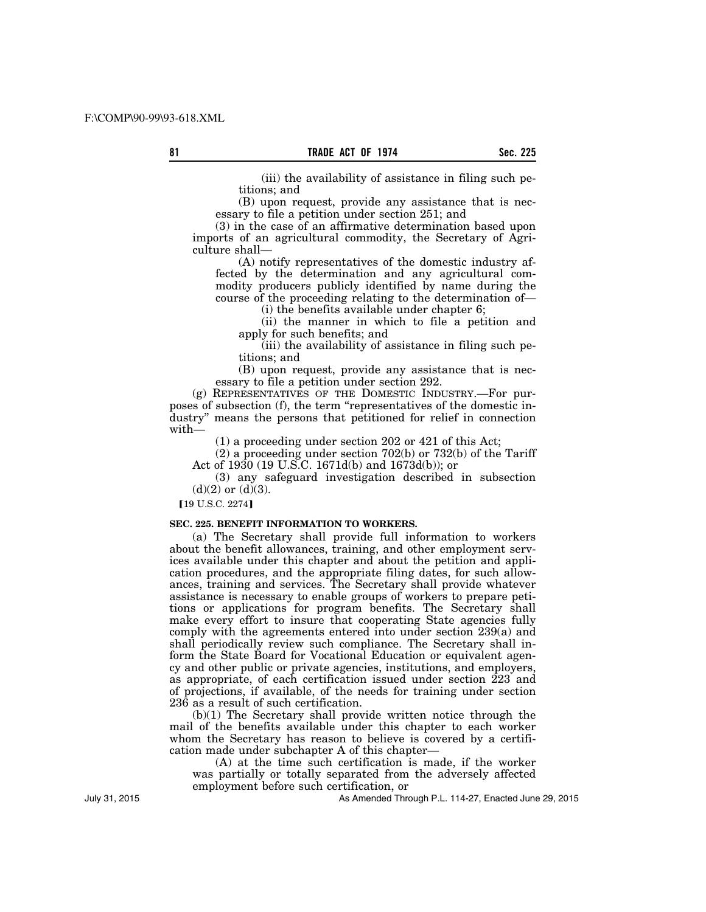(iii) the availability of assistance in filing such petitions; and

(B) upon request, provide any assistance that is necessary to file a petition under section 251; and

(3) in the case of an affirmative determination based upon imports of an agricultural commodity, the Secretary of Agriculture shall—

(A) notify representatives of the domestic industry affected by the determination and any agricultural commodity producers publicly identified by name during the course of the proceeding relating to the determination of—

(i) the benefits available under chapter 6;

(ii) the manner in which to file a petition and apply for such benefits; and

(iii) the availability of assistance in filing such petitions; and

(B) upon request, provide any assistance that is necessary to file a petition under section 292.

(g) REPRESENTATIVES OF THE DOMESTIC INDUSTRY.—For purposes of subsection (f), the term ''representatives of the domestic industry'' means the persons that petitioned for relief in connection with—

(1) a proceeding under section 202 or 421 of this Act;

(2) a proceeding under section 702(b) or 732(b) of the Tariff Act of 1930 (19 U.S.C. 1671d(b) and 1673d(b)); or

(3) any safeguard investigation described in subsection  $(d)(2)$  or  $(d)(3)$ .

[19 U.S.C. 2274]

## **SEC. 225. BENEFIT INFORMATION TO WORKERS.**

(a) The Secretary shall provide full information to workers about the benefit allowances, training, and other employment services available under this chapter and about the petition and application procedures, and the appropriate filing dates, for such allowances, training and services. The Secretary shall provide whatever assistance is necessary to enable groups of workers to prepare petitions or applications for program benefits. The Secretary shall make every effort to insure that cooperating State agencies fully comply with the agreements entered into under section 239(a) and shall periodically review such compliance. The Secretary shall inform the State Board for Vocational Education or equivalent agency and other public or private agencies, institutions, and employers, as appropriate, of each certification issued under section 223 and of projections, if available, of the needs for training under section 236 as a result of such certification.

(b)(1) The Secretary shall provide written notice through the mail of the benefits available under this chapter to each worker whom the Secretary has reason to believe is covered by a certification made under subchapter A of this chapter—

(A) at the time such certification is made, if the worker was partially or totally separated from the adversely affected employment before such certification, or

As Amended Through P.L. 114-27, Enacted June 29, 2015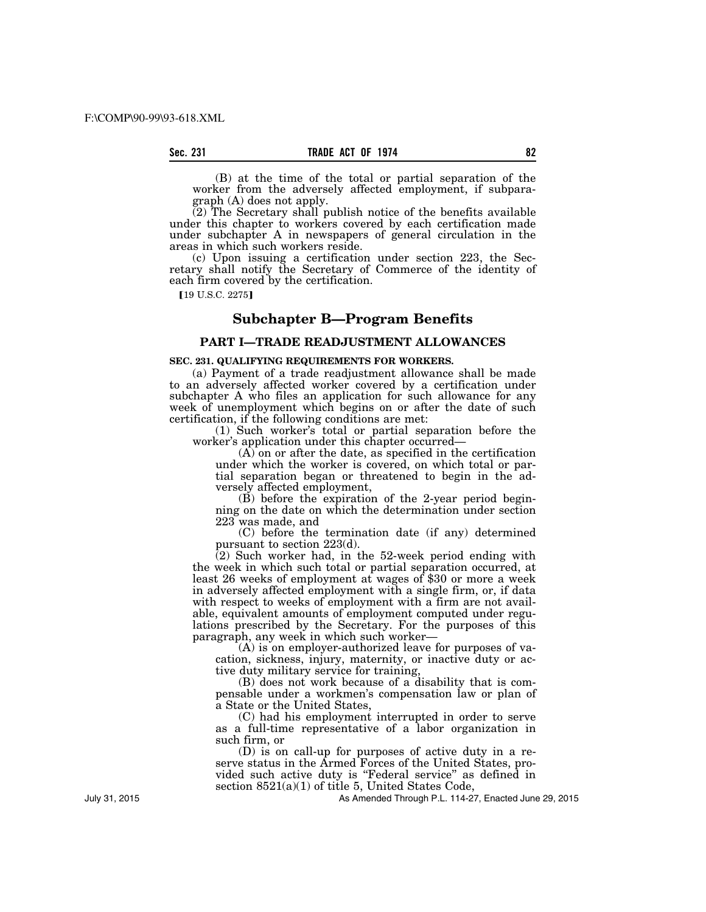(B) at the time of the total or partial separation of the worker from the adversely affected employment, if subparagraph (A) does not apply.

(2) The Secretary shall publish notice of the benefits available under this chapter to workers covered by each certification made under subchapter A in newspapers of general circulation in the areas in which such workers reside.

(c) Upon issuing a certification under section 223, the Secretary shall notify the Secretary of Commerce of the identity of each firm covered by the certification.

**[19 U.S.C. 2275]** 

# **Subchapter B—Program Benefits**

# **PART I—TRADE READJUSTMENT ALLOWANCES**

# **SEC. 231. QUALIFYING REQUIREMENTS FOR WORKERS.**

(a) Payment of a trade readjustment allowance shall be made to an adversely affected worker covered by a certification under subchapter A who files an application for such allowance for any week of unemployment which begins on or after the date of such certification, if the following conditions are met:

(1) Such worker's total or partial separation before the worker's application under this chapter occurred—

 $(A)$  on or after the date, as specified in the certification under which the worker is covered, on which total or partial separation began or threatened to begin in the adversely affected employment,

(B) before the expiration of the 2-year period beginning on the date on which the determination under section 223 was made, and

(C) before the termination date (if any) determined pursuant to section 223(d).

(2) Such worker had, in the 52-week period ending with the week in which such total or partial separation occurred, at least 26 weeks of employment at wages of \$30 or more a week in adversely affected employment with a single firm, or, if data with respect to weeks of employment with a firm are not available, equivalent amounts of employment computed under regulations prescribed by the Secretary. For the purposes of this paragraph, any week in which such worker—

(A) is on employer-authorized leave for purposes of vacation, sickness, injury, maternity, or inactive duty or active duty military service for training,

(B) does not work because of a disability that is compensable under a workmen's compensation law or plan of a State or the United States,

(C) had his employment interrupted in order to serve as a full-time representative of a labor organization in such firm, or

(D) is on call-up for purposes of active duty in a reserve status in the Armed Forces of the United States, provided such active duty is ''Federal service'' as defined in section 8521(a)(1) of title 5, United States Code,

As Amended Through P.L. 114-27, Enacted June 29, 2015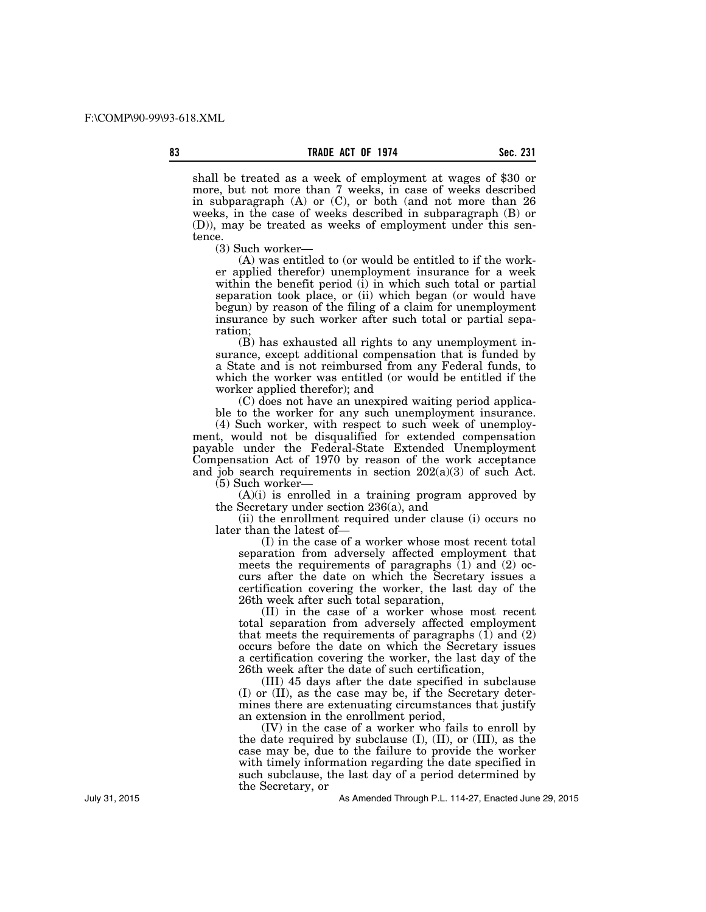shall be treated as a week of employment at wages of \$30 or more, but not more than 7 weeks, in case of weeks described in subparagraph (A) or (C), or both (and not more than 26 weeks, in the case of weeks described in subparagraph (B) or (D)), may be treated as weeks of employment under this sentence.

(3) Such worker—

(A) was entitled to (or would be entitled to if the worker applied therefor) unemployment insurance for a week within the benefit period  $(i)$  in which such total or partial separation took place, or (ii) which began (or would have begun) by reason of the filing of a claim for unemployment insurance by such worker after such total or partial separation;

(B) has exhausted all rights to any unemployment insurance, except additional compensation that is funded by a State and is not reimbursed from any Federal funds, to which the worker was entitled (or would be entitled if the worker applied therefor); and

(C) does not have an unexpired waiting period applicable to the worker for any such unemployment insurance.

(4) Such worker, with respect to such week of unemployment, would not be disqualified for extended compensation payable under the Federal-State Extended Unemployment Compensation Act of 1970 by reason of the work acceptance and job search requirements in section  $202(a)(3)$  of such Act. (5) Such worker—

 $(A)(i)$  is enrolled in a training program approved by the Secretary under section 236(a), and

(ii) the enrollment required under clause (i) occurs no later than the latest of—

(I) in the case of a worker whose most recent total separation from adversely affected employment that meets the requirements of paragraphs  $(1)$  and  $(2)$  occurs after the date on which the Secretary issues a certification covering the worker, the last day of the 26th week after such total separation,

(II) in the case of a worker whose most recent total separation from adversely affected employment that meets the requirements of paragraphs (1) and (2) occurs before the date on which the Secretary issues a certification covering the worker, the last day of the 26th week after the date of such certification,

(III) 45 days after the date specified in subclause (I) or (II), as the case may be, if the Secretary determines there are extenuating circumstances that justify an extension in the enrollment period,

(IV) in the case of a worker who fails to enroll by the date required by subclause (I), (II), or (III), as the case may be, due to the failure to provide the worker with timely information regarding the date specified in such subclause, the last day of a period determined by the Secretary, or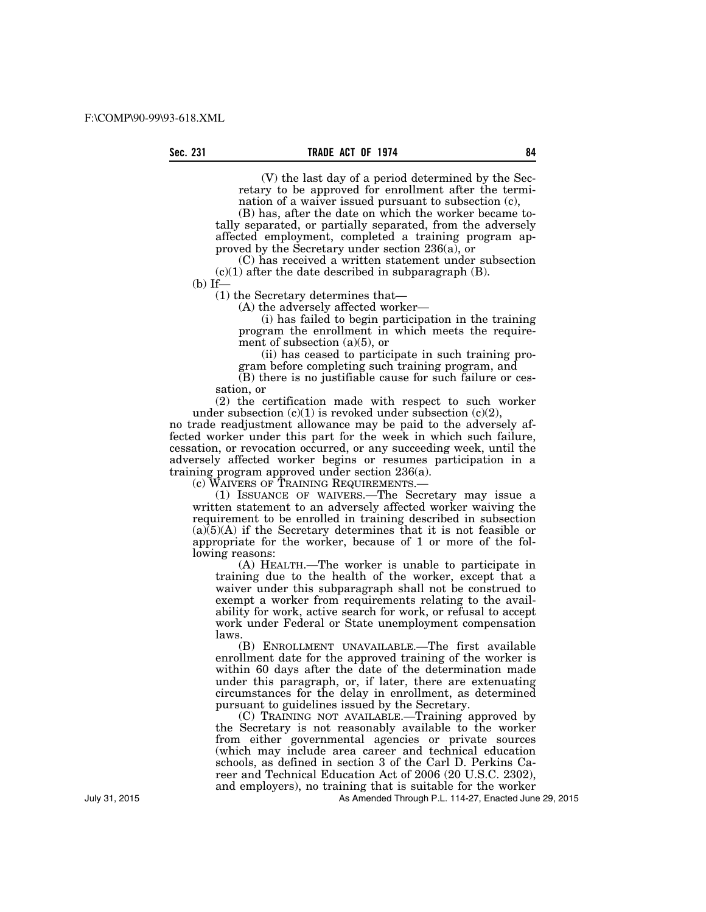(V) the last day of a period determined by the Secretary to be approved for enrollment after the termination of a waiver issued pursuant to subsection (c),

(B) has, after the date on which the worker became totally separated, or partially separated, from the adversely affected employment, completed a training program approved by the Secretary under section 236(a), or

(C) has received a written statement under subsection  $(c)(1)$  after the date described in subparagraph  $(B)$ .

 $(b)$  If-

(1) the Secretary determines that—

(A) the adversely affected worker—

(i) has failed to begin participation in the training program the enrollment in which meets the requirement of subsection  $(a)(5)$ , or

(ii) has ceased to participate in such training program before completing such training program, and

(B) there is no justifiable cause for such failure or cessation, or

(2) the certification made with respect to such worker under subsection  $(c)(1)$  is revoked under subsection  $(c)(2)$ ,

no trade readjustment allowance may be paid to the adversely affected worker under this part for the week in which such failure, cessation, or revocation occurred, or any succeeding week, until the adversely affected worker begins or resumes participation in a training program approved under section 236(a).

(c) WAIVERS OF TRAINING REQUIREMENTS.—

(1) ISSUANCE OF WAIVERS.—The Secretary may issue a written statement to an adversely affected worker waiving the requirement to be enrolled in training described in subsection  $(a)(5)(A)$  if the Secretary determines that it is not feasible or appropriate for the worker, because of 1 or more of the following reasons:

(A) HEALTH.—The worker is unable to participate in training due to the health of the worker, except that a waiver under this subparagraph shall not be construed to exempt a worker from requirements relating to the availability for work, active search for work, or refusal to accept work under Federal or State unemployment compensation laws.

(B) ENROLLMENT UNAVAILABLE.—The first available enrollment date for the approved training of the worker is within 60 days after the date of the determination made under this paragraph, or, if later, there are extenuating circumstances for the delay in enrollment, as determined pursuant to guidelines issued by the Secretary.

(C) TRAINING NOT AVAILABLE.—Training approved by the Secretary is not reasonably available to the worker from either governmental agencies or private sources (which may include area career and technical education schools, as defined in section 3 of the Carl D. Perkins Career and Technical Education Act of 2006 (20 U.S.C. 2302), and employers), no training that is suitable for the worker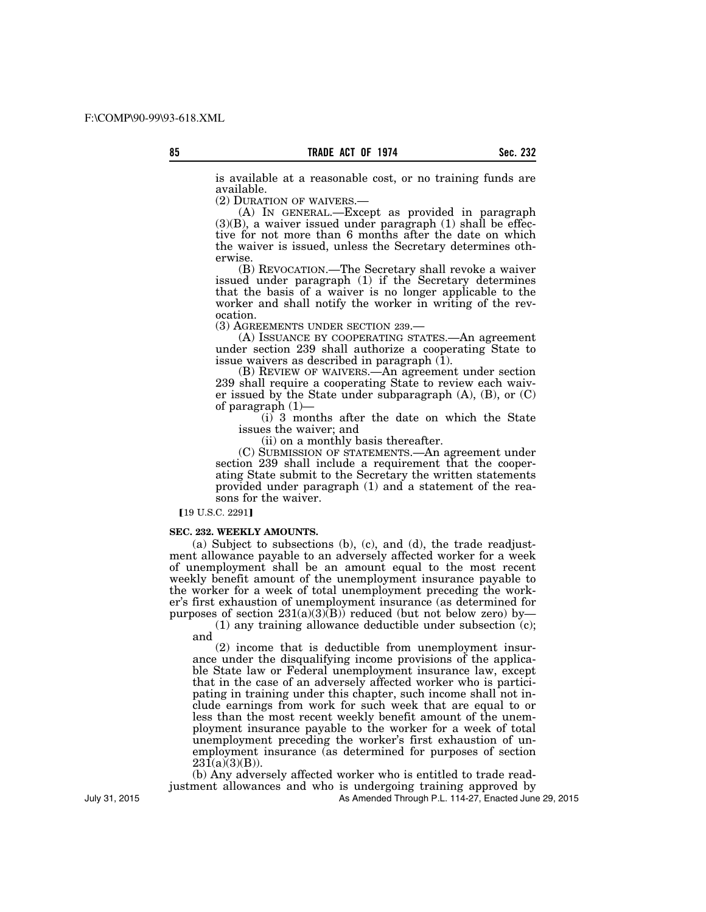is available at a reasonable cost, or no training funds are available.<br>(2) DURATION OF WAIVERS.

(A) IN GENERAL.—Except as provided in paragraph  $(3)(B)$ , a waiver issued under paragraph  $(1)$  shall be effective for not more than 6 months after the date on which the waiver is issued, unless the Secretary determines otherwise.

(B) REVOCATION.—The Secretary shall revoke a waiver issued under paragraph (1) if the Secretary determines that the basis of a waiver is no longer applicable to the worker and shall notify the worker in writing of the revocation.

(3) AGREEMENTS UNDER SECTION 239.— (A) ISSUANCE BY COOPERATING STATES.—An agreement under section 239 shall authorize a cooperating State to issue waivers as described in paragraph  $(1)$ .

(B) REVIEW OF WAIVERS.—An agreement under section 239 shall require a cooperating State to review each waiver issued by the State under subparagraph  $(A)$ ,  $(B)$ , or  $(C)$ of paragraph (1)—

(i) 3 months after the date on which the State issues the waiver; and

(ii) on a monthly basis thereafter.

(C) SUBMISSION OF STATEMENTS.—An agreement under section 239 shall include a requirement that the cooperating State submit to the Secretary the written statements provided under paragraph (1) and a statement of the reasons for the waiver.

**[19 U.S.C. 2291]** 

# **SEC. 232. WEEKLY AMOUNTS.**

(a) Subject to subsections (b), (c), and (d), the trade readjustment allowance payable to an adversely affected worker for a week of unemployment shall be an amount equal to the most recent weekly benefit amount of the unemployment insurance payable to the worker for a week of total unemployment preceding the worker's first exhaustion of unemployment insurance (as determined for purposes of section  $231(a)(3)(B)$  reduced (but not below zero) by

(1) any training allowance deductible under subsection (c); and

(2) income that is deductible from unemployment insurance under the disqualifying income provisions of the applicable State law or Federal unemployment insurance law, except that in the case of an adversely affected worker who is participating in training under this chapter, such income shall not include earnings from work for such week that are equal to or less than the most recent weekly benefit amount of the unemployment insurance payable to the worker for a week of total unemployment preceding the worker's first exhaustion of unemployment insurance (as determined for purposes of section  $231(a)(3)(B)$ ).

(b) Any adversely affected worker who is entitled to trade read-

justment allowances and who is undergoing training approved by

As Amended Through P.L. 114-27, Enacted June 29, 2015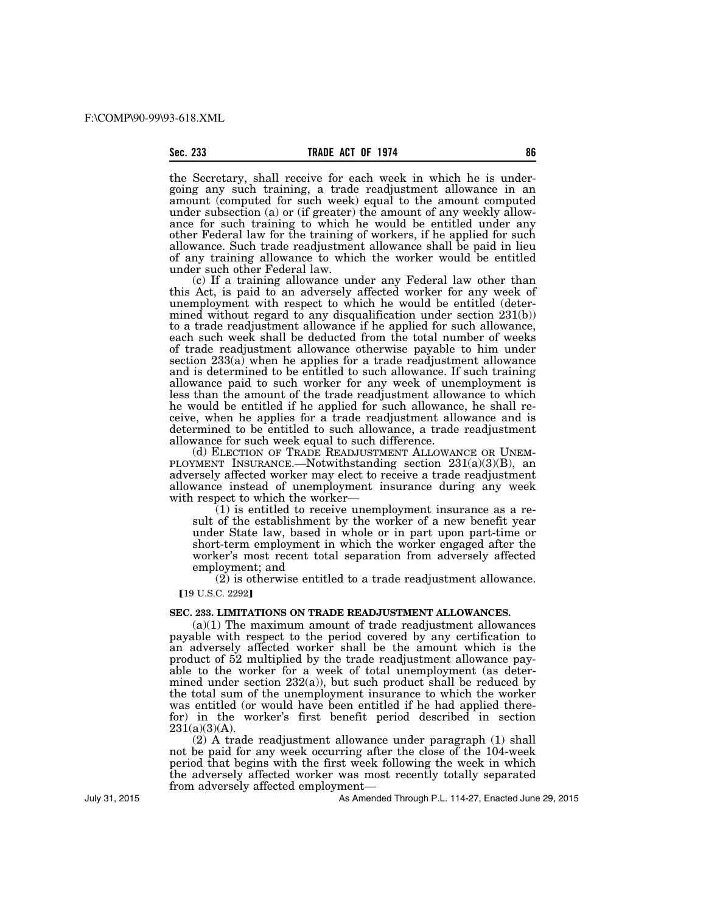the Secretary, shall receive for each week in which he is undergoing any such training, a trade readjustment allowance in an amount (computed for such week) equal to the amount computed under subsection (a) or (if greater) the amount of any weekly allowance for such training to which he would be entitled under any other Federal law for the training of workers, if he applied for such allowance. Such trade readjustment allowance shall be paid in lieu of any training allowance to which the worker would be entitled under such other Federal law.

(c) If a training allowance under any Federal law other than this Act, is paid to an adversely affected worker for any week of unemployment with respect to which he would be entitled (determined without regard to any disqualification under section  $231(b)$ ) to a trade readjustment allowance if he applied for such allowance, each such week shall be deducted from the total number of weeks of trade readjustment allowance otherwise payable to him under section 233(a) when he applies for a trade readjustment allowance and is determined to be entitled to such allowance. If such training allowance paid to such worker for any week of unemployment is less than the amount of the trade readjustment allowance to which he would be entitled if he applied for such allowance, he shall receive, when he applies for a trade readjustment allowance and is determined to be entitled to such allowance, a trade readjustment allowance for such week equal to such difference.

(d) ELECTION OF TRADE READJUSTMENT ALLOWANCE OR UNEM- PLOYMENT INSURANCE.—Notwithstanding section  $231(a)(3)(B)$ , an adversely affected worker may elect to receive a trade readjustment allowance instead of unemployment insurance during any week with respect to which the worker—

(1) is entitled to receive unemployment insurance as a result of the establishment by the worker of a new benefit year under State law, based in whole or in part upon part-time or short-term employment in which the worker engaged after the worker's most recent total separation from adversely affected employment; and

(2) is otherwise entitled to a trade readjustment allowance. **[19 U.S.C. 2292]** 

#### **SEC. 233. LIMITATIONS ON TRADE READJUSTMENT ALLOWANCES.**

(a)(1) The maximum amount of trade readjustment allowances payable with respect to the period covered by any certification to an adversely affected worker shall be the amount which is the product of 52 multiplied by the trade readjustment allowance payable to the worker for a week of total unemployment (as determined under section 232(a)), but such product shall be reduced by the total sum of the unemployment insurance to which the worker was entitled (or would have been entitled if he had applied therefor) in the worker's first benefit period described in section  $231(a)(3)(A)$ .

(2) A trade readjustment allowance under paragraph (1) shall not be paid for any week occurring after the close of the 104-week period that begins with the first week following the week in which the adversely affected worker was most recently totally separated from adversely affected employment—

As Amended Through P.L. 114-27, Enacted June 29, 2015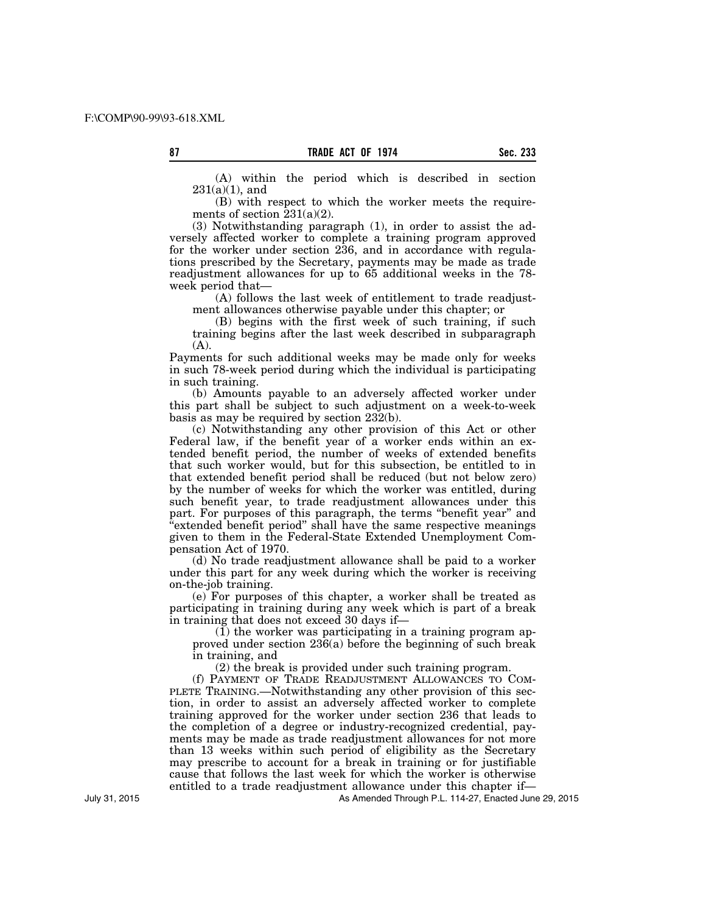(A) within the period which is described in section  $231(a)(1)$ , and

(B) with respect to which the worker meets the requirements of section  $\overline{2}31(a)(2)$ .

(3) Notwithstanding paragraph (1), in order to assist the adversely affected worker to complete a training program approved for the worker under section 236, and in accordance with regulations prescribed by the Secretary, payments may be made as trade readjustment allowances for up to 65 additional weeks in the 78 week period that—

(A) follows the last week of entitlement to trade readjustment allowances otherwise payable under this chapter; or

(B) begins with the first week of such training, if such training begins after the last week described in subparagraph  $(A)$ .

Payments for such additional weeks may be made only for weeks in such 78-week period during which the individual is participating in such training.

(b) Amounts payable to an adversely affected worker under this part shall be subject to such adjustment on a week-to-week basis as may be required by section 232(b).

(c) Notwithstanding any other provision of this Act or other Federal law, if the benefit year of a worker ends within an extended benefit period, the number of weeks of extended benefits that such worker would, but for this subsection, be entitled to in that extended benefit period shall be reduced (but not below zero) by the number of weeks for which the worker was entitled, during such benefit year, to trade readjustment allowances under this part. For purposes of this paragraph, the terms ''benefit year'' and ''extended benefit period'' shall have the same respective meanings given to them in the Federal-State Extended Unemployment Compensation Act of 1970.

(d) No trade readjustment allowance shall be paid to a worker under this part for any week during which the worker is receiving on-the-job training.

(e) For purposes of this chapter, a worker shall be treated as participating in training during any week which is part of a break in training that does not exceed 30 days if—

 $(1)$  the worker was participating in a training program approved under section 236(a) before the beginning of such break in training, and

(2) the break is provided under such training program.

(f) PAYMENT OF TRADE READJUSTMENT ALLOWANCES TO COM-PLETE TRAINING.—Notwithstanding any other provision of this section, in order to assist an adversely affected worker to complete training approved for the worker under section 236 that leads to the completion of a degree or industry-recognized credential, payments may be made as trade readjustment allowances for not more than 13 weeks within such period of eligibility as the Secretary may prescribe to account for a break in training or for justifiable cause that follows the last week for which the worker is otherwise entitled to a trade readjustment allowance under this chapter if—

As Amended Through P.L. 114-27, Enacted June 29, 2015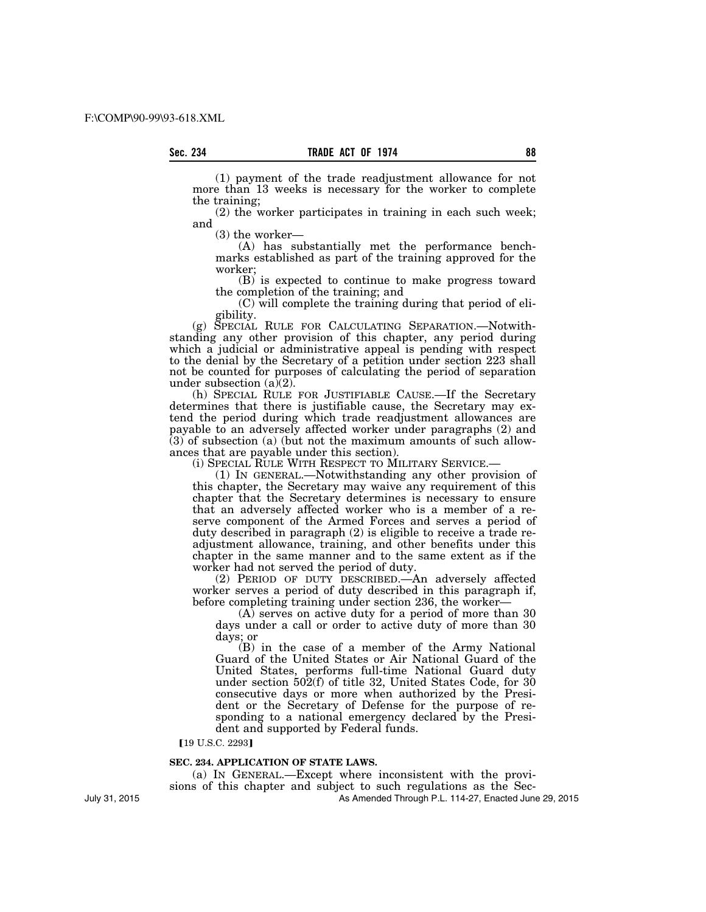(1) payment of the trade readjustment allowance for not more than 13 weeks is necessary for the worker to complete the training;

(2) the worker participates in training in each such week; and

(3) the worker—

(A) has substantially met the performance benchmarks established as part of the training approved for the worker;

(B) is expected to continue to make progress toward the completion of the training; and

(C) will complete the training during that period of eligibility.

(g) SPECIAL RULE FOR CALCULATING SEPARATION.—Notwithstanding any other provision of this chapter, any period during which a judicial or administrative appeal is pending with respect to the denial by the Secretary of a petition under section 223 shall not be counted for purposes of calculating the period of separation under subsection  $(a)(2)$ .

(h) SPECIAL RULE FOR JUSTIFIABLE CAUSE.—If the Secretary determines that there is justifiable cause, the Secretary may extend the period during which trade readjustment allowances are payable to an adversely affected worker under paragraphs (2) and (3) of subsection (a) (but not the maximum amounts of such allowances that are payable under this section).

(i) SPECIAL RULE WITH RESPECT TO MILITARY SERVICE.—

(1) IN GENERAL.—Notwithstanding any other provision of this chapter, the Secretary may waive any requirement of this chapter that the Secretary determines is necessary to ensure that an adversely affected worker who is a member of a reserve component of the Armed Forces and serves a period of duty described in paragraph (2) is eligible to receive a trade readjustment allowance, training, and other benefits under this chapter in the same manner and to the same extent as if the worker had not served the period of duty.

(2) PERIOD OF DUTY DESCRIBED.—An adversely affected worker serves a period of duty described in this paragraph if, before completing training under section 236, the worker—

(A) serves on active duty for a period of more than 30 days under a call or order to active duty of more than 30 days; or

(B) in the case of a member of the Army National Guard of the United States or Air National Guard of the United States, performs full-time National Guard duty under section 502(f) of title 32, United States Code, for 30 consecutive days or more when authorized by the President or the Secretary of Defense for the purpose of responding to a national emergency declared by the President and supported by Federal funds.

[19 U.S.C. 2293]

#### **SEC. 234. APPLICATION OF STATE LAWS.**

(a) IN GENERAL.—Except where inconsistent with the provisions of this chapter and subject to such regulations as the Sec-As Amended Through P.L. 114-27, Enacted June 29, 2015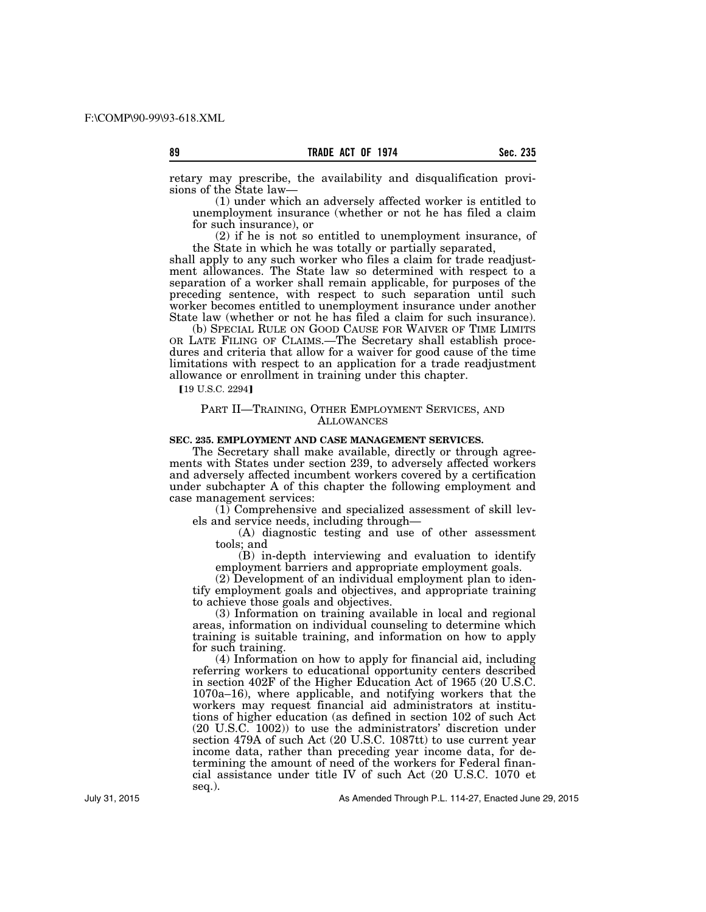retary may prescribe, the availability and disqualification provisions of the State law—

(1) under which an adversely affected worker is entitled to unemployment insurance (whether or not he has filed a claim for such insurance), or

(2) if he is not so entitled to unemployment insurance, of the State in which he was totally or partially separated,

shall apply to any such worker who files a claim for trade readjustment allowances. The State law so determined with respect to a separation of a worker shall remain applicable, for purposes of the preceding sentence, with respect to such separation until such worker becomes entitled to unemployment insurance under another State law (whether or not he has filed a claim for such insurance).

(b) SPECIAL RULE ON GOOD CAUSE FOR WAIVER OF TIME LIMITS OR LATE FILING OF CLAIMS.—The Secretary shall establish procedures and criteria that allow for a waiver for good cause of the time limitations with respect to an application for a trade readjustment allowance or enrollment in training under this chapter.

## **[19 U.S.C. 2294]**

# PART II—TRAINING, OTHER EMPLOYMENT SERVICES, AND ALLOWANCES

#### **SEC. 235. EMPLOYMENT AND CASE MANAGEMENT SERVICES.**

The Secretary shall make available, directly or through agreements with States under section 239, to adversely affected workers and adversely affected incumbent workers covered by a certification under subchapter A of this chapter the following employment and case management services:

(1) Comprehensive and specialized assessment of skill levels and service needs, including through—

(A) diagnostic testing and use of other assessment tools; and

(B) in-depth interviewing and evaluation to identify employment barriers and appropriate employment goals.

(2) Development of an individual employment plan to identify employment goals and objectives, and appropriate training to achieve those goals and objectives.

(3) Information on training available in local and regional areas, information on individual counseling to determine which training is suitable training, and information on how to apply for such training.

(4) Information on how to apply for financial aid, including referring workers to educational opportunity centers described in section 402F of the Higher Education Act of 1965 (20 U.S.C. 1070a–16), where applicable, and notifying workers that the workers may request financial aid administrators at institutions of higher education (as defined in section 102 of such Act (20 U.S.C. 1002)) to use the administrators' discretion under section 479A of such Act (20 U.S.C. 1087tt) to use current year income data, rather than preceding year income data, for determining the amount of need of the workers for Federal financial assistance under title IV of such Act (20 U.S.C. 1070 et seq.).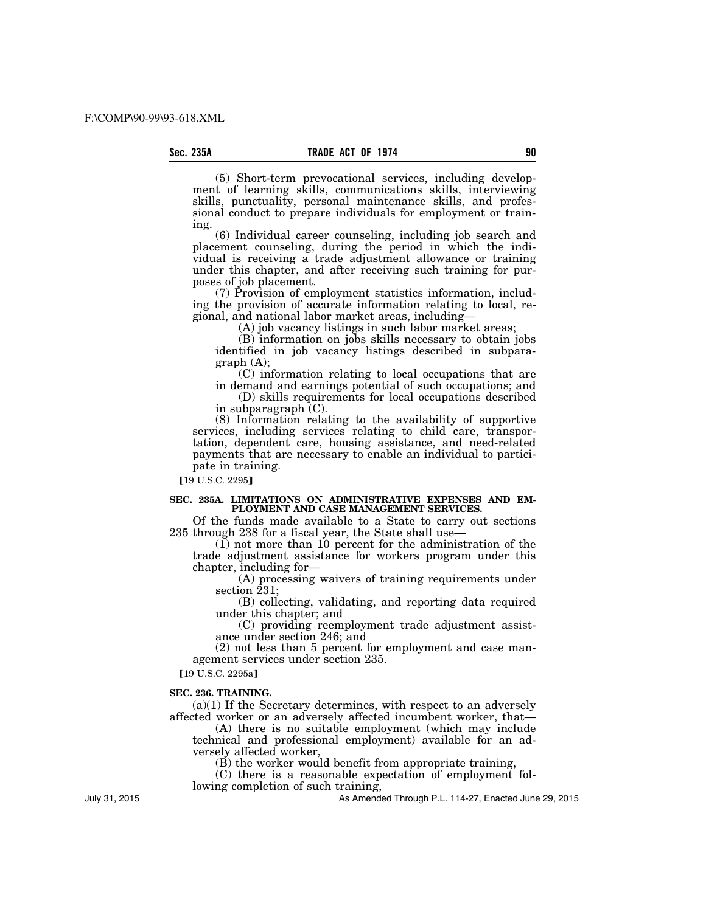(5) Short-term prevocational services, including development of learning skills, communications skills, interviewing skills, punctuality, personal maintenance skills, and professional conduct to prepare individuals for employment or training.

(6) Individual career counseling, including job search and placement counseling, during the period in which the individual is receiving a trade adjustment allowance or training under this chapter, and after receiving such training for purposes of job placement.

(7) Provision of employment statistics information, including the provision of accurate information relating to local, regional, and national labor market areas, including—

(A) job vacancy listings in such labor market areas;

(B) information on jobs skills necessary to obtain jobs identified in job vacancy listings described in subparagraph (A);

(C) information relating to local occupations that are in demand and earnings potential of such occupations; and

(D) skills requirements for local occupations described in subparagraph (C).

(8) Information relating to the availability of supportive services, including services relating to child care, transportation, dependent care, housing assistance, and need-related payments that are necessary to enable an individual to participate in training.

[19 U.S.C. 2295]

#### **SEC. 235A. LIMITATIONS ON ADMINISTRATIVE EXPENSES AND EM-PLOYMENT AND CASE MANAGEMENT SERVICES.**

Of the funds made available to a State to carry out sections 235 through 238 for a fiscal year, the State shall use—

 $(I)$  not more than  $I$ <sup>0</sup> percent for the administration of the trade adjustment assistance for workers program under this chapter, including for—

(A) processing waivers of training requirements under section  $\overline{2}31$ ;

(B) collecting, validating, and reporting data required under this chapter; and

(C) providing reemployment trade adjustment assistance under section 246; and

(2) not less than 5 percent for employment and case management services under section 235.

**[19 U.S.C. 2295a]** 

#### **SEC. 236. TRAINING.**

 $(a)(1)$  If the Secretary determines, with respect to an adversely affected worker or an adversely affected incumbent worker, that—

(A) there is no suitable employment (which may include technical and professional employment) available for an adversely affected worker,

(B) the worker would benefit from appropriate training,

(C) there is a reasonable expectation of employment following completion of such training,

As Amended Through P.L. 114-27, Enacted June 29, 2015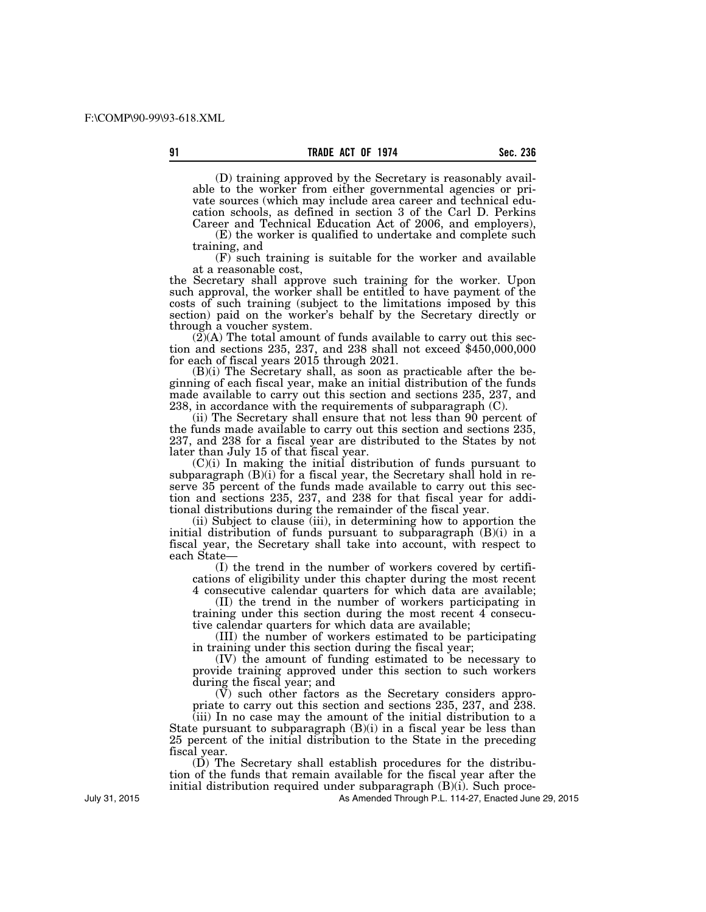(D) training approved by the Secretary is reasonably available to the worker from either governmental agencies or private sources (which may include area career and technical education schools, as defined in section 3 of the Carl D. Perkins Career and Technical Education Act of 2006, and employers),

(E) the worker is qualified to undertake and complete such training, and

(F) such training is suitable for the worker and available at a reasonable cost,

the Secretary shall approve such training for the worker. Upon such approval, the worker shall be entitled to have payment of the costs of such training (subject to the limitations imposed by this section) paid on the worker's behalf by the Secretary directly or through a voucher system.<br> $(2)(A)$  The total amount of funds available to carry out this sec-

tion and sections  $235, 237,$  and  $238$  shall not exceed  $$450,000,000$ for each of fiscal years 2015 through 2021.

 $(B)(i)$  The Secretary shall, as soon as practicable after the beginning of each fiscal year, make an initial distribution of the funds made available to carry out this section and sections 235, 237, and 238, in accordance with the requirements of subparagraph (C).

(ii) The Secretary shall ensure that not less than 90 percent of the funds made available to carry out this section and sections 235, 237, and 238 for a fiscal year are distributed to the States by not later than July 15 of that fiscal year.

 $(C)(i)$  In making the initial distribution of funds pursuant to subparagraph (B)(i) for a fiscal year, the Secretary shall hold in reserve 35 percent of the funds made available to carry out this section and sections 235, 237, and 238 for that fiscal year for additional distributions during the remainder of the fiscal year.

(ii) Subject to clause (iii), in determining how to apportion the initial distribution of funds pursuant to subparagraph  $(B)(i)$  in a fiscal year, the Secretary shall take into account, with respect to each State—

(I) the trend in the number of workers covered by certifications of eligibility under this chapter during the most recent 4 consecutive calendar quarters for which data are available;

(II) the trend in the number of workers participating in training under this section during the most recent 4 consecutive calendar quarters for which data are available;

(III) the number of workers estimated to be participating in training under this section during the fiscal year;

(IV) the amount of funding estimated to be necessary to provide training approved under this section to such workers during the fiscal year; and

(V) such other factors as the Secretary considers appro-

priate to carry out this section and sections 235, 237, and 238. (iii) In no case may the amount of the initial distribution to a State pursuant to subparagraph  $(B)(i)$  in a fiscal year be less than 25 percent of the initial distribution to the State in the preceding fiscal year.

(D) The Secretary shall establish procedures for the distribution of the funds that remain available for the fiscal year after the initial distribution required under subparagraph (B)(i). Such proce-

As Amended Through P.L. 114-27, Enacted June 29, 2015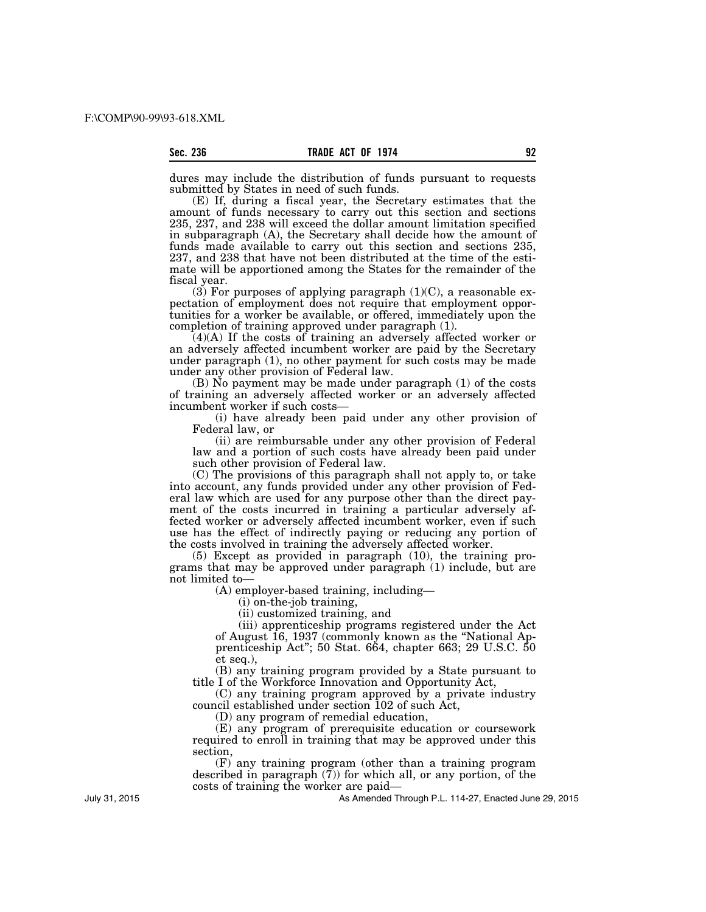dures may include the distribution of funds pursuant to requests submitted by States in need of such funds.

(E) If, during a fiscal year, the Secretary estimates that the amount of funds necessary to carry out this section and sections 235, 237, and 238 will exceed the dollar amount limitation specified in subparagraph (A), the Secretary shall decide how the amount of funds made available to carry out this section and sections 235, 237, and 238 that have not been distributed at the time of the estimate will be apportioned among the States for the remainder of the fiscal year.

(3) For purposes of applying paragraph  $(1)(C)$ , a reasonable expectation of employment does not require that employment opportunities for a worker be available, or offered, immediately upon the completion of training approved under paragraph (1).

(4)(A) If the costs of training an adversely affected worker or an adversely affected incumbent worker are paid by the Secretary under paragraph (1), no other payment for such costs may be made under any other provision of Federal law.

(B) No payment may be made under paragraph (1) of the costs of training an adversely affected worker or an adversely affected incumbent worker if such costs—

(i) have already been paid under any other provision of Federal law, or

(ii) are reimbursable under any other provision of Federal law and a portion of such costs have already been paid under such other provision of Federal law.

(C) The provisions of this paragraph shall not apply to, or take into account, any funds provided under any other provision of Federal law which are used for any purpose other than the direct payment of the costs incurred in training a particular adversely affected worker or adversely affected incumbent worker, even if such use has the effect of indirectly paying or reducing any portion of the costs involved in training the adversely affected worker.

(5) Except as provided in paragraph (10), the training programs that may be approved under paragraph (1) include, but are not limited to—

(A) employer-based training, including—

(i) on-the-job training,

(ii) customized training, and

(iii) apprenticeship programs registered under the Act of August 16, 1937 (commonly known as the ''National Apprenticeship Act''; 50 Stat. 664, chapter 663; 29 U.S.C. 50 et seq.),

(B) any training program provided by a State pursuant to title I of the Workforce Innovation and Opportunity Act,

(C) any training program approved by a private industry council established under section 102 of such Act,

(D) any program of remedial education,

(E) any program of prerequisite education or coursework required to enroll in training that may be approved under this section,

(F) any training program (other than a training program described in paragraph (7)) for which all, or any portion, of the costs of training the worker are paid—

As Amended Through P.L. 114-27, Enacted June 29, 2015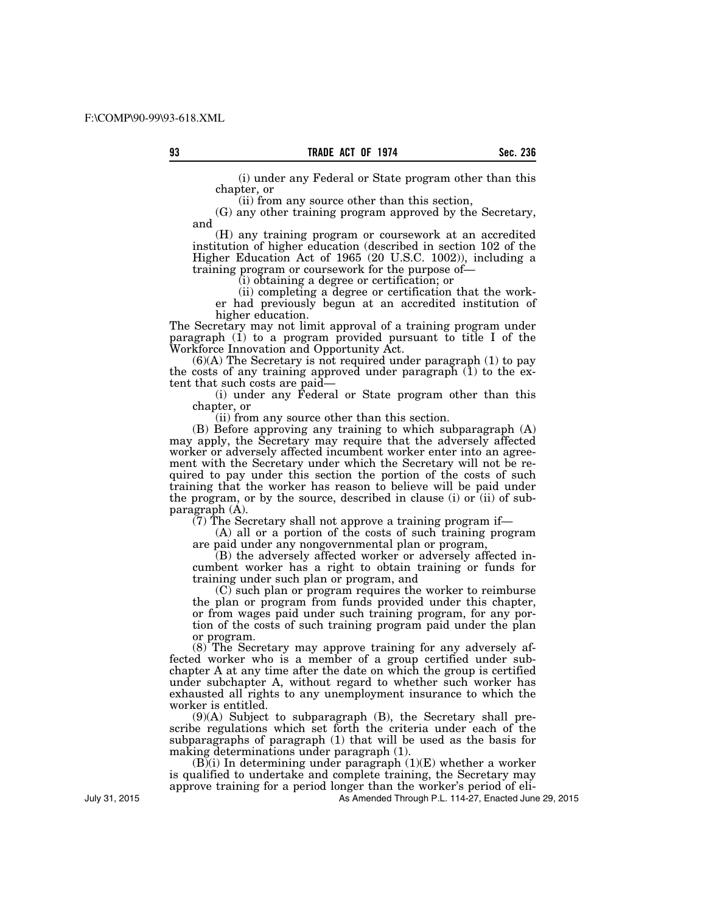(i) under any Federal or State program other than this chapter, or

(ii) from any source other than this section,

(G) any other training program approved by the Secretary, and

(H) any training program or coursework at an accredited institution of higher education (described in section 102 of the Higher Education Act of 1965 (20 U.S.C. 1002)), including a training program or coursework for the purpose of—

(i) obtaining a degree or certification; or

(ii) completing a degree or certification that the worker had previously begun at an accredited institution of higher education.

The Secretary may not limit approval of a training program under paragraph (1) to a program provided pursuant to title I of the Workforce Innovation and Opportunity Act.

(6)(A) The Secretary is not required under paragraph (1) to pay the costs of any training approved under paragraph (1) to the extent that such costs are paid—

(i) under any Federal or State program other than this chapter, or

(ii) from any source other than this section.

(B) Before approving any training to which subparagraph (A) may apply, the Secretary may require that the adversely affected worker or adversely affected incumbent worker enter into an agreement with the Secretary under which the Secretary will not be required to pay under this section the portion of the costs of such training that the worker has reason to believe will be paid under the program, or by the source, described in clause (i) or (ii) of subparagraph (A).

(7) The Secretary shall not approve a training program if—

(A) all or a portion of the costs of such training program are paid under any nongovernmental plan or program,

(B) the adversely affected worker or adversely affected incumbent worker has a right to obtain training or funds for training under such plan or program, and

(C) such plan or program requires the worker to reimburse the plan or program from funds provided under this chapter, or from wages paid under such training program, for any portion of the costs of such training program paid under the plan or program.

(8) The Secretary may approve training for any adversely affected worker who is a member of a group certified under subchapter A at any time after the date on which the group is certified under subchapter A, without regard to whether such worker has exhausted all rights to any unemployment insurance to which the worker is entitled.

(9)(A) Subject to subparagraph (B), the Secretary shall prescribe regulations which set forth the criteria under each of the subparagraphs of paragraph (1) that will be used as the basis for making determinations under paragraph (1).

 $(B)(i)$  In determining under paragraph  $(1)(E)$  whether a worker is qualified to undertake and complete training, the Secretary may approve training for a period longer than the worker's period of eli-

As Amended Through P.L. 114-27, Enacted June 29, 2015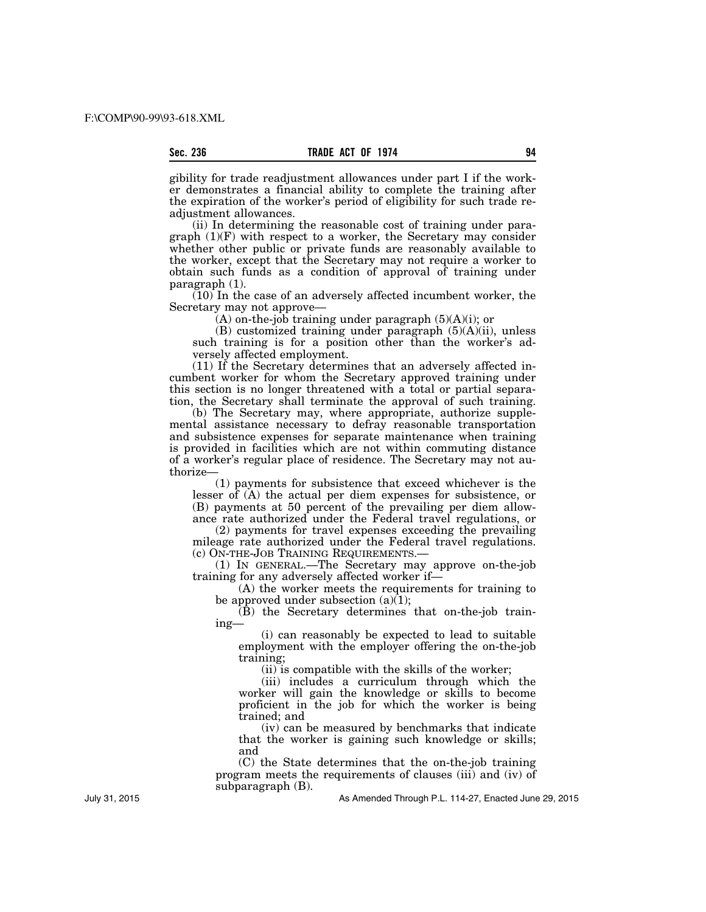gibility for trade readjustment allowances under part I if the worker demonstrates a financial ability to complete the training after the expiration of the worker's period of eligibility for such trade readjustment allowances.

(ii) In determining the reasonable cost of training under paragraph (1)(F) with respect to a worker, the Secretary may consider whether other public or private funds are reasonably available to the worker, except that the Secretary may not require a worker to obtain such funds as a condition of approval of training under paragraph (1).

(10) In the case of an adversely affected incumbent worker, the Secretary may not approve—

 $(A)$  on-the-job training under paragraph  $(5)(A)(i)$ ; or

 $(B)$  customized training under paragraph  $(5)(A)(ii)$ , unless such training is for a position other than the worker's adversely affected employment.

(11) If the Secretary determines that an adversely affected incumbent worker for whom the Secretary approved training under this section is no longer threatened with a total or partial separation, the Secretary shall terminate the approval of such training.

(b) The Secretary may, where appropriate, authorize supplemental assistance necessary to defray reasonable transportation and subsistence expenses for separate maintenance when training is provided in facilities which are not within commuting distance of a worker's regular place of residence. The Secretary may not authorize—

(1) payments for subsistence that exceed whichever is the lesser of (A) the actual per diem expenses for subsistence, or (B) payments at 50 percent of the prevailing per diem allowance rate authorized under the Federal travel regulations, or

(2) payments for travel expenses exceeding the prevailing mileage rate authorized under the Federal travel regulations. (c) ON-THE-JOB TRAINING REQUIREMENTS.—

(1) IN GENERAL.—The Secretary may approve on-the-job training for any adversely affected worker if—

(A) the worker meets the requirements for training to be approved under subsection  $(a)(1)$ ;

(B) the Secretary determines that on-the-job training—

(i) can reasonably be expected to lead to suitable employment with the employer offering the on-the-job training;

(ii) is compatible with the skills of the worker;

(iii) includes a curriculum through which the worker will gain the knowledge or skills to become proficient in the job for which the worker is being trained; and

(iv) can be measured by benchmarks that indicate that the worker is gaining such knowledge or skills; and

(C) the State determines that the on-the-job training program meets the requirements of clauses (iii) and (iv) of subparagraph (B).

As Amended Through P.L. 114-27, Enacted June 29, 2015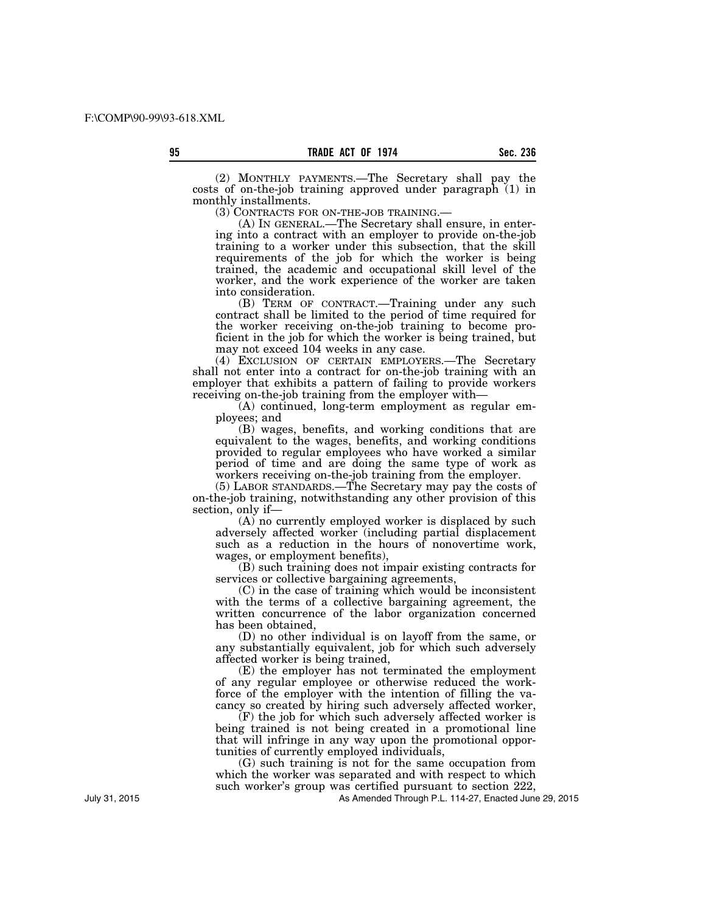(2) MONTHLY PAYMENTS.—The Secretary shall pay the costs of on-the-job training approved under paragraph (1) in monthly installments.

(3) CONTRACTS FOR ON-THE-JOB TRAINING.— (A) IN GENERAL.—The Secretary shall ensure, in entering into a contract with an employer to provide on-the-job training to a worker under this subsection, that the skill requirements of the job for which the worker is being trained, the academic and occupational skill level of the worker, and the work experience of the worker are taken into consideration.

(B) TERM OF CONTRACT.—Training under any such contract shall be limited to the period of time required for the worker receiving on-the-job training to become proficient in the job for which the worker is being trained, but may not exceed 104 weeks in any case.

(4) EXCLUSION OF CERTAIN EMPLOYERS.—The Secretary shall not enter into a contract for on-the-job training with an employer that exhibits a pattern of failing to provide workers receiving on-the-job training from the employer with—

(A) continued, long-term employment as regular employees; and

(B) wages, benefits, and working conditions that are equivalent to the wages, benefits, and working conditions provided to regular employees who have worked a similar period of time and are doing the same type of work as workers receiving on-the-job training from the employer.

(5) LABOR STANDARDS.—The Secretary may pay the costs of on-the-job training, notwithstanding any other provision of this section, only if—

(A) no currently employed worker is displaced by such adversely affected worker (including partial displacement such as a reduction in the hours of nonovertime work, wages, or employment benefits),

(B) such training does not impair existing contracts for services or collective bargaining agreements,

(C) in the case of training which would be inconsistent with the terms of a collective bargaining agreement, the written concurrence of the labor organization concerned has been obtained,

(D) no other individual is on layoff from the same, or any substantially equivalent, job for which such adversely affected worker is being trained,

(E) the employer has not terminated the employment of any regular employee or otherwise reduced the workforce of the employer with the intention of filling the vacancy so created by hiring such adversely affected worker,

(F) the job for which such adversely affected worker is being trained is not being created in a promotional line that will infringe in any way upon the promotional opportunities of currently employed individuals,

(G) such training is not for the same occupation from which the worker was separated and with respect to which such worker's group was certified pursuant to section 222,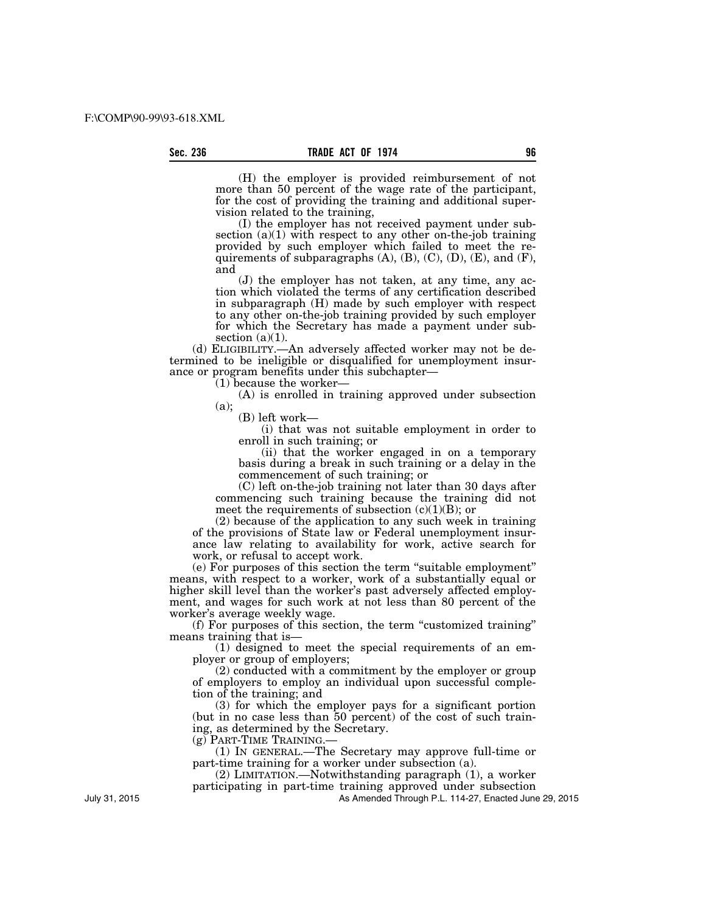(H) the employer is provided reimbursement of not more than 50 percent of the wage rate of the participant, for the cost of providing the training and additional supervision related to the training,

(I) the employer has not received payment under subsection  $(a)(1)$  with respect to any other on-the-job training provided by such employer which failed to meet the requirements of subparagraphs  $(A)$ ,  $(B)$ ,  $(C)$ ,  $(D)$ ,  $(E)$ , and  $(F)$ , and

(J) the employer has not taken, at any time, any action which violated the terms of any certification described in subparagraph (H) made by such employer with respect to any other on-the-job training provided by such employer for which the Secretary has made a payment under subsection  $(a)(1)$ .

(d) ELIGIBILITY.—An adversely affected worker may not be determined to be ineligible or disqualified for unemployment insurance or program benefits under this subchapter—

(1) because the worker—

(A) is enrolled in training approved under subsection (a);

(B) left work—

(i) that was not suitable employment in order to enroll in such training; or

(ii) that the worker engaged in on a temporary basis during a break in such training or a delay in the commencement of such training; or

(C) left on-the-job training not later than 30 days after commencing such training because the training did not meet the requirements of subsection  $(c)(1)(B)$ ; or

(2) because of the application to any such week in training of the provisions of State law or Federal unemployment insurance law relating to availability for work, active search for work, or refusal to accept work.

(e) For purposes of this section the term ''suitable employment'' means, with respect to a worker, work of a substantially equal or higher skill level than the worker's past adversely affected employment, and wages for such work at not less than 80 percent of the worker's average weekly wage.

(f) For purposes of this section, the term ''customized training'' means training that is—

(1) designed to meet the special requirements of an employer or group of employers;

(2) conducted with a commitment by the employer or group of employers to employ an individual upon successful completion of the training; and

(3) for which the employer pays for a significant portion (but in no case less than 50 percent) of the cost of such training, as determined by the Secretary.

(g) PART-TIME TRAINING.—

(1) IN GENERAL.—The Secretary may approve full-time or part-time training for a worker under subsection (a).

(2) LIMITATION.—Notwithstanding paragraph (1), a worker participating in part-time training approved under subsection

As Amended Through P.L. 114-27, Enacted June 29, 2015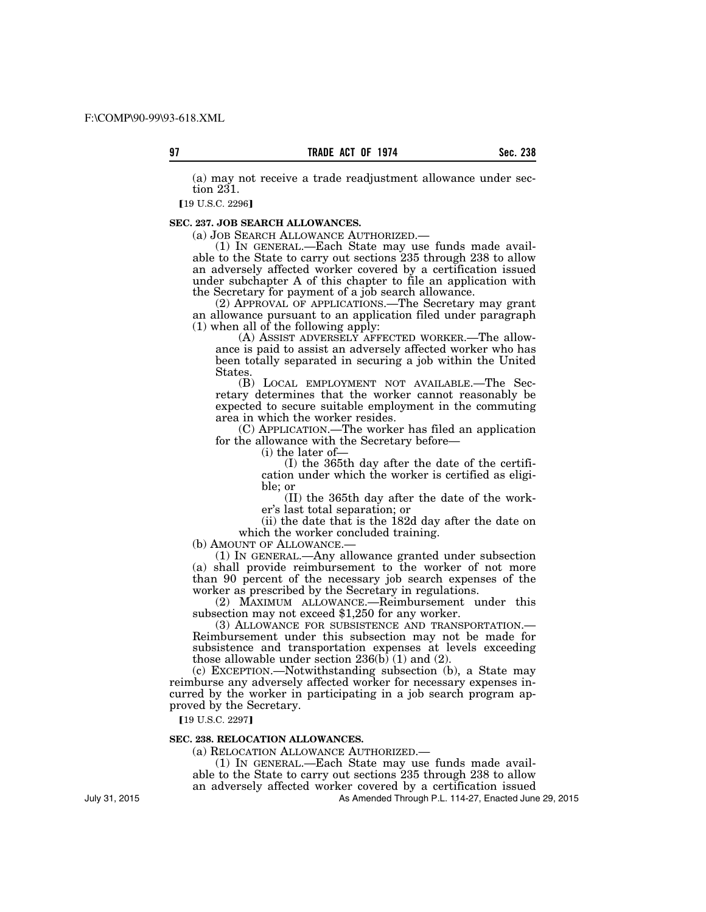(a) may not receive a trade readjustment allowance under section 231.

[19 U.S.C. 2296]

# **SEC. 237. JOB SEARCH ALLOWANCES.**

(a) JOB SEARCH ALLOWANCE AUTHORIZED.— (1) IN GENERAL.—Each State may use funds made available to the State to carry out sections 235 through 238 to allow an adversely affected worker covered by a certification issued under subchapter A of this chapter to file an application with the Secretary for payment of a job search allowance.

(2) APPROVAL OF APPLICATIONS.—The Secretary may grant an allowance pursuant to an application filed under paragraph  $(1)$  when all of the following apply:

(A) ASSIST ADVERSELY AFFECTED WORKER.—The allowance is paid to assist an adversely affected worker who has been totally separated in securing a job within the United States.

(B) LOCAL EMPLOYMENT NOT AVAILABLE.—The Secretary determines that the worker cannot reasonably be expected to secure suitable employment in the commuting area in which the worker resides.

(C) APPLICATION.—The worker has filed an application for the allowance with the Secretary before—

(i) the later of—

(I) the 365th day after the date of the certification under which the worker is certified as eligible; or

(II) the 365th day after the date of the worker's last total separation; or

(ii) the date that is the 182d day after the date on which the worker concluded training.

(b) AMOUNT OF ALLOWANCE.

(1) IN GENERAL.—Any allowance granted under subsection (a) shall provide reimbursement to the worker of not more than 90 percent of the necessary job search expenses of the worker as prescribed by the Secretary in regulations.

(2) MAXIMUM ALLOWANCE.—Reimbursement under this subsection may not exceed \$1,250 for any worker.

(3) ALLOWANCE FOR SUBSISTENCE AND TRANSPORTATION.— Reimbursement under this subsection may not be made for subsistence and transportation expenses at levels exceeding those allowable under section  $236(b)$  (1) and (2).

(c) EXCEPTION.—Notwithstanding subsection (b), a State may reimburse any adversely affected worker for necessary expenses incurred by the worker in participating in a job search program approved by the Secretary.

**[19 U.S.C. 2297]** 

## **SEC. 238. RELOCATION ALLOWANCES.**

(a) RELOCATION ALLOWANCE AUTHORIZED.—

(1) IN GENERAL.—Each State may use funds made available to the State to carry out sections 235 through 238 to allow an adversely affected worker covered by a certification issued

As Amended Through P.L. 114-27, Enacted June 29, 2015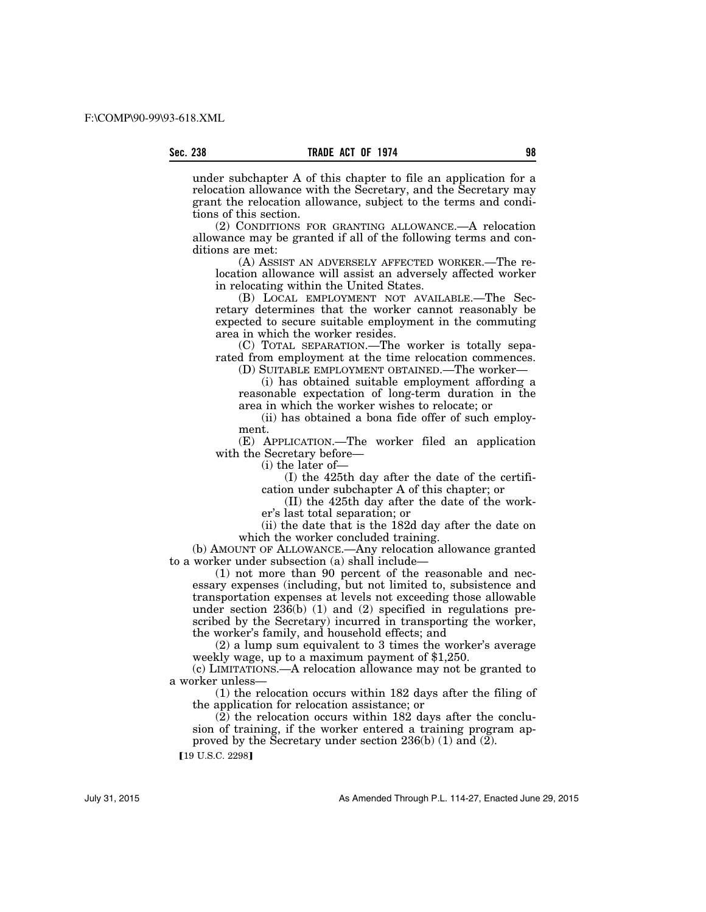under subchapter A of this chapter to file an application for a relocation allowance with the Secretary, and the Secretary may grant the relocation allowance, subject to the terms and conditions of this section.

(2) CONDITIONS FOR GRANTING ALLOWANCE.—A relocation allowance may be granted if all of the following terms and conditions are met:

(A) ASSIST AN ADVERSELY AFFECTED WORKER.—The relocation allowance will assist an adversely affected worker in relocating within the United States.

(B) LOCAL EMPLOYMENT NOT AVAILABLE.—The Secretary determines that the worker cannot reasonably be expected to secure suitable employment in the commuting area in which the worker resides.

(C) TOTAL SEPARATION.—The worker is totally separated from employment at the time relocation commences.

(D) SUITABLE EMPLOYMENT OBTAINED.—The worker—

(i) has obtained suitable employment affording a reasonable expectation of long-term duration in the area in which the worker wishes to relocate; or

(ii) has obtained a bona fide offer of such employment.

(E) APPLICATION.—The worker filed an application with the Secretary before—

(i) the later of—

(I) the 425th day after the date of the certification under subchapter A of this chapter; or

(II) the 425th day after the date of the work-

er's last total separation; or

(ii) the date that is the 182d day after the date on which the worker concluded training.

(b) AMOUNT OF ALLOWANCE.—Any relocation allowance granted to a worker under subsection (a) shall include—

(1) not more than 90 percent of the reasonable and necessary expenses (including, but not limited to, subsistence and transportation expenses at levels not exceeding those allowable under section  $236(b)$  (1) and (2) specified in regulations prescribed by the Secretary) incurred in transporting the worker, the worker's family, and household effects; and

(2) a lump sum equivalent to 3 times the worker's average weekly wage, up to a maximum payment of \$1,250.

(c) LIMITATIONS.—A relocation allowance may not be granted to a worker unless—

(1) the relocation occurs within 182 days after the filing of the application for relocation assistance; or

(2) the relocation occurs within 182 days after the conclusion of training, if the worker entered a training program approved by the Secretary under section 236(b) (1) and (2).

[19 U.S.C. 2298]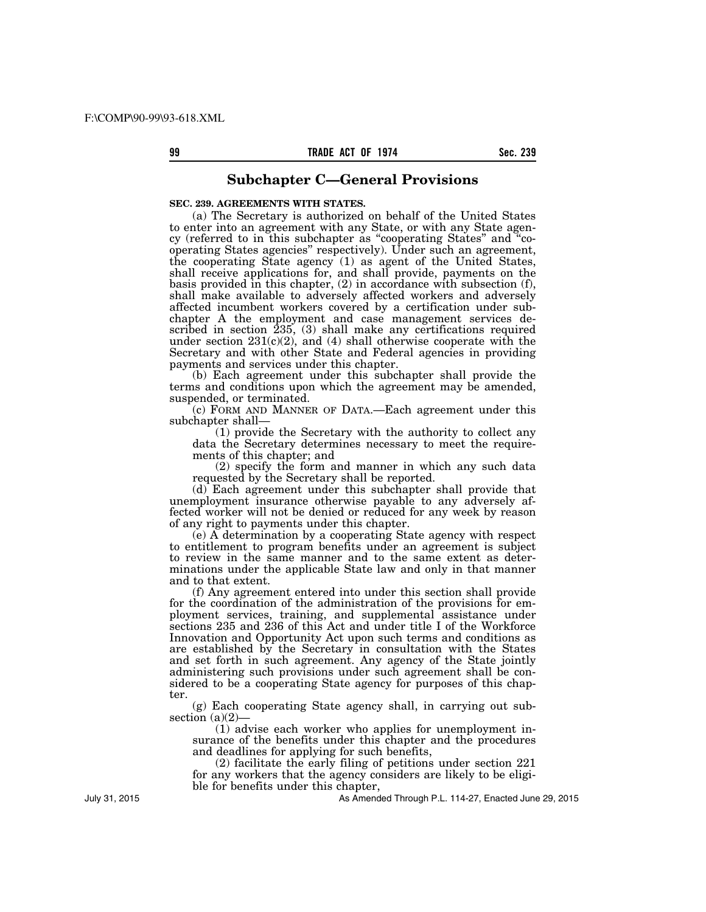# **Subchapter C—General Provisions**

# **SEC. 239. AGREEMENTS WITH STATES.**

(a) The Secretary is authorized on behalf of the United States to enter into an agreement with any State, or with any State agency (referred to in this subchapter as ''cooperating States'' and ''cooperating States agencies'' respectively). Under such an agreement, the cooperating State agency (1) as agent of the United States, shall receive applications for, and shall provide, payments on the basis provided in this chapter,  $(2)$  in accordance with subsection  $(f)$ , shall make available to adversely affected workers and adversely affected incumbent workers covered by a certification under subchapter A the employment and case management services described in section 235, (3) shall make any certifications required under section  $231(c)(2)$ , and  $(4)$  shall otherwise cooperate with the Secretary and with other State and Federal agencies in providing payments and services under this chapter.

(b) Each agreement under this subchapter shall provide the terms and conditions upon which the agreement may be amended, suspended, or terminated.

(c) FORM AND MANNER OF DATA.—Each agreement under this subchapter shall—

(1) provide the Secretary with the authority to collect any data the Secretary determines necessary to meet the requirements of this chapter; and

(2) specify the form and manner in which any such data requested by the Secretary shall be reported.

(d) Each agreement under this subchapter shall provide that unemployment insurance otherwise payable to any adversely affected worker will not be denied or reduced for any week by reason of any right to payments under this chapter.

(e) A determination by a cooperating State agency with respect to entitlement to program benefits under an agreement is subject to review in the same manner and to the same extent as determinations under the applicable State law and only in that manner and to that extent.

(f) Any agreement entered into under this section shall provide for the coordination of the administration of the provisions for employment services, training, and supplemental assistance under sections 235 and 236 of this Act and under title I of the Workforce Innovation and Opportunity Act upon such terms and conditions as are established by the Secretary in consultation with the States and set forth in such agreement. Any agency of the State jointly administering such provisions under such agreement shall be considered to be a cooperating State agency for purposes of this chapter.

(g) Each cooperating State agency shall, in carrying out subsection (a)(2)-

(1) advise each worker who applies for unemployment insurance of the benefits under this chapter and the procedures and deadlines for applying for such benefits,

(2) facilitate the early filing of petitions under section 221 for any workers that the agency considers are likely to be eligible for benefits under this chapter,

As Amended Through P.L. 114-27, Enacted June 29, 2015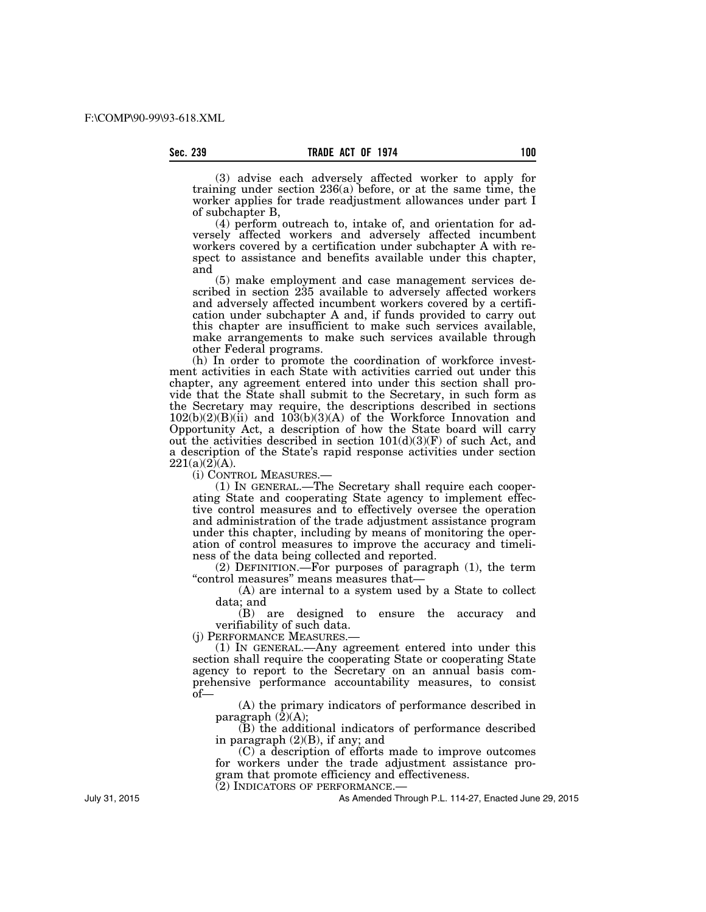(3) advise each adversely affected worker to apply for training under section 236(a) before, or at the same time, the worker applies for trade readjustment allowances under part I of subchapter B,

(4) perform outreach to, intake of, and orientation for adversely affected workers and adversely affected incumbent workers covered by a certification under subchapter A with respect to assistance and benefits available under this chapter, and

(5) make employment and case management services described in section 235 available to adversely affected workers and adversely affected incumbent workers covered by a certification under subchapter A and, if funds provided to carry out this chapter are insufficient to make such services available, make arrangements to make such services available through other Federal programs.

(h) In order to promote the coordination of workforce investment activities in each State with activities carried out under this chapter, any agreement entered into under this section shall provide that the State shall submit to the Secretary, in such form as the Secretary may require, the descriptions described in sections  $102(b)(2)(B)(ii)$  and  $103(b)(3)(A)$  of the Workforce Innovation and Opportunity Act, a description of how the State board will carry out the activities described in section  $101(d)(3)(F)$  of such Act, and a description of the State's rapid response activities under section 221(a)(2)(A).

(i) CONTROL MEASURES.—

(1) IN GENERAL.—The Secretary shall require each cooperating State and cooperating State agency to implement effective control measures and to effectively oversee the operation and administration of the trade adjustment assistance program under this chapter, including by means of monitoring the operation of control measures to improve the accuracy and timeliness of the data being collected and reported.

(2) DEFINITION.—For purposes of paragraph (1), the term ''control measures'' means measures that—

(A) are internal to a system used by a State to collect data; and

(B) are designed to ensure the accuracy and verifiability of such data.

(j) PERFORMANCE MEASURES.—

(1) IN GENERAL.—Any agreement entered into under this section shall require the cooperating State or cooperating State agency to report to the Secretary on an annual basis comprehensive performance accountability measures, to consist of—

(A) the primary indicators of performance described in paragraph  $(\overline{2})(A)$ ;

(B) the additional indicators of performance described in paragraph (2)(B), if any; and

(C) a description of efforts made to improve outcomes for workers under the trade adjustment assistance program that promote efficiency and effectiveness.

(2) INDICATORS OF PERFORMANCE.—

As Amended Through P.L. 114-27, Enacted June 29, 2015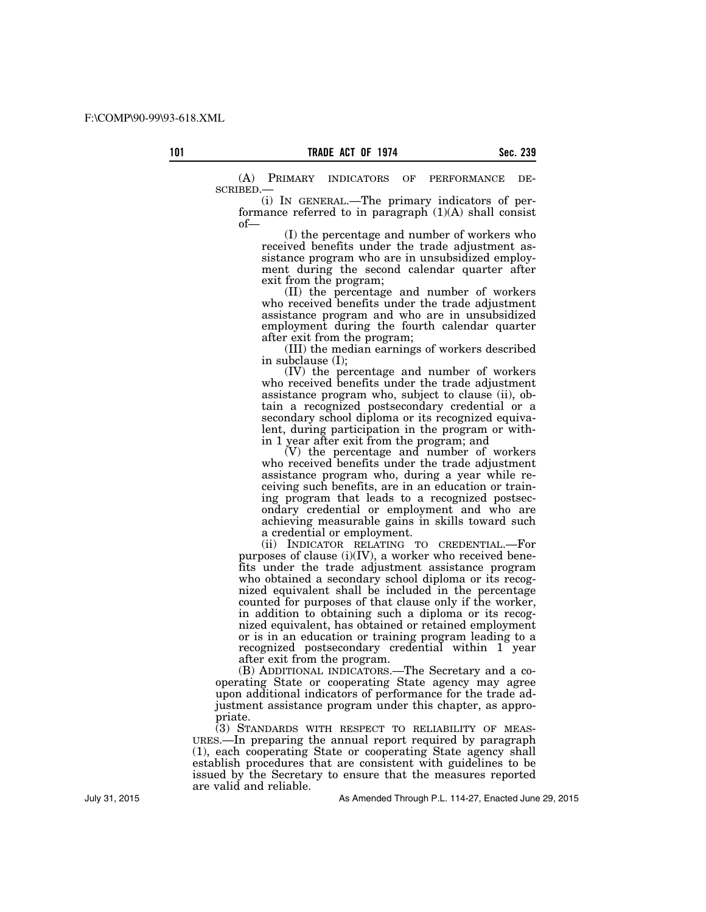(A) PRIMARY INDICATORS OF PERFORMANCE DESCRIBED.—

(i) IN GENERAL.—The primary indicators of performance referred to in paragraph  $(1)(A)$  shall consist of—

(I) the percentage and number of workers who received benefits under the trade adjustment assistance program who are in unsubsidized employment during the second calendar quarter after exit from the program;

(II) the percentage and number of workers who received benefits under the trade adjustment assistance program and who are in unsubsidized employment during the fourth calendar quarter after exit from the program;

(III) the median earnings of workers described in subclause (I);

(IV) the percentage and number of workers who received benefits under the trade adjustment assistance program who, subject to clause (ii), obtain a recognized postsecondary credential or a secondary school diploma or its recognized equivalent, during participation in the program or within 1 year after exit from the program; and

(V) the percentage and number of workers who received benefits under the trade adjustment assistance program who, during a year while receiving such benefits, are in an education or training program that leads to a recognized postsecondary credential or employment and who are achieving measurable gains in skills toward such a credential or employment.

(ii) INDICATOR RELATING TO CREDENTIAL.—For purposes of clause  $(i)(IV)$ , a worker who received benefits under the trade adjustment assistance program who obtained a secondary school diploma or its recognized equivalent shall be included in the percentage counted for purposes of that clause only if the worker, in addition to obtaining such a diploma or its recognized equivalent, has obtained or retained employment or is in an education or training program leading to a recognized postsecondary credential within 1 year after exit from the program.

(B) ADDITIONAL INDICATORS.—The Secretary and a cooperating State or cooperating State agency may agree upon additional indicators of performance for the trade adjustment assistance program under this chapter, as appropriate.

(3) STANDARDS WITH RESPECT TO RELIABILITY OF MEAS-URES.—In preparing the annual report required by paragraph (1), each cooperating State or cooperating State agency shall establish procedures that are consistent with guidelines to be issued by the Secretary to ensure that the measures reported are valid and reliable.

As Amended Through P.L. 114-27, Enacted June 29, 2015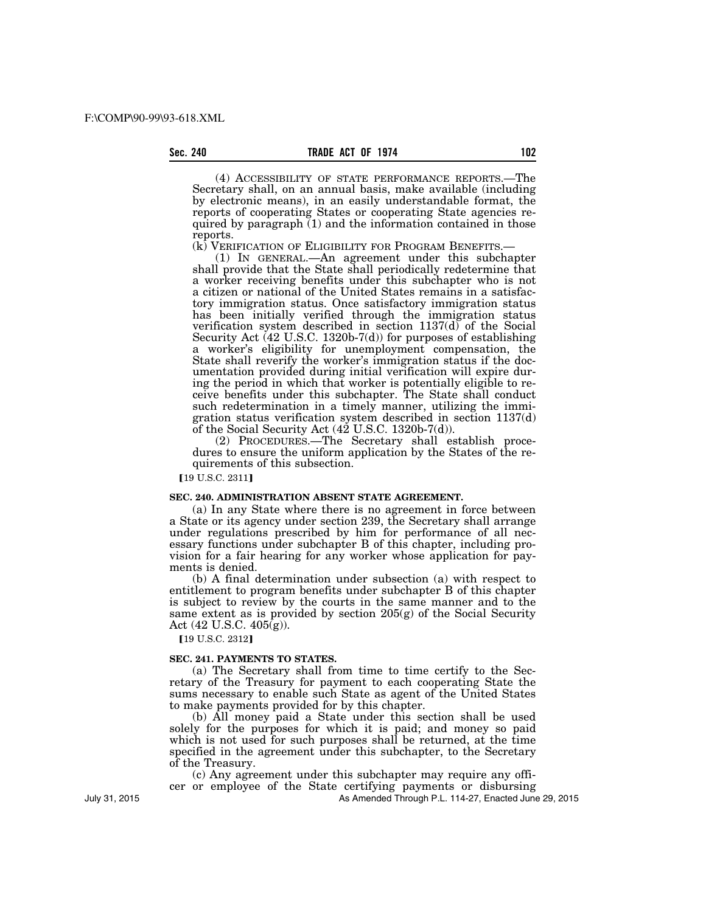(4) ACCESSIBILITY OF STATE PERFORMANCE REPORTS.—The Secretary shall, on an annual basis, make available (including by electronic means), in an easily understandable format, the reports of cooperating States or cooperating State agencies required by paragraph  $(1)$  and the information contained in those reports.<br>(k) VERIFICATION OF ELIGIBILITY FOR PROGRAM BENEFITS.—

 $(k)$  IN GENERAL.—An agreement under this subchapter shall provide that the State shall periodically redetermine that a worker receiving benefits under this subchapter who is not a citizen or national of the United States remains in a satisfactory immigration status. Once satisfactory immigration status has been initially verified through the immigration status verification system described in section 1137(d) of the Social Security Act (42 U.S.C. 1320b-7(d)) for purposes of establishing a worker's eligibility for unemployment compensation, the State shall reverify the worker's immigration status if the documentation provided during initial verification will expire during the period in which that worker is potentially eligible to receive benefits under this subchapter. The State shall conduct such redetermination in a timely manner, utilizing the immigration status verification system described in section 1137(d) of the Social Security Act  $(42 \text{ U.S.C. } 1320b-7(d))$ .

(2) PROCEDURES.—The Secretary shall establish procedures to ensure the uniform application by the States of the requirements of this subsection.

**[19 U.S.C. 2311]** 

#### **SEC. 240. ADMINISTRATION ABSENT STATE AGREEMENT.**

(a) In any State where there is no agreement in force between a State or its agency under section 239, the Secretary shall arrange under regulations prescribed by him for performance of all necessary functions under subchapter B of this chapter, including provision for a fair hearing for any worker whose application for payments is denied.

(b) A final determination under subsection (a) with respect to entitlement to program benefits under subchapter B of this chapter is subject to review by the courts in the same manner and to the same extent as is provided by section 205(g) of the Social Security Act  $(42 \text{ U.S.C. } 405\text{(g)})$ .

[19 U.S.C. 2312]

#### **SEC. 241. PAYMENTS TO STATES.**

(a) The Secretary shall from time to time certify to the Secretary of the Treasury for payment to each cooperating State the sums necessary to enable such State as agent of the United States to make payments provided for by this chapter.

(b) All money paid a State under this section shall be used solely for the purposes for which it is paid; and money so paid which is not used for such purposes shall be returned, at the time specified in the agreement under this subchapter, to the Secretary of the Treasury.

(c) Any agreement under this subchapter may require any offi-

cer or employee of the State certifying payments or disbursing As Amended Through P.L. 114-27, Enacted June 29, 2015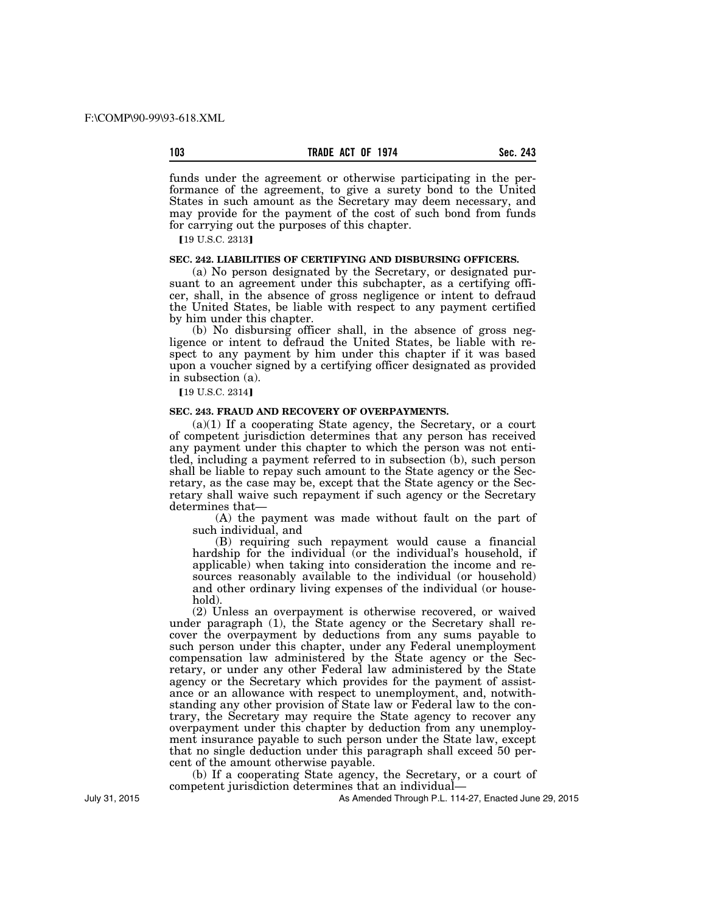funds under the agreement or otherwise participating in the performance of the agreement, to give a surety bond to the United States in such amount as the Secretary may deem necessary, and may provide for the payment of the cost of such bond from funds for carrying out the purposes of this chapter.

**[19 U.S.C. 2313]** 

#### **SEC. 242. LIABILITIES OF CERTIFYING AND DISBURSING OFFICERS.**

(a) No person designated by the Secretary, or designated pursuant to an agreement under this subchapter, as a certifying officer, shall, in the absence of gross negligence or intent to defraud the United States, be liable with respect to any payment certified by him under this chapter.

(b) No disbursing officer shall, in the absence of gross negligence or intent to defraud the United States, be liable with respect to any payment by him under this chapter if it was based upon a voucher signed by a certifying officer designated as provided in subsection (a).

[19 U.S.C. 2314]

# **SEC. 243. FRAUD AND RECOVERY OF OVERPAYMENTS.**

 $(a)(1)$  If a cooperating State agency, the Secretary, or a court of competent jurisdiction determines that any person has received any payment under this chapter to which the person was not entitled, including a payment referred to in subsection (b), such person shall be liable to repay such amount to the State agency or the Secretary, as the case may be, except that the State agency or the Secretary shall waive such repayment if such agency or the Secretary determines that—

(A) the payment was made without fault on the part of such individual, and

(B) requiring such repayment would cause a financial hardship for the individual (or the individual's household, if applicable) when taking into consideration the income and resources reasonably available to the individual (or household) and other ordinary living expenses of the individual (or household).

(2) Unless an overpayment is otherwise recovered, or waived under paragraph (1), the State agency or the Secretary shall recover the overpayment by deductions from any sums payable to such person under this chapter, under any Federal unemployment compensation law administered by the State agency or the Secretary, or under any other Federal law administered by the State agency or the Secretary which provides for the payment of assistance or an allowance with respect to unemployment, and, notwithstanding any other provision of State law or Federal law to the contrary, the Secretary may require the State agency to recover any overpayment under this chapter by deduction from any unemployment insurance payable to such person under the State law, except that no single deduction under this paragraph shall exceed 50 percent of the amount otherwise payable.

(b) If a cooperating State agency, the Secretary, or a court of competent jurisdiction determines that an individual—

As Amended Through P.L. 114-27, Enacted June 29, 2015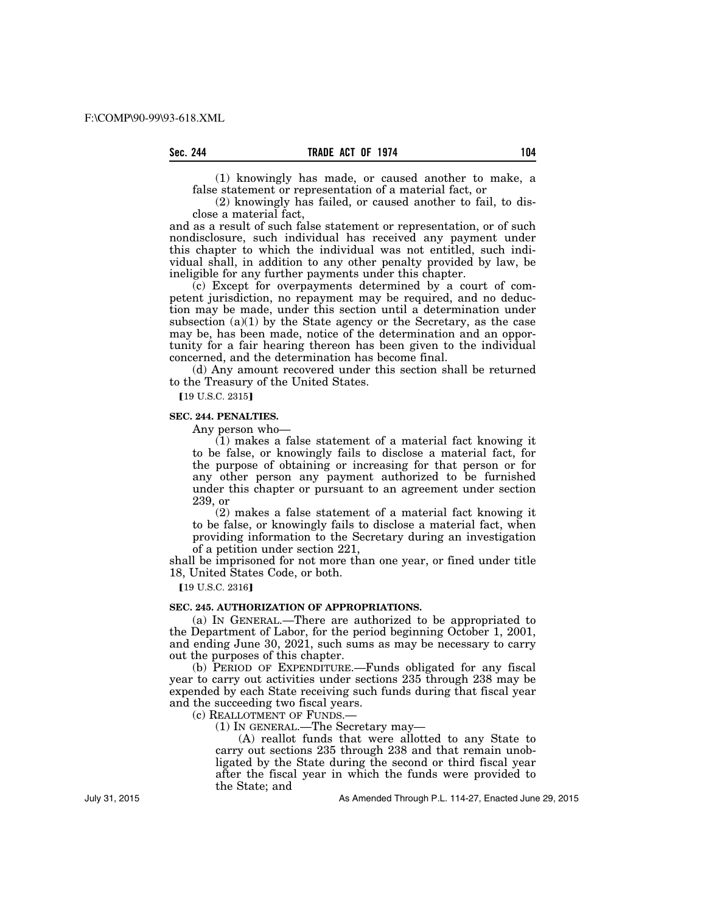(1) knowingly has made, or caused another to make, a false statement or representation of a material fact, or

(2) knowingly has failed, or caused another to fail, to disclose a material fact,

and as a result of such false statement or representation, or of such nondisclosure, such individual has received any payment under this chapter to which the individual was not entitled, such individual shall, in addition to any other penalty provided by law, be ineligible for any further payments under this chapter.

(c) Except for overpayments determined by a court of competent jurisdiction, no repayment may be required, and no deduction may be made, under this section until a determination under subsection  $(a)(1)$  by the State agency or the Secretary, as the case may be, has been made, notice of the determination and an opportunity for a fair hearing thereon has been given to the individual concerned, and the determination has become final.

(d) Any amount recovered under this section shall be returned to the Treasury of the United States.

[19 U.S.C. 2315]

## **SEC. 244. PENALTIES.**

Any person who—

(1) makes a false statement of a material fact knowing it to be false, or knowingly fails to disclose a material fact, for the purpose of obtaining or increasing for that person or for any other person any payment authorized to be furnished under this chapter or pursuant to an agreement under section 239, or

(2) makes a false statement of a material fact knowing it to be false, or knowingly fails to disclose a material fact, when providing information to the Secretary during an investigation of a petition under section 221,

shall be imprisoned for not more than one year, or fined under title 18, United States Code, or both.

**[19 U.S.C. 2316]** 

#### **SEC. 245. AUTHORIZATION OF APPROPRIATIONS.**

(a) IN GENERAL.—There are authorized to be appropriated to the Department of Labor, for the period beginning October 1, 2001, and ending June 30, 2021, such sums as may be necessary to carry out the purposes of this chapter.

(b) PERIOD OF EXPENDITURE.—Funds obligated for any fiscal year to carry out activities under sections 235 through 238 may be expended by each State receiving such funds during that fiscal year and the succeeding two fiscal years.

(c) REALLOTMENT OF FUNDS.—

(1) IN GENERAL.—The Secretary may—

(A) reallot funds that were allotted to any State to carry out sections 235 through 238 and that remain unobligated by the State during the second or third fiscal year after the fiscal year in which the funds were provided to the State; and

As Amended Through P.L. 114-27, Enacted June 29, 2015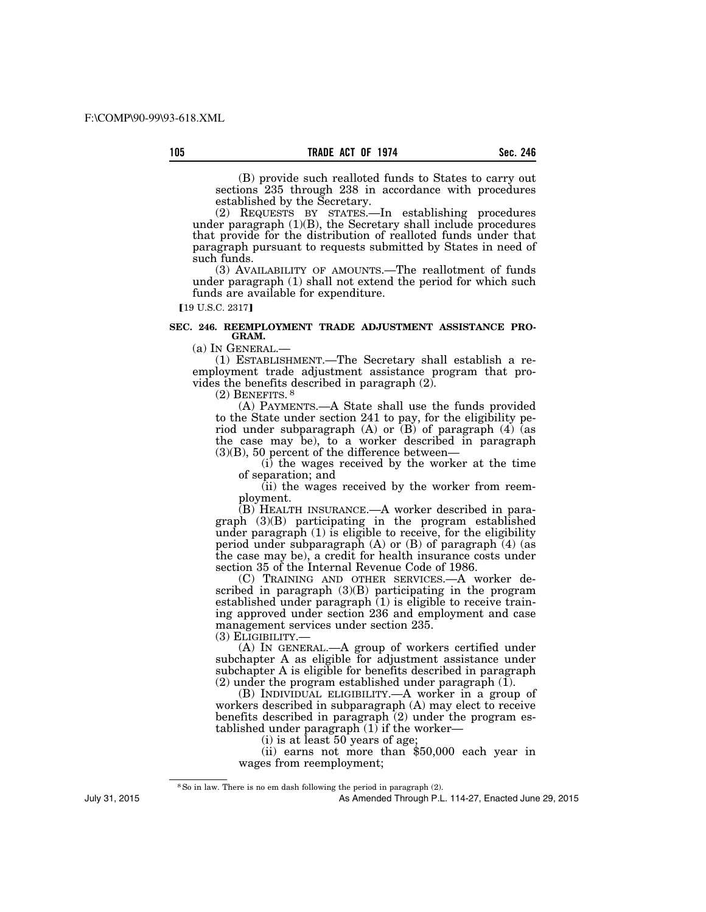(B) provide such realloted funds to States to carry out sections 235 through 238 in accordance with procedures established by the Secretary.

(2) REQUESTS BY STATES.—In establishing procedures under paragraph (1)(B), the Secretary shall include procedures that provide for the distribution of realloted funds under that paragraph pursuant to requests submitted by States in need of such funds.

(3) AVAILABILITY OF AMOUNTS.—The reallotment of funds under paragraph (1) shall not extend the period for which such funds are available for expenditure.

**[19 U.S.C. 2317]** 

## **SEC. 246. REEMPLOYMENT TRADE ADJUSTMENT ASSISTANCE PRO-GRAM.**

(a) IN GENERAL.—

(1) ESTABLISHMENT.—The Secretary shall establish a reemployment trade adjustment assistance program that provides the benefits described in paragraph (2).

(2) BENEFITS. 8

(A) PAYMENTS.—A State shall use the funds provided to the State under section 241 to pay, for the eligibility period under subparagraph  $(A)$  or  $(B)$  of paragraph  $(4)$  (as the case may be), to a worker described in paragraph  $(3)(B)$ , 50 percent of the difference between—

(i) the wages received by the worker at the time of separation; and

(ii) the wages received by the worker from reemployment.

(B) HEALTH INSURANCE.—A worker described in paragraph (3)(B) participating in the program established under paragraph (1) is eligible to receive, for the eligibility period under subparagraph (A) or (B) of paragraph (4) (as the case may be), a credit for health insurance costs under section 35 of the Internal Revenue Code of 1986.

(C) TRAINING AND OTHER SERVICES.—A worker described in paragraph (3)(B) participating in the program established under paragraph (1) is eligible to receive training approved under section 236 and employment and case management services under section 235.

(3) ELIGIBILITY.—

(A) IN GENERAL.—A group of workers certified under subchapter A as eligible for adjustment assistance under subchapter A is eligible for benefits described in paragraph (2) under the program established under paragraph (1).

(B) INDIVIDUAL ELIGIBILITY.—A worker in a group of workers described in subparagraph (A) may elect to receive benefits described in paragraph (2) under the program established under paragraph  $(1)$  if the worker-

(i) is at least  $50$  years of age.

(ii) earns not more than \$50,000 each year in wages from reemployment;

8So in law. There is no em dash following the period in paragraph (2).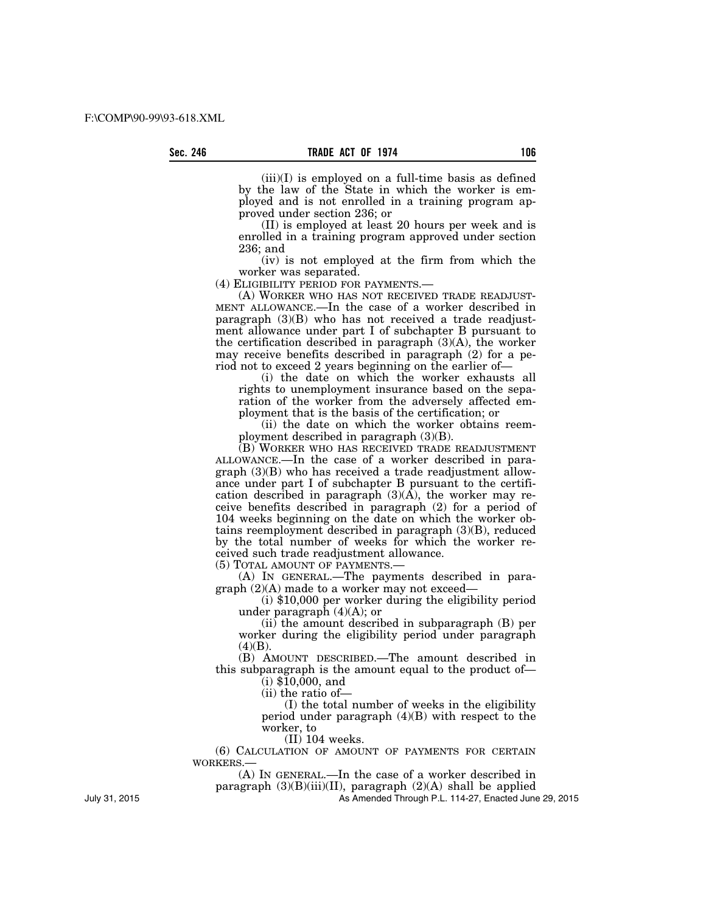$(iii)(I)$  is employed on a full-time basis as defined by the law of the State in which the worker is employed and is not enrolled in a training program approved under section 236; or

(II) is employed at least 20 hours per week and is enrolled in a training program approved under section 236; and

(iv) is not employed at the firm from which the worker was separated.

(4) ELIGIBILITY PERIOD FOR PAYMENTS.—

(A) WORKER WHO HAS NOT RECEIVED TRADE READJUST-MENT ALLOWANCE.—In the case of a worker described in paragraph (3)(B) who has not received a trade readjustment allowance under part I of subchapter B pursuant to the certification described in paragraph (3)(A), the worker may receive benefits described in paragraph (2) for a period not to exceed 2 years beginning on the earlier of—

(i) the date on which the worker exhausts all rights to unemployment insurance based on the separation of the worker from the adversely affected employment that is the basis of the certification; or

(ii) the date on which the worker obtains reemployment described in paragraph (3)(B).

(B) WORKER WHO HAS RECEIVED TRADE READJUSTMENT ALLOWANCE.—In the case of a worker described in paragraph (3)(B) who has received a trade readjustment allowance under part I of subchapter B pursuant to the certification described in paragraph  $(3)(\overline{A})$ , the worker may receive benefits described in paragraph (2) for a period of 104 weeks beginning on the date on which the worker obtains reemployment described in paragraph (3)(B), reduced by the total number of weeks for which the worker received such trade readjustment allowance.

(5) TOTAL AMOUNT OF PAYMENTS.—

(A) IN GENERAL.—The payments described in paragraph (2)(A) made to a worker may not exceed—

(i) \$10,000 per worker during the eligibility period under paragraph (4)(A); or

(ii) the amount described in subparagraph (B) per worker during the eligibility period under paragraph  $(4)(B)$ .

(B) AMOUNT DESCRIBED.—The amount described in this subparagraph is the amount equal to the product of—  $(i)$  \$10,000, and

(ii) the ratio of—

(I) the total number of weeks in the eligibility period under paragraph (4)(B) with respect to the worker, to

(II) 104 weeks.

(6) CALCULATION OF AMOUNT OF PAYMENTS FOR CERTAIN WORKERS.—

(A) IN GENERAL.—In the case of a worker described in paragraph  $(3)(B)(iii)(II)$ , paragraph  $(2)(A)$  shall be applied

As Amended Through P.L. 114-27, Enacted June 29, 2015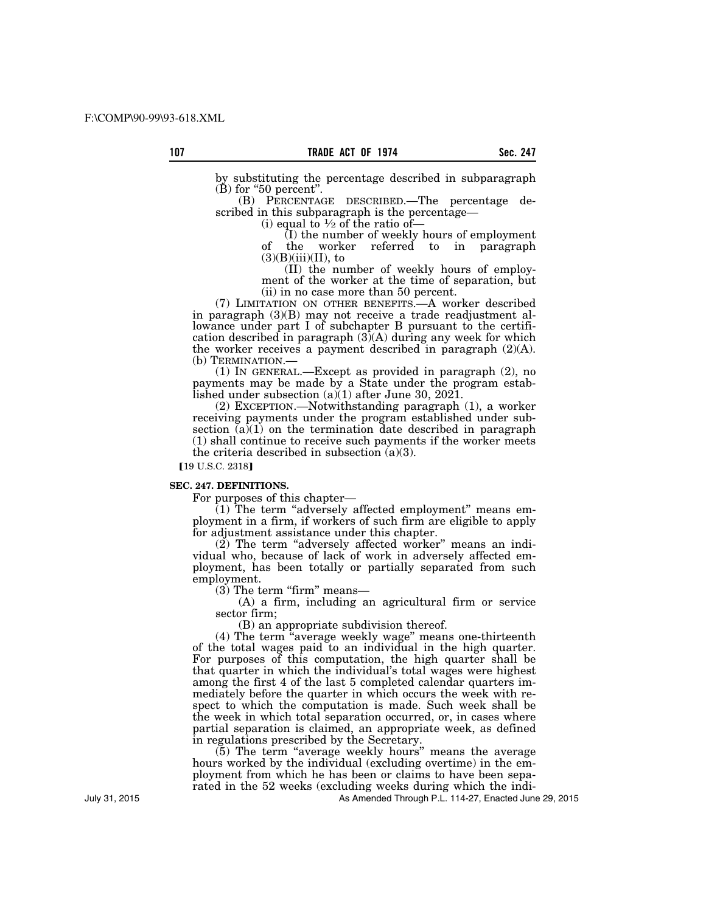by substituting the percentage described in subparagraph  $(B)$  for "50 percent".

(B) PERCENTAGE DESCRIBED.—The percentage described in this subparagraph is the percentage—

(i) equal to  $\frac{1}{2}$  of the ratio of

(I) the number of weekly hours of employment of the worker referred to in paragraph  $(3)(B)(iii)(II)$ , to

(II) the number of weekly hours of employment of the worker at the time of separation, but (ii) in no case more than 50 percent.

(7) LIMITATION ON OTHER BENEFITS.—A worker described in paragraph (3)(B) may not receive a trade readjustment allowance under part I of subchapter B pursuant to the certification described in paragraph  $(3)(A)$  during any week for which the worker receives a payment described in paragraph (2)(A).

(b) TERMINATION.—<br>(1) IN GENERAL.—Except as provided in paragraph (2), no payments may be made by a State under the program established under subsection (a)(1) after June 30, 2021.

(2) EXCEPTION.—Notwithstanding paragraph (1), a worker receiving payments under the program established under subsection  $(a)(1)$  on the termination date described in paragraph (1) shall continue to receive such payments if the worker meets the criteria described in subsection (a)(3).

**[19 U.S.C. 2318]** 

## **SEC. 247. DEFINITIONS.**

For purposes of this chapter—

(1) The term ''adversely affected employment'' means employment in a firm, if workers of such firm are eligible to apply for adjustment assistance under this chapter.

 $(2)$  The term "adversely affected worker" means an individual who, because of lack of work in adversely affected employment, has been totally or partially separated from such employment.

 $(3)$  The term "firm" means—

(A) a firm, including an agricultural firm or service sector firm;

(B) an appropriate subdivision thereof.

(4) The term ''average weekly wage'' means one-thirteenth of the total wages paid to an individual in the high quarter. For purposes of this computation, the high quarter shall be that quarter in which the individual's total wages were highest among the first 4 of the last 5 completed calendar quarters immediately before the quarter in which occurs the week with respect to which the computation is made. Such week shall be the week in which total separation occurred, or, in cases where partial separation is claimed, an appropriate week, as defined in regulations prescribed by the Secretary.

(5) The term ''average weekly hours'' means the average hours worked by the individual (excluding overtime) in the employment from which he has been or claims to have been separated in the 52 weeks (excluding weeks during which the indi-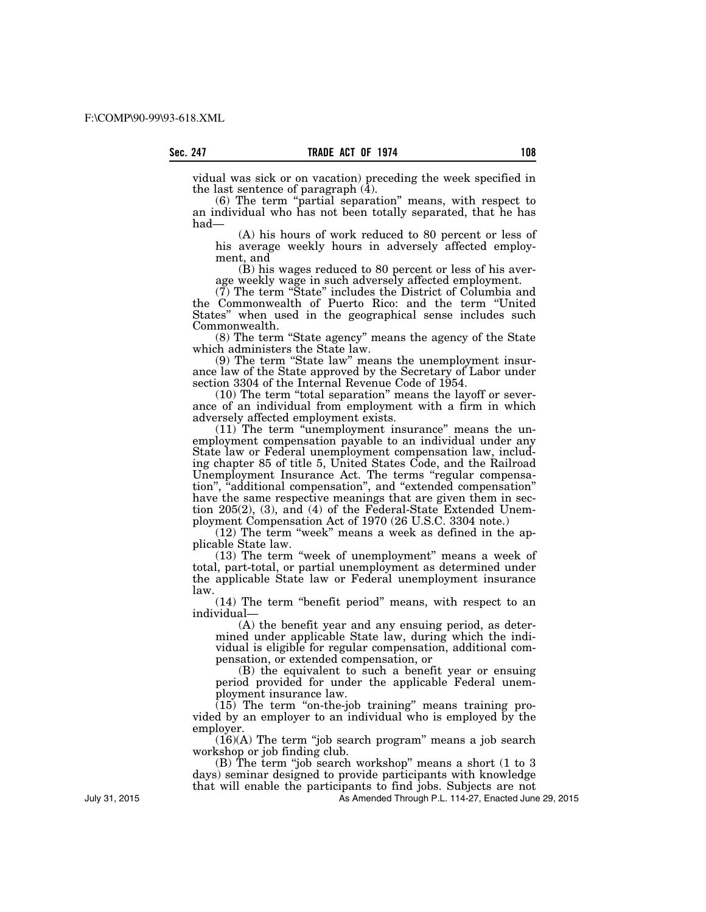vidual was sick or on vacation) preceding the week specified in the last sentence of paragraph  $(\overline{4})$ .

(6) The term ''partial separation'' means, with respect to an individual who has not been totally separated, that he has had—

(A) his hours of work reduced to 80 percent or less of his average weekly hours in adversely affected employment, and

(B) his wages reduced to 80 percent or less of his average weekly wage in such adversely affected employment.

(7) The term ''State'' includes the District of Columbia and the Commonwealth of Puerto Rico: and the term ''United States'' when used in the geographical sense includes such Commonwealth.

(8) The term ''State agency'' means the agency of the State which administers the State law.

(9) The term ''State law'' means the unemployment insurance law of the State approved by the Secretary of Labor under section 3304 of the Internal Revenue Code of 1954.

(10) The term ''total separation'' means the layoff or severance of an individual from employment with a firm in which adversely affected employment exists.

(11) The term ''unemployment insurance'' means the unemployment compensation payable to an individual under any State law or Federal unemployment compensation law, including chapter 85 of title 5, United States Code, and the Railroad Unemployment Insurance Act. The terms ''regular compensation", "additional compensation", and "extended compensation" have the same respective meanings that are given them in section 205(2), (3), and (4) of the Federal-State Extended Unemployment Compensation Act of 1970 (26 U.S.C. 3304 note.)

(12) The term ''week'' means a week as defined in the applicable State law.

(13) The term ''week of unemployment'' means a week of total, part-total, or partial unemployment as determined under the applicable State law or Federal unemployment insurance law.

(14) The term ''benefit period'' means, with respect to an individual—

(A) the benefit year and any ensuing period, as determined under applicable State law, during which the individual is eligible for regular compensation, additional compensation, or extended compensation, or

(B) the equivalent to such a benefit year or ensuing period provided for under the applicable Federal unemployment insurance law.

 $(15)$  The term "on-the-job training" means training provided by an employer to an individual who is employed by the employer.

 $(16)(A)$  The term "job search program" means a job search workshop or job finding club.

(B) The term ''job search workshop'' means a short (1 to 3 days) seminar designed to provide participants with knowledge that will enable the participants to find jobs. Subjects are not

As Amended Through P.L. 114-27, Enacted June 29, 2015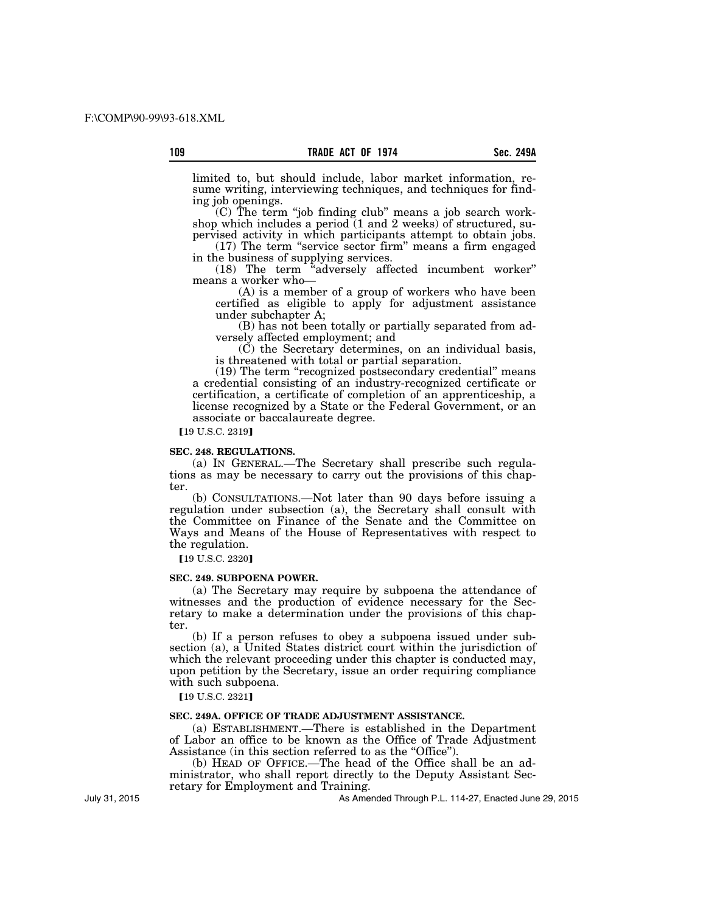limited to, but should include, labor market information, resume writing, interviewing techniques, and techniques for finding job openings.

(C) The term ''job finding club'' means a job search workshop which includes a period (1 and 2 weeks) of structured, supervised activity in which participants attempt to obtain jobs. (17) The term ''service sector firm'' means a firm engaged

in the business of supplying services. (18) The term ''adversely affected incumbent worker''

means a worker who—

(A) is a member of a group of workers who have been certified as eligible to apply for adjustment assistance under subchapter A;

(B) has not been totally or partially separated from adversely affected employment; and

(C) the Secretary determines, on an individual basis, is threatened with total or partial separation.

(19) The term ''recognized postsecondary credential'' means a credential consisting of an industry-recognized certificate or certification, a certificate of completion of an apprenticeship, a license recognized by a State or the Federal Government, or an associate or baccalaureate degree.

[19 U.S.C. 2319]

#### **SEC. 248. REGULATIONS.**

(a) IN GENERAL.—The Secretary shall prescribe such regulations as may be necessary to carry out the provisions of this chapter.

(b) CONSULTATIONS.—Not later than 90 days before issuing a regulation under subsection (a), the Secretary shall consult with the Committee on Finance of the Senate and the Committee on Ways and Means of the House of Representatives with respect to the regulation.

[19 U.S.C. 2320]

#### **SEC. 249. SUBPOENA POWER.**

(a) The Secretary may require by subpoena the attendance of witnesses and the production of evidence necessary for the Secretary to make a determination under the provisions of this chapter.

(b) If a person refuses to obey a subpoena issued under subsection (a), a United States district court within the jurisdiction of which the relevant proceeding under this chapter is conducted may, upon petition by the Secretary, issue an order requiring compliance with such subpoena.

**[19 U.S.C. 2321]** 

# **SEC. 249A. OFFICE OF TRADE ADJUSTMENT ASSISTANCE.**

(a) ESTABLISHMENT.—There is established in the Department of Labor an office to be known as the Office of Trade Adjustment Assistance (in this section referred to as the "Office").

(b) HEAD OF OFFICE.—The head of the Office shall be an administrator, who shall report directly to the Deputy Assistant Secretary for Employment and Training.

As Amended Through P.L. 114-27, Enacted June 29, 2015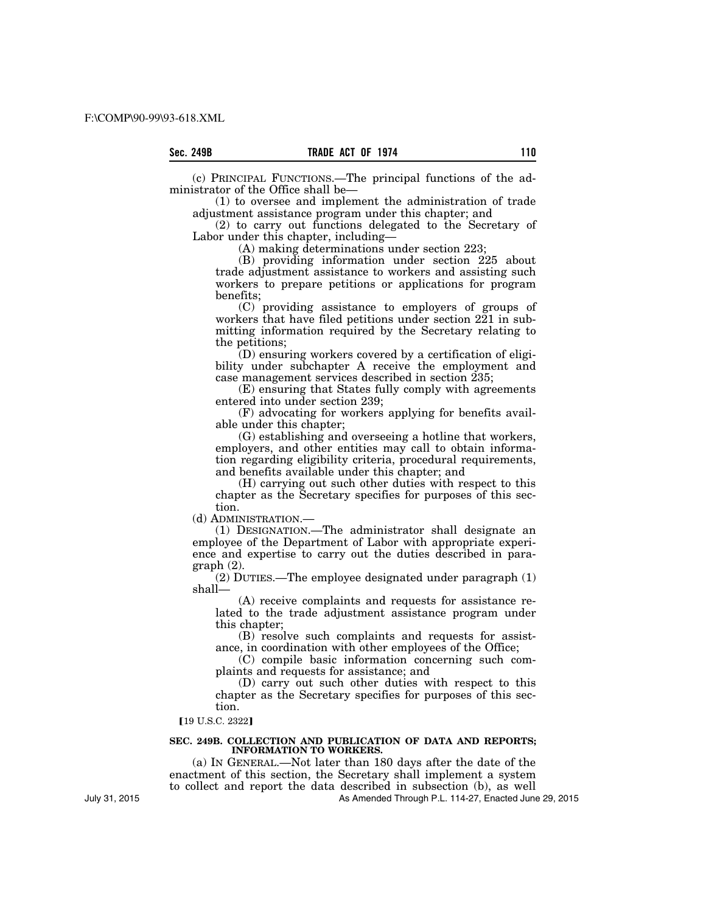(c) PRINCIPAL FUNCTIONS.—The principal functions of the administrator of the Office shall be—

(1) to oversee and implement the administration of trade adjustment assistance program under this chapter; and

(2) to carry out functions delegated to the Secretary of Labor under this chapter, including—

(A) making determinations under section 223;

(B) providing information under section 225 about trade adjustment assistance to workers and assisting such workers to prepare petitions or applications for program benefits;

(C) providing assistance to employers of groups of workers that have filed petitions under section 221 in submitting information required by the Secretary relating to the petitions;

(D) ensuring workers covered by a certification of eligibility under subchapter A receive the employment and case management services described in section 235;

(E) ensuring that States fully comply with agreements entered into under section 239;

(F) advocating for workers applying for benefits available under this chapter;

(G) establishing and overseeing a hotline that workers, employers, and other entities may call to obtain information regarding eligibility criteria, procedural requirements, and benefits available under this chapter; and

(H) carrying out such other duties with respect to this chapter as the Secretary specifies for purposes of this section.

(d) ADMINISTRATION.—

(1) DESIGNATION.—The administrator shall designate an employee of the Department of Labor with appropriate experience and expertise to carry out the duties described in paragraph (2).

(2) DUTIES.—The employee designated under paragraph (1) shall—

(A) receive complaints and requests for assistance related to the trade adjustment assistance program under this chapter;

(B) resolve such complaints and requests for assistance, in coordination with other employees of the Office;

(C) compile basic information concerning such complaints and requests for assistance; and

(D) carry out such other duties with respect to this chapter as the Secretary specifies for purposes of this section.

[19 U.S.C. 2322]

#### **SEC. 249B. COLLECTION AND PUBLICATION OF DATA AND REPORTS; INFORMATION TO WORKERS.**

(a) IN GENERAL.—Not later than 180 days after the date of the enactment of this section, the Secretary shall implement a system to collect and report the data described in subsection (b), as well

As Amended Through P.L. 114-27, Enacted June 29, 2015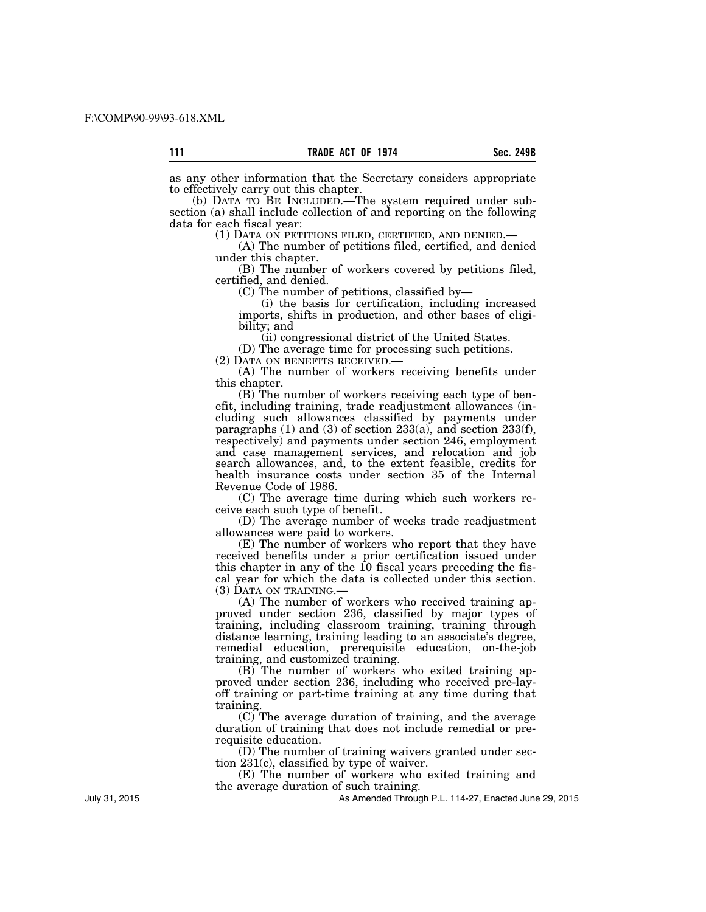as any other information that the Secretary considers appropriate to effectively carry out this chapter.

(b) DATA TO BE INCLUDED.—The system required under subsection (a) shall include collection of and reporting on the following data for each fiscal year:

(1) DATA ON PETITIONS FILED, CERTIFIED, AND DENIED.— (A) The number of petitions filed, certified, and denied

under this chapter.

(B) The number of workers covered by petitions filed, certified, and denied.

(C) The number of petitions, classified by—

(i) the basis for certification, including increased imports, shifts in production, and other bases of eligibility; and

(ii) congressional district of the United States.

(D) The average time for processing such petitions.

(2) DATA ON BENEFITS RECEIVED.— (A) The number of workers receiving benefits under this chapter.

(B) The number of workers receiving each type of benefit, including training, trade readjustment allowances (including such allowances classified by payments under paragraphs (1) and (3) of section 233(a), and section 233(f), respectively) and payments under section 246, employment and case management services, and relocation and job search allowances, and, to the extent feasible, credits for health insurance costs under section 35 of the Internal Revenue Code of 1986.

(C) The average time during which such workers receive each such type of benefit.

(D) The average number of weeks trade readjustment allowances were paid to workers.

(E) The number of workers who report that they have received benefits under a prior certification issued under this chapter in any of the 10 fiscal years preceding the fiscal year for which the data is collected under this section. (3) DATA ON TRAINING.—

(A) The number of workers who received training approved under section 236, classified by major types of training, including classroom training, training through distance learning, training leading to an associate's degree, remedial education, prerequisite education, on-the-job training, and customized training.

(B) The number of workers who exited training approved under section 236, including who received pre-layoff training or part-time training at any time during that training.

(C) The average duration of training, and the average duration of training that does not include remedial or prerequisite education.

(D) The number of training waivers granted under section 231(c), classified by type of waiver.

(E) The number of workers who exited training and the average duration of such training.

As Amended Through P.L. 114-27, Enacted June 29, 2015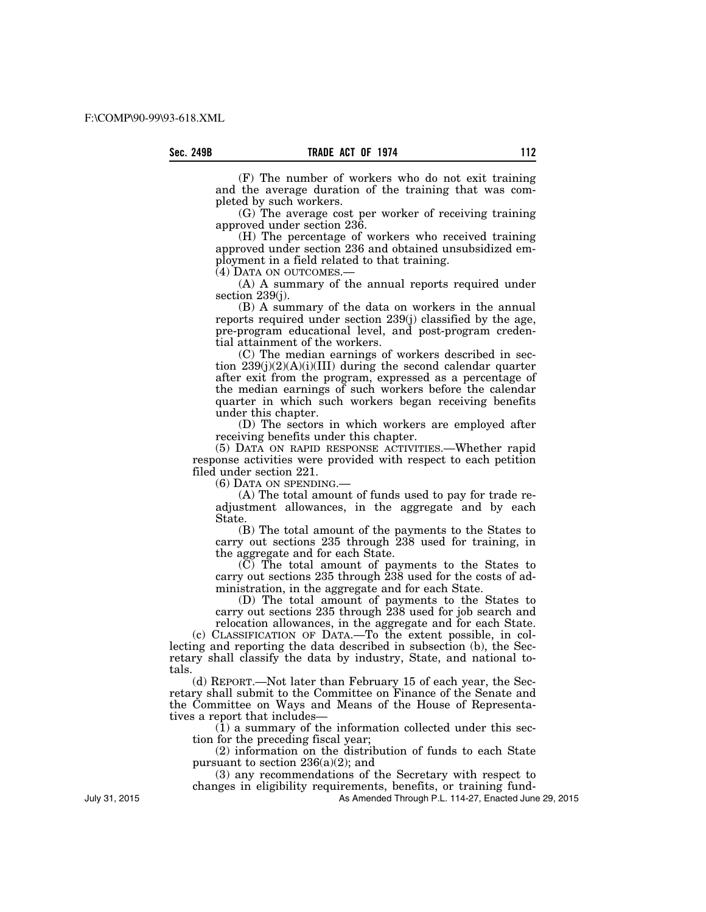(F) The number of workers who do not exit training and the average duration of the training that was completed by such workers.

(G) The average cost per worker of receiving training approved under section 236.

(H) The percentage of workers who received training approved under section 236 and obtained unsubsidized employment in a field related to that training.

(4) DATA ON OUTCOMES.—

(A) A summary of the annual reports required under section 239(j).

(B) A summary of the data on workers in the annual reports required under section 239(j) classified by the age, pre-program educational level, and post-program credential attainment of the workers.

(C) The median earnings of workers described in section  $239(j)(2)(A)(i)(III)$  during the second calendar quarter after exit from the program, expressed as a percentage of the median earnings of such workers before the calendar quarter in which such workers began receiving benefits under this chapter.

(D) The sectors in which workers are employed after receiving benefits under this chapter.

(5) DATA ON RAPID RESPONSE ACTIVITIES.—Whether rapid response activities were provided with respect to each petition filed under section 221.

(6) DATA ON SPENDING.—

(A) The total amount of funds used to pay for trade readjustment allowances, in the aggregate and by each State.

(B) The total amount of the payments to the States to carry out sections 235 through 238 used for training, in the aggregate and for each State.

(C) The total amount of payments to the States to carry out sections 235 through 238 used for the costs of administration, in the aggregate and for each State.

(D) The total amount of payments to the States to carry out sections 235 through 238 used for job search and relocation allowances, in the aggregate and for each State.

(c) CLASSIFICATION OF DATA.—To the extent possible, in collecting and reporting the data described in subsection (b), the Secretary shall classify the data by industry, State, and national totals.

(d) REPORT.—Not later than February 15 of each year, the Secretary shall submit to the Committee on Finance of the Senate and the Committee on Ways and Means of the House of Representatives a report that includes—

 $(1)$  a summary of the information collected under this section for the preceding fiscal year;

(2) information on the distribution of funds to each State pursuant to section  $236(a)(2)$ ; and

(3) any recommendations of the Secretary with respect to changes in eligibility requirements, benefits, or training fund-

As Amended Through P.L. 114-27, Enacted June 29, 2015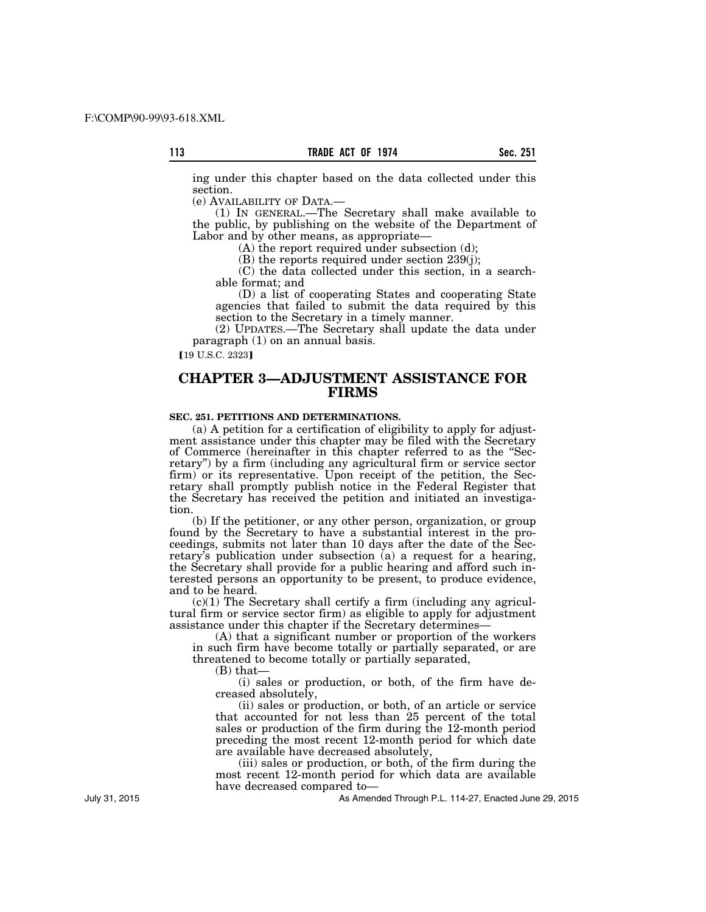ing under this chapter based on the data collected under this section.

(e) AVAILABILITY OF DATA.—

(1) IN GENERAL.—The Secretary shall make available to the public, by publishing on the website of the Department of Labor and by other means, as appropriate—

(A) the report required under subsection (d);

(B) the reports required under section 239(j);

(C) the data collected under this section, in a searchable format; and

(D) a list of cooperating States and cooperating State agencies that failed to submit the data required by this section to the Secretary in a timely manner.

(2) UPDATES.—The Secretary shall update the data under paragraph (1) on an annual basis.

[19 U.S.C. 2323]

# **CHAPTER 3—ADJUSTMENT ASSISTANCE FOR FIRMS**

# **SEC. 251. PETITIONS AND DETERMINATIONS.**

(a) A petition for a certification of eligibility to apply for adjustment assistance under this chapter may be filed with the Secretary of Commerce (hereinafter in this chapter referred to as the ''Secretary'') by a firm (including any agricultural firm or service sector firm) or its representative. Upon receipt of the petition, the Secretary shall promptly publish notice in the Federal Register that the Secretary has received the petition and initiated an investigation.

(b) If the petitioner, or any other person, organization, or group found by the Secretary to have a substantial interest in the proceedings, submits not later than 10 days after the date of the Secretary's publication under subsection (a) a request for a hearing, the Secretary shall provide for a public hearing and afford such interested persons an opportunity to be present, to produce evidence, and to be heard.

(c)(1) The Secretary shall certify a firm (including any agricultural firm or service sector firm) as eligible to apply for adjustment assistance under this chapter if the Secretary determines—

(A) that a significant number or proportion of the workers in such firm have become totally or partially separated, or are threatened to become totally or partially separated,

 $(B)$  that-

(i) sales or production, or both, of the firm have decreased absolutely,

(ii) sales or production, or both, of an article or service that accounted for not less than 25 percent of the total sales or production of the firm during the 12-month period preceding the most recent 12-month period for which date are available have decreased absolutely,

(iii) sales or production, or both, of the firm during the most recent 12-month period for which data are available have decreased compared to—

As Amended Through P.L. 114-27, Enacted June 29, 2015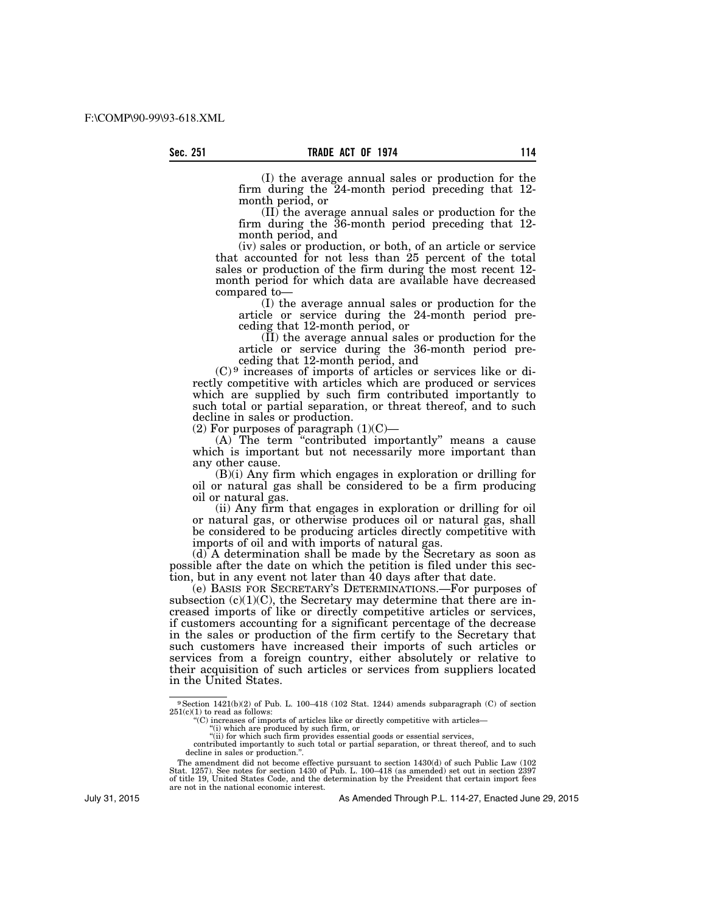(I) the average annual sales or production for the firm during the 24-month period preceding that 12 month period, or

(II) the average annual sales or production for the firm during the 36-month period preceding that 12 month period, and

(iv) sales or production, or both, of an article or service that accounted for not less than 25 percent of the total sales or production of the firm during the most recent 12 month period for which data are available have decreased compared to—

(I) the average annual sales or production for the article or service during the 24-month period preceding that 12-month period, or

 $(\tilde{II})$  the average annual sales or production for the article or service during the 36-month period preceding that 12-month period, and

 $(C)$ <sup>9</sup> increases of imports of articles or services like or directly competitive with articles which are produced or services which are supplied by such firm contributed importantly to such total or partial separation, or threat thereof, and to such decline in sales or production.

(2) For purposes of paragraph  $(1)(C)$ —

(A) The term ''contributed importantly'' means a cause which is important but not necessarily more important than any other cause.

(B)(i) Any firm which engages in exploration or drilling for oil or natural gas shall be considered to be a firm producing oil or natural gas.

(ii) Any firm that engages in exploration or drilling for oil or natural gas, or otherwise produces oil or natural gas, shall be considered to be producing articles directly competitive with imports of oil and with imports of natural gas.

(d) A determination shall be made by the Secretary as soon as possible after the date on which the petition is filed under this section, but in any event not later than 40 days after that date.

(e) BASIS FOR SECRETARY'S DETERMINATIONS.—For purposes of subsection  $(c)(1)(C)$ , the Secretary may determine that there are increased imports of like or directly competitive articles or services, if customers accounting for a significant percentage of the decrease in the sales or production of the firm certify to the Secretary that such customers have increased their imports of such articles or services from a foreign country, either absolutely or relative to their acquisition of such articles or services from suppliers located in the United States.

''(i) which are produced by such firm, or ''(ii) for which such firm provides essential goods or essential services, contributed importantly to such total or partial separation, or threat thereof, and to such decline in sales or production."

July 31, 2015

<sup>9</sup>Section 1421(b)(2) of Pub. L. 100–418 (102 Stat. 1244) amends subparagraph (C) of section  $251(c)(1)$  to read as follows: ''(C) increases of imports of articles like or directly competitive with articles—

The amendment did not become effective pursuant to section 1430(d) of such Public Law (102<br>Stat. 1257). See notes for section 1430 of Pub. L. 100–418 (as amended) set out in section 2397<br>of title 19, United States Code, an are not in the national economic interest.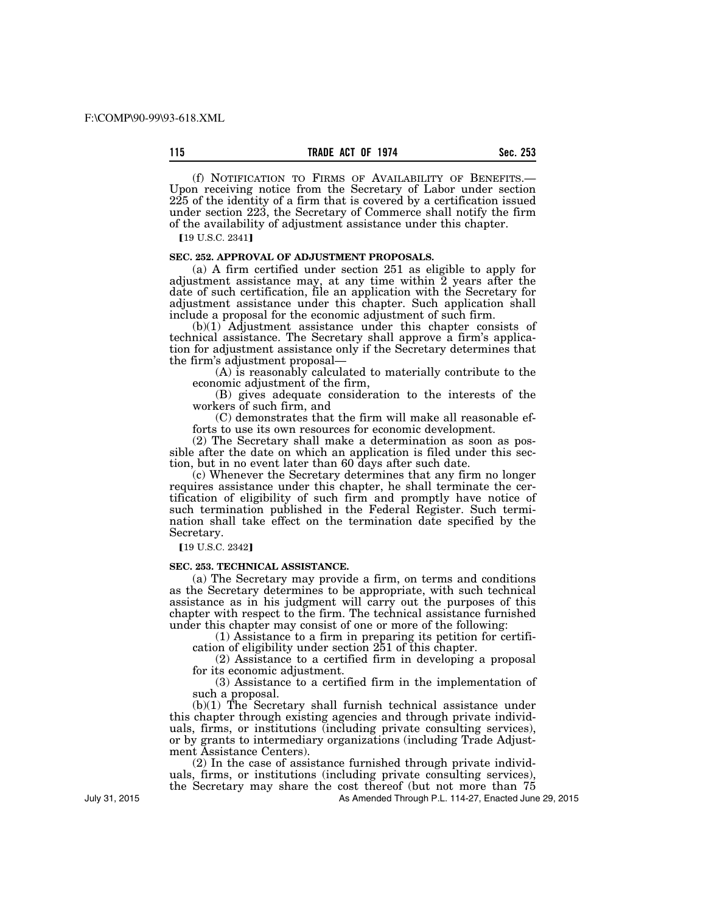(f) NOTIFICATION TO FIRMS OF AVAILABILITY OF BENEFITS.— Upon receiving notice from the Secretary of Labor under section 225 of the identity of a firm that is covered by a certification issued under section 223, the Secretary of Commerce shall notify the firm of the availability of adjustment assistance under this chapter.

#### **[19 U.S.C. 2341]**

#### **SEC. 252. APPROVAL OF ADJUSTMENT PROPOSALS.**

(a) A firm certified under section 251 as eligible to apply for adjustment assistance may, at any time within 2 years after the date of such certification, file an application with the Secretary for adjustment assistance under this chapter. Such application shall include a proposal for the economic adjustment of such firm.

 $(b)(1)$  Adjustment assistance under this chapter consists of technical assistance. The Secretary shall approve a firm's application for adjustment assistance only if the Secretary determines that the firm's adjustment proposal—

(A) is reasonably calculated to materially contribute to the economic adjustment of the firm,

(B) gives adequate consideration to the interests of the workers of such firm, and

(C) demonstrates that the firm will make all reasonable efforts to use its own resources for economic development.

(2) The Secretary shall make a determination as soon as possible after the date on which an application is filed under this section, but in no event later than 60 days after such date.

(c) Whenever the Secretary determines that any firm no longer requires assistance under this chapter, he shall terminate the certification of eligibility of such firm and promptly have notice of such termination published in the Federal Register. Such termination shall take effect on the termination date specified by the Secretary.

**[19 U.S.C. 2342]** 

#### **SEC. 253. TECHNICAL ASSISTANCE.**

(a) The Secretary may provide a firm, on terms and conditions as the Secretary determines to be appropriate, with such technical assistance as in his judgment will carry out the purposes of this chapter with respect to the firm. The technical assistance furnished under this chapter may consist of one or more of the following:

(1) Assistance to a firm in preparing its petition for certification of eligibility under section 251 of this chapter.

(2) Assistance to a certified firm in developing a proposal for its economic adjustment.

(3) Assistance to a certified firm in the implementation of such a proposal.

(b)(1) The Secretary shall furnish technical assistance under this chapter through existing agencies and through private individuals, firms, or institutions (including private consulting services), or by grants to intermediary organizations (including Trade Adjustment Assistance Centers).

(2) In the case of assistance furnished through private individuals, firms, or institutions (including private consulting services), the Secretary may share the cost thereof (but not more than 75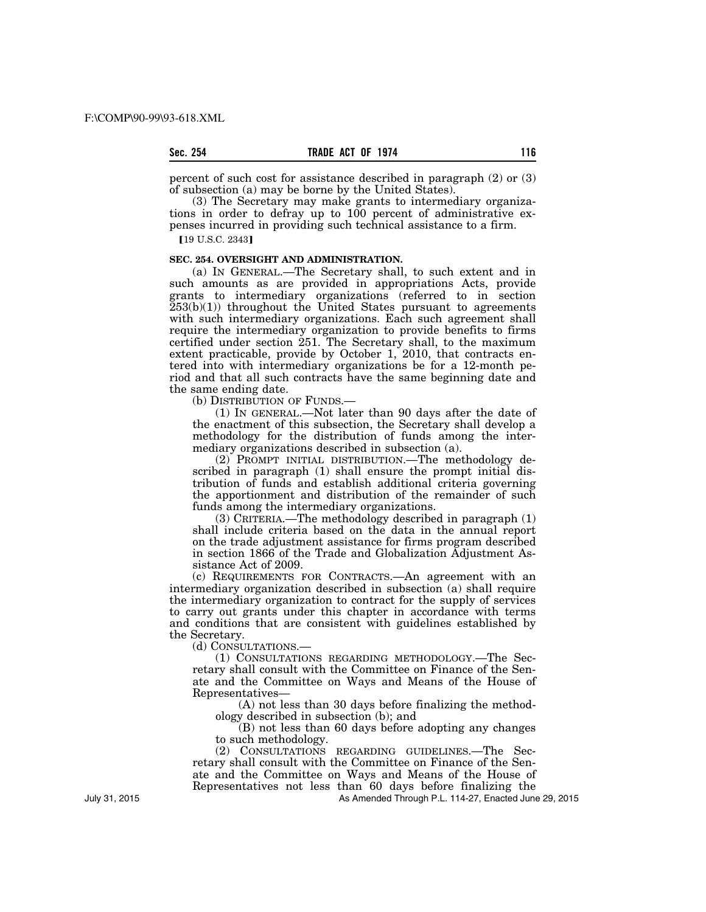percent of such cost for assistance described in paragraph (2) or (3) of subsection (a) may be borne by the United States).

(3) The Secretary may make grants to intermediary organizations in order to defray up to 100 percent of administrative expenses incurred in providing such technical assistance to a firm.

**[19 U.S.C. 2343]** 

#### **SEC. 254. OVERSIGHT AND ADMINISTRATION.**

(a) IN GENERAL.—The Secretary shall, to such extent and in such amounts as are provided in appropriations Acts, provide grants to intermediary organizations (referred to in section  $253(b)(1)$  throughout the United States pursuant to agreements with such intermediary organizations. Each such agreement shall require the intermediary organization to provide benefits to firms certified under section 251. The Secretary shall, to the maximum extent practicable, provide by October 1, 2010, that contracts entered into with intermediary organizations be for a 12-month period and that all such contracts have the same beginning date and the same ending date.

(b) DISTRIBUTION OF FUNDS.—

(1) IN GENERAL.—Not later than 90 days after the date of the enactment of this subsection, the Secretary shall develop a methodology for the distribution of funds among the intermediary organizations described in subsection (a).

(2) PROMPT INITIAL DISTRIBUTION.—The methodology described in paragraph (1) shall ensure the prompt initial distribution of funds and establish additional criteria governing the apportionment and distribution of the remainder of such funds among the intermediary organizations.

(3) CRITERIA.—The methodology described in paragraph (1) shall include criteria based on the data in the annual report on the trade adjustment assistance for firms program described in section 1866 of the Trade and Globalization Adjustment Assistance Act of 2009.

(c) REQUIREMENTS FOR CONTRACTS.—An agreement with an intermediary organization described in subsection (a) shall require the intermediary organization to contract for the supply of services to carry out grants under this chapter in accordance with terms and conditions that are consistent with guidelines established by the Secretary.

(d) CONSULTATIONS.—

(1) CONSULTATIONS REGARDING METHODOLOGY.—The Secretary shall consult with the Committee on Finance of the Senate and the Committee on Ways and Means of the House of Representatives—

(A) not less than 30 days before finalizing the methodology described in subsection (b); and

 $(B)$  not less than 60 days before adopting any changes to such methodology.

(2) CONSULTATIONS REGARDING GUIDELINES.—The Secretary shall consult with the Committee on Finance of the Senate and the Committee on Ways and Means of the House of Representatives not less than 60 days before finalizing the

As Amended Through P.L. 114-27, Enacted June 29, 2015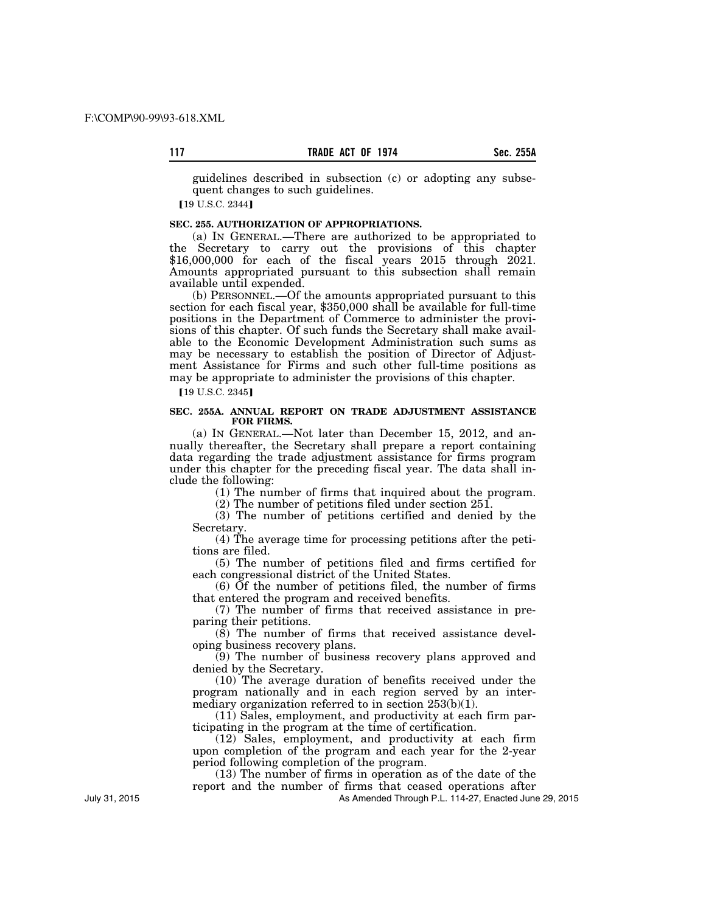guidelines described in subsection (c) or adopting any subsequent changes to such guidelines.

**[19 U.S.C. 2344]** 

# **SEC. 255. AUTHORIZATION OF APPROPRIATIONS.**

(a) IN GENERAL.—There are authorized to be appropriated to the Secretary to carry out the provisions of this chapter \$16,000,000 for each of the fiscal years 2015 through 2021. Amounts appropriated pursuant to this subsection shall remain available until expended.

(b) PERSONNEL.—Of the amounts appropriated pursuant to this section for each fiscal year, \$350,000 shall be available for full-time positions in the Department of Commerce to administer the provisions of this chapter. Of such funds the Secretary shall make available to the Economic Development Administration such sums as may be necessary to establish the position of Director of Adjustment Assistance for Firms and such other full-time positions as may be appropriate to administer the provisions of this chapter.

[19 U.S.C. 2345]

# **SEC. 255A. ANNUAL REPORT ON TRADE ADJUSTMENT ASSISTANCE FOR FIRMS.**

(a) IN GENERAL.—Not later than December 15, 2012, and annually thereafter, the Secretary shall prepare a report containing data regarding the trade adjustment assistance for firms program under this chapter for the preceding fiscal year. The data shall include the following:

(1) The number of firms that inquired about the program.

(2) The number of petitions filed under section 251.

(3) The number of petitions certified and denied by the Secretary.

(4) The average time for processing petitions after the petitions are filed.

(5) The number of petitions filed and firms certified for each congressional district of the United States.

(6) Of the number of petitions filed, the number of firms that entered the program and received benefits.

(7) The number of firms that received assistance in preparing their petitions.

 $(8)$  The number of firms that received assistance developing business recovery plans.

(9) The number of business recovery plans approved and denied by the Secretary.

(10) The average duration of benefits received under the program nationally and in each region served by an intermediary organization referred to in section 253(b)(1).

(11) Sales, employment, and productivity at each firm participating in the program at the time of certification.

(12) Sales, employment, and productivity at each firm upon completion of the program and each year for the 2-year period following completion of the program.

(13) The number of firms in operation as of the date of the report and the number of firms that ceased operations after

As Amended Through P.L. 114-27, Enacted June 29, 2015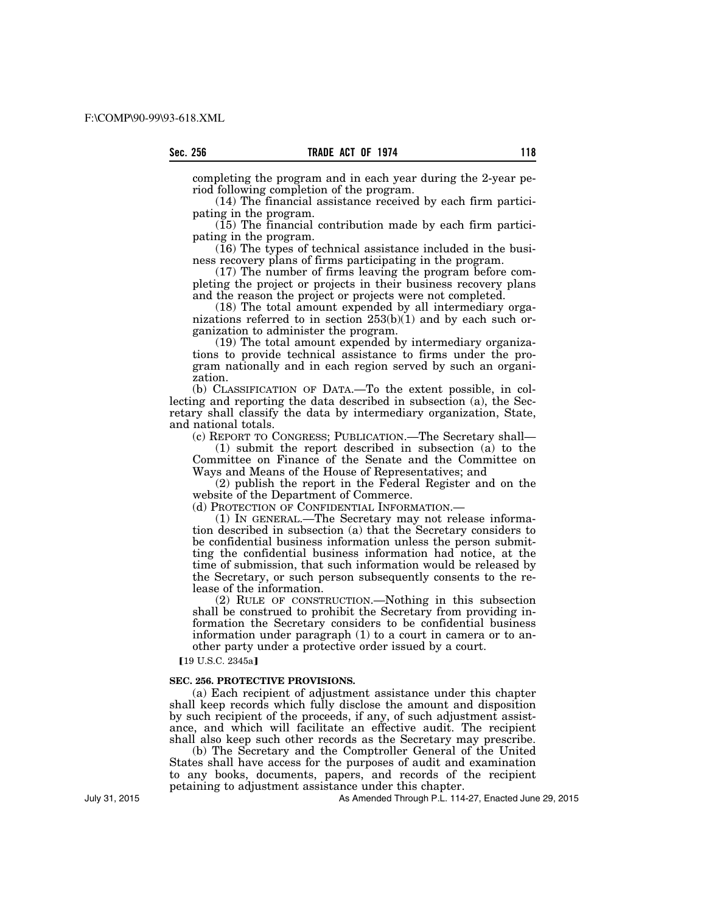completing the program and in each year during the 2-year period following completion of the program.

(14) The financial assistance received by each firm participating in the program.

(15) The financial contribution made by each firm participating in the program.

(16) The types of technical assistance included in the business recovery plans of firms participating in the program.

(17) The number of firms leaving the program before completing the project or projects in their business recovery plans and the reason the project or projects were not completed.

(18) The total amount expended by all intermediary organizations referred to in section  $253(b)(1)$  and by each such organization to administer the program.

(19) The total amount expended by intermediary organizations to provide technical assistance to firms under the program nationally and in each region served by such an organization.

(b) CLASSIFICATION OF DATA.—To the extent possible, in collecting and reporting the data described in subsection (a), the Secretary shall classify the data by intermediary organization, State, and national totals.

(c) REPORT TO CONGRESS; PUBLICATION.—The Secretary shall—

(1) submit the report described in subsection (a) to the Committee on Finance of the Senate and the Committee on Ways and Means of the House of Representatives; and

(2) publish the report in the Federal Register and on the website of the Department of Commerce.

(d) PROTECTION OF CONFIDENTIAL INFORMATION.—

(1) IN GENERAL.—The Secretary may not release information described in subsection (a) that the Secretary considers to be confidential business information unless the person submitting the confidential business information had notice, at the time of submission, that such information would be released by the Secretary, or such person subsequently consents to the release of the information.

(2) RULE OF CONSTRUCTION.—Nothing in this subsection shall be construed to prohibit the Secretary from providing information the Secretary considers to be confidential business information under paragraph (1) to a court in camera or to another party under a protective order issued by a court.

**[19 U.S.C. 2345a]** 

#### **SEC. 256. PROTECTIVE PROVISIONS.**

(a) Each recipient of adjustment assistance under this chapter shall keep records which fully disclose the amount and disposition by such recipient of the proceeds, if any, of such adjustment assistance, and which will facilitate an effective audit. The recipient shall also keep such other records as the Secretary may prescribe.

(b) The Secretary and the Comptroller General of the United States shall have access for the purposes of audit and examination to any books, documents, papers, and records of the recipient petaining to adjustment assistance under this chapter.

As Amended Through P.L. 114-27, Enacted June 29, 2015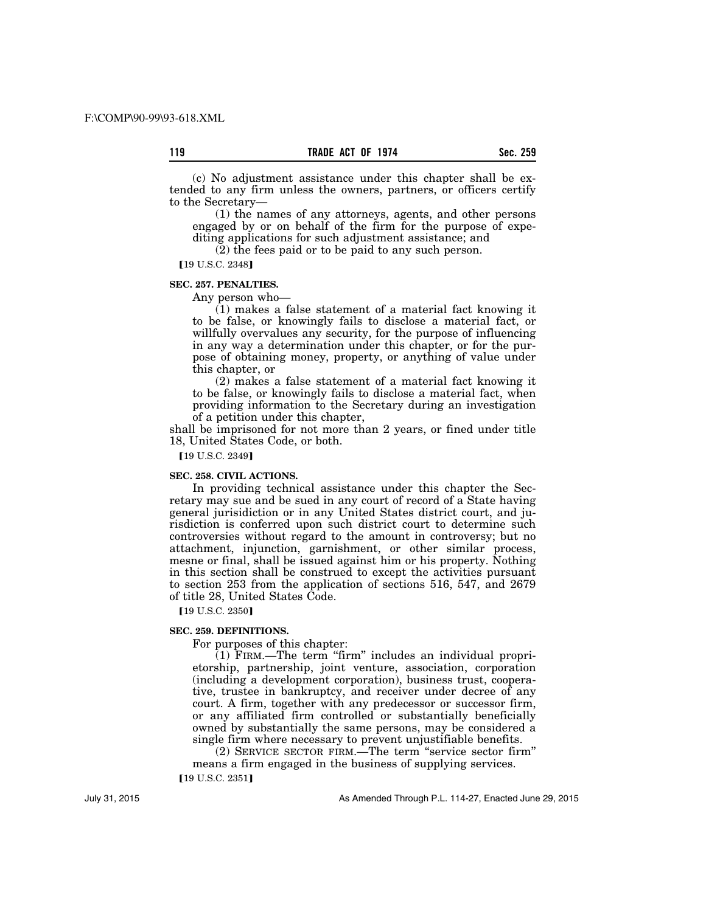(c) No adjustment assistance under this chapter shall be extended to any firm unless the owners, partners, or officers certify to the Secretary—

(1) the names of any attorneys, agents, and other persons engaged by or on behalf of the firm for the purpose of expediting applications for such adjustment assistance; and

(2) the fees paid or to be paid to any such person.

**[19 U.S.C. 2348]** 

# **SEC. 257. PENALTIES.**

Any person who—

 $(1)$  makes a false statement of a material fact knowing it to be false, or knowingly fails to disclose a material fact, or willfully overvalues any security, for the purpose of influencing in any way a determination under this chapter, or for the purpose of obtaining money, property, or anything of value under this chapter, or

(2) makes a false statement of a material fact knowing it to be false, or knowingly fails to disclose a material fact, when providing information to the Secretary during an investigation of a petition under this chapter,

shall be imprisoned for not more than 2 years, or fined under title 18, United States Code, or both.

[19 U.S.C. 2349]

#### **SEC. 258. CIVIL ACTIONS.**

In providing technical assistance under this chapter the Secretary may sue and be sued in any court of record of a State having general jurisidiction or in any United States district court, and jurisdiction is conferred upon such district court to determine such controversies without regard to the amount in controversy; but no attachment, injunction, garnishment, or other similar process, mesne or final, shall be issued against him or his property. Nothing in this section shall be construed to except the activities pursuant to section 253 from the application of sections 516, 547, and 2679 of title 28, United States Code.

**[19 U.S.C. 2350]** 

### **SEC. 259. DEFINITIONS.**

For purposes of this chapter:

(1) FIRM.—The term ''firm'' includes an individual proprietorship, partnership, joint venture, association, corporation (including a development corporation), business trust, cooperative, trustee in bankruptcy, and receiver under decree of any court. A firm, together with any predecessor or successor firm, or any affiliated firm controlled or substantially beneficially owned by substantially the same persons, may be considered a single firm where necessary to prevent unjustifiable benefits.

(2) SERVICE SECTOR FIRM.—The term ''service sector firm'' means a firm engaged in the business of supplying services.

[19 U.S.C. 2351]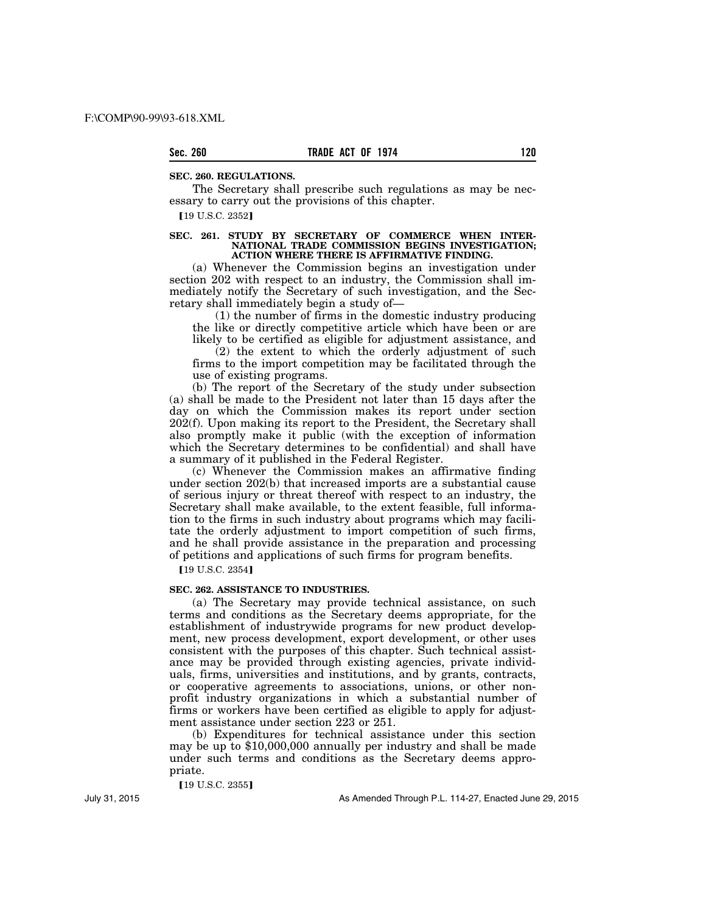# **SEC. 260. REGULATIONS.**

The Secretary shall prescribe such regulations as may be necessary to carry out the provisions of this chapter.

[19 U.S.C. 2352]

#### **SEC. 261. STUDY BY SECRETARY OF COMMERCE WHEN INTER-NATIONAL TRADE COMMISSION BEGINS INVESTIGATION; ACTION WHERE THERE IS AFFIRMATIVE FINDING.**

(a) Whenever the Commission begins an investigation under section 202 with respect to an industry, the Commission shall immediately notify the Secretary of such investigation, and the Secretary shall immediately begin a study of—

(1) the number of firms in the domestic industry producing the like or directly competitive article which have been or are likely to be certified as eligible for adjustment assistance, and

(2) the extent to which the orderly adjustment of such firms to the import competition may be facilitated through the use of existing programs.

(b) The report of the Secretary of the study under subsection (a) shall be made to the President not later than 15 days after the day on which the Commission makes its report under section 202(f). Upon making its report to the President, the Secretary shall also promptly make it public (with the exception of information which the Secretary determines to be confidential) and shall have a summary of it published in the Federal Register.

(c) Whenever the Commission makes an affirmative finding under section 202(b) that increased imports are a substantial cause of serious injury or threat thereof with respect to an industry, the Secretary shall make available, to the extent feasible, full information to the firms in such industry about programs which may facilitate the orderly adjustment to import competition of such firms, and he shall provide assistance in the preparation and processing of petitions and applications of such firms for program benefits.

[19 U.S.C. 2354]

#### **SEC. 262. ASSISTANCE TO INDUSTRIES.**

(a) The Secretary may provide technical assistance, on such terms and conditions as the Secretary deems appropriate, for the establishment of industrywide programs for new product development, new process development, export development, or other uses consistent with the purposes of this chapter. Such technical assistance may be provided through existing agencies, private individuals, firms, universities and institutions, and by grants, contracts, or cooperative agreements to associations, unions, or other nonprofit industry organizations in which a substantial number of firms or workers have been certified as eligible to apply for adjustment assistance under section 223 or 251.

(b) Expenditures for technical assistance under this section may be up to \$10,000,000 annually per industry and shall be made under such terms and conditions as the Secretary deems appropriate.

[19 U.S.C. 2355]

July 31, 2015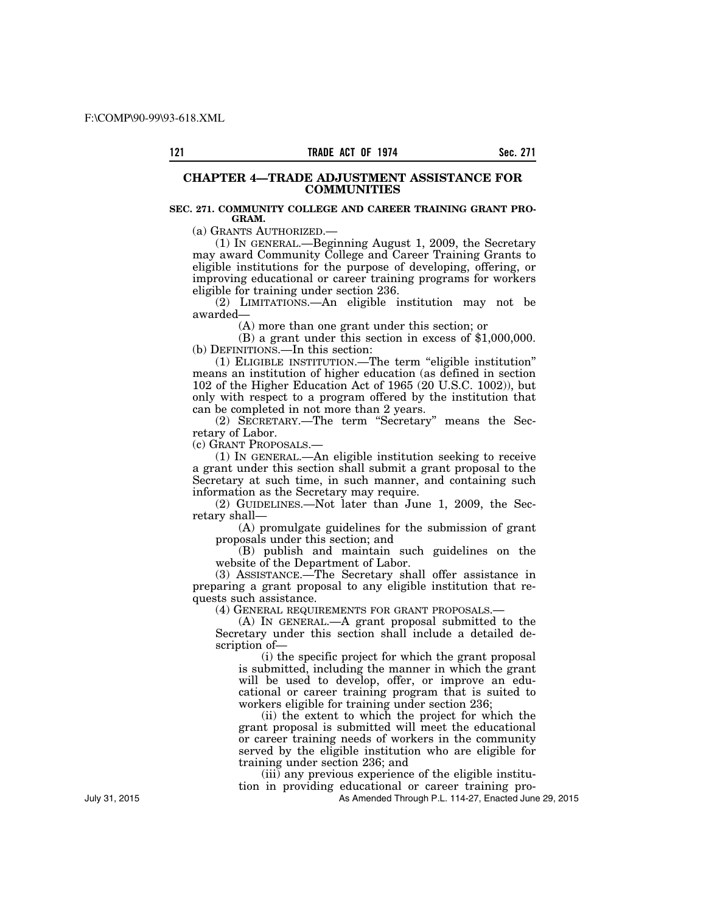# **CHAPTER 4—TRADE ADJUSTMENT ASSISTANCE FOR COMMUNITIES**

# **SEC. 271. COMMUNITY COLLEGE AND CAREER TRAINING GRANT PRO-GRAM.**

(a) GRANTS AUTHORIZED.—

(1) IN GENERAL.—Beginning August 1, 2009, the Secretary may award Community College and Career Training Grants to eligible institutions for the purpose of developing, offering, or improving educational or career training programs for workers eligible for training under section 236.

(2) LIMITATIONS.—An eligible institution may not be awarded—

(A) more than one grant under this section; or

(B) a grant under this section in excess of \$1,000,000. (b) DEFINITIONS.—In this section:

(1) ELIGIBLE INSTITUTION.—The term ''eligible institution'' means an institution of higher education (as defined in section 102 of the Higher Education Act of 1965 (20 U.S.C. 1002)), but only with respect to a program offered by the institution that can be completed in not more than 2 years.

(2) SECRETARY.—The term ''Secretary'' means the Secretary of Labor.

(c) GRANT PROPOSALS.—

(1) IN GENERAL.—An eligible institution seeking to receive a grant under this section shall submit a grant proposal to the Secretary at such time, in such manner, and containing such information as the Secretary may require.

(2) GUIDELINES.—Not later than June 1, 2009, the Secretary shall—

(A) promulgate guidelines for the submission of grant proposals under this section; and

(B) publish and maintain such guidelines on the website of the Department of Labor.

(3) ASSISTANCE.—The Secretary shall offer assistance in preparing a grant proposal to any eligible institution that requests such assistance.

(4) GENERAL REQUIREMENTS FOR GRANT PROPOSALS.—

(A) IN GENERAL.—A grant proposal submitted to the Secretary under this section shall include a detailed description of—

(i) the specific project for which the grant proposal is submitted, including the manner in which the grant will be used to develop, offer, or improve an educational or career training program that is suited to workers eligible for training under section 236;

(ii) the extent to which the project for which the grant proposal is submitted will meet the educational or career training needs of workers in the community served by the eligible institution who are eligible for training under section 236; and

(iii) any previous experience of the eligible institu-

tion in providing educational or career training pro-As Amended Through P.L. 114-27, Enacted June 29, 2015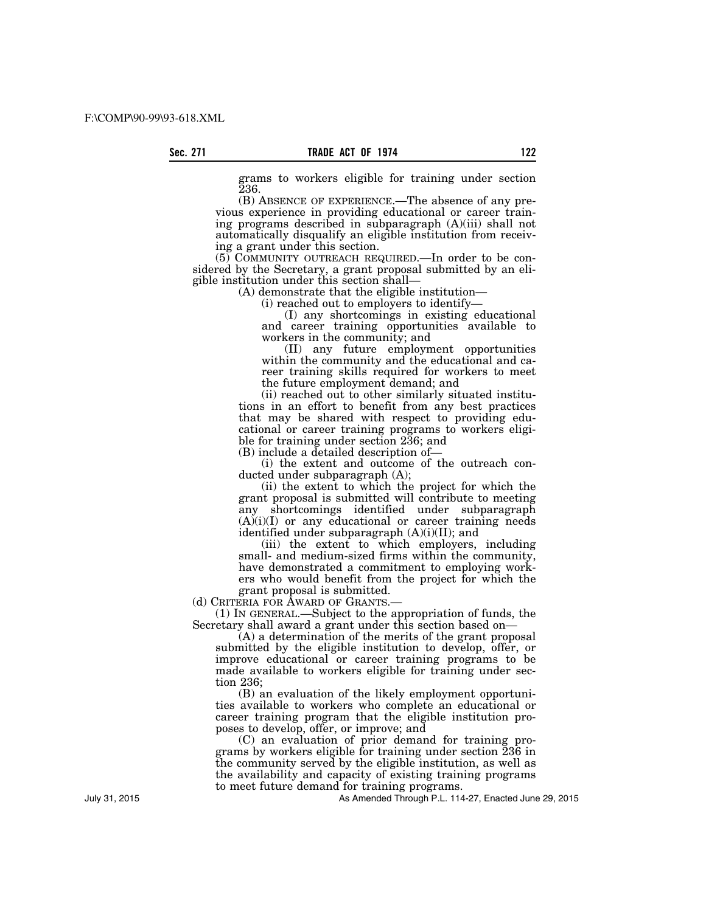grams to workers eligible for training under section 236.

(B) ABSENCE OF EXPERIENCE.—The absence of any previous experience in providing educational or career training programs described in subparagraph (A)(iii) shall not automatically disqualify an eligible institution from receiving a grant under this section.

(5) COMMUNITY OUTREACH REQUIRED.—In order to be considered by the Secretary, a grant proposal submitted by an eligible institution under this section shall—

(A) demonstrate that the eligible institution—

(i) reached out to employers to identify—

(I) any shortcomings in existing educational and career training opportunities available to workers in the community; and

(II) any future employment opportunities within the community and the educational and career training skills required for workers to meet the future employment demand; and

(ii) reached out to other similarly situated institutions in an effort to benefit from any best practices that may be shared with respect to providing educational or career training programs to workers eligible for training under section 236; and

(B) include a detailed description of—

(i) the extent and outcome of the outreach conducted under subparagraph (A);

(ii) the extent to which the project for which the grant proposal is submitted will contribute to meeting any shortcomings identified under subparagraph  $(A)(i)(I)$  or any educational or career training needs identified under subparagraph (A)(i)(II); and

(iii) the extent to which employers, including small- and medium-sized firms within the community, have demonstrated a commitment to employing workers who would benefit from the project for which the grant proposal is submitted.

(d) CRITERIA FOR AWARD OF GRANTS.—

(1) IN GENERAL.—Subject to the appropriation of funds, the Secretary shall award a grant under this section based on—

(A) a determination of the merits of the grant proposal submitted by the eligible institution to develop, offer, or improve educational or career training programs to be made available to workers eligible for training under section 236;

(B) an evaluation of the likely employment opportunities available to workers who complete an educational or career training program that the eligible institution proposes to develop, offer, or improve; and

(C) an evaluation of prior demand for training programs by workers eligible for training under section 236 in the community served by the eligible institution, as well as the availability and capacity of existing training programs to meet future demand for training programs.

As Amended Through P.L. 114-27, Enacted June 29, 2015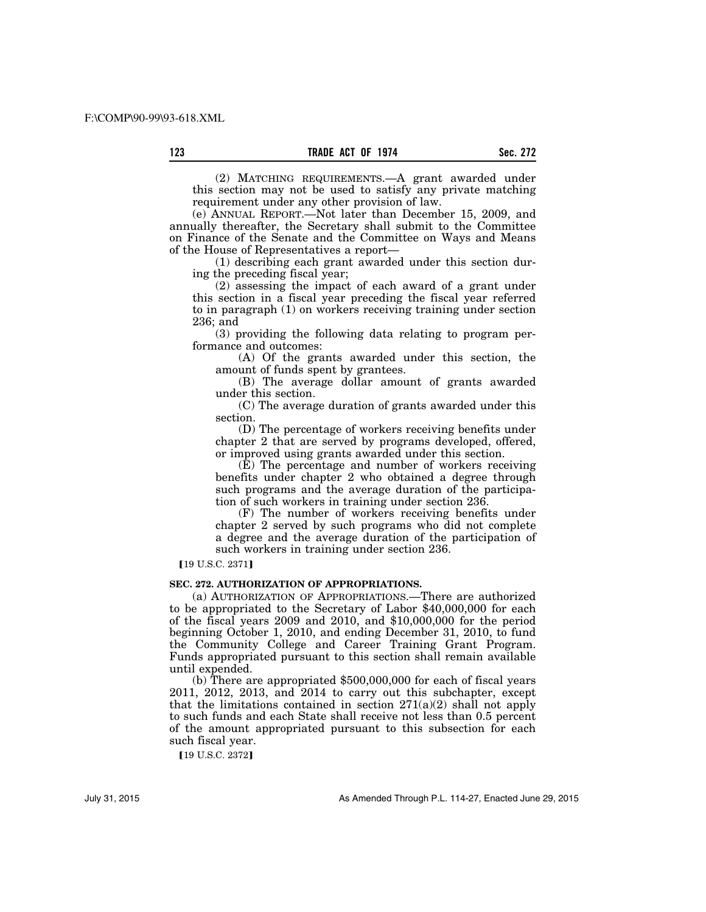(2) MATCHING REQUIREMENTS.—A grant awarded under this section may not be used to satisfy any private matching requirement under any other provision of law.

(e) ANNUAL REPORT.—Not later than December 15, 2009, and annually thereafter, the Secretary shall submit to the Committee on Finance of the Senate and the Committee on Ways and Means of the House of Representatives a report—

(1) describing each grant awarded under this section during the preceding fiscal year;

(2) assessing the impact of each award of a grant under this section in a fiscal year preceding the fiscal year referred to in paragraph (1) on workers receiving training under section 236; and

(3) providing the following data relating to program performance and outcomes:

(A) Of the grants awarded under this section, the amount of funds spent by grantees.

(B) The average dollar amount of grants awarded under this section.

(C) The average duration of grants awarded under this section.

(D) The percentage of workers receiving benefits under chapter 2 that are served by programs developed, offered, or improved using grants awarded under this section.

(E) The percentage and number of workers receiving benefits under chapter 2 who obtained a degree through such programs and the average duration of the participation of such workers in training under section 236.

(F) The number of workers receiving benefits under chapter 2 served by such programs who did not complete a degree and the average duration of the participation of such workers in training under section 236.

# [19 U.S.C. 2371]

# **SEC. 272. AUTHORIZATION OF APPROPRIATIONS.**

(a) AUTHORIZATION OF APPROPRIATIONS.—There are authorized to be appropriated to the Secretary of Labor \$40,000,000 for each of the fiscal years 2009 and 2010, and \$10,000,000 for the period beginning October 1, 2010, and ending December 31, 2010, to fund the Community College and Career Training Grant Program. Funds appropriated pursuant to this section shall remain available until expended.

(b) There are appropriated \$500,000,000 for each of fiscal years 2011, 2012, 2013, and 2014 to carry out this subchapter, except that the limitations contained in section  $271(a)(2)$  shall not apply to such funds and each State shall receive not less than 0.5 percent of the amount appropriated pursuant to this subsection for each such fiscal year.

**[19 U.S.C. 2372]**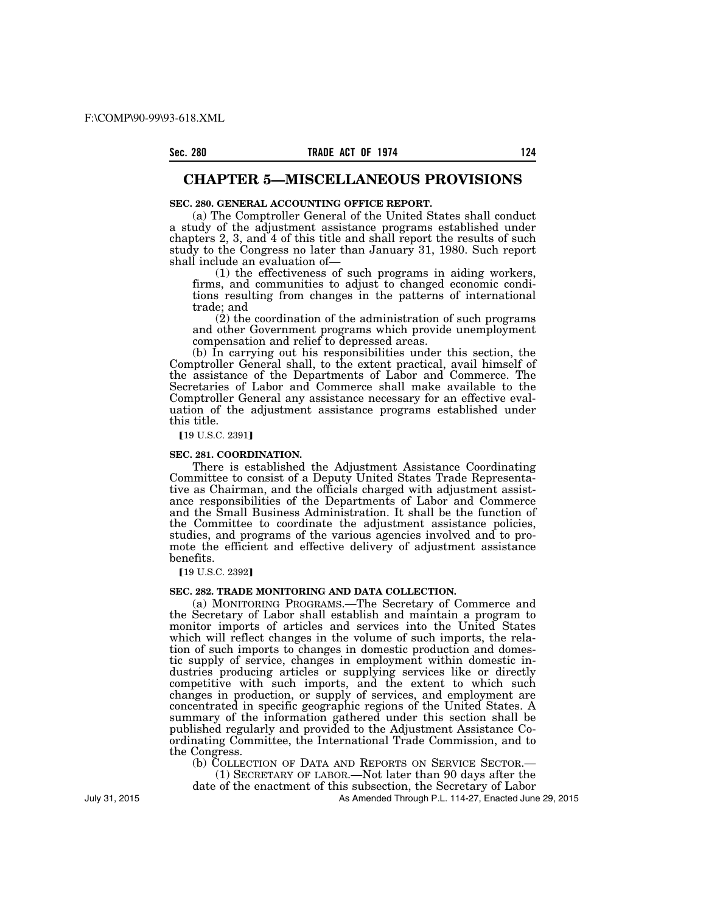# **CHAPTER 5—MISCELLANEOUS PROVISIONS**

# **SEC. 280. GENERAL ACCOUNTING OFFICE REPORT.**

(a) The Comptroller General of the United States shall conduct a study of the adjustment assistance programs established under chapters 2, 3, and 4 of this title and shall report the results of such study to the Congress no later than January 31, 1980. Such report shall include an evaluation of—

(1) the effectiveness of such programs in aiding workers, firms, and communities to adjust to changed economic conditions resulting from changes in the patterns of international trade; and

(2) the coordination of the administration of such programs and other Government programs which provide unemployment compensation and relief to depressed areas.

(b) In carrying out his responsibilities under this section, the Comptroller General shall, to the extent practical, avail himself of the assistance of the Departments of Labor and Commerce. The Secretaries of Labor and Commerce shall make available to the Comptroller General any assistance necessary for an effective evaluation of the adjustment assistance programs established under this title.

[19 U.S.C. 2391]

#### **SEC. 281. COORDINATION.**

There is established the Adjustment Assistance Coordinating Committee to consist of a Deputy United States Trade Representative as Chairman, and the officials charged with adjustment assistance responsibilities of the Departments of Labor and Commerce and the Small Business Administration. It shall be the function of the Committee to coordinate the adjustment assistance policies, studies, and programs of the various agencies involved and to promote the efficient and effective delivery of adjustment assistance benefits.

**[19 U.S.C. 2392]** 

#### **SEC. 282. TRADE MONITORING AND DATA COLLECTION.**

(a) MONITORING PROGRAMS.—The Secretary of Commerce and the Secretary of Labor shall establish and maintain a program to monitor imports of articles and services into the United States which will reflect changes in the volume of such imports, the relation of such imports to changes in domestic production and domestic supply of service, changes in employment within domestic industries producing articles or supplying services like or directly competitive with such imports, and the extent to which such changes in production, or supply of services, and employment are concentrated in specific geographic regions of the United States. A summary of the information gathered under this section shall be published regularly and provided to the Adjustment Assistance Coordinating Committee, the International Trade Commission, and to the Congress.

(b) COLLECTION OF DATA AND REPORTS ON SERVICE SECTOR.— (1) SECRETARY OF LABOR.—Not later than 90 days after the

date of the enactment of this subsection, the Secretary of Labor As Amended Through P.L. 114-27, Enacted June 29, 2015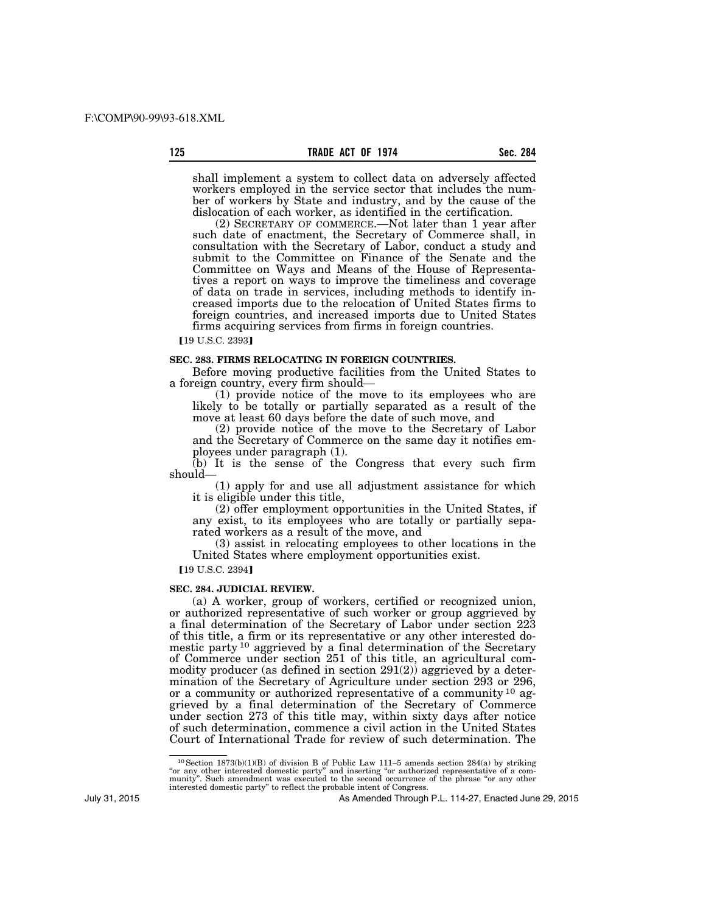shall implement a system to collect data on adversely affected workers employed in the service sector that includes the number of workers by State and industry, and by the cause of the dislocation of each worker, as identified in the certification.

(2) SECRETARY OF COMMERCE.—Not later than 1 year after such date of enactment, the Secretary of Commerce shall, in consultation with the Secretary of Labor, conduct a study and submit to the Committee on Finance of the Senate and the Committee on Ways and Means of the House of Representatives a report on ways to improve the timeliness and coverage of data on trade in services, including methods to identify increased imports due to the relocation of United States firms to foreign countries, and increased imports due to United States firms acquiring services from firms in foreign countries.

[19 U.S.C. 2393]

## **SEC. 283. FIRMS RELOCATING IN FOREIGN COUNTRIES.**

Before moving productive facilities from the United States to a foreign country, every firm should—

(1) provide notice of the move to its employees who are likely to be totally or partially separated as a result of the move at least 60 days before the date of such move, and

(2) provide notice of the move to the Secretary of Labor and the Secretary of Commerce on the same day it notifies employees under paragraph (1).

(b) It is the sense of the Congress that every such firm should—

(1) apply for and use all adjustment assistance for which it is eligible under this title,

(2) offer employment opportunities in the United States, if any exist, to its employees who are totally or partially separated workers as a result of the move, and

(3) assist in relocating employees to other locations in the United States where employment opportunities exist.

**[19 U.S.C. 2394]** 

#### **SEC. 284. JUDICIAL REVIEW.**

(a) A worker, group of workers, certified or recognized union, or authorized representative of such worker or group aggrieved by a final determination of the Secretary of Labor under section 223 of this title, a firm or its representative or any other interested domestic party 10 aggrieved by a final determination of the Secretary of Commerce under section 251 of this title, an agricultural commodity producer (as defined in section 291(2)) aggrieved by a determination of the Secretary of Agriculture under section 293 or 296, or a community or authorized representative of a community  $10$  aggrieved by a final determination of the Secretary of Commerce under section 273 of this title may, within sixty days after notice of such determination, commence a civil action in the United States Court of International Trade for review of such determination. The

 $10$  Section  $1873(b)(1)(B)$  of division B of Public Law 111-5 amends section  $284(a)$  by striking ''or any other interested domestic party'' and inserting ''or authorized representative of a com-munity''. Such amendment was executed to the second occurrence of the phrase ''or any other interested domestic party'' to reflect the probable intent of Congress.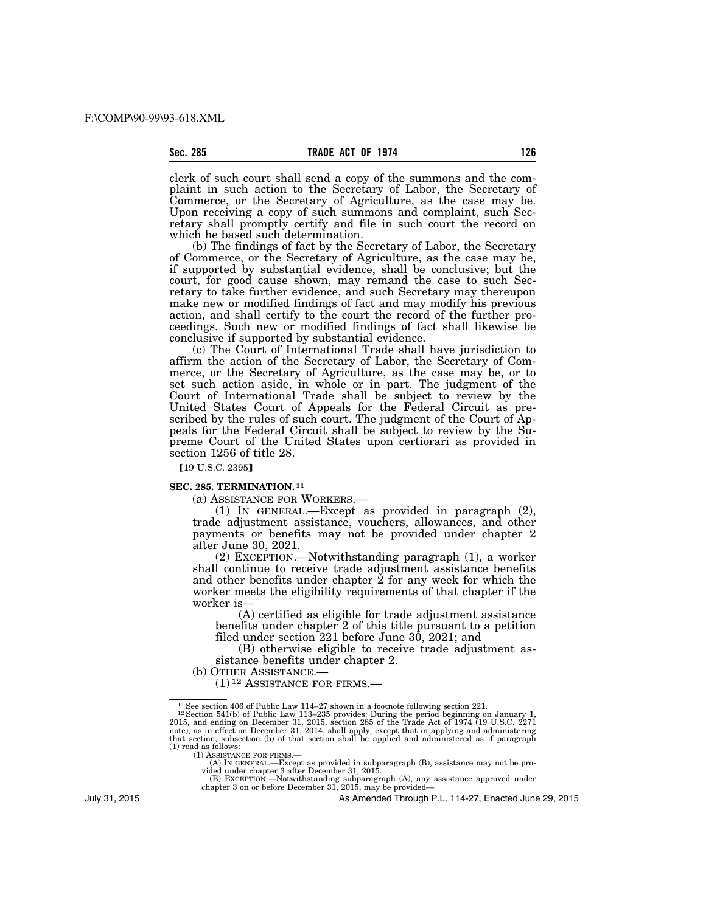clerk of such court shall send a copy of the summons and the complaint in such action to the Secretary of Labor, the Secretary of Commerce, or the Secretary of Agriculture, as the case may be. Upon receiving a copy of such summons and complaint, such Secretary shall promptly certify and file in such court the record on which he based such determination.

(b) The findings of fact by the Secretary of Labor, the Secretary of Commerce, or the Secretary of Agriculture, as the case may be, if supported by substantial evidence, shall be conclusive; but the court, for good cause shown, may remand the case to such Secretary to take further evidence, and such Secretary may thereupon make new or modified findings of fact and may modify his previous action, and shall certify to the court the record of the further proceedings. Such new or modified findings of fact shall likewise be conclusive if supported by substantial evidence.

(c) The Court of International Trade shall have jurisdiction to affirm the action of the Secretary of Labor, the Secretary of Commerce, or the Secretary of Agriculture, as the case may be, or to set such action aside, in whole or in part. The judgment of the Court of International Trade shall be subject to review by the United States Court of Appeals for the Federal Circuit as prescribed by the rules of such court. The judgment of the Court of Appeals for the Federal Circuit shall be subject to review by the Supreme Court of the United States upon certiorari as provided in section 1256 of title 28.

**[19 U.S.C. 2395]** 

#### **SEC. 285. TERMINATION. 11**

(a) ASSISTANCE FOR WORKERS.—

(1) IN GENERAL.—Except as provided in paragraph (2), trade adjustment assistance, vouchers, allowances, and other payments or benefits may not be provided under chapter 2 after June 30, 2021.

(2) EXCEPTION.—Notwithstanding paragraph (1), a worker shall continue to receive trade adjustment assistance benefits and other benefits under chapter 2 for any week for which the worker meets the eligibility requirements of that chapter if the worker is—

(A) certified as eligible for trade adjustment assistance benefits under chapter 2 of this title pursuant to a petition filed under section 221 before June 30, 2021; and

(B) otherwise eligible to receive trade adjustment assistance benefits under chapter 2.

(b) OTHER ASSISTANCE.—

(1) 12 ASSISTANCE FOR FIRMS.—

As Amended Through P.L. 114-27, Enacted June 29, 2015

<sup>&</sup>lt;sup>11</sup>See section 406 of Public Law 114–27 shown in a footnote following section 221.<br><sup>12</sup>Section 541(b) of Public Law 113–235 provides: During the period beginning on January 1,<br>2015, and ending on December 31, 2015, secti (1) read as follows: (1) ASSISTANCE FOR FIRMS.—

<sup>(</sup>A) IN GENERAL.—Except as provided in subparagraph (B), assistance may not be provided under chapter 3 after December 31, 2015.<br>(B) Exceptrion,—Notwithstanding subparagraph (A), any assistance approved under (B) Exceptron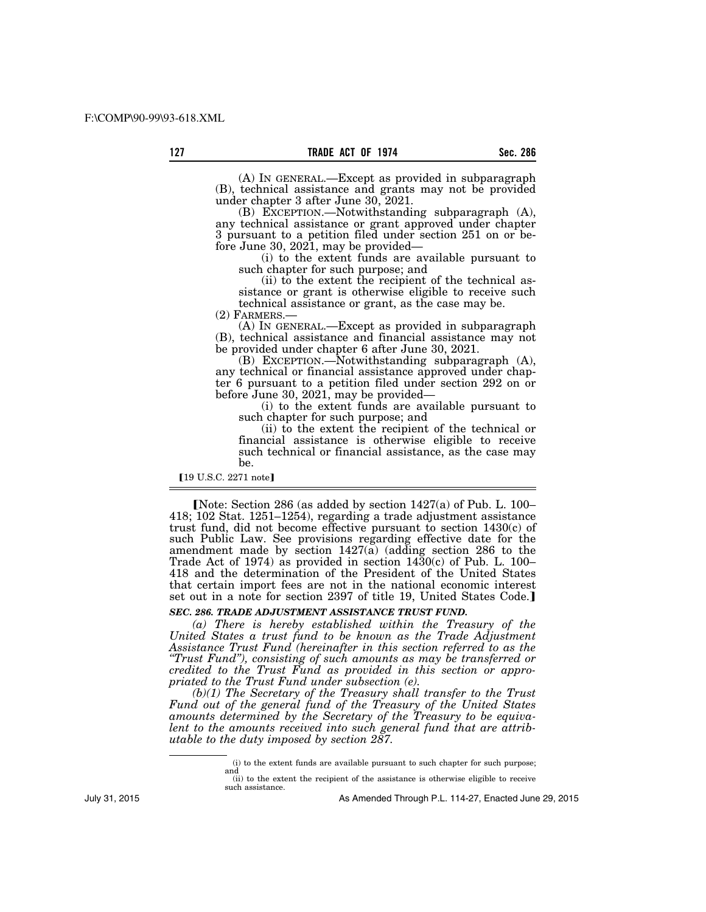(A) IN GENERAL.—Except as provided in subparagraph (B), technical assistance and grants may not be provided under chapter 3 after June 30, 2021.

(B) EXCEPTION.—Notwithstanding subparagraph (A), any technical assistance or grant approved under chapter 3 pursuant to a petition filed under section 251 on or before June 30, 2021, may be provided—

(i) to the extent funds are available pursuant to such chapter for such purpose; and

(ii) to the extent the recipient of the technical assistance or grant is otherwise eligible to receive such technical assistance or grant, as the case may be.<br>(2) FARMERS.—

 $(A)$  In GENERAL.—Except as provided in subparagraph (B), technical assistance and financial assistance may not be provided under chapter 6 after June 30, 2021.

(B) EXCEPTION.—Notwithstanding subparagraph (A), any technical or financial assistance approved under chapter 6 pursuant to a petition filed under section 292 on or before June 30, 2021, may be provided—

(i) to the extent funds are available pursuant to such chapter for such purpose; and

(ii) to the extent the recipient of the technical or financial assistance is otherwise eligible to receive such technical or financial assistance, as the case may be.

[19 U.S.C. 2271 note]

[Note: Section 286 (as added by section  $1427(a)$  of Pub. L.  $100-$ 418; 102 Stat. 1251–1254), regarding a trade adjustment assistance trust fund, did not become effective pursuant to section 1430(c) of such Public Law. See provisions regarding effective date for the amendment made by section 1427(a) (adding section 286 to the Trade Act of 1974) as provided in section  $14\overline{3}0(c)$  of Pub. L. 100– 418 and the determination of the President of the United States that certain import fees are not in the national economic interest set out in a note for section 2397 of title 19, United States Code.

# *SEC. 286. TRADE ADJUSTMENT ASSISTANCE TRUST FUND.*

*(a) There is hereby established within the Treasury of the United States a trust fund to be known as the Trade Adjustment Assistance Trust Fund (hereinafter in this section referred to as the ''Trust Fund''), consisting of such amounts as may be transferred or credited to the Trust Fund as provided in this section or appropriated to the Trust Fund under subsection (e).* 

*(b)(1) The Secretary of the Treasury shall transfer to the Trust Fund out of the general fund of the Treasury of the United States amounts determined by the Secretary of the Treasury to be equivalent to the amounts received into such general fund that are attributable to the duty imposed by section 287.* 

<sup>(</sup>i) to the extent funds are available pursuant to such chapter for such purpose;

and (ii) to the extent the recipient of the assistance is otherwise eligible to receive such assistance.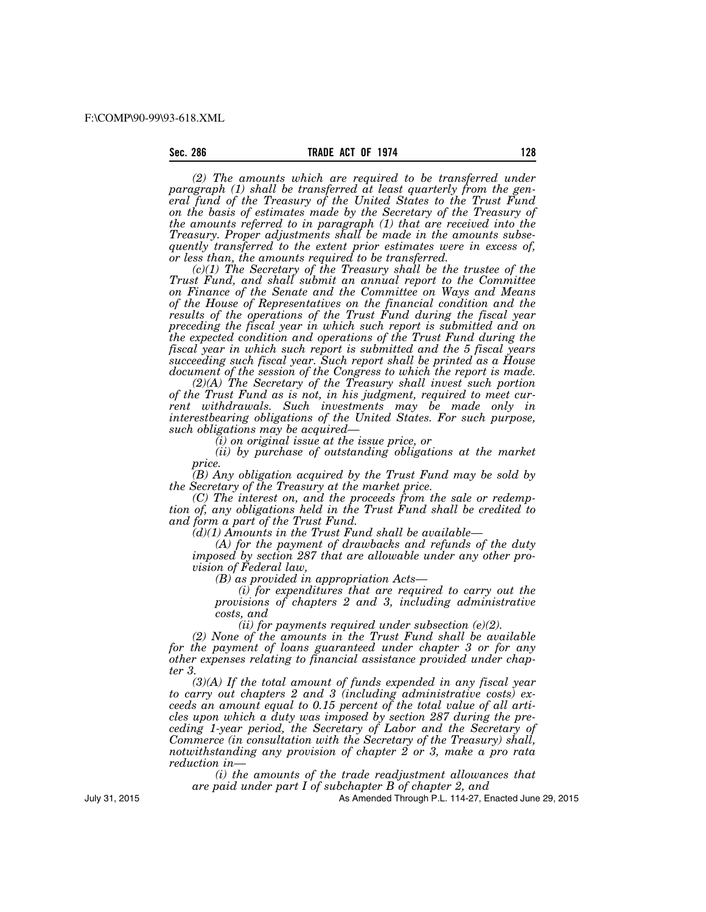# **Sec. 286 TRADE ACT OF 1974 128**

*(2) The amounts which are required to be transferred under paragraph (1) shall be transferred at least quarterly from the general fund of the Treasury of the United States to the Trust Fund on the basis of estimates made by the Secretary of the Treasury of the amounts referred to in paragraph (1) that are received into the Treasury. Proper adjustments shall be made in the amounts subsequently transferred to the extent prior estimates were in excess of, or less than, the amounts required to be transferred.* 

*(c)(1) The Secretary of the Treasury shall be the trustee of the Trust Fund, and shall submit an annual report to the Committee on Finance of the Senate and the Committee on Ways and Means of the House of Representatives on the financial condition and the results of the operations of the Trust Fund during the fiscal year preceding the fiscal year in which such report is submitted and on the expected condition and operations of the Trust Fund during the fiscal year in which such report is submitted and the 5 fiscal years succeeding such fiscal year. Such report shall be printed as a House document of the session of the Congress to which the report is made.* 

*(2)(A) The Secretary of the Treasury shall invest such portion of the Trust Fund as is not, in his judgment, required to meet current withdrawals. Such investments may be made only in interestbearing obligations of the United States. For such purpose, such obligations may be acquired—* 

*(i) on original issue at the issue price, or* 

*(ii) by purchase of outstanding obligations at the market price.* 

*(B) Any obligation acquired by the Trust Fund may be sold by the Secretary of the Treasury at the market price.* 

*(C) The interest on, and the proceeds from the sale or redemption of, any obligations held in the Trust Fund shall be credited to and form a part of the Trust Fund.* 

*(d)(1) Amounts in the Trust Fund shall be available—* 

*(A) for the payment of drawbacks and refunds of the duty imposed by section 287 that are allowable under any other provision of Federal law,* 

*(B) as provided in appropriation Acts—* 

*(i) for expenditures that are required to carry out the provisions of chapters 2 and 3, including administrative costs, and* 

*(ii) for payments required under subsection (e)(2).* 

*(2) None of the amounts in the Trust Fund shall be available for the payment of loans guaranteed under chapter 3 or for any other expenses relating to financial assistance provided under chapter 3.* 

*(3)(A) If the total amount of funds expended in any fiscal year to carry out chapters 2 and 3 (including administrative costs) exceeds an amount equal to 0.15 percent of the total value of all articles upon which a duty was imposed by section 287 during the preceding 1-year period, the Secretary of Labor and the Secretary of Commerce (in consultation with the Secretary of the Treasury) shall, notwithstanding any provision of chapter 2 or 3, make a pro rata reduction in—* 

*(i) the amounts of the trade readjustment allowances that are paid under part I of subchapter B of chapter 2, and* 

As Amended Through P.L. 114-27, Enacted June 29, 2015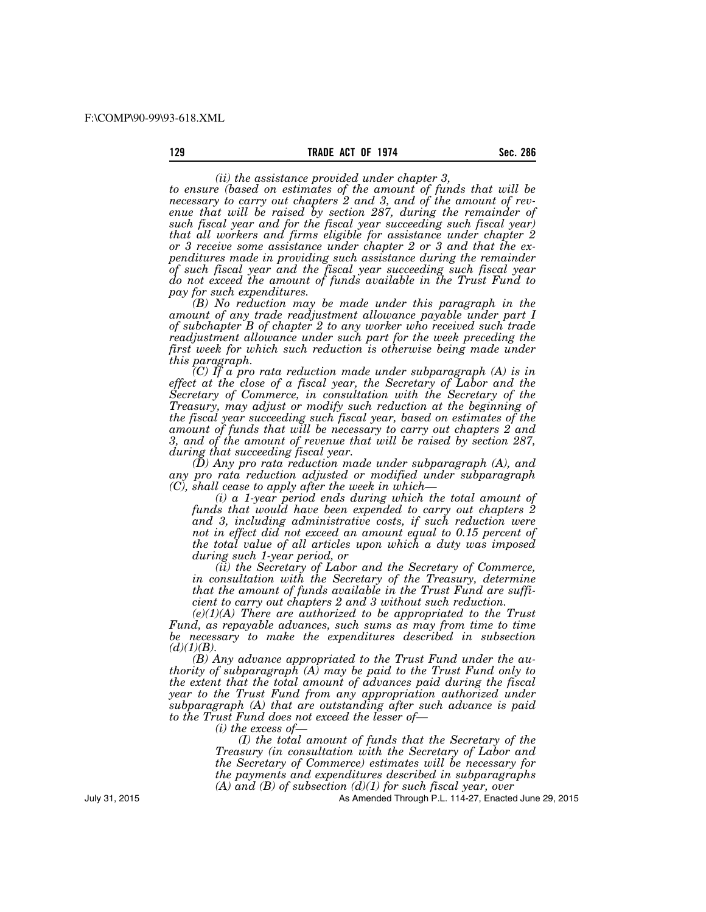*(ii) the assistance provided under chapter 3,* 

*to ensure (based on estimates of the amount of funds that will be necessary to carry out chapters 2 and 3, and of the amount of revenue that will be raised by section 287, during the remainder of such fiscal year and for the fiscal year succeeding such fiscal year) that all workers and firms eligible for assistance under chapter 2 or 3 receive some assistance under chapter 2 or 3 and that the expenditures made in providing such assistance during the remainder of such fiscal year and the fiscal year succeeding such fiscal year do not exceed the amount of funds available in the Trust Fund to pay for such expenditures.* 

*(B) No reduction may be made under this paragraph in the amount of any trade readjustment allowance payable under part I of subchapter B of chapter 2 to any worker who received such trade readjustment allowance under such part for the week preceding the first week for which such reduction is otherwise being made under this paragraph.* 

*(C) If a pro rata reduction made under subparagraph (A) is in effect at the close of a fiscal year, the Secretary of Labor and the Secretary of Commerce, in consultation with the Secretary of the Treasury, may adjust or modify such reduction at the beginning of the fiscal year succeeding such fiscal year, based on estimates of the amount of funds that will be necessary to carry out chapters 2 and 3, and of the amount of revenue that will be raised by section 287, during that succeeding fiscal year.* 

*(D) Any pro rata reduction made under subparagraph (A), and any pro rata reduction adjusted or modified under subparagraph (C), shall cease to apply after the week in which—* 

*(i) a 1-year period ends during which the total amount of funds that would have been expended to carry out chapters 2 and 3, including administrative costs, if such reduction were*  not in effect did not exceed an amount equal to 0.15 percent of *the total value of all articles upon which a duty was imposed during such 1-year period, or* 

*(ii) the Secretary of Labor and the Secretary of Commerce, in consultation with the Secretary of the Treasury, determine that the amount of funds available in the Trust Fund are sufficient to carry out chapters 2 and 3 without such reduction.* 

*(e)(1)(A) There are authorized to be appropriated to the Trust*  Fund, as repayable advances, such sums as may from time to time *be necessary to make the expenditures described in subsection (d)(1)(B).* 

*(B) Any advance appropriated to the Trust Fund under the authority of subparagraph (A) may be paid to the Trust Fund only to the extent that the total amount of advances paid during the fiscal year to the Trust Fund from any appropriation authorized under subparagraph (A) that are outstanding after such advance is paid to the Trust Fund does not exceed the lesser of—* 

*(i) the excess of—* 

*(I) the total amount of funds that the Secretary of the Treasury (in consultation with the Secretary of Labor and the Secretary of Commerce) estimates will be necessary for the payments and expenditures described in subparagraphs*   $(A)$  and  $(B)$  of subsection  $(d)(1)$  for such fiscal year, over

As Amended Through P.L. 114-27, Enacted June 29, 2015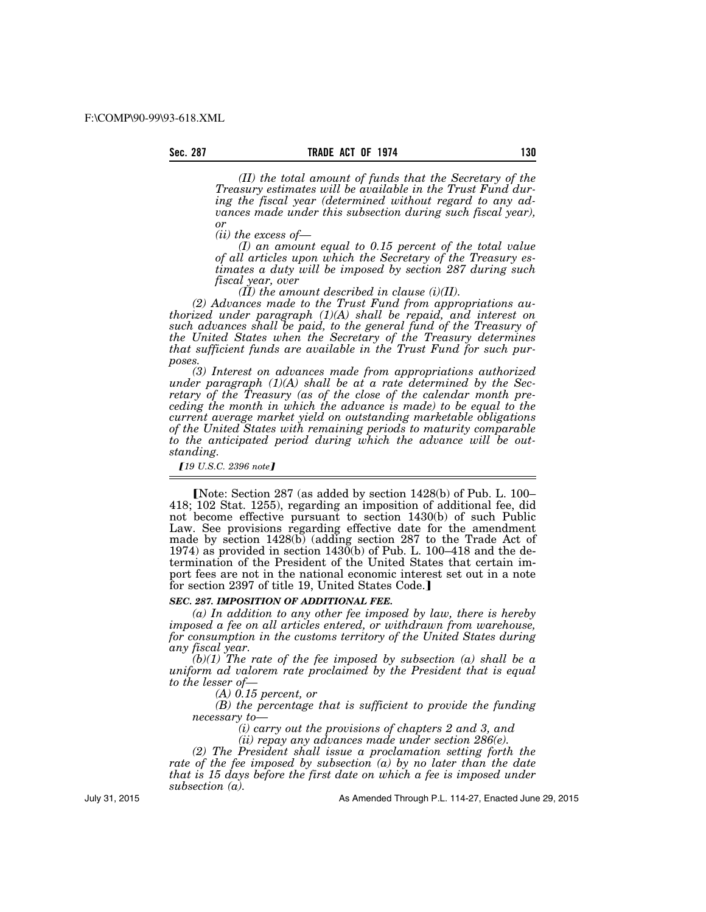*(II) the total amount of funds that the Secretary of the Treasury estimates will be available in the Trust Fund during the fiscal year (determined without regard to any advances made under this subsection during such fiscal year), or* 

*(ii) the excess of—* 

*(I) an amount equal to 0.15 percent of the total value of all articles upon which the Secretary of the Treasury estimates a duty will be imposed by section 287 during such fiscal year, over* 

*(II) the amount described in clause (i)(II).* 

*(2) Advances made to the Trust Fund from appropriations authorized under paragraph (1)(A) shall be repaid, and interest on such advances shall be paid, to the general fund of the Treasury of the United States when the Secretary of the Treasury determines that sufficient funds are available in the Trust Fund for such purposes.* 

*(3) Interest on advances made from appropriations authorized under paragraph (1)(A) shall be at a rate determined by the Secretary of the Treasury (as of the close of the calendar month preceding the month in which the advance is made) to be equal to the current average market yield on outstanding marketable obligations of the United States with remaining periods to maturity comparable to the anticipated period during which the advance will be outstanding.* 

ƒ*19 U.S.C. 2396 note*≈

[Note: Section  $287$  (as added by section  $1428(b)$  of Pub. L.  $100-$ 418; 102 Stat. 1255), regarding an imposition of additional fee, did not become effective pursuant to section 1430(b) of such Public Law. See provisions regarding effective date for the amendment made by section 1428(b) (adding section 287 to the Trade Act of 1974) as provided in section  $1430(b)$  of Pub. L. 100–418 and the determination of the President of the United States that certain import fees are not in the national economic interest set out in a note for section 2397 of title 19, United States Code.

#### *SEC. 287. IMPOSITION OF ADDITIONAL FEE.*

*(a) In addition to any other fee imposed by law, there is hereby imposed a fee on all articles entered, or withdrawn from warehouse, for consumption in the customs territory of the United States during any fiscal year.* 

*(b)(1) The rate of the fee imposed by subsection (a) shall be a uniform ad valorem rate proclaimed by the President that is equal to the lesser of—* 

*(A) 0.15 percent, or* 

*(B) the percentage that is sufficient to provide the funding necessary to—* 

> *(i) carry out the provisions of chapters 2 and 3, and (ii) repay any advances made under section 286(e).*

*(2) The President shall issue a proclamation setting forth the rate of the fee imposed by subsection (a) by no later than the date that is 15 days before the first date on which a fee is imposed under subsection (a).* 

As Amended Through P.L. 114-27, Enacted June 29, 2015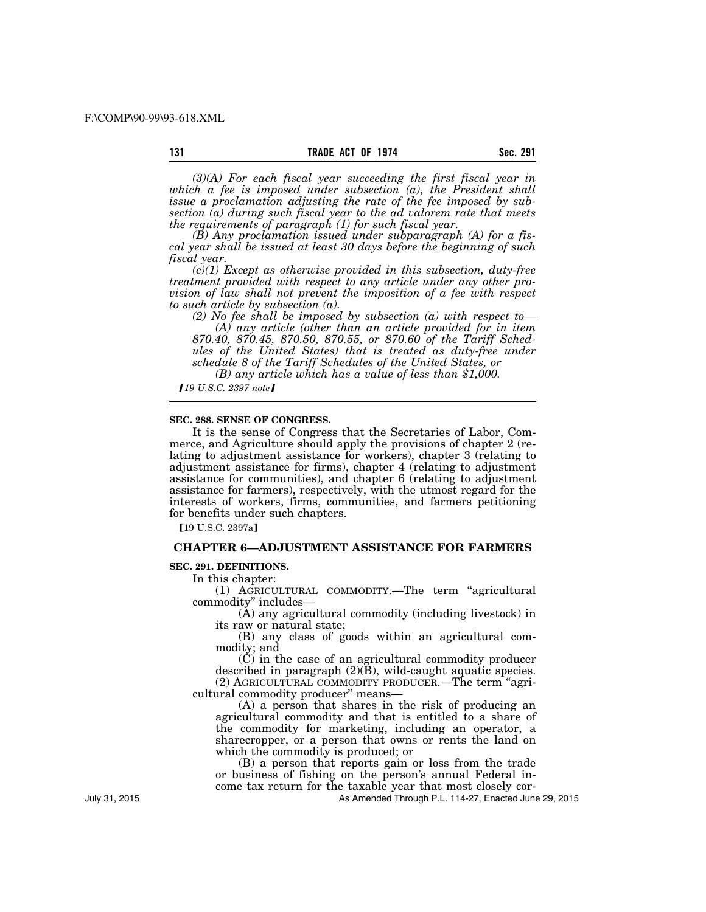*(3)(A) For each fiscal year succeeding the first fiscal year in which a fee is imposed under subsection (a), the President shall issue a proclamation adjusting the rate of the fee imposed by subsection (a) during such fiscal year to the ad valorem rate that meets the requirements of paragraph (1) for such fiscal year.* 

*(B) Any proclamation issued under subparagraph (A) for a fiscal year shall be issued at least 30 days before the beginning of such fiscal year.* 

*(c)(1) Except as otherwise provided in this subsection, duty-free treatment provided with respect to any article under any other provision of law shall not prevent the imposition of a fee with respect to such article by subsection (a).* 

*(2) No fee shall be imposed by subsection (a) with respect to— (A) any article (other than an article provided for in item 870.40, 870.45, 870.50, 870.55, or 870.60 of the Tariff Schedules of the United States) that is treated as duty-free under schedule 8 of the Tariff Schedules of the United States, or* 

*(B) any article which has a value of less than \$1,000.* 

ƒ*19 U.S.C. 2397 note*≈

# **SEC. 288. SENSE OF CONGRESS.**

It is the sense of Congress that the Secretaries of Labor, Commerce, and Agriculture should apply the provisions of chapter 2 (relating to adjustment assistance for workers), chapter 3 (relating to adjustment assistance for firms), chapter 4 (relating to adjustment assistance for communities), and chapter 6 (relating to adjustment assistance for farmers), respectively, with the utmost regard for the interests of workers, firms, communities, and farmers petitioning for benefits under such chapters.

**[19 U.S.C. 2397a]** 

## **CHAPTER 6—ADJUSTMENT ASSISTANCE FOR FARMERS**

#### **SEC. 291. DEFINITIONS.**

In this chapter:

(1) AGRICULTURAL COMMODITY.—The term ''agricultural commodity'' includes—

(A) any agricultural commodity (including livestock) in its raw or natural state;

(B) any class of goods within an agricultural commodity; and

(C) in the case of an agricultural commodity producer described in paragraph (2)(B), wild-caught aquatic species. (2) AGRICULTURAL COMMODITY PRODUCER.—The term ''agricultural commodity producer'' means—

(A) a person that shares in the risk of producing an agricultural commodity and that is entitled to a share of the commodity for marketing, including an operator, a sharecropper, or a person that owns or rents the land on which the commodity is produced; or

(B) a person that reports gain or loss from the trade or business of fishing on the person's annual Federal income tax return for the taxable year that most closely cor-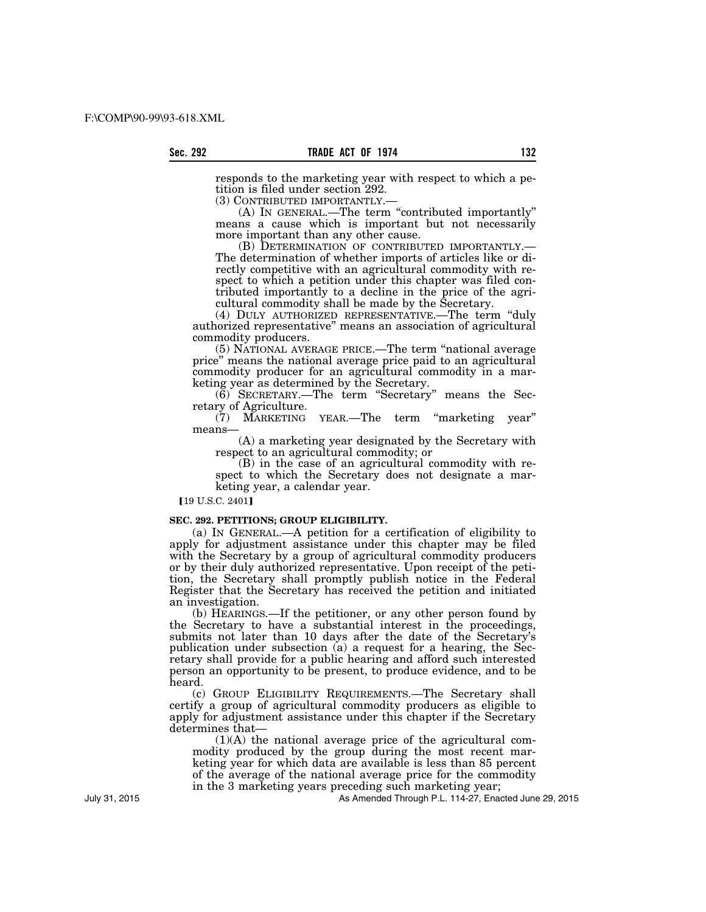responds to the marketing year with respect to which a petition is filed under section 292.<br>(3) CONTRIBUTED IMPORTANTLY.-

 $(A)$  In GENERAL.—The term "contributed importantly" means a cause which is important but not necessarily more important than any other cause.<br>
(B) DETERMINATION OF CONTRIBUTED IMPORTANTLY.—

The determination of whether imports of articles like or directly competitive with an agricultural commodity with respect to which a petition under this chapter was filed contributed importantly to a decline in the price of the agricultural commodity shall be made by the Secretary.

(4) DULY AUTHORIZED REPRESENTATIVE.—The term ''duly authorized representative'' means an association of agricultural commodity producers.

(5) NATIONAL AVERAGE PRICE.—The term ''national average price'' means the national average price paid to an agricultural commodity producer for an agricultural commodity in a marketing year as determined by the Secretary.

(6) SECRETARY.—The term ''Secretary'' means the Secretary of Agriculture.

(7) MARKETING YEAR.—The term ''marketing year'' means—

(A) a marketing year designated by the Secretary with respect to an agricultural commodity; or

(B) in the case of an agricultural commodity with respect to which the Secretary does not designate a marketing year, a calendar year.

[19 U.S.C. 2401]

## **SEC. 292. PETITIONS; GROUP ELIGIBILITY.**

(a) IN GENERAL.—A petition for a certification of eligibility to apply for adjustment assistance under this chapter may be filed with the Secretary by a group of agricultural commodity producers or by their duly authorized representative. Upon receipt of the petition, the Secretary shall promptly publish notice in the Federal Register that the Secretary has received the petition and initiated an investigation.

b) HEARINGS.—If the petitioner, or any other person found by the Secretary to have a substantial interest in the proceedings, submits not later than 10 days after the date of the Secretary's publication under subsection (a) a request for a hearing, the Secretary shall provide for a public hearing and afford such interested person an opportunity to be present, to produce evidence, and to be heard.

(c) GROUP ELIGIBILITY REQUIREMENTS.—The Secretary shall certify a group of agricultural commodity producers as eligible to apply for adjustment assistance under this chapter if the Secretary determines that—

(1)(A) the national average price of the agricultural commodity produced by the group during the most recent marketing year for which data are available is less than 85 percent of the average of the national average price for the commodity in the 3 marketing years preceding such marketing year;

As Amended Through P.L. 114-27, Enacted June 29, 2015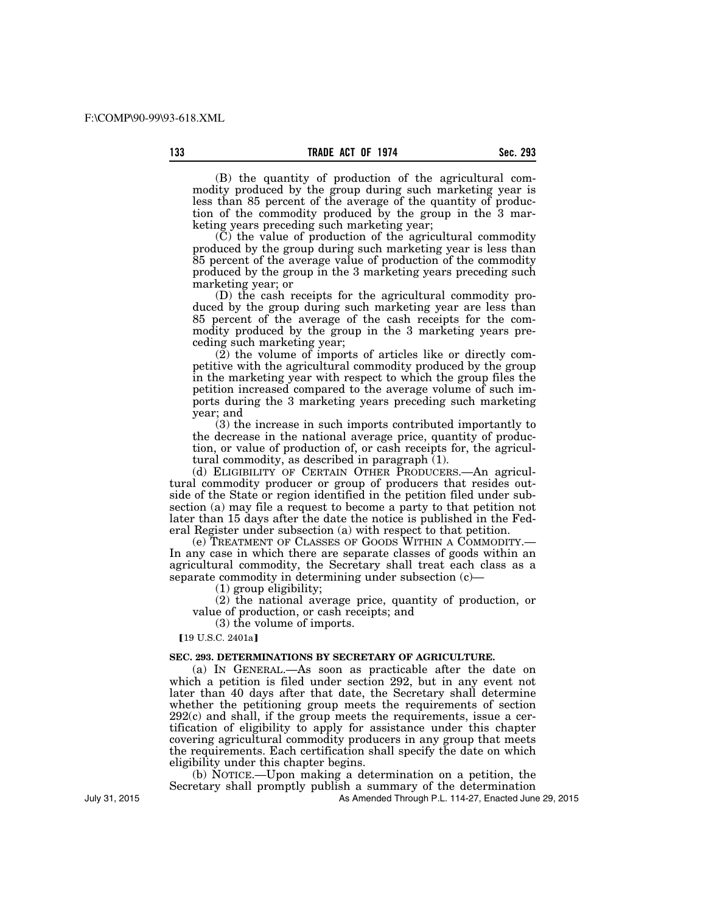(B) the quantity of production of the agricultural commodity produced by the group during such marketing year is less than 85 percent of the average of the quantity of production of the commodity produced by the group in the 3 marketing years preceding such marketing year;

(C) the value of production of the agricultural commodity produced by the group during such marketing year is less than 85 percent of the average value of production of the commodity produced by the group in the 3 marketing years preceding such marketing year; or

(D) the cash receipts for the agricultural commodity produced by the group during such marketing year are less than 85 percent of the average of the cash receipts for the commodity produced by the group in the 3 marketing years preceding such marketing year;

(2) the volume of imports of articles like or directly competitive with the agricultural commodity produced by the group in the marketing year with respect to which the group files the petition increased compared to the average volume of such imports during the 3 marketing years preceding such marketing year; and

(3) the increase in such imports contributed importantly to the decrease in the national average price, quantity of production, or value of production of, or cash receipts for, the agricultural commodity, as described in paragraph  $(1)$ .

(d) ELIGIBILITY OF CERTAIN OTHER PRODUCERS.—An agricultural commodity producer or group of producers that resides outside of the State or region identified in the petition filed under subsection (a) may file a request to become a party to that petition not later than 15 days after the date the notice is published in the Federal Register under subsection (a) with respect to that petition.

(e) TREATMENT OF CLASSES OF GOODS WITHIN A COMMODITY.— In any case in which there are separate classes of goods within an agricultural commodity, the Secretary shall treat each class as a separate commodity in determining under subsection (c)—

(1) group eligibility;

(2) the national average price, quantity of production, or value of production, or cash receipts; and

(3) the volume of imports.

**[19 U.S.C. 2401a]** 

# **SEC. 293. DETERMINATIONS BY SECRETARY OF AGRICULTURE.**

(a) IN GENERAL.—As soon as practicable after the date on which a petition is filed under section 292, but in any event not later than 40 days after that date, the Secretary shall determine whether the petitioning group meets the requirements of section 292(c) and shall, if the group meets the requirements, issue a certification of eligibility to apply for assistance under this chapter covering agricultural commodity producers in any group that meets the requirements. Each certification shall specify the date on which eligibility under this chapter begins.

(b) NOTICE.—Upon making a determination on a petition, the Secretary shall promptly publish a summary of the determination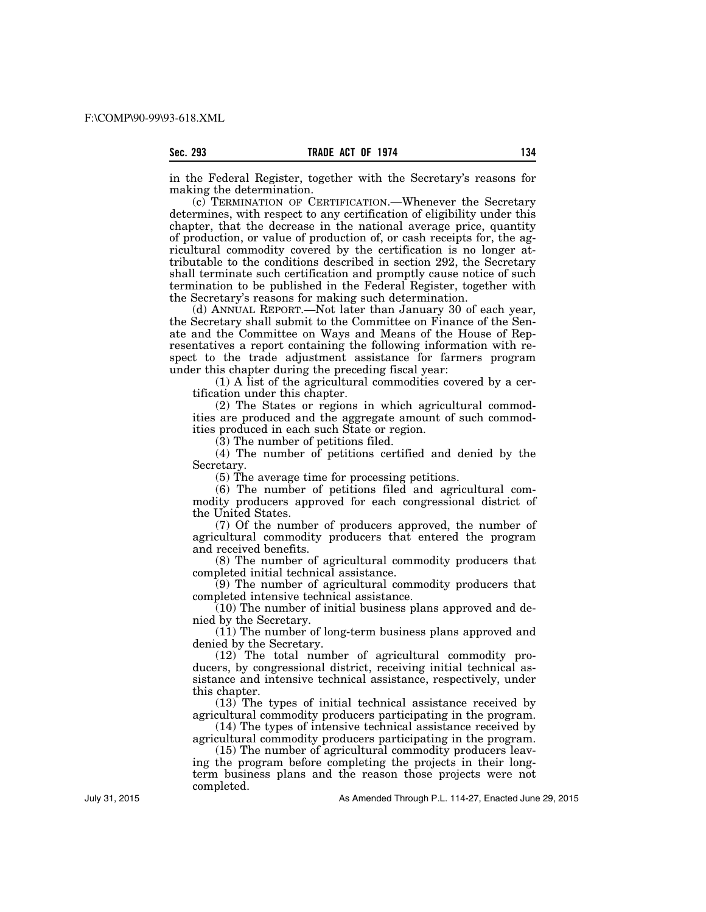in the Federal Register, together with the Secretary's reasons for making the determination.

(c) TERMINATION OF CERTIFICATION.—Whenever the Secretary determines, with respect to any certification of eligibility under this chapter, that the decrease in the national average price, quantity of production, or value of production of, or cash receipts for, the agricultural commodity covered by the certification is no longer attributable to the conditions described in section 292, the Secretary shall terminate such certification and promptly cause notice of such termination to be published in the Federal Register, together with the Secretary's reasons for making such determination.

(d) ANNUAL REPORT.—Not later than January 30 of each year, the Secretary shall submit to the Committee on Finance of the Senate and the Committee on Ways and Means of the House of Representatives a report containing the following information with respect to the trade adjustment assistance for farmers program under this chapter during the preceding fiscal year:

(1) A list of the agricultural commodities covered by a certification under this chapter.

(2) The States or regions in which agricultural commodities are produced and the aggregate amount of such commodities produced in each such State or region.

(3) The number of petitions filed.

(4) The number of petitions certified and denied by the Secretary.

(5) The average time for processing petitions.

(6) The number of petitions filed and agricultural commodity producers approved for each congressional district of the United States.

(7) Of the number of producers approved, the number of agricultural commodity producers that entered the program and received benefits.

(8) The number of agricultural commodity producers that completed initial technical assistance.

(9) The number of agricultural commodity producers that completed intensive technical assistance.

(10) The number of initial business plans approved and denied by the Secretary.

(11) The number of long-term business plans approved and denied by the Secretary.

(12) The total number of agricultural commodity producers, by congressional district, receiving initial technical assistance and intensive technical assistance, respectively, under this chapter.

(13) The types of initial technical assistance received by agricultural commodity producers participating in the program.

(14) The types of intensive technical assistance received by agricultural commodity producers participating in the program.

(15) The number of agricultural commodity producers leaving the program before completing the projects in their longterm business plans and the reason those projects were not completed.

As Amended Through P.L. 114-27, Enacted June 29, 2015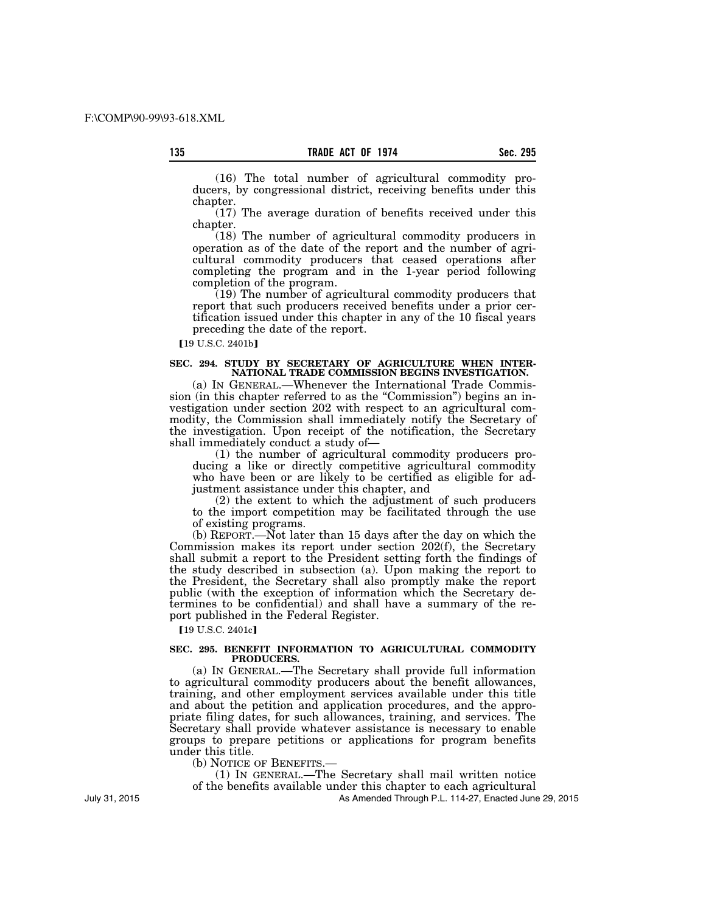(16) The total number of agricultural commodity producers, by congressional district, receiving benefits under this chapter.

(17) The average duration of benefits received under this chapter.

(18) The number of agricultural commodity producers in operation as of the date of the report and the number of agricultural commodity producers that ceased operations after completing the program and in the 1-year period following completion of the program.

(19) The number of agricultural commodity producers that report that such producers received benefits under a prior certification issued under this chapter in any of the 10 fiscal years preceding the date of the report.

[19 U.S.C. 2401b]

#### **SEC. 294. STUDY BY SECRETARY OF AGRICULTURE WHEN INTER-NATIONAL TRADE COMMISSION BEGINS INVESTIGATION.**

(a) IN GENERAL.—Whenever the International Trade Commission (in this chapter referred to as the "Commission") begins an investigation under section 202 with respect to an agricultural commodity, the Commission shall immediately notify the Secretary of the investigation. Upon receipt of the notification, the Secretary shall immediately conduct a study of—

(1) the number of agricultural commodity producers producing a like or directly competitive agricultural commodity who have been or are likely to be certified as eligible for adjustment assistance under this chapter, and

(2) the extent to which the adjustment of such producers to the import competition may be facilitated through the use of existing programs.

(b) REPORT.—Not later than 15 days after the day on which the Commission makes its report under section 202(f), the Secretary shall submit a report to the President setting forth the findings of the study described in subsection (a). Upon making the report to the President, the Secretary shall also promptly make the report public (with the exception of information which the Secretary determines to be confidential) and shall have a summary of the report published in the Federal Register.

**[19 U.S.C. 2401c]** 

#### **SEC. 295. BENEFIT INFORMATION TO AGRICULTURAL COMMODITY PRODUCERS.**

(a) IN GENERAL.—The Secretary shall provide full information to agricultural commodity producers about the benefit allowances, training, and other employment services available under this title and about the petition and application procedures, and the appropriate filing dates, for such allowances, training, and services. The Secretary shall provide whatever assistance is necessary to enable groups to prepare petitions or applications for program benefits under this title.<br>(b) NOTICE OF BENEFITS.

 $(1)$  In GENERAL.—The Secretary shall mail written notice of the benefits available under this chapter to each agricultural

As Amended Through P.L. 114-27, Enacted June 29, 2015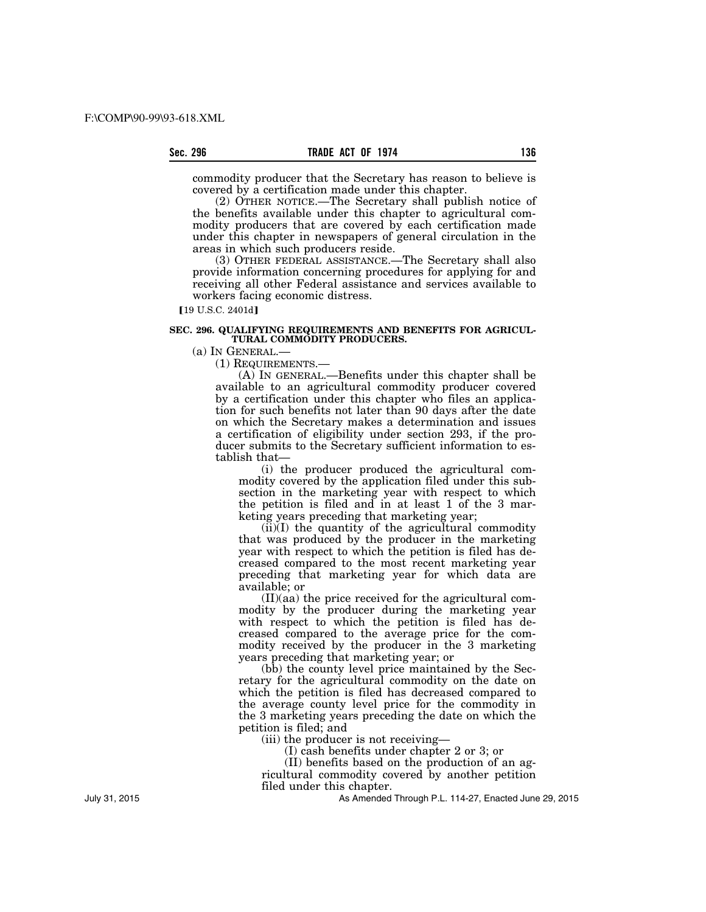commodity producer that the Secretary has reason to believe is covered by a certification made under this chapter.

(2) OTHER NOTICE.—The Secretary shall publish notice of the benefits available under this chapter to agricultural commodity producers that are covered by each certification made under this chapter in newspapers of general circulation in the areas in which such producers reside.

(3) OTHER FEDERAL ASSISTANCE.—The Secretary shall also provide information concerning procedures for applying for and receiving all other Federal assistance and services available to workers facing economic distress.

[19 U.S.C. 2401d]

#### **SEC. 296. QUALIFYING REQUIREMENTS AND BENEFITS FOR AGRICUL-TURAL COMMODITY PRODUCERS.**

(a) IN GENERAL.—

(1) REQUIREMENTS.—

(A) IN GENERAL.—Benefits under this chapter shall be available to an agricultural commodity producer covered by a certification under this chapter who files an application for such benefits not later than 90 days after the date on which the Secretary makes a determination and issues a certification of eligibility under section 293, if the producer submits to the Secretary sufficient information to establish that—

(i) the producer produced the agricultural commodity covered by the application filed under this subsection in the marketing year with respect to which the petition is filed and in at least 1 of the 3 marketing years preceding that marketing year;

 $(ii)(I)$  the quantity of the agricultural commodity that was produced by the producer in the marketing year with respect to which the petition is filed has decreased compared to the most recent marketing year preceding that marketing year for which data are available; or

 $(II)(aa)$  the price received for the agricultural commodity by the producer during the marketing year with respect to which the petition is filed has decreased compared to the average price for the commodity received by the producer in the 3 marketing years preceding that marketing year; or

(bb) the county level price maintained by the Secretary for the agricultural commodity on the date on which the petition is filed has decreased compared to the average county level price for the commodity in the 3 marketing years preceding the date on which the petition is filed; and

(iii) the producer is not receiving—

(I) cash benefits under chapter 2 or 3; or

(II) benefits based on the production of an agricultural commodity covered by another petition filed under this chapter.

As Amended Through P.L. 114-27, Enacted June 29, 2015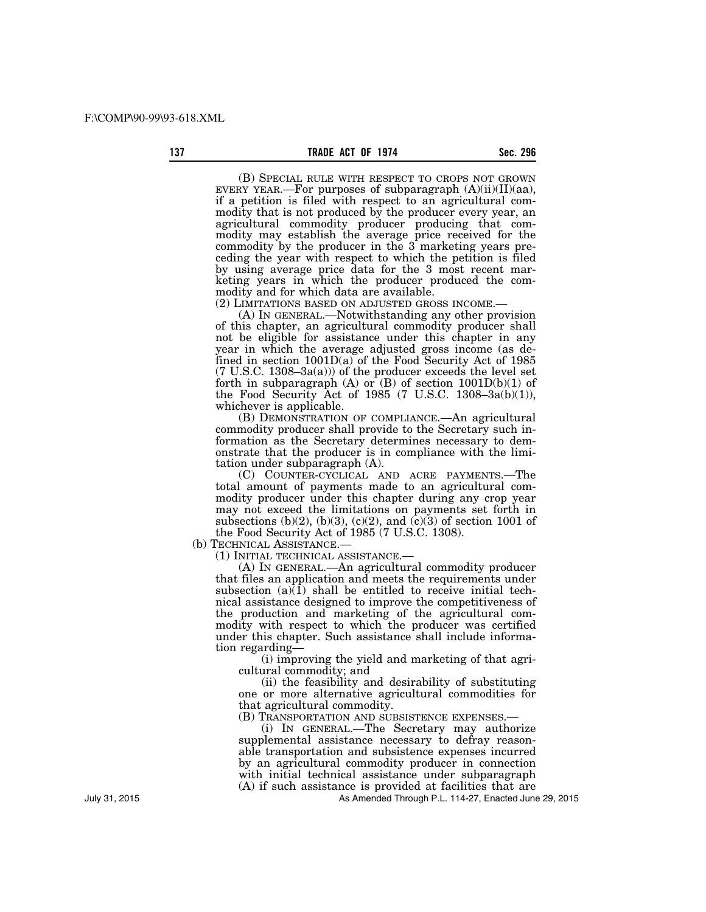(B) SPECIAL RULE WITH RESPECT TO CROPS NOT GROWN EVERY YEAR.—For purposes of subparagraph (A)(ii)(II)(aa), if a petition is filed with respect to an agricultural commodity that is not produced by the producer every year, an agricultural commodity producer producing that commodity may establish the average price received for the commodity by the producer in the 3 marketing years preceding the year with respect to which the petition is filed by using average price data for the 3 most recent marketing years in which the producer produced the commodity and for which data are available.<br>(2) LIMITATIONS BASED ON ADJUSTED GROSS INCOME.—

(A) IN GENERAL.—Notwithstanding any other provision of this chapter, an agricultural commodity producer shall not be eligible for assistance under this chapter in any year in which the average adjusted gross income (as defined in section 1001D(a) of the Food Security Act of 1985  $(7$  U.S.C.  $1308–3a(a))$  of the producer exceeds the level set forth in subparagraph  $(A)$  or  $(B)$  of section  $1001D(b)(1)$  of the Food Security Act of 1985 (7 U.S.C. 1308–3a(b)(1)), whichever is applicable.

(B) DEMONSTRATION OF COMPLIANCE.—An agricultural commodity producer shall provide to the Secretary such information as the Secretary determines necessary to demonstrate that the producer is in compliance with the limitation under subparagraph (A).

(C) COUNTER-CYCLICAL AND ACRE PAYMENTS.—The total amount of payments made to an agricultural commodity producer under this chapter during any crop year may not exceed the limitations on payments set forth in subsections (b)(2), (b)(3), (c)(2), and (c)(3) of section 1001 of the Food Security Act of 1985 (7 U.S.C. 1308).

(b) TECHNICAL ASSISTANCE.—

(1) INITIAL TECHNICAL ASSISTANCE.—

(A) IN GENERAL.—An agricultural commodity producer that files an application and meets the requirements under subsection  $(a)$  $(\overline{1})$  shall be entitled to receive initial technical assistance designed to improve the competitiveness of the production and marketing of the agricultural commodity with respect to which the producer was certified under this chapter. Such assistance shall include information regarding—

(i) improving the yield and marketing of that agricultural commodity; and

(ii) the feasibility and desirability of substituting one or more alternative agricultural commodities for that agricultural commodity.

(B) TRANSPORTATION AND SUBSISTENCE EXPENSES.—

(i) IN GENERAL.—The Secretary may authorize supplemental assistance necessary to defray reasonable transportation and subsistence expenses incurred by an agricultural commodity producer in connection with initial technical assistance under subparagraph (A) if such assistance is provided at facilities that are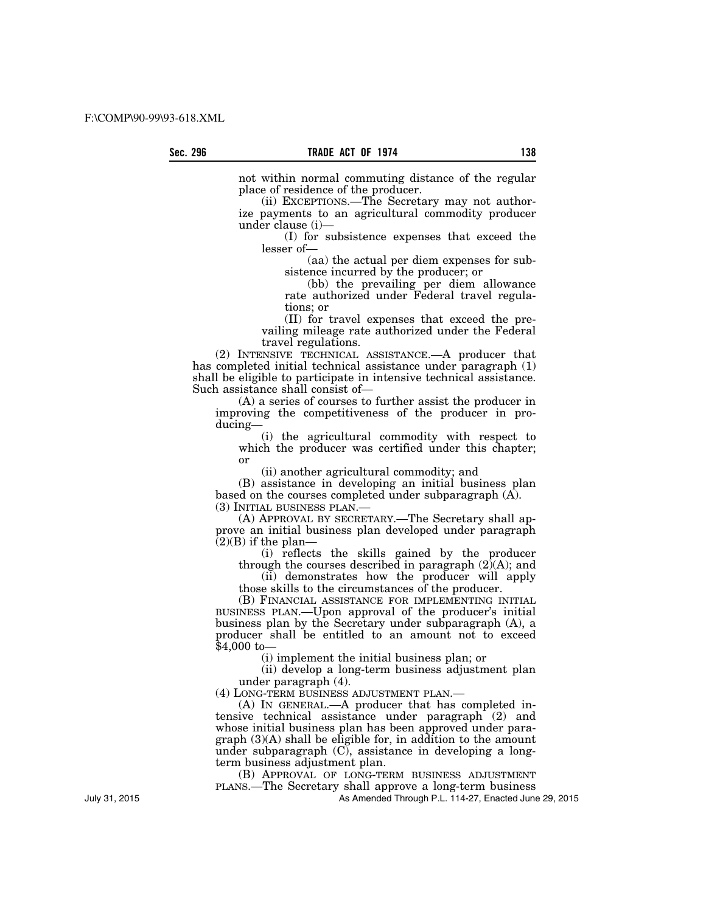not within normal commuting distance of the regular place of residence of the producer.

(ii) EXCEPTIONS.—The Secretary may not authorize payments to an agricultural commodity producer under clause (i)—

(I) for subsistence expenses that exceed the lesser of—

(aa) the actual per diem expenses for subsistence incurred by the producer; or

(bb) the prevailing per diem allowance rate authorized under Federal travel regulations; or

(II) for travel expenses that exceed the prevailing mileage rate authorized under the Federal travel regulations.

(2) INTENSIVE TECHNICAL ASSISTANCE.—A producer that has completed initial technical assistance under paragraph (1) shall be eligible to participate in intensive technical assistance. Such assistance shall consist of—

(A) a series of courses to further assist the producer in improving the competitiveness of the producer in producing—

(i) the agricultural commodity with respect to which the producer was certified under this chapter; or

(ii) another agricultural commodity; and

(B) assistance in developing an initial business plan based on the courses completed under subparagraph  $(A)$ . (3) INITIAL BUSINESS PLAN.—

(A) APPROVAL BY SECRETARY.—The Secretary shall approve an initial business plan developed under paragraph  $(2)(B)$  if the plan—

(i) reflects the skills gained by the producer through the courses described in paragraph  $(2)(A)$ ; and

(ii) demonstrates how the producer will apply

those skills to the circumstances of the producer.

(B) FINANCIAL ASSISTANCE FOR IMPLEMENTING INITIAL BUSINESS PLAN.—Upon approval of the producer's initial business plan by the Secretary under subparagraph (A), a producer shall be entitled to an amount not to exceed \$4,000 to—

(i) implement the initial business plan; or

(ii) develop a long-term business adjustment plan under paragraph (4).

(4) LONG-TERM BUSINESS ADJUSTMENT PLAN.—

(A) IN GENERAL.—A producer that has completed intensive technical assistance under paragraph (2) and whose initial business plan has been approved under para $graph (3)(A)$  shall be eligible for, in addition to the amount under subparagraph (C), assistance in developing a longterm business adjustment plan.

(B) APPROVAL OF LONG-TERM BUSINESS ADJUSTMENT PLANS.—The Secretary shall approve a long-term business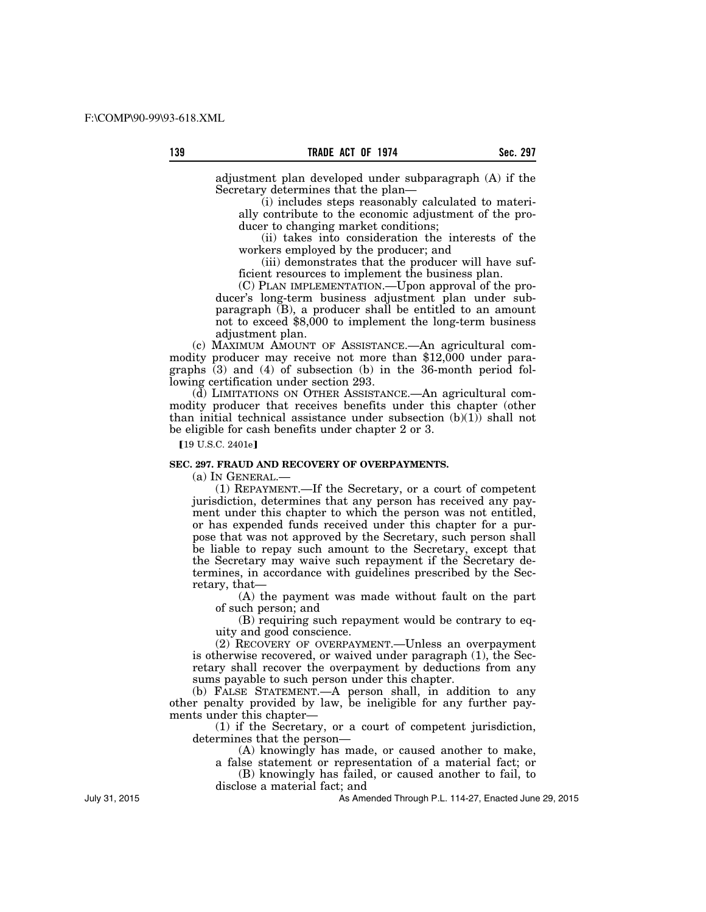adjustment plan developed under subparagraph (A) if the Secretary determines that the plan—

(i) includes steps reasonably calculated to materially contribute to the economic adjustment of the producer to changing market conditions;

(ii) takes into consideration the interests of the workers employed by the producer; and

(iii) demonstrates that the producer will have sufficient resources to implement the business plan.

(C) PLAN IMPLEMENTATION.—Upon approval of the producer's long-term business adjustment plan under subparagraph (B), a producer shall be entitled to an amount not to exceed \$8,000 to implement the long-term business adjustment plan.

(c) MAXIMUM AMOUNT OF ASSISTANCE.—An agricultural commodity producer may receive not more than \$12,000 under paragraphs (3) and (4) of subsection (b) in the 36-month period following certification under section 293.

(d) LIMITATIONS ON OTHER ASSISTANCE.—An agricultural commodity producer that receives benefits under this chapter (other than initial technical assistance under subsection  $(b)(1)$  shall not be eligible for cash benefits under chapter 2 or 3.

**[19 U.S.C. 2401e]** 

#### **SEC. 297. FRAUD AND RECOVERY OF OVERPAYMENTS.**

(a) IN GENERAL.—

(1) REPAYMENT.—If the Secretary, or a court of competent jurisdiction, determines that any person has received any payment under this chapter to which the person was not entitled, or has expended funds received under this chapter for a purpose that was not approved by the Secretary, such person shall be liable to repay such amount to the Secretary, except that the Secretary may waive such repayment if the Secretary determines, in accordance with guidelines prescribed by the Secretary, that—

(A) the payment was made without fault on the part of such person; and

(B) requiring such repayment would be contrary to equity and good conscience.

(2) RECOVERY OF OVERPAYMENT.—Unless an overpayment is otherwise recovered, or waived under paragraph (1), the Secretary shall recover the overpayment by deductions from any sums payable to such person under this chapter.

(b) FALSE STATEMENT.—A person shall, in addition to any other penalty provided by law, be ineligible for any further payments under this chapter—

(1) if the Secretary, or a court of competent jurisdiction, determines that the person—

(A) knowingly has made, or caused another to make,

a false statement or representation of a material fact; or (B) knowingly has failed, or caused another to fail, to

disclose a material fact; and

As Amended Through P.L. 114-27, Enacted June 29, 2015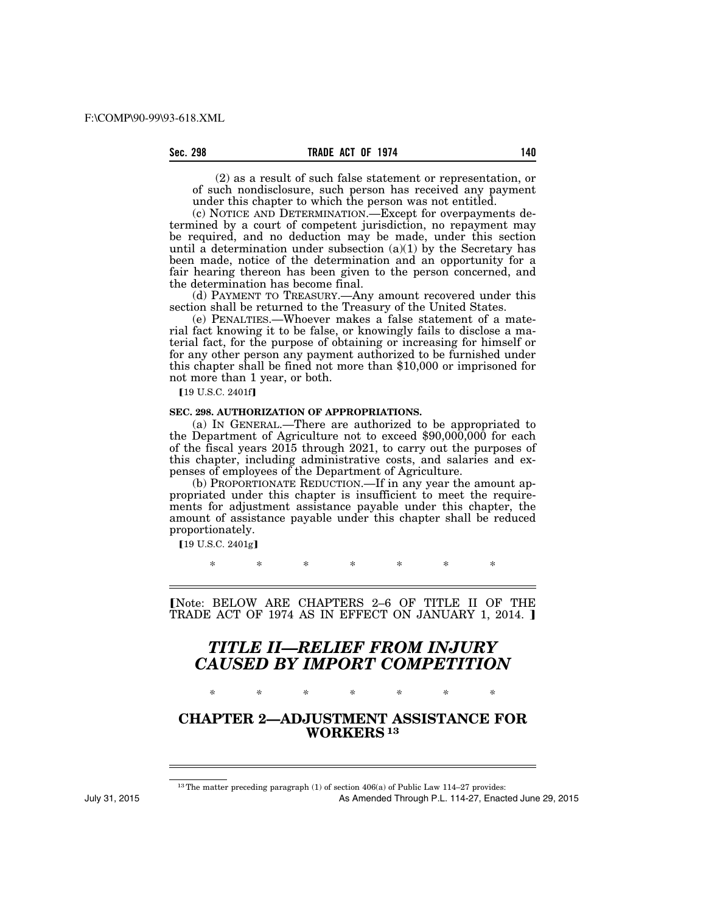(2) as a result of such false statement or representation, or of such nondisclosure, such person has received any payment under this chapter to which the person was not entitled.

(c) NOTICE AND DETERMINATION.—Except for overpayments determined by a court of competent jurisdiction, no repayment may be required, and no deduction may be made, under this section until a determination under subsection  $(a)(1)$  by the Secretary has been made, notice of the determination and an opportunity for a fair hearing thereon has been given to the person concerned, and the determination has become final.

(d) PAYMENT TO TREASURY.—Any amount recovered under this section shall be returned to the Treasury of the United States.

(e) PENALTIES.—Whoever makes a false statement of a material fact knowing it to be false, or knowingly fails to disclose a material fact, for the purpose of obtaining or increasing for himself or for any other person any payment authorized to be furnished under this chapter shall be fined not more than \$10,000 or imprisoned for not more than 1 year, or both.

 $[19 \text{ U.S.C. } 2401 \text{f}]$ 

# **SEC. 298. AUTHORIZATION OF APPROPRIATIONS.**

(a) IN GENERAL.—There are authorized to be appropriated to the Department of Agriculture not to exceed \$90,000,000 for each of the fiscal years 2015 through 2021, to carry out the purposes of this chapter, including administrative costs, and salaries and expenses of employees of the Department of Agriculture.

(b) PROPORTIONATE REDUCTION.—If in any year the amount appropriated under this chapter is insufficient to meet the requirements for adjustment assistance payable under this chapter, the amount of assistance payable under this chapter shall be reduced proportionately.

[19 U.S.C. 2401g]

\* \* \* \* \* \* \*

[Note: BELOW ARE CHAPTERS 2-6 OF TITLE II OF THE TRADE ACT OF 1974 AS IN EFFECT ON JANUARY 1, 2014. 1

# *TITLE II—RELIEF FROM INJURY CAUSED BY IMPORT COMPETITION*

*\* \* \* \* \* \* \** 

# **CHAPTER 2—ADJUSTMENT ASSISTANCE FOR WORKERS13**

13The matter preceding paragraph (1) of section 406(a) of Public Law 114–27 provides: As Amended Through P.L. 114-27, Enacted June 29, 2015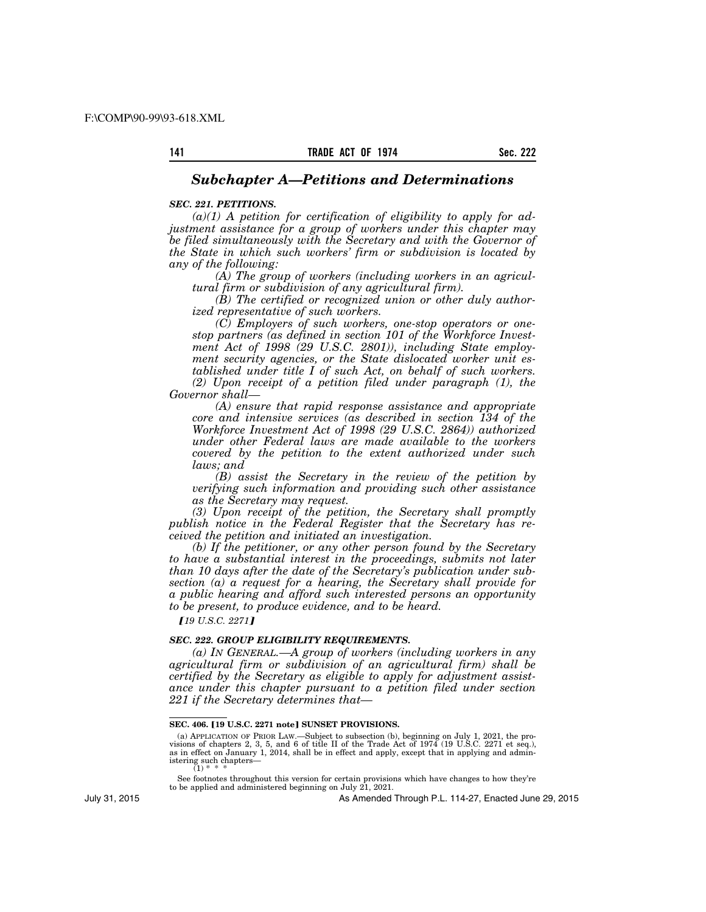# *Subchapter A—Petitions and Determinations*

# *SEC. 221. PETITIONS.*

*(a)(1) A petition for certification of eligibility to apply for adjustment assistance for a group of workers under this chapter may be filed simultaneously with the Secretary and with the Governor of the State in which such workers' firm or subdivision is located by any of the following:* 

*(A) The group of workers (including workers in an agricultural firm or subdivision of any agricultural firm).* 

*(B) The certified or recognized union or other duly authorized representative of such workers.* 

*(C) Employers of such workers, one-stop operators or onestop partners (as defined in section 101 of the Workforce Investment Act of 1998 (29 U.S.C. 2801)), including State employment security agencies, or the State dislocated worker unit established under title I of such Act, on behalf of such workers. (2) Upon receipt of a petition filed under paragraph (1), the* 

*Governor shall—* 

*(A) ensure that rapid response assistance and appropriate core and intensive services (as described in section 134 of the Workforce Investment Act of 1998 (29 U.S.C. 2864)) authorized under other Federal laws are made available to the workers covered by the petition to the extent authorized under such laws; and* 

*(B) assist the Secretary in the review of the petition by verifying such information and providing such other assistance as the Secretary may request.* 

*(3) Upon receipt of the petition, the Secretary shall promptly publish notice in the Federal Register that the Secretary has received the petition and initiated an investigation.* 

*(b) If the petitioner, or any other person found by the Secretary to have a substantial interest in the proceedings, submits not later than 10 days after the date of the Secretary's publication under subsection (a) a request for a hearing, the Secretary shall provide for a public hearing and afford such interested persons an opportunity to be present, to produce evidence, and to be heard.* 

ƒ*19 U.S.C. 2271*≈

#### *SEC. 222. GROUP ELIGIBILITY REQUIREMENTS.*

*(a) IN GENERAL.—A group of workers (including workers in any agricultural firm or subdivision of an agricultural firm) shall be certified by the Secretary as eligible to apply for adjustment assistance under this chapter pursuant to a petition filed under section 221 if the Secretary determines that—* 

July 31, 2015

**SEC. 406. [19 U.S.C. 2271 note] SUNSET PROVISIONS.** 

<sup>(</sup>a) APPLICATION OF PRIOR LAW.—Subject to subsection (b), beginning on July 1, 2021, the pro-visions of chapters 2, 3, 5, and 6 of title II of the Trade Act of 1974 (19 U.S.C. 2271 et seq.), as in effect on January 1, 2014, shall be in effect and apply, except that in applying and administering such chapters— (1) \* \* \*

See footnotes throughout this version for certain provisions which have changes to how they're to be applied and administered beginning on July  $21$ , 2021.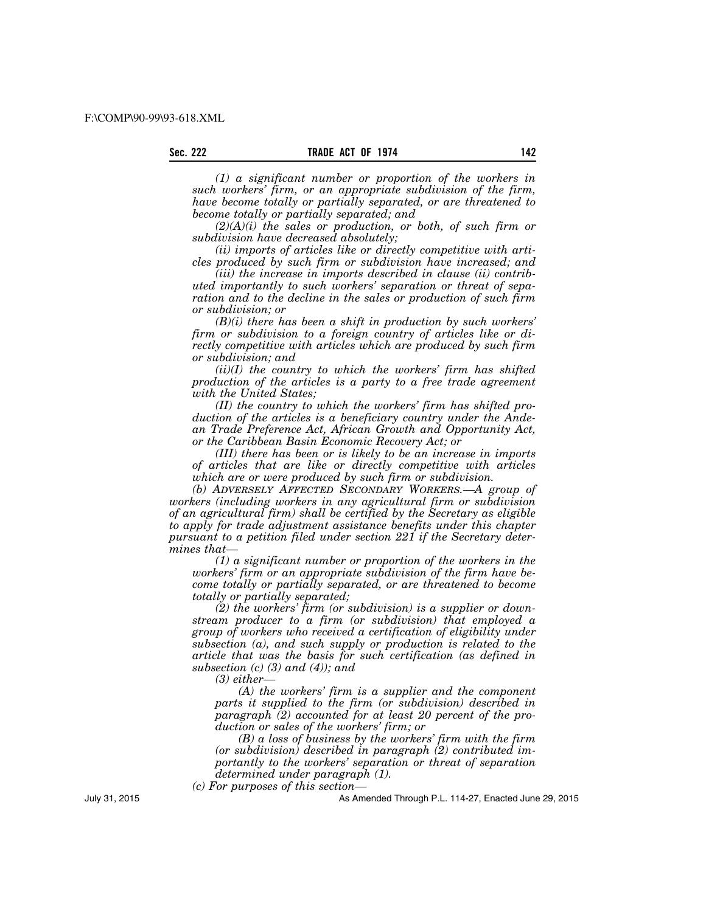*(1) a significant number or proportion of the workers in such workers' firm, or an appropriate subdivision of the firm, have become totally or partially separated, or are threatened to become totally or partially separated; and* 

*(2)(A)(i) the sales or production, or both, of such firm or subdivision have decreased absolutely;* 

*(ii) imports of articles like or directly competitive with articles produced by such firm or subdivision have increased; and* 

*(iii) the increase in imports described in clause (ii) contributed importantly to such workers' separation or threat of separation and to the decline in the sales or production of such firm or subdivision; or* 

*(B)(i) there has been a shift in production by such workers' firm or subdivision to a foreign country of articles like or directly competitive with articles which are produced by such firm or subdivision; and* 

*(ii)(I) the country to which the workers' firm has shifted production of the articles is a party to a free trade agreement with the United States;* 

*(II) the country to which the workers' firm has shifted production of the articles is a beneficiary country under the Andean Trade Preference Act, African Growth and Opportunity Act, or the Caribbean Basin Economic Recovery Act; or* 

*(III) there has been or is likely to be an increase in imports of articles that are like or directly competitive with articles which are or were produced by such firm or subdivision.* 

*(b) ADVERSELY AFFECTED SECONDARY WORKERS.—A group of workers (including workers in any agricultural firm or subdivision of an agricultural firm) shall be certified by the Secretary as eligible to apply for trade adjustment assistance benefits under this chapter pursuant to a petition filed under section 221 if the Secretary determines that—* 

*(1) a significant number or proportion of the workers in the workers' firm or an appropriate subdivision of the firm have become totally or partially separated, or are threatened to become totally or partially separated;* 

*(2) the workers' firm (or subdivision) is a supplier or downstream producer to a firm (or subdivision) that employed a group of workers who received a certification of eligibility under subsection (a), and such supply or production is related to the article that was the basis for such certification (as defined in subsection (c) (3) and (4)); and* 

*(3) either—* 

*(A) the workers' firm is a supplier and the component parts it supplied to the firm (or subdivision) described in paragraph (2) accounted for at least 20 percent of the production or sales of the workers' firm; or* 

*(B) a loss of business by the workers' firm with the firm (or subdivision) described in paragraph (2) contributed importantly to the workers' separation or threat of separation determined under paragraph (1).* 

*(c) For purposes of this section—* 

As Amended Through P.L. 114-27, Enacted June 29, 2015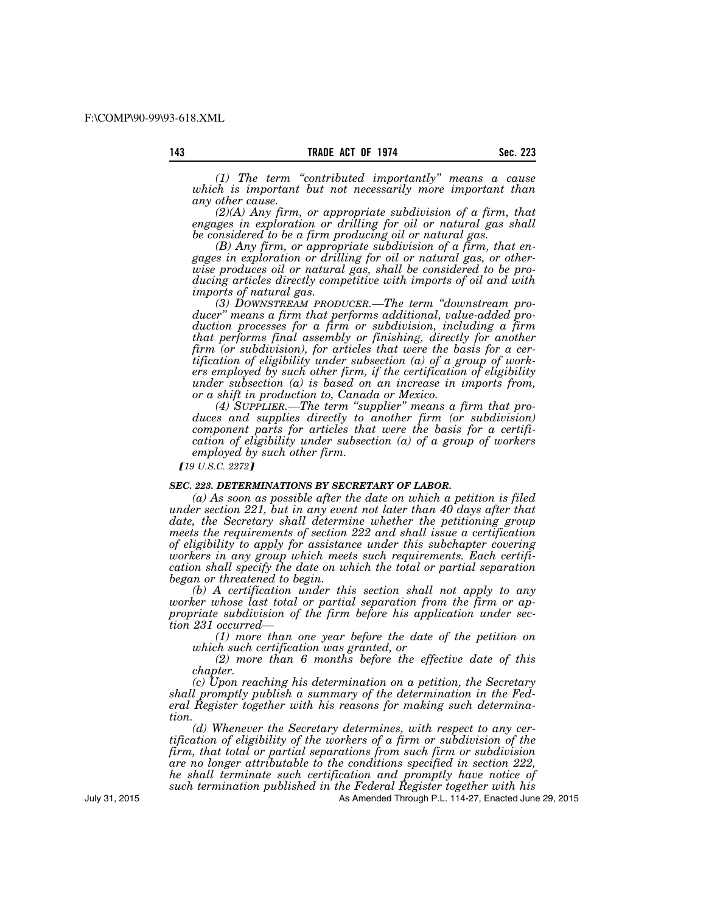*(1) The term ''contributed importantly'' means a cause which is important but not necessarily more important than any other cause.* 

*(2)(A) Any firm, or appropriate subdivision of a firm, that engages in exploration or drilling for oil or natural gas shall be considered to be a firm producing oil or natural gas.* 

*(B) Any firm, or appropriate subdivision of a firm, that engages in exploration or drilling for oil or natural gas, or otherwise produces oil or natural gas, shall be considered to be producing articles directly competitive with imports of oil and with imports of natural gas.* 

*(3) DOWNSTREAM PRODUCER.—The term ''downstream producer'' means a firm that performs additional, value-added production processes for a firm or subdivision, including a firm that performs final assembly or finishing, directly for another firm (or subdivision), for articles that were the basis for a certification of eligibility under subsection (a) of a group of workers employed by such other firm, if the certification of eligibility under subsection (a) is based on an increase in imports from, or a shift in production to, Canada or Mexico.* 

*(4) SUPPLIER.—The term ''supplier'' means a firm that produces and supplies directly to another firm (or subdivision) component parts for articles that were the basis for a certification of eligibility under subsection (a) of a group of workers employed by such other firm.* 

ƒ*19 U.S.C. 2272*≈

#### *SEC. 223. DETERMINATIONS BY SECRETARY OF LABOR.*

*(a) As soon as possible after the date on which a petition is filed under section 221, but in any event not later than 40 days after that*  date, the Secretary shall determine whether the petitioning group *meets the requirements of section 222 and shall issue a certification of eligibility to apply for assistance under this subchapter covering workers in any group which meets such requirements. Each certification shall specify the date on which the total or partial separation began or threatened to begin.* 

*(b) A certification under this section shall not apply to any worker whose last total or partial separation from the firm or appropriate subdivision of the firm before his application under section 231 occurred—* 

*(1) more than one year before the date of the petition on which such certification was granted, or* 

*(2) more than 6 months before the effective date of this chapter.* 

*(c) Upon reaching his determination on a petition, the Secretary shall promptly publish a summary of the determination in the Federal Register together with his reasons for making such determination.* 

*(d) Whenever the Secretary determines, with respect to any certification of eligibility of the workers of a firm or subdivision of the firm, that total or partial separations from such firm or subdivision are no longer attributable to the conditions specified in section 222, he shall terminate such certification and promptly have notice of such termination published in the Federal Register together with his*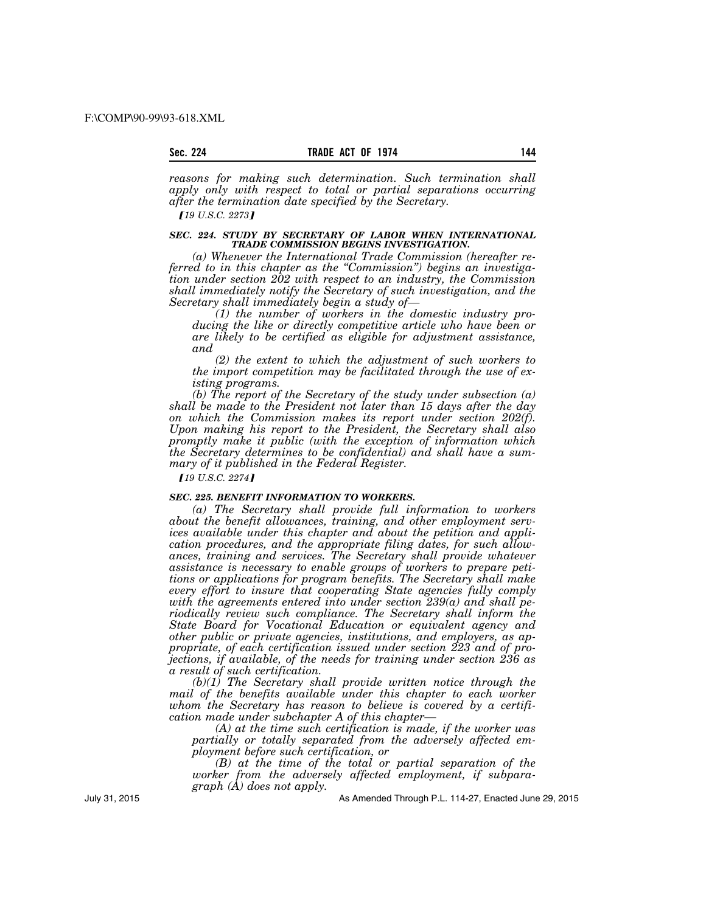*reasons for making such determination. Such termination shall apply only with respect to total or partial separations occurring after the termination date specified by the Secretary.* 

ƒ*19 U.S.C. 2273*≈

# *SEC. 224. STUDY BY SECRETARY OF LABOR WHEN INTERNATIONAL TRADE COMMISSION BEGINS INVESTIGATION.*

*(a) Whenever the International Trade Commission (hereafter referred to in this chapter as the ''Commission'') begins an investigation under section 202 with respect to an industry, the Commission shall immediately notify the Secretary of such investigation, and the Secretary shall immediately begin a study of—* 

*(1) the number of workers in the domestic industry producing the like or directly competitive article who have been or are likely to be certified as eligible for adjustment assistance, and* 

*(2) the extent to which the adjustment of such workers to the import competition may be facilitated through the use of existing programs.* 

*(b) The report of the Secretary of the study under subsection (a) shall be made to the President not later than 15 days after the day on which the Commission makes its report under section 202(f). Upon making his report to the President, the Secretary shall also promptly make it public (with the exception of information which the Secretary determines to be confidential) and shall have a summary of it published in the Federal Register.* 

ƒ*19 U.S.C. 2274*≈

#### *SEC. 225. BENEFIT INFORMATION TO WORKERS.*

*(a) The Secretary shall provide full information to workers about the benefit allowances, training, and other employment services available under this chapter and about the petition and application procedures, and the appropriate filing dates, for such allow*ances, training and services. The Secretary shall provide whatever *assistance is necessary to enable groups of workers to prepare petitions or applications for program benefits. The Secretary shall make every effort to insure that cooperating State agencies fully comply with the agreements entered into under section 239(a) and shall periodically review such compliance. The Secretary shall inform the State Board for Vocational Education or equivalent agency and other public or private agencies, institutions, and employers, as appropriate, of each certification issued under section 223 and of projections, if available, of the needs for training under section 236 as a result of such certification.* 

*(b)(1) The Secretary shall provide written notice through the*  mail of the benefits available under this chapter to each worker *whom the Secretary has reason to believe is covered by a certification made under subchapter A of this chapter—* 

*(A) at the time such certification is made, if the worker was partially or totally separated from the adversely affected employment before such certification, or* 

*(B) at the time of the total or partial separation of the worker from the adversely affected employment, if subparagraph (A) does not apply.* 

As Amended Through P.L. 114-27, Enacted June 29, 2015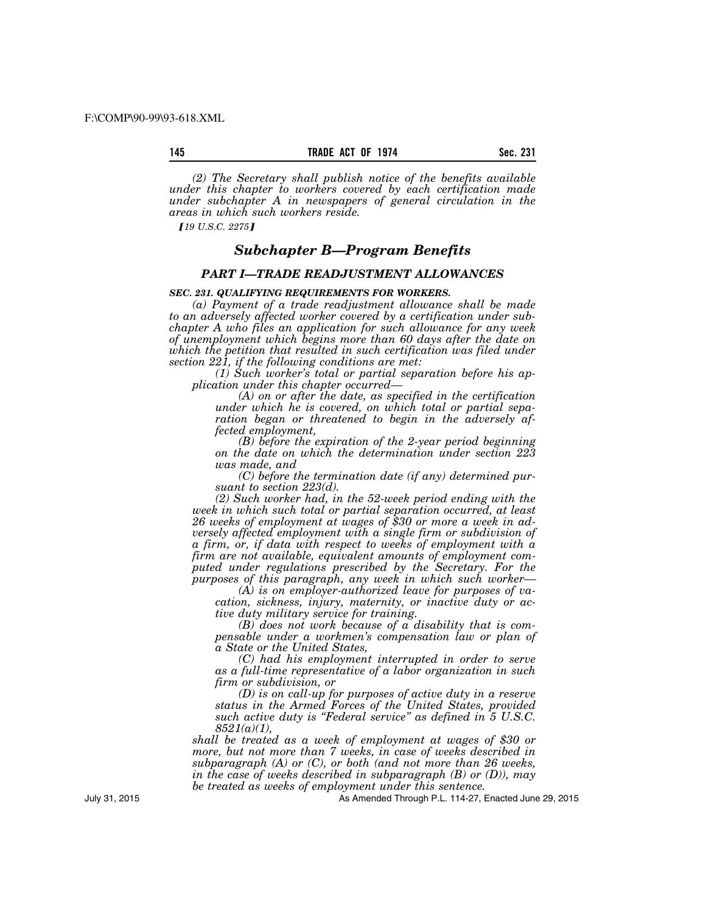## **145 Sec. 231 TRADE ACT OF 1974**

*(2) The Secretary shall publish notice of the benefits available under this chapter to workers covered by each certification made under subchapter A in newspapers of general circulation in the areas in which such workers reside.* 

ƒ*19 U.S.C. 2275*≈

# *Subchapter B—Program Benefits*

## *PART I—TRADE READJUSTMENT ALLOWANCES*

## *SEC. 231. QUALIFYING REQUIREMENTS FOR WORKERS.*

*(a) Payment of a trade readjustment allowance shall be made to an adversely affected worker covered by a certification under subchapter A who files an application for such allowance for any week of unemployment which begins more than 60 days after the date on*  which the petition that resulted in such certification was filed under *section 221, if the following conditions are met:* 

*(1) Such worker's total or partial separation before his application under this chapter occurred—* 

*(A) on or after the date, as specified in the certification under which he is covered, on which total or partial separation began or threatened to begin in the adversely affected employment,* 

*(B) before the expiration of the 2-year period beginning on the date on which the determination under section 223 was made, and* 

*(C) before the termination date (if any) determined pursuant to section 223(d).* 

*(2) Such worker had, in the 52-week period ending with the week in which such total or partial separation occurred, at least 26 weeks of employment at wages of \$30 or more a week in adversely affected employment with a single firm or subdivision of a firm, or, if data with respect to weeks of employment with a firm are not available, equivalent amounts of employment computed under regulations prescribed by the Secretary. For the purposes of this paragraph, any week in which such worker—* 

*(A) is on employer-authorized leave for purposes of vacation, sickness, injury, maternity, or inactive duty or active duty military service for training.* 

*(B) does not work because of a disability that is compensable under a workmen's compensation law or plan of a State or the United States,* 

*(C) had his employment interrupted in order to serve as a full-time representative of a labor organization in such firm or subdivision, or* 

*(D) is on call-up for purposes of active duty in a reserve status in the Armed Forces of the United States, provided such active duty is ''Federal service'' as defined in 5 U.S.C. 8521(a)(1),* 

*shall be treated as a week of employment at wages of \$30 or more, but not more than 7 weeks, in case of weeks described in subparagraph (A) or (C), or both (and not more than 26 weeks, in the case of weeks described in subparagraph (B) or (D)), may be treated as weeks of employment under this sentence.* 

As Amended Through P.L. 114-27, Enacted June 29, 2015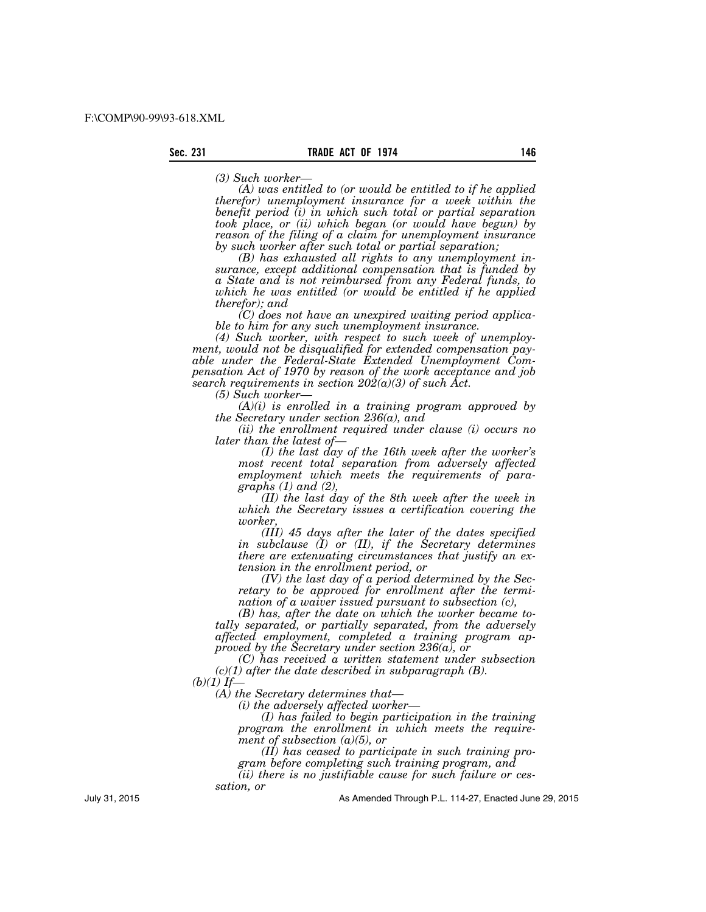*(3) Such worker—* 

*(A) was entitled to (or would be entitled to if he applied therefor) unemployment insurance for a week within the benefit period (i) in which such total or partial separation took place, or (ii) which began (or would have begun) by reason of the filing of a claim for unemployment insurance by such worker after such total or partial separation;* 

*(B) has exhausted all rights to any unemployment insurance, except additional compensation that is funded by a State and is not reimbursed from any Federal funds, to which he was entitled (or would be entitled if he applied therefor); and* 

*(C) does not have an unexpired waiting period applicable to him for any such unemployment insurance.* 

*(4) Such worker, with respect to such week of unemployment, would not be disqualified for extended compensation payable under the Federal-State Extended Unemployment Compensation Act of 1970 by reason of the work acceptance and job search requirements in section*  $20\dot{2}(a)(3)$  *of such Act.* 

*(5) Such worker—* 

*(A)(i) is enrolled in a training program approved by the Secretary under section 236(a), and* 

*(ii) the enrollment required under clause (i) occurs no later than the latest of—* 

*(I) the last day of the 16th week after the worker's most recent total separation from adversely affected employment which meets the requirements of paragraphs (1) and (2),* 

*(II) the last day of the 8th week after the week in which the Secretary issues a certification covering the worker,* 

*(III) 45 days after the later of the dates specified in subclause (I) or (II), if the Secretary determines there are extenuating circumstances that justify an extension in the enrollment period, or* 

*(IV) the last day of a period determined by the Secretary to be approved for enrollment after the termination of a waiver issued pursuant to subsection (c),* 

*(B) has, after the date on which the worker became totally separated, or partially separated, from the adversely affected employment, completed a training program approved by the Secretary under section 236(a), or* 

*(C) has received a written statement under subsection (c)(1) after the date described in subparagraph (B).* 

 $(b)(1)$  If—

*(A) the Secretary determines that—* 

*(i) the adversely affected worker—* 

*(I) has failed to begin participation in the training program the enrollment in which meets the requirement of subsection (a)(5), or* 

*(II) has ceased to participate in such training program before completing such training program, and* 

*(ii) there is no justifiable cause for such failure or ces-*

*sation, or* 

As Amended Through P.L. 114-27, Enacted June 29, 2015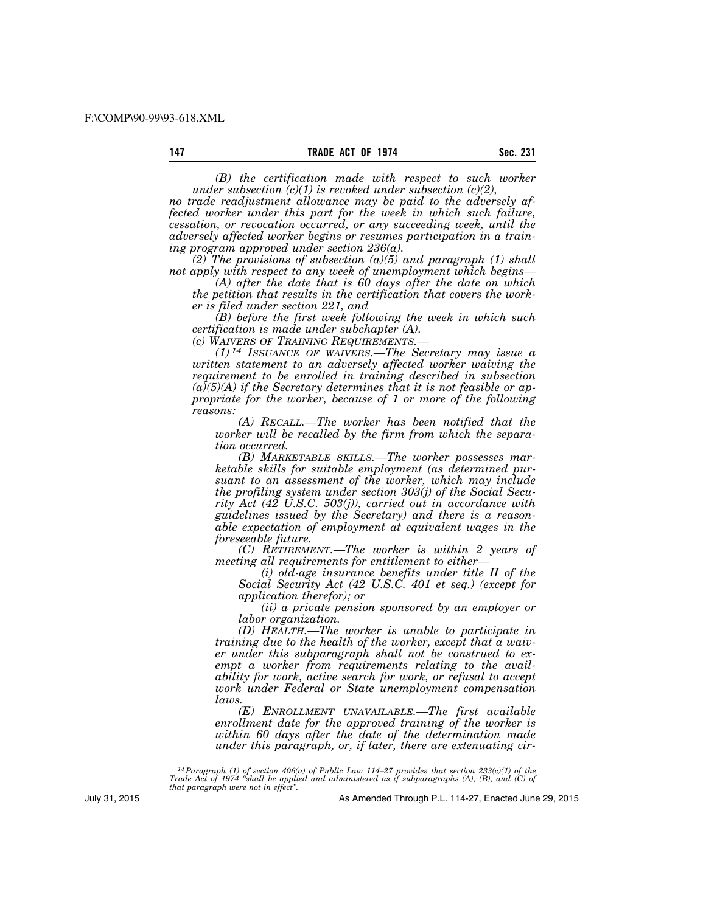*(B) the certification made with respect to such worker under subsection (c)(1) is revoked under subsection (c)(2),* 

*no trade readjustment allowance may be paid to the adversely affected worker under this part for the week in which such failure, cessation, or revocation occurred, or any succeeding week, until the adversely affected worker begins or resumes participation in a training program approved under section 236(a).* 

*(2) The provisions of subsection (a)(5) and paragraph (1) shall not apply with respect to any week of unemployment which begins—* 

*(A) after the date that is 60 days after the date on which the petition that results in the certification that covers the worker is filed under section 221, and* 

*(B) before the first week following the week in which such certification is made under subchapter (A).* 

*(c) WAIVERS OF TRAINING REQUIREMENTS.—* 

*(1) 14 ISSUANCE OF WAIVERS.—The Secretary may issue a written statement to an adversely affected worker waiving the requirement to be enrolled in training described in subsection (a)(5)(A) if the Secretary determines that it is not feasible or appropriate for the worker, because of 1 or more of the following reasons:* 

*(A) RECALL.—The worker has been notified that the worker will be recalled by the firm from which the separation occurred.* 

*(B) MARKETABLE SKILLS.—The worker possesses marketable skills for suitable employment (as determined pursuant to an assessment of the worker, which may include the profiling system under section 303(j) of the Social Security Act (42 U.S.C. 503(j)), carried out in accordance with guidelines issued by the Secretary) and there is a reasonable expectation of employment at equivalent wages in the foreseeable future.* 

*(C) RETIREMENT.—The worker is within 2 years of meeting all requirements for entitlement to either—* 

*(i) old-age insurance benefits under title II of the Social Security Act (42 U.S.C. 401 et seq.) (except for application therefor); or* 

*(ii) a private pension sponsored by an employer or labor organization.* 

*(D) HEALTH.—The worker is unable to participate in training due to the health of the worker, except that a waiver under this subparagraph shall not be construed to exempt a worker from requirements relating to the availability for work, active search for work, or refusal to accept work under Federal or State unemployment compensation laws.* 

*(E) ENROLLMENT UNAVAILABLE.—The first available enrollment date for the approved training of the worker is within 60 days after the date of the determination made under this paragraph, or, if later, there are extenuating cir-*

July 31, 2015

*<sup>14</sup>Paragraph (1) of section 406(a) of Public Law 114–27 provides that section 233(c)(1) of the Trade Act of 1974 ''shall be applied and administered as if subparagraphs (A), (B), and (C) of that paragraph were not in effect''.*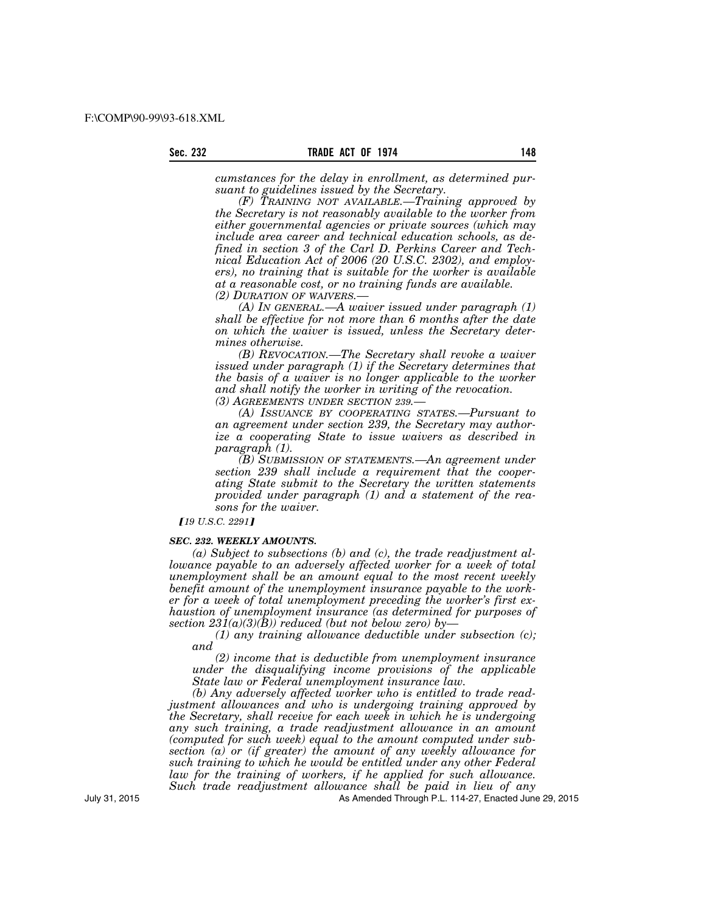*cumstances for the delay in enrollment, as determined pursuant to guidelines issued by the Secretary.* 

*(F) TRAINING NOT AVAILABLE.—Training approved by the Secretary is not reasonably available to the worker from either governmental agencies or private sources (which may include area career and technical education schools, as defined in section 3 of the Carl D. Perkins Career and Technical Education Act of 2006 (20 U.S.C. 2302), and employers), no training that is suitable for the worker is available at a reasonable cost, or no training funds are available. (2) DURATION OF WAIVERS.—* 

*(A) IN GENERAL.—A waiver issued under paragraph (1) shall be effective for not more than 6 months after the date on which the waiver is issued, unless the Secretary determines otherwise.* 

*(B) REVOCATION.—The Secretary shall revoke a waiver issued under paragraph (1) if the Secretary determines that the basis of a waiver is no longer applicable to the worker and shall notify the worker in writing of the revocation. (3) AGREEMENTS UNDER SECTION 239.—* 

*(A) ISSUANCE BY COOPERATING STATES.—Pursuant to an agreement under section 239, the Secretary may authorize a cooperating State to issue waivers as described in paragraph (1).* 

*(B) SUBMISSION OF STATEMENTS.—An agreement under section 239 shall include a requirement that the cooperating State submit to the Secretary the written statements provided under paragraph (1) and a statement of the reasons for the waiver.* 

## ƒ*19 U.S.C. 2291*≈

### *SEC. 232. WEEKLY AMOUNTS.*

*(a) Subject to subsections (b) and (c), the trade readjustment allowance payable to an adversely affected worker for a week of total unemployment shall be an amount equal to the most recent weekly benefit amount of the unemployment insurance payable to the worker for a week of total unemployment preceding the worker's first exhaustion of unemployment insurance (as determined for purposes of section 231(a)(3)(B)) reduced (but not below zero) by—* 

*(1) any training allowance deductible under subsection (c); and* 

*(2) income that is deductible from unemployment insurance under the disqualifying income provisions of the applicable State law or Federal unemployment insurance law.* 

*(b) Any adversely affected worker who is entitled to trade readjustment allowances and who is undergoing training approved by the Secretary, shall receive for each week in which he is undergoing any such training, a trade readjustment allowance in an amount (computed for such week) equal to the amount computed under subsection (a) or (if greater) the amount of any weekly allowance for such training to which he would be entitled under any other Federal law for the training of workers, if he applied for such allowance. Such trade readjustment allowance shall be paid in lieu of any*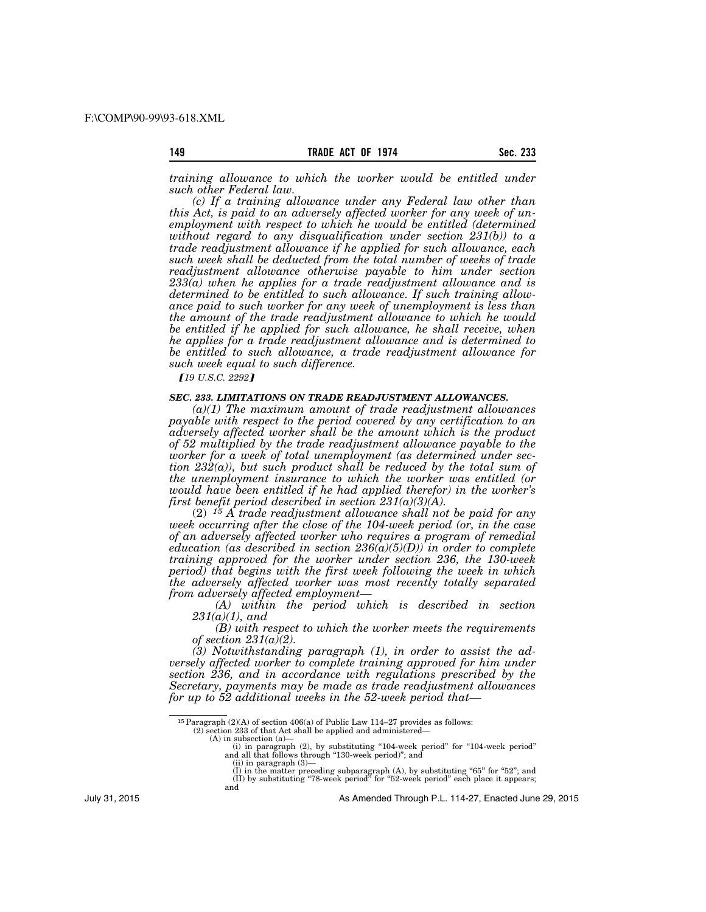*training allowance to which the worker would be entitled under such other Federal law.* 

*(c) If a training allowance under any Federal law other than this Act, is paid to an adversely affected worker for any week of unemployment with respect to which he would be entitled (determined without regard to any disqualification under section 231(b)) to a trade readjustment allowance if he applied for such allowance, each such week shall be deducted from the total number of weeks of trade readjustment allowance otherwise payable to him under section 233(a) when he applies for a trade readjustment allowance and is determined to be entitled to such allowance. If such training allowance paid to such worker for any week of unemployment is less than the amount of the trade readjustment allowance to which he would be entitled if he applied for such allowance, he shall receive, when he applies for a trade readjustment allowance and is determined to be entitled to such allowance, a trade readjustment allowance for such week equal to such difference.* 

ƒ*19 U.S.C. 2292*≈

#### *SEC. 233. LIMITATIONS ON TRADE READJUSTMENT ALLOWANCES.*

*(a)(1) The maximum amount of trade readjustment allowances payable with respect to the period covered by any certification to an adversely affected worker shall be the amount which is the product of 52 multiplied by the trade readjustment allowance payable to the worker for a week of total unemployment (as determined under section 232(a)), but such product shall be reduced by the total sum of the unemployment insurance to which the worker was entitled (or would have been entitled if he had applied therefor) in the worker's first benefit period described in section 231(a)(3)(A).* 

(2) *15 A trade readjustment allowance shall not be paid for any week occurring after the close of the 104-week period (or, in the case of an adversely affected worker who requires a program of remedial education (as described in section 236(a)(5)(D)) in order to complete training approved for the worker under section 236, the 130-week period) that begins with the first week following the week in which the adversely affected worker was most recently totally separated from adversely affected employment—* 

*(A) within the period which is described in section 231(a)(1), and* 

*(B) with respect to which the worker meets the requirements of section 231(a)(2).* 

*(3) Notwithstanding paragraph (1), in order to assist the adversely affected worker to complete training approved for him under section 236, and in accordance with regulations prescribed by the Secretary, payments may be made as trade readjustment allowances for up to 52 additional weeks in the 52-week period that—* 

July 31, 2015

 $^{15}$  Paragraph (2)(A) of section 406(a) of Public Law 114–27 provides as follows: (2) section 233 of that Act shall be applied and administered—

<sup>(</sup>A) in subsection (a)—

<sup>(</sup>i) in paragraph (2), by substituting "104-week period" for "104-week period" and all that follows through "130-week period)"; and

<sup>(</sup>ii) in paragraph (3)—

<sup>(</sup>I) in the matter preceding subparagraph (A), by substituting ''65'' for ''52''; and (II) by substituting ''78-week period'' for ''52-week period'' each place it appears;

and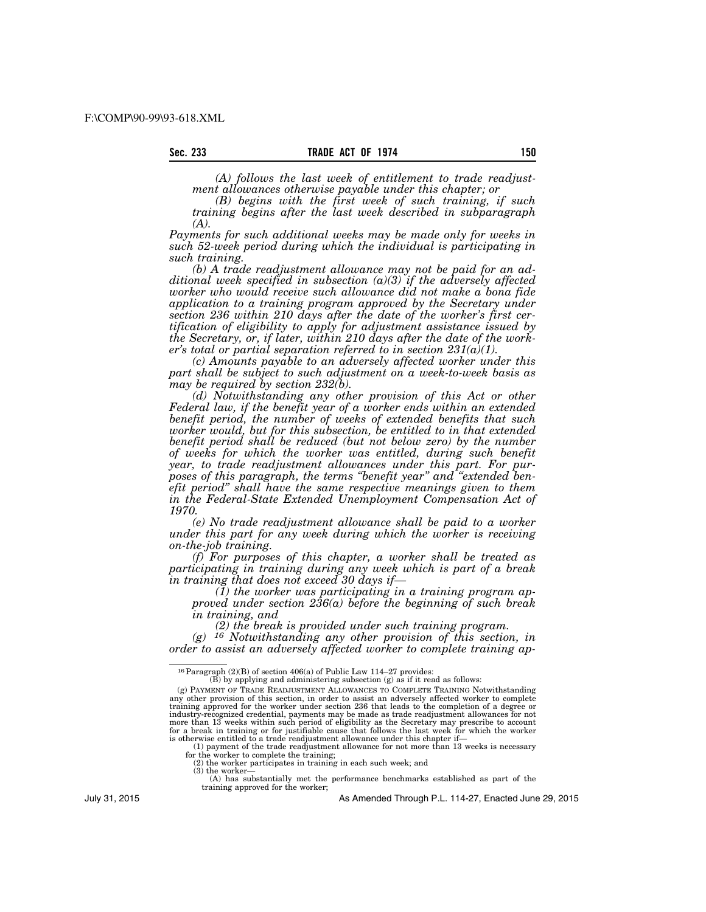*(A) follows the last week of entitlement to trade readjustment allowances otherwise payable under this chapter; or* 

*(B) begins with the first week of such training, if such training begins after the last week described in subparagraph (A).* 

*Payments for such additional weeks may be made only for weeks in such 52-week period during which the individual is participating in such training.* 

*(b) A trade readjustment allowance may not be paid for an additional week specified in subsection (a)(3) if the adversely affected worker who would receive such allowance did not make a bona fide application to a training program approved by the Secretary under section 236 within 210 days after the date of the worker's first certification of eligibility to apply for adjustment assistance issued by the Secretary, or, if later, within 210 days after the date of the work* $e\dot{r}$ 's total or partial separation referred to in section  $231(a)(1)$ .

*(c) Amounts payable to an adversely affected worker under this part shall be subject to such adjustment on a week-to-week basis as may be required by section 232(b).* 

*(d) Notwithstanding any other provision of this Act or other Federal law, if the benefit year of a worker ends within an extended benefit period, the number of weeks of extended benefits that such worker would, but for this subsection, be entitled to in that extended benefit period shall be reduced (but not below zero) by the number of weeks for which the worker was entitled, during such benefit year, to trade readjustment allowances under this part. For purposes of this paragraph, the terms ''benefit year'' and ''extended benefit period'' shall have the same respective meanings given to them in the Federal-State Extended Unemployment Compensation Act of 1970.* 

*(e) No trade readjustment allowance shall be paid to a worker under this part for any week during which the worker is receiving on-the-job training.* 

*(f) For purposes of this chapter, a worker shall be treated as participating in training during any week which is part of a break in training that does not exceed 30 days if—* 

*(1) the worker was participating in a training program approved under section 236(a) before the beginning of such break in training, and* 

*(2) the break is provided under such training program.* 

*(g) 16 Notwithstanding any other provision of this section, in order to assist an adversely affected worker to complete training ap-*

- (2) the worker participates in training in each such week; and
- (3) the worker—
	- (A) has substantially met the performance benchmarks established as part of the training approved for the worker;

As Amended Through P.L. 114-27, Enacted June 29, 2015

<sup>16</sup>Paragraph (2)(B) of section 406(a) of Public Law 114–27 provides:

 $(B)$  by applying and administering subsection  $(g)$  as if it read as follows:

<sup>(</sup>g) PAYMENT OF TRADE READJUSTMENT ALLOWANCES TO COMPLETE TRAINING Notwithstanding any other provision of this section, in order to assist an adversely affected worker to complete training approved for the worker under section 236 that leads to the completion of a degree or industry-recognized credentia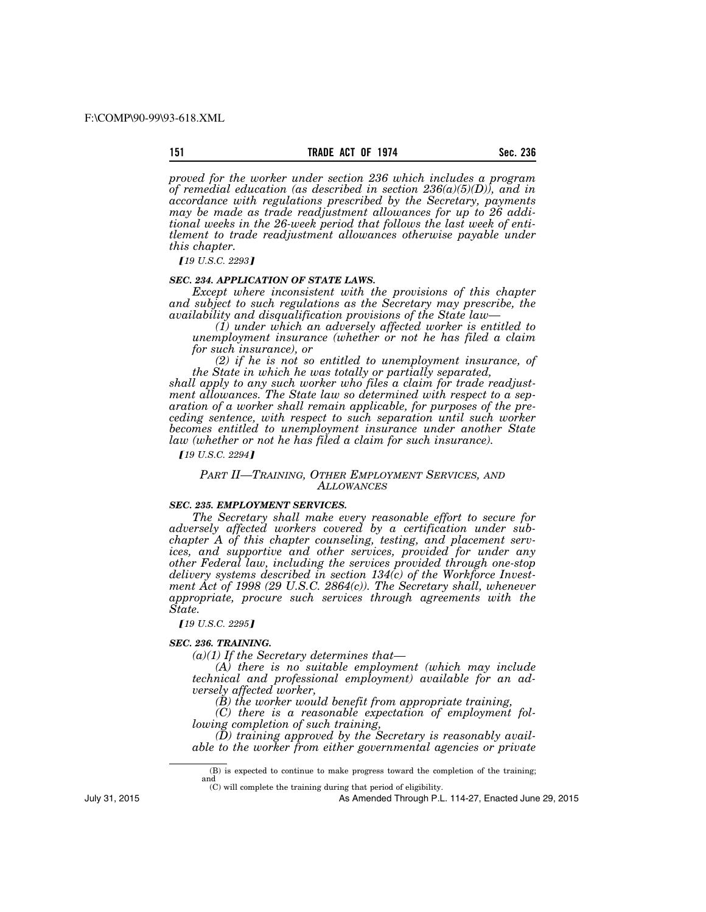## **151 Sec. 236 TRADE ACT OF 1974**

*proved for the worker under section 236 which includes a program of remedial education (as described in section 236(a)(5)(D)), and in accordance with regulations prescribed by the Secretary, payments may be made as trade readjustment allowances for up to 26 additional weeks in the 26-week period that follows the last week of entitlement to trade readjustment allowances otherwise payable under this chapter.* 

ƒ*19 U.S.C. 2293*≈

## *SEC. 234. APPLICATION OF STATE LAWS.*

*Except where inconsistent with the provisions of this chapter and subject to such regulations as the Secretary may prescribe, the availability and disqualification provisions of the State law—* 

*(1) under which an adversely affected worker is entitled to unemployment insurance (whether or not he has filed a claim for such insurance), or* 

*(2) if he is not so entitled to unemployment insurance, of the State in which he was totally or partially separated,* 

*shall apply to any such worker who files a claim for trade readjustment allowances. The State law so determined with respect to a separation of a worker shall remain applicable, for purposes of the preceding sentence, with respect to such separation until such worker becomes entitled to unemployment insurance under another State law (whether or not he has filed a claim for such insurance).* 

ƒ*19 U.S.C. 2294*≈

## *PART II—TRAINING, OTHER EMPLOYMENT SERVICES, AND ALLOWANCES*

## *SEC. 235. EMPLOYMENT SERVICES.*

*The Secretary shall make every reasonable effort to secure for adversely affected workers covered by a certification under subchapter A of this chapter counseling, testing, and placement services, and supportive and other services, provided for under any other Federal law, including the services provided through one-stop delivery systems described in section 134(c) of the Workforce Investment Act of 1998 (29 U.S.C. 2864(c)). The Secretary shall, whenever appropriate, procure such services through agreements with the State.* 

ƒ*19 U.S.C. 2295*≈

## *SEC. 236. TRAINING.*

*(a)(1) If the Secretary determines that—* 

*(A) there is no suitable employment (which may include technical and professional employment) available for an adversely affected worker,* 

*(B) the worker would benefit from appropriate training,* 

*(C) there is a reasonable expectation of employment following completion of such training,* 

*(D) training approved by the Secretary is reasonably available to the worker from either governmental agencies or private* 

(B) is expected to continue to make progress toward the completion of the training; and

(C) will complete the training during that period of eligibility.

As Amended Through P.L. 114-27, Enacted June 29, 2015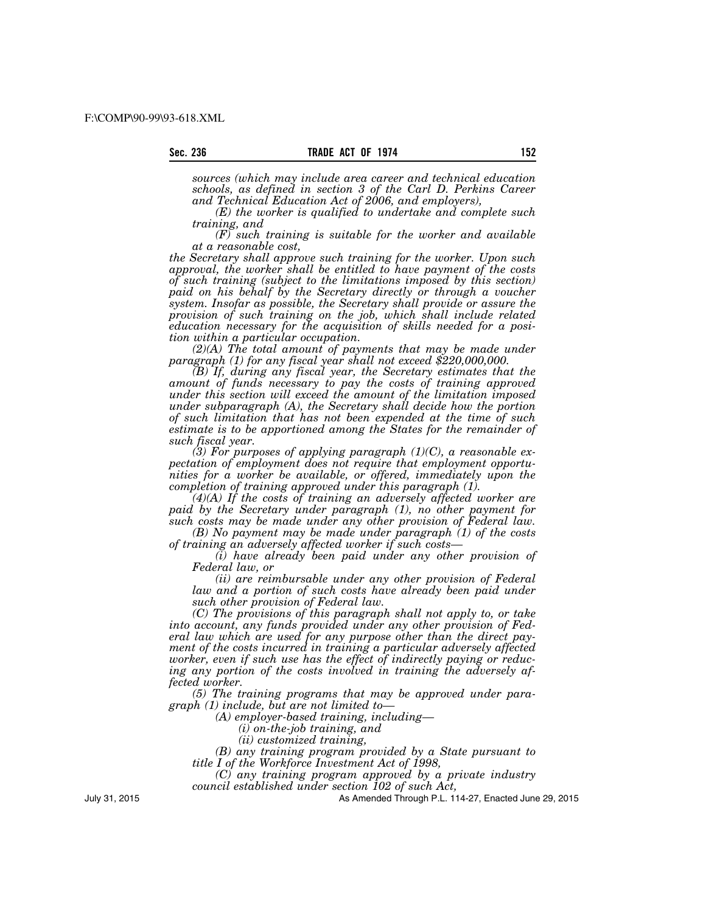*sources (which may include area career and technical education schools, as defined in section 3 of the Carl D. Perkins Career and Technical Education Act of 2006, and employers),* 

*(E) the worker is qualified to undertake and complete such training, and* 

*(F) such training is suitable for the worker and available at a reasonable cost,* 

*the Secretary shall approve such training for the worker. Upon such approval, the worker shall be entitled to have payment of the costs of such training (subject to the limitations imposed by this section) paid on his behalf by the Secretary directly or through a voucher system. Insofar as possible, the Secretary shall provide or assure the*  provision of such training on the job, which shall include related *education necessary for the acquisition of skills needed for a position within a particular occupation.* 

*paragraph (1) for any fiscal year shall not exceed \$220,000,000.* 

*(B) If, during any fiscal year, the Secretary estimates that the amount of funds necessary to pay the costs of training approved under this section will exceed the amount of the limitation imposed under subparagraph (A), the Secretary shall decide how the portion of such limitation that has not been expended at the time of such estimate is to be apportioned among the States for the remainder of such fiscal year.* 

*(3) For purposes of applying paragraph (1)(C), a reasonable expectation of employment does not require that employment opportunities for a worker be available, or offered, immediately upon the completion of training approved under this paragraph (1).* 

*(4)(A) If the costs of training an adversely affected worker are paid by the Secretary under paragraph (1), no other payment for such costs may be made under any other provision of Federal law.* 

*(B) No payment may be made under paragraph (1) of the costs of training an adversely affected worker if such costs—* 

*(i) have already been paid under any other provision of Federal law, or* 

*(ii) are reimbursable under any other provision of Federal*  law and a portion of such costs have already been paid under *such other provision of Federal law.* 

*(C) The provisions of this paragraph shall not apply to, or take into account, any funds provided under any other provision of Federal law which are used for any purpose other than the direct payment of the costs incurred in training a particular adversely affected worker, even if such use has the effect of indirectly paying or reducing any portion of the costs involved in training the adversely affected worker.* 

*(5) The training programs that may be approved under paragraph (1) include, but are not limited to—* 

*(A) employer-based training, including—* 

*(i) on-the-job training, and* 

*(ii) customized training,* 

*(B) any training program provided by a State pursuant to title I of the Workforce Investment Act of 1998,* 

*(C) any training program approved by a private industry council established under section 102 of such Act,* 

As Amended Through P.L. 114-27, Enacted June 29, 2015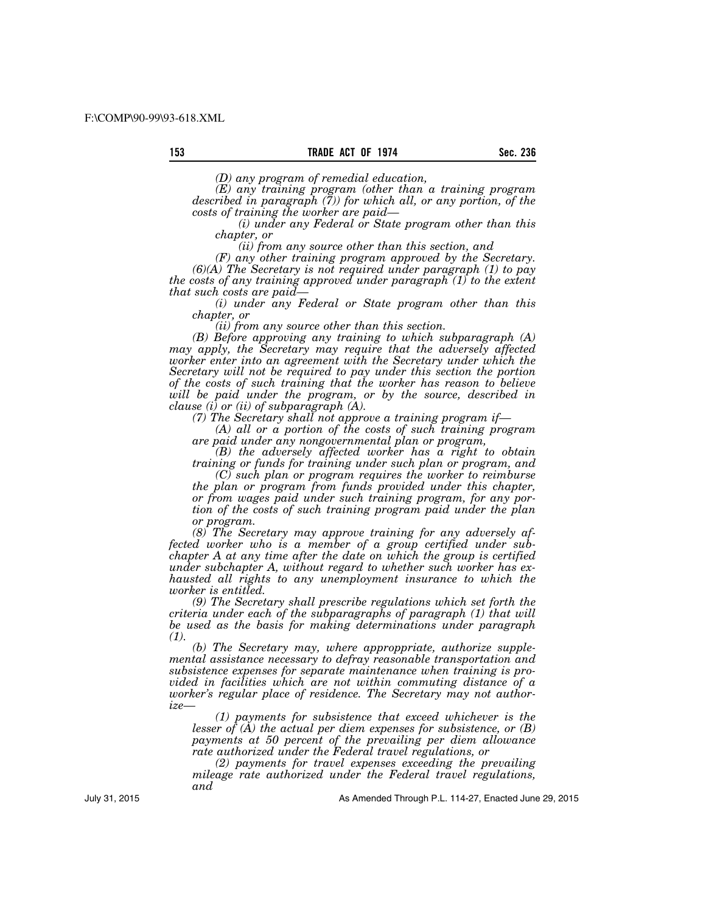*(D) any program of remedial education,* 

*(E) any training program (other than a training program described in paragraph (7)) for which all, or any portion, of the costs of training the worker are paid—* 

*(i) under any Federal or State program other than this chapter, or* 

*(ii) from any source other than this section, and* 

*(F) any other training program approved by the Secretary. (6)(A) The Secretary is not required under paragraph (1) to pay the costs of any training approved under paragraph (1) to the extent that such costs are paid—* 

*(i) under any Federal or State program other than this chapter, or* 

*(ii) from any source other than this section.* 

*(B) Before approving any training to which subparagraph (A) may apply, the Secretary may require that the adversely affected worker enter into an agreement with the Secretary under which the Secretary will not be required to pay under this section the portion of the costs of such training that the worker has reason to believe will be paid under the program, or by the source, described in clause (i) or (ii) of subparagraph (A).* 

*(7) The Secretary shall not approve a training program if—* 

*(A) all or a portion of the costs of such training program are paid under any nongovernmental plan or program,* 

*(B) the adversely affected worker has a right to obtain training or funds for training under such plan or program, and* 

*(C) such plan or program requires the worker to reimburse the plan or program from funds provided under this chapter, or from wages paid under such training program, for any portion of the costs of such training program paid under the plan or program.* 

*(8) The Secretary may approve training for any adversely affected worker who is a member of a group certified under subchapter A at any time after the date on which the group is certified under subchapter A, without regard to whether such worker has exhausted all rights to any unemployment insurance to which the worker is entitled.* 

*(9) The Secretary shall prescribe regulations which set forth the criteria under each of the subparagraphs of paragraph (1) that will be used as the basis for making determinations under paragraph (1).* 

*(b) The Secretary may, where approppriate, authorize supplemental assistance necessary to defray reasonable transportation and subsistence expenses for separate maintenance when training is provided in facilities which are not within commuting distance of a worker's regular place of residence. The Secretary may not authorize—* 

*(1) payments for subsistence that exceed whichever is the lesser of (A) the actual per diem expenses for subsistence, or (B) payments at 50 percent of the prevailing per diem allowance rate authorized under the Federal travel regulations, or* 

*(2) payments for travel expenses exceeding the prevailing mileage rate authorized under the Federal travel regulations, and* 

As Amended Through P.L. 114-27, Enacted June 29, 2015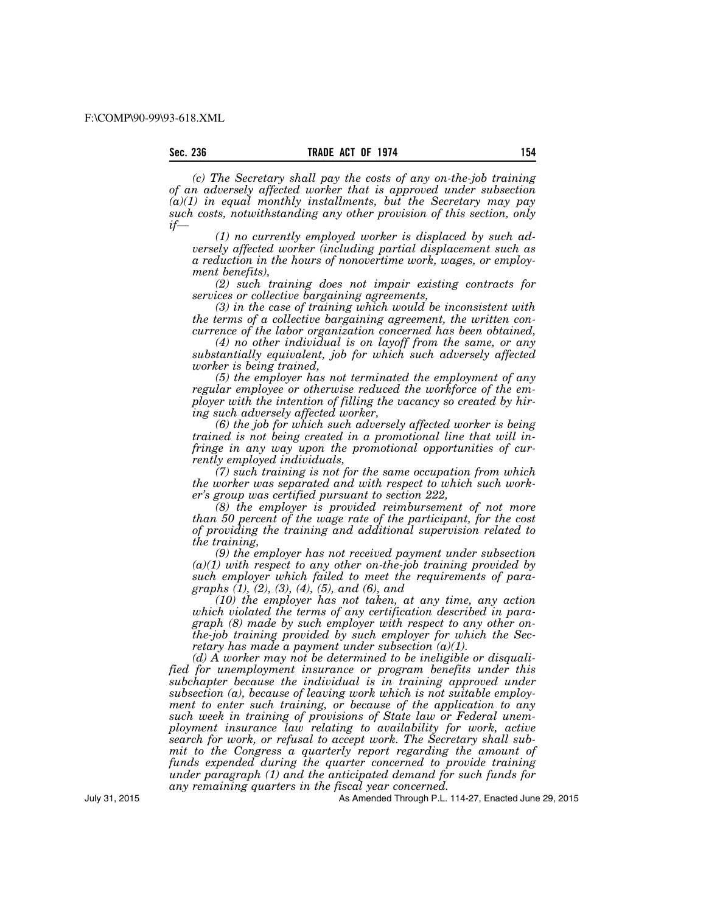*(c) The Secretary shall pay the costs of any on-the-job training of an adversely affected worker that is approved under subsection (a)(1) in equal monthly installments, but the Secretary may pay such costs, notwithstanding any other provision of this section, only if—* 

*(1) no currently employed worker is displaced by such adversely affected worker (including partial displacement such as a reduction in the hours of nonovertime work, wages, or employment benefits),* 

*(2) such training does not impair existing contracts for services or collective bargaining agreements,* 

*(3) in the case of training which would be inconsistent with the terms of a collective bargaining agreement, the written concurrence of the labor organization concerned has been obtained,* 

*(4) no other individual is on layoff from the same, or any substantially equivalent, job for which such adversely affected worker is being trained,* 

*(5) the employer has not terminated the employment of any regular employee or otherwise reduced the workforce of the employer with the intention of filling the vacancy so created by hiring such adversely affected worker,* 

*(6) the job for which such adversely affected worker is being trained is not being created in a promotional line that will infringe in any way upon the promotional opportunities of currently employed individuals,* 

*(7) such training is not for the same occupation from which the worker was separated and with respect to which such worker's group was certified pursuant to section 222,* 

*(8) the employer is provided reimbursement of not more than 50 percent of the wage rate of the participant, for the cost of providing the training and additional supervision related to the training,* 

*(9) the employer has not received payment under subsection (a)(1) with respect to any other on-the-job training provided by such employer which failed to meet the requirements of paragraphs (1), (2), (3), (4), (5), and (6), and* 

*(10) the employer has not taken, at any time, any action which violated the terms of any certification described in paragraph (8) made by such employer with respect to any other onthe-job training provided by such employer for which the Secretary has made a payment under subsection (a)(1).* 

*(d) A worker may not be determined to be ineligible or disqualified for unemployment insurance or program benefits under this subchapter because the individual is in training approved under subsection (a), because of leaving work which is not suitable employment to enter such training, or because of the application to any such week in training of provisions of State law or Federal unemployment insurance law relating to availability for work, active search for work, or refusal to accept work. The Secretary shall submit to the Congress a quarterly report regarding the amount of funds expended during the quarter concerned to provide training under paragraph (1) and the anticipated demand for such funds for any remaining quarters in the fiscal year concerned.* 

As Amended Through P.L. 114-27, Enacted June 29, 2015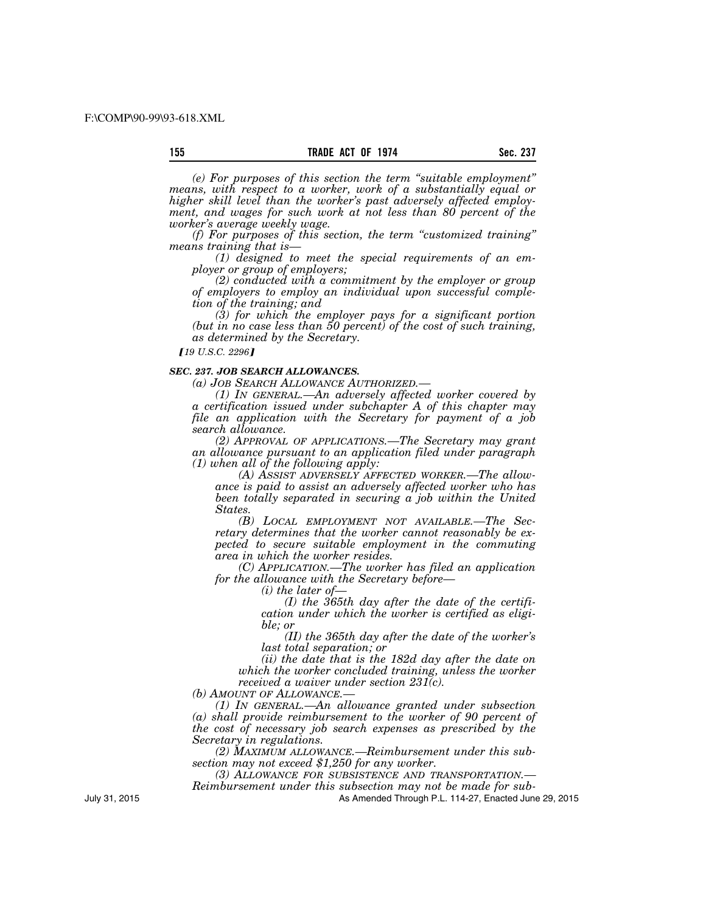*(e) For purposes of this section the term ''suitable employment'' means, with respect to a worker, work of a substantially equal or higher skill level than the worker's past adversely affected employment, and wages for such work at not less than 80 percent of the worker's average weekly wage.* 

*(f) For purposes of this section, the term ''customized training'' means training that is—* 

*(1) designed to meet the special requirements of an employer or group of employers;* 

*(2) conducted with a commitment by the employer or group of employers to employ an individual upon successful completion of the training; and* 

*(3) for which the employer pays for a significant portion (but in no case less than 50 percent) of the cost of such training, as determined by the Secretary.* 

ƒ*19 U.S.C. 2296*≈

### *SEC. 237. JOB SEARCH ALLOWANCES.*

*(a) JOB SEARCH ALLOWANCE AUTHORIZED.— (1) IN GENERAL.—An adversely affected worker covered by a certification issued under subchapter A of this chapter may file an application with the Secretary for payment of a job search allowance.* 

*(2) APPROVAL OF APPLICATIONS.—The Secretary may grant an allowance pursuant to an application filed under paragraph (1) when all of the following apply:* 

*(A) ASSIST ADVERSELY AFFECTED WORKER.—The allowance is paid to assist an adversely affected worker who has been totally separated in securing a job within the United States.* 

*(B) LOCAL EMPLOYMENT NOT AVAILABLE.—The Secretary determines that the worker cannot reasonably be expected to secure suitable employment in the commuting area in which the worker resides.* 

*(C) APPLICATION.—The worker has filed an application for the allowance with the Secretary before—* 

*(i) the later of—* 

*(I) the 365th day after the date of the certification under which the worker is certified as eligible; or* 

*(II) the 365th day after the date of the worker's last total separation; or* 

*(ii) the date that is the 182d day after the date on which the worker concluded training, unless the worker received a waiver under section 231(c).* 

*(b) AMOUNT OF ALLOWANCE.—* 

*(1) IN GENERAL.—An allowance granted under subsection (a) shall provide reimbursement to the worker of 90 percent of the cost of necessary job search expenses as prescribed by the Secretary in regulations.* 

*(2) MAXIMUM ALLOWANCE.—Reimbursement under this subsection may not exceed \$1,250 for any worker.* 

*(3) ALLOWANCE FOR SUBSISTENCE AND TRANSPORTATION.—* 

*Reimbursement under this subsection may not be made for sub-*As Amended Through P.L. 114-27, Enacted June 29, 2015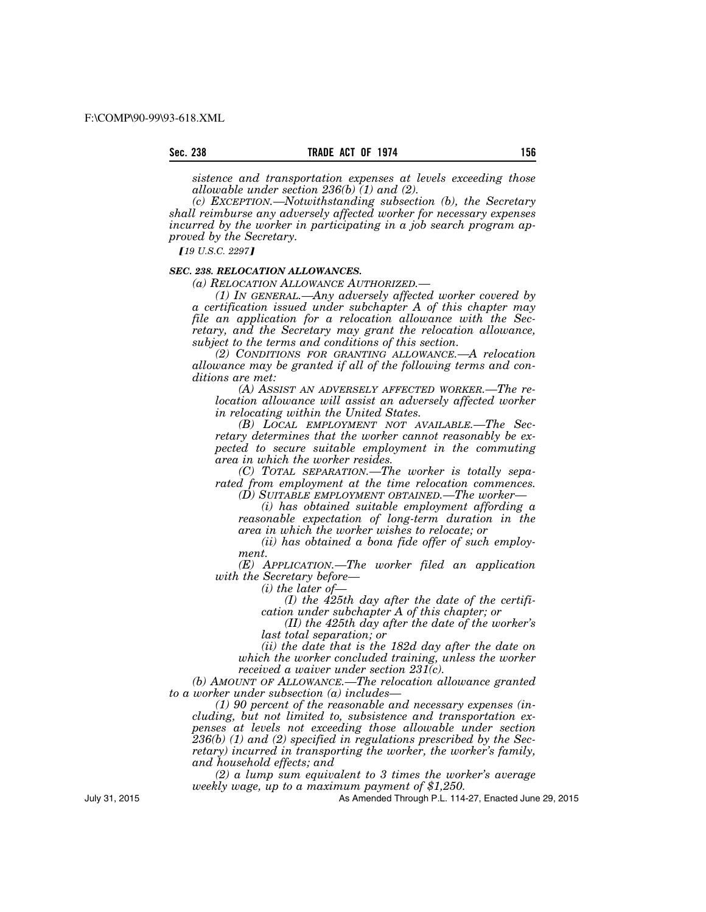*sistence and transportation expenses at levels exceeding those allowable under section 236(b) (1) and (2).* 

*(c) EXCEPTION.—Notwithstanding subsection (b), the Secretary shall reimburse any adversely affected worker for necessary expenses incurred by the worker in participating in a job search program approved by the Secretary.* 

ƒ*19 U.S.C. 2297*≈

## *SEC. 238. RELOCATION ALLOWANCES.*

*(a) RELOCATION ALLOWANCE AUTHORIZED.—* 

*(1) IN GENERAL.—Any adversely affected worker covered by a certification issued under subchapter A of this chapter may file an application for a relocation allowance with the Secretary, and the Secretary may grant the relocation allowance, subject to the terms and conditions of this section.* 

*(2) CONDITIONS FOR GRANTING ALLOWANCE.—A relocation allowance may be granted if all of the following terms and conditions are met:* 

*(A) ASSIST AN ADVERSELY AFFECTED WORKER.—The relocation allowance will assist an adversely affected worker in relocating within the United States.* 

*(B) LOCAL EMPLOYMENT NOT AVAILABLE.—The Secretary determines that the worker cannot reasonably be expected to secure suitable employment in the commuting area in which the worker resides.* 

*(C) TOTAL SEPARATION.—The worker is totally separated from employment at the time relocation commences.* 

*(D) SUITABLE EMPLOYMENT OBTAINED.—The worker—* 

*(i) has obtained suitable employment affording a reasonable expectation of long-term duration in the area in which the worker wishes to relocate; or* 

*(ii) has obtained a bona fide offer of such employment.* 

*(E) APPLICATION.—The worker filed an application with the Secretary before—* 

*(i) the later of—* 

*(I) the 425th day after the date of the certification under subchapter A of this chapter; or* 

*(II) the 425th day after the date of the worker's last total separation; or* 

*(ii) the date that is the 182d day after the date on which the worker concluded training, unless the worker received a waiver under section 231(c).* 

*(b) AMOUNT OF ALLOWANCE.—The relocation allowance granted to a worker under subsection (a) includes—* 

*(1) 90 percent of the reasonable and necessary expenses (including, but not limited to, subsistence and transportation expenses at levels not exceeding those allowable under section 236(b) (1) and (2) specified in regulations prescribed by the Secretary) incurred in transporting the worker, the worker's family, and household effects; and* 

*(2) a lump sum equivalent to 3 times the worker's average weekly wage, up to a maximum payment of \$1,250.* 

As Amended Through P.L. 114-27, Enacted June 29, 2015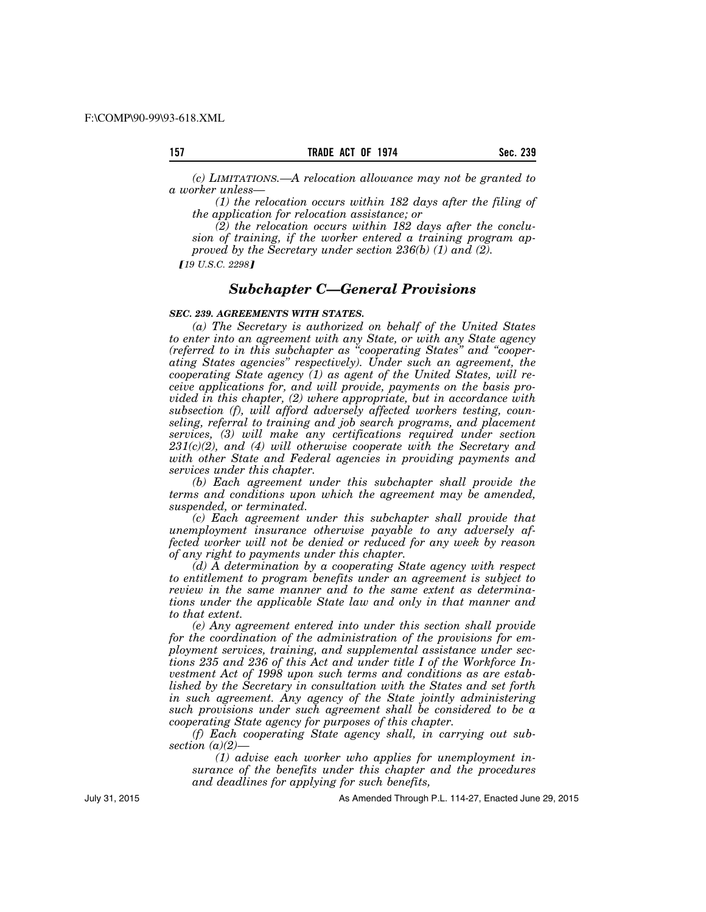*(c) LIMITATIONS.—A relocation allowance may not be granted to a worker unless—* 

*(1) the relocation occurs within 182 days after the filing of the application for relocation assistance; or* 

*(2) the relocation occurs within 182 days after the conclusion of training, if the worker entered a training program approved by the Secretary under section 236(b) (1) and (2).* 

ƒ*19 U.S.C. 2298*≈

## *Subchapter C—General Provisions*

## *SEC. 239. AGREEMENTS WITH STATES.*

*(a) The Secretary is authorized on behalf of the United States to enter into an agreement with any State, or with any State agency (referred to in this subchapter as ''cooperating States'' and ''cooperating States agencies'' respectively). Under such an agreement, the cooperating State agency (1) as agent of the United States, will receive applications for, and will provide, payments on the basis provided in this chapter, (2) where appropriate, but in accordance with subsection (f), will afford adversely affected workers testing, counseling, referral to training and job search programs, and placement services, (3) will make any certifications required under section 231(c)(2), and (4) will otherwise cooperate with the Secretary and with other State and Federal agencies in providing payments and services under this chapter.* 

*(b) Each agreement under this subchapter shall provide the terms and conditions upon which the agreement may be amended, suspended, or terminated.* 

*(c) Each agreement under this subchapter shall provide that unemployment insurance otherwise payable to any adversely affected worker will not be denied or reduced for any week by reason of any right to payments under this chapter.* 

*(d) A determination by a cooperating State agency with respect to entitlement to program benefits under an agreement is subject to review in the same manner and to the same extent as determinations under the applicable State law and only in that manner and to that extent.* 

*(e) Any agreement entered into under this section shall provide for the coordination of the administration of the provisions for employment services, training, and supplemental assistance under sections 235 and 236 of this Act and under title I of the Workforce Investment Act of 1998 upon such terms and conditions as are established by the Secretary in consultation with the States and set forth in such agreement. Any agency of the State jointly administering such provisions under such agreement shall be considered to be a cooperating State agency for purposes of this chapter.* 

*(f) Each cooperating State agency shall, in carrying out subsection (a)(2)—* 

*(1) advise each worker who applies for unemployment insurance of the benefits under this chapter and the procedures and deadlines for applying for such benefits,* 

As Amended Through P.L. 114-27, Enacted June 29, 2015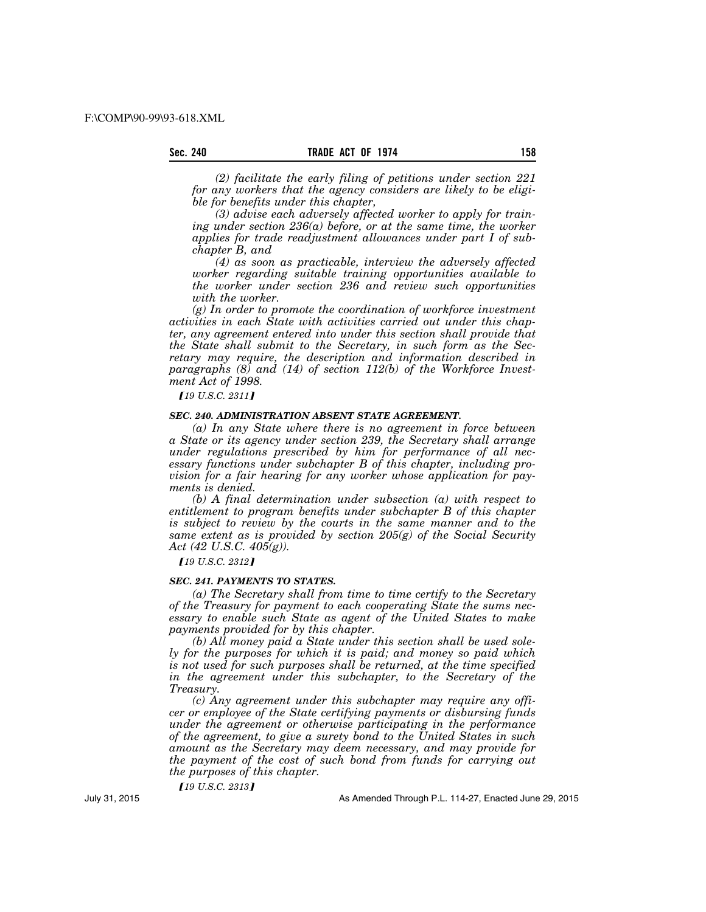*(2) facilitate the early filing of petitions under section 221 for any workers that the agency considers are likely to be eligible for benefits under this chapter,* 

*(3) advise each adversely affected worker to apply for training under section 236(a) before, or at the same time, the worker applies for trade readjustment allowances under part I of subchapter B, and* 

*(4) as soon as practicable, interview the adversely affected worker regarding suitable training opportunities available to the worker under section 236 and review such opportunities with the worker.* 

*(g) In order to promote the coordination of workforce investment activities in each State with activities carried out under this chapter, any agreement entered into under this section shall provide that the State shall submit to the Secretary, in such form as the Secretary may require, the description and information described in paragraphs (8) and (14) of section 112(b) of the Workforce Investment Act of 1998.* 

ƒ*19 U.S.C. 2311*≈

## *SEC. 240. ADMINISTRATION ABSENT STATE AGREEMENT.*

*(a) In any State where there is no agreement in force between a State or its agency under section 239, the Secretary shall arrange under regulations prescribed by him for performance of all necessary functions under subchapter B of this chapter, including provision for a fair hearing for any worker whose application for payments is denied.* 

*(b) A final determination under subsection (a) with respect to entitlement to program benefits under subchapter B of this chapter*  is subject to review by the courts in the same manner and to the *same extent as is provided by section 205(g) of the Social Security Act (42 U.S.C. 405(g)).* 

ƒ*19 U.S.C. 2312*≈

#### *SEC. 241. PAYMENTS TO STATES.*

*(a) The Secretary shall from time to time certify to the Secretary of the Treasury for payment to each cooperating State the sums necessary to enable such State as agent of the United States to make payments provided for by this chapter.* 

*(b) All money paid a State under this section shall be used solely for the purposes for which it is paid; and money so paid which is not used for such purposes shall be returned, at the time specified in the agreement under this subchapter, to the Secretary of the Treasury.* 

*(c) Any agreement under this subchapter may require any officer or employee of the State certifying payments or disbursing funds under the agreement or otherwise participating in the performance of the agreement, to give a surety bond to the United States in such amount as the Secretary may deem necessary, and may provide for the payment of the cost of such bond from funds for carrying out the purposes of this chapter.* 

ƒ*19 U.S.C. 2313*≈

As Amended Through P.L. 114-27, Enacted June 29, 2015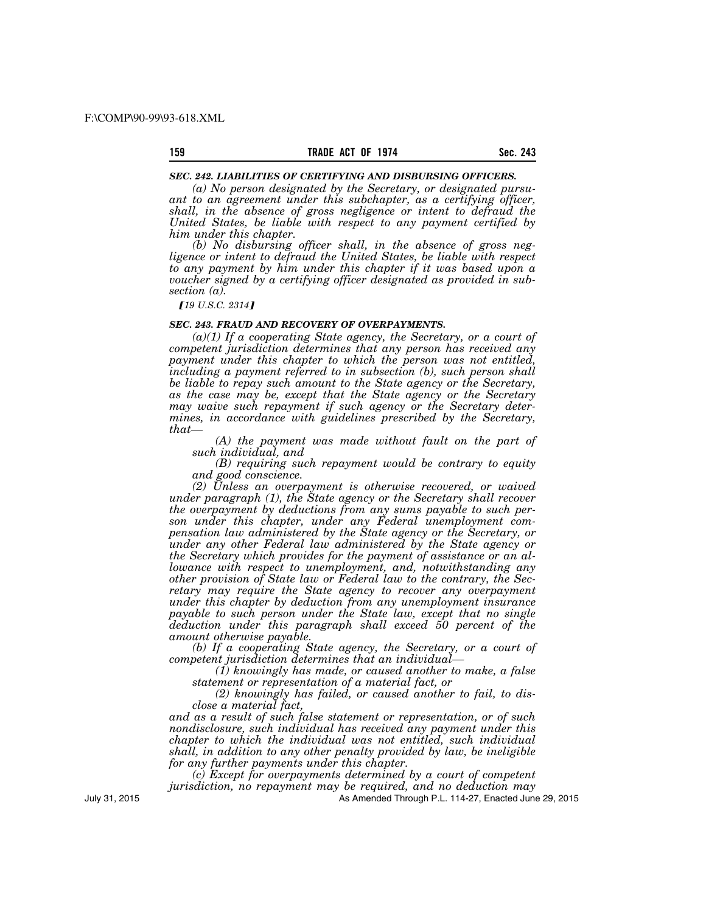## **159 Sec. 243 TRADE ACT OF 1974**

## *SEC. 242. LIABILITIES OF CERTIFYING AND DISBURSING OFFICERS.*

*(a) No person designated by the Secretary, or designated pursuant to an agreement under this subchapter, as a certifying officer, shall, in the absence of gross negligence or intent to defraud the United States, be liable with respect to any payment certified by him under this chapter.* 

*(b) No disbursing officer shall, in the absence of gross negligence or intent to defraud the United States, be liable with respect to any payment by him under this chapter if it was based upon a voucher signed by a certifying officer designated as provided in subsection (a).* 

ƒ*19 U.S.C. 2314*≈

#### *SEC. 243. FRAUD AND RECOVERY OF OVERPAYMENTS.*

 $(a)(1)$  If a cooperating State agency, the Secretary, or a court of *competent jurisdiction determines that any person has received any payment under this chapter to which the person was not entitled, including a payment referred to in subsection (b), such person shall be liable to repay such amount to the State agency or the Secretary, as the case may be, except that the State agency or the Secretary may waive such repayment if such agency or the Secretary determines, in accordance with guidelines prescribed by the Secretary, that—* 

*(A) the payment was made without fault on the part of such individual, and* 

*(B) requiring such repayment would be contrary to equity and good conscience.* 

*(2) Unless an overpayment is otherwise recovered, or waived under paragraph (1), the State agency or the Secretary shall recover the overpayment by deductions from any sums payable to such person under this chapter, under any Federal unemployment compensation law administered by the State agency or the Secretary, or under any other Federal law administered by the State agency or the Secretary which provides for the payment of assistance or an allowance with respect to unemployment, and, notwithstanding any other provision of State law or Federal law to the contrary, the Secretary may require the State agency to recover any overpayment under this chapter by deduction from any unemployment insurance payable to such person under the State law, except that no single deduction under this paragraph shall exceed 50 percent of the amount otherwise payable.* 

*(b) If a cooperating State agency, the Secretary, or a court of competent jurisdiction determines that an individual—* 

*(1) knowingly has made, or caused another to make, a false statement or representation of a material fact, or* 

*(2) knowingly has failed, or caused another to fail, to disclose a material fact,* 

*and as a result of such false statement or representation, or of such nondisclosure, such individual has received any payment under this chapter to which the individual was not entitled, such individual shall, in addition to any other penalty provided by law, be ineligible for any further payments under this chapter.* 

*(c) Except for overpayments determined by a court of competent jurisdiction, no repayment may be required, and no deduction may* 

As Amended Through P.L. 114-27, Enacted June 29, 2015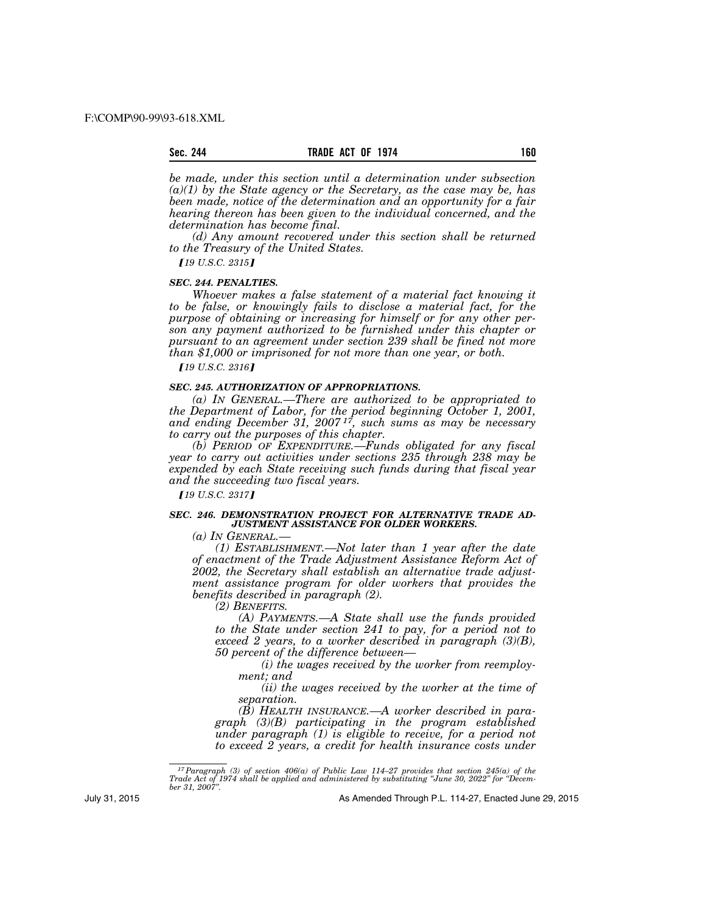*be made, under this section until a determination under subsection (a)(1) by the State agency or the Secretary, as the case may be, has been made, notice of the determination and an opportunity for a fair hearing thereon has been given to the individual concerned, and the determination has become final.* 

*(d) Any amount recovered under this section shall be returned to the Treasury of the United States.* 

ƒ*19 U.S.C. 2315*≈

### *SEC. 244. PENALTIES.*

*Whoever makes a false statement of a material fact knowing it to be false, or knowingly fails to disclose a material fact, for the purpose of obtaining or increasing for himself or for any other person any payment authorized to be furnished under this chapter or pursuant to an agreement under section 239 shall be fined not more than \$1,000 or imprisoned for not more than one year, or both.* 

ƒ*19 U.S.C. 2316*≈

## *SEC. 245. AUTHORIZATION OF APPROPRIATIONS.*

*(a) IN GENERAL.—There are authorized to be appropriated to the Department of Labor, for the period beginning October 1, 2001, and ending December 31, 2007 17, such sums as may be necessary to carry out the purposes of this chapter.* 

*(b) PERIOD OF EXPENDITURE.—Funds obligated for any fiscal year to carry out activities under sections 235 through 238 may be expended by each State receiving such funds during that fiscal year and the succeeding two fiscal years.* 

ƒ*19 U.S.C. 2317*≈

## *SEC. 246. DEMONSTRATION PROJECT FOR ALTERNATIVE TRADE AD-JUSTMENT ASSISTANCE FOR OLDER WORKERS.*

*(a) IN GENERAL.—* 

*(1) ESTABLISHMENT.—Not later than 1 year after the date of enactment of the Trade Adjustment Assistance Reform Act of 2002, the Secretary shall establish an alternative trade adjustment assistance program for older workers that provides the benefits described in paragraph (2).* 

*(2) BENEFITS.* 

*(A) PAYMENTS.—A State shall use the funds provided to the State under section 241 to pay, for a period not to exceed 2 years, to a worker described in paragraph (3)(B), 50 percent of the difference between—* 

*(i) the wages received by the worker from reemployment; and* 

*(ii) the wages received by the worker at the time of separation.* 

*(B) HEALTH INSURANCE.—A worker described in paragraph (3)(B) participating in the program established under paragraph (1) is eligible to receive, for a period not to exceed 2 years, a credit for health insurance costs under* 

 $^{17}$  Paragraph (3) of section  $406(a)$  of Public Law 114–27 provides that section  $245(a)$  of the Trade Act of 1974 shall be applied and administered by substituting "June 30, 2022" for "December 31, 2007".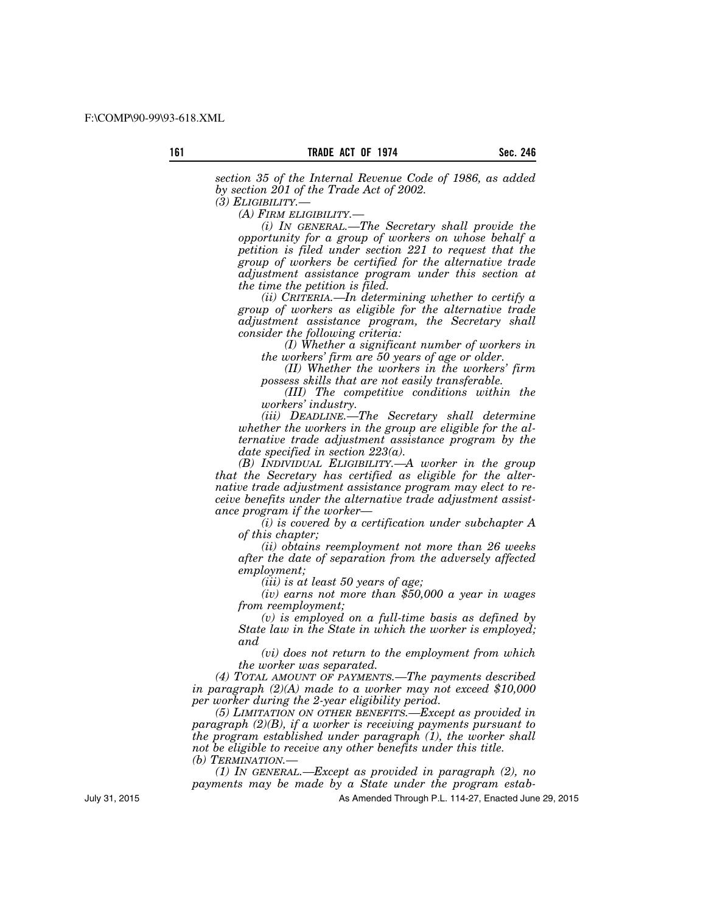*section 35 of the Internal Revenue Code of 1986, as added by section 201 of the Trade Act of 2002.* 

*(3) ELIGIBILITY.—* 

*(A) FIRM ELIGIBILITY.—* 

*(i) IN GENERAL.—The Secretary shall provide the opportunity for a group of workers on whose behalf a petition is filed under section 221 to request that the group of workers be certified for the alternative trade adjustment assistance program under this section at the time the petition is filed.* 

*(ii) CRITERIA.—In determining whether to certify a group of workers as eligible for the alternative trade adjustment assistance program, the Secretary shall consider the following criteria:* 

*(I) Whether a significant number of workers in the workers' firm are 50 years of age or older.* 

*(II) Whether the workers in the workers' firm possess skills that are not easily transferable.* 

*(III) The competitive conditions within the workers' industry.* 

*(iii) DEADLINE.—The Secretary shall determine whether the workers in the group are eligible for the alternative trade adjustment assistance program by the date specified in section 223(a).* 

*(B) INDIVIDUAL ELIGIBILITY.—A worker in the group that the Secretary has certified as eligible for the alternative trade adjustment assistance program may elect to receive benefits under the alternative trade adjustment assistance program if the worker—* 

*(i) is covered by a certification under subchapter A of this chapter;* 

*(ii) obtains reemployment not more than 26 weeks after the date of separation from the adversely affected employment;* 

*(iii) is at least 50 years of age;* 

*(iv) earns not more than \$50,000 a year in wages from reemployment;* 

*(v) is employed on a full-time basis as defined by State law in the State in which the worker is employed; and* 

*(vi) does not return to the employment from which the worker was separated.* 

*(4) TOTAL AMOUNT OF PAYMENTS.—The payments described in paragraph (2)(A) made to a worker may not exceed \$10,000 per worker during the 2-year eligibility period.* 

*(5) LIMITATION ON OTHER BENEFITS.—Except as provided in paragraph (2)(B), if a worker is receiving payments pursuant to the program established under paragraph (1), the worker shall not be eligible to receive any other benefits under this title. (b) TERMINATION.—* 

*(1) IN GENERAL.—Except as provided in paragraph (2), no payments may be made by a State under the program estab-*

As Amended Through P.L. 114-27, Enacted June 29, 2015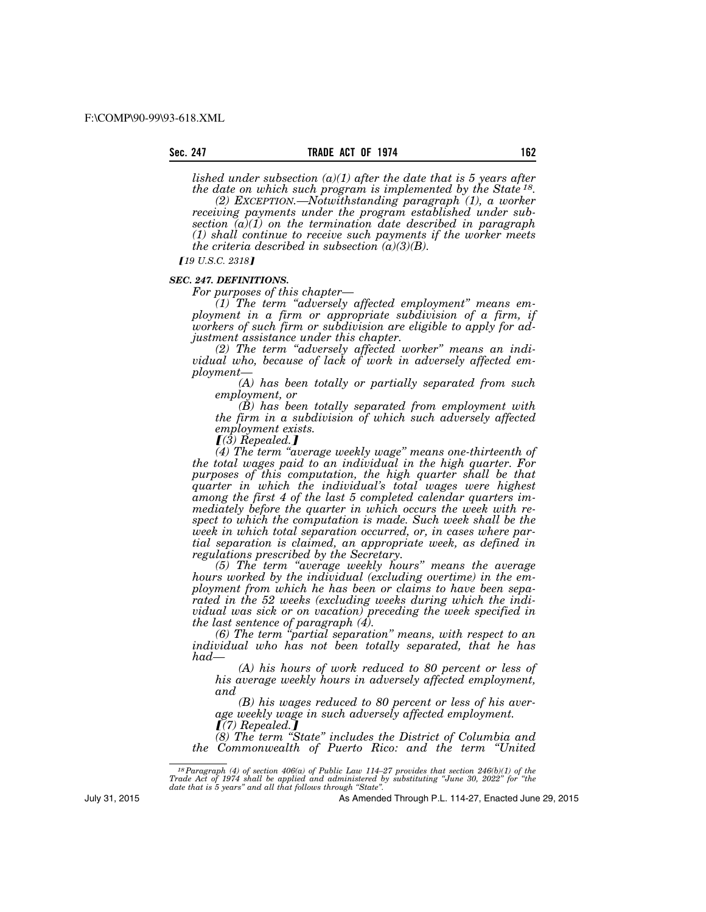*lished under subsection (a)(1) after the date that is 5 years after* 

*the date on which such program is implemented by the State 18. (2) EXCEPTION.—Notwithstanding paragraph (1), a worker receiving payments under the program established under subsection (a)(1) on the termination date described in paragraph (1) shall continue to receive such payments if the worker meets the criteria described in subsection*  $(a)(3)(B)$ *.* 

ƒ*19 U.S.C. 2318*≈

#### *SEC. 247. DEFINITIONS.*

*For purposes of this chapter—* 

*(1) The term ''adversely affected employment'' means employment in a firm or appropriate subdivision of a firm, if workers of such firm or subdivision are eligible to apply for adjustment assistance under this chapter.* 

*(2) The term ''adversely affected worker'' means an individual who, because of lack of work in adversely affected employment—* 

*(A) has been totally or partially separated from such employment, or* 

*(B) has been totally separated from employment with the firm in a subdivision of which such adversely affected employment exists.* 

 $\mathbf{I}(3)$  Repealed. $\mathbf{I}$ 

*(4) The term ''average weekly wage'' means one-thirteenth of the total wages paid to an individual in the high quarter. For purposes of this computation, the high quarter shall be that quarter in which the individual's total wages were highest among the first 4 of the last 5 completed calendar quarters immediately before the quarter in which occurs the week with respect to which the computation is made. Such week shall be the week in which total separation occurred, or, in cases where partial separation is claimed, an appropriate week, as defined in regulations prescribed by the Secretary.* 

*(5) The term ''average weekly hours'' means the average hours worked by the individual (excluding overtime) in the employment from which he has been or claims to have been separated in the 52 weeks (excluding weeks during which the individual was sick or on vacation) preceding the week specified in the last sentence of paragraph (4).* 

*(6) The term ''partial separation'' means, with respect to an individual who has not been totally separated, that he has had—* 

*(A) his hours of work reduced to 80 percent or less of his average weekly hours in adversely affected employment, and* 

*(B) his wages reduced to 80 percent or less of his average weekly wage in such adversely affected employment.* 

 $\mathbf{I}$ (7) Repealed.

*(8) The term ''State'' includes the District of Columbia and the Commonwealth of Puerto Rico: and the term ''United* 

July 31, 2015

<sup>&</sup>lt;sup>18</sup> Paragraph (4) of section  $406(a)$  of Public Law 114–27 provides that section  $246(b)(1)$  of the Trade Act of 1974 shall be applied and administered by substituting "June 30, 2022" for "the date that is 5 years" and all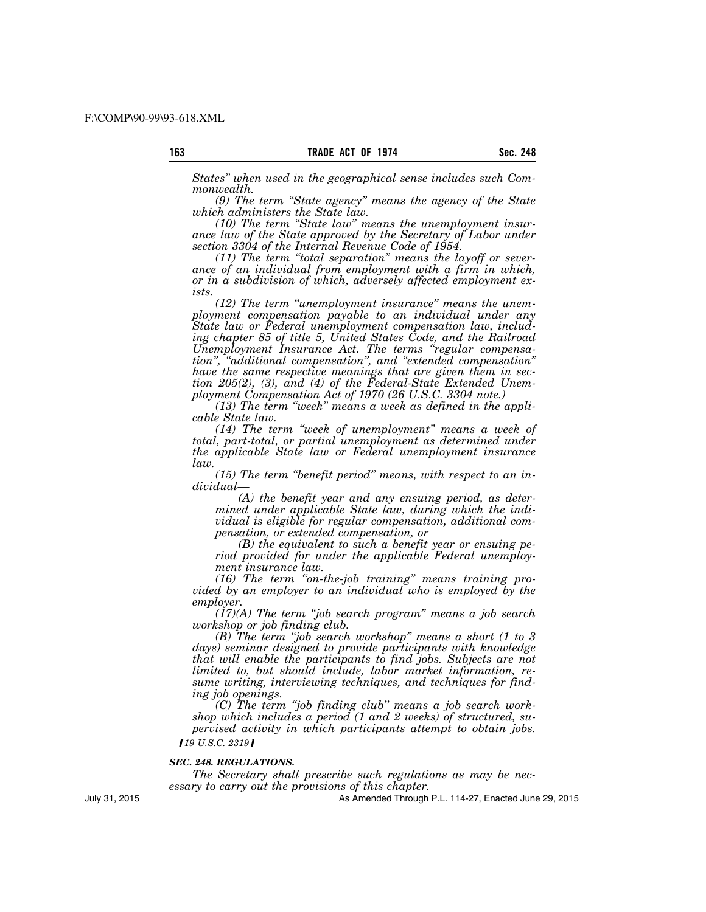*States'' when used in the geographical sense includes such Commonwealth.* 

*(9) The term ''State agency'' means the agency of the State which administers the State law.* 

*(10) The term ''State law'' means the unemployment insur*ance law of the State approved by the Secretary of Labor under *section 3304 of the Internal Revenue Code of 1954.* 

*(11) The term ''total separation'' means the layoff or severance of an individual from employment with a firm in which, or in a subdivision of which, adversely affected employment exists.* 

*(12) The term ''unemployment insurance'' means the unemployment compensation payable to an individual under any State law or Federal unemployment compensation law, including chapter 85 of title 5, United States Code, and the Railroad Unemployment Insurance Act. The terms ''regular compensation'', ''additional compensation'', and ''extended compensation'' have the same respective meanings that are given them in section 205(2), (3), and (4) of the Federal-State Extended Unemployment Compensation Act of 1970 (26 U.S.C. 3304 note.)* 

*(13) The term ''week'' means a week as defined in the applicable State law.* 

*(14) The term ''week of unemployment'' means a week of total, part-total, or partial unemployment as determined under the applicable State law or Federal unemployment insurance law.* 

*(15) The term ''benefit period'' means, with respect to an individual—* 

*(A) the benefit year and any ensuing period, as determined under applicable State law, during which the individual is eligible for regular compensation, additional compensation, or extended compensation, or* 

*(B) the equivalent to such a benefit year or ensuing period provided for under the applicable Federal unemployment insurance law.* 

*(16) The term ''on-the-job training'' means training provided by an employer to an individual who is employed by the employer.* 

*(17)(A) The term ''job search program'' means a job search workshop or job finding club.* 

*(B) The term ''job search workshop'' means a short (1 to 3 days) seminar designed to provide participants with knowledge that will enable the participants to find jobs. Subjects are not limited to, but should include, labor market information, resume writing, interviewing techniques, and techniques for finding job openings.* 

*(C) The term ''job finding club'' means a job search workshop which includes a period (1 and 2 weeks) of structured, supervised activity in which participants attempt to obtain jobs.*  ƒ*19 U.S.C. 2319*≈

#### *SEC. 248. REGULATIONS.*

*The Secretary shall prescribe such regulations as may be necessary to carry out the provisions of this chapter.* 

As Amended Through P.L. 114-27, Enacted June 29, 2015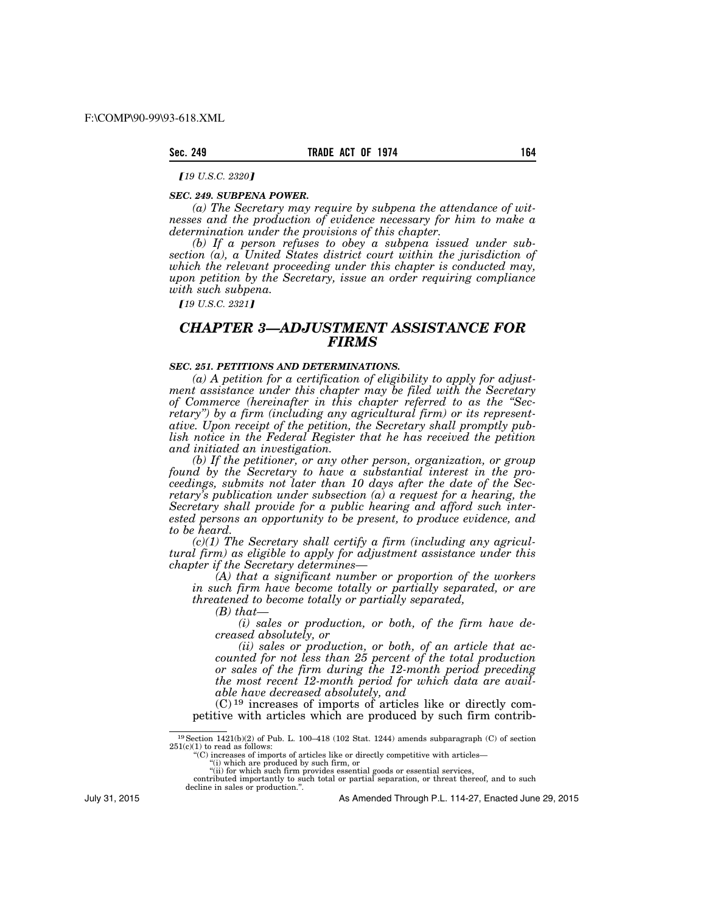## **Sec. 249 TRADE ACT OF 1974 164**

ƒ*19 U.S.C. 2320*≈

## *SEC. 249. SUBPENA POWER.*

*(a) The Secretary may require by subpena the attendance of witnesses and the production of evidence necessary for him to make a determination under the provisions of this chapter.* 

*(b) If a person refuses to obey a subpena issued under subsection (a), a United States district court within the jurisdiction of which the relevant proceeding under this chapter is conducted may, upon petition by the Secretary, issue an order requiring compliance with such subpena.* 

ƒ*19 U.S.C. 2321*≈

# *CHAPTER 3—ADJUSTMENT ASSISTANCE FOR FIRMS*

## *SEC. 251. PETITIONS AND DETERMINATIONS.*

*(a) A petition for a certification of eligibility to apply for adjustment assistance under this chapter may be filed with the Secretary of Commerce (hereinafter in this chapter referred to as the ''Secretary'') by a firm (including any agricultural firm) or its representative. Upon receipt of the petition, the Secretary shall promptly publish notice in the Federal Register that he has received the petition and initiated an investigation.* 

*(b) If the petitioner, or any other person, organization, or group found by the Secretary to have a substantial interest in the proceedings, submits not later than 10 days after the date of the Secretary's publication under subsection (a) a request for a hearing, the Secretary shall provide for a public hearing and afford such interested persons an opportunity to be present, to produce evidence, and to be heard.* 

*(c)(1) The Secretary shall certify a firm (including any agricultural firm) as eligible to apply for adjustment assistance under this chapter if the Secretary determines—* 

*(A) that a significant number or proportion of the workers in such firm have become totally or partially separated, or are threatened to become totally or partially separated,* 

*(B) that—* 

*(i) sales or production, or both, of the firm have decreased absolutely, or* 

*(ii) sales or production, or both, of an article that accounted for not less than 25 percent of the total production or sales of the firm during the 12-month period preceding the most recent 12-month period for which data are available have decreased absolutely, and* 

(C) 19 increases of imports of articles like or directly competitive with articles which are produced by such firm contrib-

July 31, 2015

 $19$  Section  $1421(b)(2)$  of Pub. L.  $100-418$  (102 Stat. 1244) amends subparagraph (C) of section  $251(c)(1)$  to read as follows:<br>"(C) increases of imports of articles like or directly competitive with articles—

<sup>&#</sup>x27;'(i) which are produced by such firm, or ''(ii) for which such firm provides essential goods or essential services, contributed importantly to such total or partial separation, or threat thereof, and to such decline in sales or production.''.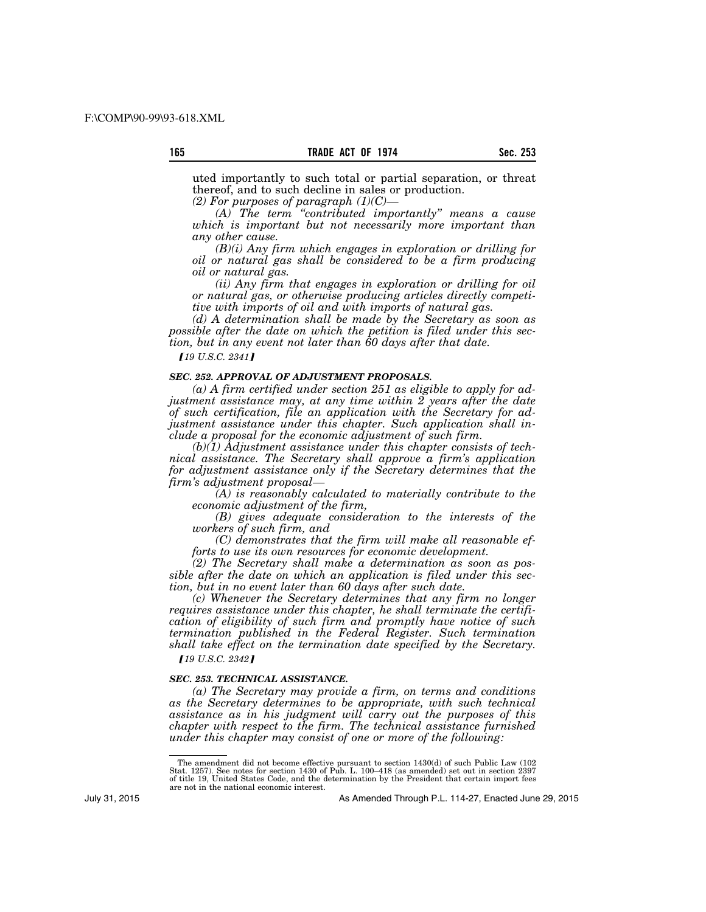uted importantly to such total or partial separation, or threat thereof, and to such decline in sales or production.

*(2) For purposes of paragraph (1)(C)—* 

*(A) The term ''contributed importantly'' means a cause which is important but not necessarily more important than any other cause.* 

*(B)(i) Any firm which engages in exploration or drilling for oil or natural gas shall be considered to be a firm producing oil or natural gas.* 

*(ii) Any firm that engages in exploration or drilling for oil or natural gas, or otherwise producing articles directly competitive with imports of oil and with imports of natural gas.* 

*(d) A determination shall be made by the Secretary as soon as possible after the date on which the petition is filed under this section, but in any event not later than 60 days after that date.* 

ƒ*19 U.S.C. 2341*≈

#### *SEC. 252. APPROVAL OF ADJUSTMENT PROPOSALS.*

*(a) A firm certified under section 251 as eligible to apply for adjustment assistance may, at any time within 2 years after the date of such certification, file an application with the Secretary for adjustment assistance under this chapter. Such application shall include a proposal for the economic adjustment of such firm.* 

*(b)(1) Adjustment assistance under this chapter consists of technical assistance. The Secretary shall approve a firm's application for adjustment assistance only if the Secretary determines that the firm's adjustment proposal—* 

*(A) is reasonably calculated to materially contribute to the economic adjustment of the firm,* 

*(B) gives adequate consideration to the interests of the workers of such firm, and* 

*(C) demonstrates that the firm will make all reasonable efforts to use its own resources for economic development.* 

*(2) The Secretary shall make a determination as soon as possible after the date on which an application is filed under this section, but in no event later than 60 days after such date.* 

*(c) Whenever the Secretary determines that any firm no longer requires assistance under this chapter, he shall terminate the certification of eligibility of such firm and promptly have notice of such termination published in the Federal Register. Such termination shall take effect on the termination date specified by the Secretary.* 

ƒ*19 U.S.C. 2342*≈

## *SEC. 253. TECHNICAL ASSISTANCE.*

*(a) The Secretary may provide a firm, on terms and conditions as the Secretary determines to be appropriate, with such technical assistance as in his judgment will carry out the purposes of this chapter with respect to the firm. The technical assistance furnished under this chapter may consist of one or more of the following:* 

July 31, 2015

The amendment did not become effective pursuant to section 1430(d) of such Public Law (102<br>Stat. 1257). See notes for section 1430 of Pub. L. 100–418 (as amended) set out in section 2397<br>of title 19, United States Code, an are not in the national economic interest.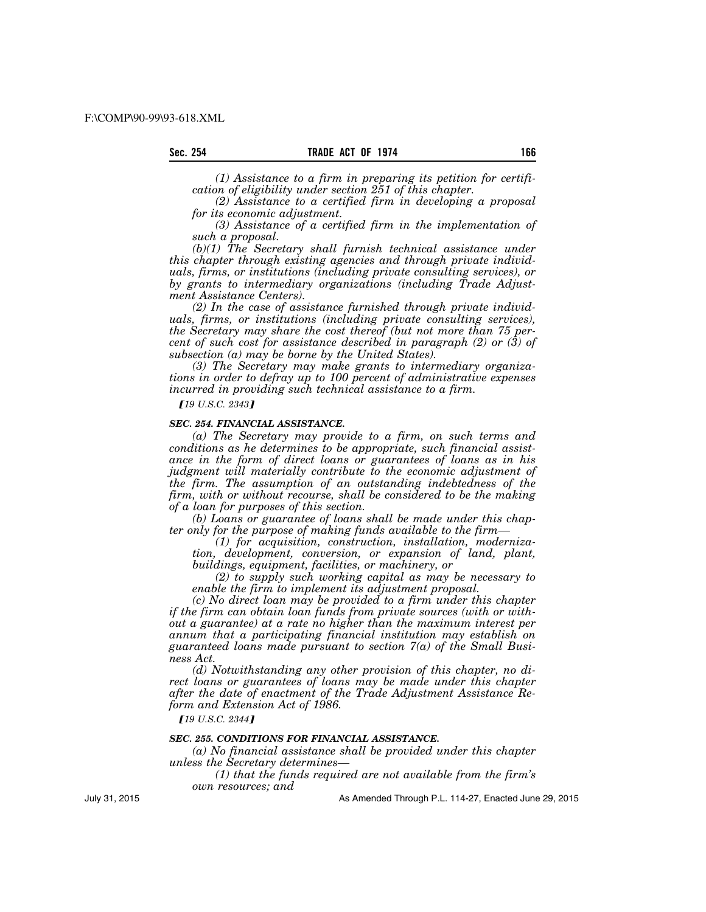*(1) Assistance to a firm in preparing its petition for certification of eligibility under section 251 of this chapter.* 

*(2) Assistance to a certified firm in developing a proposal for its economic adjustment.* 

*(3) Assistance of a certified firm in the implementation of such a proposal.* 

*(b)(1) The Secretary shall furnish technical assistance under this chapter through existing agencies and through private individuals, firms, or institutions (including private consulting services), or by grants to intermediary organizations (including Trade Adjustment Assistance Centers).* 

*(2) In the case of assistance furnished through private individuals, firms, or institutions (including private consulting services), the Secretary may share the cost thereof (but not more than 75 percent of such cost for assistance described in paragraph (2) or (3) of subsection (a) may be borne by the United States).* 

*(3) The Secretary may make grants to intermediary organizations in order to defray up to 100 percent of administrative expenses incurred in providing such technical assistance to a firm.* 

ƒ*19 U.S.C. 2343*≈

## *SEC. 254. FINANCIAL ASSISTANCE.*

*(a) The Secretary may provide to a firm, on such terms and conditions as he determines to be appropriate, such financial assistance in the form of direct loans or guarantees of loans as in his judgment will materially contribute to the economic adjustment of the firm. The assumption of an outstanding indebtedness of the firm, with or without recourse, shall be considered to be the making of a loan for purposes of this section.* 

*(b) Loans or guarantee of loans shall be made under this chapter only for the purpose of making funds available to the firm—* 

*(1) for acquisition, construction, installation, modernization, development, conversion, or expansion of land, plant, buildings, equipment, facilities, or machinery, or* 

*(2) to supply such working capital as may be necessary to enable the firm to implement its adjustment proposal.* 

*(c) No direct loan may be provided to a firm under this chapter if the firm can obtain loan funds from private sources (with or without a guarantee) at a rate no higher than the maximum interest per annum that a participating financial institution may establish on guaranteed loans made pursuant to section 7(a) of the Small Business Act.* 

*(d) Notwithstanding any other provision of this chapter, no di*rect loans or guarantees of loans may be made under this chapter *after the date of enactment of the Trade Adjustment Assistance Reform and Extension Act of 1986.* 

ƒ*19 U.S.C. 2344*≈

#### *SEC. 255. CONDITIONS FOR FINANCIAL ASSISTANCE.*

*(a) No financial assistance shall be provided under this chapter unless the Secretary determines—* 

*(1) that the funds required are not available from the firm's own resources; and* 

As Amended Through P.L. 114-27, Enacted June 29, 2015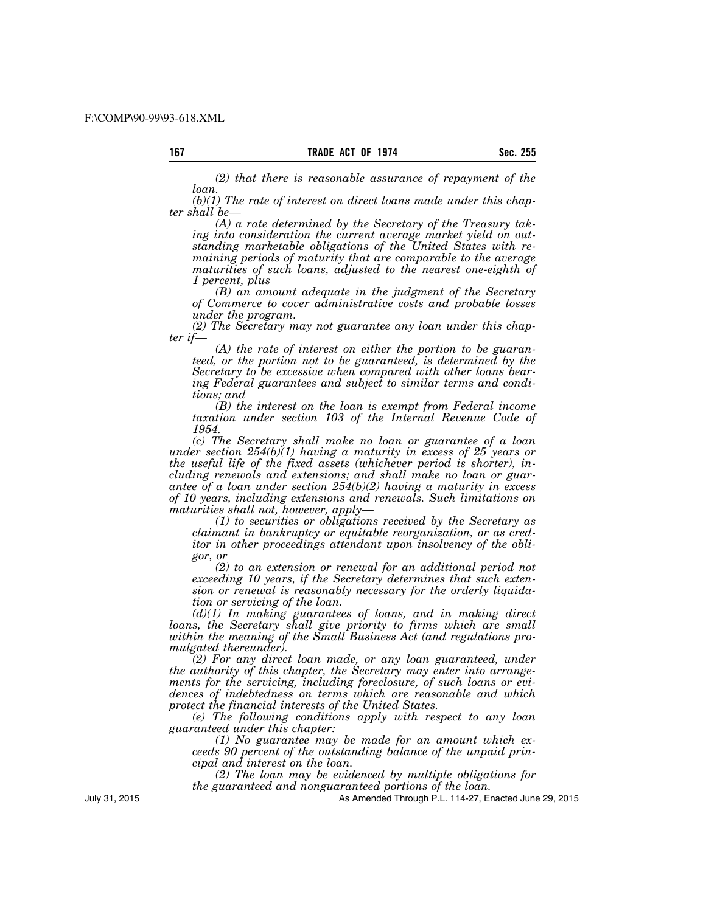*(2) that there is reasonable assurance of repayment of the loan.* 

*(b)(1) The rate of interest on direct loans made under this chapter shall be—* 

*(A) a rate determined by the Secretary of the Treasury taking into consideration the current average market yield on outstanding marketable obligations of the United States with remaining periods of maturity that are comparable to the average maturities of such loans, adjusted to the nearest one-eighth of 1 percent, plus* 

*(B) an amount adequate in the judgment of the Secretary of Commerce to cover administrative costs and probable losses under the program.* 

*(2) The Secretary may not guarantee any loan under this chapter if—* 

*(A) the rate of interest on either the portion to be guaranteed, or the portion not to be guaranteed, is determined by the Secretary to be excessive when compared with other loans bearing Federal guarantees and subject to similar terms and conditions; and* 

*(B) the interest on the loan is exempt from Federal income taxation under section 103 of the Internal Revenue Code of 1954.* 

*(c) The Secretary shall make no loan or guarantee of a loan under section 254(b)(1) having a maturity in excess of 25 years or the useful life of the fixed assets (whichever period is shorter), including renewals and extensions; and shall make no loan or guarantee of a loan under section 254(b)(2) having a maturity in excess of 10 years, including extensions and renewals. Such limitations on maturities shall not, however, apply—* 

*(1) to securities or obligations received by the Secretary as claimant in bankruptcy or equitable reorganization, or as creditor in other proceedings attendant upon insolvency of the obligor, or* 

*(2) to an extension or renewal for an additional period not exceeding 10 years, if the Secretary determines that such extension or renewal is reasonably necessary for the orderly liquidation or servicing of the loan.* 

*(d)(1) In making guarantees of loans, and in making direct loans, the Secretary shall give priority to firms which are small within the meaning of the Small Business Act (and regulations promulgated thereunder).* 

*(2) For any direct loan made, or any loan guaranteed, under the authority of this chapter, the Secretary may enter into arrangements for the servicing, including foreclosure, of such loans or evidences of indebtedness on terms which are reasonable and which protect the financial interests of the United States.* 

*(e) The following conditions apply with respect to any loan guaranteed under this chapter:* 

*(1) No guarantee may be made for an amount which exceeds 90 percent of the outstanding balance of the unpaid principal and interest on the loan.* 

*(2) The loan may be evidenced by multiple obligations for the guaranteed and nonguaranteed portions of the loan.* 

As Amended Through P.L. 114-27, Enacted June 29, 2015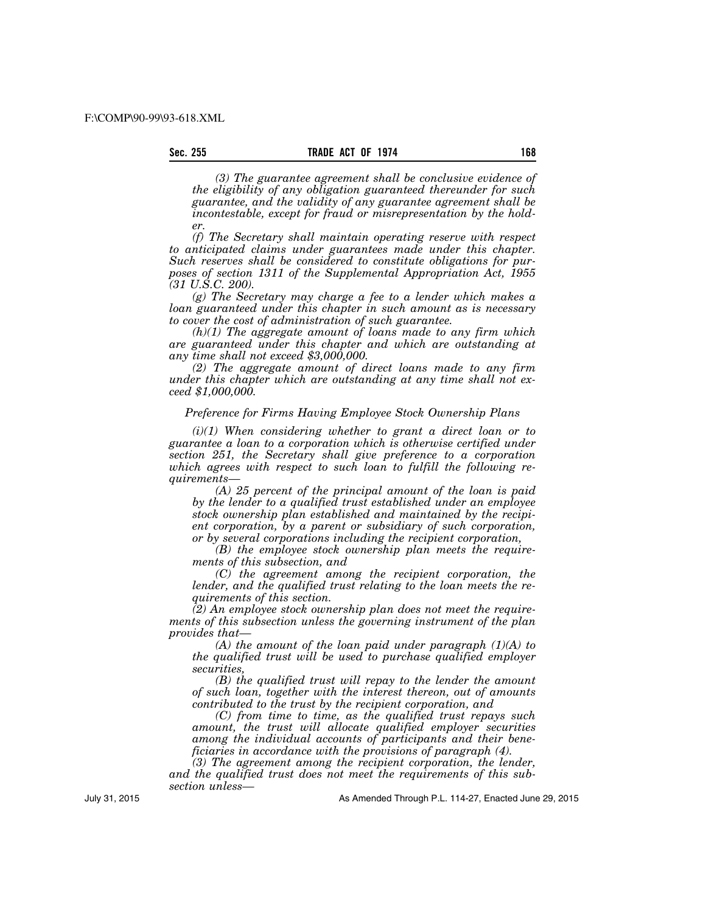*(3) The guarantee agreement shall be conclusive evidence of the eligibility of any obligation guaranteed thereunder for such guarantee, and the validity of any guarantee agreement shall be incontestable, except for fraud or misrepresentation by the holder.* 

*(f) The Secretary shall maintain operating reserve with respect to anticipated claims under guarantees made under this chapter. Such reserves shall be considered to constitute obligations for purposes of section 1311 of the Supplemental Appropriation Act, 1955 (31 U.S.C. 200).* 

*(g) The Secretary may charge a fee to a lender which makes a loan guaranteed under this chapter in such amount as is necessary to cover the cost of administration of such guarantee.* 

*(h)(1) The aggregate amount of loans made to any firm which are guaranteed under this chapter and which are outstanding at any time shall not exceed \$3,000,000.* 

*(2) The aggregate amount of direct loans made to any firm under this chapter which are outstanding at any time shall not exceed \$1,000,000.* 

## *Preference for Firms Having Employee Stock Ownership Plans*

 $(i)(1)$  When considering whether to grant a direct loan or to *guarantee a loan to a corporation which is otherwise certified under section 251, the Secretary shall give preference to a corporation which agrees with respect to such loan to fulfill the following requirements—* 

*(A) 25 percent of the principal amount of the loan is paid by the lender to a qualified trust established under an employee stock ownership plan established and maintained by the recipient corporation, by a parent or subsidiary of such corporation, or by several corporations including the recipient corporation,* 

*(B) the employee stock ownership plan meets the requirements of this subsection, and* 

*(C) the agreement among the recipient corporation, the lender, and the qualified trust relating to the loan meets the requirements of this section.* 

*(2) An employee stock ownership plan does not meet the requirements of this subsection unless the governing instrument of the plan provides that—* 

*(A) the amount of the loan paid under paragraph (1)(A) to the qualified trust will be used to purchase qualified employer securities,* 

*(B) the qualified trust will repay to the lender the amount of such loan, together with the interest thereon, out of amounts contributed to the trust by the recipient corporation, and* 

*(C) from time to time, as the qualified trust repays such amount, the trust will allocate qualified employer securities among the individual accounts of participants and their beneficiaries in accordance with the provisions of paragraph (4).* 

*(3) The agreement among the recipient corporation, the lender, and the qualified trust does not meet the requirements of this subsection unless—* 

As Amended Through P.L. 114-27, Enacted June 29, 2015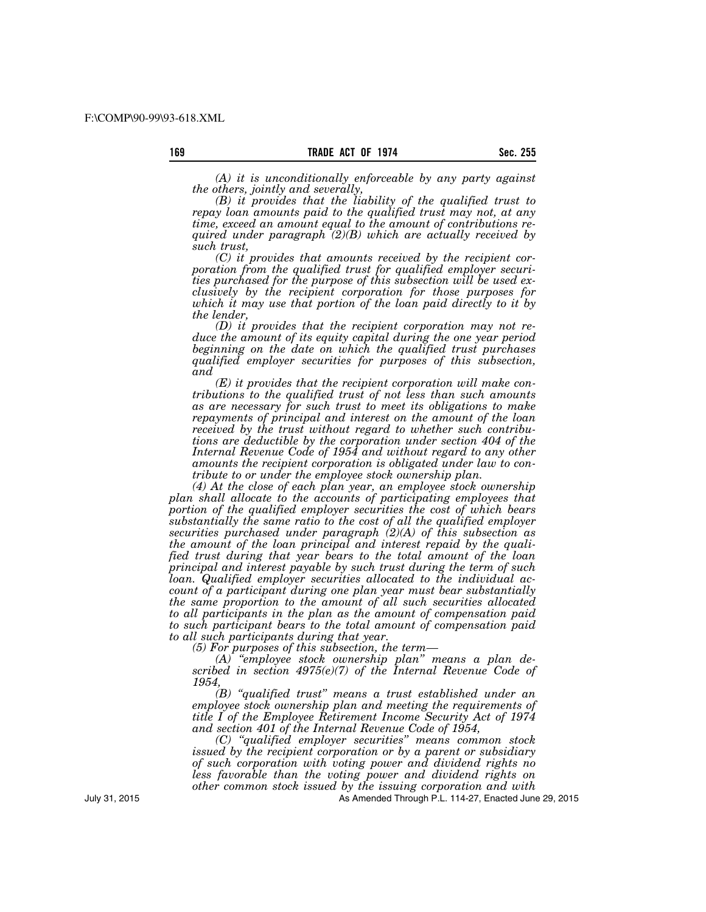*(A) it is unconditionally enforceable by any party against the others, jointly and severally,* 

*(B) it provides that the liability of the qualified trust to repay loan amounts paid to the qualified trust may not, at any time, exceed an amount equal to the amount of contributions required under paragraph (2)(B) which are actually received by such trust,* 

*(C) it provides that amounts received by the recipient corporation from the qualified trust for qualified employer securities purchased for the purpose of this subsection will be used exclusively by the recipient corporation for those purposes for which it may use that portion of the loan paid directly to it by the lender,* 

*(D) it provides that the recipient corporation may not reduce the amount of its equity capital during the one year period beginning on the date on which the qualified trust purchases qualified employer securities for purposes of this subsection, and* 

*(E) it provides that the recipient corporation will make contributions to the qualified trust of not less than such amounts as are necessary for such trust to meet its obligations to make repayments of principal and interest on the amount of the loan received by the trust without regard to whether such contributions are deductible by the corporation under section 404 of the Internal Revenue Code of 1954 and without regard to any other amounts the recipient corporation is obligated under law to contribute to or under the employee stock ownership plan.* 

*(4) At the close of each plan year, an employee stock ownership plan shall allocate to the accounts of participating employees that portion of the qualified employer securities the cost of which bears substantially the same ratio to the cost of all the qualified employer securities purchased under paragraph (2)(A) of this subsection as the amount of the loan principal and interest repaid by the qualified trust during that year bears to the total amount of the loan principal and interest payable by such trust during the term of such loan. Qualified employer securities allocated to the individual account of a participant during one plan year must bear substantially the same proportion to the amount of all such securities allocated to all participants in the plan as the amount of compensation paid to such participant bears to the total amount of compensation paid to all such participants during that year.* 

*(5) For purposes of this subsection, the term—* 

*(A) ''employee stock ownership plan'' means a plan described in section 4975(e)(7) of the Internal Revenue Code of 1954,* 

*(B) ''qualified trust'' means a trust established under an employee stock ownership plan and meeting the requirements of title I of the Employee Retirement Income Security Act of 1974 and section 401 of the Internal Revenue Code of 1954,* 

*(C) ''qualified employer securities'' means common stock issued by the recipient corporation or by a parent or subsidiary of such corporation with voting power and dividend rights no less favorable than the voting power and dividend rights on other common stock issued by the issuing corporation and with* 

As Amended Through P.L. 114-27, Enacted June 29, 2015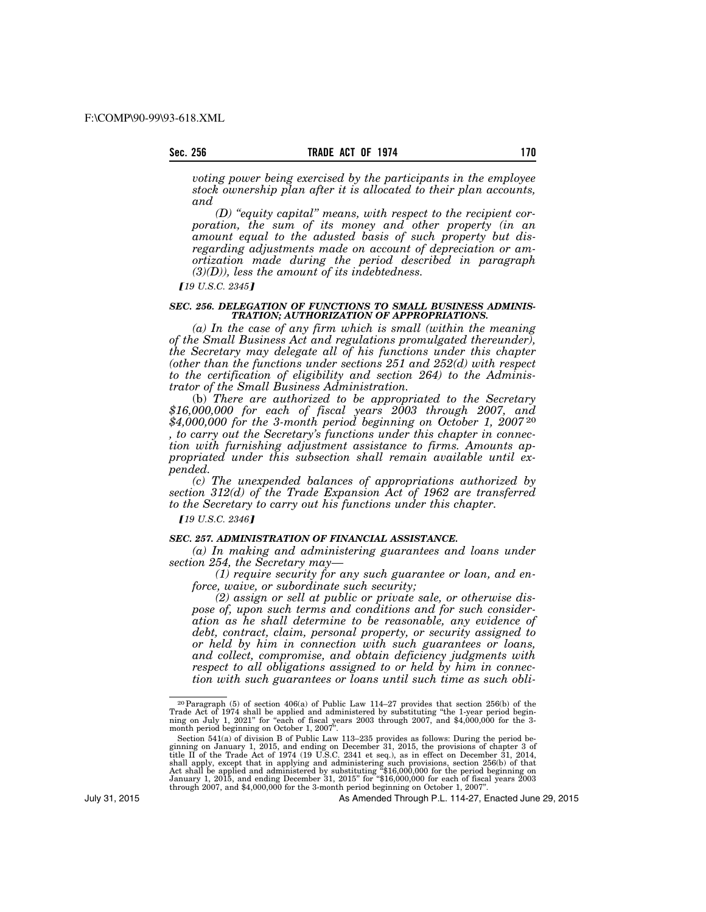*voting power being exercised by the participants in the employee stock ownership plan after it is allocated to their plan accounts, and* 

*(D) ''equity capital'' means, with respect to the recipient corporation, the sum of its money and other property (in an amount equal to the adusted basis of such property but disregarding adjustments made on account of depreciation or amortization made during the period described in paragraph (3)(D)), less the amount of its indebtedness.* 

ƒ*19 U.S.C. 2345*≈

#### *SEC. 256. DELEGATION OF FUNCTIONS TO SMALL BUSINESS ADMINIS-TRATION; AUTHORIZATION OF APPROPRIATIONS.*

*(a) In the case of any firm which is small (within the meaning of the Small Business Act and regulations promulgated thereunder), the Secretary may delegate all of his functions under this chapter (other than the functions under sections 251 and 252(d) with respect to the certification of eligibility and section 264) to the Administrator of the Small Business Administration.* 

(b) *There are authorized to be appropriated to the Secretary \$16,000,000 for each of fiscal years 2003 through 2007, and \$4,000,000 for the 3-month period beginning on October 1, 2007* 20 *, to carry out the Secretary's functions under this chapter in connection with furnishing adjustment assistance to firms. Amounts appropriated under this subsection shall remain available until expended.* 

*(c) The unexpended balances of appropriations authorized by section 312(d) of the Trade Expansion Act of 1962 are transferred to the Secretary to carry out his functions under this chapter.* 

ƒ*19 U.S.C. 2346*≈

## *SEC. 257. ADMINISTRATION OF FINANCIAL ASSISTANCE.*

*(a) In making and administering guarantees and loans under section 254, the Secretary may—* 

*(1) require security for any such guarantee or loan, and enforce, waive, or subordinate such security;* 

*(2) assign or sell at public or private sale, or otherwise dispose of, upon such terms and conditions and for such consideration as he shall determine to be reasonable, any evidence of debt, contract, claim, personal property, or security assigned to or held by him in connection with such guarantees or loans, and collect, compromise, and obtain deficiency judgments with respect to all obligations assigned to or held by him in connection with such guarantees or loans until such time as such obli-*

As Amended Through P.L. 114-27, Enacted June 29, 2015

<sup>&</sup>lt;sup>20</sup> Paragraph (5) of section 406(a) of Public Law 114–27 provides that section 256(b) of the Trade Act of 1974 shall be applied and administered by substituting "the 1-year period beginning on July 1, 2021" for "each of

Section 541(a) of division B of Public Law 113–235 provides as follows: During the period beginning on January 1, 2015, and ending on December 3 of<br>ginning on January 1, 2015, and ending on December 31, 2015, the provision shall apply, except that in applying and administering such provisions, section 256(b) of that<br>Act shall be applied and administered by substituting "\$16,000,000 for the period beginning on<br>January 1, 2015, and ending Dece through 2007, and \$4,000,000 for the 3-month period beginning on October 1, 2007".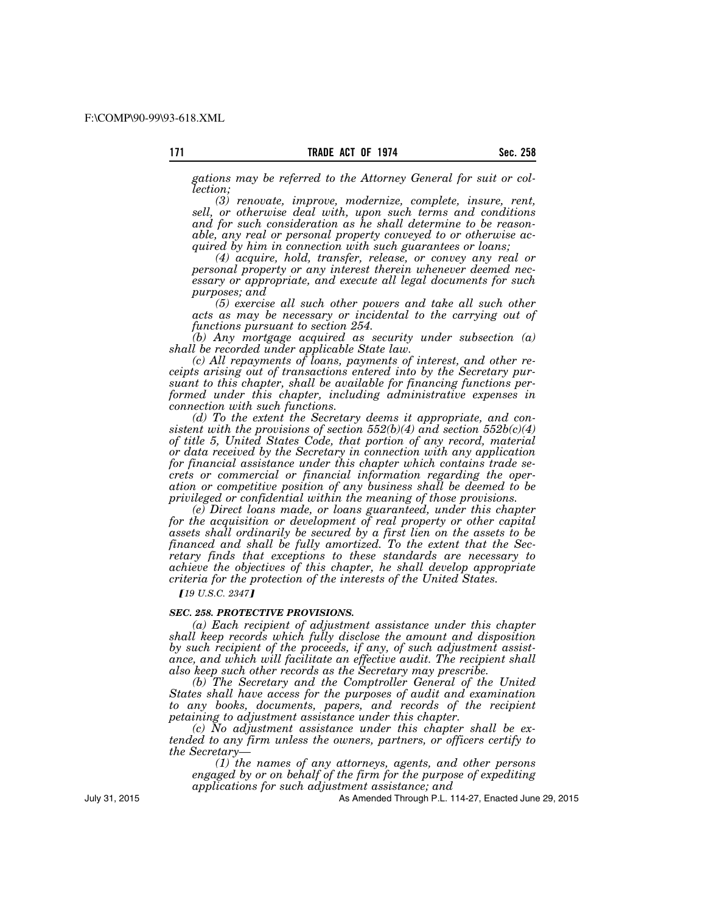*gations may be referred to the Attorney General for suit or collection;* 

*(3) renovate, improve, modernize, complete, insure, rent, sell, or otherwise deal with, upon such terms and conditions and for such consideration as he shall determine to be reasonable, any real or personal property conveyed to or otherwise acquired by him in connection with such guarantees or loans;* 

*(4) acquire, hold, transfer, release, or convey any real or personal property or any interest therein whenever deemed necessary or appropriate, and execute all legal documents for such purposes; and* 

*(5) exercise all such other powers and take all such other acts as may be necessary or incidental to the carrying out of functions pursuant to section 254.* 

*(b) Any mortgage acquired as security under subsection (a) shall be recorded under applicable State law.* 

*(c) All repayments of loans, payments of interest, and other receipts arising out of transactions entered into by the Secretary pursuant to this chapter, shall be available for financing functions performed under this chapter, including administrative expenses in connection with such functions.* 

*(d) To the extent the Secretary deems it appropriate, and consistent with the provisions of section 552(b)(4) and section 552b(c)(4) of title 5, United States Code, that portion of any record, material or data received by the Secretary in connection with any application for financial assistance under this chapter which contains trade secrets or commercial or financial information regarding the operation or competitive position of any business shall be deemed to be privileged or confidential within the meaning of those provisions.* 

*(e) Direct loans made, or loans guaranteed, under this chapter for the acquisition or development of real property or other capital assets shall ordinarily be secured by a first lien on the assets to be financed and shall be fully amortized. To the extent that the Secretary finds that exceptions to these standards are necessary to achieve the objectives of this chapter, he shall develop appropriate criteria for the protection of the interests of the United States.* 

ƒ*19 U.S.C. 2347*≈

#### *SEC. 258. PROTECTIVE PROVISIONS.*

*(a) Each recipient of adjustment assistance under this chapter shall keep records which fully disclose the amount and disposition by such recipient of the proceeds, if any, of such adjustment assist*ance, and which will facilitate an effective audit. The recipient shall *also keep such other records as the Secretary may prescribe.* 

*(b) The Secretary and the Comptroller General of the United States shall have access for the purposes of audit and examination to any books, documents, papers, and records of the recipient petaining to adjustment assistance under this chapter.* 

*(c) No adjustment assistance under this chapter shall be extended to any firm unless the owners, partners, or officers certify to the Secretary—* 

*(1) the names of any attorneys, agents, and other persons engaged by or on behalf of the firm for the purpose of expediting applications for such adjustment assistance; and* 

As Amended Through P.L. 114-27, Enacted June 29, 2015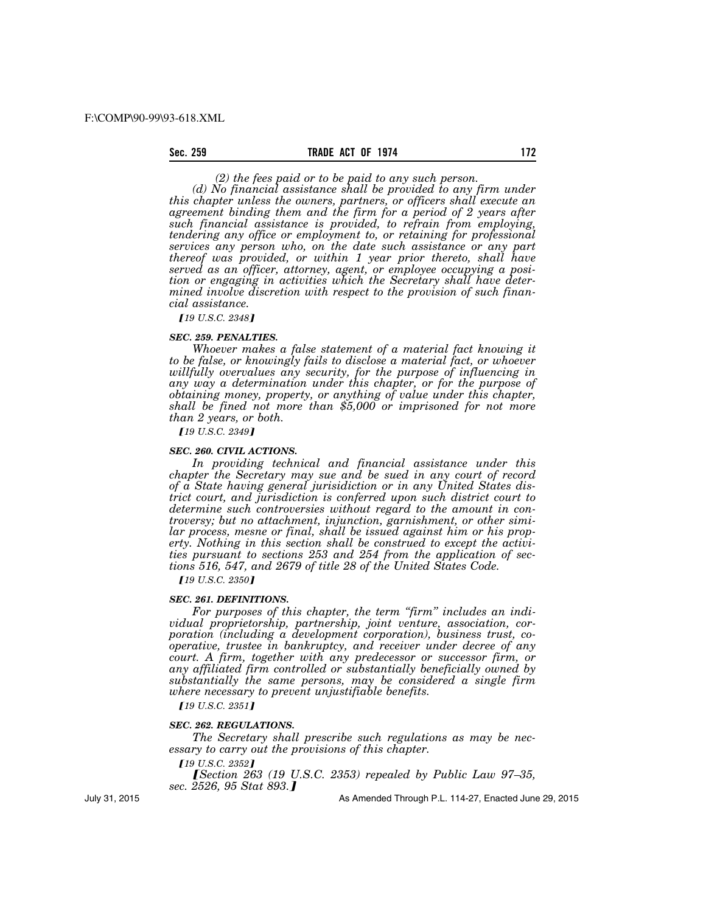*(2) the fees paid or to be paid to any such person.* 

*(d) No financial assistance shall be provided to any firm under this chapter unless the owners, partners, or officers shall execute an agreement binding them and the firm for a period of 2 years after such financial assistance is provided, to refrain from employing, tendering any office or employment to, or retaining for professional services any person who, on the date such assistance or any part thereof was provided, or within 1 year prior thereto, shall have served as an officer, attorney, agent, or employee occupying a position or engaging in activities which the Secretary shall have determined involve discretion with respect to the provision of such financial assistance.* 

ƒ*19 U.S.C. 2348*≈

#### *SEC. 259. PENALTIES.*

*Whoever makes a false statement of a material fact knowing it to be false, or knowingly fails to disclose a material fact, or whoever willfully overvalues any security, for the purpose of influencing in*  any way a determination under this chapter, or for the purpose of *obtaining money, property, or anything of value under this chapter, shall be fined not more than \$5,000 or imprisoned for not more than 2 years, or both.* 

ƒ*19 U.S.C. 2349*≈

## *SEC. 260. CIVIL ACTIONS.*

*In providing technical and financial assistance under this chapter the Secretary may sue and be sued in any court of record of a State having general jurisidiction or in any United States district court, and jurisdiction is conferred upon such district court to determine such controversies without regard to the amount in controversy; but no attachment, injunction, garnishment, or other similar process, mesne or final, shall be issued against him or his property. Nothing in this section shall be construed to except the activities pursuant to sections 253 and 254 from the application of sections 516, 547, and 2679 of title 28 of the United States Code.* 

ƒ*19 U.S.C. 2350*≈

#### *SEC. 261. DEFINITIONS.*

*For purposes of this chapter, the term ''firm'' includes an individual proprietorship, partnership, joint venture, association, corporation (including a development corporation), business trust, cooperative, trustee in bankruptcy, and receiver under decree of any court. A firm, together with any predecessor or successor firm, or any affiliated firm controlled or substantially beneficially owned by substantially the same persons, may be considered a single firm where necessary to prevent unjustifiable benefits.* 

ƒ*19 U.S.C. 2351*≈

#### *SEC. 262. REGULATIONS.*

*The Secretary shall prescribe such regulations as may be necessary to carry out the provisions of this chapter.* 

#### ƒ*19 U.S.C. 2352*≈

ƒ*Section 263 (19 U.S.C. 2353) repealed by Public Law 97–35, sec. 2526, 95 Stat 893.*≈

As Amended Through P.L. 114-27, Enacted June 29, 2015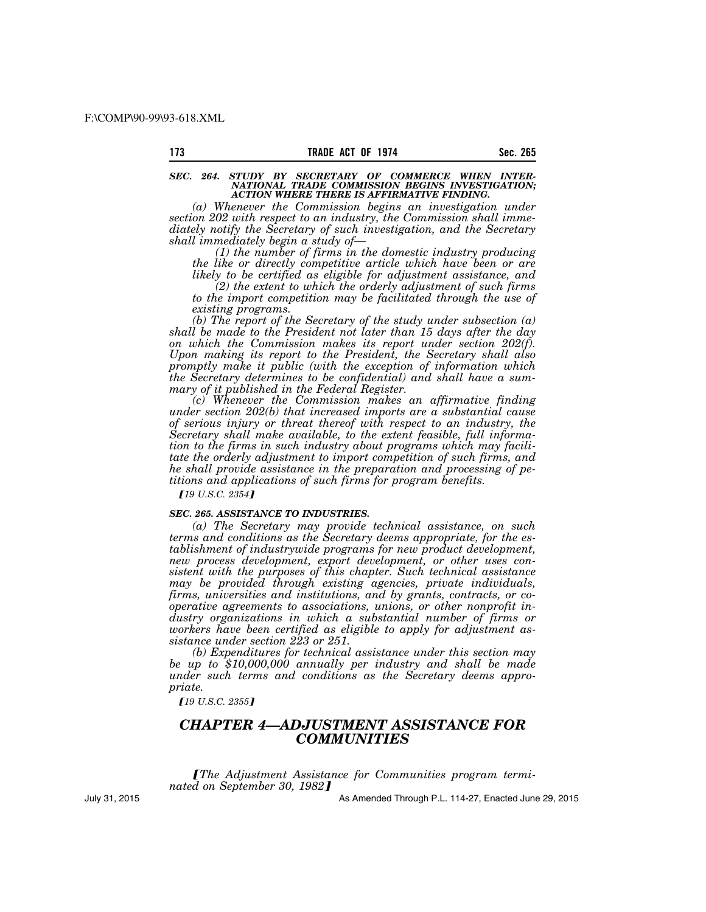*SEC. 264. STUDY BY SECRETARY OF COMMERCE WHEN INTER-NATIONAL TRADE COMMISSION BEGINS INVESTIGATION; ACTION WHERE THERE IS AFFIRMATIVE FINDING.* 

*(a) Whenever the Commission begins an investigation under section 202 with respect to an industry, the Commission shall immediately notify the Secretary of such investigation, and the Secretary shall immediately begin a study of—* 

*(1) the number of firms in the domestic industry producing the like or directly competitive article which have been or are likely to be certified as eligible for adjustment assistance, and* 

*(2) the extent to which the orderly adjustment of such firms to the import competition may be facilitated through the use of existing programs.* 

*(b) The report of the Secretary of the study under subsection (a) shall be made to the President not later than 15 days after the day on which the Commission makes its report under section 202(f). Upon making its report to the President, the Secretary shall also promptly make it public (with the exception of information which the Secretary determines to be confidential) and shall have a summary of it published in the Federal Register.* 

*(c) Whenever the Commission makes an affirmative finding under section 202(b) that increased imports are a substantial cause of serious injury or threat thereof with respect to an industry, the Secretary shall make available, to the extent feasible, full information to the firms in such industry about programs which may facilitate the orderly adjustment to import competition of such firms, and he shall provide assistance in the preparation and processing of petitions and applications of such firms for program benefits.* 

ƒ*19 U.S.C. 2354*≈

## *SEC. 265. ASSISTANCE TO INDUSTRIES.*

*(a) The Secretary may provide technical assistance, on such terms and conditions as the Secretary deems appropriate, for the establishment of industrywide programs for new product development, new process development, export development, or other uses consistent with the purposes of this chapter. Such technical assistance may be provided through existing agencies, private individuals, firms, universities and institutions, and by grants, contracts, or cooperative agreements to associations, unions, or other nonprofit industry organizations in which a substantial number of firms or workers have been certified as eligible to apply for adjustment assistance under section 223 or 251.* 

*(b) Expenditures for technical assistance under this section may be up to \$10,000,000 annually per industry and shall be made under such terms and conditions as the Secretary deems appropriate.* 

ƒ*19 U.S.C. 2355*≈

# *CHAPTER 4—ADJUSTMENT ASSISTANCE FOR COMMUNITIES*

ƒ*The Adjustment Assistance for Communities program terminated on September 30, 1982*≈

As Amended Through P.L. 114-27, Enacted June 29, 2015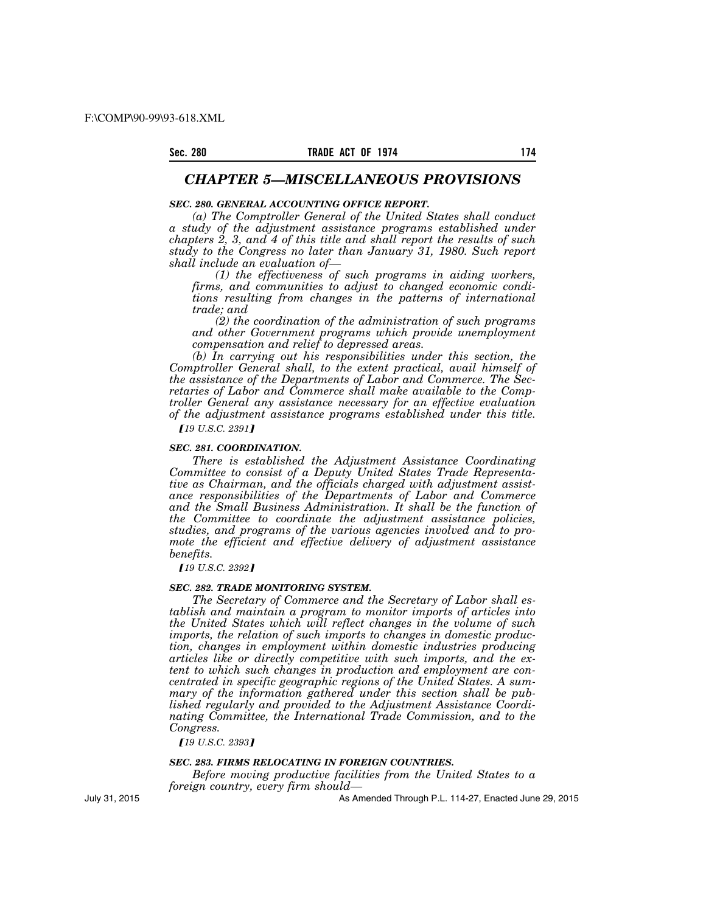# *CHAPTER 5—MISCELLANEOUS PROVISIONS*

## *SEC. 280. GENERAL ACCOUNTING OFFICE REPORT.*

*(a) The Comptroller General of the United States shall conduct a study of the adjustment assistance programs established under chapters 2, 3, and 4 of this title and shall report the results of such study to the Congress no later than January 31, 1980. Such report shall include an evaluation of—* 

*(1) the effectiveness of such programs in aiding workers, firms, and communities to adjust to changed economic conditions resulting from changes in the patterns of international trade; and* 

*(2) the coordination of the administration of such programs and other Government programs which provide unemployment compensation and relief to depressed areas.* 

*(b) In carrying out his responsibilities under this section, the Comptroller General shall, to the extent practical, avail himself of the assistance of the Departments of Labor and Commerce. The Secretaries of Labor and Commerce shall make available to the Comptroller General any assistance necessary for an effective evaluation of the adjustment assistance programs established under this title.* 

ƒ*19 U.S.C. 2391*≈

## *SEC. 281. COORDINATION.*

*There is established the Adjustment Assistance Coordinating Committee to consist of a Deputy United States Trade Representative as Chairman, and the officials charged with adjustment assistance responsibilities of the Departments of Labor and Commerce*  and the Small Business Administration. It shall be the function of *the Committee to coordinate the adjustment assistance policies, studies, and programs of the various agencies involved and to promote the efficient and effective delivery of adjustment assistance benefits.* 

ƒ*19 U.S.C. 2392*≈

### *SEC. 282. TRADE MONITORING SYSTEM.*

*The Secretary of Commerce and the Secretary of Labor shall establish and maintain a program to monitor imports of articles into the United States which will reflect changes in the volume of such imports, the relation of such imports to changes in domestic production, changes in employment within domestic industries producing articles like or directly competitive with such imports, and the extent to which such changes in production and employment are concentrated in specific geographic regions of the United States. A summary of the information gathered under this section shall be published regularly and provided to the Adjustment Assistance Coordinating Committee, the International Trade Commission, and to the Congress.* 

ƒ*19 U.S.C. 2393*≈

#### *SEC. 283. FIRMS RELOCATING IN FOREIGN COUNTRIES.*

*Before moving productive facilities from the United States to a foreign country, every firm should—* 

As Amended Through P.L. 114-27, Enacted June 29, 2015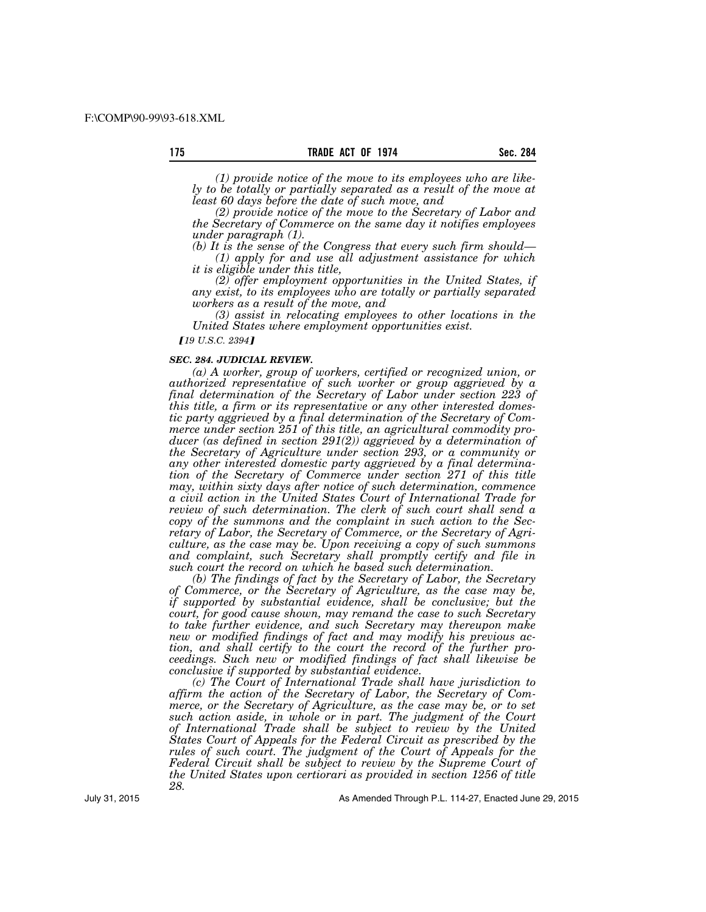*(1) provide notice of the move to its employees who are likely to be totally or partially separated as a result of the move at least 60 days before the date of such move, and* 

*(2) provide notice of the move to the Secretary of Labor and the Secretary of Commerce on the same day it notifies employees under paragraph (1).* 

*(b) It is the sense of the Congress that every such firm should— (1) apply for and use all adjustment assistance for which it is eligible under this title,* 

*(2) offer employment opportunities in the United States, if any exist, to its employees who are totally or partially separated workers as a result of the move, and* 

*(3) assist in relocating employees to other locations in the United States where employment opportunities exist.* 

ƒ*19 U.S.C. 2394*≈

#### *SEC. 284. JUDICIAL REVIEW.*

*(a) A worker, group of workers, certified or recognized union, or authorized representative of such worker or group aggrieved by a final determination of the Secretary of Labor under section 223 of this title, a firm or its representative or any other interested domestic party aggrieved by a final determination of the Secretary of Commerce under section 251 of this title, an agricultural commodity pro*ducer (as defined in section 291(2)) aggrieved by a determination of *the Secretary of Agriculture under section 293, or a community or any other interested domestic party aggrieved by a final determination of the Secretary of Commerce under section 271 of this title may, within sixty days after notice of such determination, commence a civil action in the United States Court of International Trade for review of such determination. The clerk of such court shall send a copy of the summons and the complaint in such action to the Secretary of Labor, the Secretary of Commerce, or the Secretary of Agriculture, as the case may be. Upon receiving a copy of such summons and complaint, such Secretary shall promptly certify and file in such court the record on which he based such determination.* 

*(b) The findings of fact by the Secretary of Labor, the Secretary of Commerce, or the Secretary of Agriculture, as the case may be, if supported by substantial evidence, shall be conclusive; but the court, for good cause shown, may remand the case to such Secretary to take further evidence, and such Secretary may thereupon make new or modified findings of fact and may modify his previous action, and shall certify to the court the record of the further proceedings. Such new or modified findings of fact shall likewise be conclusive if supported by substantial evidence.* 

*(c) The Court of International Trade shall have jurisdiction to affirm the action of the Secretary of Labor, the Secretary of Commerce, or the Secretary of Agriculture, as the case may be, or to set such action aside, in whole or in part. The judgment of the Court of International Trade shall be subject to review by the United States Court of Appeals for the Federal Circuit as prescribed by the rules of such court. The judgment of the Court of Appeals for the*  Federal Circuit shall be subject to review by the Supreme Court of *the United States upon certiorari as provided in section 1256 of title 28.*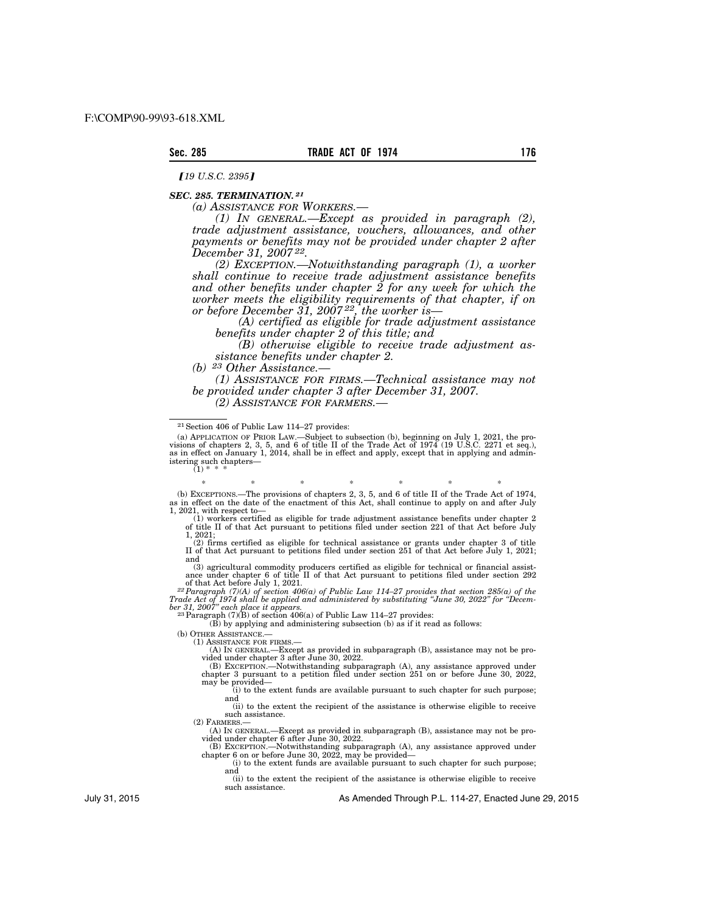ƒ*19 U.S.C. 2395*≈

## *SEC. 285. TERMINATION. 21*

*(a) ASSISTANCE FOR WORKERS.—* 

*(1) IN GENERAL.—Except as provided in paragraph (2), trade adjustment assistance, vouchers, allowances, and other payments or benefits may not be provided under chapter 2 after December 31, 2007 22.* 

*(2) EXCEPTION.—Notwithstanding paragraph (1), a worker shall continue to receive trade adjustment assistance benefits and other benefits under chapter 2 for any week for which the worker meets the eligibility requirements of that chapter, if on or before December 31, 2007 22, the worker is—* 

*(A) certified as eligible for trade adjustment assistance benefits under chapter 2 of this title; and* 

*(B) otherwise eligible to receive trade adjustment assistance benefits under chapter 2.* 

*(b) 23 Other Assistance.—* 

*(1) ASSISTANCE FOR FIRMS.—Technical assistance may not be provided under chapter 3 after December 31, 2007.* 

*(2) ASSISTANCE FOR FARMERS.—* 

(a) APPLICATION OF PRIOR LAW.—Subject to subsection (b), beginning on July 1, 2021, the provisions of chapters 2, 3, 5, and 6 of title II of the Trade Act of 1974 (19 U.S.C. 2271 et seq.), as in effect on January 1, 2014, shall be in effect and apply, except that in applying and administering such chapters—  $(1) *$ 

\* \* \* \* \* \* \* (b) EXCEPTIONS.—The provisions of chapters 2, 3, 5, and 6 of title II of the Trade Act of 1974, as in effect on the date of the enactment of this Act, shall continue to apply on and after July

1, 2021, with respect to— (1) workers certified as eligible for trade adjustment assistance benefits under chapter 2 of title II of that Act pursuant to petitions filed under section 221 of that Act before July 1, 2021;

(2) firms certified as eligible for technical assistance or grants under chapter 3 of title II of that Act pursuant to petitions filed under section 251 of that Act before July 1, 2021; and

(3) agricultural commodity producers certified as eligible for technical or financial assist-ance under chapter 6 of title II of that Act pursuant to petitions filed under section 292

of that Act before July 1, 2021.<br><sup>22</sup> Paragraph (7)(A) of section 406(a) of Public Law 114–27 provides that section 285(a) of the<br>Trade Act of 1974 shall be applied and administered by substituting "June 30, 2022" for "De *ber 31, 2007" each place it appears.*<br><sup>23</sup> Paragraph (7/(B) of section 406(a) of Public Law 114–27 provides:<br>(B) by applying and administering subsection (b) as if it read as follows:

(b) OTHER ASSISTANCE.—<br>(1) ASSISTANCE FOR FIRMS.—<br>(A) IN GENERAL.—Except as provided in subparagraph (B), assistance may not be pro-<br>vided under chapter 3 after June 30, 2022.

(B) EXCEPTION.—Notwithstanding subparagraph (A), any assistance approved under chapter 3 pursuant to a petition filed under section 251 on or before June 30, 2022, may be provided— (i) to the extent funds are available pursuant to such chapter for such purpose;

and

(ii) to the extent the recipient of the assistance is otherwise eligible to receive such assistance.

 $(2)$  FARMERS

(A) IN GENERAL.—Except as provided in subparagraph (B), assistance may not be provided under chapter 6 after June 30, 2022.

(B) EXCEPTION.—Notwithstanding subparagraph (A), any assistance approved under chapter 6 on or before June 30, 2022, may be provided—

(i) to the extent funds are available pursuant to such chapter for such purpose; and (ii) to the extent the recipient of the assistance is otherwise eligible to receive

such assistance.

July 31, 2015

<sup>21</sup>Section 406 of Public Law 114–27 provides: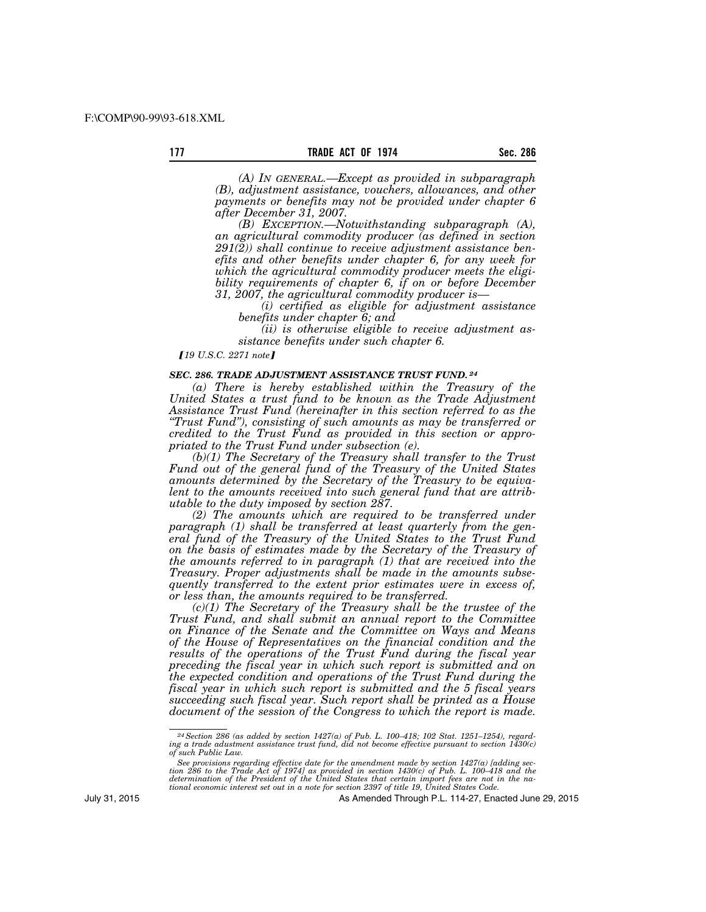*(A) IN GENERAL.—Except as provided in subparagraph (B), adjustment assistance, vouchers, allowances, and other payments or benefits may not be provided under chapter 6 after December 31, 2007.* 

*(B) EXCEPTION.—Notwithstanding subparagraph (A), an agricultural commodity producer (as defined in section 291(2)) shall continue to receive adjustment assistance benefits and other benefits under chapter 6, for any week for which the agricultural commodity producer meets the eligibility requirements of chapter 6, if on or before December 31, 2007, the agricultural commodity producer is—* 

*(i) certified as eligible for adjustment assistance benefits under chapter 6; and* 

*(ii) is otherwise eligible to receive adjustment assistance benefits under such chapter 6.* 

ƒ*19 U.S.C. 2271 note*≈

## *SEC. 286. TRADE ADJUSTMENT ASSISTANCE TRUST FUND. 24*

*(a) There is hereby established within the Treasury of the United States a trust fund to be known as the Trade Adjustment Assistance Trust Fund (hereinafter in this section referred to as the ''Trust Fund''), consisting of such amounts as may be transferred or credited to the Trust Fund as provided in this section or appropriated to the Trust Fund under subsection (e).* 

*(b)(1) The Secretary of the Treasury shall transfer to the Trust Fund out of the general fund of the Treasury of the United States amounts determined by the Secretary of the Treasury to be equivalent to the amounts received into such general fund that are attributable to the duty imposed by section 287.* 

*(2) The amounts which are required to be transferred under paragraph (1) shall be transferred at least quarterly from the general fund of the Treasury of the United States to the Trust Fund on the basis of estimates made by the Secretary of the Treasury of the amounts referred to in paragraph (1) that are received into the Treasury. Proper adjustments shall be made in the amounts subsequently transferred to the extent prior estimates were in excess of, or less than, the amounts required to be transferred.* 

*(c)(1) The Secretary of the Treasury shall be the trustee of the Trust Fund, and shall submit an annual report to the Committee on Finance of the Senate and the Committee on Ways and Means of the House of Representatives on the financial condition and the results of the operations of the Trust Fund during the fiscal year preceding the fiscal year in which such report is submitted and on the expected condition and operations of the Trust Fund during the fiscal year in which such report is submitted and the 5 fiscal years succeeding such fiscal year. Such report shall be printed as a House document of the session of the Congress to which the report is made.* 

*<sup>24</sup>Section 286 (as added by section 1427(a) of Pub. L. 100–418; 102 Stat. 1251–1254), regard-ing a trade adustment assistance trust fund, did not become effective pursuant to section 1430(c) of such Public Law.* 

See provisions regarding effective date for the amendment made by section  $1427(a)$  [adding section 286 to the Trade Act of 1974] as provided in section  $1430(c)$  of Pub. L. 100–418 and the determination of the President Pu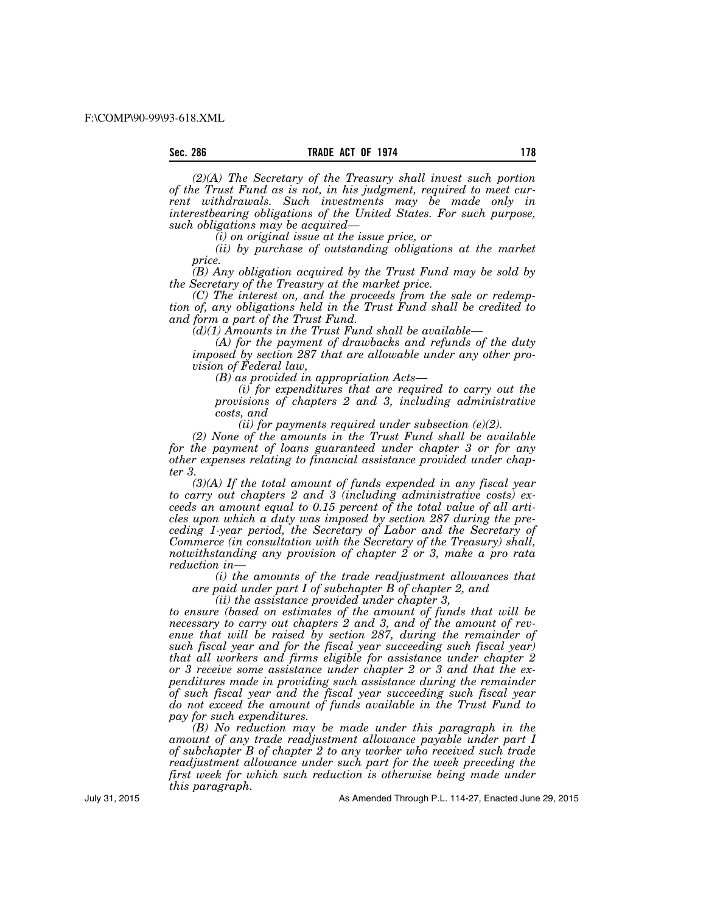*(2)(A) The Secretary of the Treasury shall invest such portion of the Trust Fund as is not, in his judgment, required to meet current withdrawals. Such investments may be made only in interestbearing obligations of the United States. For such purpose, such obligations may be acquired—* 

*(i) on original issue at the issue price, or* 

*(ii) by purchase of outstanding obligations at the market price.* 

*(B) Any obligation acquired by the Trust Fund may be sold by the Secretary of the Treasury at the market price.* 

*(C) The interest on, and the proceeds from the sale or redemption of, any obligations held in the Trust Fund shall be credited to and form a part of the Trust Fund.* 

*(d)(1) Amounts in the Trust Fund shall be available—* 

*(A) for the payment of drawbacks and refunds of the duty imposed by section 287 that are allowable under any other provision of Federal law,* 

*(B) as provided in appropriation Acts—* 

*(i) for expenditures that are required to carry out the provisions of chapters 2 and 3, including administrative costs, and* 

*(ii) for payments required under subsection (e)(2).* 

*(2) None of the amounts in the Trust Fund shall be available for the payment of loans guaranteed under chapter 3 or for any other expenses relating to financial assistance provided under chapter 3.* 

*(3)(A) If the total amount of funds expended in any fiscal year to carry out chapters 2 and 3 (including administrative costs) exceeds an amount equal to 0.15 percent of the total value of all articles upon which a duty was imposed by section 287 during the preceding 1-year period, the Secretary of Labor and the Secretary of Commerce (in consultation with the Secretary of the Treasury) shall, notwithstanding any provision of chapter 2 or 3, make a pro rata reduction in—* 

*(i) the amounts of the trade readjustment allowances that are paid under part I of subchapter B of chapter 2, and* 

*(ii) the assistance provided under chapter 3,* 

*to ensure (based on estimates of the amount of funds that will be necessary to carry out chapters 2 and 3, and of the amount of rev*enue that will be raised by section 287, during the remainder of *such fiscal year and for the fiscal year succeeding such fiscal year) that all workers and firms eligible for assistance under chapter 2 or 3 receive some assistance under chapter 2 or 3 and that the expenditures made in providing such assistance during the remainder of such fiscal year and the fiscal year succeeding such fiscal year do not exceed the amount of funds available in the Trust Fund to pay for such expenditures.* 

*(B) No reduction may be made under this paragraph in the amount of any trade readjustment allowance payable under part I of subchapter B of chapter 2 to any worker who received such trade readjustment allowance under such part for the week preceding the first week for which such reduction is otherwise being made under this paragraph.* 

As Amended Through P.L. 114-27, Enacted June 29, 2015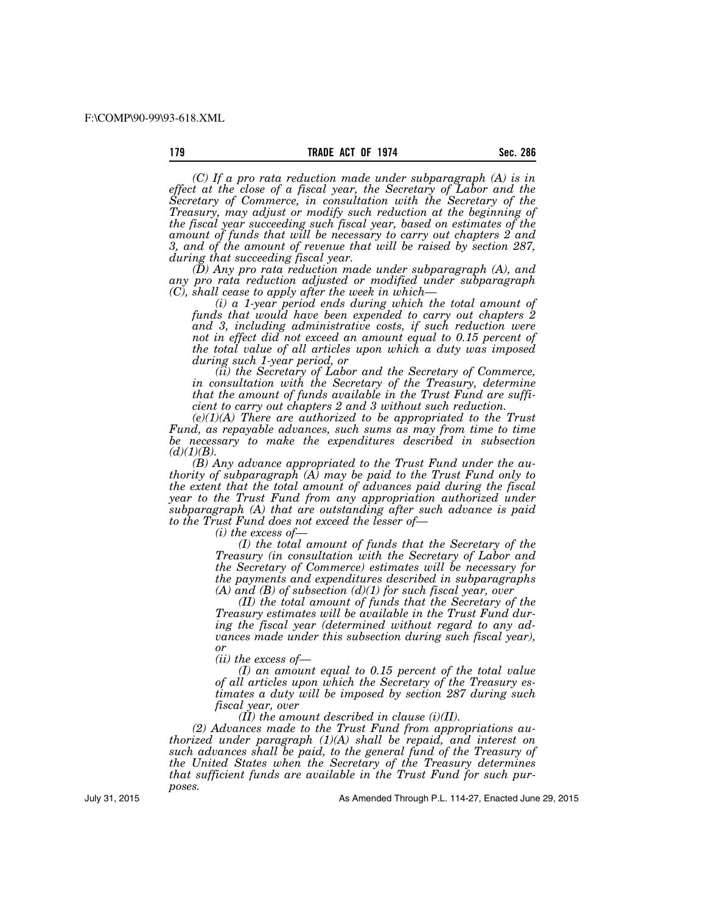*(C) If a pro rata reduction made under subparagraph (A) is in effect at the close of a fiscal year, the Secretary of Labor and the Secretary of Commerce, in consultation with the Secretary of the Treasury, may adjust or modify such reduction at the beginning of the fiscal year succeeding such fiscal year, based on estimates of the amount of funds that will be necessary to carry out chapters 2 and 3, and of the amount of revenue that will be raised by section 287, during that succeeding fiscal year.* 

*(D) Any pro rata reduction made under subparagraph (A), and any pro rata reduction adjusted or modified under subparagraph (C), shall cease to apply after the week in which—* 

*(i) a 1-year period ends during which the total amount of funds that would have been expended to carry out chapters 2 and 3, including administrative costs, if such reduction were*  not in effect did not exceed an amount equal to 0.15 percent of *the total value of all articles upon which a duty was imposed during such 1-year period, or* 

*(ii) the Secretary of Labor and the Secretary of Commerce, in consultation with the Secretary of the Treasury, determine that the amount of funds available in the Trust Fund are sufficient to carry out chapters 2 and 3 without such reduction.* 

*(e)(1)(A) There are authorized to be appropriated to the Trust*  Fund, as repayable advances, such sums as may from time to time *be necessary to make the expenditures described in subsection*   $(d)(1)(B)$ .

*(B) Any advance appropriated to the Trust Fund under the authority of subparagraph (A) may be paid to the Trust Fund only to the extent that the total amount of advances paid during the fiscal year to the Trust Fund from any appropriation authorized under subparagraph (A) that are outstanding after such advance is paid to the Trust Fund does not exceed the lesser of—* 

*(i) the excess of—* 

*(I) the total amount of funds that the Secretary of the Treasury (in consultation with the Secretary of Labor and the Secretary of Commerce) estimates will be necessary for the payments and expenditures described in subparagraphs (A) and (B) of subsection (d)(1) for such fiscal year, over* 

*(II) the total amount of funds that the Secretary of the Treasury estimates will be available in the Trust Fund during the fiscal year (determined without regard to any advances made under this subsection during such fiscal year), or* 

*(ii) the excess of—* 

*(I) an amount equal to 0.15 percent of the total value of all articles upon which the Secretary of the Treasury estimates a duty will be imposed by section 287 during such fiscal year, over* 

*(II) the amount described in clause (i)(II).* 

*(2) Advances made to the Trust Fund from appropriations authorized under paragraph (1)(A) shall be repaid, and interest on such advances shall be paid, to the general fund of the Treasury of the United States when the Secretary of the Treasury determines that sufficient funds are available in the Trust Fund for such purposes.* 

July 31, 2015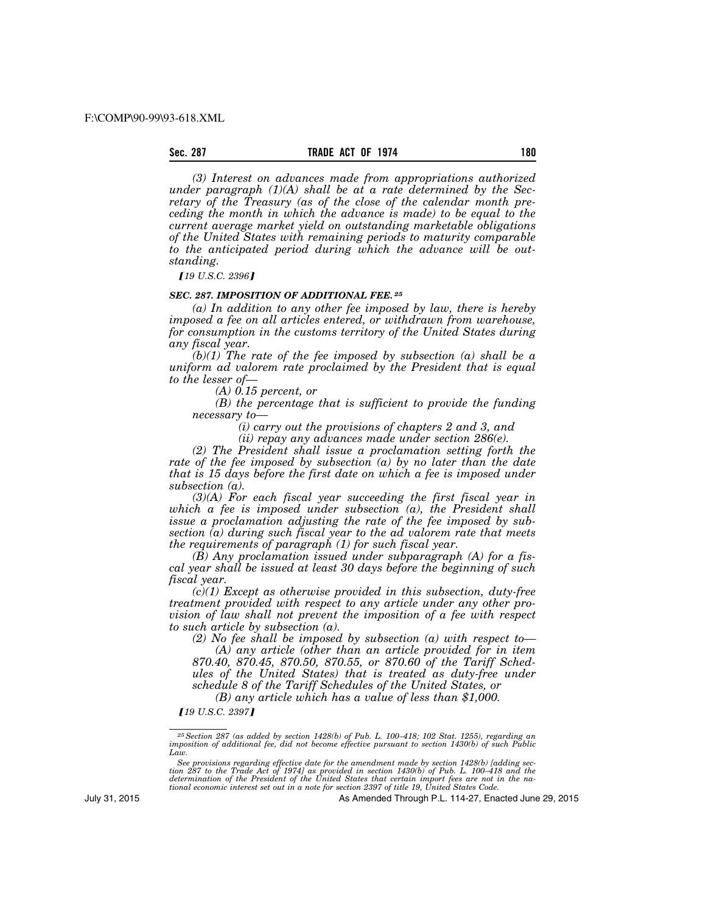*(3) Interest on advances made from appropriations authorized under paragraph (1)(A) shall be at a rate determined by the Secretary of the Treasury (as of the close of the calendar month preceding the month in which the advance is made) to be equal to the current average market yield on outstanding marketable obligations of the United States with remaining periods to maturity comparable to the anticipated period during which the advance will be outstanding.* 

ƒ*19 U.S.C. 2396*≈

## *SEC. 287. IMPOSITION OF ADDITIONAL FEE. 25*

*(a) In addition to any other fee imposed by law, there is hereby imposed a fee on all articles entered, or withdrawn from warehouse, for consumption in the customs territory of the United States during any fiscal year.* 

*(b)(1) The rate of the fee imposed by subsection (a) shall be a uniform ad valorem rate proclaimed by the President that is equal to the lesser of—* 

*(A) 0.15 percent, or* 

*(B) the percentage that is sufficient to provide the funding necessary to—* 

*(i) carry out the provisions of chapters 2 and 3, and* 

*(ii) repay any advances made under section 286(e).* 

*(2) The President shall issue a proclamation setting forth the rate of the fee imposed by subsection (a) by no later than the date that is 15 days before the first date on which a fee is imposed under subsection (a).* 

*(3)(A) For each fiscal year succeeding the first fiscal year in which a fee is imposed under subsection (a), the President shall issue a proclamation adjusting the rate of the fee imposed by subsection (a) during such fiscal year to the ad valorem rate that meets the requirements of paragraph (1) for such fiscal year.* 

*(B) Any proclamation issued under subparagraph (A) for a fiscal year shall be issued at least 30 days before the beginning of such fiscal year.* 

*(c)(1) Except as otherwise provided in this subsection, duty-free treatment provided with respect to any article under any other provision of law shall not prevent the imposition of a fee with respect to such article by subsection (a).* 

*(2) No fee shall be imposed by subsection (a) with respect to—* 

*(A) any article (other than an article provided for in item 870.40, 870.45, 870.50, 870.55, or 870.60 of the Tariff Schedules of the United States) that is treated as duty-free under schedule 8 of the Tariff Schedules of the United States, or* 

*(B) any article which has a value of less than \$1,000.* 

ƒ*19 U.S.C. 2397*≈

As Amended Through P.L. 114-27, Enacted June 29, 2015

*<sup>25</sup>Section 287 (as added by section 1428(b) of Pub. L. 100–418; 102 Stat. 1255), regarding an imposition of additional fee, did not become effective pursuant to section 1430(b) of such Public Law.* 

See provisions regarding effective date for the amendment made by section  $1428(b)$  [adding section 287 to the Trade Act of  $1974$ ] as provided in section  $1430(b)$  of Pub. L.  $100-418$  and the determination of the Presiden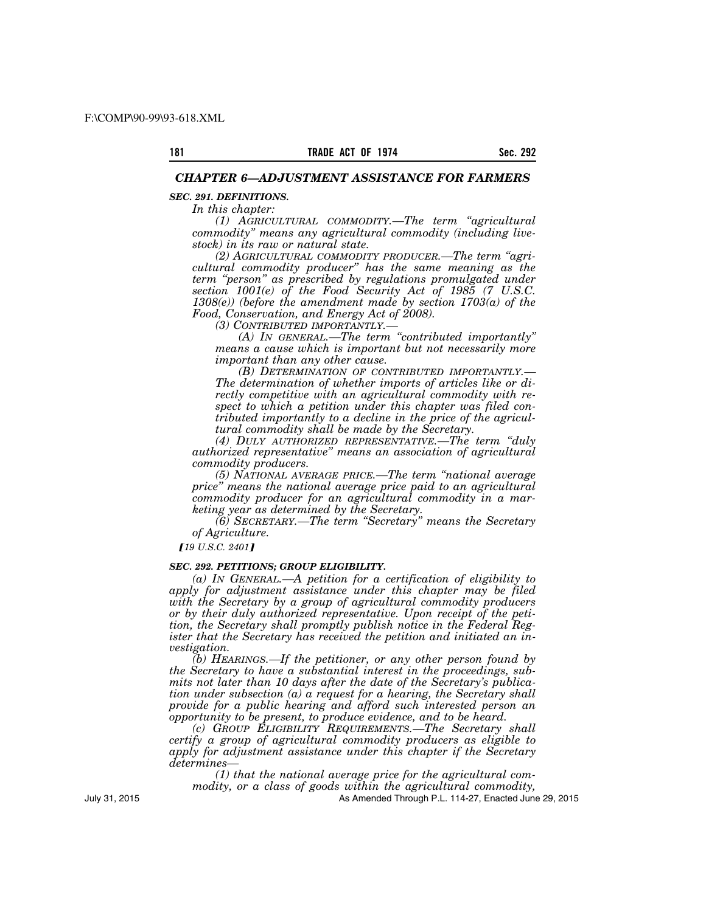#### *CHAPTER 6—ADJUSTMENT ASSISTANCE FOR FARMERS*

### *SEC. 291. DEFINITIONS.*

*In this chapter:* 

*(1) AGRICULTURAL COMMODITY.—The term ''agricultural commodity'' means any agricultural commodity (including livestock) in its raw or natural state.* 

*(2) AGRICULTURAL COMMODITY PRODUCER.—The term ''agricultural commodity producer'' has the same meaning as the term ''person'' as prescribed by regulations promulgated under section 1001(e) of the Food Security Act of 1985 (7 U.S.C. 1308(e)) (before the amendment made by section 1703(a) of the Food, Conservation, and Energy Act of 2008).* 

*(3) CONTRIBUTED IMPORTANTLY.—* 

*(A) IN GENERAL.—The term ''contributed importantly'' means a cause which is important but not necessarily more important than any other cause.* 

*(B) DETERMINATION OF CONTRIBUTED IMPORTANTLY.— The determination of whether imports of articles like or directly competitive with an agricultural commodity with respect to which a petition under this chapter was filed contributed importantly to a decline in the price of the agricultural commodity shall be made by the Secretary.* 

*(4) DULY AUTHORIZED REPRESENTATIVE.—The term ''duly authorized representative'' means an association of agricultural commodity producers.* 

*(5) NATIONAL AVERAGE PRICE.—The term ''national average price'' means the national average price paid to an agricultural commodity producer for an agricultural commodity in a marketing year as determined by the Secretary.* 

*(6) SECRETARY.—The term ''Secretary'' means the Secretary of Agriculture.* 

ƒ*19 U.S.C. 2401*≈

#### *SEC. 292. PETITIONS; GROUP ELIGIBILITY.*

*(a) IN GENERAL.—A petition for a certification of eligibility to apply for adjustment assistance under this chapter may be filed with the Secretary by a group of agricultural commodity producers or by their duly authorized representative. Upon receipt of the petition, the Secretary shall promptly publish notice in the Federal Register that the Secretary has received the petition and initiated an investigation.* 

*(b) HEARINGS.—If the petitioner, or any other person found by the Secretary to have a substantial interest in the proceedings, submits not later than 10 days after the date of the Secretary's publication under subsection (a) a request for a hearing, the Secretary shall provide for a public hearing and afford such interested person an opportunity to be present, to produce evidence, and to be heard.* 

*(c) GROUP ELIGIBILITY REQUIREMENTS.—The Secretary shall certify a group of agricultural commodity producers as eligible to apply for adjustment assistance under this chapter if the Secretary determines—* 

*(1) that the national average price for the agricultural com-*

*modity, or a class of goods within the agricultural commodity,* 

As Amended Through P.L. 114-27, Enacted June 29, 2015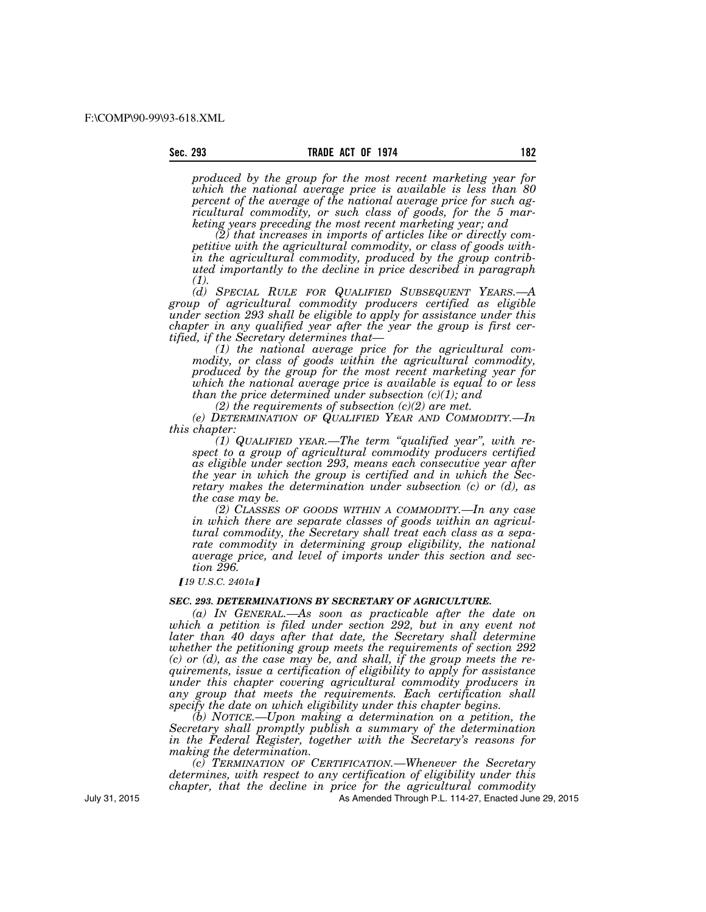*produced by the group for the most recent marketing year for which the national average price is available is less than 80 percent of the average of the national average price for such agricultural commodity, or such class of goods, for the 5 marketing years preceding the most recent marketing year; and* 

*(2) that increases in imports of articles like or directly competitive with the agricultural commodity, or class of goods within the agricultural commodity, produced by the group contributed importantly to the decline in price described in paragraph (1).* 

*(d) SPECIAL RULE FOR QUALIFIED SUBSEQUENT YEARS.—A group of agricultural commodity producers certified as eligible under section 293 shall be eligible to apply for assistance under this chapter in any qualified year after the year the group is first certified, if the Secretary determines that—* 

*(1) the national average price for the agricultural commodity, or class of goods within the agricultural commodity, produced by the group for the most recent marketing year for which the national average price is available is equal to or less than the price determined under subsection (c)(1); and* 

*(2) the requirements of subsection (c)(2) are met.* 

*(e) DETERMINATION OF QUALIFIED YEAR AND COMMODITY.—In this chapter:* 

*(1) QUALIFIED YEAR.—The term ''qualified year'', with respect to a group of agricultural commodity producers certified as eligible under section 293, means each consecutive year after the year in which the group is certified and in which the Secretary makes the determination under subsection (c) or (d), as the case may be.* 

*(2) CLASSES OF GOODS WITHIN A COMMODITY.—In any case in which there are separate classes of goods within an agricultural commodity, the Secretary shall treat each class as a separate commodity in determining group eligibility, the national average price, and level of imports under this section and section 296.* 

ƒ*19 U.S.C. 2401a*≈

#### *SEC. 293. DETERMINATIONS BY SECRETARY OF AGRICULTURE.*

*(a) IN GENERAL.—As soon as practicable after the date on which a petition is filed under section 292, but in any event not*  later than 40 days after that date, the Secretary shall determine *whether the petitioning group meets the requirements of section 292 (c) or (d), as the case may be, and shall, if the group meets the requirements, issue a certification of eligibility to apply for assistance under this chapter covering agricultural commodity producers in any group that meets the requirements. Each certification shall specify the date on which eligibility under this chapter begins.* 

*(b) NOTICE.—Upon making a determination on a petition, the Secretary shall promptly publish a summary of the determination in the Federal Register, together with the Secretary's reasons for making the determination.* 

*(c) TERMINATION OF CERTIFICATION.—Whenever the Secretary determines, with respect to any certification of eligibility under this chapter, that the decline in price for the agricultural commodity* 

As Amended Through P.L. 114-27, Enacted June 29, 2015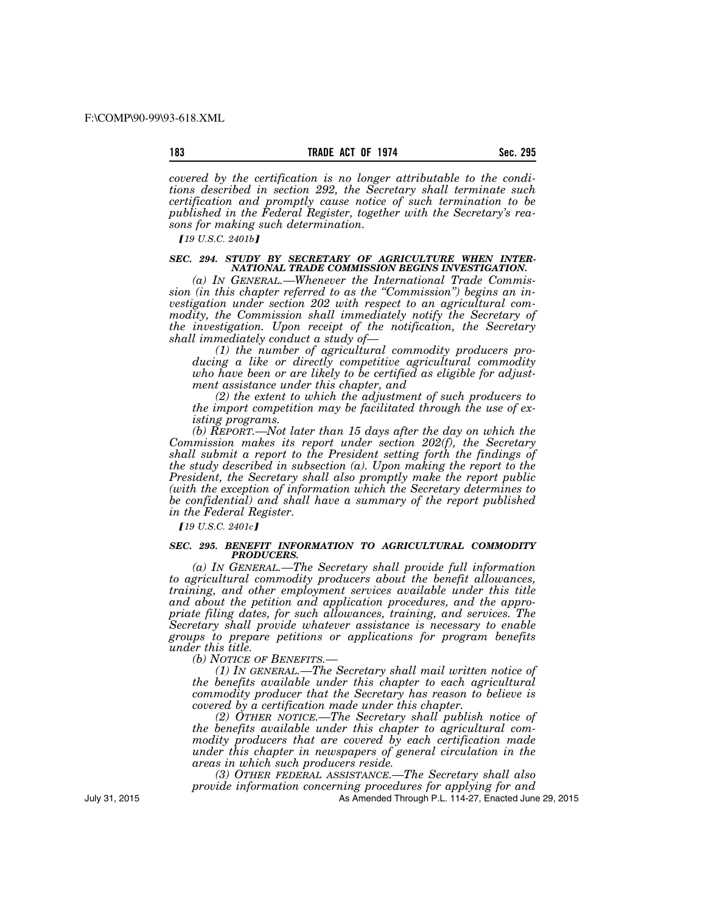*covered by the certification is no longer attributable to the conditions described in section 292, the Secretary shall terminate such certification and promptly cause notice of such termination to be published in the Federal Register, together with the Secretary's reasons for making such determination.* 

ƒ*19 U.S.C. 2401b*≈

#### *SEC. 294. STUDY BY SECRETARY OF AGRICULTURE WHEN INTER-NATIONAL TRADE COMMISSION BEGINS INVESTIGATION.*

*(a) IN GENERAL.—Whenever the International Trade Commission (in this chapter referred to as the ''Commission'') begins an investigation under section 202 with respect to an agricultural commodity, the Commission shall immediately notify the Secretary of the investigation. Upon receipt of the notification, the Secretary shall immediately conduct a study of—* 

*(1) the number of agricultural commodity producers producing a like or directly competitive agricultural commodity who have been or are likely to be certified as eligible for adjustment assistance under this chapter, and* 

*(2) the extent to which the adjustment of such producers to the import competition may be facilitated through the use of existing programs.* 

*(b) REPORT.—Not later than 15 days after the day on which the Commission makes its report under section 202(f), the Secretary shall submit a report to the President setting forth the findings of the study described in subsection (a). Upon making the report to the President, the Secretary shall also promptly make the report public (with the exception of information which the Secretary determines to be confidential) and shall have a summary of the report published in the Federal Register.* 

ƒ*19 U.S.C. 2401c*≈

#### *SEC. 295. BENEFIT INFORMATION TO AGRICULTURAL COMMODITY PRODUCERS.*

*(a) IN GENERAL.—The Secretary shall provide full information to agricultural commodity producers about the benefit allowances, training, and other employment services available under this title and about the petition and application procedures, and the appropriate filing dates, for such allowances, training, and services. The Secretary shall provide whatever assistance is necessary to enable groups to prepare petitions or applications for program benefits under this title.* 

*(b) NOTICE OF BENEFITS.—* 

*(1) IN GENERAL.—The Secretary shall mail written notice of the benefits available under this chapter to each agricultural commodity producer that the Secretary has reason to believe is covered by a certification made under this chapter.* 

*(2) OTHER NOTICE.—The Secretary shall publish notice of the benefits available under this chapter to agricultural commodity producers that are covered by each certification made under this chapter in newspapers of general circulation in the areas in which such producers reside.* 

*(3) OTHER FEDERAL ASSISTANCE.—The Secretary shall also provide information concerning procedures for applying for and*  As Amended Through P.L. 114-27, Enacted June 29, 2015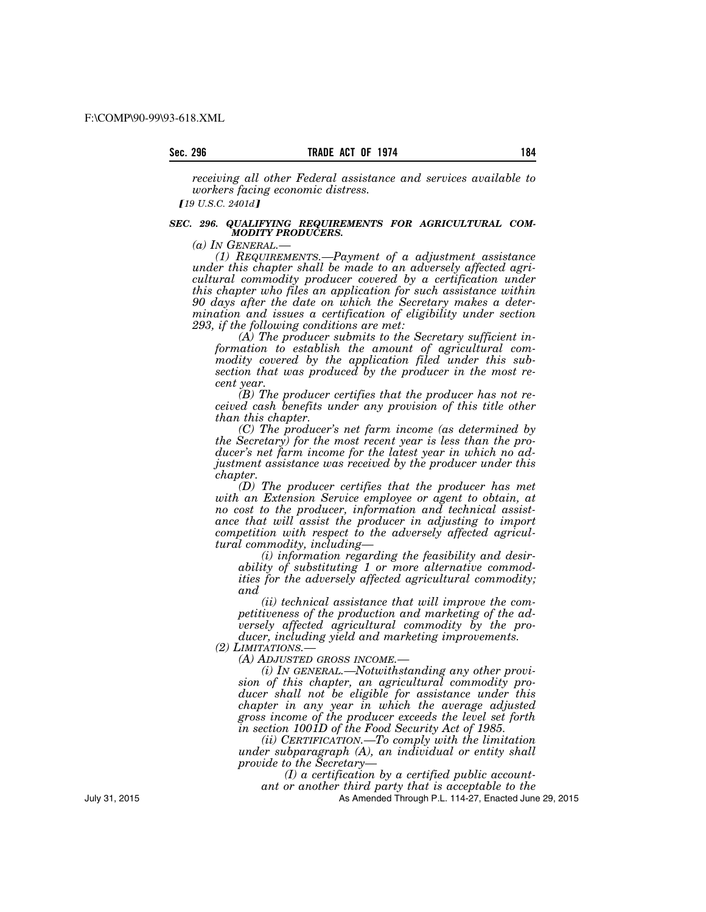*receiving all other Federal assistance and services available to workers facing economic distress.* 

ƒ*19 U.S.C. 2401d*≈

### *SEC. 296. QUALIFYING REQUIREMENTS FOR AGRICULTURAL COM-MODITY PRODUCERS.*

*(a) IN GENERAL.— (1) REQUIREMENTS.—Payment of a adjustment assistance under this chapter shall be made to an adversely affected agricultural commodity producer covered by a certification under this chapter who files an application for such assistance within 90 days after the date on which the Secretary makes a determination and issues a certification of eligibility under section 293, if the following conditions are met:* 

*(A) The producer submits to the Secretary sufficient information to establish the amount of agricultural commodity covered by the application filed under this subsection that was produced by the producer in the most recent year.* 

*(B) The producer certifies that the producer has not received cash benefits under any provision of this title other than this chapter.* 

*(C) The producer's net farm income (as determined by the Secretary) for the most recent year is less than the producer's net farm income for the latest year in which no adjustment assistance was received by the producer under this chapter.* 

*(D) The producer certifies that the producer has met with an Extension Service employee or agent to obtain, at no cost to the producer, information and technical assistance that will assist the producer in adjusting to import competition with respect to the adversely affected agricultural commodity, including—* 

*(i) information regarding the feasibility and desirability of substituting 1 or more alternative commodities for the adversely affected agricultural commodity; and* 

*(ii) technical assistance that will improve the competitiveness of the production and marketing of the adversely affected agricultural commodity by the producer, including yield and marketing improvements.* 

*(2) LIMITATIONS.—* 

*(A) ADJUSTED GROSS INCOME.—* 

*(i) IN GENERAL.—Notwithstanding any other provision of this chapter, an agricultural commodity producer shall not be eligible for assistance under this chapter in any year in which the average adjusted gross income of the producer exceeds the level set forth in section 1001D of the Food Security Act of 1985.* 

*(ii) CERTIFICATION.—To comply with the limitation under subparagraph (A), an individual or entity shall provide to the Secretary—* 

*(I) a certification by a certified public account-*

*ant or another third party that is acceptable to the*  As Amended Through P.L. 114-27, Enacted June 29, 2015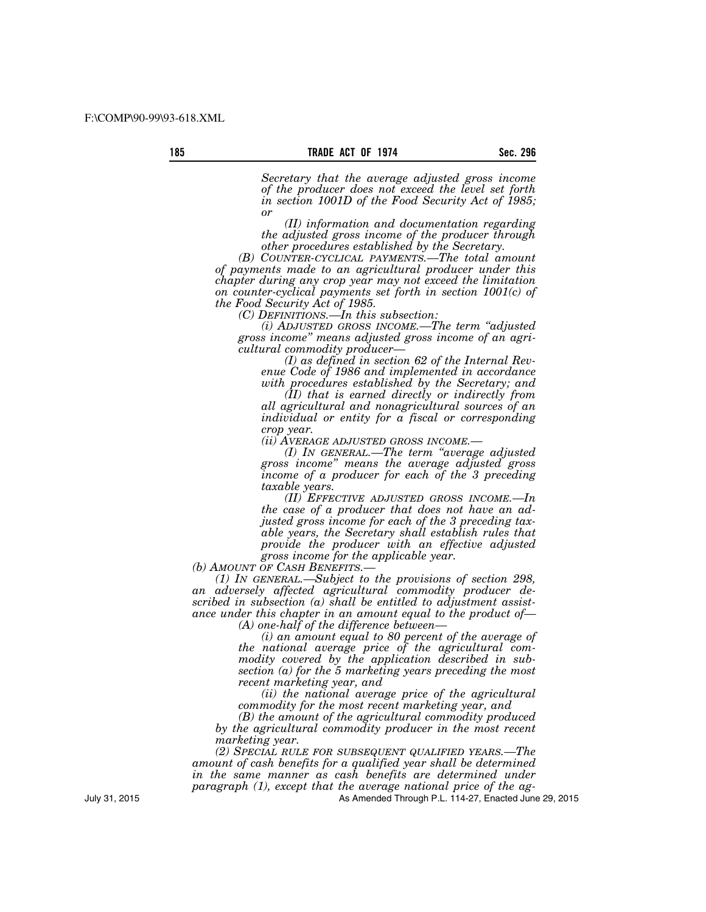*Secretary that the average adjusted gross income of the producer does not exceed the level set forth in section 1001D of the Food Security Act of 1985; or* 

*(II) information and documentation regarding the adjusted gross income of the producer through other procedures established by the Secretary.* 

*(B) COUNTER-CYCLICAL PAYMENTS.—The total amount of payments made to an agricultural producer under this chapter during any crop year may not exceed the limitation on counter-cyclical payments set forth in section 1001(c) of the Food Security Act of 1985.* 

*(C) DEFINITIONS.—In this subsection:* 

*(i) ADJUSTED GROSS INCOME.—The term ''adjusted gross income'' means adjusted gross income of an agricultural commodity producer—* 

*(I) as defined in section 62 of the Internal Revenue Code of 1986 and implemented in accordance with procedures established by the Secretary; and* 

*(II) that is earned directly or indirectly from all agricultural and nonagricultural sources of an individual or entity for a fiscal or corresponding crop year.* 

*(ii) AVERAGE ADJUSTED GROSS INCOME.— (I) IN GENERAL.—The term ''average adjusted gross income'' means the average adjusted gross income of a producer for each of the 3 preceding taxable years.* 

*(II) EFFECTIVE ADJUSTED GROSS INCOME.—In the case of a producer that does not have an adjusted gross income for each of the 3 preceding taxable years, the Secretary shall establish rules that provide the producer with an effective adjusted gross income for the applicable year.* 

*(b) AMOUNT OF CASH BENEFITS.—* 

*(1) IN GENERAL.—Subject to the provisions of section 298, an adversely affected agricultural commodity producer described in subsection (a) shall be entitled to adjustment assistance under this chapter in an amount equal to the product of— (A) one-half of the difference between—* 

*(i) an amount equal to 80 percent of the average of the national average price of the agricultural commodity covered by the application described in subsection (a) for the 5 marketing years preceding the most recent marketing year, and* 

*(ii) the national average price of the agricultural commodity for the most recent marketing year, and* 

*(B) the amount of the agricultural commodity produced by the agricultural commodity producer in the most recent marketing year.* 

*(2) SPECIAL RULE FOR SUBSEQUENT QUALIFIED YEARS.—The amount of cash benefits for a qualified year shall be determined in the same manner as cash benefits are determined under paragraph (1), except that the average national price of the ag-*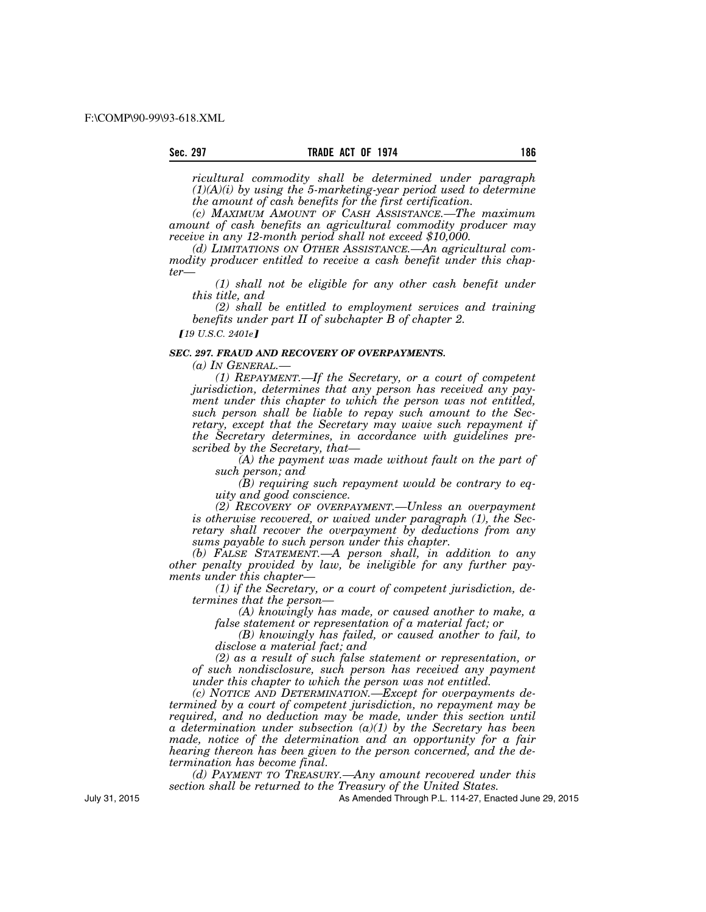*ricultural commodity shall be determined under paragraph (1)(A)(i) by using the 5-marketing-year period used to determine the amount of cash benefits for the first certification.* 

*(c) MAXIMUM AMOUNT OF CASH ASSISTANCE.—The maximum amount of cash benefits an agricultural commodity producer may receive in any 12-month period shall not exceed \$10,000.* 

*(d) LIMITATIONS ON OTHER ASSISTANCE.—An agricultural commodity producer entitled to receive a cash benefit under this chapter—* 

*(1) shall not be eligible for any other cash benefit under this title, and* 

*(2) shall be entitled to employment services and training benefits under part II of subchapter B of chapter 2.* 

ƒ*19 U.S.C. 2401e*≈

#### *SEC. 297. FRAUD AND RECOVERY OF OVERPAYMENTS.*

*(a) IN GENERAL.—* 

*(1) REPAYMENT.—If the Secretary, or a court of competent jurisdiction, determines that any person has received any payment under this chapter to which the person was not entitled, such person shall be liable to repay such amount to the Secretary, except that the Secretary may waive such repayment if the Secretary determines, in accordance with guidelines prescribed by the Secretary, that—* 

*(A) the payment was made without fault on the part of such person; and* 

*(B) requiring such repayment would be contrary to equity and good conscience.* 

*(2) RECOVERY OF OVERPAYMENT.—Unless an overpayment is otherwise recovered, or waived under paragraph (1), the Secretary shall recover the overpayment by deductions from any sums payable to such person under this chapter.* 

*(b) FALSE STATEMENT.—A person shall, in addition to any other penalty provided by law, be ineligible for any further payments under this chapter—* 

*(1) if the Secretary, or a court of competent jurisdiction, determines that the person—* 

*(A) knowingly has made, or caused another to make, a false statement or representation of a material fact; or* 

*(B) knowingly has failed, or caused another to fail, to disclose a material fact; and* 

*(2) as a result of such false statement or representation, or of such nondisclosure, such person has received any payment under this chapter to which the person was not entitled.* 

*(c) NOTICE AND DETERMINATION.—Except for overpayments determined by a court of competent jurisdiction, no repayment may be required, and no deduction may be made, under this section until a determination under subsection (a)(1) by the Secretary has been made, notice of the determination and an opportunity for a fair hearing thereon has been given to the person concerned, and the determination has become final.* 

*(d) PAYMENT TO TREASURY.—Any amount recovered under this section shall be returned to the Treasury of the United States.* 

As Amended Through P.L. 114-27, Enacted June 29, 2015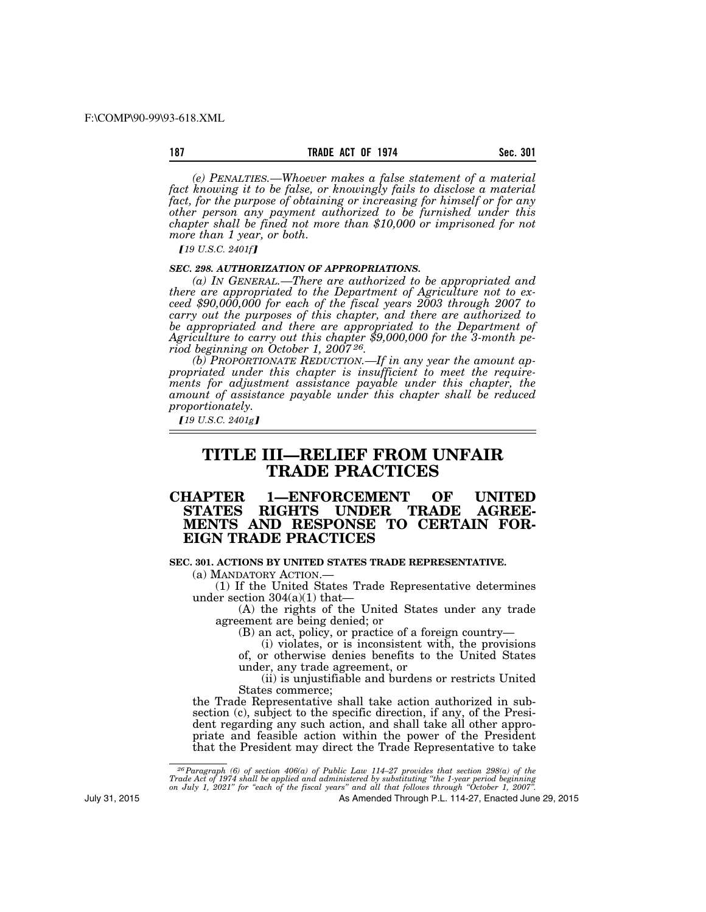#### **187 Sec. 301 Sec. 301 Sec. 301 Sec. 301 Sec. 301**

*(e) PENALTIES.—Whoever makes a false statement of a material*  fact knowing it to be false, or knowingly fails to disclose a material *fact, for the purpose of obtaining or increasing for himself or for any other person any payment authorized to be furnished under this chapter shall be fined not more than \$10,000 or imprisoned for not more than 1 year, or both.* 

ƒ*19 U.S.C. 2401f*≈

### *SEC. 298. AUTHORIZATION OF APPROPRIATIONS.*

*(a) IN GENERAL.—There are authorized to be appropriated and there are appropriated to the Department of Agriculture not to exceed \$90,000,000 for each of the fiscal years 2003 through 2007 to carry out the purposes of this chapter, and there are authorized to be appropriated and there are appropriated to the Department of Agriculture to carry out this chapter \$9,000,000 for the 3-month pe-*

*(b) PROPORTIONATE REDUCTION.—If in any year the amount appropriated under this chapter is insufficient to meet the requirements for adjustment assistance payable under this chapter, the amount of assistance payable under this chapter shall be reduced proportionately.* 

ƒ*19 U.S.C. 2401g*≈

# **TITLE III—RELIEF FROM UNFAIR TRADE PRACTICES**

## **CHAPTER 1—ENFORCEMENT OF UNITED STATES RIGHTS UNDER TRADE AGREE-MENTS AND RESPONSE TO CERTAIN FOR-EIGN TRADE PRACTICES**

#### **SEC. 301. ACTIONS BY UNITED STATES TRADE REPRESENTATIVE.**

(a) MANDATORY ACTION.—

(1) If the United States Trade Representative determines under section 304(a)(1) that—

(A) the rights of the United States under any trade agreement are being denied; or

(B) an act, policy, or practice of a foreign country—

(i) violates, or is inconsistent with, the provisions of, or otherwise denies benefits to the United States

under, any trade agreement, or

(ii) is unjustifiable and burdens or restricts United States commerce;

the Trade Representative shall take action authorized in subsection (c), subject to the specific direction, if any, of the President regarding any such action, and shall take all other appropriate and feasible action within the power of the President that the President may direct the Trade Representative to take

As Amended Through P.L. 114-27, Enacted June 29, 2015

<sup>&</sup>lt;sup>26</sup> Paragraph (6) of section  $406(a)$  of Public Law 114–27 provides that section  $298(a)$  of the Trade Act of 1974 shall be applied and administered by substituting "the 1-year period beginning on July 1, 2021" for "each o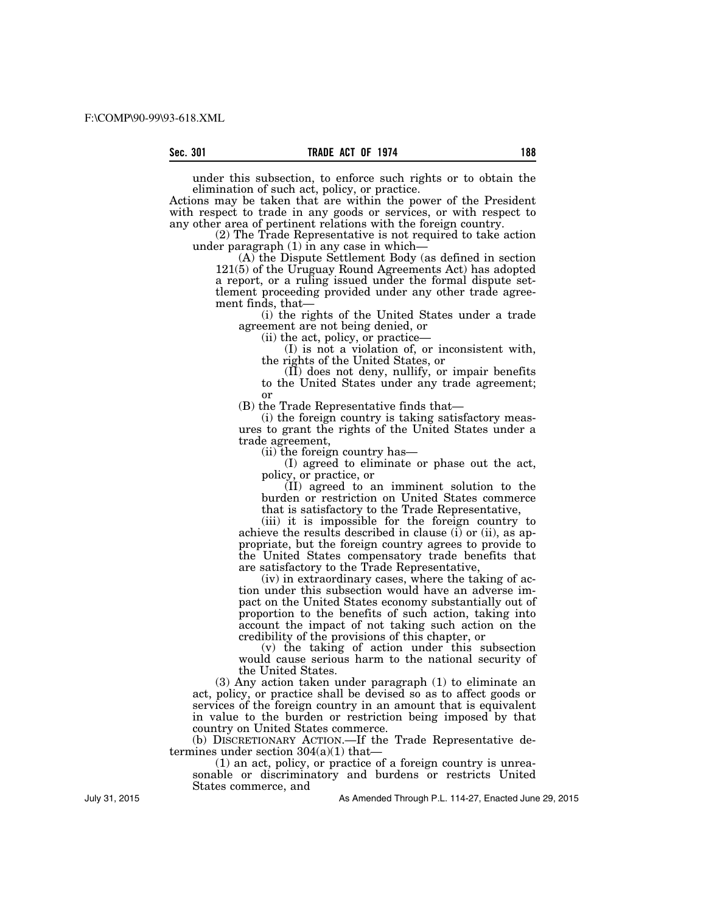under this subsection, to enforce such rights or to obtain the elimination of such act, policy, or practice.

Actions may be taken that are within the power of the President with respect to trade in any goods or services, or with respect to any other area of pertinent relations with the foreign country.

(2) The Trade Representative is not required to take action under paragraph (1) in any case in which—

(A) the Dispute Settlement Body (as defined in section 121(5) of the Uruguay Round Agreements Act) has adopted a report, or a ruling issued under the formal dispute settlement proceeding provided under any other trade agreement finds, that—

(i) the rights of the United States under a trade agreement are not being denied, or

(ii) the act, policy, or practice—

(I) is not a violation of, or inconsistent with, the rights of the United States, or

(II) does not deny, nullify, or impair benefits to the United States under any trade agreement; or

(B) the Trade Representative finds that—

(i) the foreign country is taking satisfactory measures to grant the rights of the United States under a trade agreement,

(ii) the foreign country has—

(I) agreed to eliminate or phase out the act, policy, or practice, or

(II) agreed to an imminent solution to the burden or restriction on United States commerce that is satisfactory to the Trade Representative,

(iii) it is impossible for the foreign country to achieve the results described in clause (i) or (ii), as appropriate, but the foreign country agrees to provide to the United States compensatory trade benefits that are satisfactory to the Trade Representative,

(iv) in extraordinary cases, where the taking of action under this subsection would have an adverse impact on the United States economy substantially out of proportion to the benefits of such action, taking into account the impact of not taking such action on the credibility of the provisions of this chapter, or

(v) the taking of action under this subsection would cause serious harm to the national security of the United States.

(3) Any action taken under paragraph (1) to eliminate an act, policy, or practice shall be devised so as to affect goods or services of the foreign country in an amount that is equivalent in value to the burden or restriction being imposed by that country on United States commerce.

(b) DISCRETIONARY ACTION.—If the Trade Representative determines under section  $304(a)(1)$  that-

(1) an act, policy, or practice of a foreign country is unreasonable or discriminatory and burdens or restricts United States commerce, and

As Amended Through P.L. 114-27, Enacted June 29, 2015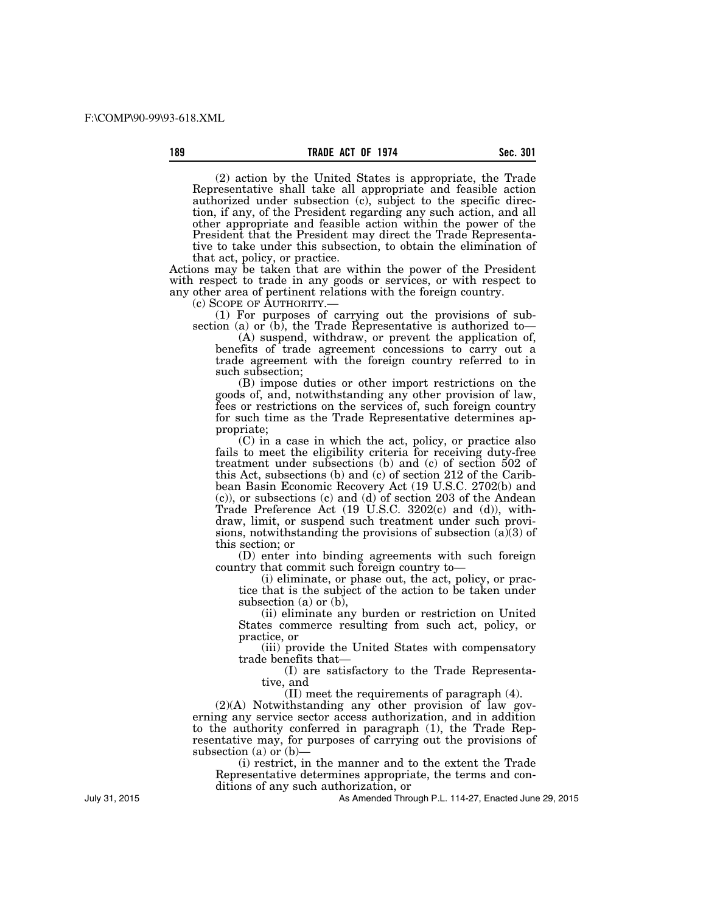(2) action by the United States is appropriate, the Trade Representative shall take all appropriate and feasible action authorized under subsection (c), subject to the specific direction, if any, of the President regarding any such action, and all other appropriate and feasible action within the power of the President that the President may direct the Trade Representative to take under this subsection, to obtain the elimination of that act, policy, or practice.

Actions may be taken that are within the power of the President with respect to trade in any goods or services, or with respect to any other area of pertinent relations with the foreign country.<br>
(c) SCOPE OF AUTHORITY.—

(1) For purposes of carrying out the provisions of subsection (a) or  $(b)$ , the Trade Representative is authorized to-

(A) suspend, withdraw, or prevent the application of, benefits of trade agreement concessions to carry out a trade agreement with the foreign country referred to in such subsection;

(B) impose duties or other import restrictions on the goods of, and, notwithstanding any other provision of law, fees or restrictions on the services of, such foreign country for such time as the Trade Representative determines appropriate;

(C) in a case in which the act, policy, or practice also fails to meet the eligibility criteria for receiving duty-free treatment under subsections (b) and (c) of section 502 of this Act, subsections (b) and (c) of section 212 of the Caribbean Basin Economic Recovery Act (19 U.S.C. 2702(b) and (c)), or subsections (c) and (d) of section 203 of the Andean Trade Preference Act (19 U.S.C. 3202(c) and (d)), withdraw, limit, or suspend such treatment under such provisions, notwithstanding the provisions of subsection  $(a)(3)$  of this section; or

(D) enter into binding agreements with such foreign country that commit such foreign country to—

(i) eliminate, or phase out, the act, policy, or practice that is the subject of the action to be taken under subsection (a) or (b),

(ii) eliminate any burden or restriction on United States commerce resulting from such act, policy, or practice, or

(iii) provide the United States with compensatory trade benefits that—

(I) are satisfactory to the Trade Representative, and

(II) meet the requirements of paragraph (4).

(2)(A) Notwithstanding any other provision of law governing any service sector access authorization, and in addition to the authority conferred in paragraph (1), the Trade Representative may, for purposes of carrying out the provisions of subsection (a) or (b)—

(i) restrict, in the manner and to the extent the Trade Representative determines appropriate, the terms and conditions of any such authorization, or

As Amended Through P.L. 114-27, Enacted June 29, 2015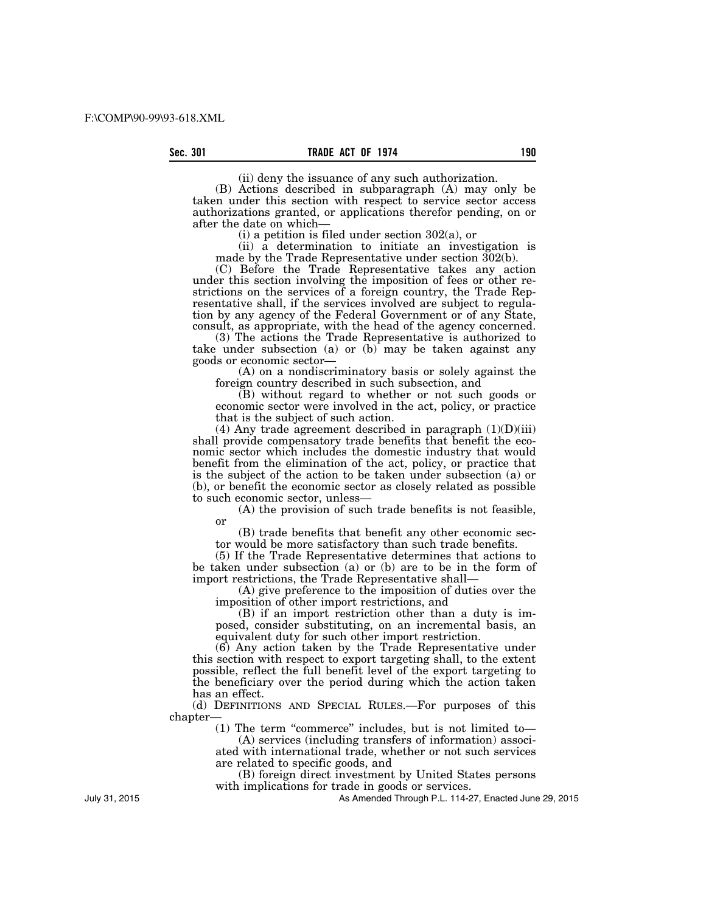(ii) deny the issuance of any such authorization.

(B) Actions described in subparagraph (A) may only be taken under this section with respect to service sector access authorizations granted, or applications therefor pending, on or after the date on which—

(i) a petition is filed under section 302(a), or

(ii) a determination to initiate an investigation is made by the Trade Representative under section 302(b).

(C) Before the Trade Representative takes any action under this section involving the imposition of fees or other restrictions on the services of a foreign country, the Trade Representative shall, if the services involved are subject to regulation by any agency of the Federal Government or of any State, consult, as appropriate, with the head of the agency concerned.

(3) The actions the Trade Representative is authorized to take under subsection (a) or (b) may be taken against any goods or economic sector—

(A) on a nondiscriminatory basis or solely against the foreign country described in such subsection, and

(B) without regard to whether or not such goods or economic sector were involved in the act, policy, or practice that is the subject of such action.

(4) Any trade agreement described in paragraph (1)(D)(iii) shall provide compensatory trade benefits that benefit the economic sector which includes the domestic industry that would benefit from the elimination of the act, policy, or practice that is the subject of the action to be taken under subsection (a) or (b), or benefit the economic sector as closely related as possible to such economic sector, unless—

(A) the provision of such trade benefits is not feasible, or

(B) trade benefits that benefit any other economic sector would be more satisfactory than such trade benefits.

(5) If the Trade Representative determines that actions to be taken under subsection (a) or (b) are to be in the form of import restrictions, the Trade Representative shall—

(A) give preference to the imposition of duties over the imposition of other import restrictions, and

(B) if an import restriction other than a duty is imposed, consider substituting, on an incremental basis, an equivalent duty for such other import restriction.

(6) Any action taken by the Trade Representative under this section with respect to export targeting shall, to the extent possible, reflect the full benefit level of the export targeting to the beneficiary over the period during which the action taken has an effect.

(d) DEFINITIONS AND SPECIAL RULES.—For purposes of this chapter—

(1) The term ''commerce'' includes, but is not limited to—

(A) services (including transfers of information) associated with international trade, whether or not such services are related to specific goods, and

(B) foreign direct investment by United States persons with implications for trade in goods or services.

As Amended Through P.L. 114-27, Enacted June 29, 2015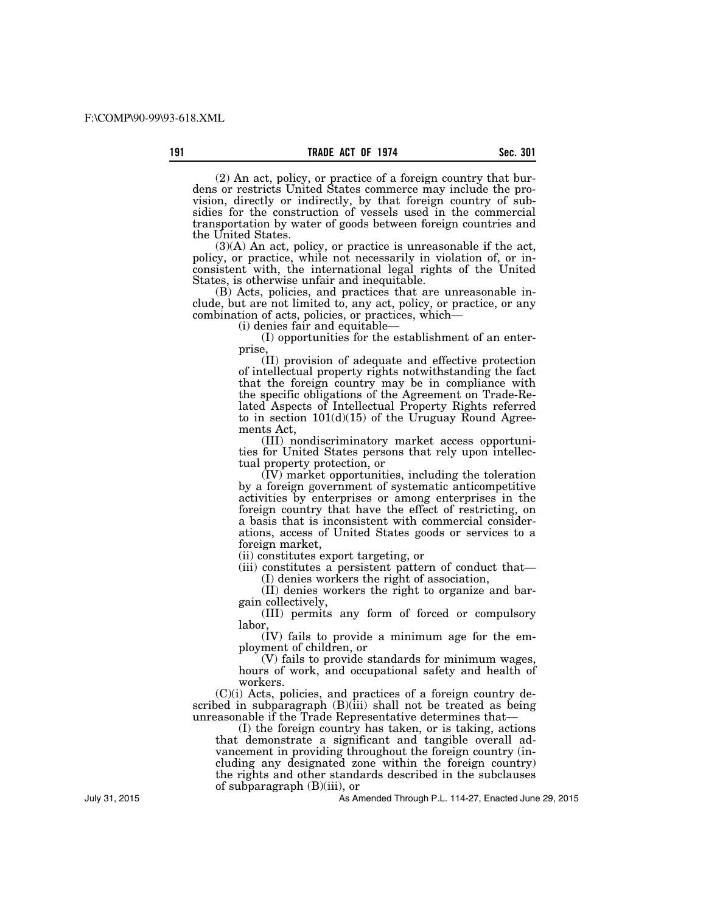(2) An act, policy, or practice of a foreign country that burdens or restricts United States commerce may include the provision, directly or indirectly, by that foreign country of subsidies for the construction of vessels used in the commercial transportation by water of goods between foreign countries and the United States.

(3)(A) An act, policy, or practice is unreasonable if the act, policy, or practice, while not necessarily in violation of, or inconsistent with, the international legal rights of the United States, is otherwise unfair and inequitable.

(B) Acts, policies, and practices that are unreasonable include, but are not limited to, any act, policy, or practice, or any combination of acts, policies, or practices, which—

(i) denies fair and equitable—

(I) opportunities for the establishment of an enterprise,

(II) provision of adequate and effective protection of intellectual property rights notwithstanding the fact that the foreign country may be in compliance with the specific obligations of the Agreement on Trade-Related Aspects of Intellectual Property Rights referred to in section  $101(d)(15)$  of the Uruguay Round Agreements Act,

(III) nondiscriminatory market access opportunities for United States persons that rely upon intellectual property protection, or

(IV) market opportunities, including the toleration by a foreign government of systematic anticompetitive activities by enterprises or among enterprises in the foreign country that have the effect of restricting, on a basis that is inconsistent with commercial considerations, access of United States goods or services to a foreign market,

(ii) constitutes export targeting, or

(iii) constitutes a persistent pattern of conduct that— (I) denies workers the right of association,

(II) denies workers the right to organize and bargain collectively,

(III) permits any form of forced or compulsory labor

(IV) fails to provide a minimum age for the employment of children, or

(V) fails to provide standards for minimum wages, hours of work, and occupational safety and health of workers.

(C)(i) Acts, policies, and practices of a foreign country described in subparagraph  $(B)(iii)$  shall not be treated as being unreasonable if the Trade Representative determines that—

(I) the foreign country has taken, or is taking, actions that demonstrate a significant and tangible overall advancement in providing throughout the foreign country (including any designated zone within the foreign country) the rights and other standards described in the subclauses of subparagraph (B)(iii), or

As Amended Through P.L. 114-27, Enacted June 29, 2015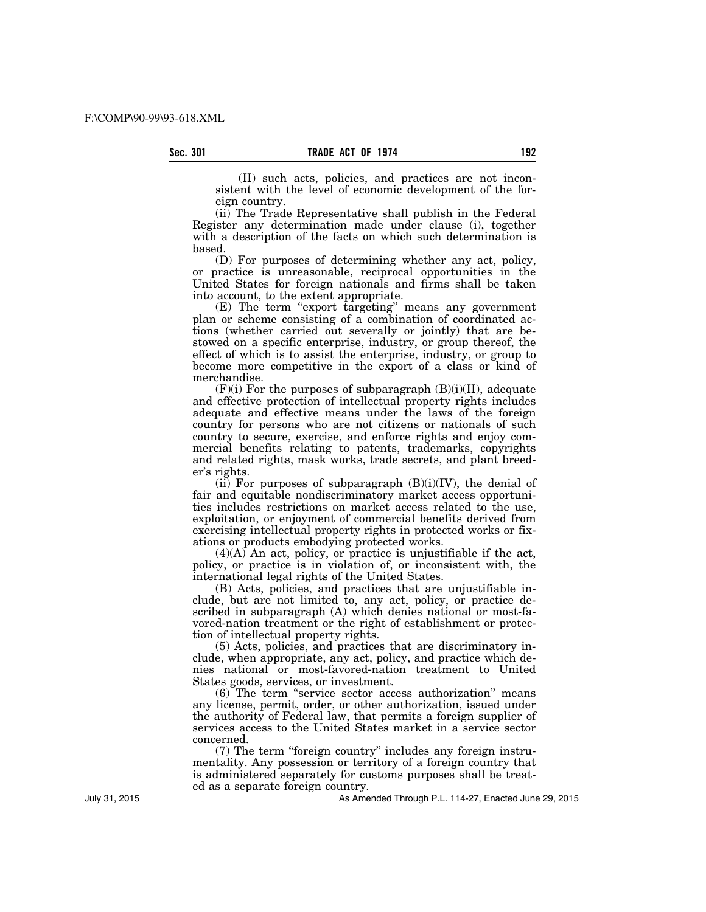(II) such acts, policies, and practices are not inconsistent with the level of economic development of the foreign country.

(ii) The Trade Representative shall publish in the Federal Register any determination made under clause (i), together with a description of the facts on which such determination is based.

(D) For purposes of determining whether any act, policy, or practice is unreasonable, reciprocal opportunities in the United States for foreign nationals and firms shall be taken into account, to the extent appropriate.

(E) The term ''export targeting'' means any government plan or scheme consisting of a combination of coordinated actions (whether carried out severally or jointly) that are bestowed on a specific enterprise, industry, or group thereof, the effect of which is to assist the enterprise, industry, or group to become more competitive in the export of a class or kind of merchandise.

 $(F)(i)$  For the purposes of subparagraph  $(B)(i)(II)$ , adequate and effective protection of intellectual property rights includes adequate and effective means under the laws of the foreign country for persons who are not citizens or nationals of such country to secure, exercise, and enforce rights and enjoy commercial benefits relating to patents, trademarks, copyrights and related rights, mask works, trade secrets, and plant breeder's rights.

(ii) For purposes of subparagraph  $(B)(i)(IV)$ , the denial of fair and equitable nondiscriminatory market access opportunities includes restrictions on market access related to the use, exploitation, or enjoyment of commercial benefits derived from exercising intellectual property rights in protected works or fixations or products embodying protected works.

(4)(A) An act, policy, or practice is unjustifiable if the act, policy, or practice is in violation of, or inconsistent with, the international legal rights of the United States.

(B) Acts, policies, and practices that are unjustifiable include, but are not limited to, any act, policy, or practice described in subparagraph (A) which denies national or most-favored-nation treatment or the right of establishment or protection of intellectual property rights.

(5) Acts, policies, and practices that are discriminatory include, when appropriate, any act, policy, and practice which denies national or most-favored-nation treatment to United States goods, services, or investment.

(6) The term ''service sector access authorization'' means any license, permit, order, or other authorization, issued under the authority of Federal law, that permits a foreign supplier of services access to the United States market in a service sector concerned.

(7) The term ''foreign country'' includes any foreign instrumentality. Any possession or territory of a foreign country that is administered separately for customs purposes shall be treated as a separate foreign country.

As Amended Through P.L. 114-27, Enacted June 29, 2015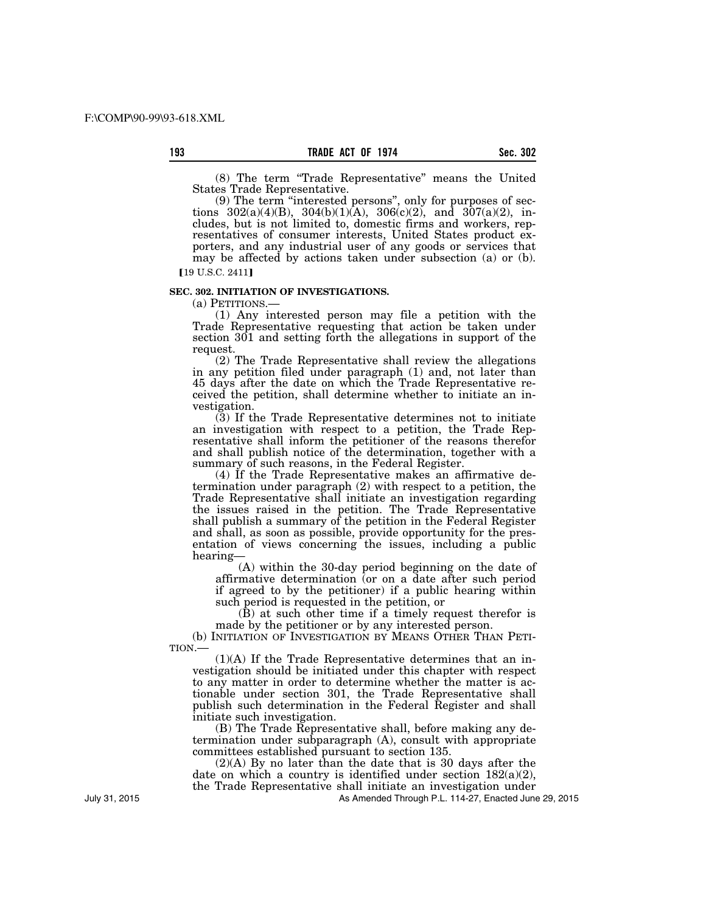(8) The term ''Trade Representative'' means the United States Trade Representative.

(9) The term ''interested persons'', only for purposes of sections  $302(a)(4)(B)$ ,  $304(b)(1)(A)$ ,  $306(c)(2)$ , and  $307(a)(2)$ , includes, but is not limited to, domestic firms and workers, representatives of consumer interests, United States product exporters, and any industrial user of any goods or services that may be affected by actions taken under subsection (a) or (b). [19 U.S.C. 2411]

# **SEC. 302. INITIATION OF INVESTIGATIONS.**

(a) PETITIONS.— (1) Any interested person may file a petition with the Trade Representative requesting that action be taken under section 301 and setting forth the allegations in support of the request.

(2) The Trade Representative shall review the allegations in any petition filed under paragraph (1) and, not later than 45 days after the date on which the Trade Representative received the petition, shall determine whether to initiate an investigation.

(3) If the Trade Representative determines not to initiate an investigation with respect to a petition, the Trade Representative shall inform the petitioner of the reasons therefor and shall publish notice of the determination, together with a summary of such reasons, in the Federal Register.

(4) If the Trade Representative makes an affirmative determination under paragraph (2) with respect to a petition, the Trade Representative shall initiate an investigation regarding the issues raised in the petition. The Trade Representative shall publish a summary of the petition in the Federal Register and shall, as soon as possible, provide opportunity for the presentation of views concerning the issues, including a public hearing—

(A) within the 30-day period beginning on the date of affirmative determination (or on a date after such period if agreed to by the petitioner) if a public hearing within such period is requested in the petition, or

(B) at such other time if a timely request therefor is made by the petitioner or by any interested person.

(b) INITIATION OF INVESTIGATION BY MEANS OTHER THAN PETI-TION.—

 $(1)(A)$  If the Trade Representative determines that an investigation should be initiated under this chapter with respect to any matter in order to determine whether the matter is actionable under section 301, the Trade Representative shall publish such determination in the Federal Register and shall initiate such investigation.

(B) The Trade Representative shall, before making any determination under subparagraph (A), consult with appropriate committees established pursuant to section 135.

(2)(A) By no later than the date that is 30 days after the date on which a country is identified under section  $182(a)(2)$ , the Trade Representative shall initiate an investigation under

As Amended Through P.L. 114-27, Enacted June 29, 2015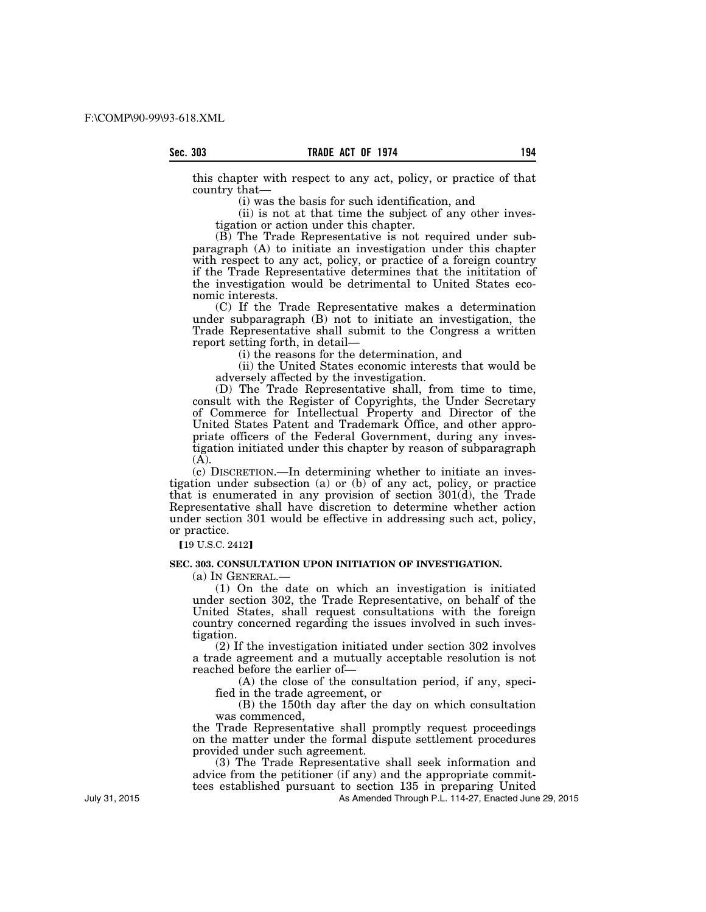this chapter with respect to any act, policy, or practice of that country that—

(i) was the basis for such identification, and

(ii) is not at that time the subject of any other investigation or action under this chapter.

(B) The Trade Representative is not required under subparagraph (A) to initiate an investigation under this chapter with respect to any act, policy, or practice of a foreign country if the Trade Representative determines that the inititation of the investigation would be detrimental to United States economic interests.

(C) If the Trade Representative makes a determination under subparagraph (B) not to initiate an investigation, the Trade Representative shall submit to the Congress a written report setting forth, in detail—

(i) the reasons for the determination, and

(ii) the United States economic interests that would be adversely affected by the investigation.

(D) The Trade Representative shall, from time to time, consult with the Register of Copyrights, the Under Secretary of Commerce for Intellectual Property and Director of the United States Patent and Trademark Office, and other appropriate officers of the Federal Government, during any investigation initiated under this chapter by reason of subparagraph (A).

(c) DISCRETION.—In determining whether to initiate an investigation under subsection (a) or (b) of any act, policy, or practice that is enumerated in any provision of section 301(d), the Trade Representative shall have discretion to determine whether action under section 301 would be effective in addressing such act, policy, or practice.

[19 U.S.C. 2412]

#### **SEC. 303. CONSULTATION UPON INITIATION OF INVESTIGATION.**

(a) IN GENERAL.—

(1) On the date on which an investigation is initiated under section 302, the Trade Representative, on behalf of the United States, shall request consultations with the foreign country concerned regarding the issues involved in such investigation.

(2) If the investigation initiated under section 302 involves a trade agreement and a mutually acceptable resolution is not reached before the earlier of—

(A) the close of the consultation period, if any, specified in the trade agreement, or

(B) the 150th day after the day on which consultation was commenced,

the Trade Representative shall promptly request proceedings on the matter under the formal dispute settlement procedures provided under such agreement.

(3) The Trade Representative shall seek information and advice from the petitioner (if any) and the appropriate committees established pursuant to section 135 in preparing United

As Amended Through P.L. 114-27, Enacted June 29, 2015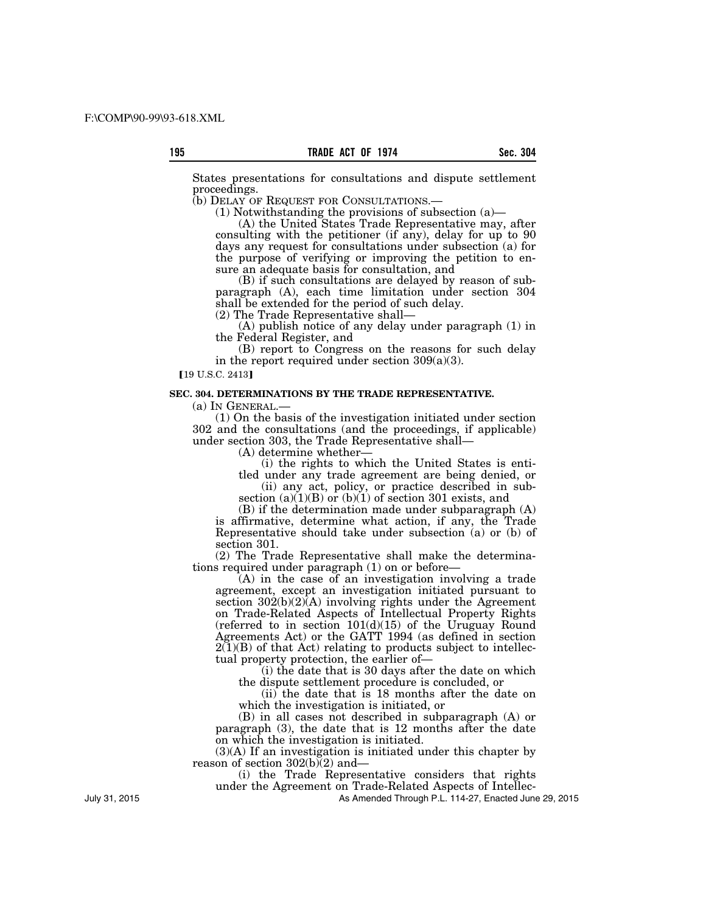States presentations for consultations and dispute settlement proceedings.<br>(b) DELAY OF REQUEST FOR CONSULTATIONS.—

 $(1)$  Notwithstanding the provisions of subsection (a)—

(A) the United States Trade Representative may, after consulting with the petitioner (if any), delay for up to 90 days any request for consultations under subsection (a) for the purpose of verifying or improving the petition to ensure an adequate basis for consultation, and

(B) if such consultations are delayed by reason of subparagraph (A), each time limitation under section 304 shall be extended for the period of such delay.

(2) The Trade Representative shall—

(A) publish notice of any delay under paragraph (1) in the Federal Register, and

(B) report to Congress on the reasons for such delay in the report required under section 309(a)(3).

[19 U.S.C. 2413]

### **SEC. 304. DETERMINATIONS BY THE TRADE REPRESENTATIVE.**

(a) IN GENERAL.— (1) On the basis of the investigation initiated under section 302 and the consultations (and the proceedings, if applicable) under section 303, the Trade Representative shall—

(A) determine whether—

(i) the rights to which the United States is entitled under any trade agreement are being denied, or

(ii) any act, policy, or practice described in subsection  $(a)(1)(B)$  or  $(b)(1)$  of section 301 exists, and

(B) if the determination made under subparagraph (A) is affirmative, determine what action, if any, the Trade Representative should take under subsection (a) or (b) of section 301.

(2) The Trade Representative shall make the determinations required under paragraph (1) on or before—

(A) in the case of an investigation involving a trade agreement, except an investigation initiated pursuant to section  $302(b)(2)$ (A) involving rights under the Agreement on Trade-Related Aspects of Intellectual Property Rights (referred to in section  $101(d)(15)$  of the Uruguay Round Agreements Act) or the GATT 1994 (as defined in section  $2(1)(B)$  of that Act) relating to products subject to intellectual property protection, the earlier of—

(i) the date that is 30 days after the date on which the dispute settlement procedure is concluded, or

(ii) the date that is 18 months after the date on which the investigation is initiated, or

(B) in all cases not described in subparagraph (A) or paragraph (3), the date that is 12 months after the date on which the investigation is initiated.

(3)(A) If an investigation is initiated under this chapter by reason of section  $302(b)(2)$  and-

(i) the Trade Representative considers that rights under the Agreement on Trade-Related Aspects of Intellec-

As Amended Through P.L. 114-27, Enacted June 29, 2015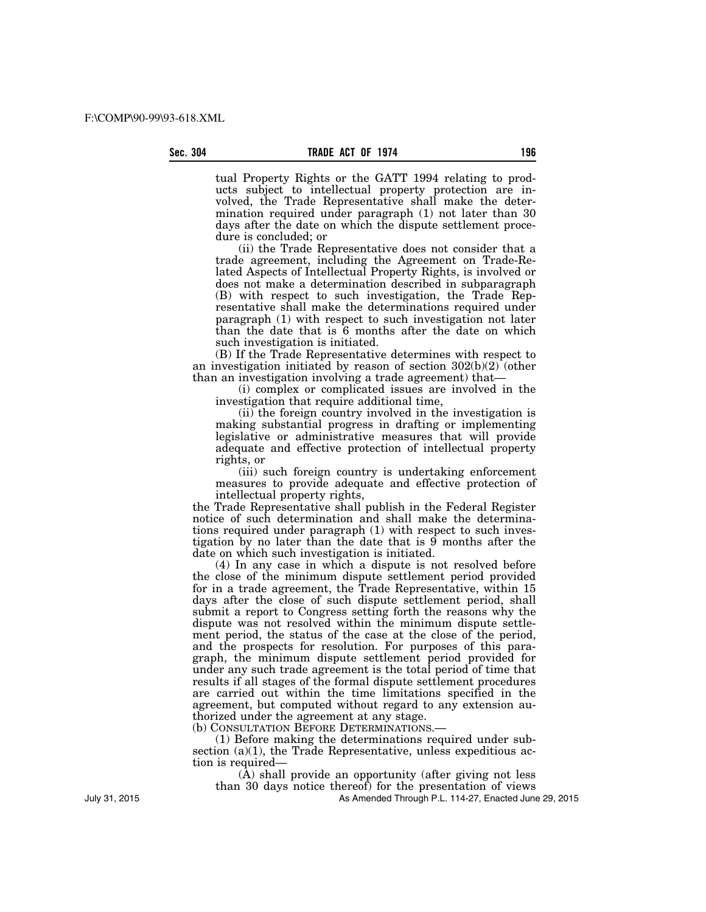tual Property Rights or the GATT 1994 relating to products subject to intellectual property protection are involved, the Trade Representative shall make the determination required under paragraph (1) not later than 30 days after the date on which the dispute settlement procedure is concluded; or

(ii) the Trade Representative does not consider that a trade agreement, including the Agreement on Trade-Related Aspects of Intellectual Property Rights, is involved or does not make a determination described in subparagraph (B) with respect to such investigation, the Trade Representative shall make the determinations required under paragraph (1) with respect to such investigation not later than the date that is 6 months after the date on which such investigation is initiated.

(B) If the Trade Representative determines with respect to an investigation initiated by reason of section  $302(b)(2)$  (other than an investigation involving a trade agreement) that—

(i) complex or complicated issues are involved in the investigation that require additional time,

(ii) the foreign country involved in the investigation is making substantial progress in drafting or implementing legislative or administrative measures that will provide adequate and effective protection of intellectual property rights, or

(iii) such foreign country is undertaking enforcement measures to provide adequate and effective protection of intellectual property rights,

the Trade Representative shall publish in the Federal Register notice of such determination and shall make the determinations required under paragraph (1) with respect to such investigation by no later than the date that is  $\overline{9}$  months after the date on which such investigation is initiated.

(4) In any case in which a dispute is not resolved before the close of the minimum dispute settlement period provided for in a trade agreement, the Trade Representative, within 15 days after the close of such dispute settlement period, shall submit a report to Congress setting forth the reasons why the dispute was not resolved within the minimum dispute settlement period, the status of the case at the close of the period, and the prospects for resolution. For purposes of this paragraph, the minimum dispute settlement period provided for under any such trade agreement is the total period of time that results if all stages of the formal dispute settlement procedures are carried out within the time limitations specified in the agreement, but computed without regard to any extension authorized under the agreement at any stage.

(b) CONSULTATION BEFORE DETERMINATIONS.—

(1) Before making the determinations required under subsection  $(a)(1)$ , the Trade Representative, unless expeditious action is required—

(A) shall provide an opportunity (after giving not less

than 30 days notice thereof) for the presentation of views As Amended Through P.L. 114-27, Enacted June 29, 2015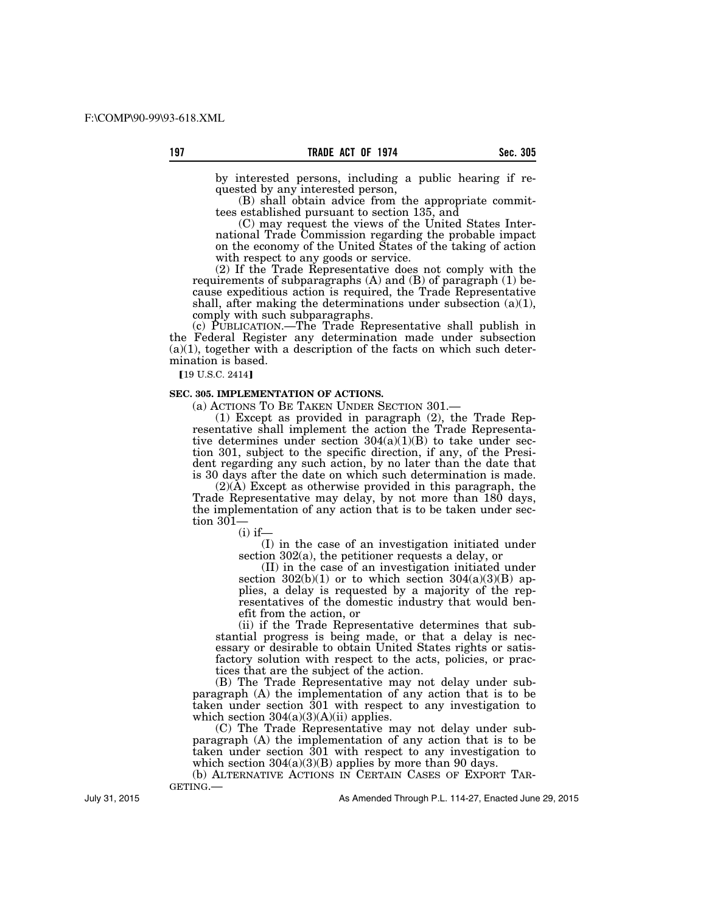by interested persons, including a public hearing if requested by any interested person,

(B) shall obtain advice from the appropriate committees established pursuant to section 135, and

(C) may request the views of the United States International Trade Commission regarding the probable impact on the economy of the United States of the taking of action with respect to any goods or service.

(2) If the Trade Representative does not comply with the requirements of subparagraphs  $(A)$  and  $(B)$  of paragraph  $(1)$  because expeditious action is required, the Trade Representative shall, after making the determinations under subsection (a)(1), comply with such subparagraphs.

(c) PUBLICATION.—The Trade Representative shall publish in the Federal Register any determination made under subsection  $(a)(1)$ , together with a description of the facts on which such determination is based.

**[19 U.S.C. 2414]** 

#### **SEC. 305. IMPLEMENTATION OF ACTIONS.**

(a) ACTIONS TO BE TAKEN UNDER SECTION 301.—

(1) Except as provided in paragraph (2), the Trade Representative shall implement the action the Trade Representative determines under section  $304(a)(1)(B)$  to take under section 301, subject to the specific direction, if any, of the President regarding any such action, by no later than the date that is 30 days after the date on which such determination is made.

 $(2)(\mathring{A})$  Except as otherwise provided in this paragraph, the Trade Representative may delay, by not more than 180 days, the implementation of any action that is to be taken under section 301—

 $(i)$  if-

(I) in the case of an investigation initiated under section 302(a), the petitioner requests a delay, or

(II) in the case of an investigation initiated under section  $302(b)(1)$  or to which section  $304(a)(3)(B)$  applies, a delay is requested by a majority of the representatives of the domestic industry that would benefit from the action, or

(ii) if the Trade Representative determines that substantial progress is being made, or that a delay is necessary or desirable to obtain United States rights or satisfactory solution with respect to the acts, policies, or practices that are the subject of the action.

(B) The Trade Representative may not delay under subparagraph (A) the implementation of any action that is to be taken under section 301 with respect to any investigation to which section  $304(a)(3)(A)(ii)$  applies.

(C) The Trade Representative may not delay under subparagraph (A) the implementation of any action that is to be taken under section 301 with respect to any investigation to which section  $304(a)(3)(B)$  applies by more than 90 days.

(b) ALTERNATIVE ACTIONS IN CERTAIN CASES OF EXPORT TAR-GETING.—

July 31, 2015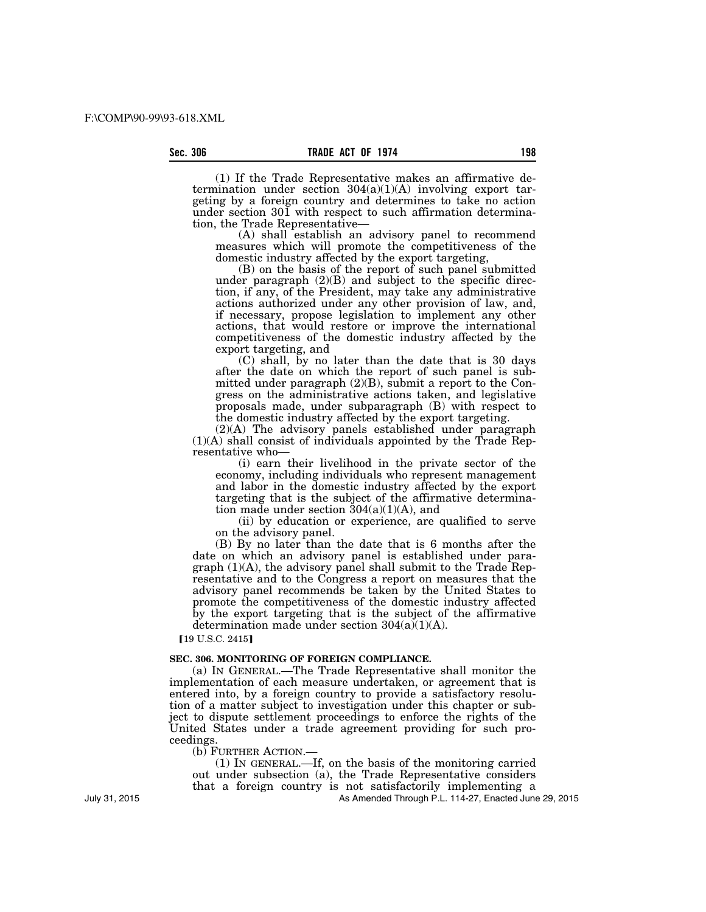(1) If the Trade Representative makes an affirmative determination under section  $304(a)(1)(A)$  involving export targeting by a foreign country and determines to take no action under section 301 with respect to such affirmation determination, the Trade Representative—

(A) shall establish an advisory panel to recommend measures which will promote the competitiveness of the domestic industry affected by the export targeting,

(B) on the basis of the report of such panel submitted under paragraph  $(2)(B)$  and subject to the specific direction, if any, of the President, may take any administrative actions authorized under any other provision of law, and, if necessary, propose legislation to implement any other actions, that would restore or improve the international competitiveness of the domestic industry affected by the export targeting, and

(C) shall, by no later than the date that is 30 days after the date on which the report of such panel is submitted under paragraph (2)(B), submit a report to the Congress on the administrative actions taken, and legislative proposals made, under subparagraph (B) with respect to the domestic industry affected by the export targeting.

(2)(A) The advisory panels established under paragraph (1)(A) shall consist of individuals appointed by the Trade Representative who—

(i) earn their livelihood in the private sector of the economy, including individuals who represent management and labor in the domestic industry affected by the export targeting that is the subject of the affirmative determination made under section  $304(a)(1)(A)$ , and

(ii) by education or experience, are qualified to serve on the advisory panel.

(B) By no later than the date that is 6 months after the date on which an advisory panel is established under paragraph (1)(A), the advisory panel shall submit to the Trade Representative and to the Congress a report on measures that the advisory panel recommends be taken by the United States to promote the competitiveness of the domestic industry affected by the export targeting that is the subject of the affirmative determination made under section  $304(a)(1)(A)$ .

[19 U.S.C. 2415]

#### **SEC. 306. MONITORING OF FOREIGN COMPLIANCE.**

(a) IN GENERAL.—The Trade Representative shall monitor the implementation of each measure undertaken, or agreement that is entered into, by a foreign country to provide a satisfactory resolution of a matter subject to investigation under this chapter or subject to dispute settlement proceedings to enforce the rights of the United States under a trade agreement providing for such proceedings.

(b) FURTHER ACTION.—

(1) IN GENERAL.—If, on the basis of the monitoring carried out under subsection (a), the Trade Representative considers that a foreign country is not satisfactorily implementing a

As Amended Through P.L. 114-27, Enacted June 29, 2015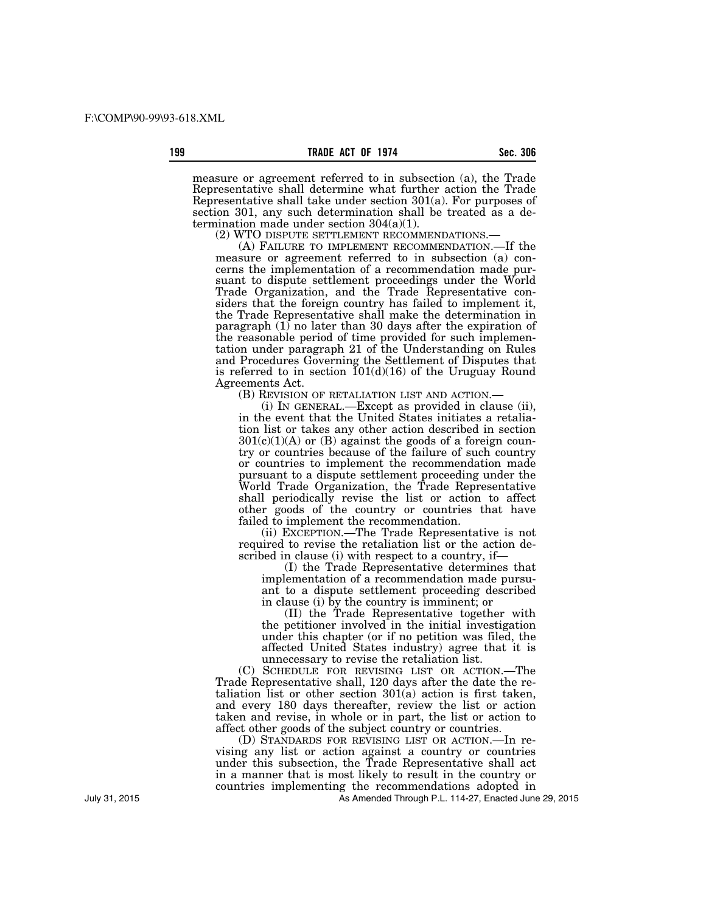measure or agreement referred to in subsection (a), the Trade Representative shall determine what further action the Trade Representative shall take under section 301(a). For purposes of section 301, any such determination shall be treated as a determination made under section 304(a)(1).<br>(2) WTO DISPUTE SETTLEMENT RECOMMENDATIONS.

(A) FAILURE TO IMPLEMENT RECOMMENDATION.—If the measure or agreement referred to in subsection (a) concerns the implementation of a recommendation made pursuant to dispute settlement proceedings under the World Trade Organization, and the Trade Representative considers that the foreign country has failed to implement it, the Trade Representative shall make the determination in paragraph  $(1)$  no later than 30 days after the expiration of the reasonable period of time provided for such implementation under paragraph 21 of the Understanding on Rules and Procedures Governing the Settlement of Disputes that is referred to in section  $\overline{101(d)(16)}$  of the Uruguay Round Agreements Act.<br>(B) REVISION OF RETALIATION LIST AND ACTION.—

 $(i)$  In GENERAL.—Except as provided in clause  $(ii)$ , in the event that the United States initiates a retaliation list or takes any other action described in section  $301(c)(1)(A)$  or (B) against the goods of a foreign country or countries because of the failure of such country or countries to implement the recommendation made pursuant to a dispute settlement proceeding under the World Trade Organization, the Trade Representative shall periodically revise the list or action to affect other goods of the country or countries that have failed to implement the recommendation.

(ii) EXCEPTION.—The Trade Representative is not required to revise the retaliation list or the action described in clause (i) with respect to a country, if—

(I) the Trade Representative determines that implementation of a recommendation made pursuant to a dispute settlement proceeding described in clause (i) by the country is imminent; or

(II) the Trade Representative together with the petitioner involved in the initial investigation under this chapter (or if no petition was filed, the affected United States industry) agree that it is unnecessary to revise the retaliation list.

(C) SCHEDULE FOR REVISING LIST OR ACTION.—The Trade Representative shall, 120 days after the date the retaliation list or other section 301(a) action is first taken, and every 180 days thereafter, review the list or action taken and revise, in whole or in part, the list or action to affect other goods of the subject country or countries.

(D) STANDARDS FOR REVISING LIST OR ACTION.—In revising any list or action against a country or countries under this subsection, the Trade Representative shall act in a manner that is most likely to result in the country or countries implementing the recommendations adopted in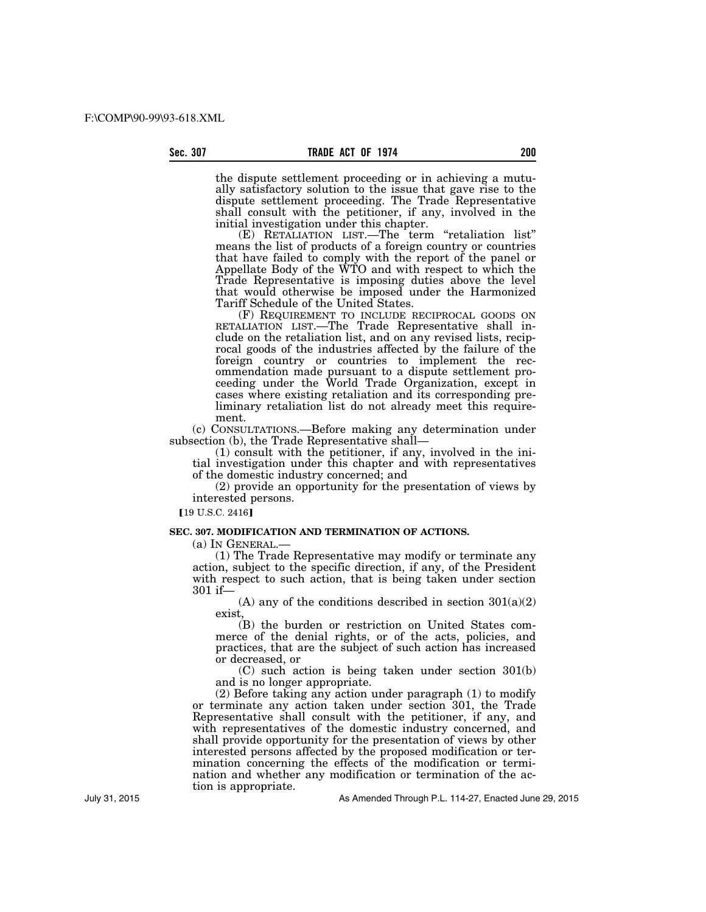the dispute settlement proceeding or in achieving a mutually satisfactory solution to the issue that gave rise to the dispute settlement proceeding. The Trade Representative shall consult with the petitioner, if any, involved in the initial investigation under this chapter.

(E) RETALIATION LIST.—The term "retaliation list" means the list of products of a foreign country or countries that have failed to comply with the report of the panel or Appellate Body of the WTO and with respect to which the Trade Representative is imposing duties above the level that would otherwise be imposed under the Harmonized Tariff Schedule of the United States.

(F) REQUIREMENT TO INCLUDE RECIPROCAL GOODS ON RETALIATION LIST.—The Trade Representative shall include on the retaliation list, and on any revised lists, reciprocal goods of the industries affected by the failure of the foreign country or countries to implement the recommendation made pursuant to a dispute settlement proceeding under the World Trade Organization, except in cases where existing retaliation and its corresponding preliminary retaliation list do not already meet this requirement.

(c) CONSULTATIONS.—Before making any determination under subsection (b), the Trade Representative shall—

(1) consult with the petitioner, if any, involved in the initial investigation under this chapter and with representatives of the domestic industry concerned; and

(2) provide an opportunity for the presentation of views by interested persons.

**[19 U.S.C. 2416]** 

#### **SEC. 307. MODIFICATION AND TERMINATION OF ACTIONS.**

(a) IN GENERAL.—

(1) The Trade Representative may modify or terminate any action, subject to the specific direction, if any, of the President with respect to such action, that is being taken under section 301 if—

(A) any of the conditions described in section  $301(a)(2)$ exist,

(B) the burden or restriction on United States commerce of the denial rights, or of the acts, policies, and practices, that are the subject of such action has increased or decreased, or

(C) such action is being taken under section 301(b) and is no longer appropriate.

(2) Before taking any action under paragraph (1) to modify or terminate any action taken under section 301, the Trade Representative shall consult with the petitioner, if any, and with representatives of the domestic industry concerned, and shall provide opportunity for the presentation of views by other interested persons affected by the proposed modification or termination concerning the effects of the modification or termination and whether any modification or termination of the action is appropriate.

As Amended Through P.L. 114-27, Enacted June 29, 2015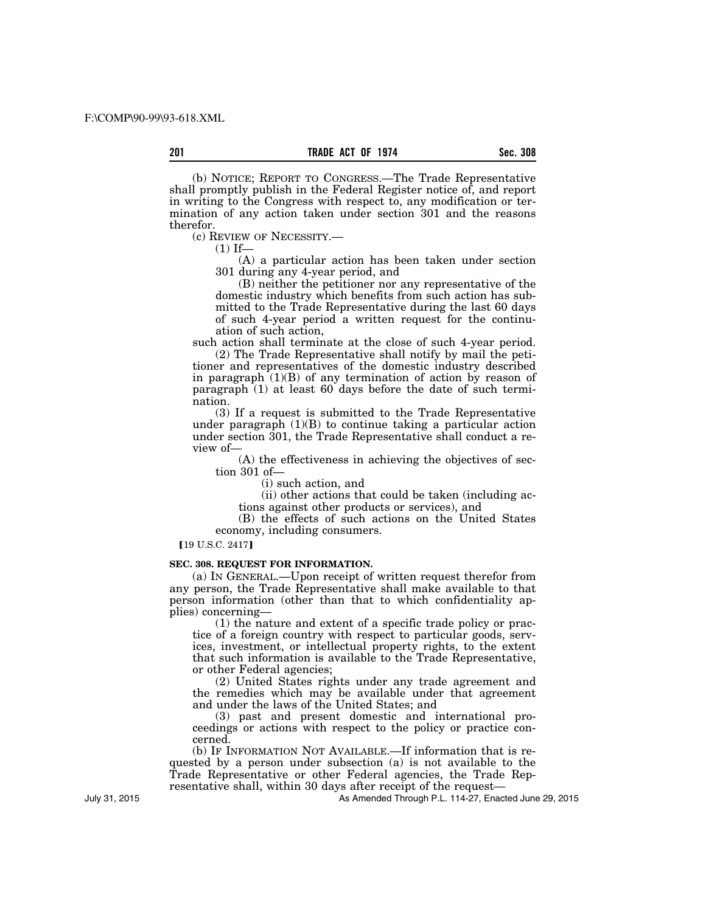(b) NOTICE; REPORT TO CONGRESS.—The Trade Representative shall promptly publish in the Federal Register notice of, and report in writing to the Congress with respect to, any modification or termination of any action taken under section 301 and the reasons therefor.

(c) REVIEW OF NECESSITY.—

 $(1)$  If-

(A) a particular action has been taken under section 301 during any 4-year period, and

(B) neither the petitioner nor any representative of the domestic industry which benefits from such action has submitted to the Trade Representative during the last 60 days of such 4-year period a written request for the continuation of such action,

such action shall terminate at the close of such 4-year period.

(2) The Trade Representative shall notify by mail the petitioner and representatives of the domestic industry described in paragraph  $(1)(B)$  of any termination of action by reason of paragraph (1) at least 60 days before the date of such termination.

(3) If a request is submitted to the Trade Representative under paragraph  $(1)(B)$  to continue taking a particular action under section 301, the Trade Representative shall conduct a review of—

(A) the effectiveness in achieving the objectives of section 301 of—

(i) such action, and

(ii) other actions that could be taken (including actions against other products or services), and

(B) the effects of such actions on the United States economy, including consumers.

[19 U.S.C. 2417]

#### **SEC. 308. REQUEST FOR INFORMATION.**

(a) IN GENERAL.—Upon receipt of written request therefor from any person, the Trade Representative shall make available to that person information (other than that to which confidentiality applies) concerning—

(1) the nature and extent of a specific trade policy or practice of a foreign country with respect to particular goods, services, investment, or intellectual property rights, to the extent that such information is available to the Trade Representative, or other Federal agencies;

(2) United States rights under any trade agreement and the remedies which may be available under that agreement and under the laws of the United States; and

(3) past and present domestic and international proceedings or actions with respect to the policy or practice concerned.

(b) IF INFORMATION NOT AVAILABLE.—If information that is requested by a person under subsection (a) is not available to the Trade Representative or other Federal agencies, the Trade Representative shall, within 30 days after receipt of the request—

As Amended Through P.L. 114-27, Enacted June 29, 2015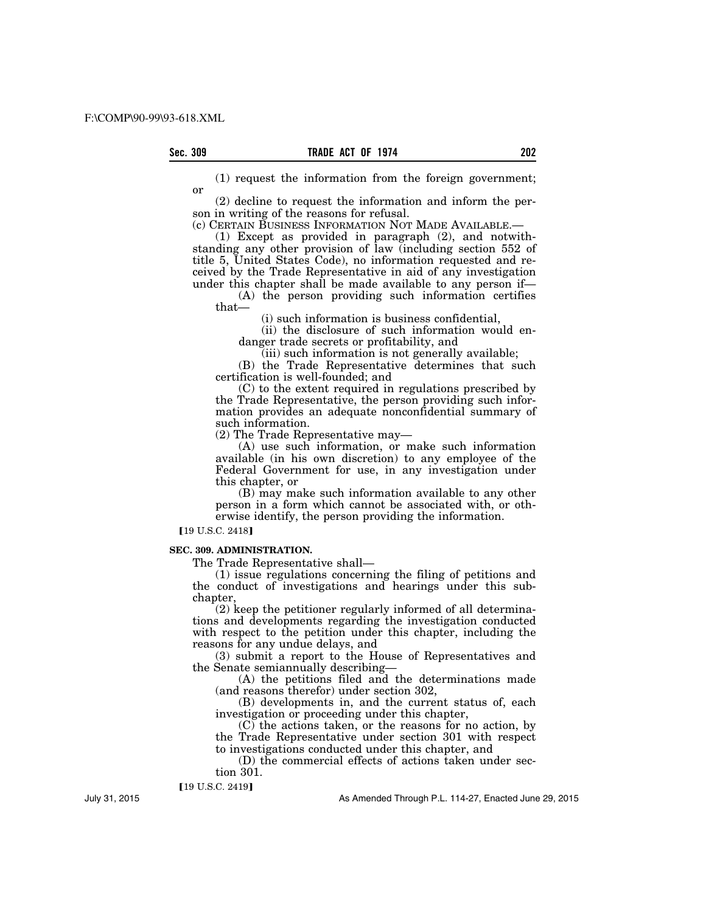(1) request the information from the foreign government; or

(2) decline to request the information and inform the person in writing of the reasons for refusal.

(c) CERTAIN BUSINESS INFORMATION NOT MADE AVAILABLE.—

(1) Except as provided in paragraph (2), and notwithstanding any other provision of law (including section 552 of title 5, United States Code), no information requested and received by the Trade Representative in aid of any investigation under this chapter shall be made available to any person if—

(A) the person providing such information certifies that—

(i) such information is business confidential,

(ii) the disclosure of such information would endanger trade secrets or profitability, and

(iii) such information is not generally available;

(B) the Trade Representative determines that such certification is well-founded; and

(C) to the extent required in regulations prescribed by the Trade Representative, the person providing such information provides an adequate nonconfidential summary of such information.

(2) The Trade Representative may—

(A) use such information, or make such information available (in his own discretion) to any employee of the Federal Government for use, in any investigation under this chapter, or

(B) may make such information available to any other person in a form which cannot be associated with, or otherwise identify, the person providing the information.

[19 U.S.C. 2418]

#### **SEC. 309. ADMINISTRATION.**

The Trade Representative shall—

(1) issue regulations concerning the filing of petitions and the conduct of investigations and hearings under this subchapter,

(2) keep the petitioner regularly informed of all determinations and developments regarding the investigation conducted with respect to the petition under this chapter, including the reasons for any undue delays, and

(3) submit a report to the House of Representatives and the Senate semiannually describing—

(A) the petitions filed and the determinations made (and reasons therefor) under section 302,

(B) developments in, and the current status of, each investigation or proceeding under this chapter,

(C) the actions taken, or the reasons for no action, by the Trade Representative under section 301 with respect to investigations conducted under this chapter, and

(D) the commercial effects of actions taken under section 301.

 $[19 \text{ U.S.C. } 2419]$ 

July 31, 2015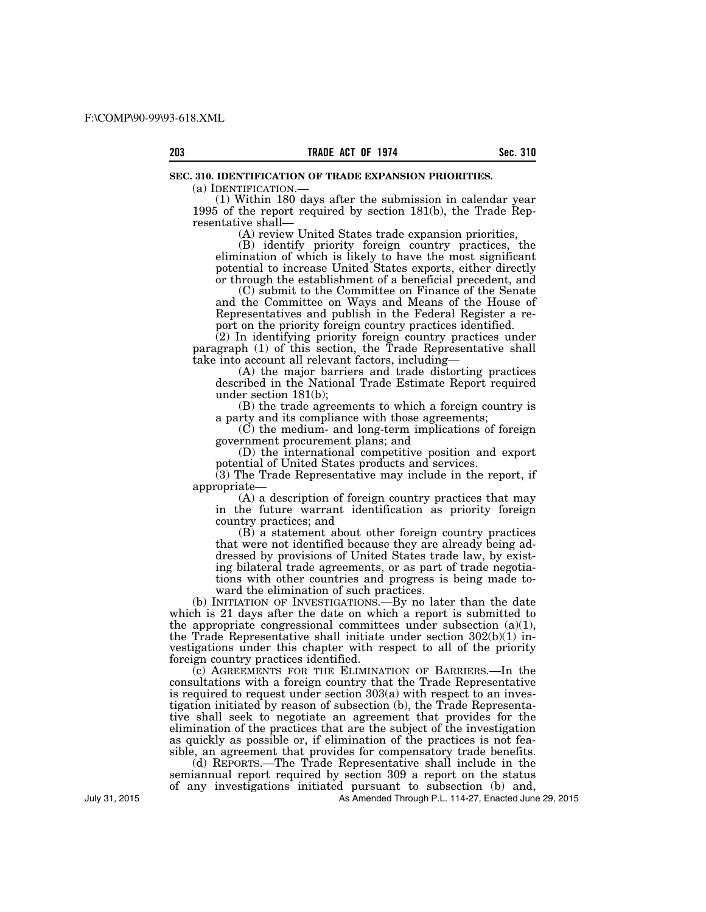(a) IDENTIFICATION.— (1) Within 180 days after the submission in calendar year 1995 of the report required by section 181(b), the Trade Representative shall—

(A) review United States trade expansion priorities,

(B) identify priority foreign country practices, the elimination of which is likely to have the most significant potential to increase United States exports, either directly or through the establishment of a beneficial precedent, and

(C) submit to the Committee on Finance of the Senate and the Committee on Ways and Means of the House of Representatives and publish in the Federal Register a report on the priority foreign country practices identified.

(2) In identifying priority foreign country practices under paragraph (1) of this section, the Trade Representative shall take into account all relevant factors, including—

(A) the major barriers and trade distorting practices described in the National Trade Estimate Report required under section 181(b);

(B) the trade agreements to which a foreign country is a party and its compliance with those agreements;

(C) the medium- and long-term implications of foreign government procurement plans; and

(D) the international competitive position and export potential of United States products and services.

(3) The Trade Representative may include in the report, if appropriate—

(A) a description of foreign country practices that may in the future warrant identification as priority foreign country practices; and

(B) a statement about other foreign country practices that were not identified because they are already being addressed by provisions of United States trade law, by existing bilateral trade agreements, or as part of trade negotiations with other countries and progress is being made toward the elimination of such practices.

(b) INITIATION OF INVESTIGATIONS.—By no later than the date which is 21 days after the date on which a report is submitted to the appropriate congressional committees under subsection  $(a)(1)$ , the Trade Representative shall initiate under section 302(b)(1) investigations under this chapter with respect to all of the priority foreign country practices identified.

(c) AGREEMENTS FOR THE ELIMINATION OF BARRIERS.—In the consultations with a foreign country that the Trade Representative is required to request under section 303(a) with respect to an investigation initiated by reason of subsection (b), the Trade Representative shall seek to negotiate an agreement that provides for the elimination of the practices that are the subject of the investigation as quickly as possible or, if elimination of the practices is not feasible, an agreement that provides for compensatory trade benefits.

(d) REPORTS.—The Trade Representative shall include in the semiannual report required by section 309 a report on the status of any investigations initiated pursuant to subsection (b) and,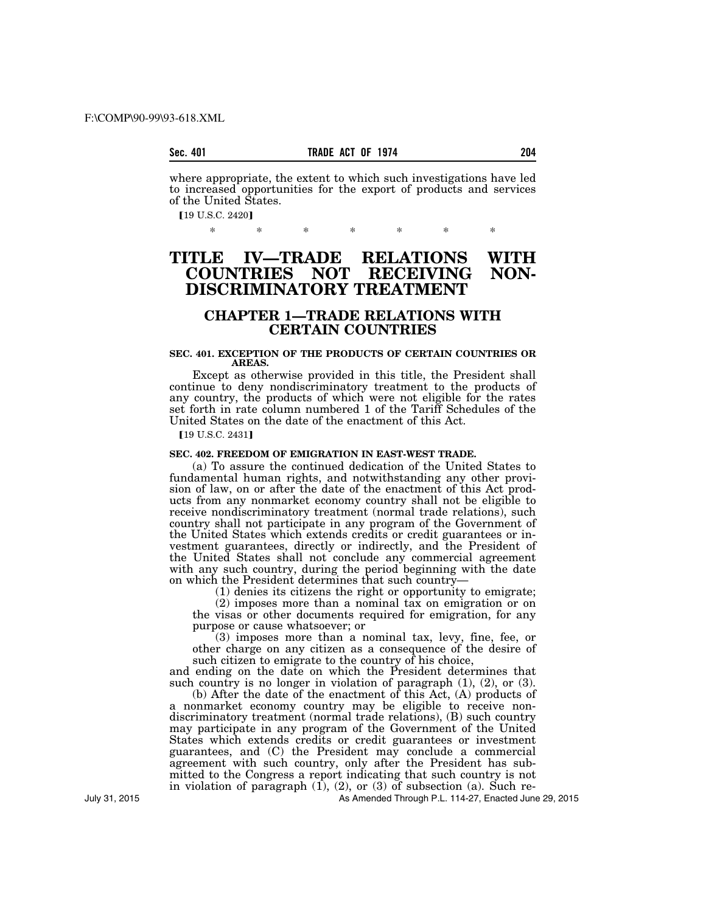### **Sec. 401 TRADE ACT OF 1974 204**

where appropriate, the extent to which such investigations have led to increased opportunities for the export of products and services of the United States.

[19 U.S.C. 2420]

\* \* \* \* \* \* \*

# **TITLE IV—TRADE RELATIONS WITH COUNTRIES NOT RECEIVING NON-DISCRIMINATORY TREATMENT**

# **CHAPTER 1—TRADE RELATIONS WITH CERTAIN COUNTRIES**

#### **SEC. 401. EXCEPTION OF THE PRODUCTS OF CERTAIN COUNTRIES OR AREAS.**

Except as otherwise provided in this title, the President shall continue to deny nondiscriminatory treatment to the products of any country, the products of which were not eligible for the rates set forth in rate column numbered 1 of the Tariff Schedules of the United States on the date of the enactment of this Act.

**[19 U.S.C. 2431]** 

#### **SEC. 402. FREEDOM OF EMIGRATION IN EAST-WEST TRADE.**

(a) To assure the continued dedication of the United States to fundamental human rights, and notwithstanding any other provision of law, on or after the date of the enactment of this Act products from any nonmarket economy country shall not be eligible to receive nondiscriminatory treatment (normal trade relations), such country shall not participate in any program of the Government of the United States which extends credits or credit guarantees or investment guarantees, directly or indirectly, and the President of the United States shall not conclude any commercial agreement with any such country, during the period beginning with the date on which the President determines that such country—

(1) denies its citizens the right or opportunity to emigrate;

(2) imposes more than a nominal tax on emigration or on the visas or other documents required for emigration, for any purpose or cause whatsoever; or

(3) imposes more than a nominal tax, levy, fine, fee, or other charge on any citizen as a consequence of the desire of such citizen to emigrate to the country of his choice,

and ending on the date on which the President determines that such country is no longer in violation of paragraph  $(1)$ ,  $(2)$ , or  $(3)$ .

(b) After the date of the enactment of this Act, (A) products of a nonmarket economy country may be eligible to receive nondiscriminatory treatment (normal trade relations), (B) such country may participate in any program of the Government of the United States which extends credits or credit guarantees or investment guarantees, and (C) the President may conclude a commercial agreement with such country, only after the President has submitted to the Congress a report indicating that such country is not in violation of paragraph (1), (2), or (3) of subsection (a). Such re-

As Amended Through P.L. 114-27, Enacted June 29, 2015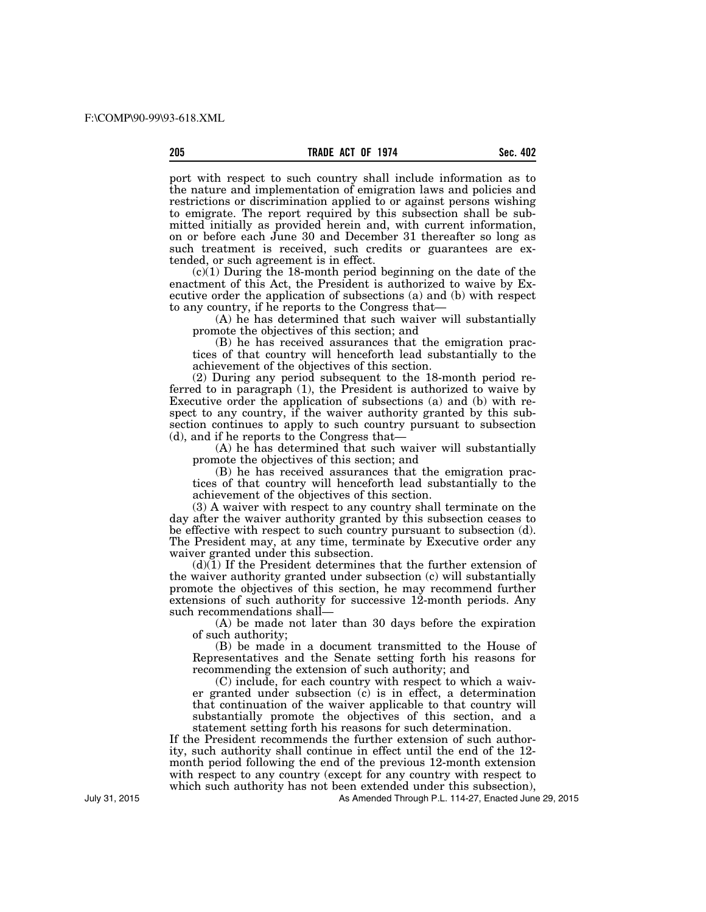port with respect to such country shall include information as to the nature and implementation of emigration laws and policies and restrictions or discrimination applied to or against persons wishing to emigrate. The report required by this subsection shall be submitted initially as provided herein and, with current information, on or before each June 30 and December 31 thereafter so long as such treatment is received, such credits or guarantees are extended, or such agreement is in effect.

 $(c)(1)$  During the 18-month period beginning on the date of the enactment of this Act, the President is authorized to waive by Executive order the application of subsections (a) and (b) with respect to any country, if he reports to the Congress that—

(A) he has determined that such waiver will substantially promote the objectives of this section; and

(B) he has received assurances that the emigration practices of that country will henceforth lead substantially to the achievement of the objectives of this section.

(2) During any period subsequent to the 18-month period referred to in paragraph (1), the President is authorized to waive by Executive order the application of subsections (a) and (b) with respect to any country, if the waiver authority granted by this subsection continues to apply to such country pursuant to subsection (d), and if he reports to the Congress that—

(A) he has determined that such waiver will substantially promote the objectives of this section; and

(B) he has received assurances that the emigration practices of that country will henceforth lead substantially to the achievement of the objectives of this section.

(3) A waiver with respect to any country shall terminate on the day after the waiver authority granted by this subsection ceases to be effective with respect to such country pursuant to subsection (d). The President may, at any time, terminate by Executive order any waiver granted under this subsection.

 $(d)(1)$  If the President determines that the further extension of the waiver authority granted under subsection (c) will substantially promote the objectives of this section, he may recommend further extensions of such authority for successive 12-month periods. Any such recommendations shall—

(A) be made not later than 30 days before the expiration of such authority;

(B) be made in a document transmitted to the House of Representatives and the Senate setting forth his reasons for recommending the extension of such authority; and

(C) include, for each country with respect to which a waiver granted under subsection (c) is in effect, a determination that continuation of the waiver applicable to that country will substantially promote the objectives of this section, and a statement setting forth his reasons for such determination.

If the President recommends the further extension of such authority, such authority shall continue in effect until the end of the 12 month period following the end of the previous 12-month extension with respect to any country (except for any country with respect to which such authority has not been extended under this subsection),

As Amended Through P.L. 114-27, Enacted June 29, 2015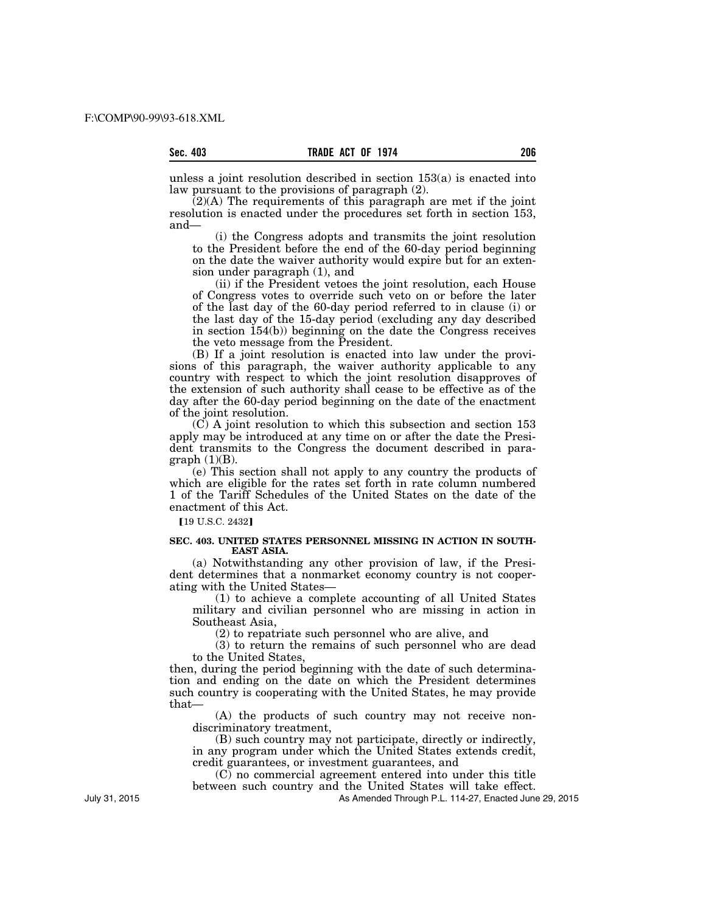unless a joint resolution described in section 153(a) is enacted into law pursuant to the provisions of paragraph (2).

 $(2)$ (A) The requirements of this paragraph are met if the joint resolution is enacted under the procedures set forth in section 153, and—

(i) the Congress adopts and transmits the joint resolution to the President before the end of the 60-day period beginning on the date the waiver authority would expire but for an extension under paragraph (1), and

(ii) if the President vetoes the joint resolution, each House of Congress votes to override such veto on or before the later of the last day of the 60-day period referred to in clause (i) or the last day of the 15-day period (excluding any day described in section 154(b)) beginning on the date the Congress receives the veto message from the President.

(B) If a joint resolution is enacted into law under the provisions of this paragraph, the waiver authority applicable to any country with respect to which the joint resolution disapproves of the extension of such authority shall cease to be effective as of the day after the 60-day period beginning on the date of the enactment of the joint resolution.

(C) A joint resolution to which this subsection and section 153 apply may be introduced at any time on or after the date the President transmits to the Congress the document described in para $graph (1)(B)$ .

(e) This section shall not apply to any country the products of which are eligible for the rates set forth in rate column numbered 1 of the Tariff Schedules of the United States on the date of the enactment of this Act.

[19 U.S.C. 2432]

#### **SEC. 403. UNITED STATES PERSONNEL MISSING IN ACTION IN SOUTH-EAST ASIA.**

(a) Notwithstanding any other provision of law, if the President determines that a nonmarket economy country is not cooperating with the United States—

(1) to achieve a complete accounting of all United States military and civilian personnel who are missing in action in Southeast Asia,

(2) to repatriate such personnel who are alive, and

(3) to return the remains of such personnel who are dead to the United States,

then, during the period beginning with the date of such determination and ending on the date on which the President determines such country is cooperating with the United States, he may provide that—

(A) the products of such country may not receive nondiscriminatory treatment,

(B) such country may not participate, directly or indirectly, in any program under which the United States extends credit, credit guarantees, or investment guarantees, and

(C) no commercial agreement entered into under this title between such country and the United States will take effect.

As Amended Through P.L. 114-27, Enacted June 29, 2015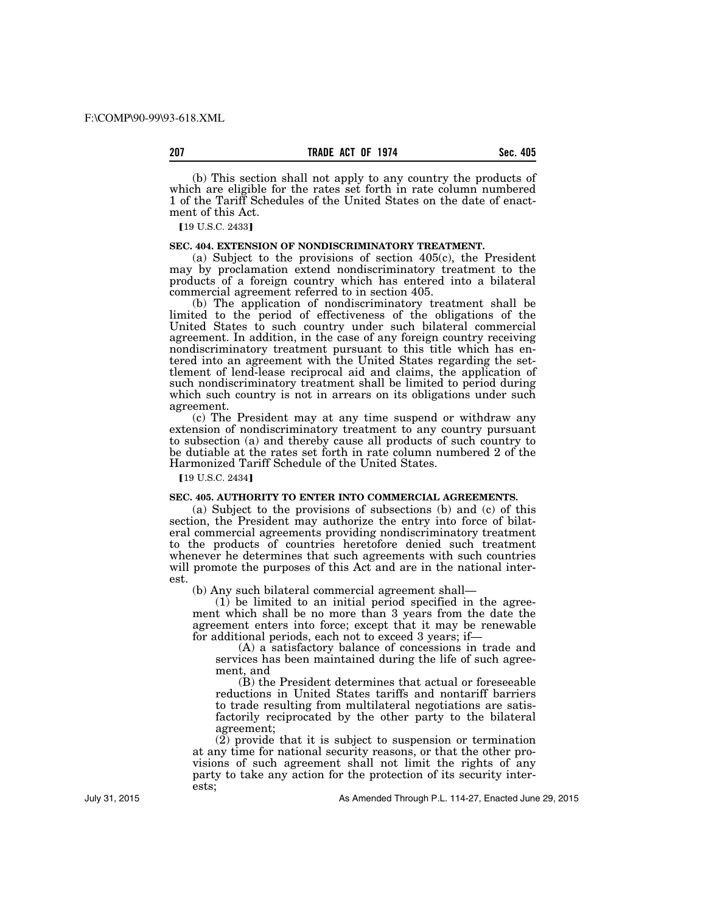**207 Sec. 405 TRADE ACT OF 1974** 

(b) This section shall not apply to any country the products of which are eligible for the rates set forth in rate column numbered 1 of the Tariff Schedules of the United States on the date of enactment of this Act.

[19 U.S.C. 2433]

#### **SEC. 404. EXTENSION OF NONDISCRIMINATORY TREATMENT.**

(a) Subject to the provisions of section 405(c), the President may by proclamation extend nondiscriminatory treatment to the products of a foreign country which has entered into a bilateral commercial agreement referred to in section 405.

(b) The application of nondiscriminatory treatment shall be limited to the period of effectiveness of the obligations of the United States to such country under such bilateral commercial agreement. In addition, in the case of any foreign country receiving nondiscriminatory treatment pursuant to this title which has entered into an agreement with the United States regarding the settlement of lend-lease reciprocal aid and claims, the application of such nondiscriminatory treatment shall be limited to period during which such country is not in arrears on its obligations under such agreement.

(c) The President may at any time suspend or withdraw any extension of nondiscriminatory treatment to any country pursuant to subsection (a) and thereby cause all products of such country to be dutiable at the rates set forth in rate column numbered 2 of the Harmonized Tariff Schedule of the United States.

**[19 U.S.C. 2434]** 

#### **SEC. 405. AUTHORITY TO ENTER INTO COMMERCIAL AGREEMENTS.**

(a) Subject to the provisions of subsections (b) and (c) of this section, the President may authorize the entry into force of bilateral commercial agreements providing nondiscriminatory treatment to the products of countries heretofore denied such treatment whenever he determines that such agreements with such countries will promote the purposes of this Act and are in the national interest.

(b) Any such bilateral commercial agreement shall—

(1) be limited to an initial period specified in the agreement which shall be no more than 3 years from the date the agreement enters into force; except that it may be renewable for additional periods, each not to exceed 3 years; if—

(A) a satisfactory balance of concessions in trade and services has been maintained during the life of such agreement, and

(B) the President determines that actual or foreseeable reductions in United States tariffs and nontariff barriers to trade resulting from multilateral negotiations are satisfactorily reciprocated by the other party to the bilateral agreement;

 $(2)$  provide that it is subject to suspension or termination at any time for national security reasons, or that the other provisions of such agreement shall not limit the rights of any party to take any action for the protection of its security interests;

As Amended Through P.L. 114-27, Enacted June 29, 2015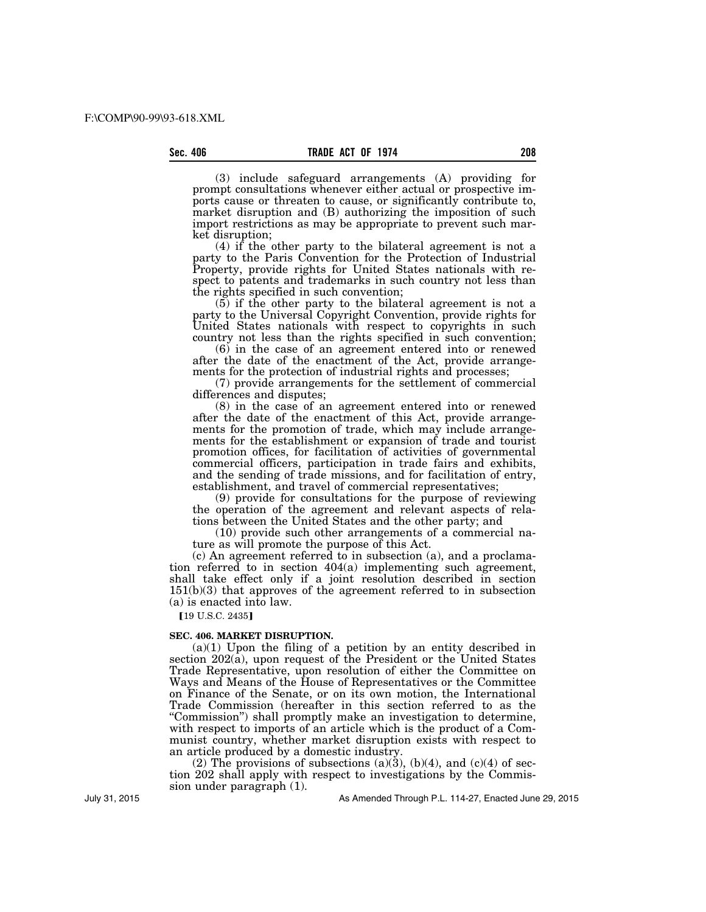(3) include safeguard arrangements (A) providing for prompt consultations whenever either actual or prospective imports cause or threaten to cause, or significantly contribute to, market disruption and (B) authorizing the imposition of such import restrictions as may be appropriate to prevent such market disruption;

(4) if the other party to the bilateral agreement is not a party to the Paris Convention for the Protection of Industrial Property, provide rights for United States nationals with respect to patents and trademarks in such country not less than the rights specified in such convention;

(5) if the other party to the bilateral agreement is not a party to the Universal Copyright Convention, provide rights for United States nationals with respect to copyrights in such country not less than the rights specified in such convention;

(6) in the case of an agreement entered into or renewed after the date of the enactment of the Act, provide arrangements for the protection of industrial rights and processes;

(7) provide arrangements for the settlement of commercial differences and disputes;

(8) in the case of an agreement entered into or renewed after the date of the enactment of this Act, provide arrangements for the promotion of trade, which may include arrangements for the establishment or expansion of trade and tourist promotion offices, for facilitation of activities of governmental commercial officers, participation in trade fairs and exhibits, and the sending of trade missions, and for facilitation of entry, establishment, and travel of commercial representatives;

(9) provide for consultations for the purpose of reviewing the operation of the agreement and relevant aspects of relations between the United States and the other party; and

(10) provide such other arrangements of a commercial nature as will promote the purpose of this Act.

(c) An agreement referred to in subsection (a), and a proclamation referred to in section 404(a) implementing such agreement, shall take effect only if a joint resolution described in section 151(b)(3) that approves of the agreement referred to in subsection (a) is enacted into law.

**[19 U.S.C. 2435]** 

#### **SEC. 406. MARKET DISRUPTION.**

(a)(1) Upon the filing of a petition by an entity described in section 202(a), upon request of the President or the United States Trade Representative, upon resolution of either the Committee on Ways and Means of the House of Representatives or the Committee on Finance of the Senate, or on its own motion, the International Trade Commission (hereafter in this section referred to as the ''Commission'') shall promptly make an investigation to determine, with respect to imports of an article which is the product of a Communist country, whether market disruption exists with respect to an article produced by a domestic industry.

(2) The provisions of subsections (a)(3), (b)(4), and (c)(4) of section 202 shall apply with respect to investigations by the Commission under paragraph (1).

As Amended Through P.L. 114-27, Enacted June 29, 2015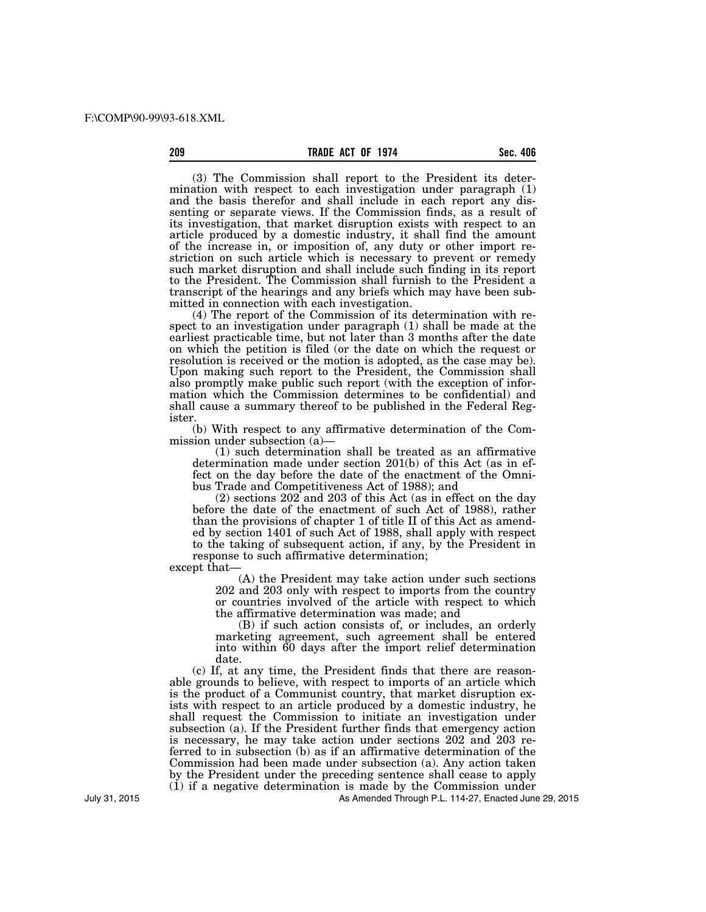#### **209 Sec. 406 Sec. 406** Sec. 406

(3) The Commission shall report to the President its determination with respect to each investigation under paragraph (1) and the basis therefor and shall include in each report any dissenting or separate views. If the Commission finds, as a result of its investigation, that market disruption exists with respect to an article produced by a domestic industry, it shall find the amount of the increase in, or imposition of, any duty or other import restriction on such article which is necessary to prevent or remedy such market disruption and shall include such finding in its report to the President. The Commission shall furnish to the President a transcript of the hearings and any briefs which may have been submitted in connection with each investigation.

(4) The report of the Commission of its determination with respect to an investigation under paragraph (1) shall be made at the earliest practicable time, but not later than 3 months after the date on which the petition is filed (or the date on which the request or resolution is received or the motion is adopted, as the case may be). Upon making such report to the President, the Commission shall also promptly make public such report (with the exception of information which the Commission determines to be confidential) and shall cause a summary thereof to be published in the Federal Register.

(b) With respect to any affirmative determination of the Commission under subsection (a)—

(1) such determination shall be treated as an affirmative determination made under section 201(b) of this Act (as in effect on the day before the date of the enactment of the Omnibus Trade and Competitiveness Act of 1988); and

(2) sections 202 and 203 of this Act (as in effect on the day before the date of the enactment of such Act of 1988), rather than the provisions of chapter 1 of title II of this Act as amended by section 1401 of such Act of 1988, shall apply with respect to the taking of subsequent action, if any, by the President in response to such affirmative determination;

except that—

(A) the President may take action under such sections 202 and 203 only with respect to imports from the country or countries involved of the article with respect to which the affirmative determination was made; and

(B) if such action consists of, or includes, an orderly marketing agreement, such agreement shall be entered into within 60 days after the import relief determination date.

(c) If, at any time, the President finds that there are reasonable grounds to believe, with respect to imports of an article which is the product of a Communist country, that market disruption exists with respect to an article produced by a domestic industry, he shall request the Commission to initiate an investigation under subsection (a). If the President further finds that emergency action is necessary, he may take action under sections 202 and 203 referred to in subsection (b) as if an affirmative determination of the Commission had been made under subsection (a). Any action taken by the President under the preceding sentence shall cease to apply (1) if a negative determination is made by the Commission under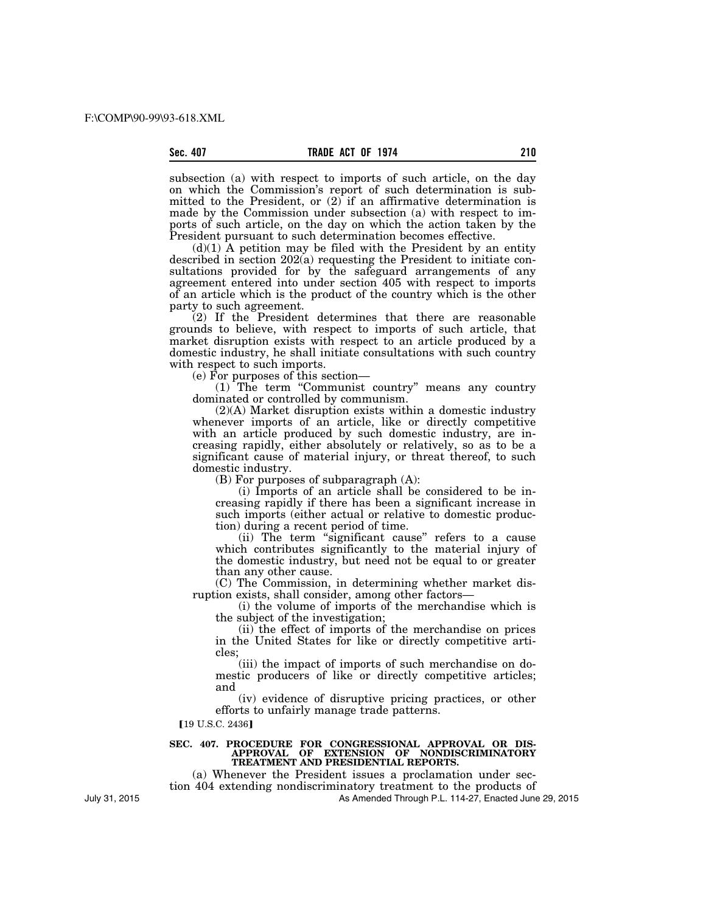subsection (a) with respect to imports of such article, on the day on which the Commission's report of such determination is submitted to the President, or  $(2)$  if an affirmative determination is made by the Commission under subsection (a) with respect to imports of such article, on the day on which the action taken by the President pursuant to such determination becomes effective.

 $(d)(1)$  A petition may be filed with the President by an entity described in section 202(a) requesting the President to initiate consultations provided for by the safeguard arrangements of any agreement entered into under section 405 with respect to imports of an article which is the product of the country which is the other party to such agreement.

(2) If the President determines that there are reasonable grounds to believe, with respect to imports of such article, that market disruption exists with respect to an article produced by a domestic industry, he shall initiate consultations with such country with respect to such imports.

(e) For purposes of this section—

(1) The term ''Communist country'' means any country dominated or controlled by communism.

(2)(A) Market disruption exists within a domestic industry whenever imports of an article, like or directly competitive with an article produced by such domestic industry, are increasing rapidly, either absolutely or relatively, so as to be a significant cause of material injury, or threat thereof, to such domestic industry.

(B) For purposes of subparagraph (A):

(i) Imports of an article shall be considered to be increasing rapidly if there has been a significant increase in such imports (either actual or relative to domestic production) during a recent period of time.

(ii) The term "significant cause" refers to a cause which contributes significantly to the material injury of the domestic industry, but need not be equal to or greater than any other cause.

(C) The Commission, in determining whether market disruption exists, shall consider, among other factors—

(i) the volume of imports of the merchandise which is the subject of the investigation;

(ii) the effect of imports of the merchandise on prices in the United States for like or directly competitive articles;

(iii) the impact of imports of such merchandise on domestic producers of like or directly competitive articles; and

(iv) evidence of disruptive pricing practices, or other efforts to unfairly manage trade patterns.

**[19 U.S.C. 2436]** 

# **SEC. 407. PROCEDURE FOR CONGRESSIONAL APPROVAL OR DIS-APPROVAL OF EXTENSION OF NONDISCRIMINATORY TREATMENT AND PRESIDENTIAL REPORTS.**

(a) Whenever the President issues a proclamation under section 404 extending nondiscriminatory treatment to the products of

As Amended Through P.L. 114-27, Enacted June 29, 2015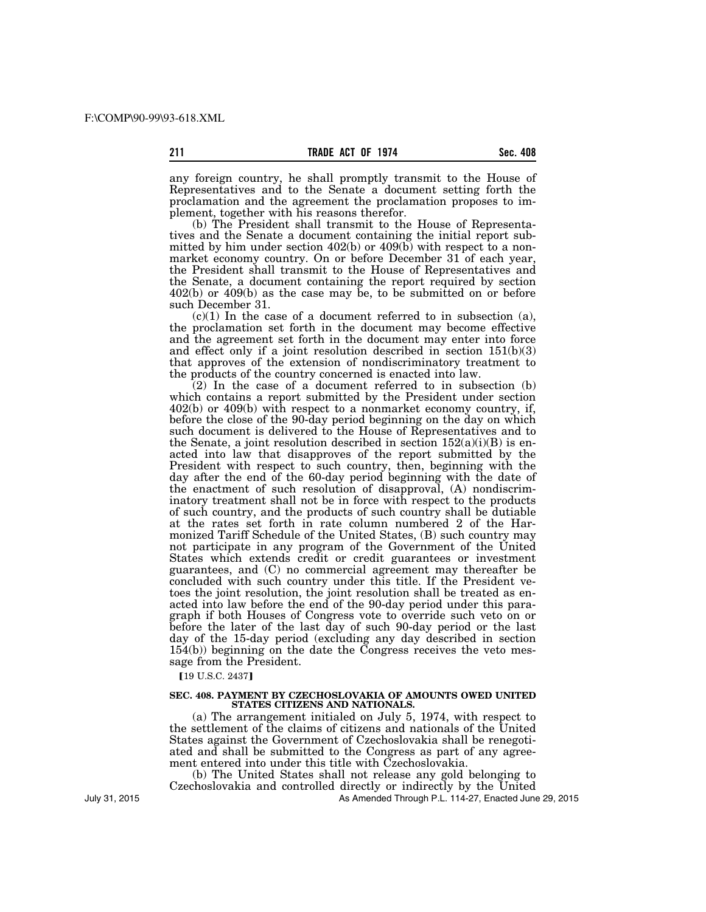any foreign country, he shall promptly transmit to the House of Representatives and to the Senate a document setting forth the proclamation and the agreement the proclamation proposes to implement, together with his reasons therefor.

(b) The President shall transmit to the House of Representatives and the Senate a document containing the initial report submitted by him under section  $402(b)$  or  $409(b)$  with respect to a nonmarket economy country. On or before December 31 of each year, the President shall transmit to the House of Representatives and the Senate, a document containing the report required by section 402(b) or 409(b) as the case may be, to be submitted on or before such December 31.

 $(c)(1)$  In the case of a document referred to in subsection (a), the proclamation set forth in the document may become effective and the agreement set forth in the document may enter into force and effect only if a joint resolution described in section  $151(b)(3)$ that approves of the extension of nondiscriminatory treatment to the products of the country concerned is enacted into law.

(2) In the case of a document referred to in subsection (b) which contains a report submitted by the President under section 402(b) or 409(b) with respect to a nonmarket economy country, if, before the close of the 90-day period beginning on the day on which such document is delivered to the House of Representatives and to the Senate, a joint resolution described in section  $152(a)(i)(B)$  is enacted into law that disapproves of the report submitted by the President with respect to such country, then, beginning with the day after the end of the 60-day period beginning with the date of the enactment of such resolution of disapproval, (A) nondiscriminatory treatment shall not be in force with respect to the products of such country, and the products of such country shall be dutiable at the rates set forth in rate column numbered 2 of the Harmonized Tariff Schedule of the United States, (B) such country may not participate in any program of the Government of the United States which extends credit or credit guarantees or investment guarantees, and (C) no commercial agreement may thereafter be concluded with such country under this title. If the President vetoes the joint resolution, the joint resolution shall be treated as enacted into law before the end of the 90-day period under this paragraph if both Houses of Congress vote to override such veto on or before the later of the last day of such 90-day period or the last day of the 15-day period (excluding any day described in section 154(b)) beginning on the date the Congress receives the veto message from the President.

[19 U.S.C. 2437]

#### **SEC. 408. PAYMENT BY CZECHOSLOVAKIA OF AMOUNTS OWED UNITED STATES CITIZENS AND NATIONALS.**

(a) The arrangement initialed on July 5, 1974, with respect to the settlement of the claims of citizens and nationals of the United States against the Government of Czechoslovakia shall be renegotiated and shall be submitted to the Congress as part of any agreement entered into under this title with Czechoslovakia.

(b) The United States shall not release any gold belonging to Czechoslovakia and controlled directly or indirectly by the United

As Amended Through P.L. 114-27, Enacted June 29, 2015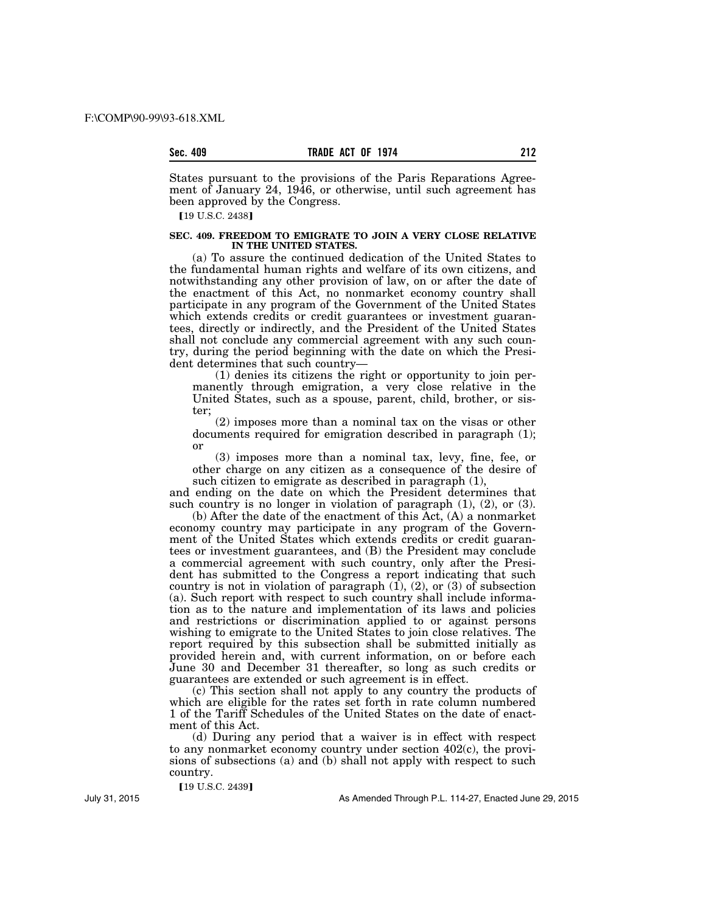States pursuant to the provisions of the Paris Reparations Agreement of January 24, 1946, or otherwise, until such agreement has been approved by the Congress.

[19 U.S.C. 2438]

#### **SEC. 409. FREEDOM TO EMIGRATE TO JOIN A VERY CLOSE RELATIVE IN THE UNITED STATES.**

(a) To assure the continued dedication of the United States to the fundamental human rights and welfare of its own citizens, and notwithstanding any other provision of law, on or after the date of the enactment of this Act, no nonmarket economy country shall participate in any program of the Government of the United States which extends credits or credit guarantees or investment guarantees, directly or indirectly, and the President of the United States shall not conclude any commercial agreement with any such country, during the period beginning with the date on which the President determines that such country—

(1) denies its citizens the right or opportunity to join permanently through emigration, a very close relative in the United States, such as a spouse, parent, child, brother, or sister;

(2) imposes more than a nominal tax on the visas or other documents required for emigration described in paragraph (1); or

(3) imposes more than a nominal tax, levy, fine, fee, or other charge on any citizen as a consequence of the desire of such citizen to emigrate as described in paragraph (1),

and ending on the date on which the President determines that such country is no longer in violation of paragraph  $(1)$ ,  $(2)$ , or  $(3)$ .

(b) After the date of the enactment of this Act, (A) a nonmarket economy country may participate in any program of the Government of the United States which extends credits or credit guarantees or investment guarantees, and (B) the President may conclude a commercial agreement with such country, only after the President has submitted to the Congress a report indicating that such country is not in violation of paragraph  $(1)$ ,  $(2)$ , or  $(3)$  of subsection (a). Such report with respect to such country shall include information as to the nature and implementation of its laws and policies and restrictions or discrimination applied to or against persons wishing to emigrate to the United States to join close relatives. The report required by this subsection shall be submitted initially as provided herein and, with current information, on or before each June 30 and December 31 thereafter, so long as such credits or guarantees are extended or such agreement is in effect.

(c) This section shall not apply to any country the products of which are eligible for the rates set forth in rate column numbered 1 of the Tariff Schedules of the United States on the date of enactment of this Act.

(d) During any period that a waiver is in effect with respect to any nonmarket economy country under section 402(c), the provisions of subsections (a) and (b) shall not apply with respect to such country.

[19 U.S.C. 2439]

July 31, 2015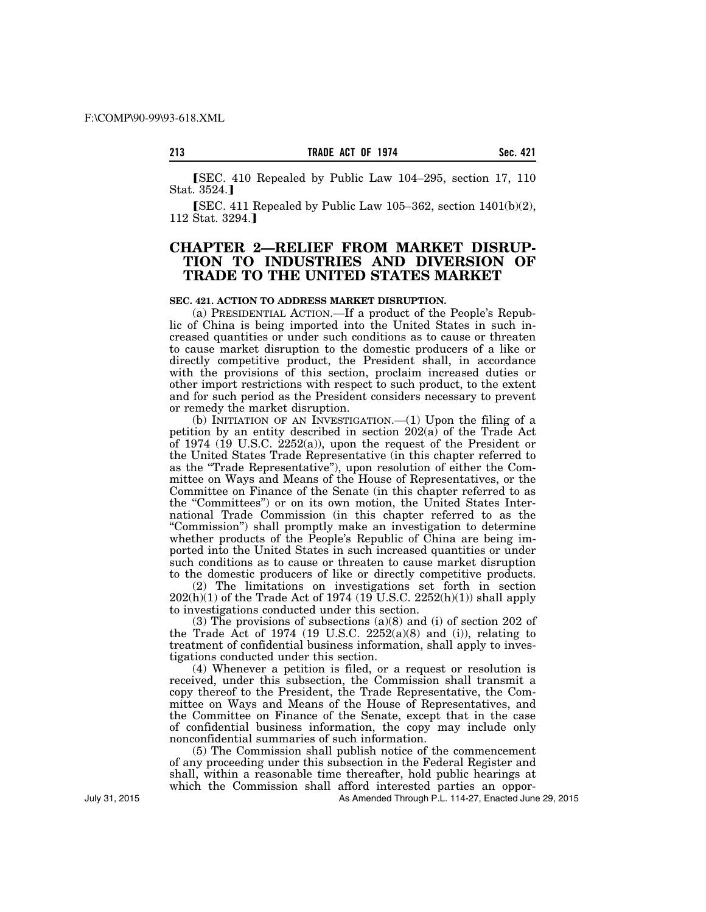$[SEC. 410 Repeated by Public Law 104–295, section 17, 110]$ Stat. 3524.]

**SEC.** 411 Repealed by Public Law 105–362, section  $1401(b)(2)$ , 112 Stat. 3294.]

# **CHAPTER 2—RELIEF FROM MARKET DISRUP-TION TO INDUSTRIES AND DIVERSION OF TRADE TO THE UNITED STATES MARKET**

#### **SEC. 421. ACTION TO ADDRESS MARKET DISRUPTION.**

(a) PRESIDENTIAL ACTION.—If a product of the People's Republic of China is being imported into the United States in such increased quantities or under such conditions as to cause or threaten to cause market disruption to the domestic producers of a like or directly competitive product, the President shall, in accordance with the provisions of this section, proclaim increased duties or other import restrictions with respect to such product, to the extent and for such period as the President considers necessary to prevent or remedy the market disruption.

(b) INITIATION OF AN INVESTIGATION.— $(1)$  Upon the filing of a petition by an entity described in section 202(a) of the Trade Act of 1974 (19 U.S.C. 2252(a)), upon the request of the President or the United States Trade Representative (in this chapter referred to as the ''Trade Representative''), upon resolution of either the Committee on Ways and Means of the House of Representatives, or the Committee on Finance of the Senate (in this chapter referred to as the ''Committees'') or on its own motion, the United States International Trade Commission (in this chapter referred to as the ''Commission'') shall promptly make an investigation to determine whether products of the People's Republic of China are being imported into the United States in such increased quantities or under such conditions as to cause or threaten to cause market disruption to the domestic producers of like or directly competitive products.

(2) The limitations on investigations set forth in section  $202(h)(1)$  of the Trade Act of 1974 (19 U.S.C.  $2252(h)(1)$ ) shall apply to investigations conducted under this section.

(3) The provisions of subsections (a)(8) and (i) of section 202 of the Trade Act of 1974 (19 U.S.C.  $2252(a)(8)$  and (i)), relating to treatment of confidential business information, shall apply to investigations conducted under this section.

(4) Whenever a petition is filed, or a request or resolution is received, under this subsection, the Commission shall transmit a copy thereof to the President, the Trade Representative, the Committee on Ways and Means of the House of Representatives, and the Committee on Finance of the Senate, except that in the case of confidential business information, the copy may include only nonconfidential summaries of such information.

(5) The Commission shall publish notice of the commencement of any proceeding under this subsection in the Federal Register and shall, within a reasonable time thereafter, hold public hearings at which the Commission shall afford interested parties an oppor-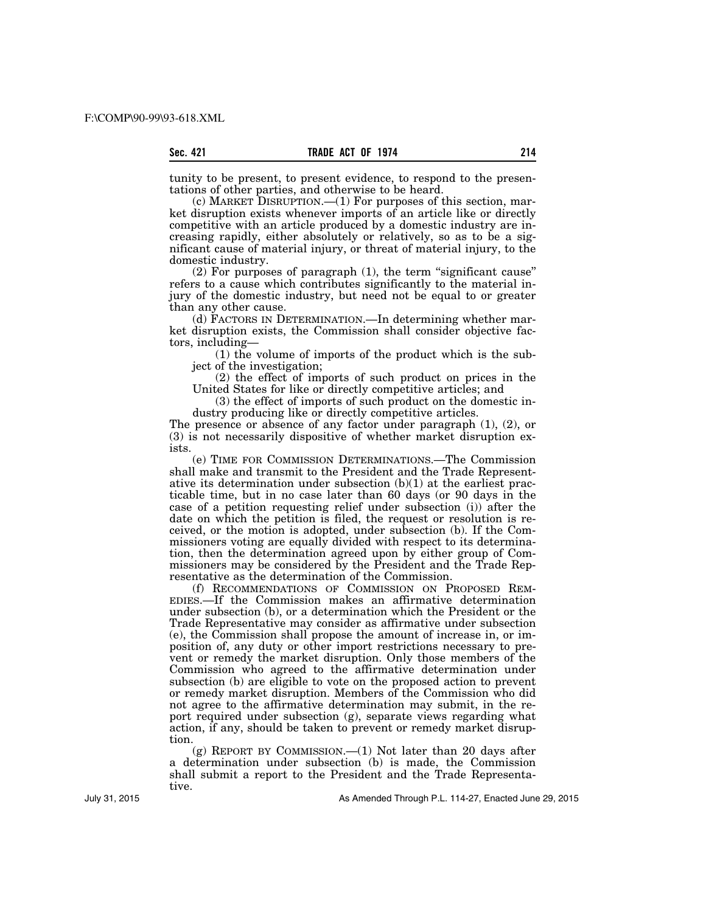tunity to be present, to present evidence, to respond to the presentations of other parties, and otherwise to be heard.

(c) MARKET DISRUPTION.—(1) For purposes of this section, market disruption exists whenever imports of an article like or directly competitive with an article produced by a domestic industry are increasing rapidly, either absolutely or relatively, so as to be a significant cause of material injury, or threat of material injury, to the domestic industry.

(2) For purposes of paragraph (1), the term ''significant cause'' refers to a cause which contributes significantly to the material injury of the domestic industry, but need not be equal to or greater than any other cause.

(d) FACTORS IN DETERMINATION.—In determining whether market disruption exists, the Commission shall consider objective factors, including—

(1) the volume of imports of the product which is the subject of the investigation;

(2) the effect of imports of such product on prices in the United States for like or directly competitive articles; and

(3) the effect of imports of such product on the domestic industry producing like or directly competitive articles.

The presence or absence of any factor under paragraph (1), (2), or (3) is not necessarily dispositive of whether market disruption exists.

(e) TIME FOR COMMISSION DETERMINATIONS.—The Commission shall make and transmit to the President and the Trade Representative its determination under subsection  $(b)(1)$  at the earliest practicable time, but in no case later than 60 days (or 90 days in the case of a petition requesting relief under subsection (i)) after the date on which the petition is filed, the request or resolution is received, or the motion is adopted, under subsection (b). If the Commissioners voting are equally divided with respect to its determination, then the determination agreed upon by either group of Commissioners may be considered by the President and the Trade Representative as the determination of the Commission.

(f) RECOMMENDATIONS OF COMMISSION ON PROPOSED REM-EDIES.—If the Commission makes an affirmative determination under subsection (b), or a determination which the President or the Trade Representative may consider as affirmative under subsection (e), the Commission shall propose the amount of increase in, or imposition of, any duty or other import restrictions necessary to prevent or remedy the market disruption. Only those members of the Commission who agreed to the affirmative determination under subsection (b) are eligible to vote on the proposed action to prevent or remedy market disruption. Members of the Commission who did not agree to the affirmative determination may submit, in the report required under subsection (g), separate views regarding what action, if any, should be taken to prevent or remedy market disruption.

 $(g)$  REPORT BY COMMISSION.— $(1)$  Not later than 20 days after a determination under subsection (b) is made, the Commission shall submit a report to the President and the Trade Representative.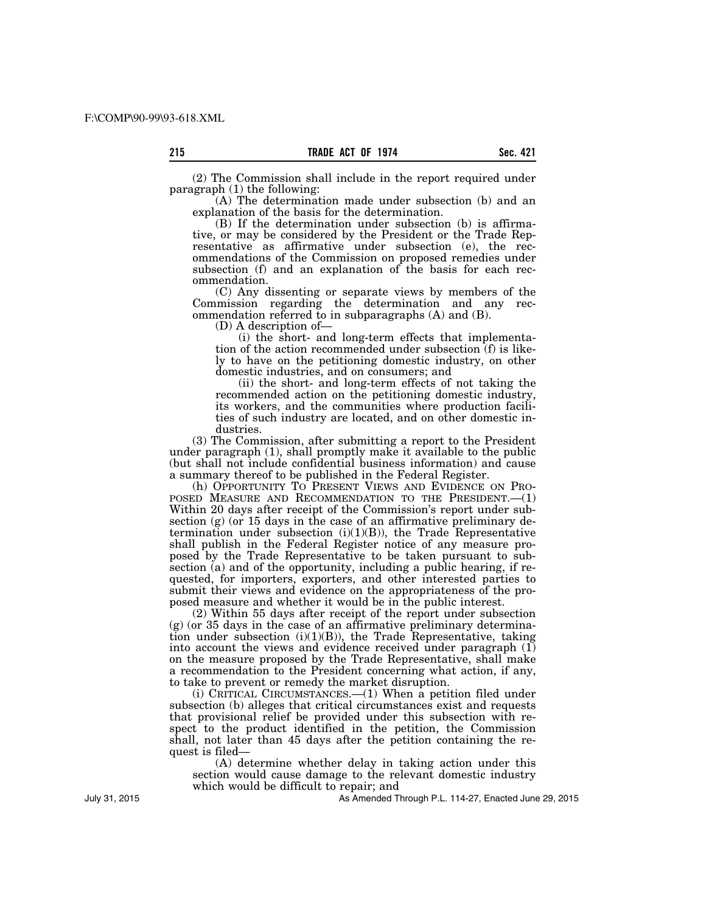(2) The Commission shall include in the report required under paragraph (1) the following:

(A) The determination made under subsection (b) and an explanation of the basis for the determination.

(B) If the determination under subsection (b) is affirmative, or may be considered by the President or the Trade Representative as affirmative under subsection (e), the recommendations of the Commission on proposed remedies under subsection (f) and an explanation of the basis for each recommendation.

(C) Any dissenting or separate views by members of the Commission regarding the determination and any recommendation referred to in subparagraphs  $(A)$  and  $(B)$ .

(D) A description of—

(i) the short- and long-term effects that implementation of the action recommended under subsection (f) is likely to have on the petitioning domestic industry, on other domestic industries, and on consumers; and

(ii) the short- and long-term effects of not taking the recommended action on the petitioning domestic industry, its workers, and the communities where production facilities of such industry are located, and on other domestic industries.

(3) The Commission, after submitting a report to the President under paragraph (1), shall promptly make it available to the public (but shall not include confidential business information) and cause a summary thereof to be published in the Federal Register.

(h) OPPORTUNITY TO PRESENT VIEWS AND EVIDENCE ON PRO- POSED MEASURE AND RECOMMENDATION TO THE PRESIDENT.-(1) Within 20 days after receipt of the Commission's report under subsection (g) (or 15 days in the case of an affirmative preliminary determination under subsection  $(i)(1)(B)$ , the Trade Representative shall publish in the Federal Register notice of any measure proposed by the Trade Representative to be taken pursuant to subsection (a) and of the opportunity, including a public hearing, if requested, for importers, exporters, and other interested parties to submit their views and evidence on the appropriateness of the proposed measure and whether it would be in the public interest.

(2) Within 55 days after receipt of the report under subsection (g) (or 35 days in the case of an affirmative preliminary determination under subsection  $(i)(1)(B)$ , the Trade Representative, taking into account the views and evidence received under paragraph (1) on the measure proposed by the Trade Representative, shall make a recommendation to the President concerning what action, if any, to take to prevent or remedy the market disruption.

(i) CRITICAL CIRCUMSTANCES.—(1) When a petition filed under subsection (b) alleges that critical circumstances exist and requests that provisional relief be provided under this subsection with respect to the product identified in the petition, the Commission shall, not later than 45 days after the petition containing the request is filed—

(A) determine whether delay in taking action under this section would cause damage to the relevant domestic industry which would be difficult to repair; and

As Amended Through P.L. 114-27, Enacted June 29, 2015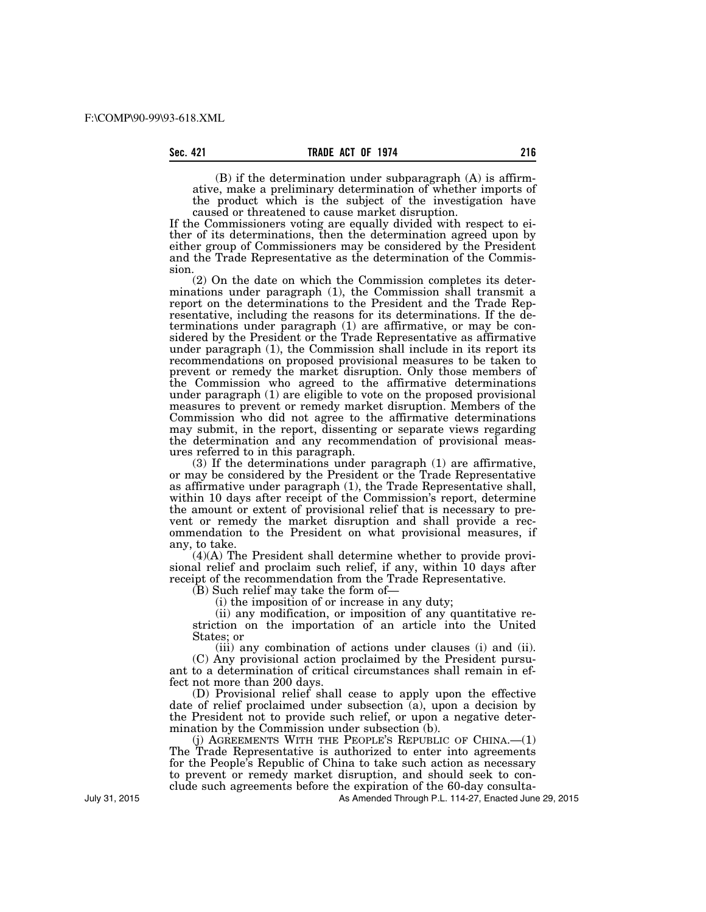(B) if the determination under subparagraph (A) is affirmative, make a preliminary determination of whether imports of the product which is the subject of the investigation have caused or threatened to cause market disruption.

If the Commissioners voting are equally divided with respect to either of its determinations, then the determination agreed upon by either group of Commissioners may be considered by the President and the Trade Representative as the determination of the Commission.

(2) On the date on which the Commission completes its determinations under paragraph (1), the Commission shall transmit a report on the determinations to the President and the Trade Representative, including the reasons for its determinations. If the determinations under paragraph (1) are affirmative, or may be considered by the President or the Trade Representative as affirmative under paragraph (1), the Commission shall include in its report its recommendations on proposed provisional measures to be taken to prevent or remedy the market disruption. Only those members of the Commission who agreed to the affirmative determinations under paragraph (1) are eligible to vote on the proposed provisional measures to prevent or remedy market disruption. Members of the Commission who did not agree to the affirmative determinations may submit, in the report, dissenting or separate views regarding the determination and any recommendation of provisional measures referred to in this paragraph.

(3) If the determinations under paragraph (1) are affirmative, or may be considered by the President or the Trade Representative as affirmative under paragraph (1), the Trade Representative shall, within 10 days after receipt of the Commission's report, determine the amount or extent of provisional relief that is necessary to prevent or remedy the market disruption and shall provide a recommendation to the President on what provisional measures, if any, to take.

(4)(A) The President shall determine whether to provide provisional relief and proclaim such relief, if any, within 10 days after receipt of the recommendation from the Trade Representative.

(B) Such relief may take the form of—

(i) the imposition of or increase in any duty;

(ii) any modification, or imposition of any quantitative restriction on the importation of an article into the United States; or

(iii) any combination of actions under clauses (i) and (ii). (C) Any provisional action proclaimed by the President pursuant to a determination of critical circumstances shall remain in effect not more than 200 days.

(D) Provisional relief shall cease to apply upon the effective date of relief proclaimed under subsection (a), upon a decision by the President not to provide such relief, or upon a negative determination by the Commission under subsection (b).

(j) AGREEMENTS WITH THE PEOPLE'S REPUBLIC OF CHINA.—(1) The Trade Representative is authorized to enter into agreements for the People's Republic of China to take such action as necessary to prevent or remedy market disruption, and should seek to conclude such agreements before the expiration of the 60-day consulta-

As Amended Through P.L. 114-27, Enacted June 29, 2015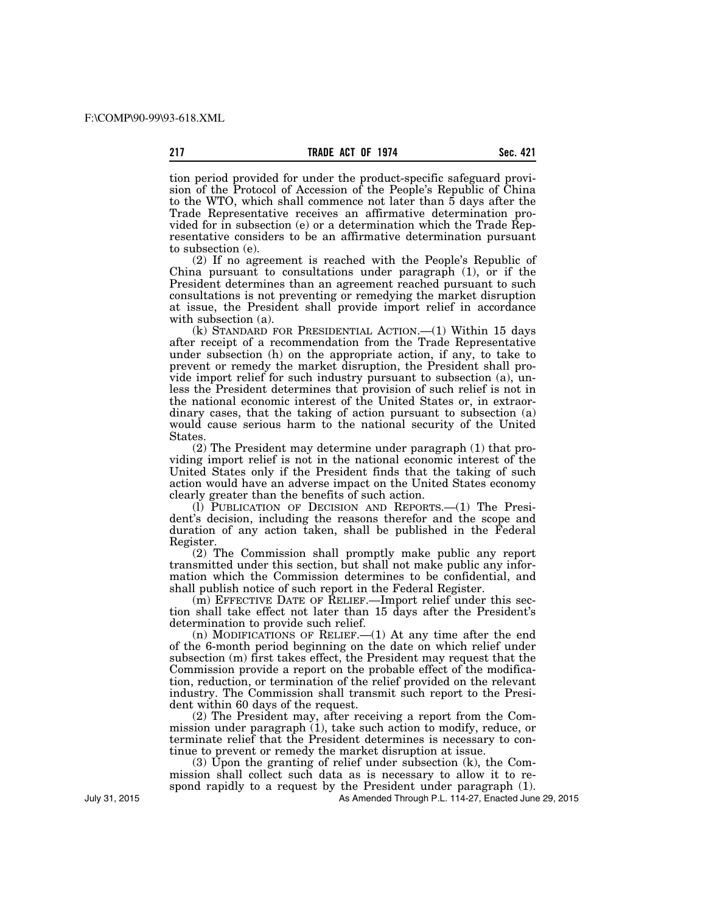tion period provided for under the product-specific safeguard provision of the Protocol of Accession of the People's Republic of China to the WTO, which shall commence not later than  $\tilde{5}$  days after the Trade Representative receives an affirmative determination provided for in subsection (e) or a determination which the Trade Representative considers to be an affirmative determination pursuant to subsection (e).

(2) If no agreement is reached with the People's Republic of China pursuant to consultations under paragraph (1), or if the President determines than an agreement reached pursuant to such consultations is not preventing or remedying the market disruption at issue, the President shall provide import relief in accordance with subsection (a).

(k) STANDARD FOR PRESIDENTIAL ACTION.—(1) Within 15 days after receipt of a recommendation from the Trade Representative under subsection (h) on the appropriate action, if any, to take to prevent or remedy the market disruption, the President shall provide import relief for such industry pursuant to subsection (a), unless the President determines that provision of such relief is not in the national economic interest of the United States or, in extraordinary cases, that the taking of action pursuant to subsection (a) would cause serious harm to the national security of the United States.

(2) The President may determine under paragraph (1) that providing import relief is not in the national economic interest of the United States only if the President finds that the taking of such action would have an adverse impact on the United States economy clearly greater than the benefits of such action.

(l) PUBLICATION OF DECISION AND REPORTS.—(1) The President's decision, including the reasons therefor and the scope and duration of any action taken, shall be published in the Federal Register.

(2) The Commission shall promptly make public any report transmitted under this section, but shall not make public any information which the Commission determines to be confidential, and shall publish notice of such report in the Federal Register.

(m) EFFECTIVE DATE OF RELIEF.—Import relief under this section shall take effect not later than 15 days after the President's determination to provide such relief.

(n) MODIFICATIONS OF RELIEF.—(1) At any time after the end of the 6-month period beginning on the date on which relief under subsection (m) first takes effect, the President may request that the Commission provide a report on the probable effect of the modification, reduction, or termination of the relief provided on the relevant industry. The Commission shall transmit such report to the President within 60 days of the request.

(2) The President may, after receiving a report from the Commission under paragraph  $(1)$ , take such action to modify, reduce, or terminate relief that the President determines is necessary to continue to prevent or remedy the market disruption at issue.

(3) Upon the granting of relief under subsection (k), the Commission shall collect such data as is necessary to allow it to respond rapidly to a request by the President under paragraph (1).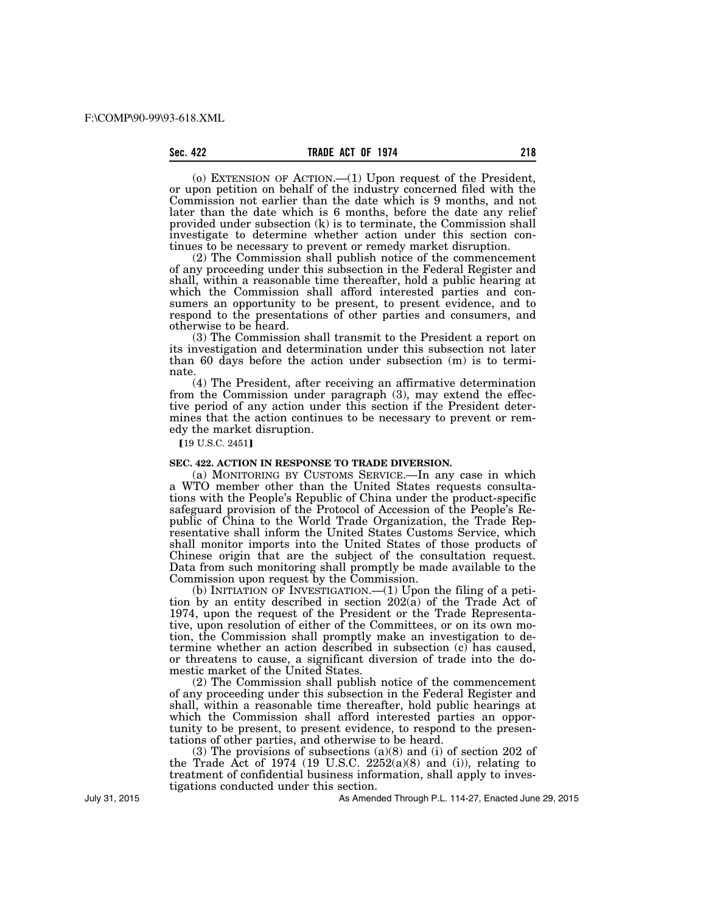(o) EXTENSION OF ACTION.—(1) Upon request of the President, or upon petition on behalf of the industry concerned filed with the Commission not earlier than the date which is 9 months, and not later than the date which is 6 months, before the date any relief provided under subsection (k) is to terminate, the Commission shall investigate to determine whether action under this section continues to be necessary to prevent or remedy market disruption.

(2) The Commission shall publish notice of the commencement of any proceeding under this subsection in the Federal Register and shall, within a reasonable time thereafter, hold a public hearing at which the Commission shall afford interested parties and consumers an opportunity to be present, to present evidence, and to respond to the presentations of other parties and consumers, and otherwise to be heard.

(3) The Commission shall transmit to the President a report on its investigation and determination under this subsection not later than 60 days before the action under subsection (m) is to terminate.

(4) The President, after receiving an affirmative determination from the Commission under paragraph (3), may extend the effective period of any action under this section if the President determines that the action continues to be necessary to prevent or remedy the market disruption.

**[19 U.S.C. 2451]** 

# **SEC. 422. ACTION IN RESPONSE TO TRADE DIVERSION.**

(a) MONITORING BY CUSTOMS SERVICE.—In any case in which a WTO member other than the United States requests consultations with the People's Republic of China under the product-specific safeguard provision of the Protocol of Accession of the People's Republic of China to the World Trade Organization, the Trade Representative shall inform the United States Customs Service, which shall monitor imports into the United States of those products of Chinese origin that are the subject of the consultation request. Data from such monitoring shall promptly be made available to the Commission upon request by the Commission.

(b) INITIATION OF INVESTIGATION.—(1) Upon the filing of a petition by an entity described in section 202(a) of the Trade Act of 1974, upon the request of the President or the Trade Representative, upon resolution of either of the Committees, or on its own motion, the Commission shall promptly make an investigation to determine whether an action described in subsection (c) has caused, or threatens to cause, a significant diversion of trade into the domestic market of the United States.

(2) The Commission shall publish notice of the commencement of any proceeding under this subsection in the Federal Register and shall, within a reasonable time thereafter, hold public hearings at which the Commission shall afford interested parties an opportunity to be present, to present evidence, to respond to the presentations of other parties, and otherwise to be heard.

(3) The provisions of subsections (a)(8) and (i) of section 202 of the Trade Act of 1974 (19 U.S.C.  $2252(a)(8)$  and (i)), relating to treatment of confidential business information, shall apply to investigations conducted under this section.

As Amended Through P.L. 114-27, Enacted June 29, 2015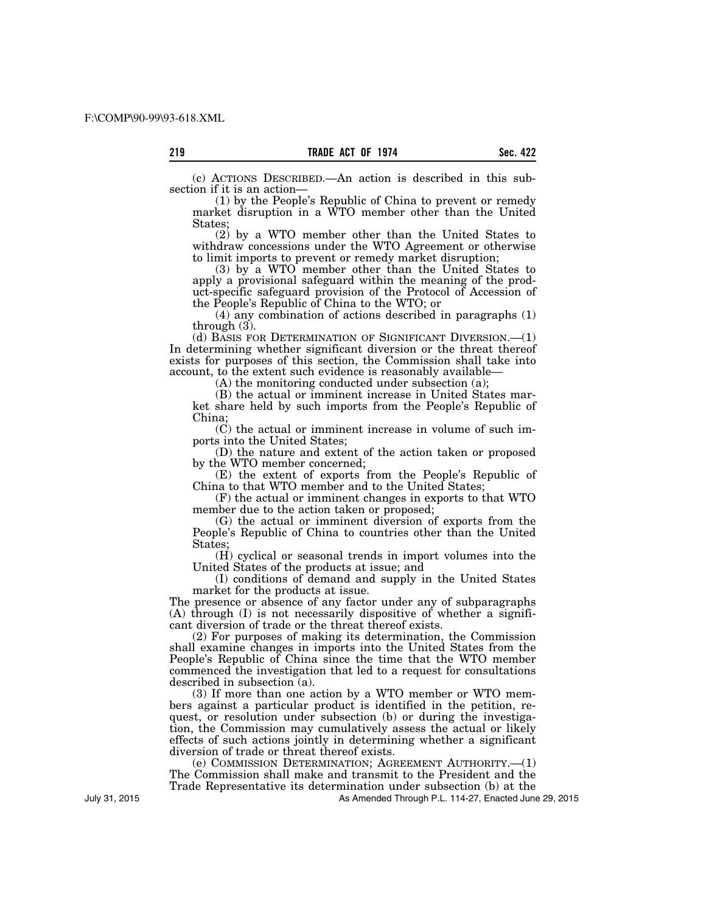(c) ACTIONS DESCRIBED.—An action is described in this subsection if it is an action—

(1) by the People's Republic of China to prevent or remedy market disruption in a WTO member other than the United States;

(2) by a WTO member other than the United States to withdraw concessions under the WTO Agreement or otherwise to limit imports to prevent or remedy market disruption;

(3) by a WTO member other than the United States to apply a provisional safeguard within the meaning of the product-specific safeguard provision of the Protocol of Accession of the People's Republic of China to the WTO; or

(4) any combination of actions described in paragraphs (1) through  $(3)$ .

(d) BASIS FOR DETERMINATION OF SIGNIFICANT DIVERSION.—(1) In determining whether significant diversion or the threat thereof exists for purposes of this section, the Commission shall take into account, to the extent such evidence is reasonably available—

(A) the monitoring conducted under subsection (a);

(B) the actual or imminent increase in United States market share held by such imports from the People's Republic of China;

(C) the actual or imminent increase in volume of such imports into the United States;

(D) the nature and extent of the action taken or proposed by the WTO member concerned;

(E) the extent of exports from the People's Republic of China to that WTO member and to the United States;

(F) the actual or imminent changes in exports to that WTO member due to the action taken or proposed;

(G) the actual or imminent diversion of exports from the People's Republic of China to countries other than the United States;

(H) cyclical or seasonal trends in import volumes into the United States of the products at issue; and

(I) conditions of demand and supply in the United States market for the products at issue.

The presence or absence of any factor under any of subparagraphs (A) through (I) is not necessarily dispositive of whether a significant diversion of trade or the threat thereof exists.

(2) For purposes of making its determination, the Commission shall examine changes in imports into the United States from the People's Republic of China since the time that the WTO member commenced the investigation that led to a request for consultations described in subsection (a).

(3) If more than one action by a WTO member or WTO members against a particular product is identified in the petition, request, or resolution under subsection (b) or during the investigation, the Commission may cumulatively assess the actual or likely effects of such actions jointly in determining whether a significant diversion of trade or threat thereof exists.

(e) COMMISSION DETERMINATION; AGREEMENT AUTHORITY.—(1) The Commission shall make and transmit to the President and the Trade Representative its determination under subsection (b) at the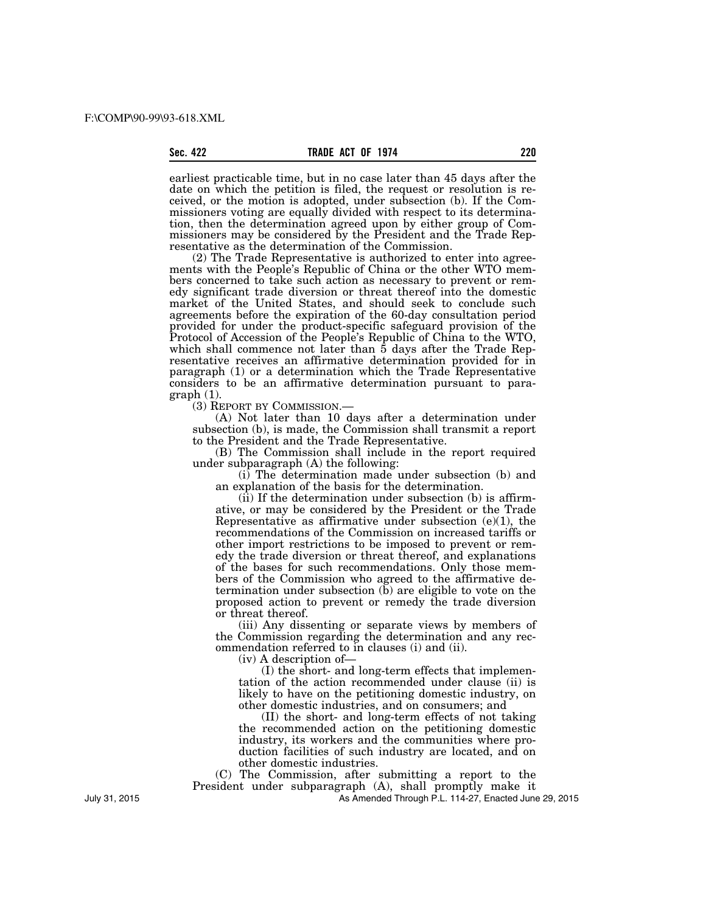earliest practicable time, but in no case later than 45 days after the date on which the petition is filed, the request or resolution is received, or the motion is adopted, under subsection (b). If the Commissioners voting are equally divided with respect to its determination, then the determination agreed upon by either group of Commissioners may be considered by the President and the Trade Representative as the determination of the Commission.

(2) The Trade Representative is authorized to enter into agreements with the People's Republic of China or the other WTO members concerned to take such action as necessary to prevent or remedy significant trade diversion or threat thereof into the domestic market of the United States, and should seek to conclude such agreements before the expiration of the 60-day consultation period provided for under the product-specific safeguard provision of the Protocol of Accession of the People's Republic of China to the WTO, which shall commence not later than 5 days after the Trade Representative receives an affirmative determination provided for in paragraph (1) or a determination which the Trade Representative considers to be an affirmative determination pursuant to paragraph (1).

(3) REPORT BY COMMISSION.— (A) Not later than 10 days after a determination under subsection (b), is made, the Commission shall transmit a report to the President and the Trade Representative.

(B) The Commission shall include in the report required under subparagraph (A) the following:

(i) The determination made under subsection (b) and an explanation of the basis for the determination.

 $(i)$  If the determination under subsection  $(b)$  is affirmative, or may be considered by the President or the Trade Representative as affirmative under subsection  $(e)(1)$ , the recommendations of the Commission on increased tariffs or other import restrictions to be imposed to prevent or remedy the trade diversion or threat thereof, and explanations of the bases for such recommendations. Only those members of the Commission who agreed to the affirmative determination under subsection (b) are eligible to vote on the proposed action to prevent or remedy the trade diversion or threat thereof.

(iii) Any dissenting or separate views by members of the Commission regarding the determination and any recommendation referred to in clauses (i) and (ii).

(iv) A description of—

(I) the short- and long-term effects that implementation of the action recommended under clause (ii) is likely to have on the petitioning domestic industry, on other domestic industries, and on consumers; and

(II) the short- and long-term effects of not taking the recommended action on the petitioning domestic industry, its workers and the communities where production facilities of such industry are located, and on other domestic industries.

(C) The Commission, after submitting a report to the President under subparagraph (A), shall promptly make it

As Amended Through P.L. 114-27, Enacted June 29, 2015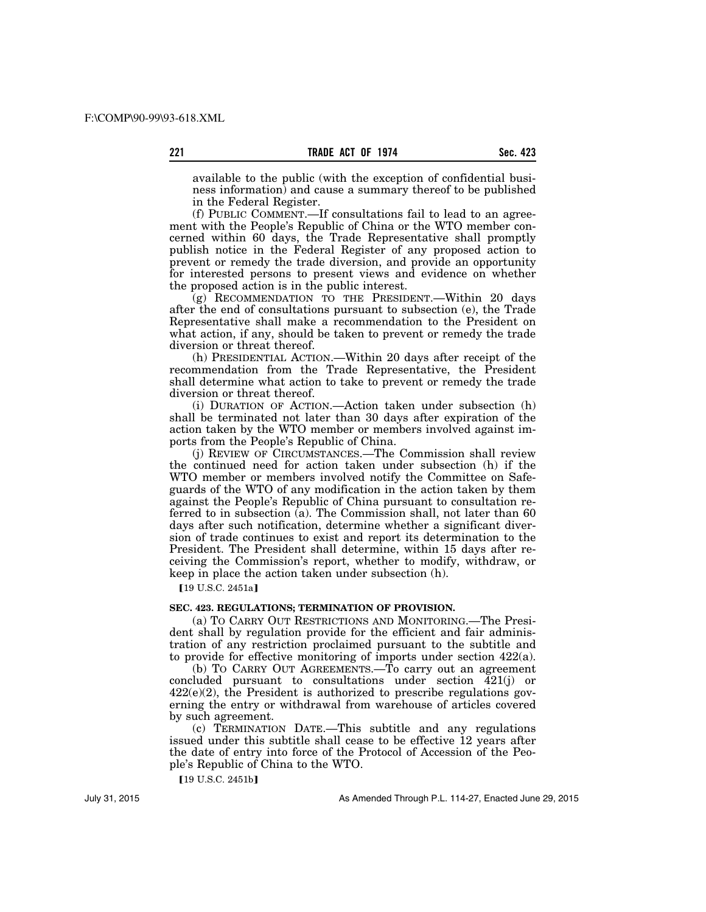available to the public (with the exception of confidential business information) and cause a summary thereof to be published in the Federal Register.

(f) PUBLIC COMMENT.—If consultations fail to lead to an agreement with the People's Republic of China or the WTO member concerned within 60 days, the Trade Representative shall promptly publish notice in the Federal Register of any proposed action to prevent or remedy the trade diversion, and provide an opportunity for interested persons to present views and evidence on whether the proposed action is in the public interest.

(g) RECOMMENDATION TO THE PRESIDENT.—Within 20 days after the end of consultations pursuant to subsection (e), the Trade Representative shall make a recommendation to the President on what action, if any, should be taken to prevent or remedy the trade diversion or threat thereof.

(h) PRESIDENTIAL ACTION.—Within 20 days after receipt of the recommendation from the Trade Representative, the President shall determine what action to take to prevent or remedy the trade diversion or threat thereof.

(i) DURATION OF ACTION.—Action taken under subsection (h) shall be terminated not later than 30 days after expiration of the action taken by the WTO member or members involved against imports from the People's Republic of China.

(j) REVIEW OF CIRCUMSTANCES.—The Commission shall review the continued need for action taken under subsection (h) if the WTO member or members involved notify the Committee on Safeguards of the WTO of any modification in the action taken by them against the People's Republic of China pursuant to consultation referred to in subsection (a). The Commission shall, not later than 60 days after such notification, determine whether a significant diversion of trade continues to exist and report its determination to the President. The President shall determine, within 15 days after receiving the Commission's report, whether to modify, withdraw, or keep in place the action taken under subsection (h).

**[19 U.S.C. 2451a]** 

### **SEC. 423. REGULATIONS; TERMINATION OF PROVISION.**

(a) TO CARRY OUT RESTRICTIONS AND MONITORING.—The President shall by regulation provide for the efficient and fair administration of any restriction proclaimed pursuant to the subtitle and to provide for effective monitoring of imports under section 422(a).

(b) TO CARRY OUT AGREEMENTS.—To carry out an agreement concluded pursuant to consultations under section 421(j) or  $422(e)(2)$ , the President is authorized to prescribe regulations governing the entry or withdrawal from warehouse of articles covered by such agreement.

(c) TERMINATION DATE.—This subtitle and any regulations issued under this subtitle shall cease to be effective 12 years after the date of entry into force of the Protocol of Accession of the People's Republic of China to the WTO.

 $[19 \text{ U.S.C. } 2451b]$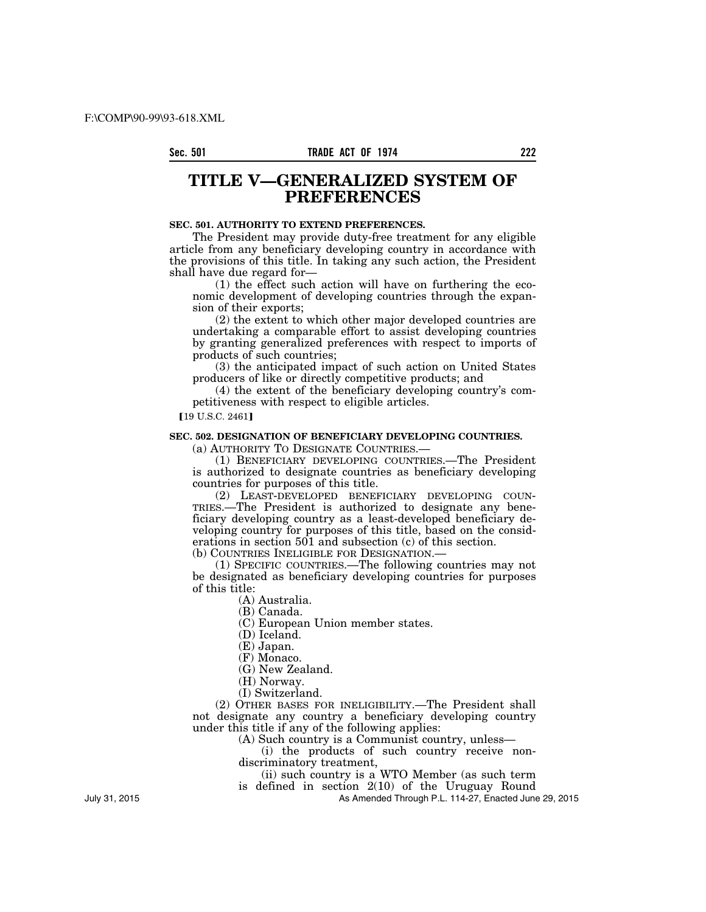# **Sec. 501 TRADE ACT OF 1974 222**

# **TITLE V—GENERALIZED SYSTEM OF PREFERENCES**

# **SEC. 501. AUTHORITY TO EXTEND PREFERENCES.**

The President may provide duty-free treatment for any eligible article from any beneficiary developing country in accordance with the provisions of this title. In taking any such action, the President shall have due regard for—

(1) the effect such action will have on furthering the economic development of developing countries through the expansion of their exports;

(2) the extent to which other major developed countries are undertaking a comparable effort to assist developing countries by granting generalized preferences with respect to imports of products of such countries;

(3) the anticipated impact of such action on United States producers of like or directly competitive products; and

(4) the extent of the beneficiary developing country's competitiveness with respect to eligible articles.

**[19 U.S.C. 2461]** 

# **SEC. 502. DESIGNATION OF BENEFICIARY DEVELOPING COUNTRIES.**

(a) AUTHORITY TO DESIGNATE COUNTRIES.—

(1) BENEFICIARY DEVELOPING COUNTRIES.—The President is authorized to designate countries as beneficiary developing countries for purposes of this title.

(2) LEAST-DEVELOPED BENEFICIARY DEVELOPING COUN-TRIES.—The President is authorized to designate any beneficiary developing country as a least-developed beneficiary developing country for purposes of this title, based on the considerations in section 501 and subsection (c) of this section.

(b) COUNTRIES INELIGIBLE FOR DESIGNATION.—

(1) SPECIFIC COUNTRIES.—The following countries may not be designated as beneficiary developing countries for purposes of this title:

(A) Australia.

(B) Canada.

(C) European Union member states.

(D) Iceland.

(E) Japan.

(F) Monaco.

(G) New Zealand.

(H) Norway.

(I) Switzerland.

(2) OTHER BASES FOR INELIGIBILITY.—The President shall not designate any country a beneficiary developing country under this title if any of the following applies:

(A) Such country is a Communist country, unless—

(i) the products of such country receive nondiscriminatory treatment,

(ii) such country is a WTO Member (as such term

is defined in section 2(10) of the Uruguay Round

As Amended Through P.L. 114-27, Enacted June 29, 2015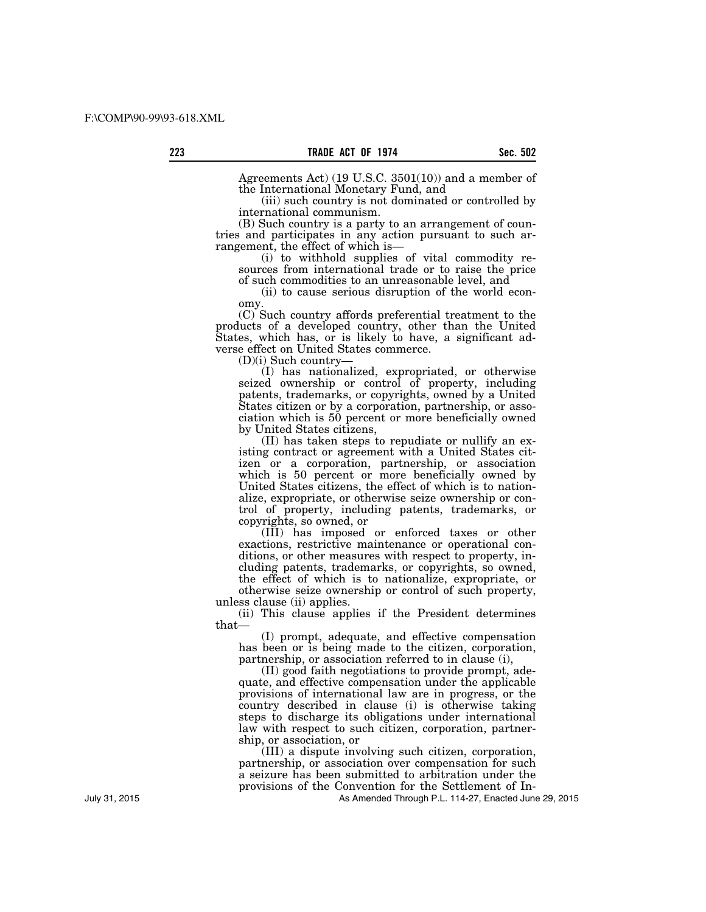Agreements Act) (19 U.S.C. 3501(10)) and a member of the International Monetary Fund, and

(iii) such country is not dominated or controlled by international communism.

(B) Such country is a party to an arrangement of countries and participates in any action pursuant to such arrangement, the effect of which is—

(i) to withhold supplies of vital commodity resources from international trade or to raise the price of such commodities to an unreasonable level, and

(ii) to cause serious disruption of the world economy.

(C) Such country affords preferential treatment to the products of a developed country, other than the United States, which has, or is likely to have, a significant adverse effect on United States commerce.

(D)(i) Such country—

(I) has nationalized, expropriated, or otherwise seized ownership or control of property, including patents, trademarks, or copyrights, owned by a United States citizen or by a corporation, partnership, or association which is 50 percent or more beneficially owned by United States citizens,

(II) has taken steps to repudiate or nullify an existing contract or agreement with a United States citizen or a corporation, partnership, or association which is 50 percent or more beneficially owned by United States citizens, the effect of which is to nationalize, expropriate, or otherwise seize ownership or control of property, including patents, trademarks, or copyrights, so owned, or

(III) has imposed or enforced taxes or other exactions, restrictive maintenance or operational conditions, or other measures with respect to property, including patents, trademarks, or copyrights, so owned, the effect of which is to nationalize, expropriate, or

otherwise seize ownership or control of such property, unless clause (ii) applies.

(ii) This clause applies if the President determines that—

(I) prompt, adequate, and effective compensation has been or is being made to the citizen, corporation, partnership, or association referred to in clause (i),

(II) good faith negotiations to provide prompt, adequate, and effective compensation under the applicable provisions of international law are in progress, or the country described in clause (i) is otherwise taking steps to discharge its obligations under international law with respect to such citizen, corporation, partnership, or association, or

(III) a dispute involving such citizen, corporation, partnership, or association over compensation for such a seizure has been submitted to arbitration under the provisions of the Convention for the Settlement of In-

As Amended Through P.L. 114-27, Enacted June 29, 2015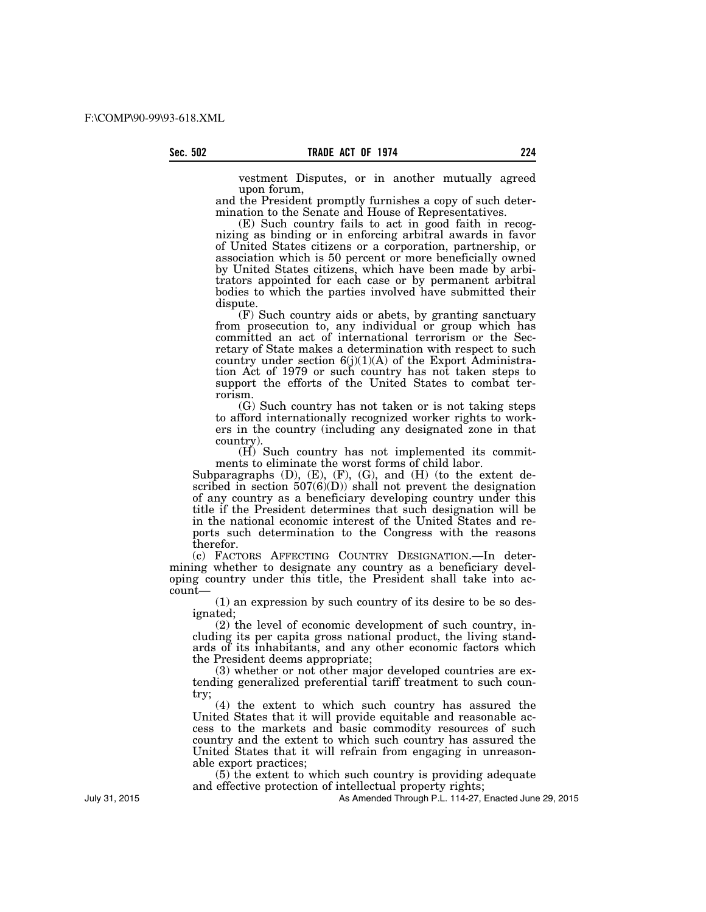vestment Disputes, or in another mutually agreed upon forum,

and the President promptly furnishes a copy of such determination to the Senate and House of Representatives.

(E) Such country fails to act in good faith in recognizing as binding or in enforcing arbitral awards in favor of United States citizens or a corporation, partnership, or association which is 50 percent or more beneficially owned by United States citizens, which have been made by arbitrators appointed for each case or by permanent arbitral bodies to which the parties involved have submitted their dispute.

(F) Such country aids or abets, by granting sanctuary from prosecution to, any individual or group which has committed an act of international terrorism or the Secretary of State makes a determination with respect to such country under section  $6(j)(1)(A)$  of the Export Administration Act of 1979 or such country has not taken steps to support the efforts of the United States to combat terrorism.

(G) Such country has not taken or is not taking steps to afford internationally recognized worker rights to workers in the country (including any designated zone in that country).

(H) Such country has not implemented its commitments to eliminate the worst forms of child labor.

Subparagraphs (D), (E), (F), (G), and (H) (to the extent described in section 507(6)(D)) shall not prevent the designation of any country as a beneficiary developing country under this title if the President determines that such designation will be in the national economic interest of the United States and reports such determination to the Congress with the reasons therefor.

(c) FACTORS AFFECTING COUNTRY DESIGNATION.—In determining whether to designate any country as a beneficiary developing country under this title, the President shall take into account—

(1) an expression by such country of its desire to be so designated;

(2) the level of economic development of such country, including its per capita gross national product, the living standards of its inhabitants, and any other economic factors which the President deems appropriate;

(3) whether or not other major developed countries are extending generalized preferential tariff treatment to such country;

(4) the extent to which such country has assured the United States that it will provide equitable and reasonable access to the markets and basic commodity resources of such country and the extent to which such country has assured the United States that it will refrain from engaging in unreasonable export practices;

(5) the extent to which such country is providing adequate and effective protection of intellectual property rights;

As Amended Through P.L. 114-27, Enacted June 29, 2015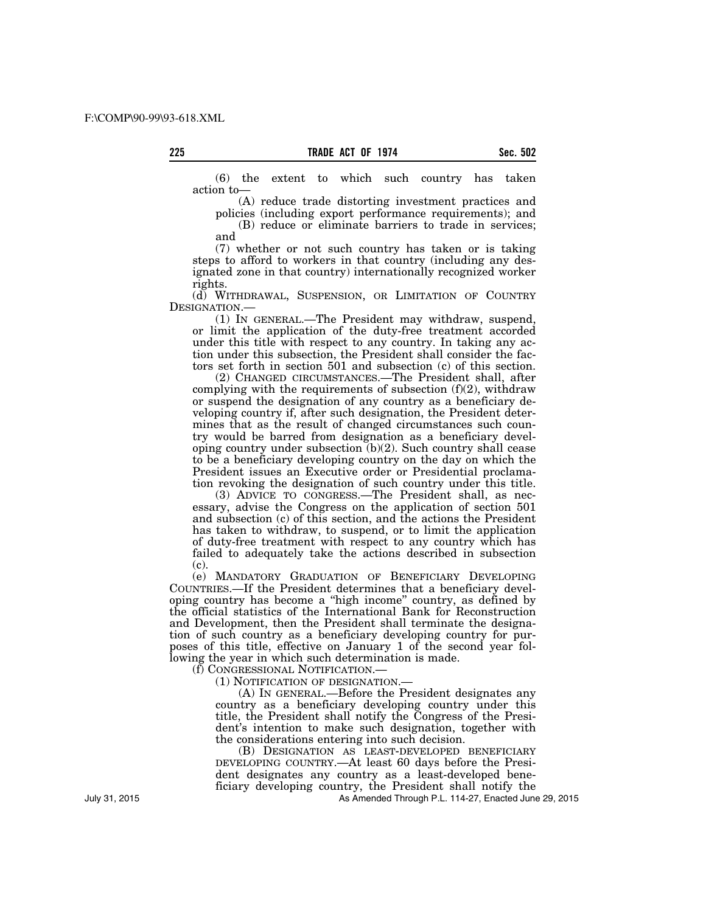(6) the extent to which such country has taken action to—

(A) reduce trade distorting investment practices and policies (including export performance requirements); and (B) reduce or eliminate barriers to trade in services; and

(7) whether or not such country has taken or is taking steps to afford to workers in that country (including any designated zone in that country) internationally recognized worker rights.

(d) WITHDRAWAL, SUSPENSION, OR LIMITATION OF COUNTRY DESIGNATION.—

(1) IN GENERAL.—The President may withdraw, suspend, or limit the application of the duty-free treatment accorded under this title with respect to any country. In taking any action under this subsection, the President shall consider the factors set forth in section 501 and subsection (c) of this section.

(2) CHANGED CIRCUMSTANCES.—The President shall, after complying with the requirements of subsection (f)(2), withdraw or suspend the designation of any country as a beneficiary developing country if, after such designation, the President determines that as the result of changed circumstances such country would be barred from designation as a beneficiary developing country under subsection (b)(2). Such country shall cease to be a beneficiary developing country on the day on which the President issues an Executive order or Presidential proclamation revoking the designation of such country under this title.

(3) ADVICE TO CONGRESS.—The President shall, as necessary, advise the Congress on the application of section 501 and subsection (c) of this section, and the actions the President has taken to withdraw, to suspend, or to limit the application of duty-free treatment with respect to any country which has failed to adequately take the actions described in subsection (c).

(e) MANDATORY GRADUATION OF BENEFICIARY DEVELOPING COUNTRIES.—If the President determines that a beneficiary developing country has become a ''high income'' country, as defined by the official statistics of the International Bank for Reconstruction and Development, then the President shall terminate the designation of such country as a beneficiary developing country for purposes of this title, effective on January 1 of the second year following the year in which such determination is made.

(f) CONGRESSIONAL NOTIFICATION.—

(1) NOTIFICATION OF DESIGNATION.—

(A) IN GENERAL.—Before the President designates any country as a beneficiary developing country under this title, the President shall notify the Congress of the President's intention to make such designation, together with the considerations entering into such decision.

(B) DESIGNATION AS LEAST-DEVELOPED BENEFICIARY DEVELOPING COUNTRY.—At least 60 days before the President designates any country as a least-developed beneficiary developing country, the President shall notify the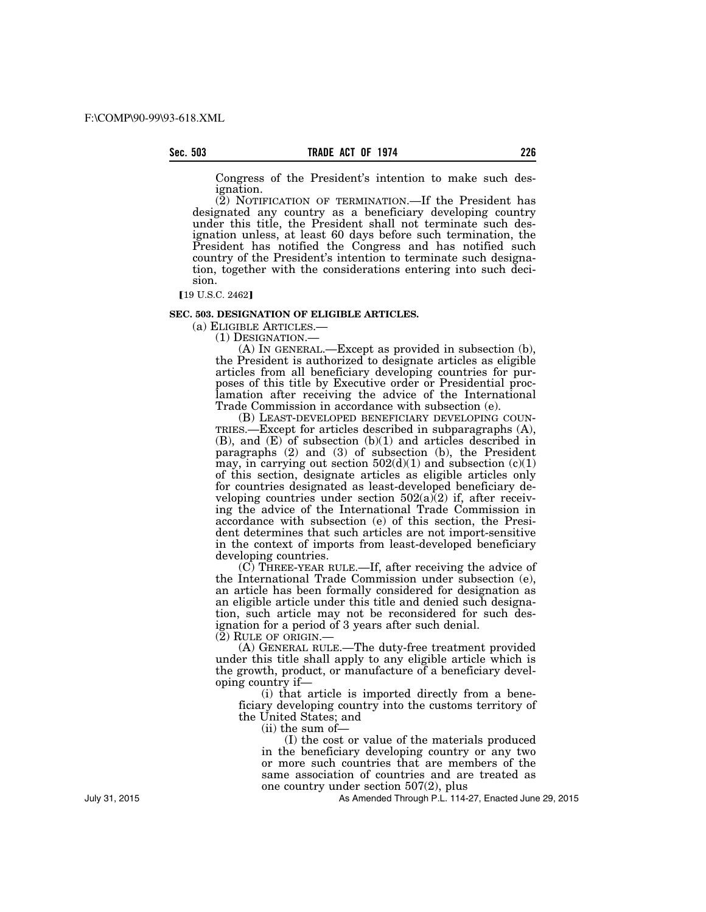Congress of the President's intention to make such designation.

(2) NOTIFICATION OF TERMINATION.—If the President has designated any country as a beneficiary developing country under this title, the President shall not terminate such designation unless, at least 60 days before such termination, the President has notified the Congress and has notified such country of the President's intention to terminate such designation, together with the considerations entering into such decision.

**[19 U.S.C. 2462]** 

## **SEC. 503. DESIGNATION OF ELIGIBLE ARTICLES.**

(a) ELIGIBLE ARTICLES.— (1) DESIGNATION.— (A) IN GENERAL.—Except as provided in subsection (b), the President is authorized to designate articles as eligible articles from all beneficiary developing countries for purposes of this title by Executive order or Presidential proclamation after receiving the advice of the International

Trade Commission in accordance with subsection (e).<br>(B) LEAST-DEVELOPED BENEFICIARY DEVELOPING COUN-TRIES.—Except for articles described in subparagraphs  $(A)$ , (B), and (E) of subsection (b)(1) and articles described in paragraphs (2) and (3) of subsection (b), the President may, in carrying out section  $502(d)(1)$  and subsection  $(c)(1)$ of this section, designate articles as eligible articles only for countries designated as least-developed beneficiary developing countries under section  $502(a\bar{c})$  if, after receiving the advice of the International Trade Commission in accordance with subsection (e) of this section, the President determines that such articles are not import-sensitive in the context of imports from least-developed beneficiary developing countries.

(C) THREE-YEAR RULE.—If, after receiving the advice of the International Trade Commission under subsection (e), an article has been formally considered for designation as an eligible article under this title and denied such designation, such article may not be reconsidered for such designation for a period of 3 years after such denial.  $(2)$  RULE OF ORIGIN.

(A) GENERAL RULE.—The duty-free treatment provided under this title shall apply to any eligible article which is the growth, product, or manufacture of a beneficiary developing country if—

(i) that article is imported directly from a beneficiary developing country into the customs territory of the United States; and

 $(ii)$  the sum of-

(I) the cost or value of the materials produced in the beneficiary developing country or any two or more such countries that are members of the same association of countries and are treated as one country under section 507(2), plus

As Amended Through P.L. 114-27, Enacted June 29, 2015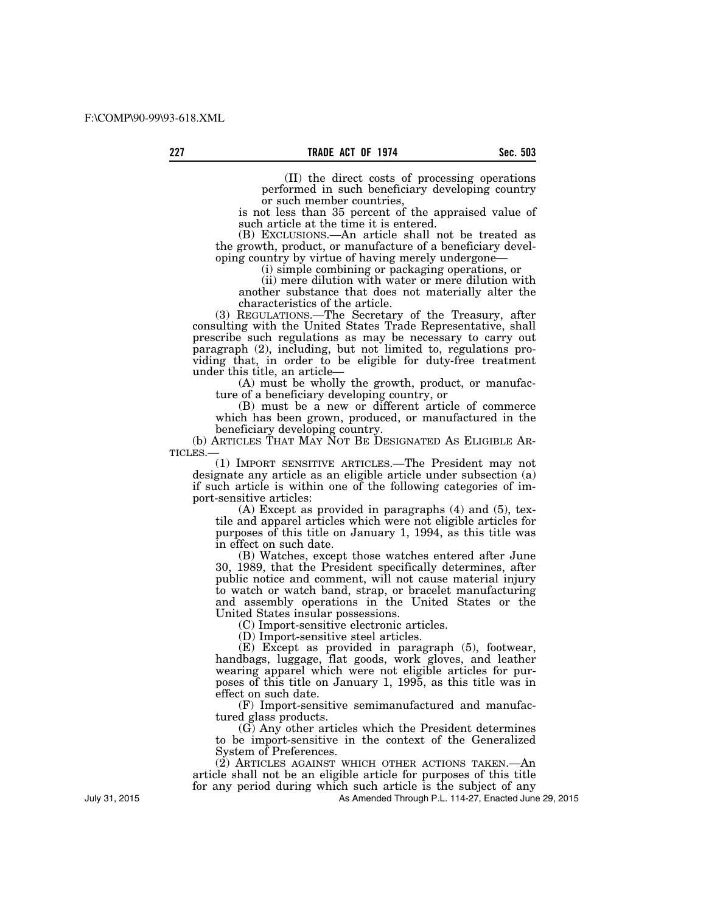(II) the direct costs of processing operations performed in such beneficiary developing country or such member countries,

is not less than 35 percent of the appraised value of such article at the time it is entered.

(B) EXCLUSIONS.—An article shall not be treated as the growth, product, or manufacture of a beneficiary developing country by virtue of having merely undergone—

(i) simple combining or packaging operations, or

(ii) mere dilution with water or mere dilution with another substance that does not materially alter the characteristics of the article.

(3) REGULATIONS.—The Secretary of the Treasury, after consulting with the United States Trade Representative, shall prescribe such regulations as may be necessary to carry out paragraph (2), including, but not limited to, regulations providing that, in order to be eligible for duty-free treatment under this title, an article—

(A) must be wholly the growth, product, or manufacture of a beneficiary developing country, or

(B) must be a new or different article of commerce which has been grown, produced, or manufactured in the beneficiary developing country.

(b) ARTICLES THAT MAY NOT BE DESIGNATED AS ELIGIBLE ARTICLES.—

(1) IMPORT SENSITIVE ARTICLES.—The President may not designate any article as an eligible article under subsection (a) if such article is within one of the following categories of import-sensitive articles:

(A) Except as provided in paragraphs (4) and (5), textile and apparel articles which were not eligible articles for purposes of this title on January 1, 1994, as this title was in effect on such date.

(B) Watches, except those watches entered after June 30, 1989, that the President specifically determines, after public notice and comment, will not cause material injury to watch or watch band, strap, or bracelet manufacturing and assembly operations in the United States or the United States insular possessions.

(C) Import-sensitive electronic articles.

(D) Import-sensitive steel articles.

(E) Except as provided in paragraph (5), footwear, handbags, luggage, flat goods, work gloves, and leather wearing apparel which were not eligible articles for purposes of this title on January 1, 1995, as this title was in effect on such date.

(F) Import-sensitive semimanufactured and manufactured glass products.

(G) Any other articles which the President determines to be import-sensitive in the context of the Generalized System of Preferences.

(2) ARTICLES AGAINST WHICH OTHER ACTIONS TAKEN.—An article shall not be an eligible article for purposes of this title for any period during which such article is the subject of any

As Amended Through P.L. 114-27, Enacted June 29, 2015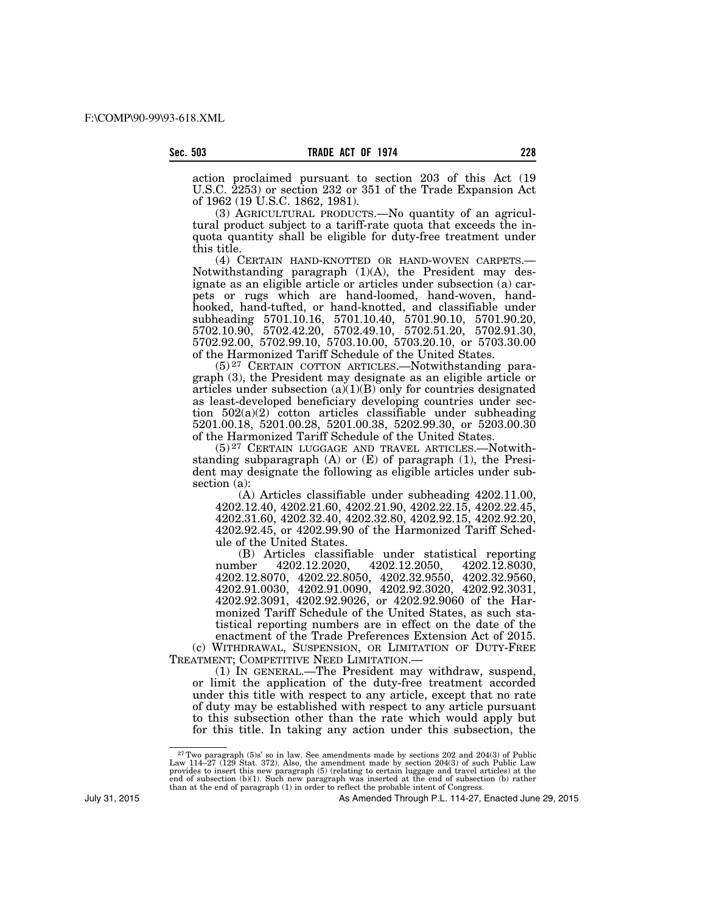action proclaimed pursuant to section 203 of this Act (19 U.S.C. 2253) or section 232 or 351 of the Trade Expansion Act of 1962 (19 U.S.C. 1862, 1981).

(3) AGRICULTURAL PRODUCTS.—No quantity of an agricultural product subject to a tariff-rate quota that exceeds the inquota quantity shall be eligible for duty-free treatment under this title.

(4) CERTAIN HAND-KNOTTED OR HAND-WOVEN CARPETS.— Notwithstanding paragraph (1)(A), the President may designate as an eligible article or articles under subsection (a) carpets or rugs which are hand-loomed, hand-woven, handhooked, hand-tufted, or hand-knotted, and classifiable under subheading 5701.10.16, 5701.10.40, 5701.90.10, 5701.90.20, 5702.10.90, 5702.42.20, 5702.49.10, 5702.51.20, 5702.91.30, 5702.92.00, 5702.99.10, 5703.10.00, 5703.20.10, or 5703.30.00 of the Harmonized Tariff Schedule of the United States.

 $(5)$ <sup>27</sup> CERTAIN COTTON ARTICLES.—Notwithstanding paragraph (3), the President may designate as an eligible article or articles under subsection  $(a)(1)(B)$  only for countries designated as least-developed beneficiary developing countries under section 502(a)(2) cotton articles classifiable under subheading 5201.00.18, 5201.00.28, 5201.00.38, 5202.99.30, or 5203.00.30 of the Harmonized Tariff Schedule of the United States.

(5) 27 CERTAIN LUGGAGE AND TRAVEL ARTICLES.—Notwithstanding subparagraph  $(A)$  or  $(E)$  of paragraph  $(1)$ , the President may designate the following as eligible articles under subsection (a):

(A) Articles classifiable under subheading 4202.11.00, 4202.12.40, 4202.21.60, 4202.21.90, 4202.22.15, 4202.22.45, 4202.31.60, 4202.32.40, 4202.32.80, 4202.92.15, 4202.92.20, 4202.92.45, or 4202.99.90 of the Harmonized Tariff Schedule of the United States.

(B) Articles classifiable under statistical reporting number 4202.12.2020, 4202.12.2050, 4202.12.8030, 4202.12.8070, 4202.22.8050, 4202.32.9550, 4202.32.9560, 4202.91.0030, 4202.91.0090, 4202.92.3020, 4202.92.3031, 4202.92.3091, 4202.92.9026, or 4202.92.9060 of the Harmonized Tariff Schedule of the United States, as such statistical reporting numbers are in effect on the date of the enactment of the Trade Preferences Extension Act of 2015. (c) WITHDRAWAL, SUSPENSION, OR LIMITATION OF DUTY-FREE

TREATMENT; COMPETITIVE NEED LIMITATION.—

(1) IN GENERAL.—The President may withdraw, suspend, or limit the application of the duty-free treatment accorded under this title with respect to any article, except that no rate of duty may be established with respect to any article pursuant to this subsection other than the rate which would apply but for this title. In taking any action under this subsection, the

 $27$ Two paragraph (5)s' so in law. See amendments made by sections 202 and 204(3) of Public Law 114–27 (129 Stat. 372). Also, the amendment made by section 204(3) of such Public Law provides to insert this new paragraph (5) (relating to certain luggage and travel articles) at the<br>end of subsection (b)(1). Such new paragraph was inserted at the end of subsection (b) rather<br>than at the end of paragraph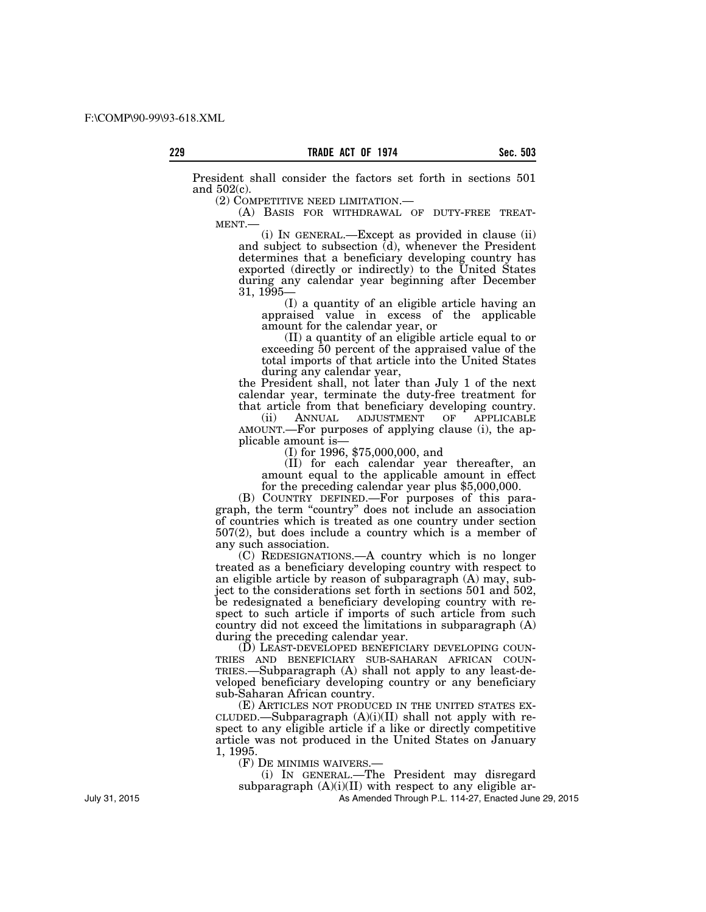President shall consider the factors set forth in sections 501 and 502(c).<br>(2) COMPETITIVE NEED LIMITATION.—

(A) BASIS FOR WITHDRAWAL OF DUTY-FREE TREAT-<br>MENT.— (i) IN GENERAL.—Except as provided in clause (ii)

and subject to subsection (d), whenever the President determines that a beneficiary developing country has exported (directly or indirectly) to the United States during any calendar year beginning after December 31, 1995—

(I) a quantity of an eligible article having an appraised value in excess of the applicable amount for the calendar year, or

(II) a quantity of an eligible article equal to or exceeding 50 percent of the appraised value of the total imports of that article into the United States during any calendar year,

the President shall, not later than July 1 of the next calendar year, terminate the duty-free treatment for that article from that beneficiary developing country.<br>(ii) ANNUAL ADJUSTMENT OF APPLICABLE

(ii) ANNUAL ADJUSTMENT OF APPLICABLE AMOUNT.—For purposes of applying clause (i), the applicable amount is— (I) for 1996, \$75,000,000, and

(II) for each calendar year thereafter, an amount equal to the applicable amount in effect for the preceding calendar year plus \$5,000,000.

(B) COUNTRY DEFINED.—For purposes of this paragraph, the term ''country'' does not include an association of countries which is treated as one country under section 507(2), but does include a country which is a member of any such association.

(C) REDESIGNATIONS.—A country which is no longer treated as a beneficiary developing country with respect to an eligible article by reason of subparagraph (A) may, subject to the considerations set forth in sections 501 and 502, be redesignated a beneficiary developing country with respect to such article if imports of such article from such country did not exceed the limitations in subparagraph (A) during the preceding calendar year.

(D) LEAST-DEVELOPED BENEFICIARY DEVELOPING COUN-TRIES AND BENEFICIARY SUB-SAHARAN AFRICAN COUN-TRIES.—Subparagraph (A) shall not apply to any least-developed beneficiary developing country or any beneficiary sub-Saharan African country.

(E) ARTICLES NOT PRODUCED IN THE UNITED STATES EX-CLUDED.—Subparagraph  $(A)(i)(II)$  shall not apply with respect to any eligible article if a like or directly competitive article was not produced in the United States on January 1, 1995.

(F) DE MINIMIS WAIVERS.—

(i) IN GENERAL.—The President may disregard subparagraph  $(A)(i)(II)$  with respect to any eligible ar-

As Amended Through P.L. 114-27, Enacted June 29, 2015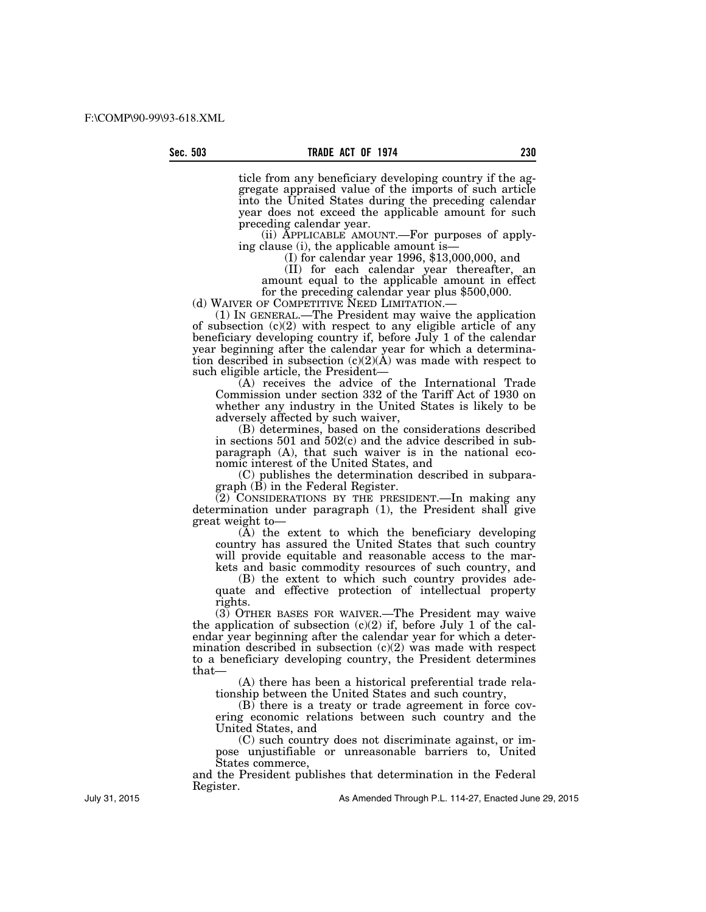ticle from any beneficiary developing country if the aggregate appraised value of the imports of such article into the United States during the preceding calendar year does not exceed the applicable amount for such preceding calendar year.

(ii) APPLICABLE AMOUNT.—For purposes of applying clause (i), the applicable amount is—

 $I$ ) for calendar year 1996, \$13,000,000, and

(II) for each calendar year thereafter, an amount equal to the applicable amount in effect

for the preceding calendar year plus \$500,000.<br>(d) WAIVER OF COMPETITIVE NEED LIMITATION.—

 $(1)$  In GENERAL.—The President may waive the application of subsection  $(c)(2)$  with respect to any eligible article of any beneficiary developing country if, before July 1 of the calendar year beginning after the calendar year for which a determination described in subsection  $(c)(2)(A)$  was made with respect to such eligible article, the President—

(A) receives the advice of the International Trade Commission under section 332 of the Tariff Act of 1930 on whether any industry in the United States is likely to be adversely affected by such waiver,

(B) determines, based on the considerations described in sections 501 and 502(c) and the advice described in subparagraph (A), that such waiver is in the national economic interest of the United States, and

(C) publishes the determination described in subparagraph (B) in the Federal Register.

(2) CONSIDERATIONS BY THE PRESIDENT.—In making any determination under paragraph (1), the President shall give great weight to—

(A) the extent to which the beneficiary developing country has assured the United States that such country will provide equitable and reasonable access to the markets and basic commodity resources of such country, and

(B) the extent to which such country provides adequate and effective protection of intellectual property rights.

(3) OTHER BASES FOR WAIVER.—The President may waive the application of subsection  $(c)(2)$  if, before July 1 of the calendar year beginning after the calendar year for which a determination described in subsection  $(c)(2)$  was made with respect to a beneficiary developing country, the President determines that—

(A) there has been a historical preferential trade relationship between the United States and such country,

(B) there is a treaty or trade agreement in force covering economic relations between such country and the United States, and

(C) such country does not discriminate against, or impose unjustifiable or unreasonable barriers to, United States commerce,

and the President publishes that determination in the Federal Register.

July 31, 2015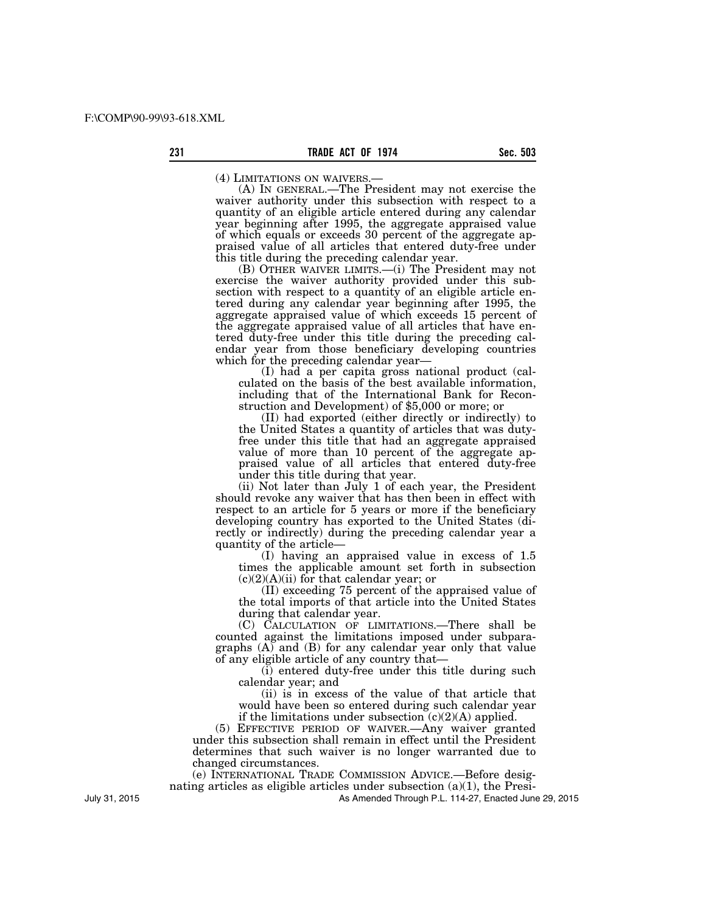(4) LIMITATIONS ON WAIVERS.— (A) IN GENERAL.—The President may not exercise the waiver authority under this subsection with respect to a quantity of an eligible article entered during any calendar year beginning after 1995, the aggregate appraised value of which equals or exceeds 30 percent of the aggregate appraised value of all articles that entered duty-free under this title during the preceding calendar year.

(B) OTHER WAIVER LIMITS.—(i) The President may not exercise the waiver authority provided under this subsection with respect to a quantity of an eligible article entered during any calendar year beginning after 1995, the aggregate appraised value of which exceeds 15 percent of the aggregate appraised value of all articles that have entered duty-free under this title during the preceding calendar year from those beneficiary developing countries which for the preceding calendar year—

(I) had a per capita gross national product (calculated on the basis of the best available information, including that of the International Bank for Reconstruction and Development) of \$5,000 or more; or

(II) had exported (either directly or indirectly) to the United States a quantity of articles that was dutyfree under this title that had an aggregate appraised value of more than 10 percent of the aggregate appraised value of all articles that entered duty-free under this title during that year.

(ii) Not later than July 1 of each year, the President should revoke any waiver that has then been in effect with respect to an article for 5 years or more if the beneficiary developing country has exported to the United States (directly or indirectly) during the preceding calendar year a quantity of the article—

(I) having an appraised value in excess of 1.5 times the applicable amount set forth in subsection  $(c)(2)(A)(ii)$  for that calendar year; or

(II) exceeding 75 percent of the appraised value of the total imports of that article into the United States during that calendar year.

(C) CALCULATION OF LIMITATIONS.—There shall be counted against the limitations imposed under subparagraphs  $(A)$  and  $(B)$  for any calendar year only that value of any eligible article of any country that—

(i) entered duty-free under this title during such calendar year; and

(ii) is in excess of the value of that article that would have been so entered during such calendar year if the limitations under subsection  $(c)(2)(A)$  applied.

(5) EFFECTIVE PERIOD OF WAIVER.—Any waiver granted under this subsection shall remain in effect until the President determines that such waiver is no longer warranted due to changed circumstances.

(e) INTERNATIONAL TRADE COMMISSION ADVICE.—Before designating articles as eligible articles under subsection  $(a)(1)$ , the Presi-

As Amended Through P.L. 114-27, Enacted June 29, 2015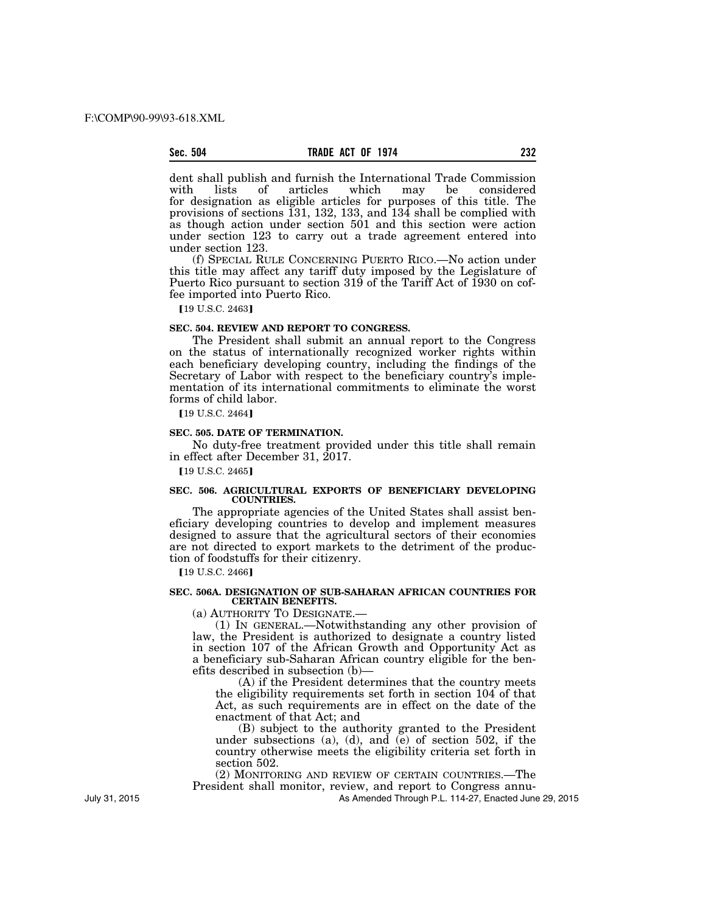dent shall publish and furnish the International Trade Commission with lists of articles which may be considered for designation as eligible articles for purposes of this title. The provisions of sections 131, 132, 133, and 134 shall be complied with as though action under section 501 and this section were action under section 123 to carry out a trade agreement entered into under section 123.

(f) SPECIAL RULE CONCERNING PUERTO RICO.—No action under this title may affect any tariff duty imposed by the Legislature of Puerto Rico pursuant to section 319 of the Tariff Act of 1930 on coffee imported into Puerto Rico.

**[19 U.S.C. 2463]** 

### **SEC. 504. REVIEW AND REPORT TO CONGRESS.**

The President shall submit an annual report to the Congress on the status of internationally recognized worker rights within each beneficiary developing country, including the findings of the Secretary of Labor with respect to the beneficiary country's implementation of its international commitments to eliminate the worst forms of child labor.

**[19 U.S.C. 2464]** 

# **SEC. 505. DATE OF TERMINATION.**

No duty-free treatment provided under this title shall remain in effect after December 31, 2017.

**[19 U.S.C. 2465]** 

# **SEC. 506. AGRICULTURAL EXPORTS OF BENEFICIARY DEVELOPING COUNTRIES.**

The appropriate agencies of the United States shall assist beneficiary developing countries to develop and implement measures designed to assure that the agricultural sectors of their economies are not directed to export markets to the detriment of the production of foodstuffs for their citizenry.

**[19 U.S.C. 2466]** 

#### **SEC. 506A. DESIGNATION OF SUB-SAHARAN AFRICAN COUNTRIES FOR CERTAIN BENEFITS.**

(a) AUTHORITY TO DESIGNATE.—

(1) IN GENERAL.—Notwithstanding any other provision of law, the President is authorized to designate a country listed in section 107 of the African Growth and Opportunity Act as a beneficiary sub-Saharan African country eligible for the benefits described in subsection (b)—

(A) if the President determines that the country meets the eligibility requirements set forth in section 104 of that Act, as such requirements are in effect on the date of the enactment of that Act; and

(B) subject to the authority granted to the President under subsections (a), (d), and (e) of section 502, if the country otherwise meets the eligibility criteria set forth in section 502.

(2) MONITORING AND REVIEW OF CERTAIN COUNTRIES.—The President shall monitor, review, and report to Congress annu-

As Amended Through P.L. 114-27, Enacted June 29, 2015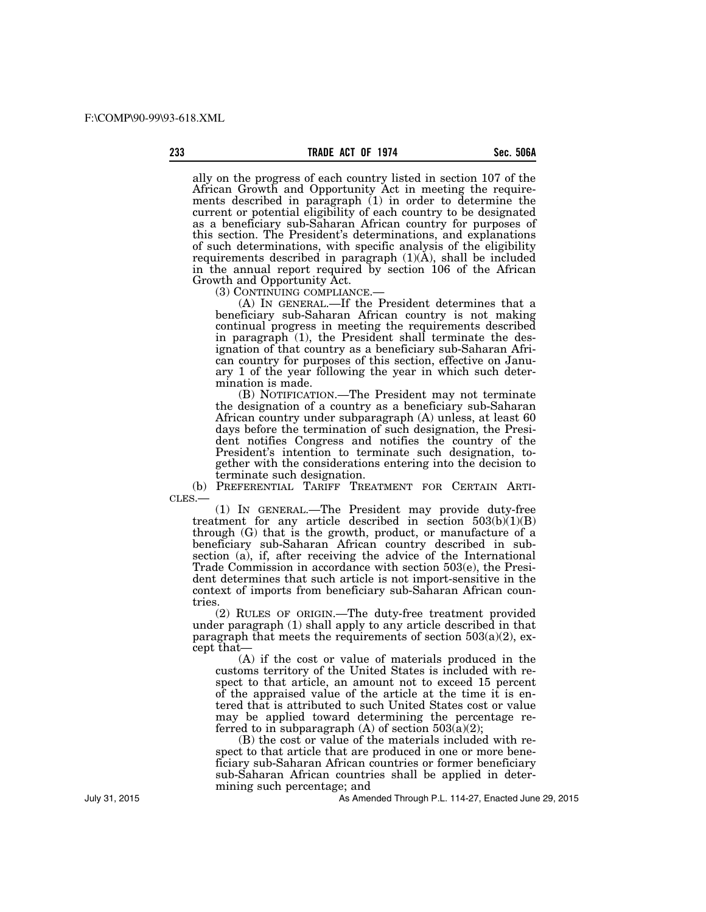ally on the progress of each country listed in section 107 of the African Growth and Opportunity Act in meeting the requirements described in paragraph (1) in order to determine the current or potential eligibility of each country to be designated as a beneficiary sub-Saharan African country for purposes of this section. The President's determinations, and explanations of such determinations, with specific analysis of the eligibility requirements described in paragraph  $(1)(\dot{A})$ , shall be included in the annual report required by section 106 of the African Growth and Opportunity Act.<br>(3) CONTINUING COMPLIANCE.

(A) IN GENERAL.—If the President determines that a beneficiary sub-Saharan African country is not making continual progress in meeting the requirements described in paragraph  $(1)$ , the President shall terminate the designation of that country as a beneficiary sub-Saharan African country for purposes of this section, effective on January 1 of the year following the year in which such determination is made.

(B) NOTIFICATION.—The President may not terminate the designation of a country as a beneficiary sub-Saharan African country under subparagraph (A) unless, at least 60 days before the termination of such designation, the President notifies Congress and notifies the country of the President's intention to terminate such designation, together with the considerations entering into the decision to terminate such designation.

(b) PREFERENTIAL TARIFF TREATMENT FOR CERTAIN ARTICLES.—

(1) IN GENERAL.—The President may provide duty-free treatment for any article described in section  $503(b)(1)(B)$ through (G) that is the growth, product, or manufacture of a beneficiary sub-Saharan African country described in subsection (a), if, after receiving the advice of the International Trade Commission in accordance with section 503(e), the President determines that such article is not import-sensitive in the context of imports from beneficiary sub-Saharan African countries.

(2) RULES OF ORIGIN.—The duty-free treatment provided under paragraph (1) shall apply to any article described in that paragraph that meets the requirements of section  $503(a)(2)$ , except that—

(A) if the cost or value of materials produced in the customs territory of the United States is included with respect to that article, an amount not to exceed 15 percent of the appraised value of the article at the time it is entered that is attributed to such United States cost or value may be applied toward determining the percentage referred to in subparagraph  $(A)$  of section 503 $(a)(2)$ ;

(B) the cost or value of the materials included with respect to that article that are produced in one or more beneficiary sub-Saharan African countries or former beneficiary sub-Saharan African countries shall be applied in determining such percentage; and

As Amended Through P.L. 114-27, Enacted June 29, 2015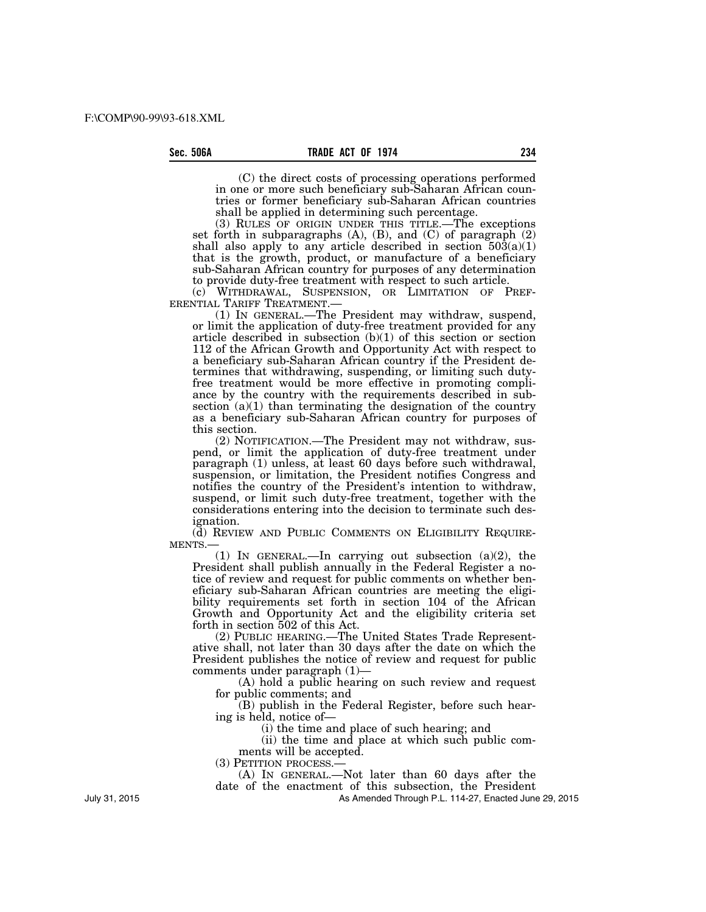(C) the direct costs of processing operations performed in one or more such beneficiary sub-Saharan African countries or former beneficiary sub-Saharan African countries shall be applied in determining such percentage.

(3) RULES OF ORIGIN UNDER THIS TITLE.—The exceptions set forth in subparagraphs  $(A)$ ,  $(B)$ , and  $(C)$  of paragraph  $(2)$ shall also apply to any article described in section  $50\overline{3}(a)(1)$ that is the growth, product, or manufacture of a beneficiary sub-Saharan African country for purposes of any determination to provide duty-free treatment with respect to such article.

(c) WITHDRAWAL, SUSPENSION, OR LIMITATION OF PREF-

(1) IN GENERAL.—The President may withdraw, suspend, or limit the application of duty-free treatment provided for any article described in subsection (b)(1) of this section or section 112 of the African Growth and Opportunity Act with respect to a beneficiary sub-Saharan African country if the President determines that withdrawing, suspending, or limiting such dutyfree treatment would be more effective in promoting compliance by the country with the requirements described in subsection (a)(1) than terminating the designation of the country as a beneficiary sub-Saharan African country for purposes of this section.

(2) NOTIFICATION.—The President may not withdraw, suspend, or limit the application of duty-free treatment under paragraph (1) unless, at least 60 days before such withdrawal, suspension, or limitation, the President notifies Congress and notifies the country of the President's intention to withdraw, suspend, or limit such duty-free treatment, together with the considerations entering into the decision to terminate such designation.

(d) REVIEW AND PUBLIC COMMENTS ON ELIGIBILITY REQUIRE-MENTS.

(1) IN GENERAL.—In carrying out subsection (a)(2), the President shall publish annually in the Federal Register a notice of review and request for public comments on whether beneficiary sub-Saharan African countries are meeting the eligibility requirements set forth in section 104 of the African Growth and Opportunity Act and the eligibility criteria set forth in section 502 of this Act.

(2) PUBLIC HEARING.—The United States Trade Representative shall, not later than 30 days after the date on which the President publishes the notice of review and request for public comments under paragraph (1)—

(A) hold a public hearing on such review and request for public comments; and

(B) publish in the Federal Register, before such hearing is held, notice of—

(i) the time and place of such hearing; and

(ii) the time and place at which such public comments will be accepted.

(3) PETITION PROCESS.—

(A) IN GENERAL.—Not later than 60 days after the

date of the enactment of this subsection, the President

As Amended Through P.L. 114-27, Enacted June 29, 2015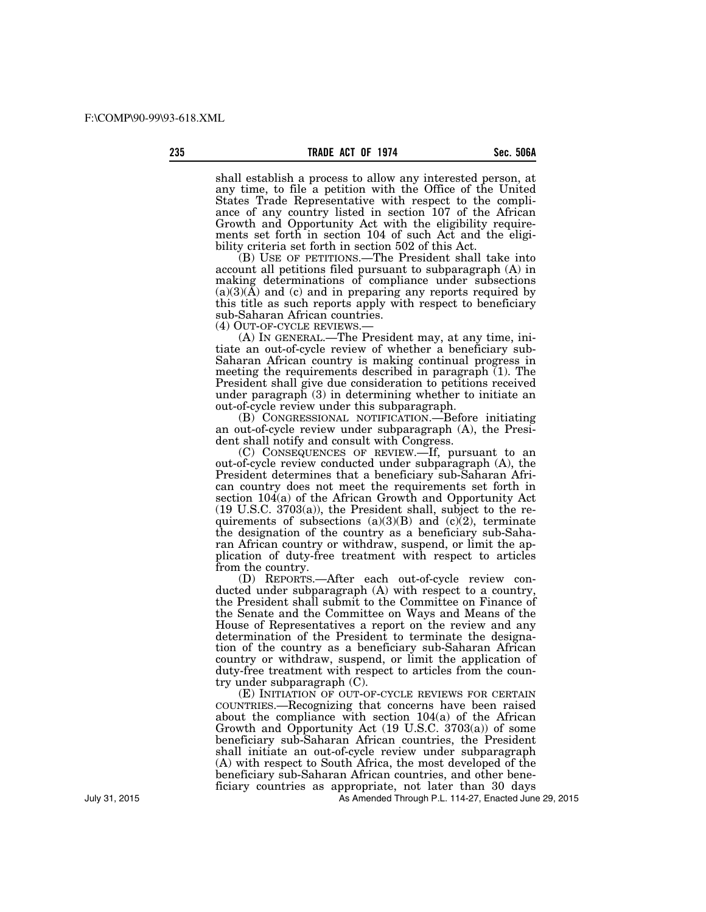shall establish a process to allow any interested person, at any time, to file a petition with the Office of the United States Trade Representative with respect to the compliance of any country listed in section 107 of the African Growth and Opportunity Act with the eligibility requirements set forth in section 104 of such Act and the eligibility criteria set forth in section 502 of this Act.

(B) USE OF PETITIONS.—The President shall take into account all petitions filed pursuant to subparagraph (A) in making determinations of compliance under subsections  $(a)(3)(\overline{A})$  and  $(c)$  and in preparing any reports required by this title as such reports apply with respect to beneficiary sub-Saharan African countries.

(4) OUT-OF-CYCLE REVIEWS.— (A) IN GENERAL.—The President may, at any time, initiate an out-of-cycle review of whether a beneficiary sub-Saharan African country is making continual progress in meeting the requirements described in paragraph (1). The President shall give due consideration to petitions received under paragraph (3) in determining whether to initiate an out-of-cycle review under this subparagraph.

(B) CONGRESSIONAL NOTIFICATION.—Before initiating an out-of-cycle review under subparagraph (A), the President shall notify and consult with Congress.

(C) CONSEQUENCES OF REVIEW.—If, pursuant to an out-of-cycle review conducted under subparagraph (A), the President determines that a beneficiary sub-Saharan African country does not meet the requirements set forth in section 104(a) of the African Growth and Opportunity Act (19 U.S.C. 3703(a)), the President shall, subject to the requirements of subsections  $(a)(3)(B)$  and  $(c)(2)$ , terminate the designation of the country as a beneficiary sub-Saharan African country or withdraw, suspend, or limit the application of duty-free treatment with respect to articles from the country.

(D) REPORTS.—After each out-of-cycle review conducted under subparagraph (A) with respect to a country, the President shall submit to the Committee on Finance of the Senate and the Committee on Ways and Means of the House of Representatives a report on the review and any determination of the President to terminate the designation of the country as a beneficiary sub-Saharan African country or withdraw, suspend, or limit the application of duty-free treatment with respect to articles from the country under subparagraph (C).

(E) INITIATION OF OUT-OF-CYCLE REVIEWS FOR CERTAIN COUNTRIES.—Recognizing that concerns have been raised about the compliance with section 104(a) of the African Growth and Opportunity Act (19 U.S.C. 3703(a)) of some beneficiary sub-Saharan African countries, the President shall initiate an out-of-cycle review under subparagraph (A) with respect to South Africa, the most developed of the beneficiary sub-Saharan African countries, and other beneficiary countries as appropriate, not later than 30 days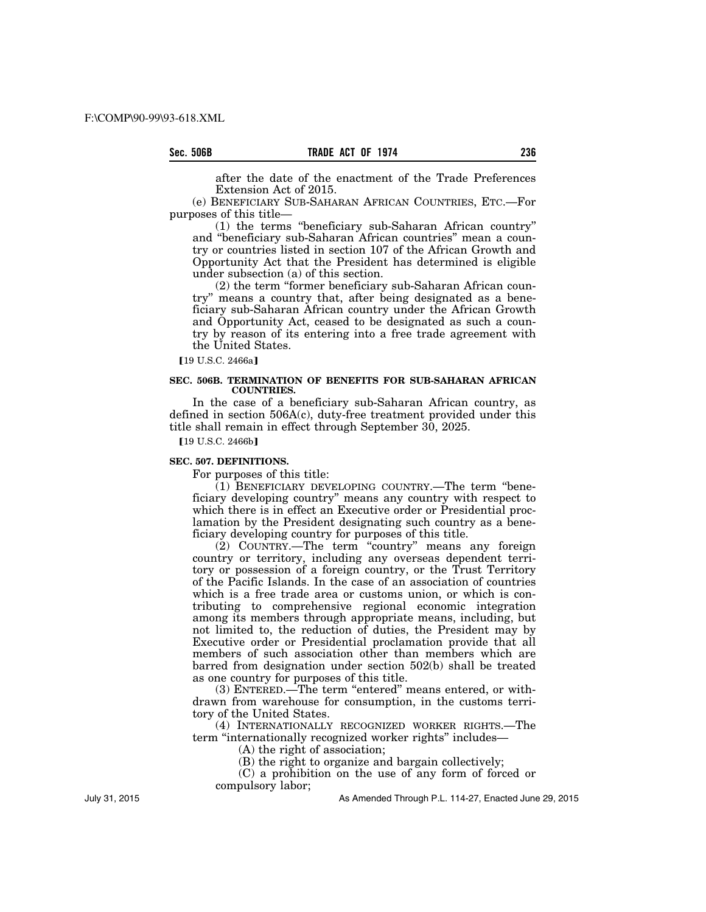after the date of the enactment of the Trade Preferences Extension Act of 2015.

(e) BENEFICIARY SUB-SAHARAN AFRICAN COUNTRIES, ETC.—For purposes of this title—

(1) the terms ''beneficiary sub-Saharan African country'' and ''beneficiary sub-Saharan African countries'' mean a country or countries listed in section 107 of the African Growth and Opportunity Act that the President has determined is eligible under subsection (a) of this section.

(2) the term ''former beneficiary sub-Saharan African country'' means a country that, after being designated as a beneficiary sub-Saharan African country under the African Growth and Opportunity Act, ceased to be designated as such a country by reason of its entering into a free trade agreement with the United States.

**[19 U.S.C. 2466a]** 

### **SEC. 506B. TERMINATION OF BENEFITS FOR SUB-SAHARAN AFRICAN COUNTRIES.**

In the case of a beneficiary sub-Saharan African country, as defined in section 506A(c), duty-free treatment provided under this title shall remain in effect through September 30, 2025.

**[19 U.S.C. 2466b]** 

### **SEC. 507. DEFINITIONS.**

For purposes of this title:

(1) BENEFICIARY DEVELOPING COUNTRY.—The term ''beneficiary developing country'' means any country with respect to which there is in effect an Executive order or Presidential proclamation by the President designating such country as a beneficiary developing country for purposes of this title.

(2) COUNTRY.—The term ''country'' means any foreign country or territory, including any overseas dependent territory or possession of a foreign country, or the Trust Territory of the Pacific Islands. In the case of an association of countries which is a free trade area or customs union, or which is contributing to comprehensive regional economic integration among its members through appropriate means, including, but not limited to, the reduction of duties, the President may by Executive order or Presidential proclamation provide that all members of such association other than members which are barred from designation under section 502(b) shall be treated as one country for purposes of this title.

(3) ENTERED.—The term ''entered'' means entered, or withdrawn from warehouse for consumption, in the customs territory of the United States.

(4) INTERNATIONALLY RECOGNIZED WORKER RIGHTS.—The term ''internationally recognized worker rights'' includes—

(A) the right of association;

(B) the right to organize and bargain collectively;

(C) a prohibition on the use of any form of forced or compulsory labor;

As Amended Through P.L. 114-27, Enacted June 29, 2015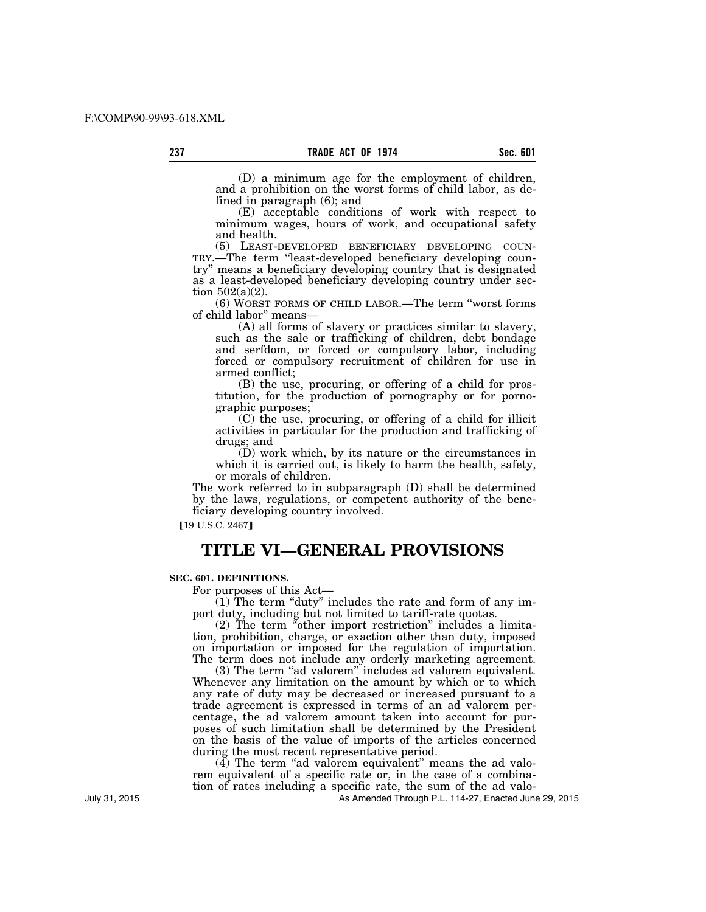(D) a minimum age for the employment of children, and a prohibition on the worst forms of child labor, as defined in paragraph (6); and

(E) acceptable conditions of work with respect to minimum wages, hours of work, and occupational safety and health.<br>
(5) LEAST-DEVELOPED BENEFICIARY DEVELOPING COUN-

TRY.—The term "least-developed beneficiary developing country'' means a beneficiary developing country that is designated as a least-developed beneficiary developing country under section 502(a)(2).

(6) WORST FORMS OF CHILD LABOR.—The term ''worst forms of child labor'' means—

(A) all forms of slavery or practices similar to slavery, such as the sale or trafficking of children, debt bondage and serfdom, or forced or compulsory labor, including forced or compulsory recruitment of children for use in armed conflict;

(B) the use, procuring, or offering of a child for prostitution, for the production of pornography or for pornographic purposes;

(C) the use, procuring, or offering of a child for illicit activities in particular for the production and trafficking of drugs; and

(D) work which, by its nature or the circumstances in which it is carried out, is likely to harm the health, safety, or morals of children.

The work referred to in subparagraph (D) shall be determined by the laws, regulations, or competent authority of the beneficiary developing country involved.

[19 U.S.C. 2467]

# **TITLE VI—GENERAL PROVISIONS**

### **SEC. 601. DEFINITIONS.**

For purposes of this Act—

(1) The term ''duty'' includes the rate and form of any import duty, including but not limited to tariff-rate quotas.

 $(2)$  The term "other import restriction" includes a limitation, prohibition, charge, or exaction other than duty, imposed on importation or imposed for the regulation of importation. The term does not include any orderly marketing agreement.

(3) The term "ad valorem" includes ad valorem equivalent. Whenever any limitation on the amount by which or to which any rate of duty may be decreased or increased pursuant to a trade agreement is expressed in terms of an ad valorem percentage, the ad valorem amount taken into account for purposes of such limitation shall be determined by the President on the basis of the value of imports of the articles concerned during the most recent representative period.

 $(4)$  The term "ad valorem equivalent" means the ad valorem equivalent of a specific rate or, in the case of a combination of rates including a specific rate, the sum of the ad valo-

As Amended Through P.L. 114-27, Enacted June 29, 2015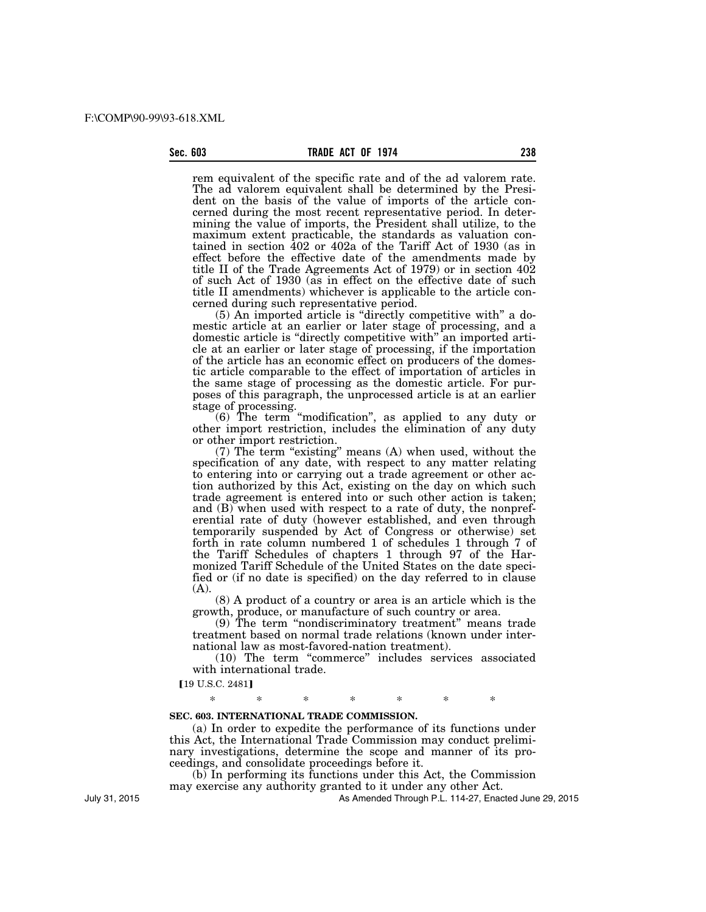rem equivalent of the specific rate and of the ad valorem rate. The ad valorem equivalent shall be determined by the President on the basis of the value of imports of the article concerned during the most recent representative period. In determining the value of imports, the President shall utilize, to the maximum extent practicable, the standards as valuation contained in section 402 or 402a of the Tariff Act of 1930 (as in effect before the effective date of the amendments made by title II of the Trade Agreements Act of 1979) or in section 402 of such Act of 1930 (as in effect on the effective date of such title II amendments) whichever is applicable to the article concerned during such representative period.

(5) An imported article is ''directly competitive with'' a domestic article at an earlier or later stage of processing, and a domestic article is ''directly competitive with'' an imported article at an earlier or later stage of processing, if the importation of the article has an economic effect on producers of the domestic article comparable to the effect of importation of articles in the same stage of processing as the domestic article. For purposes of this paragraph, the unprocessed article is at an earlier stage of processing.

(6) The term ''modification'', as applied to any duty or other import restriction, includes the elimination of any duty or other import restriction.

(7) The term ''existing'' means (A) when used, without the specification of any date, with respect to any matter relating to entering into or carrying out a trade agreement or other action authorized by this Act, existing on the day on which such trade agreement is entered into or such other action is taken; and (B) when used with respect to a rate of duty, the nonpreferential rate of duty (however established, and even through temporarily suspended by Act of Congress or otherwise) set forth in rate column numbered 1 of schedules 1 through 7 of the Tariff Schedules of chapters 1 through 97 of the Harmonized Tariff Schedule of the United States on the date specified or (if no date is specified) on the day referred to in clause (A).

(8) A product of a country or area is an article which is the growth, produce, or manufacture of such country or area.

 $(9)$  The term "nondiscriminatory treatment" means trade treatment based on normal trade relations (known under international law as most-favored-nation treatment).

(10) The term ''commerce'' includes services associated with international trade.

[19 U.S.C. 2481]

\* \* \* \* \* \* \*

# **SEC. 603. INTERNATIONAL TRADE COMMISSION.**

(a) In order to expedite the performance of its functions under this Act, the International Trade Commission may conduct preliminary investigations, determine the scope and manner of its proceedings, and consolidate proceedings before it.

(b) In performing its functions under this Act, the Commission may exercise any authority granted to it under any other Act.

As Amended Through P.L. 114-27, Enacted June 29, 2015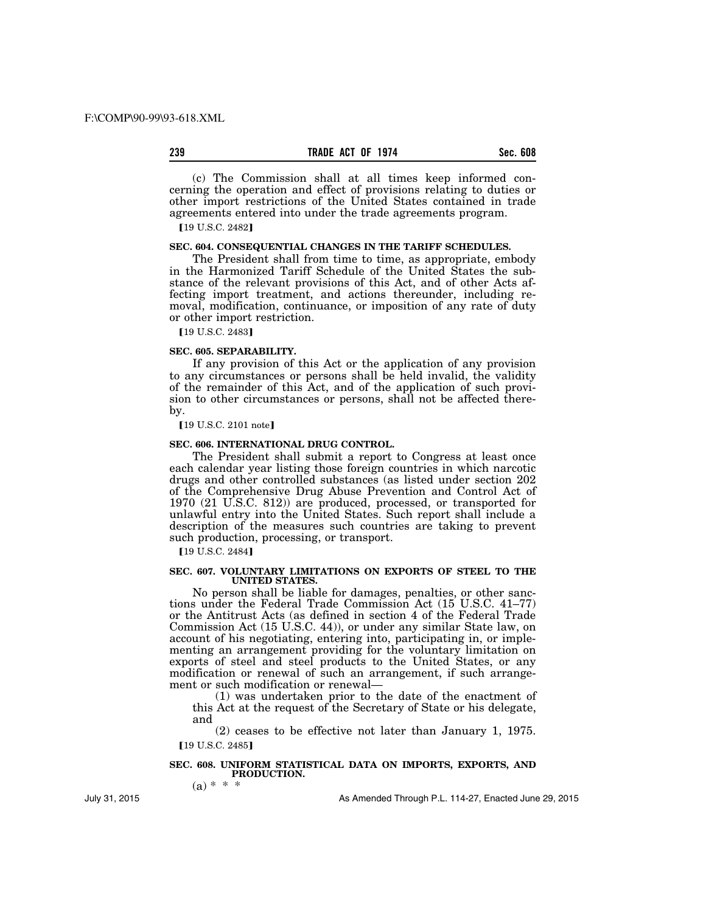(c) The Commission shall at all times keep informed concerning the operation and effect of provisions relating to duties or other import restrictions of the United States contained in trade agreements entered into under the trade agreements program.

[19 U.S.C. 2482]

### **SEC. 604. CONSEQUENTIAL CHANGES IN THE TARIFF SCHEDULES.**

The President shall from time to time, as appropriate, embody in the Harmonized Tariff Schedule of the United States the substance of the relevant provisions of this Act, and of other Acts affecting import treatment, and actions thereunder, including removal, modification, continuance, or imposition of any rate of duty or other import restriction.

**[19 U.S.C. 2483]** 

#### **SEC. 605. SEPARABILITY.**

If any provision of this Act or the application of any provision to any circumstances or persons shall be held invalid, the validity of the remainder of this Act, and of the application of such provision to other circumstances or persons, shall not be affected thereby.

[19 U.S.C. 2101 note]

### **SEC. 606. INTERNATIONAL DRUG CONTROL.**

The President shall submit a report to Congress at least once each calendar year listing those foreign countries in which narcotic drugs and other controlled substances (as listed under section 202 of the Comprehensive Drug Abuse Prevention and Control Act of 1970 (21 U.S.C. 812)) are produced, processed, or transported for unlawful entry into the United States. Such report shall include a description of the measures such countries are taking to prevent such production, processing, or transport.

**[19 U.S.C. 2484]** 

#### **SEC. 607. VOLUNTARY LIMITATIONS ON EXPORTS OF STEEL TO THE UNITED STATES.**

No person shall be liable for damages, penalties, or other sanctions under the Federal Trade Commission Act (15 U.S.C. 41–77) or the Antitrust Acts (as defined in section 4 of the Federal Trade Commission Act (15 U.S.C. 44)), or under any similar State law, on account of his negotiating, entering into, participating in, or implementing an arrangement providing for the voluntary limitation on exports of steel and steel products to the United States, or any modification or renewal of such an arrangement, if such arrangement or such modification or renewal—

(1) was undertaken prior to the date of the enactment of this Act at the request of the Secretary of State or his delegate, and

(2) ceases to be effective not later than January 1, 1975. **[19 U.S.C. 2485]** 

# **SEC. 608. UNIFORM STATISTICAL DATA ON IMPORTS, EXPORTS, AND PRODUCTION.**

 $(a) * *$ 

July 31, 2015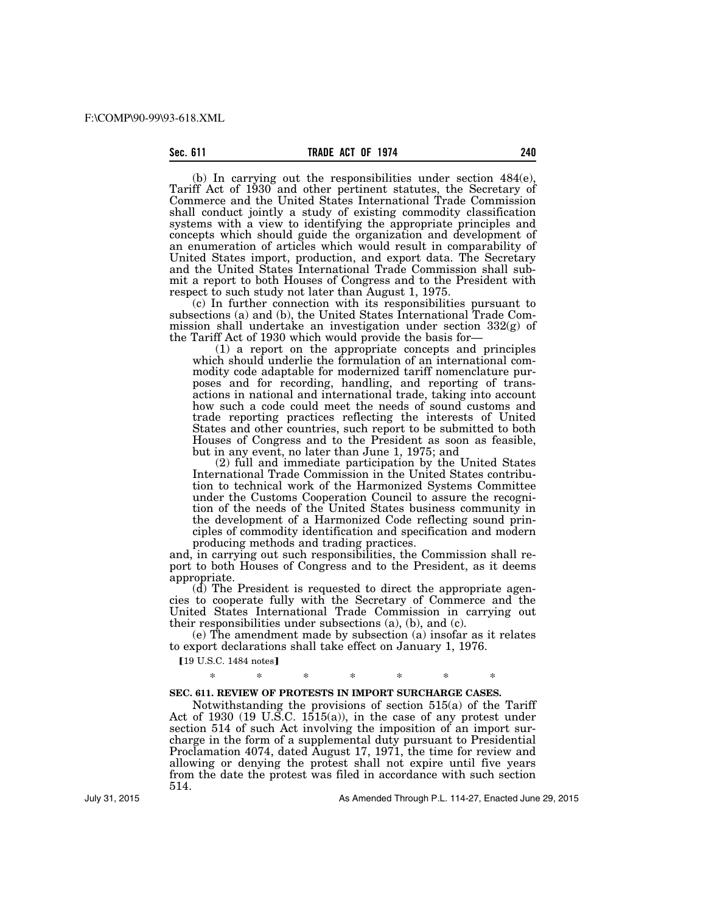# **Sec. 611 TRADE ACT OF 1974 240**

(b) In carrying out the responsibilities under section  $484(e)$ , Tariff Act of 1930 and other pertinent statutes, the Secretary of Commerce and the United States International Trade Commission shall conduct jointly a study of existing commodity classification systems with a view to identifying the appropriate principles and concepts which should guide the organization and development of an enumeration of articles which would result in comparability of United States import, production, and export data. The Secretary and the United States International Trade Commission shall submit a report to both Houses of Congress and to the President with respect to such study not later than August 1, 1975.

(c) In further connection with its responsibilities pursuant to subsections (a) and (b), the United States International Trade Commission shall undertake an investigation under section 332(g) of the Tariff Act of 1930 which would provide the basis for—

(1) a report on the appropriate concepts and principles which should underlie the formulation of an international commodity code adaptable for modernized tariff nomenclature purposes and for recording, handling, and reporting of transactions in national and international trade, taking into account how such a code could meet the needs of sound customs and trade reporting practices reflecting the interests of United States and other countries, such report to be submitted to both Houses of Congress and to the President as soon as feasible, but in any event, no later than June 1, 1975; and

(2) full and immediate participation by the United States International Trade Commission in the United States contribution to technical work of the Harmonized Systems Committee under the Customs Cooperation Council to assure the recognition of the needs of the United States business community in the development of a Harmonized Code reflecting sound principles of commodity identification and specification and modern producing methods and trading practices.

and, in carrying out such responsibilities, the Commission shall report to both Houses of Congress and to the President, as it deems appropriate.

 $(d)$  The President is requested to direct the appropriate agencies to cooperate fully with the Secretary of Commerce and the United States International Trade Commission in carrying out their responsibilities under subsections (a), (b), and (c).

(e) The amendment made by subsection (a) insofar as it relates to export declarations shall take effect on January 1, 1976.

[19 U.S.C. 1484 notes]

\* \* \* \* \* \* \*

# **SEC. 611. REVIEW OF PROTESTS IN IMPORT SURCHARGE CASES.**

Notwithstanding the provisions of section 515(a) of the Tariff Act of 1930 (19 U.S.C. 1515(a)), in the case of any protest under section 514 of such Act involving the imposition of an import surcharge in the form of a supplemental duty pursuant to Presidential Proclamation 4074, dated August 17, 1971, the time for review and allowing or denying the protest shall not expire until five years from the date the protest was filed in accordance with such section 514.

July 31, 2015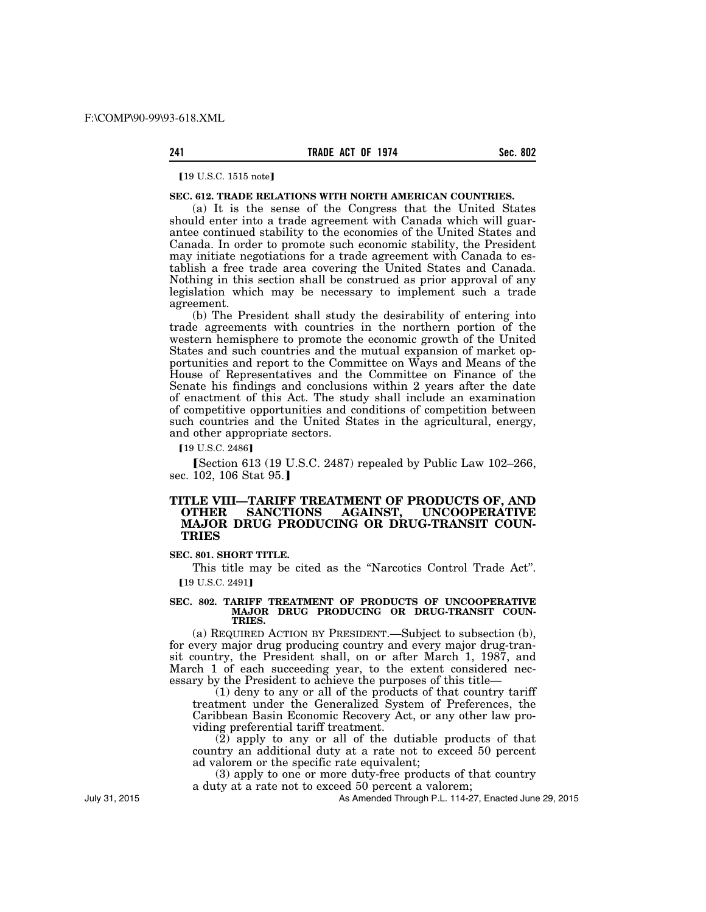[19 U.S.C. 1515 note]

# **SEC. 612. TRADE RELATIONS WITH NORTH AMERICAN COUNTRIES.**

(a) It is the sense of the Congress that the United States should enter into a trade agreement with Canada which will guarantee continued stability to the economies of the United States and Canada. In order to promote such economic stability, the President may initiate negotiations for a trade agreement with Canada to establish a free trade area covering the United States and Canada. Nothing in this section shall be construed as prior approval of any legislation which may be necessary to implement such a trade agreement.

(b) The President shall study the desirability of entering into trade agreements with countries in the northern portion of the western hemisphere to promote the economic growth of the United States and such countries and the mutual expansion of market opportunities and report to the Committee on Ways and Means of the House of Representatives and the Committee on Finance of the Senate his findings and conclusions within 2 years after the date of enactment of this Act. The study shall include an examination of competitive opportunities and conditions of competition between such countries and the United States in the agricultural, energy, and other appropriate sectors.

**[19 U.S.C. 2486]** 

Section 613 (19 U.S.C. 2487) repealed by Public Law  $102-266$ , sec. 102, 106 Stat 95.]

# **TITLE VIII—TARIFF TREATMENT OF PRODUCTS OF, AND OTHER SANCTIONS AGAINST, UNCOOPERATIVE MAJOR DRUG PRODUCING OR DRUG-TRANSIT COUN-TRIES**

### **SEC. 801. SHORT TITLE.**

This title may be cited as the ''Narcotics Control Trade Act''. [19 U.S.C. 2491]

#### **SEC. 802. TARIFF TREATMENT OF PRODUCTS OF UNCOOPERATIVE MAJOR DRUG PRODUCING OR DRUG-TRANSIT COUN-TRIES.**

(a) REQUIRED ACTION BY PRESIDENT.—Subject to subsection (b), for every major drug producing country and every major drug-transit country, the President shall, on or after March 1, 1987, and March 1 of each succeeding year, to the extent considered necessary by the President to achieve the purposes of this title—

(1) deny to any or all of the products of that country tariff treatment under the Generalized System of Preferences, the Caribbean Basin Economic Recovery Act, or any other law providing preferential tariff treatment.

(2) apply to any or all of the dutiable products of that country an additional duty at a rate not to exceed 50 percent ad valorem or the specific rate equivalent;

(3) apply to one or more duty-free products of that country a duty at a rate not to exceed 50 percent a valorem;

As Amended Through P.L. 114-27, Enacted June 29, 2015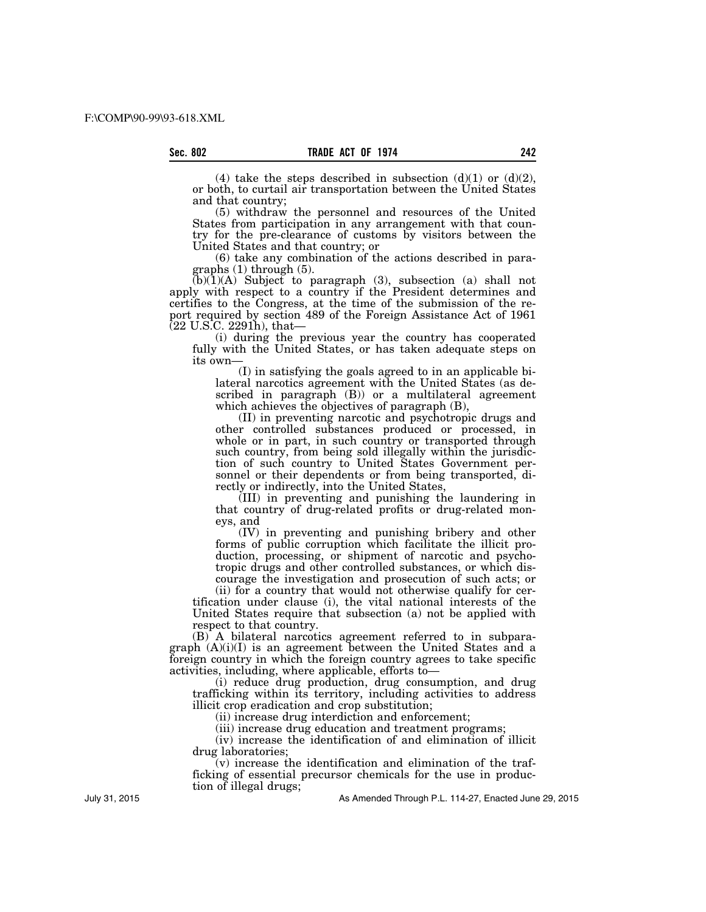(4) take the steps described in subsection (d)(1) or (d)(2), or both, to curtail air transportation between the United States and that country;

(5) withdraw the personnel and resources of the United States from participation in any arrangement with that country for the pre-clearance of customs by visitors between the United States and that country; or

(6) take any combination of the actions described in paragraphs (1) through (5).

 $(b)(1)(A)$  Subject to paragraph (3), subsection (a) shall not apply with respect to a country if the President determines and certifies to the Congress, at the time of the submission of the report required by section 489 of the Foreign Assistance Act of 1961  $(22 \text{ U.S.C. } 2291 \text{h})$ , that-

(i) during the previous year the country has cooperated fully with the United States, or has taken adequate steps on its own—

(I) in satisfying the goals agreed to in an applicable bilateral narcotics agreement with the United States (as described in paragraph (B)) or a multilateral agreement which achieves the objectives of paragraph (B),

(II) in preventing narcotic and psychotropic drugs and other controlled substances produced or processed, in whole or in part, in such country or transported through such country, from being sold illegally within the jurisdiction of such country to United States Government personnel or their dependents or from being transported, directly or indirectly, into the United States,

(III) in preventing and punishing the laundering in that country of drug-related profits or drug-related moneys, and

(IV) in preventing and punishing bribery and other forms of public corruption which facilitate the illicit production, processing, or shipment of narcotic and psychotropic drugs and other controlled substances, or which discourage the investigation and prosecution of such acts; or

(ii) for a country that would not otherwise qualify for certification under clause (i), the vital national interests of the United States require that subsection (a) not be applied with respect to that country.

(B) A bilateral narcotics agreement referred to in subparagraph (A)(i)(I) is an agreement between the United States and a foreign country in which the foreign country agrees to take specific activities, including, where applicable, efforts to—

(i) reduce drug production, drug consumption, and drug trafficking within its territory, including activities to address illicit crop eradication and crop substitution;

(ii) increase drug interdiction and enforcement;

(iii) increase drug education and treatment programs;

(iv) increase the identification of and elimination of illicit drug laboratories;

(v) increase the identification and elimination of the trafficking of essential precursor chemicals for the use in production of illegal drugs;

As Amended Through P.L. 114-27, Enacted June 29, 2015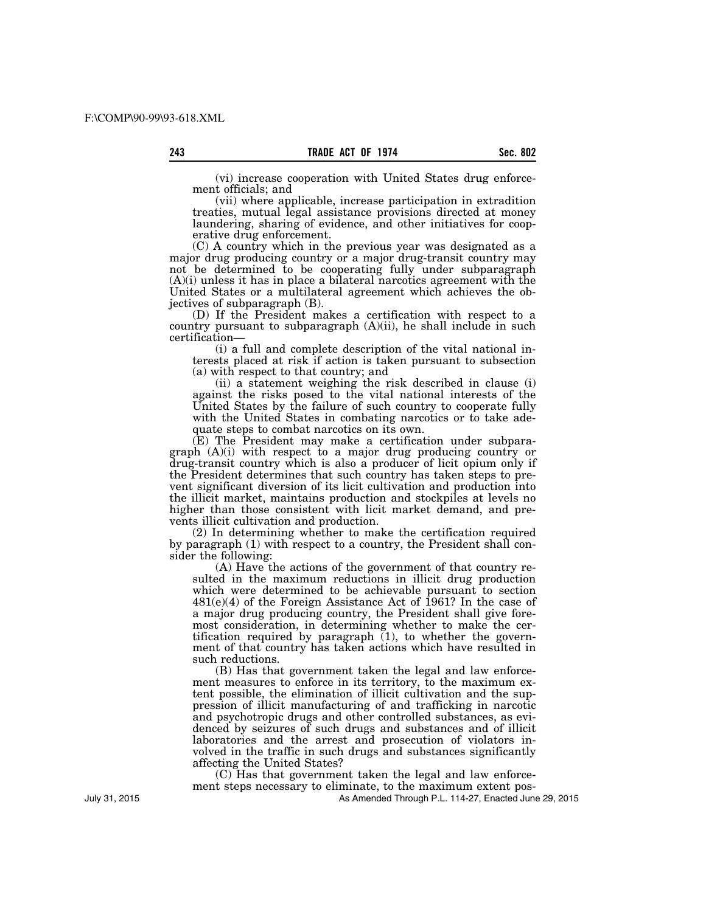(vi) increase cooperation with United States drug enforcement officials; and

(vii) where applicable, increase participation in extradition treaties, mutual legal assistance provisions directed at money laundering, sharing of evidence, and other initiatives for cooperative drug enforcement.

(C) A country which in the previous year was designated as a major drug producing country or a major drug-transit country may not be determined to be cooperating fully under subparagraph (A)(i) unless it has in place a bilateral narcotics agreement with the United States or a multilateral agreement which achieves the objectives of subparagraph (B).

(D) If the President makes a certification with respect to a country pursuant to subparagraph  $(A)(ii)$ , he shall include in such certification—

(i) a full and complete description of the vital national interests placed at risk if action is taken pursuant to subsection (a) with respect to that country; and

(ii) a statement weighing the risk described in clause (i) against the risks posed to the vital national interests of the United States by the failure of such country to cooperate fully with the United States in combating narcotics or to take adequate steps to combat narcotics on its own.

(E) The President may make a certification under subparagraph (A)(i) with respect to a major drug producing country or drug-transit country which is also a producer of licit opium only if the President determines that such country has taken steps to prevent significant diversion of its licit cultivation and production into the illicit market, maintains production and stockpiles at levels no higher than those consistent with licit market demand, and prevents illicit cultivation and production.

(2) In determining whether to make the certification required by paragraph (1) with respect to a country, the President shall consider the following:

(A) Have the actions of the government of that country resulted in the maximum reductions in illicit drug production which were determined to be achievable pursuant to section 481(e)(4) of the Foreign Assistance Act of 1961? In the case of a major drug producing country, the President shall give foremost consideration, in determining whether to make the certification required by paragraph (1), to whether the government of that country has taken actions which have resulted in such reductions.

(B) Has that government taken the legal and law enforcement measures to enforce in its territory, to the maximum extent possible, the elimination of illicit cultivation and the suppression of illicit manufacturing of and trafficking in narcotic and psychotropic drugs and other controlled substances, as evidenced by seizures of such drugs and substances and of illicit laboratories and the arrest and prosecution of violators involved in the traffic in such drugs and substances significantly affecting the United States?

(C) Has that government taken the legal and law enforcement steps necessary to eliminate, to the maximum extent pos-

As Amended Through P.L. 114-27, Enacted June 29, 2015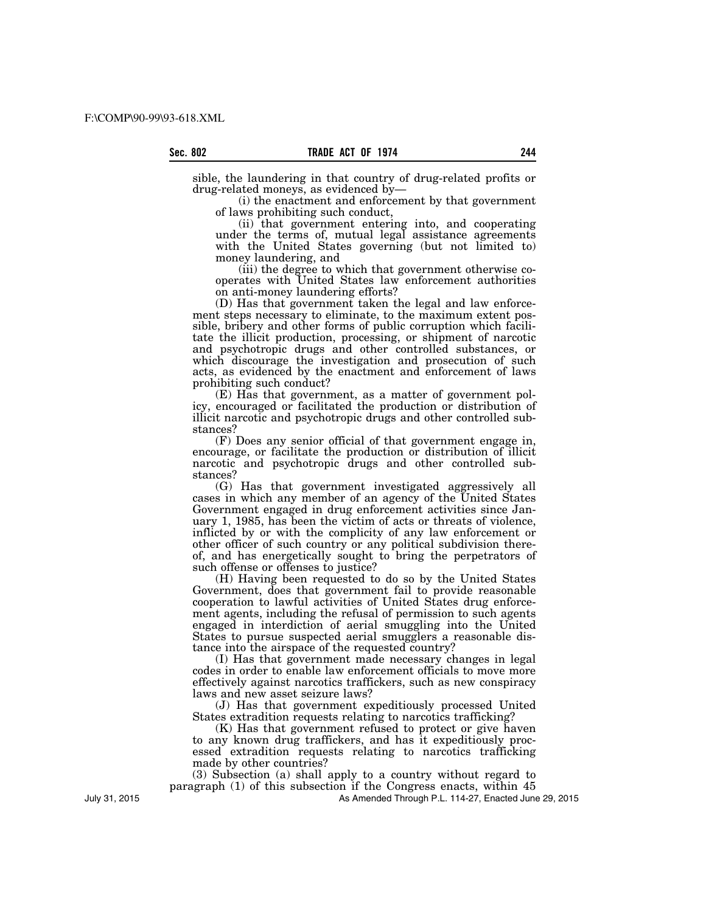sible, the laundering in that country of drug-related profits or drug-related moneys, as evidenced by—

(i) the enactment and enforcement by that government of laws prohibiting such conduct,

(ii) that government entering into, and cooperating under the terms of, mutual legal assistance agreements with the United States governing (but not limited to) money laundering, and

(iii) the degree to which that government otherwise cooperates with United States law enforcement authorities on anti-money laundering efforts?

(D) Has that government taken the legal and law enforcement steps necessary to eliminate, to the maximum extent possible, bribery and other forms of public corruption which facilitate the illicit production, processing, or shipment of narcotic and psychotropic drugs and other controlled substances, or which discourage the investigation and prosecution of such acts, as evidenced by the enactment and enforcement of laws prohibiting such conduct?

(E) Has that government, as a matter of government policy, encouraged or facilitated the production or distribution of illicit narcotic and psychotropic drugs and other controlled substances?

(F) Does any senior official of that government engage in, encourage, or facilitate the production or distribution of illicit narcotic and psychotropic drugs and other controlled substances?

(G) Has that government investigated aggressively all cases in which any member of an agency of the United States Government engaged in drug enforcement activities since January 1, 1985, has been the victim of acts or threats of violence, inflicted by or with the complicity of any law enforcement or other officer of such country or any political subdivision thereof, and has energetically sought to bring the perpetrators of such offense or offenses to justice?

(H) Having been requested to do so by the United States Government, does that government fail to provide reasonable cooperation to lawful activities of United States drug enforcement agents, including the refusal of permission to such agents engaged in interdiction of aerial smuggling into the United States to pursue suspected aerial smugglers a reasonable distance into the airspace of the requested country?

(I) Has that government made necessary changes in legal codes in order to enable law enforcement officials to move more effectively against narcotics traffickers, such as new conspiracy laws and new asset seizure laws?

(J) Has that government expeditiously processed United States extradition requests relating to narcotics trafficking?

(K) Has that government refused to protect or give haven to any known drug traffickers, and has it expeditiously processed extradition requests relating to narcotics trafficking made by other countries?

(3) Subsection (a) shall apply to a country without regard to paragraph (1) of this subsection if the Congress enacts, within 45

As Amended Through P.L. 114-27, Enacted June 29, 2015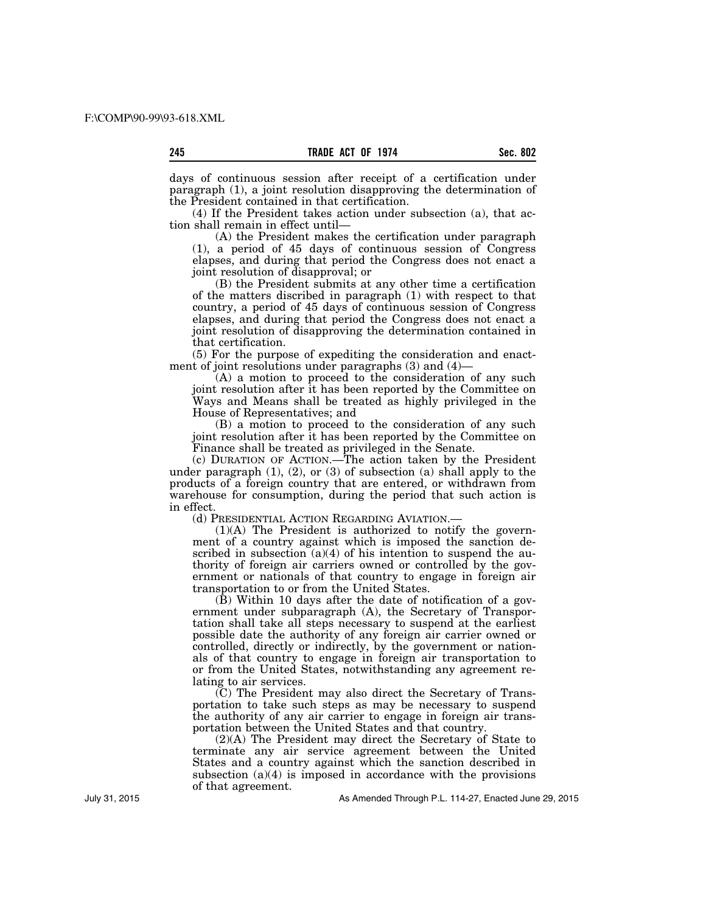days of continuous session after receipt of a certification under paragraph (1), a joint resolution disapproving the determination of the President contained in that certification.

(4) If the President takes action under subsection (a), that action shall remain in effect until—

(A) the President makes the certification under paragraph (1), a period of 45 days of continuous session of Congress elapses, and during that period the Congress does not enact a joint resolution of disapproval; or

(B) the President submits at any other time a certification of the matters discribed in paragraph (1) with respect to that country, a period of 45 days of continuous session of Congress elapses, and during that period the Congress does not enact a joint resolution of disapproving the determination contained in that certification.

(5) For the purpose of expediting the consideration and enactment of joint resolutions under paragraphs (3) and (4)—

(A) a motion to proceed to the consideration of any such joint resolution after it has been reported by the Committee on Ways and Means shall be treated as highly privileged in the House of Representatives; and

(B) a motion to proceed to the consideration of any such joint resolution after it has been reported by the Committee on Finance shall be treated as privileged in the Senate.

(c) DURATION OF ACTION.—The action taken by the President under paragraph  $(1)$ ,  $(2)$ , or  $(3)$  of subsection  $(a)$  shall apply to the products of a foreign country that are entered, or withdrawn from warehouse for consumption, during the period that such action is in effect.

(d) PRESIDENTIAL ACTION REGARDING AVIATION.—

(1)(A) The President is authorized to notify the government of a country against which is imposed the sanction described in subsection  $(a)(4)$  of his intention to suspend the authority of foreign air carriers owned or controlled by the government or nationals of that country to engage in foreign air transportation to or from the United States.

(B) Within 10 days after the date of notification of a government under subparagraph (A), the Secretary of Transportation shall take all steps necessary to suspend at the earliest possible date the authority of any foreign air carrier owned or controlled, directly or indirectly, by the government or nationals of that country to engage in foreign air transportation to or from the United States, notwithstanding any agreement relating to air services.

(C) The President may also direct the Secretary of Transportation to take such steps as may be necessary to suspend the authority of any air carrier to engage in foreign air transportation between the United States and that country.

(2)(A) The President may direct the Secretary of State to terminate any air service agreement between the United States and a country against which the sanction described in subsection  $(a)(4)$  is imposed in accordance with the provisions of that agreement.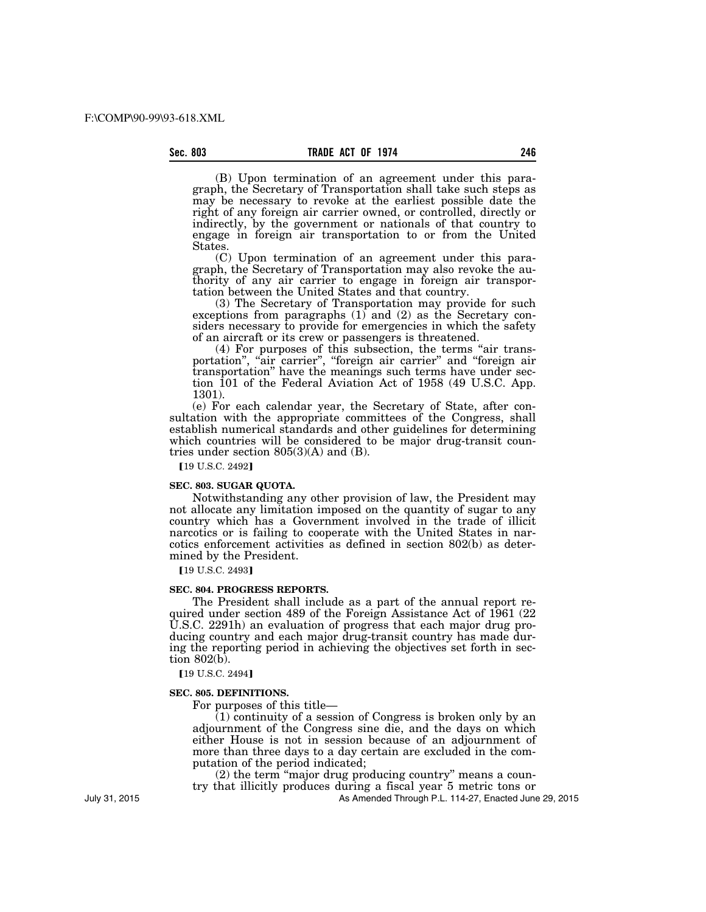(B) Upon termination of an agreement under this paragraph, the Secretary of Transportation shall take such steps as may be necessary to revoke at the earliest possible date the right of any foreign air carrier owned, or controlled, directly or indirectly, by the government or nationals of that country to engage in foreign air transportation to or from the United States.

(C) Upon termination of an agreement under this paragraph, the Secretary of Transportation may also revoke the authority of any air carrier to engage in foreign air transportation between the United States and that country.

(3) The Secretary of Transportation may provide for such exceptions from paragraphs (1) and (2) as the Secretary considers necessary to provide for emergencies in which the safety of an aircraft or its crew or passengers is threatened.

(4) For purposes of this subsection, the terms "air transportation", "air carrier", "foreign air carrier" and "foreign air transportation'' have the meanings such terms have under section 101 of the Federal Aviation Act of 1958 (49 U.S.C. App. 1301).

(e) For each calendar year, the Secretary of State, after consultation with the appropriate committees of the Congress, shall establish numerical standards and other guidelines for determining which countries will be considered to be major drug-transit countries under section  $805(3)(A)$  and  $(B)$ .

[19 U.S.C. 2492]

### **SEC. 803. SUGAR QUOTA.**

Notwithstanding any other provision of law, the President may not allocate any limitation imposed on the quantity of sugar to any country which has a Government involved in the trade of illicit narcotics or is failing to cooperate with the United States in narcotics enforcement activities as defined in section 802(b) as determined by the President.

[19 U.S.C. 2493]

### **SEC. 804. PROGRESS REPORTS.**

The President shall include as a part of the annual report required under section 489 of the Foreign Assistance Act of 1961 (22 U.S.C. 2291h) an evaluation of progress that each major drug producing country and each major drug-transit country has made during the reporting period in achieving the objectives set forth in section 802(b).

 $[19 \text{ U.S.C. } 2494]$ 

#### **SEC. 805. DEFINITIONS.**

For purposes of this title—

(1) continuity of a session of Congress is broken only by an adjournment of the Congress sine die, and the days on which either House is not in session because of an adjournment of more than three days to a day certain are excluded in the computation of the period indicated;

(2) the term ''major drug producing country'' means a coun-

try that illicitly produces during a fiscal year 5 metric tons or As Amended Through P.L. 114-27, Enacted June 29, 2015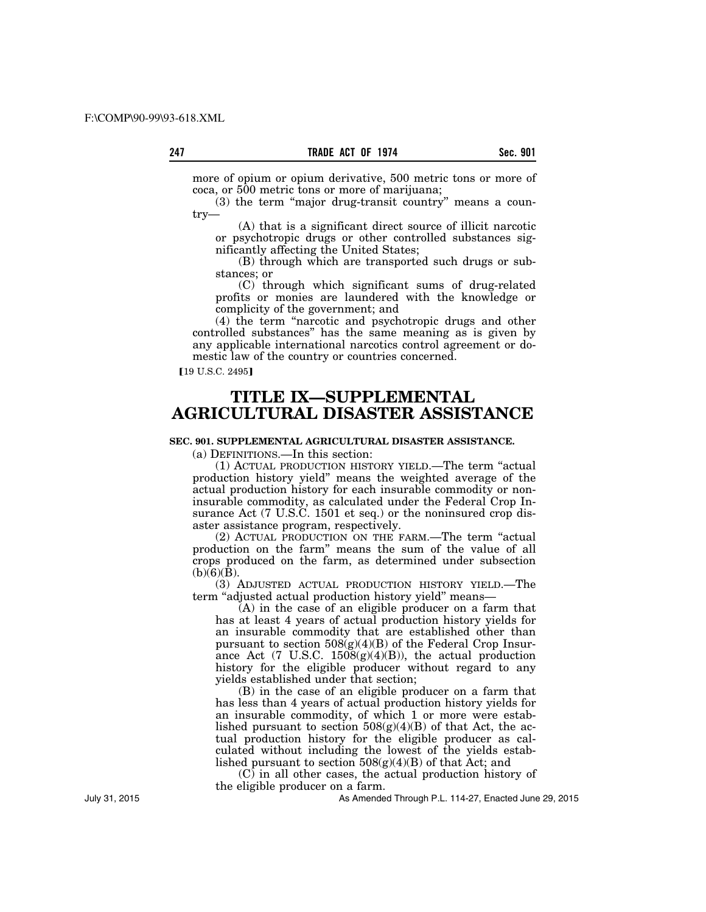more of opium or opium derivative, 500 metric tons or more of coca, or 500 metric tons or more of marijuana;

(3) the term ''major drug-transit country'' means a country—

(A) that is a significant direct source of illicit narcotic or psychotropic drugs or other controlled substances significantly affecting the United States;

(B) through which are transported such drugs or substances; or

(C) through which significant sums of drug-related profits or monies are laundered with the knowledge or complicity of the government; and

(4) the term ''narcotic and psychotropic drugs and other controlled substances'' has the same meaning as is given by any applicable international narcotics control agreement or domestic law of the country or countries concerned.

**[19 U.S.C. 2495]** 

# **TITLE IX—SUPPLEMENTAL AGRICULTURAL DISASTER ASSISTANCE**

## **SEC. 901. SUPPLEMENTAL AGRICULTURAL DISASTER ASSISTANCE.**

(a) DEFINITIONS.—In this section:

(1) ACTUAL PRODUCTION HISTORY YIELD.—The term ''actual production history yield'' means the weighted average of the actual production history for each insurable commodity or noninsurable commodity, as calculated under the Federal Crop Insurance Act (7 U.S.C. 1501 et seq.) or the noninsured crop disaster assistance program, respectively.

(2) ACTUAL PRODUCTION ON THE FARM.—The term ''actual production on the farm'' means the sum of the value of all crops produced on the farm, as determined under subsection  $(b)(\bar{6})(\bar{B}).$ 

(3) ADJUSTED ACTUAL PRODUCTION HISTORY YIELD.—The term "adjusted actual production history yield" means-

(A) in the case of an eligible producer on a farm that has at least 4 years of actual production history yields for an insurable commodity that are established other than pursuant to section  $508(g)(4)(B)$  of the Federal Crop Insurance Act  $(7 \text{ U.S.C. } 1508(g)(4)(B))$ , the actual production history for the eligible producer without regard to any yields established under that section;

(B) in the case of an eligible producer on a farm that has less than 4 years of actual production history yields for an insurable commodity, of which 1 or more were established pursuant to section  $508(g)(4)(B)$  of that Act, the actual production history for the eligible producer as calculated without including the lowest of the yields established pursuant to section  $508(g)(4)(B)$  of that Act; and

(C) in all other cases, the actual production history of the eligible producer on a farm.

As Amended Through P.L. 114-27, Enacted June 29, 2015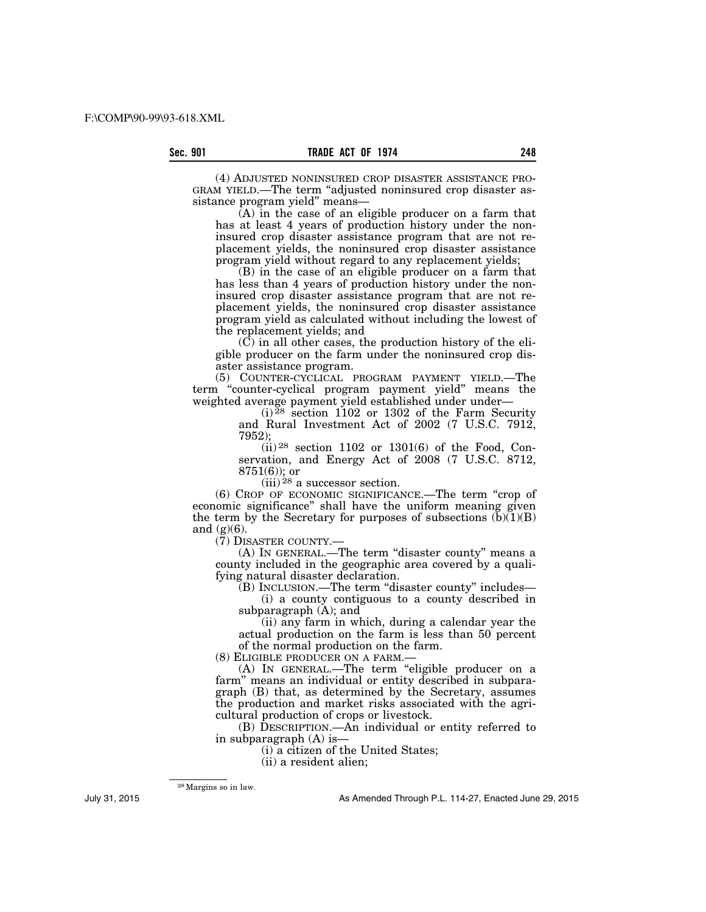(4) ADJUSTED NONINSURED CROP DISASTER ASSISTANCE PRO-GRAM YIELD.—The term ''adjusted noninsured crop disaster assistance program yield'' means—

 $(A)$  in the case of an eligible producer on a farm that has at least 4 years of production history under the noninsured crop disaster assistance program that are not replacement yields, the noninsured crop disaster assistance program yield without regard to any replacement yields;

(B) in the case of an eligible producer on a farm that has less than 4 years of production history under the noninsured crop disaster assistance program that are not replacement yields, the noninsured crop disaster assistance program yield as calculated without including the lowest of the replacement yields; and

 $(C)$  in all other cases, the production history of the eligible producer on the farm under the noninsured crop disaster assistance program.

(5) COUNTER-CYCLICAL PROGRAM PAYMENT YIELD.—The term ''counter-cyclical program payment yield'' means the weighted average payment yield established under under—

 $(i)$ <sup>28</sup> section 1102 or 1302 of the Farm Security and Rural Investment Act of 2002 (7 U.S.C. 7912, 7952);

 $(ii)$  28 section 1102 or 1301(6) of the Food, Conservation, and Energy Act of 2008 (7 U.S.C. 8712,  $8751(6)$ ; or

 $(iii)$  <sup>28</sup> a successor section.

(6) CROP OF ECONOMIC SIGNIFICANCE.—The term ''crop of economic significance'' shall have the uniform meaning given the term by the Secretary for purposes of subsections  $(b)(1)(B)$ and  $(g)(6)$ .

(7) DISASTER COUNTY.—

(A) IN GENERAL.—The term ''disaster county'' means a county included in the geographic area covered by a qualifying natural disaster declaration.

(B) INCLUSION.—The term ''disaster county'' includes—

(i) a county contiguous to a county described in subparagraph (A); and

(ii) any farm in which, during a calendar year the actual production on the farm is less than 50 percent of the normal production on the farm.

(8) ELIGIBLE PRODUCER ON A FARM.—

(A) IN GENERAL.—The term ''eligible producer on a farm'' means an individual or entity described in subparagraph (B) that, as determined by the Secretary, assumes the production and market risks associated with the agricultural production of crops or livestock.

(B) DESCRIPTION.—An individual or entity referred to in subparagraph (A) is—

(i) a citizen of the United States;

(ii) a resident alien;

28Margins so in law.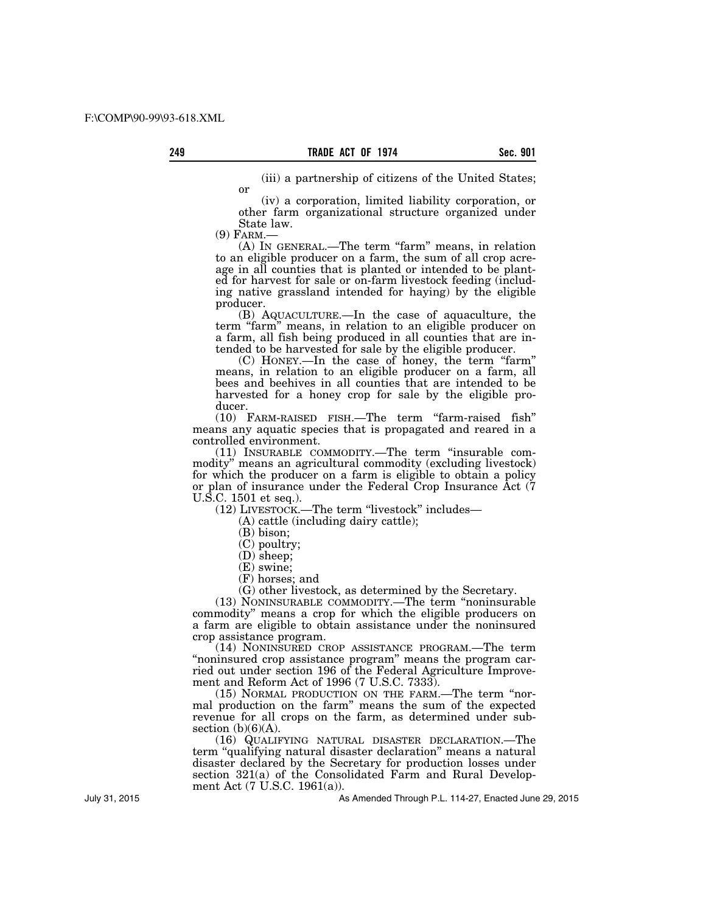(iii) a partnership of citizens of the United States; or

(iv) a corporation, limited liability corporation, or other farm organizational structure organized under State law.<br>(9) FARM.—

(A) IN GENERAL.—The term "farm" means, in relation to an eligible producer on a farm, the sum of all crop acreage in all counties that is planted or intended to be planted for harvest for sale or on-farm livestock feeding (including native grassland intended for haying) by the eligible producer.

(B) AQUACULTURE.—In the case of aquaculture, the term "farm" means, in relation to an eligible producer on a farm, all fish being produced in all counties that are intended to be harvested for sale by the eligible producer.

(C) HONEY.—In the case of honey, the term ''farm'' means, in relation to an eligible producer on a farm, all bees and beehives in all counties that are intended to be harvested for a honey crop for sale by the eligible producer.

(10) FARM-RAISED FISH.—The term ''farm-raised fish'' means any aquatic species that is propagated and reared in a controlled environment.

(11) INSURABLE COMMODITY.—The term ''insurable commodity'' means an agricultural commodity (excluding livestock) for which the producer on a farm is eligible to obtain a policy or plan of insurance under the Federal Crop Insurance Act (7 U.S.C. 1501 et seq.).

(12) LIVESTOCK.—The term ''livestock'' includes—

(A) cattle (including dairy cattle);

- (B) bison;
- (C) poultry;
- (D) sheep;
- (E) swine;
- (F) horses; and

(G) other livestock, as determined by the Secretary.

(13) NONINSURABLE COMMODITY.—The term ''noninsurable commodity'' means a crop for which the eligible producers on a farm are eligible to obtain assistance under the noninsured crop assistance program.

(14) NONINSURED CROP ASSISTANCE PROGRAM.—The term "noninsured crop assistance program" means the program carried out under section 196 of the Federal Agriculture Improvement and Reform Act of 1996 (7 U.S.C. 7333).

(15) NORMAL PRODUCTION ON THE FARM.—The term ''normal production on the farm'' means the sum of the expected revenue for all crops on the farm, as determined under subsection  $(b)(6)(A)$ .

(16) QUALIFYING NATURAL DISASTER DECLARATION.—The term "qualifying natural disaster declaration" means a natural disaster declared by the Secretary for production losses under section 321(a) of the Consolidated Farm and Rural Development Act (7 U.S.C. 1961(a)).

As Amended Through P.L. 114-27, Enacted June 29, 2015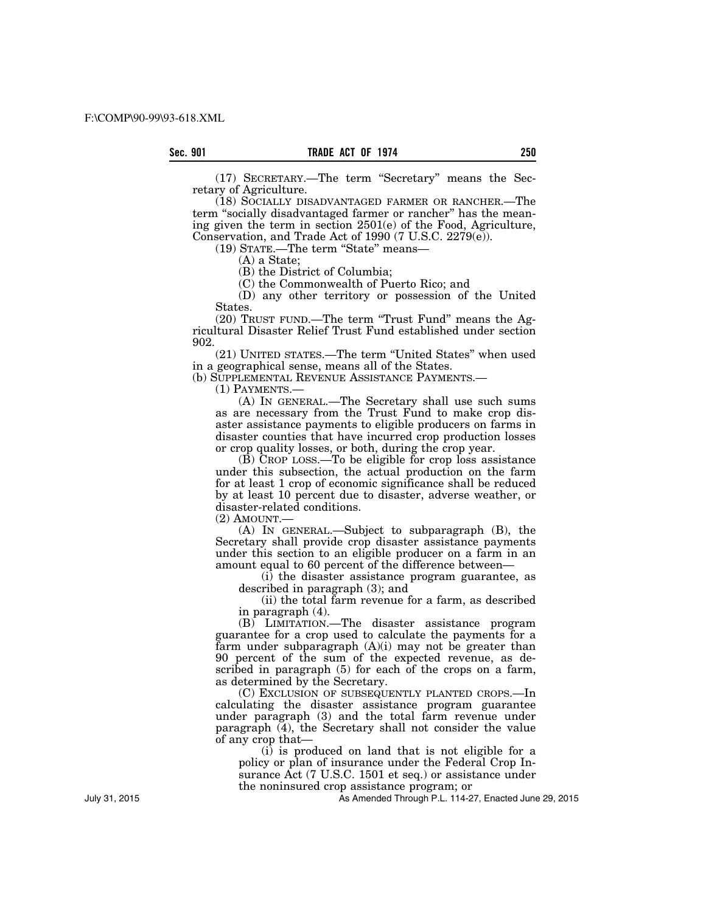(17) SECRETARY.—The term ''Secretary'' means the Secretary of Agriculture.

(18) SOCIALLY DISADVANTAGED FARMER OR RANCHER.—The term "socially disadvantaged farmer or rancher" has the meaning given the term in section 2501(e) of the Food, Agriculture, Conservation, and Trade Act of 1990 (7 U.S.C. 2279(e)).

(19) STATE.—The term ''State'' means—

(A) a State;

(B) the District of Columbia;

(C) the Commonwealth of Puerto Rico; and

(D) any other territory or possession of the United States.

(20) TRUST FUND.—The term ''Trust Fund'' means the Agricultural Disaster Relief Trust Fund established under section 902.

(21) UNITED STATES.—The term ''United States'' when used in a geographical sense, means all of the States.

(b) SUPPLEMENTAL REVENUE ASSISTANCE PAYMENTS.—

(1) PAYMENTS.—

(A) IN GENERAL.—The Secretary shall use such sums as are necessary from the Trust Fund to make crop disaster assistance payments to eligible producers on farms in disaster counties that have incurred crop production losses or crop quality losses, or both, during the crop year.

 $(\vec{B})$  CROP LOSS.—To be eligible for crop loss assistance under this subsection, the actual production on the farm for at least 1 crop of economic significance shall be reduced by at least 10 percent due to disaster, adverse weather, or disaster-related conditions.

(2) AMOUNT.—

(A) IN GENERAL.—Subject to subparagraph (B), the Secretary shall provide crop disaster assistance payments under this section to an eligible producer on a farm in an amount equal to 60 percent of the difference between—

(i) the disaster assistance program guarantee, as described in paragraph (3); and

(ii) the total farm revenue for a farm, as described in paragraph (4).

(B) LIMITATION.—The disaster assistance program guarantee for a crop used to calculate the payments for a farm under subparagraph  $(A)(i)$  may not be greater than 90 percent of the sum of the expected revenue, as described in paragraph (5) for each of the crops on a farm, as determined by the Secretary.

(C) EXCLUSION OF SUBSEQUENTLY PLANTED CROPS.—In calculating the disaster assistance program guarantee under paragraph (3) and the total farm revenue under paragraph (4), the Secretary shall not consider the value of any crop that—

(i) is produced on land that is not eligible for a policy or plan of insurance under the Federal Crop Insurance Act (7 U.S.C. 1501 et seq.) or assistance under the noninsured crop assistance program; or

As Amended Through P.L. 114-27, Enacted June 29, 2015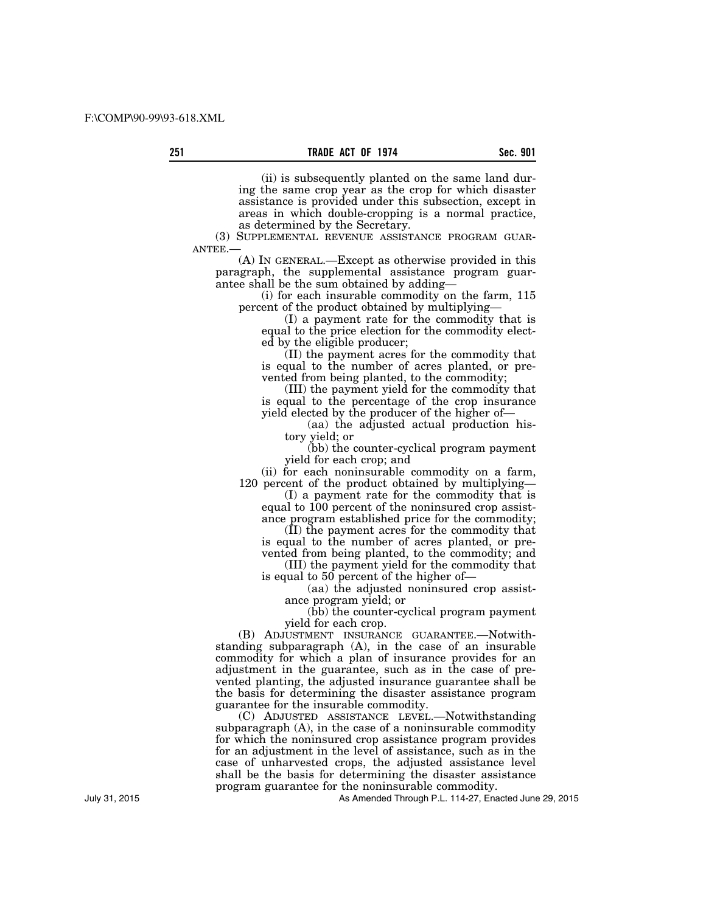(ii) is subsequently planted on the same land during the same crop year as the crop for which disaster assistance is provided under this subsection, except in areas in which double-cropping is a normal practice, as determined by the Secretary.

(3) SUPPLEMENTAL REVENUE ASSISTANCE PROGRAM GUAR-ANTEE.—

(A) IN GENERAL.—Except as otherwise provided in this paragraph, the supplemental assistance program guarantee shall be the sum obtained by adding—

(i) for each insurable commodity on the farm, 115 percent of the product obtained by multiplying—

(I) a payment rate for the commodity that is equal to the price election for the commodity elected by the eligible producer;

(II) the payment acres for the commodity that is equal to the number of acres planted, or prevented from being planted, to the commodity;

(III) the payment yield for the commodity that is equal to the percentage of the crop insurance yield elected by the producer of the higher of—

(aa) the adjusted actual production history yield; or

(bb) the counter-cyclical program payment yield for each crop; and

(ii) for each noninsurable commodity on a farm, 120 percent of the product obtained by multiplying—

(I) a payment rate for the commodity that is equal to 100 percent of the noninsured crop assistance program established price for the commodity;

(II) the payment acres for the commodity that is equal to the number of acres planted, or pre-

vented from being planted, to the commodity; and (III) the payment yield for the commodity that is equal to 50 percent of the higher of—

(aa) the adjusted noninsured crop assistance program yield; or

(bb) the counter-cyclical program payment yield for each crop.

(B) ADJUSTMENT INSURANCE GUARANTEE.—Notwithstanding subparagraph (A), in the case of an insurable commodity for which a plan of insurance provides for an adjustment in the guarantee, such as in the case of prevented planting, the adjusted insurance guarantee shall be the basis for determining the disaster assistance program guarantee for the insurable commodity.

(C) ADJUSTED ASSISTANCE LEVEL.—Notwithstanding subparagraph (A), in the case of a noninsurable commodity for which the noninsured crop assistance program provides for an adjustment in the level of assistance, such as in the case of unharvested crops, the adjusted assistance level shall be the basis for determining the disaster assistance program guarantee for the noninsurable commodity.

As Amended Through P.L. 114-27, Enacted June 29, 2015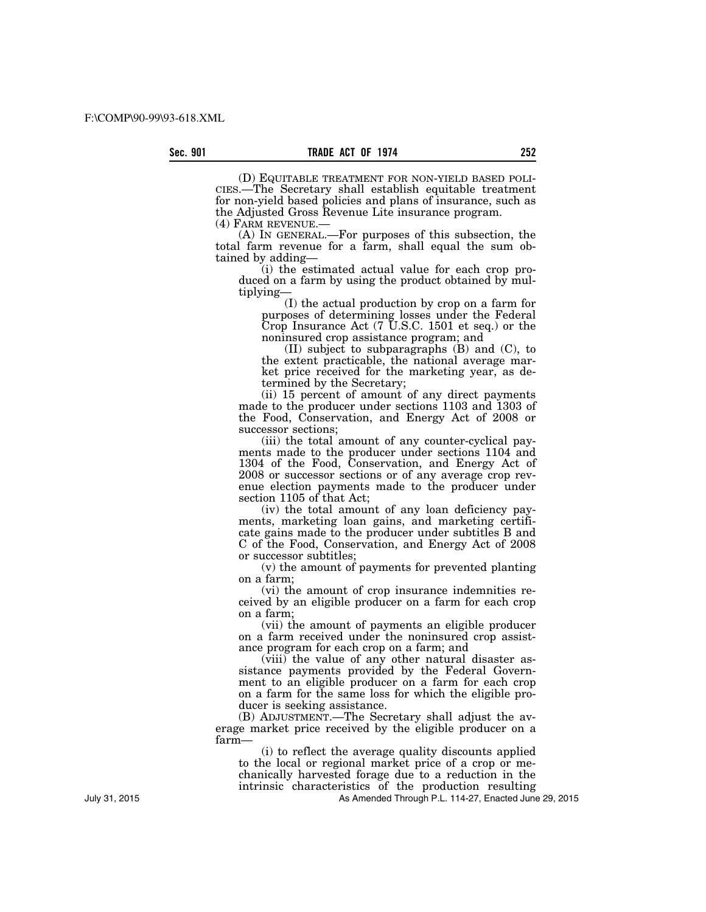(D) EQUITABLE TREATMENT FOR NON-YIELD BASED POLI- CIES.—The Secretary shall establish equitable treatment for non-yield based policies and plans of insurance, such as the Adjusted Gross Revenue Lite insurance program.

(4) FARM REVENUE.— (A) IN GENERAL.—For purposes of this subsection, the total farm revenue for a farm, shall equal the sum obtained by adding—

(i) the estimated actual value for each crop produced on a farm by using the product obtained by multiplying—

(I) the actual production by crop on a farm for purposes of determining losses under the Federal Crop Insurance Act (7 U.S.C. 1501 et seq.) or the noninsured crop assistance program; and

(II) subject to subparagraphs (B) and (C), to the extent practicable, the national average market price received for the marketing year, as determined by the Secretary;

(ii) 15 percent of amount of any direct payments made to the producer under sections 1103 and 1303 of the Food, Conservation, and Energy Act of 2008 or successor sections;

(iii) the total amount of any counter-cyclical payments made to the producer under sections 1104 and 1304 of the Food, Conservation, and Energy Act of 2008 or successor sections or of any average crop revenue election payments made to the producer under section 1105 of that Act;

(iv) the total amount of any loan deficiency payments, marketing loan gains, and marketing certificate gains made to the producer under subtitles B and C of the Food, Conservation, and Energy Act of 2008 or successor subtitles;

(v) the amount of payments for prevented planting on a farm;

(vi) the amount of crop insurance indemnities received by an eligible producer on a farm for each crop on a farm;

(vii) the amount of payments an eligible producer on a farm received under the noninsured crop assistance program for each crop on a farm; and

(viii) the value of any other natural disaster assistance payments provided by the Federal Government to an eligible producer on a farm for each crop on a farm for the same loss for which the eligible producer is seeking assistance.

(B) ADJUSTMENT.—The Secretary shall adjust the average market price received by the eligible producer on a farm—

(i) to reflect the average quality discounts applied to the local or regional market price of a crop or mechanically harvested forage due to a reduction in the intrinsic characteristics of the production resulting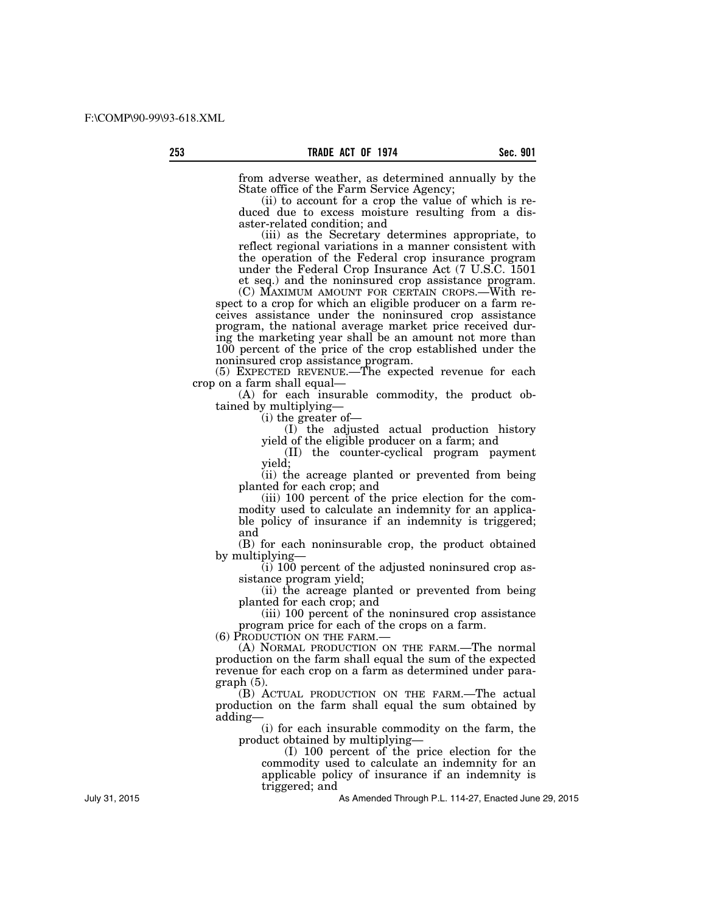from adverse weather, as determined annually by the State office of the Farm Service Agency;

(ii) to account for a crop the value of which is reduced due to excess moisture resulting from a disaster-related condition; and

(iii) as the Secretary determines appropriate, to reflect regional variations in a manner consistent with the operation of the Federal crop insurance program under the Federal Crop Insurance Act (7 U.S.C. 1501 et seq.) and the noninsured crop assistance program.

(C) MAXIMUM AMOUNT FOR CERTAIN CROPS.—With respect to a crop for which an eligible producer on a farm receives assistance under the noninsured crop assistance program, the national average market price received during the marketing year shall be an amount not more than 100 percent of the price of the crop established under the noninsured crop assistance program.

(5) EXPECTED REVENUE.—The expected revenue for each crop on a farm shall equal—

(A) for each insurable commodity, the product obtained by multiplying—

(i) the greater of—

(I) the adjusted actual production history yield of the eligible producer on a farm; and

(II) the counter-cyclical program payment yield;

(ii) the acreage planted or prevented from being planted for each crop; and

(iii) 100 percent of the price election for the commodity used to calculate an indemnity for an applicable policy of insurance if an indemnity is triggered; and

(B) for each noninsurable crop, the product obtained by multiplying—

(i) 100 percent of the adjusted noninsured crop assistance program yield;

(ii) the acreage planted or prevented from being planted for each crop; and

(iii) 100 percent of the noninsured crop assistance program price for each of the crops on a farm.

(6) PRODUCTION ON THE FARM.—

(A) NORMAL PRODUCTION ON THE FARM.—The normal production on the farm shall equal the sum of the expected revenue for each crop on a farm as determined under paragraph (5).

(B) ACTUAL PRODUCTION ON THE FARM.—The actual production on the farm shall equal the sum obtained by adding—

(i) for each insurable commodity on the farm, the product obtained by multiplying—

(I) 100 percent of the price election for the commodity used to calculate an indemnity for an applicable policy of insurance if an indemnity is triggered; and

As Amended Through P.L. 114-27, Enacted June 29, 2015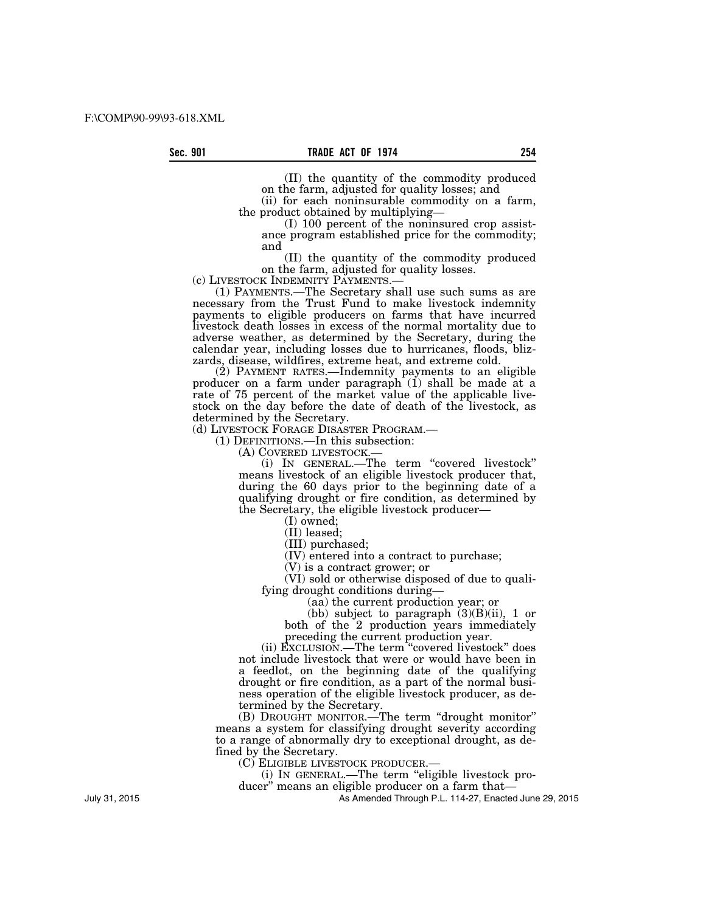(II) the quantity of the commodity produced on the farm, adjusted for quality losses; and

(ii) for each noninsurable commodity on a farm, the product obtained by multiplying—

(I) 100 percent of the noninsured crop assistance program established price for the commodity; and

(II) the quantity of the commodity produced on the farm, adjusted for quality losses.<br>(c) LIVESTOCK INDEMNITY PAYMENTS.—

(c) LIVESTOCK INDEMNITY PAYMENTS.— (1) PAYMENTS.—The Secretary shall use such sums as are necessary from the Trust Fund to make livestock indemnity payments to eligible producers on farms that have incurred livestock death losses in excess of the normal mortality due to adverse weather, as determined by the Secretary, during the calendar year, including losses due to hurricanes, floods, blizzards, disease, wildfires, extreme heat, and extreme cold.

(2) PAYMENT RATES.—Indemnity payments to an eligible producer on a farm under paragraph (1) shall be made at a rate of 75 percent of the market value of the applicable livestock on the day before the date of death of the livestock, as determined by the Secretary.

(d) LIVESTOCK FORAGE DISASTER PROGRAM.—<br>
(1) DEFINITIONS.—In this subsection:<br>
(A) COVERED LIVESTOCK.—

(i) IN GENERAL.—The term "covered livestock" means livestock of an eligible livestock producer that, during the 60 days prior to the beginning date of a qualifying drought or fire condition, as determined by the Secretary, the eligible livestock producer—

(I) owned;

(II) leased;

(III) purchased;

(IV) entered into a contract to purchase;

(V) is a contract grower; or

(VI) sold or otherwise disposed of due to qualifying drought conditions during—

(aa) the current production year; or

(bb) subject to paragraph  $(3)(B)(ii)$ , 1 or both of the 2 production years immediately preceding the current production year.

(ii) EXCLUSION.—The term ''covered livestock'' does not include livestock that were or would have been in a feedlot, on the beginning date of the qualifying drought or fire condition, as a part of the normal business operation of the eligible livestock producer, as determined by the Secretary.

(B) DROUGHT MONITOR.—The term ''drought monitor'' means a system for classifying drought severity according to a range of abnormally dry to exceptional drought, as defined by the Secretary.

(C) ELIGIBLE LIVESTOCK PRODUCER.—

(i) IN GENERAL.—The term ''eligible livestock producer'' means an eligible producer on a farm that—

As Amended Through P.L. 114-27, Enacted June 29, 2015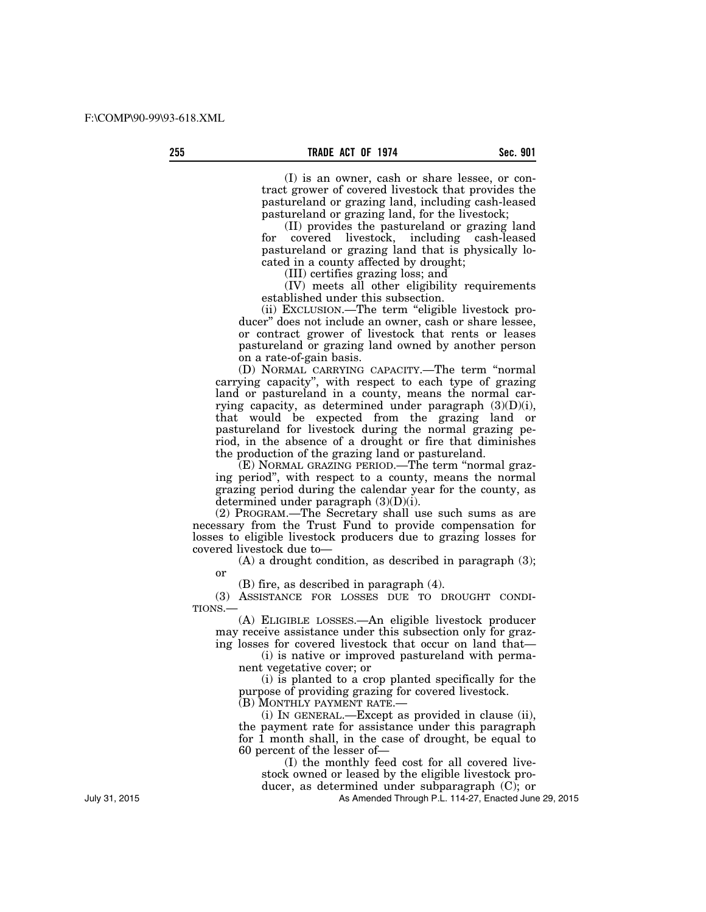(I) is an owner, cash or share lessee, or contract grower of covered livestock that provides the pastureland or grazing land, including cash-leased pastureland or grazing land, for the livestock;

(II) provides the pastureland or grazing land for covered livestock, including cash-leased pastureland or grazing land that is physically located in a county affected by drought;

(III) certifies grazing loss; and

(IV) meets all other eligibility requirements established under this subsection.

(ii) EXCLUSION.—The term ''eligible livestock producer'' does not include an owner, cash or share lessee, or contract grower of livestock that rents or leases pastureland or grazing land owned by another person on a rate-of-gain basis.

(D) NORMAL CARRYING CAPACITY.—The term ''normal carrying capacity'', with respect to each type of grazing land or pastureland in a county, means the normal carrying capacity, as determined under paragraph (3)(D)(i), that would be expected from the grazing land or pastureland for livestock during the normal grazing period, in the absence of a drought or fire that diminishes the production of the grazing land or pastureland.

(E) NORMAL GRAZING PERIOD.—The term ''normal grazing period'', with respect to a county, means the normal grazing period during the calendar year for the county, as determined under paragraph (3)(D)(i).

(2) PROGRAM.—The Secretary shall use such sums as are necessary from the Trust Fund to provide compensation for losses to eligible livestock producers due to grazing losses for covered livestock due to—

(A) a drought condition, as described in paragraph (3); or

(B) fire, as described in paragraph (4).

(3) ASSISTANCE FOR LOSSES DUE TO DROUGHT CONDI-TIONS.—

(A) ELIGIBLE LOSSES.—An eligible livestock producer may receive assistance under this subsection only for grazing losses for covered livestock that occur on land that—

(i) is native or improved pastureland with permanent vegetative cover; or

(i) is planted to a crop planted specifically for the purpose of providing grazing for covered livestock.

(B) MONTHLY PAYMENT RATE.—

(i) IN GENERAL.—Except as provided in clause (ii), the payment rate for assistance under this paragraph for  $\hat{1}$  month shall, in the case of drought, be equal to 60 percent of the lesser of—

(I) the monthly feed cost for all covered livestock owned or leased by the eligible livestock pro-

ducer, as determined under subparagraph (C); or

As Amended Through P.L. 114-27, Enacted June 29, 2015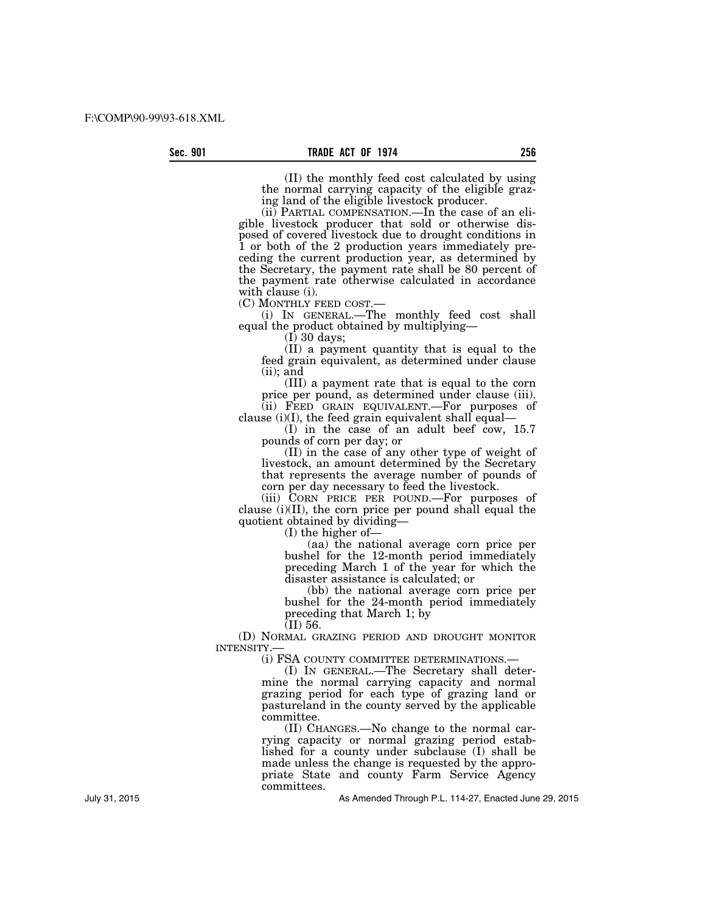(II) the monthly feed cost calculated by using the normal carrying capacity of the eligible grazing land of the eligible livestock producer.

(ii) PARTIAL COMPENSATION.—In the case of an eligible livestock producer that sold or otherwise disposed of covered livestock due to drought conditions in 1 or both of the 2 production years immediately preceding the current production year, as determined by the Secretary, the payment rate shall be 80 percent of the payment rate otherwise calculated in accordance with clause (i).<br>(C) MONTHLY FEED COST.

(i) IN GENERAL.—The monthly feed cost shall equal the product obtained by multiplying—

 $(I)$  30 days;

(II) a payment quantity that is equal to the feed grain equivalent, as determined under clause (ii); and

(III) a payment rate that is equal to the corn price per pound, as determined under clause (iii).

(ii) FEED GRAIN EQUIVALENT.—For purposes of clause (i)(I), the feed grain equivalent shall equal—

(I) in the case of an adult beef cow, 15.7 pounds of corn per day; or

(II) in the case of any other type of weight of livestock, an amount determined by the Secretary that represents the average number of pounds of corn per day necessary to feed the livestock.

(iii) CORN PRICE PER POUND.—For purposes of clause (i)(II), the corn price per pound shall equal the quotient obtained by dividing—

(I) the higher of—

(aa) the national average corn price per bushel for the 12-month period immediately preceding March 1 of the year for which the disaster assistance is calculated; or

(bb) the national average corn price per bushel for the 24-month period immediately preceding that March 1; by (II) 56.

(D) NORMAL GRAZING PERIOD AND DROUGHT MONITOR INTENSITY.—

(i) FSA COUNTY COMMITTEE DETERMINATIONS.—

(I) IN GENERAL.—The Secretary shall determine the normal carrying capacity and normal grazing period for each type of grazing land or pastureland in the county served by the applicable committee.

(II) CHANGES.—No change to the normal carrying capacity or normal grazing period established for a county under subclause (I) shall be made unless the change is requested by the appropriate State and county Farm Service Agency committees.

As Amended Through P.L. 114-27, Enacted June 29, 2015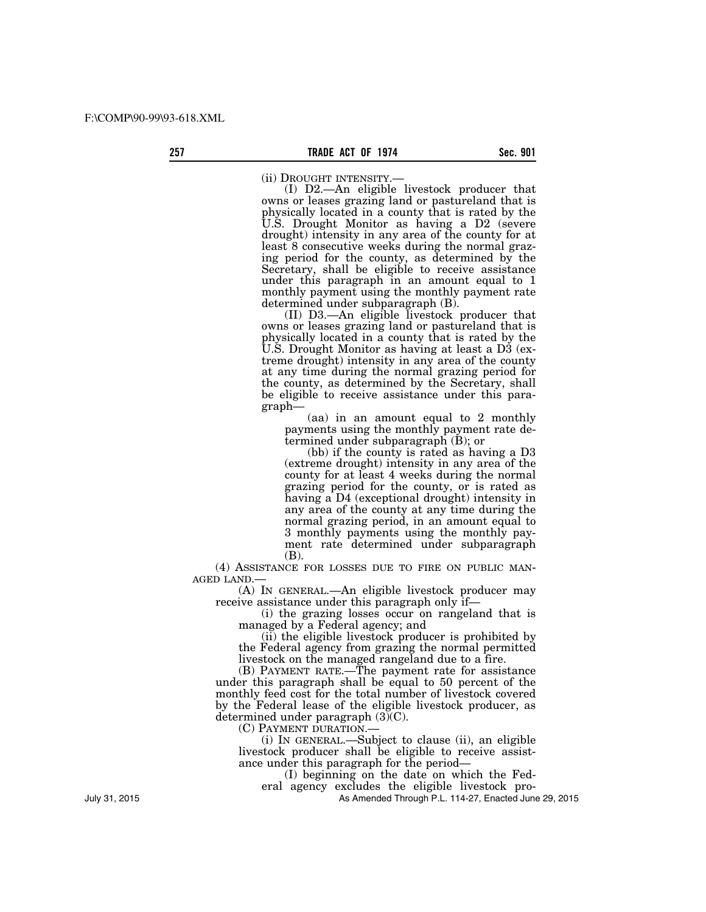(ii) DROUGHT INTENSITY.— (I) D2.—An eligible livestock producer that owns or leases grazing land or pastureland that is physically located in a county that is rated by the U.S. Drought Monitor as having a D2 (severe drought) intensity in any area of the county for at least 8 consecutive weeks during the normal grazing period for the county, as determined by the Secretary, shall be eligible to receive assistance under this paragraph in an amount equal to 1 monthly payment using the monthly payment rate determined under subparagraph (B).

(II) D3.—An eligible livestock producer that owns or leases grazing land or pastureland that is physically located in a county that is rated by the U.S. Drought Monitor as having at least a D3 (extreme drought) intensity in any area of the county at any time during the normal grazing period for the county, as determined by the Secretary, shall be eligible to receive assistance under this paragraph—

(aa) in an amount equal to 2 monthly payments using the monthly payment rate determined under subparagraph (B); or

(bb) if the county is rated as having a D3 (extreme drought) intensity in any area of the county for at least 4 weeks during the normal grazing period for the county, or is rated as having a D4 (exceptional drought) intensity in any area of the county at any time during the normal grazing period, in an amount equal to 3 monthly payments using the monthly payment rate determined under subparagraph (B).

(4) ASSISTANCE FOR LOSSES DUE TO FIRE ON PUBLIC MAN-AGED LAND.—

(A) IN GENERAL.—An eligible livestock producer may receive assistance under this paragraph only if—

(i) the grazing losses occur on rangeland that is managed by a Federal agency; and

(ii) the eligible livestock producer is prohibited by the Federal agency from grazing the normal permitted livestock on the managed rangeland due to a fire.

(B) PAYMENT RATE.—The payment rate for assistance under this paragraph shall be equal to 50 percent of the monthly feed cost for the total number of livestock covered by the Federal lease of the eligible livestock producer, as determined under paragraph  $(3)(C)$ .

(C) PAYMENT DURATION.—

(i) IN GENERAL.—Subject to clause (ii), an eligible livestock producer shall be eligible to receive assistance under this paragraph for the period—

(I) beginning on the date on which the Federal agency excludes the eligible livestock pro-

As Amended Through P.L. 114-27, Enacted June 29, 2015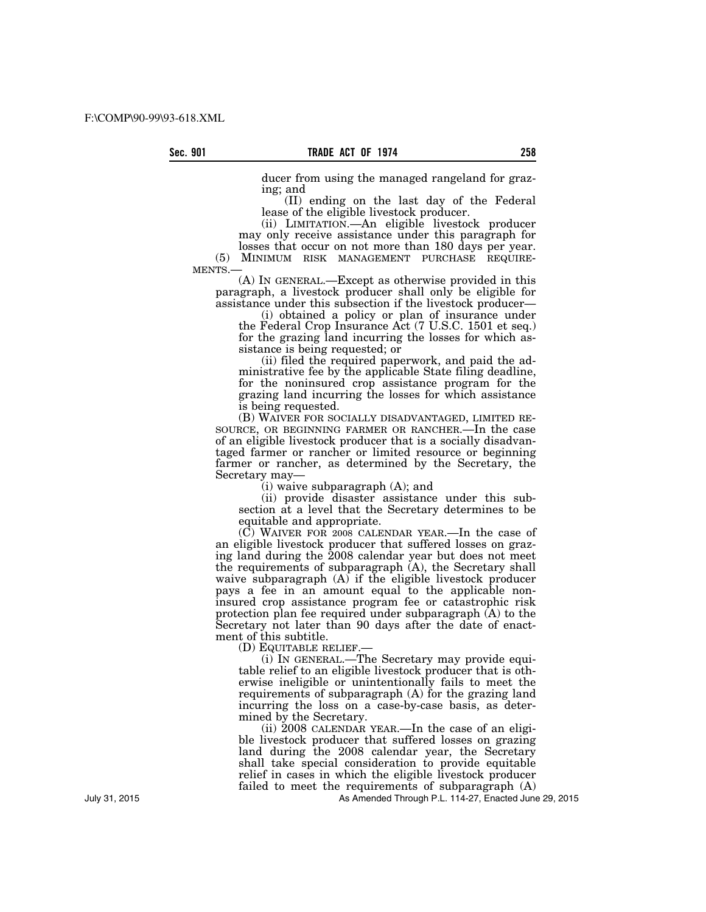ducer from using the managed rangeland for grazing; and

(II) ending on the last day of the Federal lease of the eligible livestock producer.

(ii) LIMITATION.—An eligible livestock producer may only receive assistance under this paragraph for losses that occur on not more than 180 days per year. (5) MINIMUM RISK MANAGEMENT PURCHASE REQUIRE-<br>MENTS —

(A) IN GENERAL.—Except as otherwise provided in this paragraph, a livestock producer shall only be eligible for assistance under this subsection if the livestock producer—

(i) obtained a policy or plan of insurance under the Federal Crop Insurance Act (7 U.S.C. 1501 et seq.) for the grazing land incurring the losses for which assistance is being requested; or

(ii) filed the required paperwork, and paid the administrative fee by the applicable State filing deadline, for the noninsured crop assistance program for the grazing land incurring the losses for which assistance

is being requested.<br>(B) WAIVER FOR SOCIALLY DISADVANTAGED, LIMITED RE-SOURCE, OR BEGINNING FARMER OR RANCHER.—In the case of an eligible livestock producer that is a socially disadvantaged farmer or rancher or limited resource or beginning farmer or rancher, as determined by the Secretary, the Secretary may—

(i) waive subparagraph (A); and

(ii) provide disaster assistance under this subsection at a level that the Secretary determines to be equitable and appropriate.

(C) WAIVER FOR 2008 CALENDAR YEAR.—In the case of an eligible livestock producer that suffered losses on grazing land during the 2008 calendar year but does not meet the requirements of subparagraph (A), the Secretary shall waive subparagraph  $(A)$  if the eligible livestock producer pays a fee in an amount equal to the applicable noninsured crop assistance program fee or catastrophic risk protection plan fee required under subparagraph (A) to the Secretary not later than 90 days after the date of enactment of this subtitle.

(D) EQUITABLE RELIEF.—

(i) IN GENERAL.—The Secretary may provide equitable relief to an eligible livestock producer that is otherwise ineligible or unintentionally fails to meet the requirements of subparagraph (A) for the grazing land incurring the loss on a case-by-case basis, as determined by the Secretary.

(ii) 2008 CALENDAR YEAR.—In the case of an eligible livestock producer that suffered losses on grazing land during the 2008 calendar year, the Secretary shall take special consideration to provide equitable relief in cases in which the eligible livestock producer failed to meet the requirements of subparagraph (A)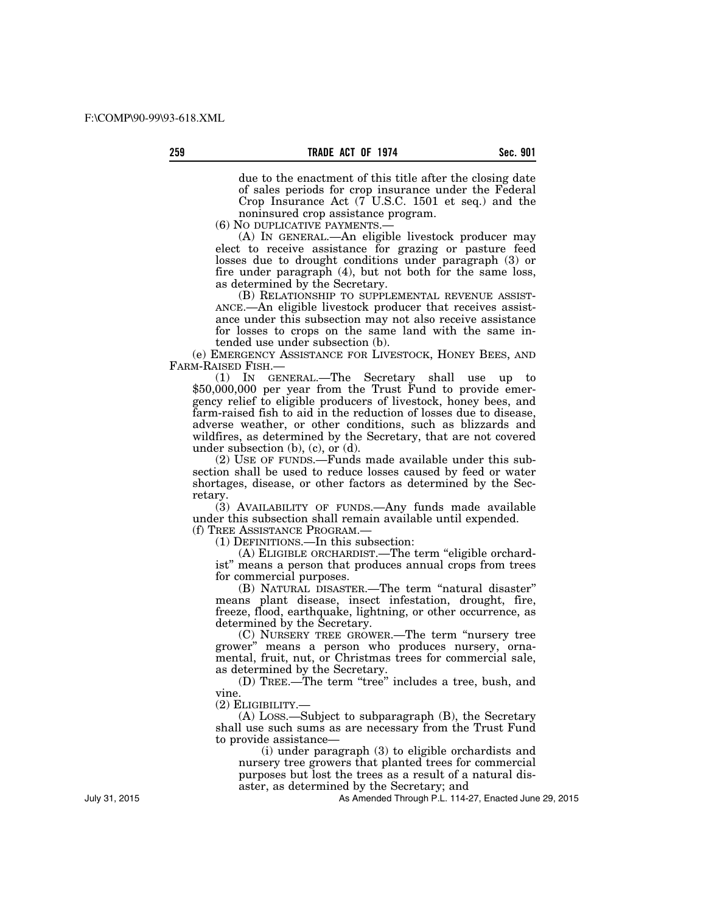due to the enactment of this title after the closing date of sales periods for crop insurance under the Federal Crop Insurance Act (7 U.S.C. 1501 et seq.) and the noninsured crop assistance program.

(6) NO DUPLICATIVE PAYMENTS.—

(A) IN GENERAL.—An eligible livestock producer may elect to receive assistance for grazing or pasture feed losses due to drought conditions under paragraph (3) or fire under paragraph (4), but not both for the same loss, as determined by the Secretary.

(B) RELATIONSHIP TO SUPPLEMENTAL REVENUE ASSIST-ANCE.—An eligible livestock producer that receives assistance under this subsection may not also receive assistance for losses to crops on the same land with the same intended use under subsection (b).

(e) EMERGENCY ASSISTANCE FOR LIVESTOCK, HONEY BEES, AND FARM-RAISED FISH.—

(1) IN GENERAL.—The Secretary shall use up to \$50,000,000 per year from the Trust Fund to provide emergency relief to eligible producers of livestock, honey bees, and farm-raised fish to aid in the reduction of losses due to disease, adverse weather, or other conditions, such as blizzards and wildfires, as determined by the Secretary, that are not covered under subsection (b), (c), or (d).

(2) USE OF FUNDS.—Funds made available under this subsection shall be used to reduce losses caused by feed or water shortages, disease, or other factors as determined by the Secretary.

(3) AVAILABILITY OF FUNDS.—Any funds made available under this subsection shall remain available until expended. (f) TREE ASSISTANCE PROGRAM.—

(1) DEFINITIONS.—In this subsection:

(A) ELIGIBLE ORCHARDIST.—The term ''eligible orchardist'' means a person that produces annual crops from trees for commercial purposes.

(B) NATURAL DISASTER.—The term ''natural disaster'' means plant disease, insect infestation, drought, fire, freeze, flood, earthquake, lightning, or other occurrence, as determined by the Secretary.

(C) NURSERY TREE GROWER.—The term ''nursery tree grower'' means a person who produces nursery, ornamental, fruit, nut, or Christmas trees for commercial sale, as determined by the Secretary.

(D) TREE.—The term "tree" includes a tree, bush, and vine.

(2) ELIGIBILITY.—

(A) LOSS.—Subject to subparagraph (B), the Secretary shall use such sums as are necessary from the Trust Fund to provide assistance—

(i) under paragraph (3) to eligible orchardists and nursery tree growers that planted trees for commercial purposes but lost the trees as a result of a natural disaster, as determined by the Secretary; and

As Amended Through P.L. 114-27, Enacted June 29, 2015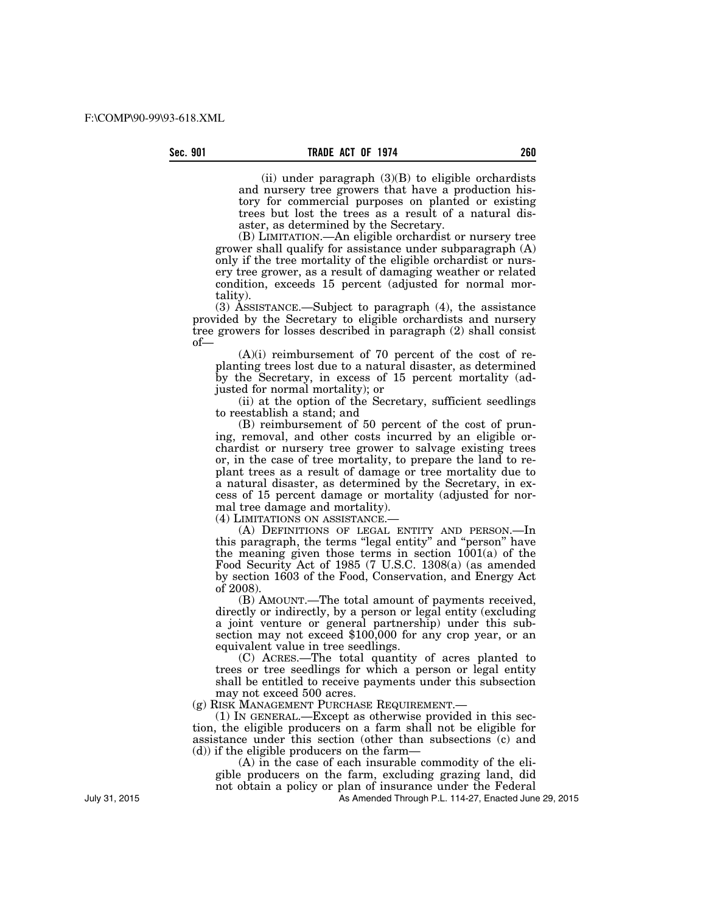(ii) under paragraph  $(3)(B)$  to eligible orchardists and nursery tree growers that have a production history for commercial purposes on planted or existing trees but lost the trees as a result of a natural disaster, as determined by the Secretary.

(B) LIMITATION.—An eligible orchardist or nursery tree grower shall qualify for assistance under subparagraph (A) only if the tree mortality of the eligible orchardist or nursery tree grower, as a result of damaging weather or related condition, exceeds 15 percent (adjusted for normal mortality).

(3) ASSISTANCE.—Subject to paragraph (4), the assistance provided by the Secretary to eligible orchardists and nursery tree growers for losses described in paragraph (2) shall consist of—

 $(A)(i)$  reimbursement of 70 percent of the cost of replanting trees lost due to a natural disaster, as determined by the Secretary, in excess of 15 percent mortality (adjusted for normal mortality); or

(ii) at the option of the Secretary, sufficient seedlings to reestablish a stand; and

(B) reimbursement of 50 percent of the cost of pruning, removal, and other costs incurred by an eligible orchardist or nursery tree grower to salvage existing trees or, in the case of tree mortality, to prepare the land to replant trees as a result of damage or tree mortality due to a natural disaster, as determined by the Secretary, in excess of 15 percent damage or mortality (adjusted for normal tree damage and mortality).

(4) LIMITATIONS ON ASSISTANCE.—

(A) DEFINITIONS OF LEGAL ENTITY AND PERSON.—In this paragraph, the terms "legal entity" and "person" have the meaning given those terms in section  $1001(a)$  of the Food Security Act of 1985 (7 U.S.C. 1308(a) (as amended by section 1603 of the Food, Conservation, and Energy Act of 2008).

(B) AMOUNT.—The total amount of payments received, directly or indirectly, by a person or legal entity (excluding a joint venture or general partnership) under this subsection may not exceed \$100,000 for any crop year, or an equivalent value in tree seedlings.

(C) ACRES.—The total quantity of acres planted to trees or tree seedlings for which a person or legal entity shall be entitled to receive payments under this subsection may not exceed 500 acres.

(g) RISK MANAGEMENT PURCHASE REQUIREMENT.—

(1) IN GENERAL.—Except as otherwise provided in this section, the eligible producers on a farm shall not be eligible for assistance under this section (other than subsections (c) and (d)) if the eligible producers on the farm—

(A) in the case of each insurable commodity of the eligible producers on the farm, excluding grazing land, did not obtain a policy or plan of insurance under the Federal

As Amended Through P.L. 114-27, Enacted June 29, 2015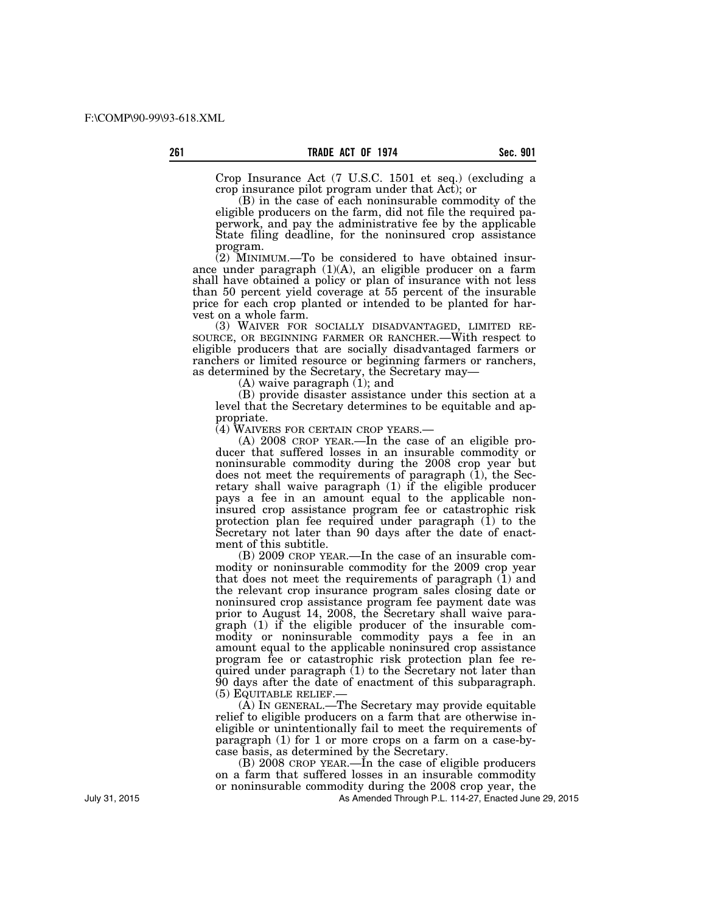Crop Insurance Act (7 U.S.C. 1501 et seq.) (excluding a crop insurance pilot program under that Act); or

(B) in the case of each noninsurable commodity of the eligible producers on the farm, did not file the required paperwork, and pay the administrative fee by the applicable State filing deadline, for the noninsured crop assistance program.

(2) MINIMUM.—To be considered to have obtained insurance under paragraph (1)(A), an eligible producer on a farm shall have obtained a policy or plan of insurance with not less than 50 percent yield coverage at 55 percent of the insurable price for each crop planted or intended to be planted for harvest on a whole farm.<br>(3) WAIVER FOR SOCIALLY DISADVANTAGED, LIMITED RE-

SOURCE, OR BEGINNING FARMER OR RANCHER.—With respect to eligible producers that are socially disadvantaged farmers or ranchers or limited resource or beginning farmers or ranchers, as determined by the Secretary, the Secretary may—

(A) waive paragraph (1); and

(B) provide disaster assistance under this section at a level that the Secretary determines to be equitable and appropriate.<br>(4) WAIVERS FOR CERTAIN CROP YEARS.—

 $(A)$  2008 CROP YEAR.—In the case of an eligible producer that suffered losses in an insurable commodity or noninsurable commodity during the 2008 crop year but does not meet the requirements of paragraph (1), the Secretary shall waive paragraph (1) if the eligible producer pays a fee in an amount equal to the applicable noninsured crop assistance program fee or catastrophic risk protection plan fee required under paragraph  $(i)$  to the Secretary not later than 90 days after the date of enactment of this subtitle.

(B) 2009 CROP YEAR.—In the case of an insurable commodity or noninsurable commodity for the 2009 crop year that does not meet the requirements of paragraph (1) and the relevant crop insurance program sales closing date or noninsured crop assistance program fee payment date was prior to August 14, 2008, the Secretary shall waive paragraph (1) if the eligible producer of the insurable commodity or noninsurable commodity pays a fee in an amount equal to the applicable noninsured crop assistance program fee or catastrophic risk protection plan fee required under paragraph (1) to the Secretary not later than 90 days after the date of enactment of this subparagraph. (5) EQUITABLE RELIEF.—

(A) IN GENERAL.—The Secretary may provide equitable relief to eligible producers on a farm that are otherwise ineligible or unintentionally fail to meet the requirements of paragraph (1) for 1 or more crops on a farm on a case-bycase basis, as determined by the Secretary.

(B) 2008 CROP YEAR.—In the case of eligible producers on a farm that suffered losses in an insurable commodity or noninsurable commodity during the 2008 crop year, the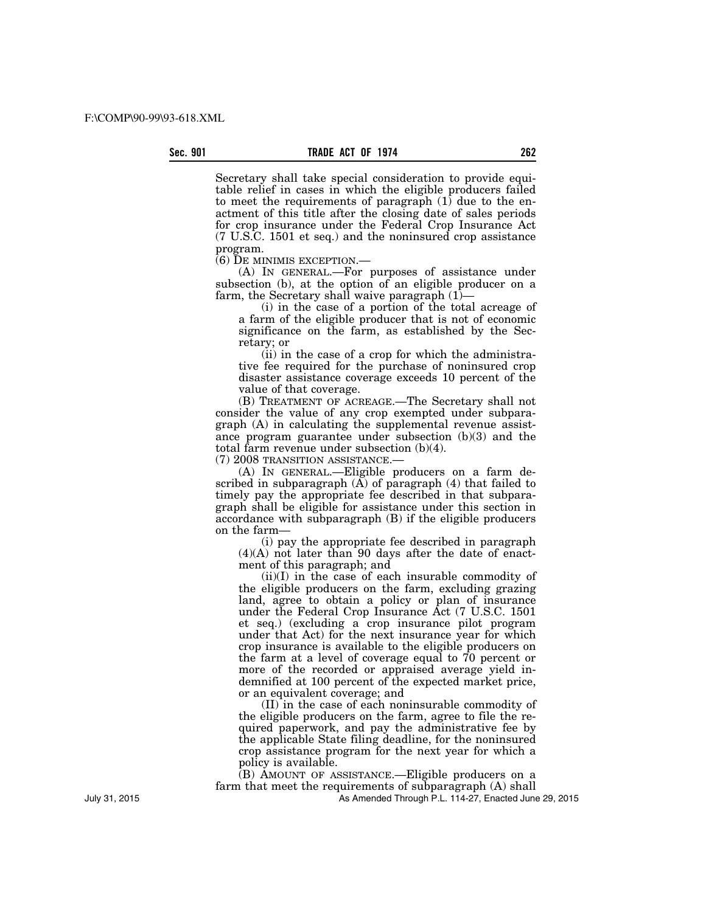Secretary shall take special consideration to provide equitable relief in cases in which the eligible producers failed to meet the requirements of paragraph  $(1)$  due to the enactment of this title after the closing date of sales periods for crop insurance under the Federal Crop Insurance Act (7 U.S.C. 1501 et seq.) and the noninsured crop assistance program.

(6) DE MINIMIS EXCEPTION.—

(A) IN GENERAL.—For purposes of assistance under subsection (b), at the option of an eligible producer on a farm, the Secretary shall waive paragraph (1)—

(i) in the case of a portion of the total acreage of a farm of the eligible producer that is not of economic significance on the farm, as established by the Secretary; or

(ii) in the case of a crop for which the administrative fee required for the purchase of noninsured crop disaster assistance coverage exceeds 10 percent of the value of that coverage.

(B) TREATMENT OF ACREAGE.—The Secretary shall not consider the value of any crop exempted under subparagraph (A) in calculating the supplemental revenue assistance program guarantee under subsection (b)(3) and the total farm revenue under subsection (b)(4).

(7) 2008 TRANSITION ASSISTANCE.—

(A) IN GENERAL.—Eligible producers on a farm described in subparagraph  $(\overline{A})$  of paragraph  $(4)$  that failed to timely pay the appropriate fee described in that subparagraph shall be eligible for assistance under this section in accordance with subparagraph (B) if the eligible producers on the farm—

(i) pay the appropriate fee described in paragraph  $(4)(A)$  not later than 90 days after the date of enactment of this paragraph; and

 $(ii)(I)$  in the case of each insurable commodity of the eligible producers on the farm, excluding grazing land, agree to obtain a policy or plan of insurance under the Federal Crop Insurance Act (7 U.S.C. 1501 et seq.) (excluding a crop insurance pilot program under that Act) for the next insurance year for which crop insurance is available to the eligible producers on the farm at a level of coverage equal to 70 percent or more of the recorded or appraised average yield indemnified at 100 percent of the expected market price, or an equivalent coverage; and

(II) in the case of each noninsurable commodity of the eligible producers on the farm, agree to file the required paperwork, and pay the administrative fee by the applicable State filing deadline, for the noninsured crop assistance program for the next year for which a policy is available.

(B) AMOUNT OF ASSISTANCE.—Eligible producers on a farm that meet the requirements of subparagraph (A) shall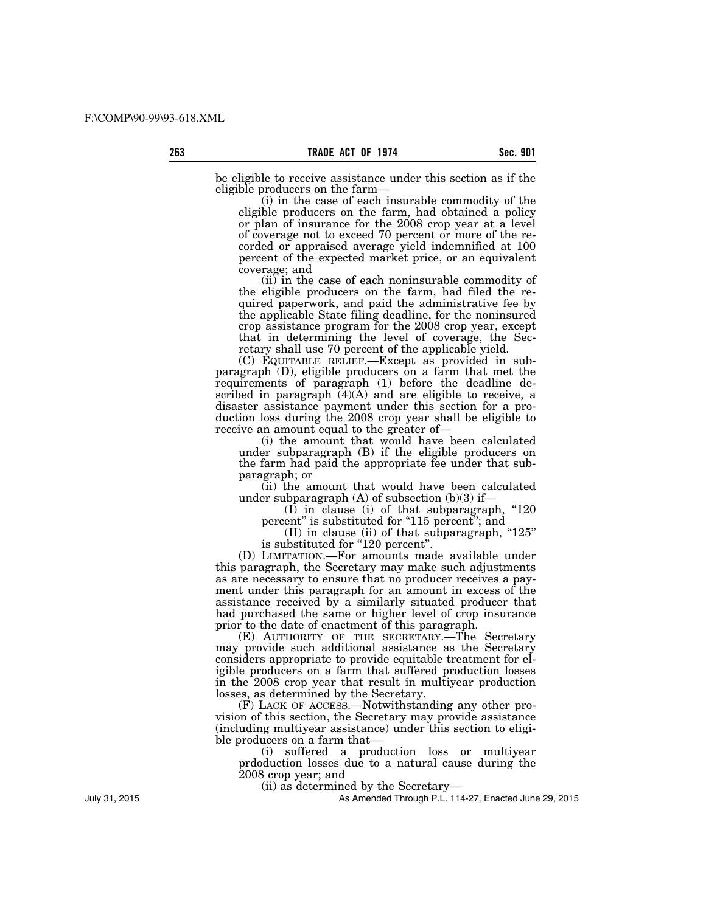be eligible to receive assistance under this section as if the eligible producers on the farm—

(i) in the case of each insurable commodity of the eligible producers on the farm, had obtained a policy or plan of insurance for the 2008 crop year at a level of coverage not to exceed 70 percent or more of the recorded or appraised average yield indemnified at 100 percent of the expected market price, or an equivalent coverage; and

(ii) in the case of each noninsurable commodity of the eligible producers on the farm, had filed the required paperwork, and paid the administrative fee by the applicable State filing deadline, for the noninsured crop assistance program for the 2008 crop year, except that in determining the level of coverage, the Secretary shall use 70 percent of the applicable yield.

(C) EQUITABLE RELIEF.—Except as provided in subparagraph (D), eligible producers on a farm that met the requirements of paragraph (1) before the deadline described in paragraph  $(4)(A)$  and are eligible to receive, a disaster assistance payment under this section for a production loss during the 2008 crop year shall be eligible to receive an amount equal to the greater of—

(i) the amount that would have been calculated under subparagraph (B) if the eligible producers on the farm had paid the appropriate fee under that subparagraph; or

(ii) the amount that would have been calculated under subparagraph  $(A)$  of subsection  $(b)(3)$  if-

(I) in clause (i) of that subparagraph, ''120 percent" is substituted for "115 percent"; and

(II) in clause (ii) of that subparagraph, "125" is substituted for "120 percent".

(D) LIMITATION.—For amounts made available under this paragraph, the Secretary may make such adjustments as are necessary to ensure that no producer receives a payment under this paragraph for an amount in excess of the assistance received by a similarly situated producer that had purchased the same or higher level of crop insurance prior to the date of enactment of this paragraph.

(E) AUTHORITY OF THE SECRETARY.—The Secretary may provide such additional assistance as the Secretary considers appropriate to provide equitable treatment for eligible producers on a farm that suffered production losses in the 2008 crop year that result in multiyear production losses, as determined by the Secretary.

(F) LACK OF ACCESS.—Notwithstanding any other provision of this section, the Secretary may provide assistance (including multiyear assistance) under this section to eligible producers on a farm that—

(i) suffered a production loss or multiyear prdoduction losses due to a natural cause during the 2008 crop year; and

(ii) as determined by the Secretary—

As Amended Through P.L. 114-27, Enacted June 29, 2015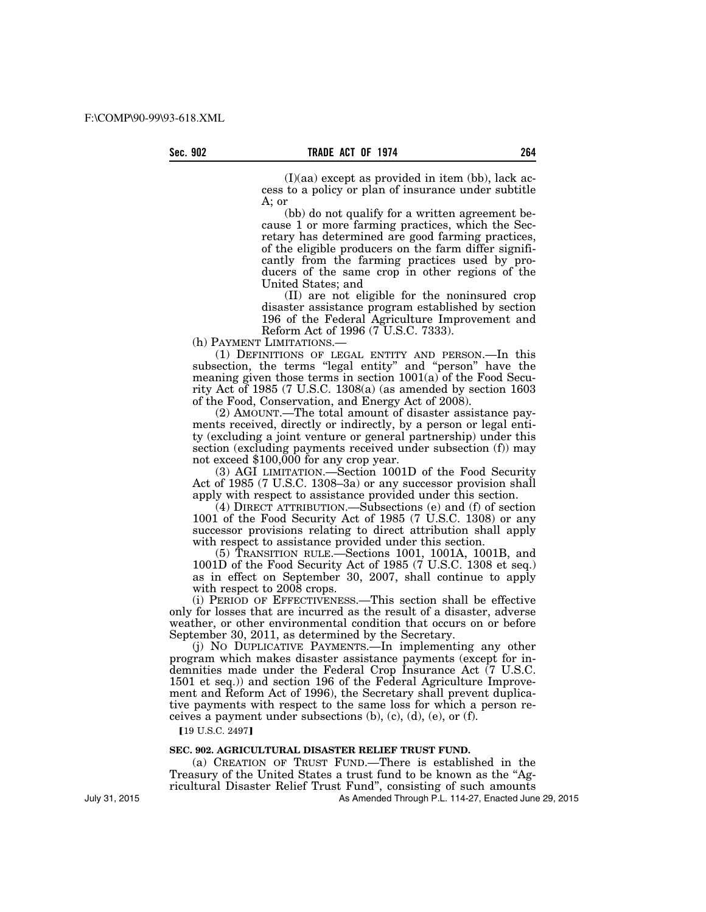$(I)(aa)$  except as provided in item  $(bb)$ , lack access to a policy or plan of insurance under subtitle A; or

(bb) do not qualify for a written agreement because 1 or more farming practices, which the Secretary has determined are good farming practices, of the eligible producers on the farm differ significantly from the farming practices used by producers of the same crop in other regions of the United States; and

(II) are not eligible for the noninsured crop disaster assistance program established by section 196 of the Federal Agriculture Improvement and Reform Act of 1996 (7 U.S.C. 7333).

(h) PAYMENT LIMITATIONS.—

(1) DEFINITIONS OF LEGAL ENTITY AND PERSON.—In this subsection, the terms "legal entity" and "person" have the meaning given those terms in section  $1001(a)$  of the Food Security Act of 1985 (7 U.S.C. 1308(a) (as amended by section 1603 of the Food, Conservation, and Energy Act of 2008).

(2) AMOUNT.—The total amount of disaster assistance payments received, directly or indirectly, by a person or legal entity (excluding a joint venture or general partnership) under this section (excluding payments received under subsection (f)) may not exceed \$100,000 for any crop year.

(3) AGI LIMITATION.—Section 1001D of the Food Security Act of 1985 (7 U.S.C. 1308–3a) or any successor provision shall apply with respect to assistance provided under this section.

(4) DIRECT ATTRIBUTION.—Subsections (e) and (f) of section 1001 of the Food Security Act of 1985 (7 U.S.C. 1308) or any successor provisions relating to direct attribution shall apply with respect to assistance provided under this section.

(5) TRANSITION RULE.—Sections 1001, 1001A, 1001B, and 1001D of the Food Security Act of 1985 (7 U.S.C. 1308 et seq.) as in effect on September 30, 2007, shall continue to apply with respect to 2008 crops.

(i) PERIOD OF EFFECTIVENESS.—This section shall be effective only for losses that are incurred as the result of a disaster, adverse weather, or other environmental condition that occurs on or before September 30, 2011, as determined by the Secretary.

(j) NO DUPLICATIVE PAYMENTS.—In implementing any other program which makes disaster assistance payments (except for indemnities made under the Federal Crop Insurance Act (7 U.S.C. 1501 et seq.)) and section 196 of the Federal Agriculture Improvement and Reform Act of 1996), the Secretary shall prevent duplicative payments with respect to the same loss for which a person receives a payment under subsections  $(b)$ ,  $(c)$ ,  $(d)$ ,  $(e)$ , or  $(f)$ .

**[19 U.S.C. 2497]** 

## **SEC. 902. AGRICULTURAL DISASTER RELIEF TRUST FUND.**

(a) CREATION OF TRUST FUND.—There is established in the Treasury of the United States a trust fund to be known as the "Agricultural Disaster Relief Trust Fund'', consisting of such amounts

July 31, 2015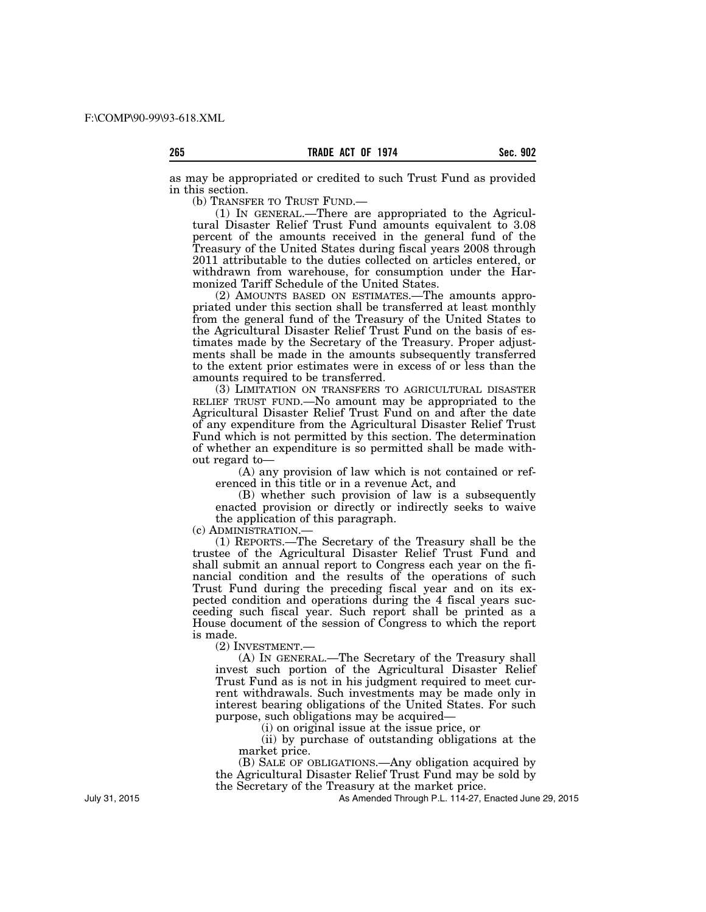as may be appropriated or credited to such Trust Fund as provided in this section.

(b) TRANSFER TO TRUST FUND.—

(1) IN GENERAL.—There are appropriated to the Agricultural Disaster Relief Trust Fund amounts equivalent to 3.08 percent of the amounts received in the general fund of the Treasury of the United States during fiscal years 2008 through 2011 attributable to the duties collected on articles entered, or withdrawn from warehouse, for consumption under the Harmonized Tariff Schedule of the United States.

(2) AMOUNTS BASED ON ESTIMATES.—The amounts appropriated under this section shall be transferred at least monthly from the general fund of the Treasury of the United States to the Agricultural Disaster Relief Trust Fund on the basis of estimates made by the Secretary of the Treasury. Proper adjustments shall be made in the amounts subsequently transferred to the extent prior estimates were in excess of or less than the amounts required to be transferred.

(3) LIMITATION ON TRANSFERS TO AGRICULTURAL DISASTER RELIEF TRUST FUND.—No amount may be appropriated to the Agricultural Disaster Relief Trust Fund on and after the date of any expenditure from the Agricultural Disaster Relief Trust Fund which is not permitted by this section. The determination of whether an expenditure is so permitted shall be made without regard to—

(A) any provision of law which is not contained or referenced in this title or in a revenue Act, and

(B) whether such provision of law is a subsequently enacted provision or directly or indirectly seeks to waive the application of this paragraph.

(c) ADMINISTRATION.—

(1) REPORTS.—The Secretary of the Treasury shall be the trustee of the Agricultural Disaster Relief Trust Fund and shall submit an annual report to Congress each year on the financial condition and the results of the operations of such Trust Fund during the preceding fiscal year and on its expected condition and operations during the 4 fiscal years succeeding such fiscal year. Such report shall be printed as a House document of the session of Congress to which the report is made.

(2) INVESTMENT.—

(A) IN GENERAL.—The Secretary of the Treasury shall invest such portion of the Agricultural Disaster Relief Trust Fund as is not in his judgment required to meet current withdrawals. Such investments may be made only in interest bearing obligations of the United States. For such purpose, such obligations may be acquired—

(i) on original issue at the issue price, or

(ii) by purchase of outstanding obligations at the market price.

(B) SALE OF OBLIGATIONS.—Any obligation acquired by the Agricultural Disaster Relief Trust Fund may be sold by the Secretary of the Treasury at the market price.

As Amended Through P.L. 114-27, Enacted June 29, 2015